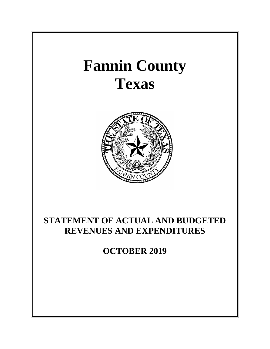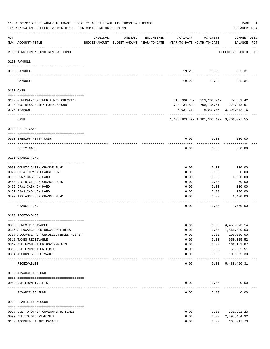|     | 11-01-2019**BUDGET ANALYSIS USAGE REPORT ** ASSET LIABILITY INCOME & EXPENSE<br>TIME: 07:54 AM - EFFECTIVE MONTH: 10 - FOR MONTH ENDING 10-31-19 |                             |                                                                                |            |               |                                                     | PAGE<br>1<br>PREPARER: 0004        |
|-----|--------------------------------------------------------------------------------------------------------------------------------------------------|-----------------------------|--------------------------------------------------------------------------------|------------|---------------|-----------------------------------------------------|------------------------------------|
| ACT | NUM ACCOUNT-TITLE                                                                                                                                | ORIGINAL                    | AMENDED<br>BUDGET-AMOUNT BUDGET-AMOUNT YEAR-TO-DATE YEAR-TO-DATE MONTH-TO-DATE | ENCUMBERED | ACTIVITY      | ACTIVITY                                            | <b>CURRENT USED</b><br>BALANCE PCT |
|     | --------------------------------------<br>REPORTING FUND: 0010 GENERAL FUND                                                                      |                             |                                                                                |            |               |                                                     | EFFECTIVE MONTH - 10               |
|     | 0100 PAYROLL                                                                                                                                     |                             |                                                                                |            |               |                                                     |                                    |
|     | 0100 PAYROLL                                                                                                                                     |                             |                                                                                |            |               | 19.29 19.29 832.31                                  |                                    |
|     | PAYROLL                                                                                                                                          |                             |                                                                                |            | 19.29         | ---------<br>19.29                                  | 832.31                             |
|     | 0103 CASH                                                                                                                                        |                             |                                                                                |            |               |                                                     |                                    |
|     | 0100 GENERAL-COMBINED FUNDS CHECKING                                                                                                             |                             |                                                                                |            |               | 313, 200. 74 - 313, 200. 74 - 79, 531. 42           |                                    |
|     | 0110 BUSINESS MONEY FUND ACCOUNT                                                                                                                 |                             |                                                                                |            |               | 798, 134.51 - 798, 134.51 - 223, 473.97             |                                    |
|     | 0175 TEXPOOL                                                                                                                                     |                             |                                                                                |            | 6,031.76      | ---------- ------------ -----------                 | 6,031.76 3,398,072.16              |
|     | CASH                                                                                                                                             |                             |                                                                                |            |               | 1, 105, 303. 49 - 1, 105, 303. 49 - 3, 701, 077. 55 |                                    |
|     | 0104 PETTY CASH                                                                                                                                  |                             |                                                                                |            |               |                                                     |                                    |
|     | 0560 SHERIFF PETTY CASH                                                                                                                          |                             |                                                                                |            | 0.00          | 0.00                                                | 200.00                             |
|     | PETTY CASH                                                                                                                                       |                             |                                                                                |            | 0.00          | 0.00                                                | 200.00                             |
|     | 0105 CHANGE FUND                                                                                                                                 |                             |                                                                                |            |               |                                                     |                                    |
|     |                                                                                                                                                  |                             |                                                                                |            |               |                                                     |                                    |
|     | 0003 COUNTY CLERK CHANGE FUND                                                                                                                    |                             |                                                                                |            | 0.00          | 0.00                                                | 100.00                             |
|     | 0075 CO.ATTORNEY CHANGE FUND                                                                                                                     |                             |                                                                                |            | 0.00<br>0.00  | 0.00<br>0.00                                        | 0.00                               |
|     | 0115 JURY CASH ON HAND<br>0450 DISTRICT CLK. CHANGE FUND                                                                                         |                             |                                                                                |            | 0.00          | 0.00                                                | 1,000.00<br>50.00                  |
|     | 0455 JP#1 CASH ON HAND                                                                                                                           |                             |                                                                                |            | 0.00          | 0.00                                                | 100.00                             |
|     | 0457 JP#3 CASH ON HAND                                                                                                                           |                             |                                                                                |            | 0.00          | 0.00                                                | 100.00                             |
|     | 0499 TAX ASSESSOR CHANGE FUND                                                                                                                    |                             |                                                                                |            | 0.00          | 0.00                                                | 1,400.00                           |
|     | CHANGE FUND                                                                                                                                      |                             |                                                                                |            | 0.00          | 0.00                                                | 2,750.00                           |
|     | 0120 RECEIVABLES                                                                                                                                 |                             |                                                                                |            |               |                                                     |                                    |
|     |                                                                                                                                                  |                             |                                                                                |            |               |                                                     |                                    |
|     | 0305 FINES RECEIVABLE<br>0306 ALLOWANCE FOR UNCOLLECTIBLES                                                                                       |                             |                                                                                |            | 0.00<br>0.00  | 0.00<br>0.00                                        | 6,459,373.14<br>1,861,839.03-      |
|     | 0307 ALOWANCE FOR UNCOLLECTIBLES HOSPIT                                                                                                          |                             |                                                                                |            | 0.00          | 0.00                                                | $100,000.00 -$                     |
|     | 0311 TAXES RECEIVABLE                                                                                                                            |                             |                                                                                |            | 0.00          | 0.00                                                | 650, 315.52                        |
|     | 0312 DUE FROM OTHER GOVERNMENTS                                                                                                                  |                             |                                                                                |            | 0.00          | 0.00                                                | 161,132.87                         |
|     | 0313 DUE FROM OTHER FUNDS                                                                                                                        |                             |                                                                                |            | 0.00          | 0.00                                                | 65,602.51                          |
|     | 0314 ACCOUNTS RECEIVABLE                                                                                                                         |                             |                                                                                |            | 0.00          | 0.00                                                | 108,835.30                         |
|     | RECEIVABLES                                                                                                                                      | ------------ -------------- |                                                                                |            | 0.00          | ---------<br>0.00                                   | -------------<br>5,483,420.31      |
|     | 0133 ADVANCE TO FUND                                                                                                                             |                             |                                                                                |            |               |                                                     |                                    |
|     |                                                                                                                                                  |                             |                                                                                |            |               |                                                     |                                    |
|     | 0089 DUE FROM T.J.P.C.                                                                                                                           |                             |                                                                                |            | 0.00<br>$---$ | 0.00                                                | 0.00                               |
|     | ADVANCE TO FUND                                                                                                                                  |                             |                                                                                |            | 0.00          | 0.00                                                | 0.00                               |
|     | 0200 LIABILITY ACCOUNT                                                                                                                           |                             |                                                                                |            |               |                                                     |                                    |
|     |                                                                                                                                                  |                             |                                                                                |            | 0.00          | 0.00                                                | 731,991.23                         |
|     | 0097 DUE TO OTHER GOVERNMENTS-FINES<br>0099 DUE TO OTHERS-FINES                                                                                  |                             |                                                                                |            | 0.00          | 0.00                                                | 2,495,464.32                       |
|     | 0150 ACCRUED SALARY PAYABLE                                                                                                                      |                             |                                                                                |            | 0.00          | 0.00                                                | 163,017.73                         |
|     |                                                                                                                                                  |                             |                                                                                |            |               |                                                     |                                    |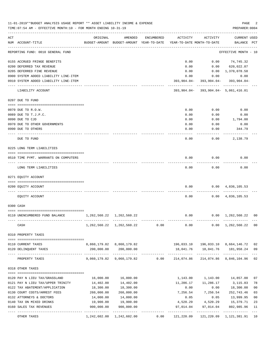|     | 11-01-2019**BUDGET ANALYSIS USAGE REPORT ** ASSET LIABILITY INCOME & EXPENSE<br>TIME: 07:54 AM - EFFECTIVE MONTH: 10 - FOR MONTH ENDING 10-31-19 |                                                 |                                                     |            |                                        |                                      | PAGE<br>PREPARER: 0004                         | 2              |
|-----|--------------------------------------------------------------------------------------------------------------------------------------------------|-------------------------------------------------|-----------------------------------------------------|------------|----------------------------------------|--------------------------------------|------------------------------------------------|----------------|
| ACT | NUM ACCOUNT-TITLE                                                                                                                                | ORIGINAL                                        | AMENDED<br>BUDGET-AMOUNT BUDGET-AMOUNT YEAR-TO-DATE | ENCUMBERED | ACTIVITY<br>YEAR-TO-DATE MONTH-TO-DATE | ACTIVITY                             | CURRENT USED<br>BALANCE PCT                    |                |
|     | REPORTING FUND: 0010 GENERAL FUND                                                                                                                |                                                 |                                                     |            |                                        |                                      | EFFECTIVE MONTH - 10                           |                |
|     | 0155 ACCRUED FRINGE BENEFITS                                                                                                                     |                                                 |                                                     |            | 0.00                                   |                                      | $0.00$ $74,745.32$                             |                |
|     | 0200 DEFERRED TAX REVENUE                                                                                                                        |                                                 |                                                     |            | 0.00                                   |                                      | $0.00$ 620,022.87                              |                |
|     | 0205 DEFERRED FINE REVENUE                                                                                                                       |                                                 |                                                     |            | 0.00                                   |                                      | 0.00 1,370,078.58                              |                |
|     | 0900 SYSTEM ADDED LIABILITY LINE-ITEM                                                                                                            |                                                 |                                                     |            | 0.00                                   |                                      | 0.00<br>0.00                                   |                |
|     | 0910 SYSTEM ADDED LIABILITY LINE-ITEM                                                                                                            |                                                 |                                                     |            | 393,904.04-                            | ------------                         | $393, 904.04 - 393, 904.04 -$<br>------------- |                |
|     | LIABILITY ACCOUNT                                                                                                                                |                                                 |                                                     |            |                                        | 393,904.04- 393,904.04- 5,061,416.01 |                                                |                |
|     | 0207 DUE TO FUND                                                                                                                                 |                                                 |                                                     |            |                                        |                                      |                                                |                |
|     | 0070 DUE TO R.O.W.                                                                                                                               |                                                 |                                                     |            | 0.00                                   | 0.00                                 | 0.00                                           |                |
|     | 0089 DUE TO T.J.P.C.                                                                                                                             |                                                 |                                                     |            | 0.00                                   | 0.00                                 | 0.00                                           |                |
|     | 0090 DUE TO CJD                                                                                                                                  |                                                 |                                                     |            | 0.00                                   | 0.00                                 | 1,794.00                                       |                |
|     | 0970 DUE TO OTHER GOVERNMENTS                                                                                                                    |                                                 |                                                     |            | 0.00                                   | 0.00                                 | 0.00                                           |                |
|     | 0990 DUE TO OTHERS                                                                                                                               |                                                 |                                                     |            | 0.00                                   | 0.00                                 | 344.79                                         |                |
|     | DUE TO FUND                                                                                                                                      |                                                 |                                                     |            | 0.00                                   | 0.00                                 | 2,138.79                                       |                |
|     | 0225 LONG TERM LIABILITIES                                                                                                                       |                                                 |                                                     |            |                                        |                                      |                                                |                |
|     | 0510 TIME PYMT. WARRANTS ON COMPUTERS                                                                                                            |                                                 |                                                     |            | 0.00                                   | 0.00                                 | 0.00                                           |                |
|     | LONG TERM LIABILITIES                                                                                                                            |                                                 |                                                     |            | 0.00                                   | 0.00                                 | 0.00                                           |                |
|     | 0271 EQUITY ACCOUNT                                                                                                                              |                                                 |                                                     |            |                                        |                                      |                                                |                |
|     | 0200 EQUITY ACCOUNT                                                                                                                              |                                                 |                                                     |            | 0.00                                   |                                      | $0.00 \quad 4,836,105.53$                      |                |
|     | EQUITY ACCOUNT                                                                                                                                   |                                                 |                                                     |            | 0.00                                   |                                      | $0.00 \quad 4,836,105.53$                      |                |
|     | 0300 CASH                                                                                                                                        |                                                 |                                                     |            |                                        |                                      |                                                |                |
|     |                                                                                                                                                  |                                                 |                                                     |            |                                        |                                      |                                                |                |
|     | 0110 UNENCUMBERED FUND BALANCE                                                                                                                   | 1, 262, 560. 22 1, 262, 560. 22<br>. <u>.</u> . |                                                     |            | 0.00                                   |                                      | $0.00 \quad 1,262,560.22$                      | 0 <sub>0</sub> |
|     | CASH                                                                                                                                             |                                                 | 1, 262, 560. 22 1, 262, 560. 22                     | 0.00       |                                        |                                      | $0.00$ $0.00$ $1,262,560.22$                   | 0 <sub>0</sub> |
|     | 0310 PROPERTY TAXES                                                                                                                              |                                                 |                                                     |            |                                        |                                      |                                                |                |
|     |                                                                                                                                                  |                                                 |                                                     |            |                                        |                                      |                                                |                |
|     | 0110 CURRENT TAXES                                                                                                                               |                                                 | 8,860,179.82 8,860,179.82                           |            |                                        |                                      | 196,033.10  196,033.10  8,664,146.72           | 02             |
|     | 0120 DELINQUENT TAXES                                                                                                                            | 200,000.00                                      | 200,000.00                                          |            |                                        |                                      | 18,041.76  18,041.76  181,958.24               | 09<br>$---$    |
|     | PROPERTY TAXES                                                                                                                                   |                                                 | 9,060,179.82 9,060,179.82 0.00 214,074.86           |            |                                        |                                      | 214,074.86 8,846,104.96                        | 02             |
|     | 0318 OTHER TAXES                                                                                                                                 |                                                 |                                                     |            |                                        |                                      |                                                |                |
|     | 0120 PAY N LIEU TAX/GRASSLAND                                                                                                                    | 16,000.00                                       | 16,000.00                                           |            |                                        |                                      | 1,143.00 1,143.00 14,857.00                    | 07             |
|     | 0121 PAY N LIEU TAX/UPPER TRINITY                                                                                                                | 14,402.00                                       | 14,402.00                                           |            | 11,286.17                              | 11,286.17                            | 3,115.83                                       | 78             |
|     | 0122 TAX ABATEMENT/APPLICATION                                                                                                                   | 18,300.00                                       | 18,300.00                                           |            | 0.00                                   | 0.00                                 | 18,300.00                                      | 0 <sub>0</sub> |
|     | 0130 COURT COSTS/ARREST FEES                                                                                                                     | 260,000.00                                      | 260,000.00                                          |            | 7,256.54                               | 7,256.54                             | 252,743.46                                     | 03             |
|     | 0132 ATTORNEYS & DOCTORS                                                                                                                         | 14,000.00                                       | 14,000.00                                           |            | 0.05                                   | 0.05                                 | 13,999.95                                      | 0 <sub>0</sub> |
|     | 0140 TAX ON MIXED DRINKS                                                                                                                         | 19,900.00                                       | 19,900.00                                           |            |                                        |                                      | 4,520.29  4,520.29  15,379.71                  | 23             |
|     | 0160 SALES TAX REVENUES                                                                                                                          | 900,000.00                                      | 900,000.00                                          |            | 97,014.04                              | 97,014.04                            | 802,985.96                                     | 11             |
|     | OTHER TAXES                                                                                                                                      |                                                 | 1, 242, 602.00 1, 242, 602.00                       | 0.00       | 121,220.09                             |                                      | 121,220.09 1,121,381.91                        | 10             |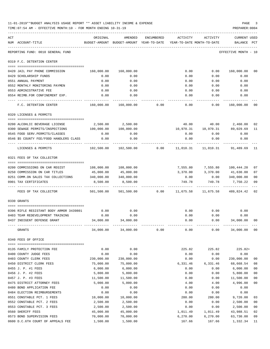|     | 11-01-2019**BUDGET ANALYSIS USAGE REPORT ** ASSET LIABILITY INCOME & EXPENSE<br>TIME: 07:54 AM - EFFECTIVE MONTH: 10 - FOR MONTH ENDING 10-31-19 |            |                                                                                |            |          |                                                 | PAGE<br>PREPARER: 0004             |                |
|-----|--------------------------------------------------------------------------------------------------------------------------------------------------|------------|--------------------------------------------------------------------------------|------------|----------|-------------------------------------------------|------------------------------------|----------------|
| ACT | NUM ACCOUNT-TITLE                                                                                                                                | ORIGINAL   | AMENDED<br>BUDGET-AMOUNT BUDGET-AMOUNT YEAR-TO-DATE YEAR-TO-DATE MONTH-TO-DATE | ENCUMBERED | ACTIVITY | ACTIVITY                                        | <b>CURRENT USED</b><br>BALANCE PCT |                |
|     | REPORTING FUND: 0010 GENERAL FUND                                                                                                                |            |                                                                                |            |          |                                                 | EFFECTIVE MONTH - 10               |                |
|     | 0319 F.C. DETENTION CENTER                                                                                                                       |            |                                                                                |            |          |                                                 |                                    |                |
|     | 0420 JAIL PAY PHONE COMMISSION                                                                                                                   | 160,000.00 | 160,000.00                                                                     |            | 0.00     | 0.00                                            | 160,000.00                         | 00             |
|     | 0429 SCHOLARSHIP FUNDS                                                                                                                           | 0.00       | 0.00                                                                           |            | 0.00     | 0.00                                            | 0.00                               |                |
|     | 0551 ANNUAL PAYMENT                                                                                                                              | 0.00       | 0.00                                                                           |            | 0.00     | 0.00                                            | 0.00                               |                |
|     | 0552 MONTHLY MONITORING PAYMEN                                                                                                                   | 0.00       | 0.00                                                                           |            | 0.00     | 0.00                                            | 0.00                               |                |
|     | 0553 ADMINISTRATIVE FEE                                                                                                                          | 0.00       | 0.00                                                                           |            | 0.00     | 0.00                                            | 0.00                               |                |
|     | 0554 REIMB.FOR CONFINEMENT EXP.                                                                                                                  | 0.00       | 0.00                                                                           |            | 0.00     | 0.00                                            | 0.00                               |                |
|     | F.C. DETENTION CENTER                                                                                                                            |            | 160,000.00 160,000.00                                                          | 0.00       | 0.00     | 0.00                                            | 160,000.00 00                      |                |
|     | 0320 LICENSES & PERMITS                                                                                                                          |            |                                                                                |            |          |                                                 |                                    |                |
|     |                                                                                                                                                  |            |                                                                                |            |          |                                                 |                                    |                |
|     | 0200 ALCOHLIC BEVERAGE LICENSE                                                                                                                   | 2,500.00   | 2,500.00                                                                       |            |          | 40.00 40.00 2,460.00                            |                                    | 02             |
|     | 0300 SEWAGE PERMITS/INSPECTIONS                                                                                                                  | 100,000.00 | 100,000.00                                                                     |            |          | 10,970.31    10,970.31    89,029.69             |                                    | 11             |
|     | 0545 FOOD SERV. PERMITS/CLASSES                                                                                                                  | 0.00       | 0.00                                                                           |            | 0.00     | 0.00                                            | 0.00                               |                |
|     | 0546 \$5 COUNTY FEE/FOOD HANDLERS CLASS                                                                                                          | 0.00       | 0.00                                                                           |            | 0.00     | 0.00                                            | 0.00                               |                |
|     | LICENSES & PERMITS                                                                                                                               | 102,500.00 | 102,500.00                                                                     |            |          | $0.00$ $11,010.31$ $11,010.31$ $91,489.69$ $11$ |                                    |                |
|     | 0321 FEES OF TAX COLLECTOR                                                                                                                       |            |                                                                                |            |          |                                                 |                                    |                |
|     | 0200 COMMISSIONS ON CAR REGIST                                                                                                                   | 108,000.00 | 108,000.00                                                                     |            |          | 7,555.80 7,555.80 100,444.20                    |                                    | 07             |
|     | 0250 COMMISSION ON CAR TITLES                                                                                                                    | 45,000.00  | 45,000.00                                                                      |            |          | 3,370.00 3,370.00 41,630.00                     |                                    | 07             |
|     | 0251 COMM.ON SALES TAX COLLECTIONS 340,000.00                                                                                                    |            | 340,000.00                                                                     |            | 0.00     |                                                 | $0.00$ 340,000.00                  | 00             |
|     | 0901 TAX CERTIFICATES                                                                                                                            | 8,500.00   | 8,500.00                                                                       |            | 749.78   | 749.78                                          | 7,750.22                           | 09             |
|     | FEES OF TAX COLLECTOR                                                                                                                            |            | 501,500.00 501,500.00                                                          | 0.00       |          | 11,675.58 11,675.58 489,824.42 02               |                                    |                |
|     | 0330 GRANTS                                                                                                                                      |            |                                                                                |            |          |                                                 |                                    |                |
|     | 0396 RIFLE RESISTANT BODY ARMOR 3439801                                                                                                          | 0.00       | 0.00                                                                           |            | 0.00     | 0.00                                            | 0.00                               |                |
|     | 0403 TEAM REDEVELOPMENT TRAINING                                                                                                                 | 0.00       | 0.00                                                                           |            | 0.00     | 0.00                                            | 0.00                               |                |
|     | 0437 INDIGENT DEFENSE GRANT                                                                                                                      | 34,000.00  | 34,000.00                                                                      |            | 0.00     | 0.00                                            | 34,000.00                          | 00             |
|     | GRANTS                                                                                                                                           | 34,000.00  | 34,000.00                                                                      | 0.00       | 0.00     | 0.00                                            | 34,000.00                          | $00\,$         |
|     | 0340 FEES OF OFFICE                                                                                                                              |            |                                                                                |            |          |                                                 |                                    |                |
|     |                                                                                                                                                  | 0.00       | 0.00                                                                           |            | 225.82   | 225.82                                          | 225.82+                            |                |
|     | 0135 FAMILY PROTECTION FEE<br>0400 COUNTY JUDGE FEES                                                                                             | 0.00       | 0.00                                                                           |            | 0.00     | 0.00                                            | 0.00                               |                |
|     | 0403 COUNTY CLERK FEES                                                                                                                           | 230,000.00 | 230,000.00                                                                     |            | 0.00     | 0.00                                            | 230,000.00                         | 00             |
|     | 0450 DISTRICT CLERK FEES                                                                                                                         | 75,000.00  | 75,000.00                                                                      |            | 6,331.46 | 6,331.46                                        | 68,668.54                          | 08             |
|     | 0455 J. P. #1 FEES                                                                                                                               | 6,000.00   | 6,000.00                                                                       |            | 0.00     | 0.00                                            | 6,000.00                           | 0 <sub>0</sub> |
|     | 0456 J. P. #2 FEES                                                                                                                               | 5,800.00   | 5,800.00                                                                       |            | 0.00     | 0.00                                            | 5,800.00                           | 0 <sub>0</sub> |
|     | 0457 J. P. #3 FEES                                                                                                                               | 11,500.00  | 11,500.00                                                                      |            | 0.00     | 0.00                                            | 11,500.00                          | 0 <sub>0</sub> |
|     | 0475 DISTRICT ATTORNEY FEES                                                                                                                      | 5,000.00   | 5,000.00                                                                       |            | 4.00     | 4.00                                            | 4,996.00                           | $00\,$         |
|     | 0480 BOND APPLICATION FEE                                                                                                                        | 0.00       | 0.00                                                                           |            | 0.00     | 0.00                                            | 0.00                               |                |
|     | 0484 ELECTION REIMBURSEMENTS                                                                                                                     | 0.00       | 0.00                                                                           |            | 0.00     | 0.00                                            | 0.00                               |                |
|     | 0551 CONSTABLE PCT. 1 FEES                                                                                                                       | 10,000.00  | 10,000.00                                                                      |            | 280.00   | 280.00                                          | 9,720.00                           | 03             |
|     | 0552 CONSTABLE PCT. 2 FEES                                                                                                                       | 2,500.00   | 2,500.00                                                                       |            | 0.00     | 0.00                                            | 2,500.00                           | $00\,$         |
|     | 0553 CONSTABLE PCT. 3 FEES                                                                                                                       | 2,500.00   | 2,500.00                                                                       |            | 0.00     | 0.00                                            | 2,500.00                           | 0 <sub>0</sub> |
|     | 0560 SHERIFF FEES                                                                                                                                | 45,000.00  | 45,000.00                                                                      |            | 1,011.49 | 1,011.49                                        | 43,988.51                          | 02             |
|     | 0573 BOND SUPERVISION FEES                                                                                                                       | 70,000.00  | 70,000.00                                                                      |            | 6,270.00 | 6,270.00                                        | 63,730.00                          | 09             |
|     | 0600 D.C.6TH COURT OF APPEALS FEE                                                                                                                | 1,500.00   | 1,500.00                                                                       |            | 167.66   | 167.66                                          | 1,332.34                           | 11             |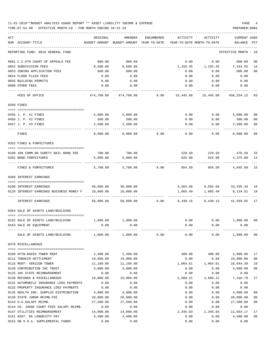### 11-01-2019\*\*BUDGET ANALYSIS USAGE REPORT \*\* ASSET LIABILITY INCOME & EXPENSE PAGE 4 TIME:07:54 AM - EFFECTIVE MONTH:10 - FOR MONTH ENDING 10-31-19 PREPARER:0004

| ACT |                                                         | ORIGINAL      | AMENDED               | ENCUMBERED   | ACTIVITY                   | ACTIVITY  | <b>CURRENT USED</b>   |                      |
|-----|---------------------------------------------------------|---------------|-----------------------|--------------|----------------------------|-----------|-----------------------|----------------------|
|     | NUM ACCOUNT-TITLE                                       | BUDGET-AMOUNT | BUDGET-AMOUNT         | YEAR-TO-DATE | YEAR-TO-DATE MONTH-TO-DATE |           | BALANCE               | PCT                  |
|     | REPORTING FUND: 0010 GENERAL FUND                       |               |                       |              |                            |           | EFFECTIVE MONTH - 10  |                      |
|     | 0601 C.C.6TH COURT OF APPEALS FEE                       | 800.00        | 800.00                |              | 0.00                       | 0.00      | 800.00                | 00                   |
|     | 0652 SUBDIVISION FEES                                   | 8,500.00      | 8,500.00              |              | 1,155.45                   | 1,155.45  | 7,344.55              | 14                   |
|     | 0653 ZONING APPLICATION FEES                            | 600.00        | 600.00                |              | 0.00                       | 0.00      | 600.00                | 0 <sub>0</sub>       |
|     | 0654 FLOOD PLAIN FEES                                   | 0.00          | 0.00                  |              | 0.00                       | 0.00      | 0.00                  |                      |
|     | 0655 BUILDING PERMITS                                   | 0.00          | 0.00                  |              | 0.00                       | 0.00      | 0.00                  |                      |
|     | 0900 OTHER FEES                                         | 0.00          | 0.00                  |              | 0.00                       | 0.00      | 0.00                  |                      |
|     | FEES OF OFFICE                                          | 474,700.00    | 474,700.00            | 0.00         | 15,445.88                  | 15,445.88 | 459,254.12            | 03                   |
|     | 0350 FINES                                              |               |                       |              |                            |           |                       |                      |
|     |                                                         |               |                       |              |                            |           |                       |                      |
|     | 0455 J. P. #1 FINES                                     | 5,000.00      | 5,000.00              |              | 0.00                       | 0.00      | 5,000.00              | 0 <sub>0</sub>       |
|     | 0456 J. P. #2 FINES                                     | 500.00        | 500.00                |              | 0.00                       | 0.00      | 500.00                | 0 <sub>0</sub>       |
|     | 0457 J. P. #3 FINES                                     | 2,500.00      | 2,500.00              |              | 0.00                       | 0.00      | 2,500.00              | 0 <sub>0</sub>       |
|     | FINES                                                   | 8,000.00      | 8.000.00              | 0.00         | 0.00                       | 0.00      | 8,000.00              | 0 <sup>0</sup>       |
|     | 0352 FINES & FORFEITURES                                |               |                       |              |                            |           |                       |                      |
|     |                                                         |               |                       |              |                            |           |                       |                      |
|     | 0100 10% COMM.ON SURETY BAIL BOND FEE                   | 700.00        | 700.00                |              | 229.50                     |           | 229.50 470.50         | 33                   |
|     | 0201 BOND FORFEITURES                                   | 5,000.00      | 5,000.00              |              | 625.00                     | 625.00    | 4,375.00              | 13                   |
|     | FINES & FORFEITURES                                     | 5,700.00      | 5,700.00              | 0.00         | 854.50                     | 854.50    | 4,845.50              | 15                   |
|     | 0360 INTEREST EARNINGS                                  |               |                       |              |                            |           |                       |                      |
|     | 0100 INTEREST EARNINGS                                  | 40,000.00     | 40,000.00             |              | 6,564.66                   |           | 6,564.66 33,435.34    | 16                   |
|     | 0110 INTEREST EARNINGS BUSINESS MONEY F                 | 10,000.00     | 10,000.00             |              | 1,865.49                   | 1,865.49  | 8,134.51              | 19                   |
|     |                                                         |               |                       |              |                            |           |                       |                      |
|     | INTEREST EARNINGS                                       | 50,000.00     | 50,000.00             | 0.00         | 8,430.15                   | 8,430.15  | 41,569.85             | 17                   |
|     | 0364 SALE OF ASSETS LAND/BUILDING                       |               |                       |              |                            |           |                       |                      |
|     | 0162 SALE OF ASSETS LAND/BUILDING                       | 1,000.00      | 1,000.00              |              | 0.00                       | 0.00      | 1,000.00              | 00                   |
|     | 0163 SALE OF EQUIPMENT                                  | 0.00          | 0.00                  |              | 0.00                       | 0.00      | 0.00                  |                      |
|     |                                                         |               |                       |              |                            |           |                       |                      |
|     | SALE OF ASSETS LAND/BUILDING $1,000.00$ $1,000.00$ 0.00 |               |                       |              | 0.00                       | 0.00      | 1,000.00 00           |                      |
|     | 0370 MISCELLANEOUS                                      |               |                       |              |                            |           |                       |                      |
|     |                                                         |               |                       |              |                            |           |                       |                      |
|     | 0100 KFYN-RADIO TOWER RENT                              | 2,400.00      | 2,400.00              |              | 400.00                     | 400.00    | 2,000.00              | 17                   |
|     | 0112 TOBACCO SETTLEMENT                                 | 19,000.00     | 19,000.00             |              | 0.00                       | 0.00      | 19,000.00             | 0 <sub>0</sub>       |
|     | 0115 RENT- VERIZON TOWER                                | 11,109.00     | 11,109.00             |              | 1,064.61                   | 1,064.61  | 10,044.39             | 10                   |
|     | 0120 CONTRIBUTION IHC TRUST                             | 4,000.00      | 4,000.00              |              | 0.00                       | 0.00      | 4,000.00              | 0 <sub>0</sub>       |
|     | 0125 IHC STATE REIMBURSEMENT                            | 0.00          | 0.00                  |              | 0.00                       | 0.00      | 0.00                  |                      |
|     | 0130 REFUNDS & MISCELLANEOUS                            | 10,000.00     | 10,000.00             |              | 2,689.21                   | 2,689.21  | 7,310.79              | 27                   |
|     | 0131 AUTOMOBILE INSURANCE LOSS PAYMENTS                 | 0.00          | 0.00                  |              | 0.00                       | 0.00      | 0.00                  |                      |
|     | 0132 PROPERTY INSURANCE LOSS PAYMENTS                   | 0.00          | 0.00                  |              | 0.00                       | 0.00      | 0.00                  |                      |
|     | 0135 HEALTH INS. SURPLUS DISTRIBUTION                   | 4,000.00      | 4,000.00              |              | 0.00                       | 0.00      | 4,000.00              | 0 <sub>0</sub>       |
|     | 0139 STATE JUROR REIMB.FEE                              | 20,000.00     | 20,000.00             |              | 0.00                       | 0.00      | 20,000.00             | 0 <sub>0</sub>       |
|     | 0143 D.A.SALARY REIMB.                                  | 27,500.00     | 27,500.00             |              | 0.00                       | 0.00      | 27,500.00             | 0 <sub>0</sub>       |
|     | 0144 CO. JUDGE COURT FEES SALARY REIMB.                 | 0.00          | 0.00                  |              | 0.00                       | 0.00      | 0.00                  |                      |
|     | 0147 UTILITIES REIMBURSEMENT                            | 14,000.00     | 14,000.00<br>4,400.00 |              | 2,345.83                   | 2,345.83  | 11,654.17<br>4,400.00 | 17<br>0 <sub>0</sub> |
|     | 0151 ASST. DA LONGEVITY PAY                             | 4,400.00      |                       |              | 0.00                       | 0.00      |                       |                      |

0152 HB 9 D.A. SUPPLEMENTAL FUNDS 0.00 0.00 0.00 0.00 0.00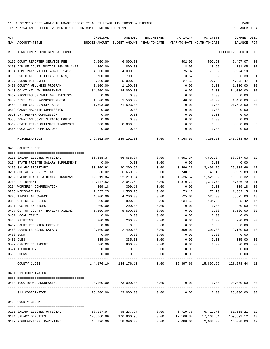| ACT | NUM ACCOUNT-TITLE                     | ORIGINAL   | AMENDED<br>BUDGET-AMOUNT BUDGET-AMOUNT YEAR-TO-DATE | ENCUMBERED          | ACTIVITY<br>YEAR-TO-DATE MONTH-TO-DATE | ACTIVITY                          | CURRENT USED<br>BALANCE | PCT    |
|-----|---------------------------------------|------------|-----------------------------------------------------|---------------------|----------------------------------------|-----------------------------------|-------------------------|--------|
|     |                                       |            |                                                     |                     |                                        |                                   |                         |        |
|     | REPORTING FUND: 0010 GENERAL FUND     |            |                                                     |                     |                                        |                                   | EFFECTIVE MONTH - 10    |        |
|     | 0162 COURT REPORTER SERVICE FEE       | 6,000.00   | 6,000.00                                            |                     | 502.93                                 | 502.93                            | 5,497.07                | 08     |
|     | 0163 ADM.OF COURT JUSTICE 10% SB 1417 | 800.00     | 800.00                                              |                     | 18.95                                  | 18.95                             | 781.05                  | 02     |
|     | 0164 TIME PAYMENT FEE 40% SB 1417     | 4,000.00   | 4,000.00                                            |                     | 75.82                                  | 75.82                             | 3,924.18                | 02     |
|     | 0166 JUDICIAL SUPP.FEE(60 CENTS)      | 700.00     | 700.00                                              |                     | 3.62                                   | 3.62                              | 696.38                  | 01     |
|     | 0167 JUROR REIMB.FEE                  | 5,000.00   | 5,000.00                                            |                     | 27.53                                  | 27.53                             | 4,972.47                | 01     |
|     | 0408 COUNTY WELLNESS PROGRAM          | 1,100.00   | 1,100.00                                            |                     | 0.00                                   | 0.00                              | 1,100.00                | 00     |
|     | 0410 CO CT AT LAW SUPPLEMENT          | 84,000.00  | 84,000.00                                           |                     | 0.00                                   | 0.00                              | 84,000.00               | 00     |
|     | 0432 PROCEEDS OF SALE OF LIVESTOCK    | 0.00       | 0.00                                                |                     | 0.00                                   | 0.00                              | 0.00                    |        |
|     | 0450 DIST. CLK. PASSPORT PHOTO        | 1,500.00   | 1,500.00                                            |                     | 40.00                                  | 40.00                             | 1,460.00                | 03     |
|     | 0453 REIMB.CEC ODYSSEY SAAS           | 21,593.00  | 21,593.00                                           |                     | 0.00                                   | 0.00                              | 21,593.00               | 00     |
|     | 0509 CANDY MACHINE COMMISSION         | 0.00       | 0.00                                                |                     | 0.00                                   | 0.00                              | 0.00                    |        |
|     | 0510 DR. PEPPER COMMISSION            | 0.00       | 0.00                                                |                     | 0.00                                   | 0.00                              | 0.00                    |        |
|     | 0553 DONATION CONST.3 RADIO EOUIP.    | 0.00       | 0.00                                                |                     | 0.00                                   | 0.00                              | 0.00                    |        |
|     | 0562 STATE REIMB.OFFENDER TRANSPORT   | 8,000.00   | 8,000.00                                            |                     | 0.00                                   | 0.00                              | 8,000.00                | 00     |
|     | 0565 COCA-COLA COMMISSIONS            | 0.00       | 0.00                                                |                     | 0.00                                   | 0.00                              | 0.00                    |        |
|     | MISCELLANEOUS                         |            |                                                     |                     |                                        |                                   |                         |        |
|     | 0400 COUNTY JUDGE                     |            |                                                     |                     |                                        |                                   |                         |        |
|     | 0101 SALARY ELECTED OFFICIAL          | 66,658.37  | 66,658.37                                           | 0.00                | 7,691.34                               | 7,691.34                          | 58,967.03 12            |        |
|     | 0104 STATE PROBATE SALARY SUPPLEMENT  | 0.00       | 0.00                                                | 0.00                | 0.00                                   | 0.00                              | 0.00                    |        |
|     | 0105 SALARY SECRETARY                 | 30,300.92  | 30,300.92                                           | 0.00                | 3,496.26                               | 3,496.26                          | 26,804.66               | 12     |
|     | 0201 SOCIAL SECURITY TAXES            | 6,650.02   | 6,650.02                                            | 0.00                | 740.13                                 | 740.13                            | 5,909.89                | 11     |
|     | 0202 GROUP HEALTH & DENTAL INSURANCE  | 12,219.84  | 12,219.84                                           | 0.00                | 1,526.52                               | 1,526.52                          | 10,693.32               | 12     |
|     | 0203 RETIREMENT                       | 12,047.52  | 12,047.52                                           | 0.00                | 1,310.73                               | 1,310.73                          | 10,736.79               | 11     |
|     | 0204 WORKERS' COMPENSATION            | 309.18     | 309.18                                              | 0.00                | 0.00                                   | 0.00                              | 309.18                  | 00     |
|     | 0205 MEDICARE TAX                     | 1,555.25   | 1,555.25                                            | 0.00                | 173.10                                 | 173.10                            | 1,382.15                | 11     |
|     | 0225 TRAVEL ALLOWANCE                 | 4,200.00   | 4,200.00                                            | 0.00                | 525.00                                 | 525.00                            | 3,675.00                | 13     |
|     | 0310 OFFICE SUPPLIES                  | 800.00     | 800.00                                              | 0.00                | 134.58                                 | 134.58                            | 665.42                  | 17     |
|     | 0311 POSTAL EXPENSES                  | 200.00     | 200.00                                              | 0.00                | 0.00                                   | 0.00                              | 200.00                  | 00     |
|     | 0427 OUT OF COUNTY TRAVEL/TRAINING    | 5,500.00   | 5,500.00                                            | 0.00                | 0.00                                   | 0.00                              | 5,500.00                | 00     |
|     | 0431 LOCAL TRAVEL                     | 0.00       | 0.00                                                | 0.00                | 0.00                                   | 0.00                              | 0.00                    |        |
|     | 0435 PRINTING                         | 200.00     | 200.00                                              | 0.00                | 0.00                                   | 0.00                              | 200.00                  | 00     |
|     | 0437 COURT REPORTER EXPENSE           | 0.00       | 0.00                                                | 0.00                | 0.00                                   | 0.00                              | 0.00                    |        |
|     | 0468 JUVENILE BOARD SALARY            | 2,400.00   | 2,400.00                                            | 0.00                | 300.00                                 | 300.00                            | 2,100.00                |        |
|     | 0480 BOND                             | 0.00       | 0.00                                                | 0.00                | 0.00                                   | 0.00                              | 0.00                    |        |
|     | 0481 DUES                             | 335.00     | 335.00                                              | 0.00                | 0.00                                   | 0.00                              | 335.00                  | $00\,$ |
|     | 0572 OFFICE EQUIPMENT                 | 800.00     | 800.00                                              | 0.00                | 0.00                                   | 0.00                              | 800.00                  | 00     |
|     | 0574 TECHNOLOGY                       | 0.00       | 0.00                                                | 0.00                | 0.00                                   | 0.00                              | 0.00                    |        |
|     | 0590 BOOKS                            | 0.00       | 0.00                                                | 0.00                | 0.00                                   | 0.00                              | 0.00                    |        |
|     | COUNTY JUDGE                          |            | 144, 176. 10 144, 176. 10                           | 0.00                |                                        | 15,897.66 15,897.66 128,278.44 11 |                         |        |
|     | 0401 911 COORDINATOR                  |            |                                                     |                     |                                        |                                   |                         |        |
|     | 0403 TCOG RURAL ADDRESSING            | 23,000.00  | 23,000.00                                           | 0.00                | 0.00                                   | 0.00                              | 23,000.00 00            |        |
|     | 911 COORDINATOR                       | 23,000.00  | .<br>23,000.00                                      | -----------<br>0.00 | -----------<br>0.00                    | 0.00                              | 23,000.00 00            |        |
|     |                                       |            |                                                     |                     |                                        |                                   |                         |        |
|     | 0403 COUNTY CLERK                     |            |                                                     |                     |                                        |                                   |                         |        |
|     | 0101 SALARY ELECTED OFFICIAL          | 58,237.97  | 58,237.97                                           | 0.00                | 6,719.76                               | 6,719.76                          | 51,518.21 12            |        |
|     | 0104 SALARY DEPUTIES                  | 176,860.96 | 176,860.96                                          | 0.00                | 17,168.84                              | 17,168.84                         | 159,692.12              | 10     |
|     | 0107 REGULAR-TEMP. PART-TIME          | 18,096.00  | 18,096.00                                           | 0.00                | 2,088.00                               |                                   | 2,088.00 16,008.00 12   |        |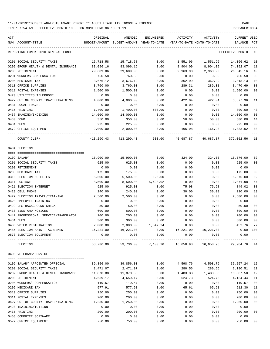TIME:07:54 AM - EFFECTIVE MONTH:10 - FOR MONTH ENDING 10-31-19 PREPARER:0004

| ACT |                                      | ORIGINAL   | AMENDED                                  | ENCUMBERED                   | ACTIVITY                   | ACTIVITY              | CURRENT USED         |                |
|-----|--------------------------------------|------------|------------------------------------------|------------------------------|----------------------------|-----------------------|----------------------|----------------|
|     | NUM ACCOUNT-TITLE                    |            | BUDGET-AMOUNT BUDGET-AMOUNT YEAR-TO-DATE |                              | YEAR-TO-DATE MONTH-TO-DATE |                       | BALANCE              | PCT            |
|     | REPORTING FUND: 0010 GENERAL FUND    |            |                                          |                              |                            |                       | EFFECTIVE MONTH - 10 |                |
|     | 0201 SOCIAL SECURITY TAXES           | 15,718.58  | 15,718.58                                | 0.00                         | 1,551.96                   | 1,551.96              | 14,166.62            | 10             |
|     | 0202 GROUP HEALTH & DENTAL INSURANCE | 83,096.16  | 83,096.16                                | 0.00                         | 8,904.09                   | 8,904.09              | 74,192.07            | 11             |
|     | 0203 RETIREMENT                      | 29,609.06  | 29,609.06                                | 0.00                         | 2,963.90                   | 2,963.90              | 26,645.16            | 10             |
|     | 0204 WORKERS COMPENSATION            | 760.58     | 760.58                                   | 0.00                         | 0.00                       | 0.00                  | 760.58               | 00             |
|     | 0205 MEDICARE TAX                    | 3,676.12   | 3,676.12                                 | 0.00                         | 362.99                     | 362.99                | 3, 313. 13           | 10             |
|     | 0310 OFFICE SUPPLIES                 | 3,760.00   | 3,760.00                                 | 0.00                         | 289.31                     | 289.31                | 3,470.69             | 08             |
|     | 0311 POSTAL EXPENSES                 | 1,500.00   | 1,500.00                                 | 0.00                         | 0.00                       | 0.00                  | 1,500.00             | 0 <sub>0</sub> |
|     | 0420 UTILITIES TELEPHONE             | 0.00       | 0.00                                     | 0.00                         | 0.00                       | 0.00                  | 0.00                 |                |
|     | 0427 OUT OF COUNTY TRAVEL/TRAINING   | 4,000.00   | 4,000.00                                 | 0.00                         | 422.04                     | 422.04                | 3,577.96             | 11             |
|     | 0431 LOCAL TRAVEL                    | 0.00       | 0.00                                     | 0.00                         | 0.00                       | 0.00                  | 0.00                 |                |
|     | 0435 PRINTING                        | 1,400.00   | 1,400.00                                 | 600.00                       | 0.00                       | 0.00                  | 800.00               | 43             |
|     | 0437 IMAGING/INDEXING                | 14,000.00  | 14,000.00                                | 0.00                         | 0.00                       | 0.00                  | 14,000.00            | 0 <sub>0</sub> |
|     | 0480 BOND                            | 350.00     | 350.00                                   | 0.00                         | 50.00                      | 50.00                 | 300.00               | 14             |
|     | 0481 DUES                            | 225.00     | 225.00                                   | 0.00                         | 0.00                       | 0.00                  | 225.00               | 0 <sub>0</sub> |
|     | 0572 OFFICE EQUIPMENT                | 2,000.00   | 2,000.00                                 | 0.00                         | 166.98                     | 166.98                | 1,833.02             | 08             |
|     | COUNTY CLERK                         | 413,290.43 | 413,290.43                               | 600.00                       | 40,687.87                  | 40,687.87             | 372,002.56           | 10             |
|     | 0404 ELECTION                        |            |                                          |                              |                            |                       |                      |                |
|     |                                      |            |                                          |                              |                            |                       |                      |                |
|     | 0109 SALARY                          | 15,900.00  | 15,900.00                                | 0.00                         | 324.00                     | 324.00                | 15,576.00            | 02             |
|     | 0201 SOCIAL SECURITY TAXES           | 625.00     | 625.00                                   | 0.00                         | 0.00                       | 0.00                  | 625.00               | 00             |
|     | 0203 RETIREMENT                      | 0.00       | 0.00                                     | 0.00                         | 0.00                       | 0.00                  | 0.00                 |                |
|     | 0205 MEDICARE TAX                    | 175.00     | 175.00                                   | 0.00                         | 0.00                       | 0.00                  | 175.00               | 00             |
|     | 0310 ELECTION SUPPLIES               | 5,500.00   | 5,500.00                                 | 125.00                       | 0.00                       | 0.00                  | 5,375.00             | 02             |
|     | 0311 POSTAGE                         | 8,500.00   | 8,500.00                                 | 5,428.02                     | 0.00                       | 0.00                  | 3,071.98             | 64             |
|     | 0421 ELECTION INTERNET               | 925.00     | 925.00                                   | 0.00                         | 75.98                      | 75.98                 | 849.02               | 08             |
|     | 0423 CELL PHONE                      | 240.00     | 240.00                                   | 0.00                         | 30.00                      | 30.00                 | 210.00               | 13             |
|     | 0427 ELECTION TRAVEL/TRAINING        | 2,500.00   | 2,500.00                                 | 0.00                         | 0.00                       | 0.00                  | 2,500.00             | 0 <sup>0</sup> |
|     | 0428 EMPLOYEE TRAINING               | 0.00       | 0.00                                     | 0.00                         | 0.00                       | 0.00                  | 0.00                 |                |
|     | 0429 DPS BACKGROUND CHECK            | 50.00      | 50.00                                    | 0.00                         | 0.00                       | 0.00                  | 50.00                | 00             |
|     | 0430 BIDS AND NOTICES                | 600.00     | 600.00                                   | 0.00                         | 0.00                       | 0.00                  | 600.00               | 00             |
|     | 0442 PROFESSIONAL SERVICE/TRANSLATOR | 200.00     | 200.00                                   | 0.00                         | 0.00                       | 0.00                  | 200.00               | 0 <sub>0</sub> |
|     | 0481 DUES                            | 300.00     | 300.00                                   | 0.00                         | 0.00                       | 0.00                  | 300.00               | 00             |
|     | 0483 VOTER REGISTRATION              | 2,000.00   | 2,000.00                                 | 1,547.24                     | 0.00                       | 0.00                  | 452.76               | 77             |
|     | 0485 ELECTION MAINT. AGREEMENT       | 16,221.00  | 16,221.00                                | 0.00                         |                            | 16,221.00   16,221.00 | 0.00 100             |                |
|     | 0573 ELECTION EQUIPMENT              | 0.00       | 0.00<br>_____________                    | 0.00<br>____________         | 0.00                       | 0.00                  | 0.00                 |                |
|     | ELECTION                             | 53,736.00  |                                          | 53,736.00 7,100.26 16,650.98 |                            | 16,650.98             | 29,984.76 44         |                |
|     | 0405 VETERANS'SERVICE                |            |                                          |                              |                            |                       |                      |                |
|     | 0102 SALARY APPOINTED OFFICIAL       | 39,856.00  | 39,856.00                                | 0.00                         | 4,598.76                   | 4,598.76              | 35,257.24            | 12             |
|     | 0201 SOCIAL SECURITY TAXES           | 2,471.07   | 2,471.07                                 | 0.00                         | 280.56                     | 280.56                | 2,190.51             | 11             |
|     | 0202 GROUP HEALTH & DENTAL INSURANCE | 11,870.88  | 11,870.88                                | 0.00                         | 1,483.38                   | 1,483.38              | 10,387.50            | 12             |
|     | 0203 RETIREMENT                      | 4,659.17   | 4,659.17                                 | 0.00                         | 524.73                     | 524.73                | 4,134.44             | 11             |
|     | 0204 WORKERS' COMPENSATION           | 119.57     | 119.57                                   | 0.00                         | 0.00                       | 0.00                  | 119.57               | 00             |
|     | 0205 MEDICARE TAX                    | 577.91     | 577.91                                   | 0.00                         | 65.61                      | 65.61                 | 512.30               | 11             |
|     | 0310 OFFICE SUPPLIES                 | 250.00     | 250.00                                   | 0.00                         | 0.00                       | 0.00                  | 250.00               | 00             |
|     | 0311 POSTAL EXPENSES                 | 200.00     | 200.00                                   | 0.00                         | 0.00                       | 0.00                  | 200.00               | 00             |
|     | 0427 OUT OF COUNTY TRAVEL/TRAINING   | 1,250.00   | 1,250.00                                 | 0.00                         | 0.00                       | 0.00                  | 1,250.00             | 00             |
|     | 0428 TRAINING/TUITION                | 0.00       | 0.00                                     | 0.00                         | 0.00                       | 0.00                  | 0.00                 |                |
|     | 0435 PRINTING                        | 200.00     | 200.00                                   | 0.00                         | 0.00                       | 0.00                  | 200.00               | 00             |
|     | 0453 COMPUTER SOFTWARE               | 0.00       | 0.00                                     | 0.00                         | 0.00                       | 0.00                  | 0.00                 |                |

0572 OFFICE EQUIPMENT 750.00 750.00 0.00 0.00 0.00 750.00 00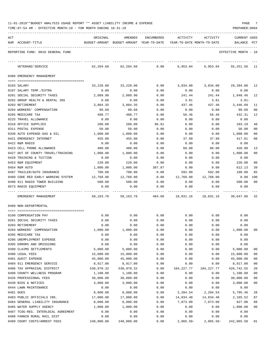|  | 11-01-2019**BUDGET ANALYSIS USAGE REPORT ** ASSET LIABILITY INCOME & EXPENSE | PAGE |
|--|------------------------------------------------------------------------------|------|
|  |                                                                              |      |

| ACT | NUM ACCOUNT-TITLE                                            | ORIGINAL         | AMENDED<br>BUDGET-AMOUNT BUDGET-AMOUNT YEAR-TO-DATE | ENCUMBERED   | ACTIVITY<br>YEAR-TO-DATE MONTH-TO-DATE | ACTIVITY       | <b>CURRENT USED</b><br><b>BALANCE</b> | PCT    |
|-----|--------------------------------------------------------------|------------------|-----------------------------------------------------|--------------|----------------------------------------|----------------|---------------------------------------|--------|
|     | REPORTING FUND: 0010 GENERAL FUND                            |                  |                                                     |              |                                        |                | EFFECTIVE MONTH - 10                  |        |
|     | VETERANS ' SERVICE                                           | 62,204.60        | 62,204.60                                           | 0.00         | 6,953.04                               | 6,953.04       | 55,251.56                             | - 11   |
|     | 0406 EMERGENCY MANAGEMENT                                    |                  |                                                     |              |                                        |                |                                       |        |
|     |                                                              |                  |                                                     |              |                                        |                |                                       |        |
|     | 0103 SALARY                                                  | 33,228.00        | 33,228.00                                           | 0.00         | 3,834.00                               | 3,834.00       | 29,394.00 12                          |        |
|     | 0107 SALARY TEMP./EXTRA                                      | 0.00             | 0.00                                                | 0.00         | 0.00                                   | 0.00           | 0.00                                  |        |
|     | 0201 SOCIAL SECURITY TAXES<br>0202 GROUP HEALTH & DENTAL INS | 2,089.90<br>0.00 | 2,089.90<br>0.00                                    | 0.00<br>0.00 | 241.44<br>3.81                         | 241.44<br>3.81 | 1,848.46<br>$3.81-$                   | 12     |
|     | 0203 RETIREMENT                                              | 3,884.35         | 3,884.35                                            | 0.00         | 437.46                                 | 437.46         | 3,446.89                              | 11     |
|     | 0204 WORKERS' COMPENSATION                                   | 99.68            | 99.68                                               | 0.00         | 0.00                                   | 0.00           | 99.68                                 | 00     |
|     | 0205 MEDICARE TAX                                            | 488.77           | 488.77                                              | 0.00         | 56.46                                  | 56.46          | 432.31                                | 12     |
|     | 0225 TRAVEL ALLOWANCE                                        | 0.00             | 0.00                                                | 0.00         | 0.00                                   | 0.00           | 0.00                                  |        |
|     | 0310 OFFICE SUPPLIES                                         | 200.00           | 200.00                                              | 96.81        | 0.00                                   | 0.00           | 103.19                                | 48     |
|     | 0311 POSTAL EXPENSE                                          | 50.00            | 50.00                                               | 0.00         | 0.00                                   | 0.00           | 50.00                                 | 00     |
|     | 0330 AUTO EXPENSE-GAS & OIL                                  | 1,000.00         | 1,000.00                                            | 0.00         | 0.00                                   | 0.00           | 1,000.00                              | 00     |
|     | 0421 EMERGENCY INTERNET                                      | 455.00           | 455.00                                              | 0.00         | 37.99                                  | 37.99          | 417.01                                | 08     |
|     | 0422 R&M RADIO                                               | 0.00             | 0.00                                                | 0.00         | 0.00                                   | 0.00           | 0.00                                  |        |
|     | 0423 CELL PHONE ALLOWANCE                                    | 480.00           | 480.00                                              | 0.00         | 60.00                                  | 60.00          | 420.00                                | 13     |
|     | 0427 OUT OF COUNTY TRAVEL/TRAINING                           | 1,000.00         | 1,000.00                                            | 0.00         | 0.00                                   | 0.00           | 1,000.00                              | 00     |
|     | 0428 TRAINING & TUITION                                      | 0.00             | 0.00                                                | 0.00         | 0.00                                   | 0.00           | 0.00                                  |        |
|     | 0453 R&M EQUIPMENT                                           | 220.00           | 220.00                                              | 0.00         | 0.00                                   | 0.00           | 220.00                                | 00     |
|     | 0454 R&M AUTO                                                | 1,000.00         | 1,000.00                                            | 387.87       | 0.00                                   | 0.00           | 612.13                                | 39     |
|     | 0487 TRAILER/AUTO INSURANCE                                  | 700.00           | 700.00                                              | 0.00         | 592.00                                 | 592.00         | 108.00                                | 85     |
|     | 0489 CODE RED EARLY WARNING SYSTEM                           | 12,768.00        | 12,768.00                                           | 0.00         | 12,768.00                              | 12,768.00      | 0.00                                  | 100    |
|     | 0490 911 RADIO TOWER BUILDING                                | 500.00           | 500.00                                              | 0.00         | 0.00                                   | 0.00           | 500.00                                | 00     |
|     | 0573 RADIO EQUIPMENT                                         | 0.00             | 0.00                                                | 0.00         | 0.00                                   | 0.00           | 0.00                                  |        |
|     | EMERGENCY MANAGEMENT                                         | 58,163.70        | 58,163.70                                           | 484.68       | 18,031.16                              | 18,031.16      | 39,647.86 32                          |        |
|     | 0409 NON-DEPARTMENTAL                                        |                  |                                                     |              |                                        |                |                                       |        |
|     |                                                              |                  |                                                     |              |                                        |                |                                       |        |
|     | 0100 COMPENSATION PAY                                        | 0.00             | 0.00                                                | 0.00         | 0.00                                   | 0.00           | 0.00                                  |        |
|     | 0201 SOCIAL SECURITY TAXES                                   | 0.00             | 0.00                                                | 0.00         | 0.00                                   | 0.00           | 0.00                                  |        |
|     | 0203 RETIREMENT                                              | 0.00<br>1,000.00 | 0.00                                                | 0.00         | 0.00                                   | 0.00           | 0.00                                  | 00     |
|     | 0204 WORKERS' COMPENSATION<br>0205 MEDICARE TAX              |                  | 1,000.00                                            | 0.00<br>0.00 | 0.00<br>0.00                           | 0.00<br>0.00   | 1,000.00<br>0.00                      |        |
|     | 0206 UNEMPLOYMENT EXPENSE                                    | 0.00<br>0.00     | 0.00<br>0.00                                        | 0.00         | 0.00                                   | 0.00           | 0.00                                  |        |
|     | 0395 ERRORS AND OMISSIONS                                    | 0.00             | 0.00                                                | 0.00         | 0.00                                   | 0.00           | 0.00                                  |        |
|     | 0399 CLAIMS SETTLEMENTS                                      | 5,000.00         | 5,000.00                                            | 0.00         | 0.00                                   | 0.00           | 5,000.00                              | 00     |
|     | 0400 LEGAL FEES                                              | 15,000.00        | 15,000.00                                           | 0.00         | 0.00                                   | 0.00           | 15,000.00                             | 00     |
|     | 0401 AUDIT EXPENSE                                           | 45,000.00        | 45,000.00                                           | 0.00         | 0.00                                   | 0.00           | 45,000.00                             | 00     |
|     | 0404 911 EMERGENCY SERVICE                                   | 8,917.00         | 8,917.00                                            | 0.00         | 0.00                                   | 0.00           | 8,917.00                              | $00\,$ |
|     | 0406 TAX APPRAISAL DISTRICT                                  | 530,970.32       | 530,970.32                                          | 0.00         | 104,227.77                             | 104,227.77     | 426,742.55                            | 20     |
|     | 0408 COUNTY WELLNESS PROGRAM                                 | 1,100.00         | 1,100.00                                            | 0.00         | 0.00                                   | 0.00           | 1,100.00                              | 00     |
|     | 0426 PROFESSIONAL FEES                                       | 30,000.00        | 30,000.00                                           | 0.00         | 0.00                                   | 0.00           | 30,000.00                             | $00\,$ |
|     | 0430 BIDS & NOTICES                                          | 3,000.00         | 3,000.00                                            | 0.00         | 0.00                                   | 0.00           | 3,000.00                              | 00     |
|     | 0444 LAWN MAINTENANCE                                        | 0.00             | 0.00                                                | 0.00         | 0.00                                   | 0.00           | 0.00                                  |        |
|     | 0481 DUES                                                    | 8,000.00         | 8,000.00                                            | 0.00         | 2,204.54                               | 2,204.54       | 5,795.46                              | 28     |
|     | 0483 PUBLIC OFFICIALS INS.                                   | 17,000.00        | 17,000.00                                           | 0.00         | 14,834.48                              | 14,834.48      | 2,165.52                              | 87     |
|     | 0484 GENERAL LIABILITY INSURANCE                             | 8,000.00         | 8,000.00                                            | 0.00         | 7,073.00                               | 7,073.00       | 927.00                                | 88     |
|     | 0485 WATER SUPPLY AGENCY                                     | 1,000.00         | 1,000.00                                            | 0.00         | 0.00                                   | 0.00           | 1,000.00                              | 00     |
|     | 0487 TCOG-REG. INTERLOCAL AGREEMENT                          | 0.00             | 0.00                                                | 0.00         | 0.00                                   | 0.00           | 0.00                                  |        |
|     | 0488 FANNIN RURAL RAIL DIST                                  | 0.00             | 0.00                                                | 0.00         | 0.00                                   | 0.00           | 0.00                                  |        |
|     | 0489 COURT COSTS/ARREST FEES                                 | 240,000.00       | 240,000.00                                          | 0.00         | $2,065.50 -$                           | $2,065.50-$    | 242,065.50                            | 01     |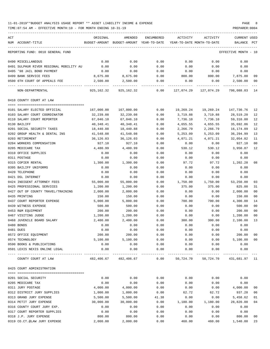| ACT                            |                                         | ORIGINAL                   | AMENDED                                  | <b>ENCUMBERED</b> | ACTIVITY                   | ACTIVITY                         | <b>CURRENT USED</b>  |                |
|--------------------------------|-----------------------------------------|----------------------------|------------------------------------------|-------------------|----------------------------|----------------------------------|----------------------|----------------|
| NUM ACCOUNT-TITLE              |                                         |                            | BUDGET-AMOUNT BUDGET-AMOUNT YEAR-TO-DATE |                   | YEAR-TO-DATE MONTH-TO-DATE |                                  | BALANCE              | PCT            |
|                                |                                         |                            |                                          |                   |                            |                                  |                      |                |
|                                | REPORTING FUND: 0010 GENERAL FUND       |                            |                                          |                   |                            |                                  | EFFECTIVE MONTH - 10 |                |
| 0490 MISCELLANEOUS             |                                         | 0.00                       | 0.00                                     | 0.00              | 0.00                       | 0.00                             | 0.00                 |                |
|                                | 0491 SULPHUR RIVER REGIONAL MOBILITY AU | 0.00                       | 0.00                                     | 0.00              | 0.00                       | 0.00                             | 0.00                 |                |
| 0495 '98 JAIL BOND PAYMENT     |                                         | 0.00                       | 0.00                                     | 0.00              | 0.00                       | 0.00                             | 0.00                 |                |
| 0499 BANK SERVICE FEES         |                                         | 8,675.00                   | 8,675.00                                 | 0.00              | 800.00                     | 800.00                           | 7,875.00             | 09             |
| 0500 6TH COURT OF APPEALS FEE  |                                         | 2,500.00                   | 2,500.00                                 | 0.00              | 0.00                       | 0.00                             | 2,500.00             | 00             |
| NON-DEPARTMENTAL               |                                         |                            | 925, 162.32 925, 162.32                  | ------------      |                            | $0.00$ $127,074.29$ $127,074.29$ | 798,088.03 14        |                |
| 0410 COUNTY COURT AT LAW       |                                         |                            |                                          |                   |                            |                                  |                      |                |
|                                |                                         |                            |                                          |                   |                            |                                  |                      |                |
| 0101 SALARY ELECTED OFFICIAL   |                                         | 167,000.00                 | 167,000.00                               | 0.00              | 19,269.24                  | 19,269.24                        | 147,730.76           | 12             |
| 0103 SALARY COURT COORDINATOR  |                                         | 32,239.08                  | 32,239.08                                | 0.00              | 3,719.88                   | 3,719.88                         | 28,519.20            | 12             |
| 0110 SALARY COURT REPORTER     |                                         | 67,046.10                  | 67,046.10                                | 0.00              | 7,736.10                   | 7,736.10                         | 59,310.00            | 12             |
| 0130 BAILIFF                   |                                         | 40,348.41                  | 40,348.41                                | 0.00              | 4,655.55                   | 4,655.55                         | 35,692.86            | 12             |
| 0201 SOCIAL SECURITY TAXES     |                                         | 18,440.88                  | 18,440.88                                | 0.00              | 2,266.79                   | 2,266.79                         | 16,174.09            | 12             |
| 0202 GROUP HEALTH & DENTAL INS |                                         | 41,548.08                  | 41,548.08                                | 0.00              | 5,253.09                   | 5,253.09                         | 36,294.99            | 13             |
| 0203 RETIREMENT                |                                         | 36,126.03                  | 36,126.03                                | 0.00              | 4,071.21                   | 4,071.21                         | 32,054.82            | 11             |
| 0204 WORKERS COMPENSATION      |                                         | 927.10                     | 927.10                                   | 0.00              | 0.00                       | 0.00                             | 927.10               | 00             |
| 0205 MEDICARE TAX              |                                         | 4,480.99                   | 4,480.99                                 | 0.00              | 530.12                     | 530.12                           | 3,950.87             | 12             |
| 0310 OFFICE SUPPLIES           |                                         | 0.00                       | 0.00                                     | 0.00              | 0.00                       | 0.00                             | 0.00                 |                |
| 0311 POSTAGE                   |                                         | 0.00                       | 0.00                                     | 0.00              | 0.00                       | 0.00                             | 0.00                 |                |
| 0315 COPIER RENTAL             |                                         | 1,300.00                   | 1,300.00                                 | 0.00              | 97.72                      | 97.72                            | 1,202.28             | 08             |
| 0395 BAILIFF UNIFORMS          |                                         | 0.00                       | 0.00                                     | 0.00              | 0.00                       | 0.00                             | 0.00                 |                |
| 0420 TELEPHONE                 |                                         | 0.00                       | 0.00                                     | 0.00              | 0.00                       | 0.00                             | 0.00                 |                |
| 0421 DSL INTERNET              |                                         | 0.00                       | 0.00                                     | 0.00              | 0.00                       | 0.00                             | 0.00                 |                |
| 0424 INDIGENT ATTORNEY FEES    |                                         | 55,000.00                  | 55,000.00                                | 0.00              | 1,750.00                   | 1,750.00                         | 53,250.00            | 03             |
| 0425 PROFESSIONAL SERVICES     |                                         | 1,200.00                   | 1,200.00                                 | 0.00              | 375.00                     | 375.00                           | 825.00               | 31             |
|                                | 0427 OUT OF COUNTY TRAVEL/TRAINING      | 2,000.00                   | 2,000.00                                 | 0.00              | 0.00                       | 0.00                             | 2,000.00             | 00             |
| 0435 PRINTING                  |                                         | 150.00                     | 150.00                                   | 0.00              | 0.00                       | 0.00                             | 150.00               | 00             |
| 0437 COURT REPORTER EXPENSE    |                                         | 5,000.00                   | 5,000.00                                 | 0.00              | 700.00                     | 700.00                           | 4,300.00             | 14             |
| 0439 WITNESS EXPENSE           |                                         | 500.00                     | 500.00                                   | 0.00              | 0.00                       | 0.00                             | 500.00               | 00             |
| 0453 R&M EQUIPMENT             |                                         | 200.00                     | 200.00                                   | 0.00              | 0.00                       | 0.00                             | 200.00               | 0 <sub>0</sub> |
| 0467 VISITING JUDGE            |                                         | 1,200.00                   | 1,200.00                                 | 0.00              | 0.00                       | 0.00                             | 1,200.00             | 00             |
| 0468 JUVENILE BOARD SALARY     |                                         | 2,400.00                   | 2,400.00                                 | 0.00              | 300.00                     | 300.00                           | 2,100.00             | 13             |
| 0480 BONDS                     |                                         | 0.00                       | 0.00                                     | 0.00              | 0.00                       | 0.00                             | 0.00                 |                |
| 0481 DUES                      |                                         | 0.00                       | 0.00                                     | 0.00              | 0.00                       | 0.00                             | 0.00                 |                |
| 0572 OFFICE EQUIPMENT          |                                         | 200.00                     | 200.00                                   | 0.00              | 0.00                       | 0.00                             | 200.00               | 00             |
| 0574 TECHNOLOGY                |                                         | 5,100.00                   | 5,100.00                                 | 0.00              | 0.00                       | 0.00                             | 5,100.00             | 00             |
| 0590 BOOKS & PUBLICATIONS      |                                         | 0.00                       | 0.00                                     | 0.00              | 0.00                       | 0.00                             | 0.00                 |                |
| 0591 LEXIS NEXIS ONLINE LEGAL  |                                         | 0.00                       | 0.00                                     | 0.00              | 0.00                       | 0.00                             | 0.00                 |                |
| COUNTY COURT AT LAW            |                                         | ------------<br>482,406.67 | 482,406.67                               | $- - - -$<br>0.00 | 50,724.70                  | 50,724.70                        | 431,681.97 11        |                |
| 0425 COURT ADMINISTRATION      |                                         |                            |                                          |                   |                            |                                  |                      |                |
|                                |                                         |                            |                                          |                   |                            |                                  |                      |                |
| 0201 SOCIAL SECURITY           |                                         | 0.00                       | 0.00                                     | 0.00              | 0.00                       | 0.00                             | 0.00                 |                |
| 0205 MEDICARE TAX              |                                         | 0.00                       | 0.00                                     | 0.00              | 0.00                       | 0.00                             | 0.00                 |                |
| 0311 JURY POSTAGE              |                                         | 4,000.00                   | 4,000.00                                 | 0.00              | 0.00                       | 0.00                             | 4,000.00             | 00             |
| 0312 DISTRICT JURY SUPPLIES    |                                         | 1,000.00                   | 1,000.00                                 | 0.00              | 62.72                      | 62.72                            | 937.28               | 06             |
| 0313 GRAND JURY EXPENSE        |                                         | 5,500.00                   | 5,500.00                                 | 41.38             | 0.00                       | 0.00                             | 5,458.62             | 01             |
| 0314 PETIT JURY EXPENSE        |                                         | 30,000.00                  | 30,000.00                                | 0.00              | 1,180.00                   | 1,180.00                         | 28,820.00            | 04             |
| 0316 COUNTY COURT JURY EXP.    |                                         | 0.00                       | 0.00                                     | 0.00              | 0.00                       | 0.00                             | 0.00                 |                |
| 0317 COURT REPORTER SUPPLIES   |                                         | 0.00                       | 0.00                                     | 0.00              | 0.00                       | 0.00                             | 0.00                 |                |
| 0318 J.P. JURY EXPENSE         |                                         | 800.00                     | 800.00                                   | 0.00              | 0.00                       | 0.00                             | 800.00               | 00             |
| 0319 CO.CT.@LAW JURY EXPENSE   |                                         | 2,000.00                   | 2,000.00                                 | 0.00              | 460.00                     | 460.00                           | 1,540.00             | 23             |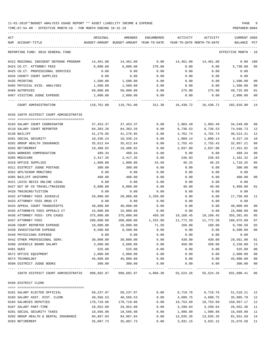| ACT<br>NUM ACCOUNT-TITLE                                | ORIGINAL   | AMENDED<br>BUDGET-AMOUNT BUDGET-AMOUNT YEAR-TO-DATE | ENCUMBERED        | ACTIVITY<br>YEAR-TO-DATE MONTH-TO-DATE | ACTIVITY  | CURRENT USED<br>BALANCE | PCT         |
|---------------------------------------------------------|------------|-----------------------------------------------------|-------------------|----------------------------------------|-----------|-------------------------|-------------|
| REPORTING FUND: 0010 GENERAL FUND                       |            |                                                     |                   |                                        |           | EFFECTIVE MONTH - 10    |             |
| 0422 REGIONAL INDIGENT DEFENSE PROGRAM                  | 14,461.00  | 14,461.00                                           | 0.00              | 14,461.00                              | 14,461.00 | 0.00 100                |             |
| 0424 CO.CT. ATTORNEY FEES                               | 6,000.00   | 6,000.00                                            | 270.00            | 0.00                                   | 0.00      | 5,730.00                | 05          |
| 0425 CO.CT. PROFESSIONAL SERVICES                       | 0.00       | 0.00                                                | 0.00              | 0.00                                   | 0.00      | 0.00                    |             |
| 0426 COUNTY COURT SUPPLIES                              | 0.00       | 0.00                                                | 0.00              | 0.00                                   | 0.00      | 0.00                    |             |
| 0435 PRINTING                                           | 1,500.00   | 1,500.00                                            | 0.00              | 0.00                                   | 0.00      | 1,500.00                | 00          |
| 0465 PHYSICAL EVID. ANALYSES                            | 1,500.00   | 1,500.00                                            | 0.00              | 0.00                                   | 0.00      | 1,500.00                | 00          |
| 0466 AUTOPSIES                                          | 50,000.00  | 50,000.00                                           | 0.00              | 275.00                                 | 275.00    | 49,725.00               | 01          |
| 0467 VISITING JUDGE EXPENSE                             | 2,000.00   | 2,000.00                                            | 0.00              | 0.00                                   | 0.00      | 2,000.00                | 00          |
| COURT ADMINISTRATION                                    | 118,761.00 |                                                     | 118,761.00 311.38 | 16,438.72                              | 16,438.72 | 102,010.90              | 14          |
| 0435 336TH DISTRICT COURT ADMINISTRATIO                 |            |                                                     |                   |                                        |           |                         |             |
| 0103 SALARY COURT COORDINATOR                           | 37,453.37  | 37,453.37                                           | 0.00              | 2,903.49                               | 2,903.49  | 34,549.88               | 08          |
| 0110 SALARY COURT REPORTER                              | 84,383.26  | 84,383.26                                           | 0.00              | 9,736.53                               | 9,736.53  | 74,646.73               | 12          |
| 0130 BAILIFF                                            | 41,276.95  | 41,276.95                                           | 0.00              | 4,762.74                               | 4,762.74  | 36,514.21               | 12          |
| 0201 SOCIAL SECURITY                                    | 10,336.24  | 10,336.24                                           | 0.00              | 1,009.14                               | 1,009.14  | 9,327.10                | 10          |
| 0202 GROUP HEALTH INSURANCE                             | 35,612.64  | 35,612.64                                           | 0.00              | 2,755.43                               | 2,755.43  | 32,857.21               | 08          |
| 0203 RETIREMENT                                         | 19,488.82  | 19,488.82                                           | 0.00              | 2,037.00                               | 2,037.00  | 17,451.82               | 10          |
| 0204 WORKERS COMPENSATION                               | 489.34     | 489.34                                              | 0.00              | 0.00                                   | 0.00      | 489.34                  | 00          |
| 0205 MEDICARE                                           | 2,417.35   | 2,417.35                                            | 0.00              | 236.03                                 | 236.03    | 2,181.32                | 10          |
| 0310 OFFICE SUPPLIES                                    | 1,800.00   | 1,800.00                                            | 43.50             | 46.25                                  | 46.25     | 1,710.25                | 05          |
| 0311 DISTRICT JUDGE POSTAGE                             | 300.00     | 300.00                                              | 0.00              | 0.00                                   | 0.00      | 300.00                  | 00          |
| 0352 GPS/SCRAM MONITORS                                 | 0.00       | 0.00                                                | 0.00              | 0.00                                   | 0.00      | 0.00                    |             |
| 0395 BAILIFF UNIFORMS                                   | 400.00     | 400.00                                              | 0.00              | 0.00                                   | 0.00      | 400.00                  | 00          |
| 0421 LEXIS NEXIS ONLINE LEGAL                           | 0.00       | 0.00                                                | 0.00              | 0.00                                   | 0.00      | 0.00                    |             |
| 0427 OUT OF CO TRAVEL/TRAINING                          | 6,000.00   | 6,000.00                                            | 0.00              | 40.00                                  | 40.00     | 5,960.00                | 01          |
| 0428 TRAINING/TUITION                                   | 0.00       | 0.00                                                | 0.00              | 0.00                                   | 0.00      | 0.00                    |             |
| 0432 ATTORNEY FEES JUVENILE                             | 20,000.00  | 20,000.00                                           | 2,250.00          | 0.00                                   | 0.00      | 17,750.00               | 11          |
| 0433 ATTORNEY FEES DRUG CT                              | 0.00       | 0.00                                                | 0.00              | 0.00                                   | 0.00      | 0.00                    |             |
| 0434 APPEAL COURT TRANSCRIPTS                           | 40,000.00  | 40,000.00                                           | 0.00              | 0.00                                   | 0.00      | 40,000.00               | 00          |
| 0435 ATTORNEYS FEES APPEALS CT                          | 15,000.00  | 15,000.00                                           | 0.00              | 0.00                                   | 0.00      | 15,000.00               | 00          |
| 0436 ATTORNEY FEES- CPS CASES                           | 375,000.00 | 375,000.00                                          | 450.50            | 19,168.45                              | 19,168.45 | 355,381.05              | 05          |
| 0437 ATTORNEY FEES                                      | 200,000.00 | 200,000.00                                          | 1,252.80          | 11,772.20                              | 11,772.20 | 186,975.00              | 07          |
| 0438 COURT REPORTER EXPENSE                             | 10,000.00  | 10,000.00                                           | 71.50             | 168.00                                 | 168.00    | 9,760.50                | 02          |
| 0439 INVESTIGATOR EXPENSE                               | 8,500.00   | 8,500.00                                            | 0.00              | 0.00                                   | 0.00      | 8,500.00                | 00          |
| 0440 PHYSICIANS EXPENSE                                 | 0.00       | 0.00                                                | 0.00              | 0.00                                   | 0.00      | 0.00                    |             |
| 0442 OTHER PROFESSIONAL SERV.                           | 30,000.00  | 30,000.00                                           | 0.00              | 439.00                                 | 439.00    | 29,561.00               | 01          |
| 0468 JUVENILE BOARD SALARY                              | 3,600.00   | 3,600.00                                            | 0.00              | 450.00                                 | 450.00    | 3,150.00                | 13          |
| 0481 DUES                                               | 525.00     | 525.00                                              | 0.00              | 0.00                                   | 0.00      | 525.00                  | 00          |
| 0572 OFFICE EQUIPMENT                                   | 2,000.00   | 2,000.00                                            | 0.00              | 0.00                                   | 0.00      | 2,000.00                | 00          |
| 0574 TECHNOLOGY                                         | 45,800.00  | 45,800.00                                           | 0.00              | 0.00                                   | 0.00      | 45,800.00               | 00          |
| 0590 DISTRICT JUDGE BOOKS                               | 300.00     | 300.00                                              | 0.00              | 0.00                                   | 0.00      | 300.00                  | 00          |
| 336TH DISTRICT COURT ADMINISTRATIO                      |            |                                                     |                   |                                        |           | 931,090.41              | $---$<br>06 |
| 0450 DISTRICT CLERK                                     |            |                                                     |                   |                                        |           |                         |             |
|                                                         |            |                                                     |                   |                                        |           |                         |             |
| 0101 SALARY ELECTED OFFICIAL                            | 58,237.97  | 58,237.97                                           | 0.00              | 6,719.76                               | 6,719.76  | 51,518.21               | 12          |
| 0103 SALARY ASST. DIST. CLERK                           | 40,566.53  | 40,566.53                                           | 0.00              | 4,680.75                               | 4,680.75  | 35,885.78               | 12          |
| 0104 SALARIES DEPUTIES                                  | 170,710.86 | 170,710.86                                          | 0.00              | 19,753.69                              | 19,753.69 | 150,957.17              | 12          |
| 0107 SALARY PART-TIME<br>0201 SOCIAL SECURITY TAXES     | 29,952.00  | 29,952.00                                           | 0.00              | 3,299.64                               | 3,299.64  | 26,652.36               | 11          |
|                                                         | 18,566.98  | 18,566.98                                           | 0.00              | 1,996.99                               | 1,996.99  | 16,569.99               | 11          |
| 0202 GROUP HEALTH & DENTAL INSURANCE<br>0203 RETIREMENT | 94,967.04  | 94,967.04                                           | 0.00<br>0.00      | 13,035.35<br>3,931.15                  | 13,035.35 | 81,931.69               | 14          |
|                                                         | 35,007.73  | 35,007.73                                           |                   |                                        | 3,931.15  | 31,076.58 11            |             |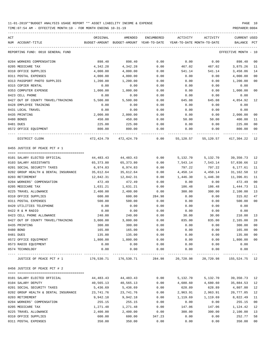| ACT |                                      | ORIGINAL                     | AMENDED                                  | ENCUMBERED | ACTIVITY | ACTIVITY                             | CURRENT USED         |                |
|-----|--------------------------------------|------------------------------|------------------------------------------|------------|----------|--------------------------------------|----------------------|----------------|
|     | NUM ACCOUNT-TITLE                    |                              | BUDGET-AMOUNT BUDGET-AMOUNT YEAR-TO-DATE |            |          | YEAR-TO-DATE MONTH-TO-DATE           | BALANCE              | PCT            |
|     | REPORTING FUND: 0010 GENERAL FUND    |                              |                                          |            |          |                                      | EFFECTIVE MONTH - 10 |                |
|     | 0204 WORKERS COMPENSATION            | 898.40                       | 898.40                                   | 0.00       | 0.00     | 0.00                                 | 898.40               | 00             |
|     | 0205 MEDICARE TAX                    | 4,342.28                     | 4,342.28                                 | 0.00       | 467.02   | 467.02                               | 3,875.26             | 11             |
|     | 0310 OFFICE SUPPLIES                 | 4,000.00                     | 4,000.00                                 | 0.00       | 541.14   | 541.14                               | 3,458.86             | 14             |
|     | 0311 POSTAL EXPENSES                 | 4,000.00                     | 4,000.00                                 | 0.00       | 0.00     | 0.00                                 | 4,000.00             | 00             |
|     | 0313 PASSPORT PHOTO SUPPLIES         | 1,200.00                     | 1,200.00                                 | 0.00       | 0.00     | 0.00                                 | 1,200.00             | 00             |
|     | 0315 COPIER RENTAL                   | 0.00                         | 0.00                                     | 0.00       | 0.00     | 0.00                                 | 0.00                 |                |
|     | 0353 COMPUTER EXPENSE                | 1,000.00                     | 1,000.00                                 | 0.00       | 0.00     | 0.00                                 | 1,000.00             | 00             |
|     | 0423 CELL PHONE                      | 0.00                         | 0.00                                     | 0.00       | 0.00     | 0.00                                 | 0.00                 |                |
|     | 0427 OUT OF COUNTY TRAVEL/TRAINING   | 5,500.00                     | 5,500.00                                 | 0.00       | 645.08   | 645.08                               | 4,854.92             | - 12           |
|     | 0428 EMPLOYEE TRAINING               | 0.00                         | 0.00                                     | 0.00       | 0.00     | 0.00                                 | 0.00                 |                |
|     | 0431 LOCAL TRAVEL                    | 0.00                         | 0.00                                     | 0.00       | 0.00     | 0.00                                 | 0.00                 |                |
|     | 0435 PRINTING                        | 2,000.00                     | 2,000.00                                 | 0.00       | 0.00     | 0.00                                 | 2,000.00             | 00             |
|     | 0480 BONDS                           | 450.00                       | 450.00                                   | 0.00       | 50.00    | 50.00                                | 400.00               | 11             |
|     | 0481 DUES                            | 225.00                       | 225.00                                   | 0.00       | 0.00     | 0.00                                 | 225.00               | 00             |
|     | 0572 OFFICE EQUIPMENT                | 800.00                       | 800.00                                   | 0.00       | 0.00     | 0.00                                 | 800.00               | 00             |
|     | DISTRICT CLERK                       |                              | 472,424.79 472,424.79                    | 0.00       |          | 55, 120.57 55, 120.57 417, 304.22 12 |                      |                |
|     | 0455 JUSTICE OF PEACE PCT # 1        |                              |                                          |            |          |                                      |                      |                |
|     | 0101 SALARY ELECTED OFFICIAL         | 44,483.43                    | 44,483.43                                | 0.00       | 5,132.70 | 5,132.70                             | 39,350.73            | 12             |
|     | 0103 SALARY ASSISTANTS               | 65,373.80                    | 65,373.80                                | 0.00       | 7,543.14 | 7,543.14                             | 57,830.66            | 12             |
|     | 0201 SOCIAL SECURITY TAXES           | 6,974.83                     | 6,974.83                                 | 0.00       | 797.22   | 797.22                               | 6,177.61             | 11             |
|     | 0202 GROUP HEALTH & DENTAL INSURANCE | 35,612.64                    | 35,612.64                                | 0.00       | 4,450.14 | 4,450.14                             | 31,162.50            | 12             |
|     | 0203 RETIREMENT                      | 12,842.31                    | 12,842.31                                | 0.00       | 1,446.30 | 1,446.30                             | 11,396.01            | 11             |
|     | 0204 WORKERS' COMPENSATION           | 472.49                       | 472.49                                   | 0.00       | 0.00     | 0.00                                 | 472.49               | 00             |
|     | 0205 MEDICARE TAX                    | 1,631.21                     | 1,631.21                                 | 0.00       | 186.48   | 186.48                               | 1,444.73             | 11             |
|     | 0225 TRAVEL ALLOWANCE                | 2,400.00                     | 2,400.00                                 | 0.00       | 300.00   | 300.00                               | 2,100.00             | 13             |
|     | 0310 OFFICE SUPPLIES                 | 600.00                       | 600.00                                   | 284.98     | 0.00     | 0.00                                 | 315.02               | 47             |
|     | 0311 POSTAL EXPENSES                 | 500.00                       | 500.00                                   | 0.00       | 0.00     | 0.00                                 | 500.00               | $00\,$         |
|     | 0420 UTILITIES TELEPHONE             | 0.00                         | 0.00                                     | 0.00       | 0.00     | 0.00                                 | 0.00                 |                |
|     | 0422 R & M RADIO                     | 0.00                         | 0.00                                     | 0.00       | 0.00     | 0.00                                 | 0.00                 |                |
|     | 0423 CELL PHONE ALLOWANCE            | 240.00                       | 240.00                                   | 0.00       | 30.00    | 30.00                                | 210.00 13            |                |
|     | 0427 OUT OF COUNTY TRAVEL/TRAINING   | 3,000.00                     | 3,000.00                                 | 0.00       | 835.00   | 835.00                               | 2,165.00             | 28             |
|     | 0435 PRINTING                        | 300.00                       | 300.00                                   | 0.00       | 0.00     | 0.00                                 | 300.00               | 0 <sup>0</sup> |
|     | 0480 BOND                            | 165.00                       | 165.00                                   | 0.00       | 0.00     | 0.00                                 | 165.00 00            |                |
|     | 0481 DUES                            | 135.00                       | 135.00                                   | 0.00       | 0.00     | 0.00                                 | 135.00               | 00             |
|     | 0572 OFFICE EQUIPMENT                | 1,800.00                     | 1,800.00                                 | 0.00       | 0.00     | 0.00                                 | 1,800.00             | 00             |
|     | 0573 RADIO EQUIPMENT                 | 0.00                         | 0.00                                     | 0.00       | 0.00     | 0.00                                 | 0.00                 |                |
|     | 0574 TECHNOLOGY                      | 0.00                         | 0.00                                     | 0.00       | 0.00     | 0.00                                 | 0.00                 |                |
|     | JUSTICE OF PEACE PCT # 1             | 176,530.71 176,530.71 284.98 | -------------                            |            |          | 20,720.98 20,720.98                  | 155,524.75 12        |                |
|     | 0456 JUSTICE OF PEACE PCT # 2        |                              |                                          |            |          |                                      |                      |                |
|     | 0101 SALARY ELECTED OFFICIAL         | 44,483.43                    | 44,483.43                                | 0.00       | 5,132.70 | 5,132.70                             | 39,350.73            | 12             |
|     | 0104 SALARY DEPUTY                   | 40,565.13                    | 40,565.13                                | 0.00       | 4,680.60 | 4,680.60                             | 35,884.53            | 12             |
|     | 0201 SOCIAL SECURITY TAXES           | 5,436.69                     | 5,436.69                                 | 0.00       | 628.89   | 628.89                               | 4,807.80             | 12             |
|     | 0202 GROUP HEALTH & DENTAL INSURANCE | 23,741.76                    | 23,741.76                                | 0.00       | 2,963.91 | 2,963.91                             | 20,777.85            | 12             |
|     | 0203 RETIREMENT                      | 9,942.18                     | 9,942.18                                 | 0.00       | 1,119.69 | 1,119.69                             | 8,822.49             | 11             |
|     | 0204 WORKERS' COMPENSATION           | 255.15                       | 255.15                                   | 0.00       | 0.00     | 0.00                                 | 255.15               | 00             |
|     | 0205 MEDICARE TAX                    | 1,271.48                     | 1,271.48                                 | 0.00       | 147.06   | 147.06                               | 1,124.42             | 12             |
|     | 0225 TRAVEL ALLOWANCE                | 2,400.00                     | 2,400.00                                 | 0.00       | 300.00   | 300.00                               | 2,100.00             | 13             |
|     | 0310 OFFICE SUPPLIES                 | 600.00                       | 600.00                                   | 347.23     | 0.00     | 0.00                                 | 252.77               | 58             |
|     | 0311 POSTAL EXPENSES                 | 350.00                       | 350.00                                   | 0.00       | 0.00     | 0.00                                 | 350.00               | 00             |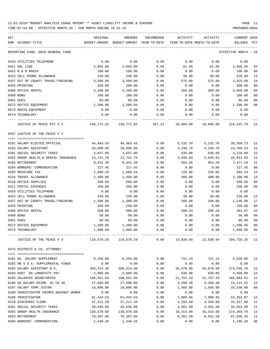| ACT<br>NUM ACCOUNT-TITLE               | ORIGINAL   | AMENDED<br>BUDGET-AMOUNT BUDGET-AMOUNT YEAR-TO-DATE | ENCUMBERED | ACTIVITY         | ACTIVITY<br>YEAR-TO-DATE MONTH-TO-DATE | CURRENT USED<br>BALANCE | PCT |
|----------------------------------------|------------|-----------------------------------------------------|------------|------------------|----------------------------------------|-------------------------|-----|
| REPORTING FUND: 0010 GENERAL FUND      |            |                                                     |            |                  |                                        | EFFECTIVE MONTH - 10    |     |
| 0420 UTILITIES TELEPHONE               | 0.00       | 0.00                                                | 0.00       | 0.00             | 0.00                                   | 0.00                    |     |
| 0421 DSL LINE                          | 2,092.00   | 2,092.00                                            | 0.00       | 81.95            | 81.95                                  | 2,010.05                | 04  |
| 0422 R & M RADIO                       | 100.00     | 100.00                                              | 0.00       | 0.00             | 0.00                                   | 100.00                  | 00  |
| 0423 CELL PHONE ALLOWANCE              | 240.00     | 240.00                                              | 0.00       | 30.00            | 30.00                                  | 210.00                  | 13  |
| 0427 OUT OF COUNTY TRAVEL/TRAINING     | 3,500.00   | 3,500.00                                            | 0.00       | 575.00           | 575.00                                 | 2,925.00                | 16  |
| 0435 PRINTING                          | 200.00     | 200.00                                              | 0.00       | 0.00             | 0.00                                   | 200.00                  | 00  |
| 0460 OFFICE RENTAL                     | 4,200.00   | 4,200.00                                            | 0.00       | 350.00           | 350.00                                 | 3,850.00                | 08  |
| 0480 BOND                              | 100.00     | 100.00                                              | 0.00       | 0.00             | 0.00                                   | 100.00                  | 00  |
| 0481 DUES                              | 95.00      | 95.00                                               | 0.00       | 0.00             | 0.00                                   | 95.00                   | 00  |
| 0572 OFFICE EQUIPMENT                  | 1,200.00   | 1,200.00                                            | 0.00       | 0.00             | 0.00                                   | 1,200.00                | 00  |
| 0573 RADIO EQUIPMENT                   | 0.00       | 0.00                                                | 0.00       | 0.00             | 0.00                                   | 0.00                    |     |
| 0574 TECHNOLOGY                        | 0.00       | 0.00                                                | 0.00       | 0.00             | 0.00                                   | 0.00                    |     |
| JUSTICE OF PEACE PCT # 2               | 140,772.82 | 140,772.82                                          | 347.23     | 16,009.80        | 16,009.80                              | 124, 415.79 12          |     |
| 0457 JUSTICE OF THE PEACE # 3          |            |                                                     |            |                  |                                        |                         |     |
| 0101 SALARY ELECTED OFFICIAL           | 44,483.43  | 44,483.43                                           | 0.00       | 5,132.70         | 5,132.70                               | 39, 350. 73             | 12  |
| 0103 SALARY ASSISTANT                  | 28,000.00  | 28,000.00                                           | 0.00       | 3,230.76         | 3,230.76                               | 24,769.24               | 12  |
| 0201 SOCIAL SECURITY TAXES             | 4,657.00   | 4,657.00                                            | 0.00       | 539.00           | 539.00                                 | 4,118.00                | 12  |
| 0202 GROUP HEALTH & DENTAL INSURANCE   | 23,741.76  | 23,741.76                                           | 0.00       | 3,049.83         | 3,049.83                               | 20,691.93               | 13  |
| 0203 RETIREMENT                        | 8,431.36   | 8,431.36                                            | 0.00       | 954.26           | 954.26                                 | 7,477.10                | 11  |
| 0204 WORKERS' COMPENSATION             | 217.45     | 217.45                                              | 0.00       | 0.00             | 0.00                                   | 217.45                  | 00  |
| 0205 MEDICARE TAX                      | 1,089.29   | 1,089.29                                            | 0.00       | 126.06           | 126.06                                 | 963.23                  | 12  |
| 0225 TRAVEL ALLOWANCE                  | 2,400.00   | 2,400.00                                            | 0.00       | 300.00           | 300.00                                 | 2,100.00                | 13  |
| 0310 OFFICE SUPPLIES                   | 500.00     | 500.00                                              | 0.00       | 0.00             | 0.00                                   | 500.00                  | 00  |
| 0311 POSTAL EXPENSES                   | 250.00     | 250.00                                              | 0.00       | 0.00             | 0.00                                   | 250.00                  | 00  |
| 0420 UTILITIES TELEPHONE               | 0.00       | 0.00                                                | 0.00       | 0.00             | 0.00                                   | 0.00                    |     |
| 0423 CELL PHONE ALLOWANCE              | 240.00     | 240.00                                              | 0.00       | 30.00            | 30.00                                  | 210.00                  | 13  |
| 0427 OUT OF COUNTY TRAVEL/TRAINING     | 1,500.00   | 1,500.00                                            | 0.00       | 260.00           | 260.00                                 | 1,240.00                | 17  |
| 0435 PRINTING                          | 250.00     | 250.00                                              | 0.00       | 0.00             | 0.00                                   | 250.00                  | 00  |
| 0460 OFFICE RENTAL                     | 500.00     | 500.00                                              | 0.00       | 208.33           | 208.33                                 | 291.67                  | 42  |
| 0480 BOND                              | 50.00      | 50.00                                               | 0.00       | 0.00             | 0.00                                   | 50.00                   | 00  |
| 0481 DUES                              | 60.00      | 60.00                                               | 0.00       | 0.00             | 0.00                                   | 60.00                   | 00  |
| 0572 OFFICE EQUIPMENT                  | 1,200.00   | 1,200.00                                            | 0.00       | 0.00             | 0.00                                   | 1,200.00                | 00  |
| 0574 TECHNOLOGY                        | 1,000.00   | 1,000.00                                            | 0.00       | 0.00             | 0.00                                   | 1,000.00                | 00  |
| JUSTICE OF THE PEACE # 3               | 118,570.29 | 118,570.29                                          |            | $0.00$ 13,830.94 | 13,830.94                              | 104,739.35 12           |     |
| 0475 DISTRICT & CO. ATTORNEY           |            |                                                     |            |                  |                                        |                         |     |
| 0101 DA. SALARY SUPPLEMENT             | 6, 250.00  | 6,250.00                                            | 0.00       | 721.14           | 721.14                                 | 5,528.86 12             |     |
| 0102 HB 9 D.A. SUPPLEMENTAL FUNDS      | 0.00       | 0.00                                                | 0.00       | 0.00             | 0.00                                   | 0.00                    |     |
| 0103 SALARY ASSISTANT D.A.             | 309,214.36 | 309, 214.36                                         | 0.00       | 35,678.58        | 35,678.58                              | 273,535.78              | 12  |
| 0104 ASST. DA LONGEVITY PAY            | 5,080.00   | 5,080.00                                            | 0.00       | 630.00           | 630.00                                 | 4,450.00                | 12  |
| 0105 SALARIES SECRETARIES              | 188,651.04 | 188,651.04                                          | 0.00       | 21,767.43        | 21,767.43                              | 166,883.61              | 12  |
| 0106 DA SALARY REIMB. GC CH 46         | 27,500.00  | 27,500.00                                           | 0.00       | 3,288.48         | 3,288.48                               | 24,211.52               | 12  |
| 0107 SALARY TEMP./EXTRA                | 18,096.00  | 18,096.00                                           | 0.00       | 1,566.00         | 1,566.00                               | 16,530.00               | 09  |
| 0108 INVESTIGATOR CRIMES AGAINST WOMEN | 0.00       | 0.00                                                | 0.00       | 0.00             | 0.00                                   | 0.00                    |     |
| 0109 INVESTIGATOR                      | 61,443.53  | 61,443.53                                           | 0.00       | 7,089.66         | 7,089.66                               | 54, 353.87              | 12  |
| 0110 DISCOVERY CLERK                   | 37,211.20  | 37,211.20                                           | 0.00       | 4,293.60         | 4,293.60                               | 32,917.60               | 12  |
| 0201 SOCIAL SECURITY TAXES             | 40,535.98  | 40,535.98                                           | 0.00       | 4,501.99         | 4,501.99                               | 36,033.99               | 11  |
| 0202 GROUP HEALTH INSURANCE            | 130,579.68 | 130,579.68                                          | 0.00       | 16,314.90        | 16,314.90                              | 114,264.78              | 12  |
| 0203 RETIREMENT                        | 76,387.85  | 76,387.85                                           | 0.00       | 8,561.50         | 8,561.50                               | 67,826.35               | 11  |
| 0204 WORKERS' COMPENSATION             | 1,340.28   | 1,340.28                                            | 0.00       | 0.00             | 0.00                                   | 1,340.28                | 00  |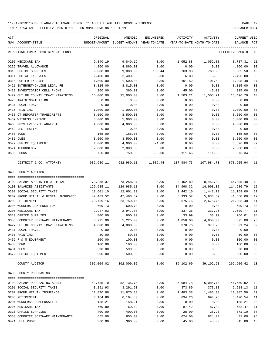TIME:07:54 AM - EFFECTIVE MONTH:10 - FOR MONTH ENDING 10-31-19 PREPARER:0004

| ACT<br>NUM ACCOUNT-TITLE                             | ORIGINAL   | AMENDED               | ENCUMBERED   | ACTIVITY<br>BUDGET-AMOUNT BUDGET-AMOUNT YEAR-TO-DATE YEAR-TO-DATE MONTH-TO-DATE                  | ACTIVITY  | <b>CURRENT USED</b><br>BALANCE PCT |                |
|------------------------------------------------------|------------|-----------------------|--------------|--------------------------------------------------------------------------------------------------|-----------|------------------------------------|----------------|
|                                                      |            |                       |              |                                                                                                  |           |                                    |                |
| REPORTING FUND: 0010 GENERAL FUND                    |            |                       |              |                                                                                                  |           | EFFECTIVE MONTH - 10               |                |
| 0205 MEDICARE TAX                                    | 9,840.19   | 9,840.19              | 0.00         | 1,052.88                                                                                         | 1,052.88  | 8,787.31                           | 11             |
| 0225 TRAVEL ALLOWANCE                                | 4,860.00   | 4,860.00              | 0.00         | 0.00                                                                                             | 0.00      | 4,860.00                           | 00             |
| 0310 OFFICE SUPPLIES                                 | 9,000.00   | 9,000.00              | 150.44       | 763.98                                                                                           | 763.98    | 8,085.58                           | 10             |
| 0311 POSTAL EXPENSES                                 | 2,400.00   | 2,400.00              | 0.00         | $6.80-$                                                                                          | $6.80-$   | 2,406.80                           | 0 <sub>0</sub> |
| 0315 COPIER EXPENSE                                  | 1,500.00   | 1,500.00              | 0.00         | 101.52                                                                                           | 101.52    | 1,398.48                           | 07             |
| 0421 INTERNET/ONLINE LEGAL RE                        | 8,815.00   | 8,815.00              | 0.00         | 0.00                                                                                             | 0.00      | 8,815.00                           | 0 <sub>0</sub> |
| 0422 INVESTIGATOR CELL PHONE                         | 360.00     | 360.00                | 0.00         | 45.00                                                                                            | 45.00     | 315.00                             | 13             |
| 0427 OUT OF COUNTY TRAVEL/TRAINING                   | 15,000.00  | 15,000.00             | 0.00         | 1,503.21                                                                                         | 1,503.21  | 13,496.79                          | 10             |
| 0428 TRAINING/TUITION                                | 0.00       | 0.00                  | 0.00         | 0.00                                                                                             | 0.00      | 0.00                               |                |
| 0431 LOCAL TRAVEL                                    | 0.00       | 0.00                  | 0.00         | 0.00                                                                                             | 0.00      | 0.00                               |                |
| 0435 PRINTING                                        | 1,000.00   | 1,000.00              | 0.00         | 0.00                                                                                             | 0.00      | 1,000.00                           | 0 <sub>0</sub> |
| 0438 CT.REPORTER-TRANSCRIPTS                         | 8,500.00   | 8,500.00              | 0.00         | 0.00                                                                                             | 0.00      | 8,500.00                           | 0 <sub>0</sub> |
| 0439 WITNESS EXPENSE                                 | 5,000.00   | 5,000.00              | 0.00         | 0.00                                                                                             | 0.00      | 5,000.00                           | 00             |
| 0465 PHYS. EVIDENCE ANALYSIS                         | 4,000.00   | 4,000.00              | 0.00         | 0.00                                                                                             | 0.00      | 4,000.00                           | 0 <sub>0</sub> |
| 0469 DPS TESTING                                     | 0.00       | 0.00                  | 0.00         | 0.00                                                                                             | 0.00      | 0.00                               |                |
| 0480 BOND                                            | 165.00     | 165.00                | 0.00         | 0.00                                                                                             | 0.00      | 165.00                             | 0 <sub>0</sub> |
| 0481 DUES                                            | 3,500.00   | 3,500.00              | 0.00         | 0.00                                                                                             | 0.00      | 3,500.00                           | 0 <sub>0</sub> |
| 0572 OFFICE EQUIPMENT                                | 4,000.00   | 4,000.00              | 374.00       | 0.00                                                                                             | 0.00      | 3,626.00                           | 09             |
| 0574 TECHNOLOGY                                      | 2,000.00   | 2,000.00              | 0.00         | 0.00                                                                                             | 0.00      | 2,000.00                           | 0 <sub>0</sub> |
| 0590 BOOKS                                           | 750.00     | 750.00                | 565.00       | 111.66                                                                                           | 111.66    | 73.34                              | 90             |
| DISTRICT & CO. ATTORNEY                              |            |                       |              | 982,980.11  982,980.11         1,089.44         107,984.73         107,984.73         873,905.94 |           |                                    | - 11           |
| 0495 COUNTY AUDITOR                                  |            |                       |              |                                                                                                  |           |                                    |                |
|                                                      |            |                       |              |                                                                                                  |           |                                    |                |
| 0102 SALARY APPOINTED OFFICIAL                       | 73,258.37  | 73,258.37             | 0.00         | 8,452.89                                                                                         | 8,452.89  | 64,805.48                          | 12             |
| 0103 SALARIES ASSISTANTS                             | 129,985.11 | 129,985.11            | 0.00         | 14,998.32                                                                                        | 14,998.32 | 114,986.79                         | 12             |
| 0201 SOCIAL SECURITY TAXES                           | 12,601.10  | 12,601.10             | 0.00         | 1,442.10                                                                                         | 1,442.10  | 11,159.00                          | 11             |
| 0202 GROUP HEALTH & DENTAL INSURANCE                 | 47,483.52  | 47,483.52             | 0.00         | 5,933.52                                                                                         | 5,933.52  | 41,550.00                          | 12             |
| 0203 RETIREMENT                                      | 23,759.16  | 23,759.16             | 0.00         | 2,675.76                                                                                         | 2,675.76  | 21,083.40                          | 11             |
| 0204 WORKERS COMPENSATION                            | 609.73     | 609.73                | 0.00         | 0.00                                                                                             | 0.00      | 609.73                             | 0 <sub>0</sub> |
| 0205 MEDICARE TAX                                    | 2,947.03   | 2,947.03              | 0.00         | 337.26                                                                                           | 337.26    | 2,609.77                           | 11             |
| 0310 OFFICE SUPPLIES                                 | 800.00     | 800.00                | 0.00         | 33.99                                                                                            | 33.99     | 766.01                             | 0 <sub>4</sub> |
| 0353 COMPUTER SOFTWARE MAINTENANCE                   | 5,225.00   | 5,225.00              | 0.00         | 4,850.00                                                                                         | 4,850.00  | 375.00                             | 93             |
| 0427 OUT OF COUNTY TRAVEL/TRAINING                   | 4,000.00   | 4,000.00              | 0.00         | 378.76                                                                                           | 378.76    | 3,621.24                           | 09             |
| 0431 LOCAL TRAVEL                                    | 0.00       | 0.00                  | 0.00         | 0.00                                                                                             | 0.00      | 0.00                               |                |
| 0435 PRINTING                                        | 50.00      | 50.00                 | 0.00         | 0.00                                                                                             | 0.00      | 50.00                              | 0 <sub>0</sub> |
| 0452 R & M EQUIPMENT                                 | 100.00     | 100.00                | 0.00         | 0.00                                                                                             | 0.00      | 100.00                             | 0 <sub>0</sub> |
| 0480 BOND                                            | 100.00     | 100.00                | 0.00         | 0.00                                                                                             | 0.00      | 100.00                             | 0 <sub>0</sub> |
| 0481 DUES                                            | 590.00     | 590.00                | 0.00         | 0.00                                                                                             | 0.00      | 590.00                             | 0 <sub>0</sub> |
| 0572 OFFICE EQUIPMENT                                | 500.00     | 500.00                | 0.00         | 0.00                                                                                             | 0.00      | 500.00                             | 0 <sub>0</sub> |
| ---------------------- -----------<br>COUNTY AUDITOR | 302,009.02 | 302,009.02            | 0.00         | 39,102.60                                                                                        | 39,102.60 | 262,906.42                         | 13             |
|                                                      |            |                       |              |                                                                                                  |           |                                    |                |
| 0496 COUNTY PURCHASING                               |            |                       |              |                                                                                                  |           |                                    |                |
| 0103 SALARY PURCHASING AGENT                         | 52,735.70  |                       |              | 6,084.78                                                                                         | 6,084.78  | 46,650.92                          | 12             |
| 0201 SOCIAL SECURITY TAXES                           | 3,291.93   | 52,735.70<br>3,291.93 | 0.00<br>0.00 | 373.80                                                                                           | 373.80    | 2,918.13                           | 11             |
| 0202 GROUP HEALTH INSURANCE                          |            |                       |              | 1,483.38                                                                                         | 1,483.38  |                                    | 12             |
| 0203 RETIREMENT                                      | 11,870.88  | 11,870.88<br>6,164.80 | 0.00         | 694.26                                                                                           | 694.26    | 10,387.50                          | 11             |
|                                                      | 6,164.80   |                       | 0.00         |                                                                                                  |           | 5,470.54                           |                |
| 0204 WORKERS' COMPENSATION                           | 158.21     | 158.21                | 0.00         | 0.00                                                                                             | 0.00      | 158.21                             | 0 <sub>0</sub> |
| 0205 MEDICARE TAX                                    | 769.89     | 769.89                | 0.00         | 87.42                                                                                            | 87.42     | 682.47                             | 11             |
| 0310 OFFICE SUPPLIES                                 | 400.00     | 400.00                | 0.00         | 28.90                                                                                            | 28.90     | 371.10                             | 07             |
| 0353 COMPUTER SOFTWARE MAINTENANCE                   | 655.00     | 655.00                | 0.00         | 624.00                                                                                           | 624.00    | 31.00                              | 95             |

0421 CELL PHONE 360.00 360.00 0.00 45.00 45.00 315.00 13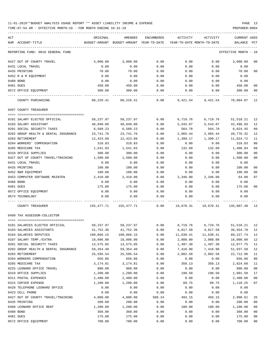TIME:07:54 AM - EFFECTIVE MONTH:10 - FOR MONTH ENDING 10-31-19 PREPARER:0004

| ACT<br>NUM ACCOUNT-TITLE             | ORIGINAL<br>BUDGET-AMOUNT BUDGET-AMOUNT YEAR-TO-DATE YEAR-TO-DATE MONTH-TO-DATE | AMENDED                                                          | ENCUMBERED | ACTIVITY  | ACTIVITY          | <b>CURRENT USED</b><br>BALANCE PCT |                |
|--------------------------------------|---------------------------------------------------------------------------------|------------------------------------------------------------------|------------|-----------|-------------------|------------------------------------|----------------|
| REPORTING FUND: 0010 GENERAL FUND    |                                                                                 |                                                                  |            |           |                   | EFFECTIVE MONTH - 10               |                |
| 0427 OUT OF COUNTY TRAVEL            | 3,000.00                                                                        | 3,000.00                                                         | 0.00       | 0.00      |                   | $0.00$ 3,000.00                    | 00             |
| 0431 LOCAL TRAVEL                    | 0.00                                                                            | 0.00                                                             | 0.00       | 0.00      | 0.00              | 0.00                               |                |
| 0435 PRINTING                        | 70.00                                                                           | 70.00                                                            | 0.00       | 0.00      | 0.00              | 70.00                              | 0 <sub>0</sub> |
| 0452 R & M EQUIPMENT                 | 0.00                                                                            | 0.00                                                             | 0.00       | 0.00      | 0.00              | 0.00                               |                |
| 0480 BOND                            | 0.00                                                                            | 0.00                                                             | 0.00       | 0.00      | 0.00              | 0.00                               |                |
| 0481 DUES                            | 450.00                                                                          | 450.00                                                           | 0.00       | 0.00      | 0.00              | 450.00                             | 00             |
| 0572 OFFICE EQUIPMENT                | 300.00                                                                          | 300.00                                                           | 0.00       | 0.00      | 0.00              | 300.00                             | 0 <sub>0</sub> |
| COUNTY PURCHASING                    |                                                                                 | $80,226.41$ $80,226.41$ $0.00$ $9,421.54$ $9,421.54$ $70,804.87$ |            |           |                   |                                    | 12             |
| 0497 COUNTY TREASURER                |                                                                                 |                                                                  |            |           |                   |                                    |                |
| 0101 SALARY ELECTED OFFICIAL         |                                                                                 | 58, 237.97 58, 237.97                                            | 0.00       |           | 6,719.76 6,719.76 | 51,518.21                          | 12             |
| 0103 SALARY ASSISTANT                | 48,040.00                                                                       | 48,040.00                                                        | 0.00       | 5,543.07  | 5,543.07          | 42,496.93                          | 12             |
| 0201 SOCIAL SECURITY TAXES           | 6,589.23                                                                        | 6,589.23                                                         | 0.00       | 564.78    | 564.78            | 6,024.45                           | 09             |
| 0202 GROUP HEALTH & DENTAL INSURANCE | 23,741.76                                                                       | 23,741.76                                                        | 0.00       | 2,965.44  | 2,965.44          | 20,776.32                          | 12             |
| 0203 RETIREMENT                      | 12,423.89                                                                       | 12,423.89                                                        | 0.00       | 1,399.17  | 1,399.17          | 11,024.72                          | 11             |
| 0204 WORKERS' COMPENSATION           | 318.83                                                                          | 318.83                                                           | 0.00       | 0.00      | 0.00              | 318.83                             | 0 <sub>0</sub> |
| 0205 MEDICARE TAX                    | 1,541.03                                                                        | 1,541.03                                                         | 0.00       | 132.09    | 132.09            | 1,408.94                           | 09             |
| 0310 OFFICE SUPPLIES                 | 300.00                                                                          | 300.00                                                           | 0.00       | 0.00      | 0.00              | 300.00                             | 0 <sub>0</sub> |
| 0427 OUT OF COUNTY TRAVEL/TRAINING   | 1,500.00                                                                        | 1,500.00                                                         | 0.00       | 0.00      | 0.00              | 1,500.00                           | 0 <sub>0</sub> |
| 0431 LOCAL TRAVEL                    | 0.00                                                                            | 0.00                                                             | 0.00       | 0.00      | 0.00              | 0.00                               |                |
| 0435 PRINTING                        | 100.00                                                                          | 100.00                                                           | 0.00       | 0.00      | 0.00              | 100.00                             | 0 <sub>0</sub> |
| 0452 R&M EQUIPMENT                   | 100.00                                                                          | 100.00                                                           | 0.00       | 0.00      | 0.00              | 100.00                             | 00             |
| 0453 COMPUTER SOFTWARE MAINTEN       | 2,410.00                                                                        | 2,410.00                                                         | 0.00       | 2,346.00  | 2,346.00          | 64.00                              | 97             |
| 0480 BOND                            | 0.00                                                                            | 0.00                                                             | 0.00       | 0.00      | 0.00              | 0.00                               |                |
| 0481 DUES                            | 175.00                                                                          | 175.00                                                           | 0.00       | 0.00      | 0.00              | 175.00                             | 0 <sub>0</sub> |
| 0572 OFFICE EQUIPMENT                | 0.00                                                                            | 0.00                                                             | 0.00       | 0.00      | 0.00              | 0.00                               |                |
| 0574 TECHNOLOGY                      | 0.00                                                                            | 0.00                                                             | 0.00       | 0.00      | 0.00              | 0.00                               |                |
| COUNTY TREASURER                     | 155,477.71 155,477.71 0.00 19,670.31 19,670.31 135,807.40                       |                                                                  |            |           |                   |                                    | - 13           |
| 0499 TAX ASSESSOR-COLLECTOR          |                                                                                 |                                                                  |            |           |                   |                                    |                |
| 0101 SALARIES ELECTED OFFICIAL       | 58,237.97  58,237.97       0.00       6,719.76       6,719.76       51,518.21   |                                                                  |            |           |                   |                                    | 12             |
| 0103 SALARIES ASSISTANTS             | 41,752.36                                                                       | 41,752.36                                                        | 0.00       | 4,817.58  | 4,817.58          | 36,934.78                          | 12             |
| 0104 SALARIES DEPUTIES               | 100,866.15                                                                      | 100,866.15                                                       | 0.00       | 11,638.41 | 11,638.41         | 89,227.74                          | 12             |
| 0107 SALARY TEMP./EXTRA              | 18,096.00                                                                       | 18,096.00                                                        | 0.00       | 2,088.00  | 2,088.00          | 16,008.00                          | 12             |
| 0201 SOCIAL SECURITY TAXES           | 13,575.05                                                                       | 13,575.05                                                        | 0.00       | 1,497.30  | 1,497.30          | 12,077.75                          | 11             |
| 0202 GROUP HEALTH & DENTAL INSURANCE | 59,354.40                                                                       | 59,354.40                                                        | 0.00       | 7,416.90  | 7,416.90          | 51,937.50                          | 12             |
| 0203 RETIREMENT                      | 25,595.54                                                                       | 25,595.54                                                        | 0.00       | 2,882.58  | 2,882.58          | 22,712.96                          | 11             |
| 0204 WORKERS COMPENSATION            | 656.86                                                                          | 656.86                                                           | 0.00       | 0.00      | 0.00              | 656.86                             | 0 <sub>0</sub> |
| 0205 MEDICARE TAX                    | 3,174.81                                                                        | 3,174.81                                                         | 0.00       | 350.13    | 350.13            | 2,824.68                           | 11             |
| 0225 LEONARD OFFICE TRAVEL           | 900.00                                                                          | 900.00                                                           | 0.00       | 0.00      | 0.00              | 900.00                             | 0 <sub>0</sub> |
| 0310 OFFICE SUPPLIES                 | 1,200.00                                                                        | 1,200.00                                                         | 0.00       | 198.50    | 198.50            | 1,001.50                           | 17             |
| 0311 POSTAL EXPENSES                 | 2,400.00                                                                        | 2,400.00                                                         | 0.00       | 0.00      | 0.00              | 2,400.00                           | 0 <sub>0</sub> |
| 0315 COPIER EXPENSE                  | 1,200.00                                                                        | 1,200.00                                                         | 0.00       | 89.75     | 89.75             | 1,110.25                           | 07             |
| 0420 TELEPHONE LEONARD OFFICE        | 0.00                                                                            | 0.00                                                             | 0.00       | 0.00      | 0.00              | 0.00                               |                |
| 0423 CELL PHONE                      | 0.00                                                                            | 0.00                                                             | 0.00       | 0.00      | 0.00              | 0.00                               |                |
| 0427 OUT OF COUNTY TRAVEL/TRAINING   | 4,000.00                                                                        | 4,000.00                                                         | 508.24     | 493.15    | 493.15            | 2,998.61                           | 25             |
| 0435 PRINTING                        | 200.00                                                                          | 200.00                                                           | 0.00       | 0.00      | 0.00              | 200.00                             | 0 <sub>0</sub> |
| 0460 LEONARD OFFICE RENT             | 1,200.00                                                                        | 1,200.00                                                         | 0.00       | 100.00    | 100.00            | 1,100.00                           | 08             |
| 0480 BOND                            | 368.00                                                                          | 368.00                                                           | 0.00       | 0.00      | 0.00              | 368.00                             | 0 <sub>0</sub> |
| 0481 DUES                            | 175.00                                                                          | 175.00                                                           | 0.00       | 0.00      | 0.00              | 175.00                             | 0 <sub>0</sub> |

0572 OFFICE EQUIPMENT 700.00 700.00 0.00 0.00 0.00 700.00 00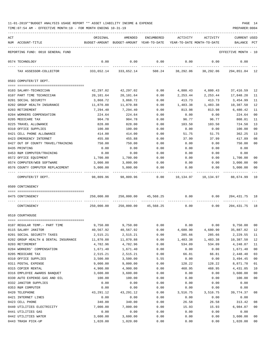| 11-01-2019**BUDGET ANALYSIS USAGE REPORT ** ASSET LIABILITY INCOME & EXPENSE | PAGE |  |
|------------------------------------------------------------------------------|------|--|
|------------------------------------------------------------------------------|------|--|

|     | TIME: 07:54 AM - EFFECTIVE MONTH: 10 - FOR MONTH ENDING 10-31-19 |                         |                                          |                |                            |                                                      | PREPARER: 0004       |                      |
|-----|------------------------------------------------------------------|-------------------------|------------------------------------------|----------------|----------------------------|------------------------------------------------------|----------------------|----------------------|
| ACT |                                                                  | ORIGINAL                | AMENDED                                  | ENCUMBERED     | ACTIVITY                   | ACTIVITY                                             | CURRENT USED         |                      |
|     | NUM ACCOUNT-TITLE                                                |                         | BUDGET-AMOUNT BUDGET-AMOUNT YEAR-TO-DATE |                | YEAR-TO-DATE MONTH-TO-DATE |                                                      | BALANCE              | $_{\rm PCT}$         |
|     | REPORTING FUND: 0010 GENERAL FUND                                |                         |                                          |                |                            |                                                      | EFFECTIVE MONTH - 10 |                      |
|     | 0574 TECHNOLOGY                                                  | 0.00                    | 0.00                                     | 0.00           | 0.00                       | 0.00                                                 | 0.00                 |                      |
|     | TAX ASSESSOR-COLLECTOR                                           |                         | 333,652.14 333,652.14                    | 508.24         |                            | 38,292.06 38,292.06                                  | 294,851.84 12        |                      |
|     | 0503 COMPUTER/IT DEPT.                                           |                         |                                          |                |                            |                                                      |                      |                      |
|     | 0103 SALARY-TECHNICIAN                                           | 42,297.02               | 42,297.02                                | 0.00           |                            | 4,880.43 4,880.43                                    | 37,416.59            | 12                   |
|     | 0107 PART TIME TECHNICIAN                                        | 20,101.64               | 20,101.64                                | 0.00           | 2,253.44                   | 2,253.44                                             | 17,848.20            | 11                   |
|     | 0201 SOCIAL SECURITY                                             | 3,868.72                | 3,868.72                                 | 0.00           | 413.73                     | 413.73                                               | 3,454.99             | 11                   |
|     | 0202 GROUP HEALTH INSURANCE                                      | 11,870.88               | 11,870.88                                | 0.00           | 1,483.38                   | 1,483.38                                             | 10,387.50            | 12                   |
|     | 0203 RETIREMENT                                                  | 7,294.40                | 7,294.40                                 | 0.00           | 813.98                     | 813.98                                               | 6,480.42             | 11                   |
|     | 0204 WORKERS COMPENSATION                                        | 224.64                  | 224.64                                   | 0.00           | 0.00                       | 0.00                                                 | 224.64               | 00                   |
|     | 0205 MEDICARE TAX                                                | 904.78                  | 904.78                                   | 0.00           | 96.77                      | 96.77                                                | 808.01               | 11                   |
|     | 0225 TRAVEL ALLOWANCE                                            | 828.00                  | 828.00                                   | 0.00           | 103.50                     | 103.50                                               | 724.50               | 13                   |
|     | 0310 OFFICE SUPPLIES                                             | 100.00                  | 100.00                                   | 0.00           | 0.00                       | 0.00                                                 | 100.00               | 0 <sub>0</sub>       |
|     | 0421 CELL PHONE ALLOWANCE                                        | 414.00                  | 414.00                                   | 0.00           | 51.75                      | 51.75                                                | 362.25               | 13                   |
|     | 0423 EMERGENCY INTERNET                                          | 455.88                  | 455.88                                   | 0.00           | 37.99                      | 37.99                                                | 417.89               | 08                   |
|     | 0427 OUT OF COUNTY TRAVEL/TRAINING                               | 750.00                  | 750.00                                   | 0.00           | 0.00                       | 0.00                                                 | 750.00               | 00                   |
|     | 0435 PRINTING                                                    | 0.00                    | 0.00                                     | 0.00           | 0.00                       | 0.00                                                 | 0.00                 |                      |
|     | 0453 R&M COMPUTER/TRAINING                                       | 0.00                    | 0.00                                     | 0.00           | 0.00                       | 0.00                                                 | 0.00                 |                      |
|     | 0572 OFFICE EQUIPMENT                                            | 1,700.00                | 1,700.00                                 | 0.00           | 0.00                       | 0.00                                                 | 1,700.00             | 00                   |
|     | 0574 COMPUTER/WEB SOFTWARE                                       | 3,000.00                | 3,000.00                                 | 0.00           | 0.00                       | 0.00                                                 | 3,000.00             | 00                   |
|     | 0576 COUNTY COMPUTER REPLACEMENT                                 | 5,000.00<br>----------- | 5,000.00                                 | 0.00           | 0.00                       | 0.00                                                 | 5,000.00             | 00                   |
|     | COMPUTER/IT DEPT.                                                | 98,809.96               |                                          | 98,809.96 0.00 |                            |                                                      | 88,674.99            | 10                   |
|     | 0509 CONTINGENCY                                                 |                         |                                          |                |                            |                                                      |                      |                      |
|     | 0475 CONTINGENCY                                                 | 250,000.00              |                                          |                |                            | $250,000.00$ $45,568.25$ 0.00 0.00                   | 204, 431. 75 18      |                      |
|     | CONTINGENCY                                                      |                         |                                          |                |                            | $250,000.00$ $250,000.00$ $45,568.25$ 0.00 0.00 0.00 | 204,431.75           | 18                   |
|     | 0510 COURTHOUSE                                                  |                         |                                          |                |                            |                                                      |                      |                      |
|     |                                                                  |                         |                                          |                |                            |                                                      |                      |                      |
|     | 0107 REGULAR TEMP. - PART TIME                                   | 9,750.00                | 9,750.00                                 | 0.00           | 0.00                       | 0.00                                                 | 9,750.00             | 00                   |
|     | 0115 SALARY JANITOR                                              | 40,567.92               | 40,567.92                                | 0.00           | 4,680.90                   | 4,680.90                                             | 35,887.02            | 12                   |
|     | 0201 SOCIAL SECURITY TAXES                                       | 2,515.21                | 2,515.21                                 | 0.00           | 285.66                     | 285.66                                               | 2,229.55             | 11                   |
|     | 0202 GROUP HEALTH & DENTAL INSURANCE                             | 11,870.88               | 11,870.88                                | 0.00           | 1,483.38                   | 1,483.38<br>534.09                                   | 10,387.50            | 12                   |
|     | 0203 RETIREMENT<br>0204 WORKERS' COMPENSATION                    | 4,782.96<br>1,671.40    | 4,782.96                                 | 0.00<br>0.00   | 534.09<br>0.00             | 0.00                                                 | 4,248.87             | 11<br>0 <sub>0</sub> |
|     | 0205 MEDICARE TAX                                                | 2,515.21                | 1,671.40<br>2,515.21                     | 0.00           | 66.81                      | 66.81                                                | 1,671.40<br>2,448.40 | 03                   |
|     | 0310 OFFICE SUPPLIES                                             | 3,500.00                | 3,500.00                                 | 5.55           | 0.00                       | 0.00                                                 | 3,494.45             | 00                   |
|     | 0311 POSTAL EXPENSE                                              | 9,000.00                | 9,000.00                                 | 0.00           | 128.22                     | 128.22                                               | 8,871.78             | 01                   |
|     | 0315 COPIER RENTAL                                               | 4,900.00                | 4,900.00                                 | 0.00           | 468.95                     | 468.95                                               | 4,431.05             | 10                   |
|     | 0316 EMPLOYEE AWARDS BANQUET                                     | 3,600.00                | 3,600.00                                 | 0.00           | 0.00                       | 0.00                                                 | 3,600.00             | 00                   |
|     | 0330 AUTO EXPENSE-GAS AND OIL                                    | 100.00                  | 100.00                                   | 0.00           | 0.00                       | 0.00                                                 | 100.00               | 00                   |
|     | 0332 JANITOR SUPPLIES                                            | 0.00                    | 0.00                                     | 0.00           | 0.00                       | 0.00                                                 | 0.00                 |                      |
|     | 0353 R&M COMPUTER                                                | 0.00                    | 0.00                                     | 0.00           | 0.00                       | 0.00                                                 | 0.00                 |                      |
|     | 0420 TELEPHONE                                                   | 43,291.12               | 43,291.12                                | 0.00           | 3,516.75                   | 3,516.75                                             | 39,774.37            | 08                   |
|     | 0421 INTERNET LINES                                              | 0.00                    | 0.00                                     | 0.00           | 0.00                       | 0.00                                                 | 0.00                 |                      |
|     | 0423 CELL PHONE                                                  | 340.00                  | 340.00                                   | 0.00           | 26.58                      | 26.58                                                | 313.42               | 08                   |
|     | 0440 UTILITIES ELECTRICITY                                       | 7,000.00                | 7,000.00                                 | 0.00           | 15.93                      | 15.93                                                | 6,984.07             | 00                   |
|     | 0441 UTILITIES GAS                                               | 0.00                    | 0.00                                     | 0.00           | 0.00                       | 0.00                                                 | 0.00                 |                      |
|     | 0442 UTILITIES WATER                                             | 3,600.00                | 3,600.00                                 | 0.00           | 0.00                       | 0.00                                                 | 3,600.00             | 00                   |
|     |                                                                  |                         |                                          |                |                            |                                                      |                      |                      |

0443 TRASH PICK-UP 1,020.00 1,020.00 0.00 0.00 0.00 1,020.00 00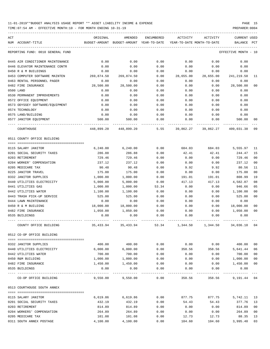TIME:07:54 AM - EFFECTIVE MONTH:10 - FOR MONTH ENDING 10-31-19 PREPARER:0004

| ACT<br>NUM ACCOUNT-TITLE          | ORIGINAL   | AMENDED<br>BUDGET-AMOUNT BUDGET-AMOUNT YEAR-TO-DATE | ENCUMBERED | ACTIVITY<br>YEAR-TO-DATE MONTH-TO-DATE | ACTIVITY            | <b>CURRENT USED</b><br>BALANCE PCT   |                |
|-----------------------------------|------------|-----------------------------------------------------|------------|----------------------------------------|---------------------|--------------------------------------|----------------|
| REPORTING FUND: 0010 GENERAL FUND |            |                                                     |            |                                        |                     | EFFECTIVE MONTH - 10                 |                |
| 0445 AIR CONDITIONER MAINTENANCE  | 0.00       | 0.00                                                | 0.00       | 0.00                                   | 0.00                | 0.00                                 |                |
| 0446 ELEVATOR MAINTENANCE CONTR   | 0.00       | 0.00                                                | 0.00       | 0.00                                   | 0.00                | 0.00                                 |                |
| 0450 R & M BUILDINGS              | 0.00       | 0.00                                                | 0.00       | 0.00                                   | 0.00                | 0.00                                 |                |
| 0453 COMPUTER SOFTWARE MAINTEN    | 269,874.50 | 269,874.50                                          | 0.00       | 28,655.00                              | 28,655.00           | 241,219.50                           | 11             |
| 0463 RENTAL PERSONNEL PAGER       | 0.00       | 0.00                                                | 0.00       | 0.00                                   | 0.00                | 0.00                                 |                |
| 0482 FIRE INSURANCE               | 28,500.00  | 28,500.00                                           | 0.00       | 0.00                                   | 0.00                | 28,500.00                            | 0 <sub>0</sub> |
| 0500 LAND                         | 0.00       | 0.00                                                | 0.00       | 0.00                                   | 0.00                | 0.00                                 |                |
| 0530 PERMANENT IMPROVEMENTS       | 0.00       | 0.00                                                | 0.00       | 0.00                                   | 0.00                | 0.00                                 |                |
| 0572 OFFICE EQUIPMENT             | 0.00       | 0.00                                                | 0.00       | 0.00                                   | 0.00                | 0.00                                 |                |
| 0573 ODYSSEY SOFTWARE/EQUIPMENT   | 0.00       | 0.00                                                | 0.00       | 0.00                                   | 0.00                | 0.00                                 |                |
| 0574 TECHNOLOGY                   | 0.00       | 0.00                                                | 0.00       | 0.00                                   | 0.00                | 0.00                                 |                |
| 0575 LAND/BUILDING                | 0.00       | 0.00                                                | 0.00       | 0.00                                   | 0.00                | 0.00                                 |                |
| 0577 JANITOR EQUIPMENT            | 500.00     | 500.00                                              | 0.00       | 0.00                                   | 0.00                | 500.00                               | 00             |
| COURTHOUSE                        |            | 448,899.20 448,899.20                               | 5.55       |                                        | 39,862.27 39,862.27 | 409,031.38                           | 09             |
| 0511 COUNTY OFFICE BUILDING       |            |                                                     |            |                                        |                     |                                      |                |
|                                   |            |                                                     |            |                                        |                     |                                      |                |
| 0115 SALARY JANITOR               | 6,240.00   | 6,240.00                                            | 0.00       | 684.03                                 | 684.03              | 5,555.97                             | 11             |
| 0201 SOCIAL SECURITY TAXES        | 286.88     | 286.88                                              | 0.00       | 42.41                                  | 42.41               | 244.47                               | 15             |
| 0203 RETIREMENT                   | 729.46     | 729.46                                              | 0.00       | 0.00                                   | 0.00                | 729.46                               | 0 <sub>0</sub> |
| 0204 WORKER' COMPENSATION         | 237.12     | 237.12                                              | 0.00       | 0.00                                   | 0.00                | 237.12                               | 0 <sub>0</sub> |
| 0205 MEDICARE TAX                 | 90.48      | 90.48                                               | 0.00       | 9.92                                   | 9.92                | 80.56                                | 11             |
| 0225 JANITOR TRAVEL               | 175.00     | 175.00                                              | 0.00       | 0.00                                   | 0.00                | 175.00                               | 0 <sup>0</sup> |
| 0332 JANITOR SUPPLIES             | 1,000.00   | 1,000.00                                            | 0.00       | 191.01                                 | 191.01              | 808.99                               | 19             |
| 0440 UTILITIES ELECTRICITY        | 5,000.00   | 5,000.00                                            | 0.00       | 417.13                                 | 417.13              | 4,582.87                             | 08             |
| 0441 UTILITIES GAS                | 1,000.00   | 1,000.00                                            | 53.34      | 0.00                                   | 0.00                | 946.66                               | 05             |
| 0442 UTILITIES WATER              | 1,100.00   | 1,100.00                                            | 0.00       | 0.00                                   | 0.00                | 1,100.00                             | 0 <sup>0</sup> |
| 0443 TRASH PICK-UP SERVICE        | 525.00     | 525.00                                              | 0.00       | 0.00                                   | 0.00                | 525.00                               | 0 <sub>0</sub> |
| 0444 LAWN MAINTENANCE             | 0.00       | 0.00                                                | 0.00       | 0.00                                   | 0.00                | 0.00                                 |                |
| 0450 R & M BUILDING               | 18,000.00  | 18,000.00                                           | 0.00       | 0.00                                   | 0.00                | 18,000.00                            | 0 <sub>0</sub> |
| 0482 FIRE INSURANCE               | 1,050.00   | 1,050.00                                            | 0.00       | 0.00                                   | 0.00                | 1,050.00                             | 0 <sub>0</sub> |
| 0535 BUILDINGS                    | 0.00       | 0.00                                                | 0.00       | 0.00                                   | 0.00                | 0.00                                 |                |
| COUNTY OFFICE BUILDING            |            | 35, 433.94 35, 433.94                               |            |                                        |                     | 53.34 1,344.50 1,344.50 34,036.10    | 04             |
| 0512 CO-OP OFFICE BUILDING        |            |                                                     |            |                                        |                     |                                      |                |
| 0332 JANITOR SUPPLIES             | 400.00     | 400.00                                              |            |                                        |                     | $0.00$ $0.00$ $0.00$ $0.00$ $400.00$ | 0 <sub>0</sub> |
| 0440 UTILITIES ELECTRICITY        | 6,000.00   | 6,000.00                                            | 0.00       | 358.56                                 |                     | 358.56 5,641.44                      | 06             |
| 0442 UTILITIES WATER              | 700.00     | 700.00                                              | 0.00       | 0.00                                   | 0.00                | 700.00                               | 0 <sub>0</sub> |
| 0450 R&M BUILDING                 | 1,000.00   | 1,000.00                                            | 0.00       | 0.00                                   | 0.00                | 1,000.00                             | 0 <sub>0</sub> |
| 0482 FIRE INSURANCE               | 1,450.00   | 1,450.00                                            | 0.00       | 0.00                                   | 0.00                | 1,450.00                             | 00             |
| 0535 BUILDINGS                    | 0.00       | 0.00                                                | 0.00       | 0.00                                   | 0.00                | 0.00                                 |                |
|                                   |            |                                                     |            | -----------                            |                     |                                      |                |
| CO-OP OFFICE BUILDING             |            | 9,550.00 9,550.00                                   | 0.00       |                                        | 358.56 358.56       | 9,191.44 04                          |                |
| 0513 COURTHOUSE SOUTH ANNEX       |            |                                                     |            |                                        |                     |                                      |                |
| 0115 SALARY JANITOR               |            | 6,619.86 6,619.86                                   |            |                                        |                     | $0.00$ 877.75 877.75 5,742.11        | -13            |
| 0201 SOCIAL SECURITY TAXES        | 432.19     | 432.19                                              | 0.00       | 54.43                                  | 54.43               | 377.76                               | 13             |
| 0203 RETIREMENT                   | 814.89     | 814.89                                              | 0.00       | 0.00                                   | 0.00                | 814.89                               | 0 <sub>0</sub> |
| 0204 WORKERS' COMPENSATION        | 264.89     | 264.89                                              | 0.00       | 0.00                                   | 0.00                | 264.89                               | 0 <sub>0</sub> |
| 0205 MEDICARE TAX                 | 101.08     | 101.08                                              | 0.00       | 12.73                                  | 12.73               | 88.35                                | 13             |
|                                   |            |                                                     |            |                                        |                     |                                      |                |

0311 SOUTH ANNEX POSTAGE 4,100.00 4,100.00 0.00 104.60 104.60 3,995.40 03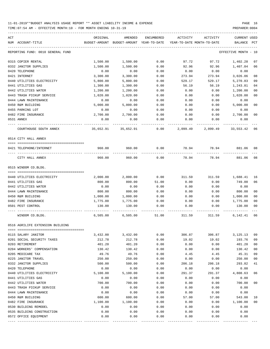TIME:07:54 AM - EFFECTIVE MONTH:10 - FOR MONTH ENDING 10-31-19 PREPARER:0004

| ACT                               | ORIGINAL | AMENDED                                                             | ENCUMBERED | ACTIVITY | ACTIVITY               | CURRENT USED         |                |
|-----------------------------------|----------|---------------------------------------------------------------------|------------|----------|------------------------|----------------------|----------------|
| NUM ACCOUNT-TITLE                 |          | BUDGET-AMOUNT BUDGET-AMOUNT YEAR-TO-DATE YEAR-TO-DATE MONTH-TO-DATE |            |          |                        | BALANCE PCT          |                |
| REPORTING FUND: 0010 GENERAL FUND |          |                                                                     |            |          |                        | EFFECTIVE MONTH - 10 |                |
| 0315 COPIER RENTAL                | 1,500.00 | 1,500.00                                                            | 0.00       | 97.72    | 97.72                  | 1,402.28             | 07             |
| 0332 JANITOR SUPPLIES             | 1,500.00 | 1,500.00                                                            | 0.00       | 92.96    | 92.96                  | 1,407.04             | 06             |
| 0420 TELEPHONE                    | 0.00     | 0.00                                                                | 0.00       | 0.00     | 0.00                   | 0.00                 |                |
| 0421 INTERNET                     | 3,300.00 | 3,300.00                                                            | 0.00       | 273.94   | 273.94                 | 3,026.06             | 08             |
| 0440 UTILITIES ELECTRICITY        | 5,800.00 | 5,800.00                                                            | 0.00       | 529.17   | 529.17                 | 5,270.83             | 09             |
| 0441 UTILITIES GAS                | 1,300.00 | 1,300.00                                                            | 0.00       | 56.19    | 56.19                  | 1,243.81             | 04             |
| 0442 UTILITIES WATER              | 1,200.00 | 1,200.00                                                            | 0.00       | 0.00     | 0.00                   | 1,200.00             | 00             |
| 0443 TRASH PICKUP SERVICE         | 1,020.00 | 1,020.00                                                            | 0.00       | 0.00     | 0.00                   | 1,020.00             | 0 <sub>0</sub> |
| 0444 LAWN MAINTENANCE             | 0.00     | 0.00                                                                | 0.00       | 0.00     | 0.00                   | 0.00                 |                |
| 0450 R&M BUILDING                 | 5,000.00 | 5,000.00                                                            | 0.00       | 0.00     | 0.00                   | 5,000.00             | 0 <sub>0</sub> |
| 0455 PARKING LOT                  | 0.00     | 0.00                                                                | 0.00       | 0.00     | 0.00                   | 0.00                 |                |
| 0482 FIRE INSURANCE               | 2,700.00 | 2,700.00                                                            | 0.00       | 0.00     | 0.00                   | 2,700.00             | 0 <sub>0</sub> |
| 0531 ANNEX                        | 0.00     | 0.00                                                                | 0.00       | 0.00     | 0.00                   | 0.00                 |                |
| COURTHOUSE SOUTH ANNEX            |          | 35,652.91 35,652.91                                                 | 0.00       | 2,099.49 | 2,099.49               | 33,553.42 06         |                |
| 0514 CITY HALL ANNEX              |          |                                                                     |            |          |                        |                      |                |
| 0421 TELEPHONE/INTERNET           | 960.00   | 960.00                                                              | 0.00       | 78.94    |                        | 78.94 881.06         | 08             |
|                                   |          |                                                                     |            |          |                        |                      |                |
| CITY HALL ANNEX                   | 960.00   | 960.00                                                              | 0.00       | 78.94    | 78.94                  | 881.06               | 08             |
| 0515 WINDOM CO.BLDG.              |          |                                                                     |            |          |                        |                      |                |
| 0440 UTILITIES ELECTRICITY        | 2,000.00 | 2,000.00                                                            | 0.00       | 311.59   | 311.59                 | 1,688.41             | 16             |
| 0441 UTILITIES GAS                | 800.00   | 800.00                                                              | 51.00      | 0.00     | 0.00                   | 749.00               | 06             |
| 0442 UTILITIES WATER              | 0.00     | 0.00                                                                | 0.00       | 0.00     | 0.00                   | 0.00                 |                |
| 0444 LAWN MAINTENANCE             | 800.00   | 800.00                                                              | 0.00       | 0.00     | 0.00                   | 800.00               | 0 <sub>0</sub> |
| 0450 R&M BUILDING                 | 1,000.00 | 1,000.00                                                            | 0.00       | 0.00     | 0.00                   | 1,000.00             | 0 <sub>0</sub> |
| 0482 FIRE INSURANCE               | 1,775.00 | 1,775.00                                                            | 0.00       | 0.00     | 0.00                   | 1,775.00             | 0 <sub>0</sub> |
| 0501 PEST CONTROL                 | 130.00   | 130.00                                                              | 0.00       | 0.00     | 0.00                   | 130.00               | 0 <sub>0</sub> |
| WINDOM CO.BLDG.                   | 6,505.00 | 6,505.00                                                            | 51.00      |          | 311.59 311.59 6,142.41 |                      | 06             |
| 0516 AGRILIFE EXTENSION BUILDING  |          |                                                                     |            |          |                        |                      |                |
|                                   |          |                                                                     |            |          |                        |                      |                |
| 0115 SALARY JANITOR               | 3,432.00 | 3,432.00                                                            | 0.00       | 306.87   | 306.87                 | 3, 125. 13           | 09             |
| 0201 SOCIAL SECURITY TAXES        | 212.78   | 212.78                                                              | 0.00       | 19.02    | 19.02                  | 193.76               | 09             |
| 0203 RETIREMENT                   | 401.20   | 401.20                                                              | 0.00       | 0.00     | 0.00                   | 401.20               | 0 <sub>0</sub> |
| 0204 WORKERS' COMPENSATION        | 130.42   | 130.42                                                              | 0.00       | 0.00     | 0.00                   | 130.42               | 0 <sub>0</sub> |
| 0205 MEDICARE TAX                 | 49.76    | 49.76                                                               | 0.00       | 4.45     | 4.45                   | 45.31                | 09             |
| 0225 JANITOR TRAVEL               | 250.00   | 250.00                                                              | 0.00       | 0.00     | 0.00                   | 250.00               | 0 <sub>0</sub> |
| 0332 JANITOR SUPPLIES             | 500.00   | 500.00                                                              | 0.00       | 206.18   | 206.18                 | 293.82               | 41             |
| 0420 TELEPHONE                    | 0.00     | 0.00                                                                | 0.00       | 0.00     | 0.00                   | 0.00                 |                |
| 0440 UTILITIES ELECTRICITY        | 5,100.00 | 5,100.00                                                            | 0.00       | 291.37   | 291.37                 | 4,808.63             | 06             |
| 0441 UTILITIES GAS                | 0.00     | 0.00                                                                | 0.00       | 0.00     | 0.00                   | 0.00                 |                |
| 0442 UTILITIES WATER              | 700.00   | 700.00                                                              | 0.00       | 0.00     | 0.00                   | 700.00               | 0 <sub>0</sub> |
| 0443 TRASH PICKUP SERVICE         | 0.00     | 0.00                                                                | 0.00       | 0.00     | 0.00                   | 0.00                 |                |
| 0444 LAWN MAINTENANCE             | 0.00     | 0.00                                                                | 0.00       | 0.00     | 0.00                   | 0.00                 |                |
| 0450 R&M BUILDING                 | 600.00   | 600.00                                                              | 0.00       | 57.00    | 57.00                  | 543.00               | 10             |
| 0482 FIRE INSURANCE               | 1,100.00 | 1,100.00                                                            | 0.00       | 0.00     | 0.00                   | 1,100.00             | 0 <sub>0</sub> |
| 0530 BUILDING REMODEL             | 0.00     | 0.00                                                                | 0.00       | 0.00     | 0.00                   | 0.00                 |                |
| 0535 BUILDING CONSTRUCTION        | 0.00     | 0.00                                                                | 0.00       | 0.00     | 0.00                   | 0.00                 |                |
| 0572 OFFICE EQUIPMENT             | 0.00     | 0.00                                                                | 0.00       | 0.00     | 0.00                   | 0.00                 |                |

---- ---------------------------------- ------------- ------------- ------------ ------------- ------------ ------------- ---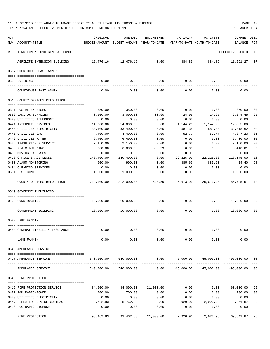| ACT |                                                              | ORIGINAL         | AMENDED                                                             | <b>ENCUMBERED</b> | ACTIVITY                              | ACTIVITY            | <b>CURRENT USED</b>   |              |
|-----|--------------------------------------------------------------|------------------|---------------------------------------------------------------------|-------------------|---------------------------------------|---------------------|-----------------------|--------------|
|     | NUM ACCOUNT-TITLE                                            |                  | BUDGET-AMOUNT BUDGET-AMOUNT YEAR-TO-DATE YEAR-TO-DATE MONTH-TO-DATE |                   |                                       |                     | BALANCE               | $_{\rm PCT}$ |
|     | REPORTING FUND: 0010 GENERAL FUND                            |                  |                                                                     |                   |                                       |                     | EFFECTIVE MONTH - 10  |              |
|     | AGRILIFE EXTENSION BUILDING                                  |                  | 12,476.16 12,476.16                                                 | 0.00              |                                       | 884.89 884.89       | 11,591.27 07          |              |
|     | 0517 COURTHOUSE EAST ANNEX                                   |                  |                                                                     |                   |                                       |                     |                       |              |
|     |                                                              |                  |                                                                     |                   |                                       |                     |                       |              |
|     | 0535 BUILDING                                                | 0.00             | 0.00                                                                | 0.00              |                                       | 0.00<br>0.00        | 0.00                  |              |
|     | COURTHOUSE EAST ANNEX                                        | 0.00             | 0.00                                                                | 0.00              | 0.00                                  | 0.00                | 0.00                  |              |
|     | 0518 COUNTY OFFICES RELOCATION                               |                  |                                                                     |                   |                                       |                     |                       |              |
|     |                                                              |                  |                                                                     |                   |                                       |                     |                       |              |
|     | 0311 POSTAL EXPENSES                                         | 350.00           | 350.00                                                              | 0.00              | 0.00                                  | 0.00                | 350.00                | 00           |
|     | 0332 JANITOR SUPPLIES                                        | 3,000.00         | 3,000.00                                                            | 30.60             | 724.95                                | 724.95              | 2,244.45              | 25           |
|     | 0420 UTILITIES TELEPHONE                                     | 0.00             | 0.00                                                                | 0.00              | 0.00                                  | 0.00                | 0.00                  |              |
|     | 0421 INTERNET SERVICES                                       | 14,000.00        | 14,000.00                                                           | 0.00              | 1,144.20                              | 1,144.20            | 12,855.80             | 08           |
|     | 0440 UTILITIES ELECTRICITY                                   | 33,400.00        | 33,400.00                                                           | 0.00              | 581.38                                | 581.38              | 32,818.62             | 02           |
|     | 0441 UTILITIES GAS                                           | 4,400.00         | 4,400.00                                                            | 0.00              | 52.77                                 | 52.77               | 4,347.23              | 01           |
|     | 0442 UTILITIES WATER                                         | 6,400.00         | 6,400.00                                                            | 0.00              | 0.00                                  | 0.00                | 6,400.00              | 00           |
|     | 0443 TRASH PICKUP SERVICE                                    | 2,150.00         | 2,150.00                                                            | 0.00              | 0.00                                  | 0.00                | 2,150.00              | 00           |
|     | 0450 R & M BUILDING                                          | 6,000.00         | 6,000.00                                                            | 559.99            | 0.00                                  | 0.00                | 5,440.01              | 09           |
|     | 0460 MOVING EXPENSES                                         | 0.00             | 0.00                                                                | 0.00              | 0.00                                  | 0.00                | 0.00                  |              |
|     | 0470 OFFICE SPACE LEASE                                      | 140,400.00       | 140,400.00                                                          | 0.00              | 22,225.00 22,225.00                   |                     | 118,175.00            | 16           |
|     | 0483 ALARM MONITORING                                        | 900.00           | 900.00                                                              | 0.00              | 885.60                                | 885.60              | 14.40                 | 98           |
|     | 0484 CLEANING SERVICES                                       | 0.00             | 0.00                                                                | 0.00              | 0.00                                  | 0.00                | 0.00                  |              |
|     | 0501 PEST CONTROL                                            | 1,000.00         | 1,000.00                                                            | 0.00              | 0.00                                  | 0.00                | 1,000.00              | 00           |
|     | COUNTY OFFICES RELOCATION                                    | 212,000.00       |                                                                     |                   | 212,000.00 590.59 25,613.90 25,613.90 |                     | 185,795.51            | 12           |
|     | 0519 GOVERNMENT BUILDING                                     |                  |                                                                     |                   |                                       |                     |                       |              |
|     |                                                              |                  |                                                                     |                   |                                       |                     |                       |              |
|     | 0165 CONSTRUCTION                                            | 10,000.00        | 10,000.00                                                           | 0.00              | 0.00                                  |                     | $0.00$ $10,000.00$ 00 |              |
|     | GOVERNMENT BUILDING                                          |                  | 10,000.00    10,000.00                                              | 0.00              | 0.00                                  | 0.00                | 10,000.00 00          |              |
|     | 0520 LAKE FANNIN                                             |                  |                                                                     |                   |                                       |                     |                       |              |
|     |                                                              |                  |                                                                     |                   |                                       |                     |                       |              |
|     | 0484 GENERAL LIABILITY INSURANCE                             | 0.00             | 0.00                                                                | 0.00              | 0.00                                  | 0.00                | 0.00                  |              |
|     | LAKE FANNIN                                                  | 0.00             | 0.00                                                                | 0.00              | 0.00                                  | 0.00                | 0.00                  |              |
|     | 0540 AMBULANCE SERVICE                                       |                  |                                                                     |                   |                                       |                     |                       |              |
|     |                                                              |                  |                                                                     |                   |                                       |                     |                       |              |
|     | 0417 AMBULANCE SERVICE                                       | 540,000.00       | 540,000.00                                                          | 0.00              |                                       | 45,000.00 45,000.00 | 495,000.00 08         |              |
|     | AMBULANCE SERVICE                                            | 540,000.00       | 540,000.00                                                          | 0.00              | 45,000.00                             | 45,000.00           | 495,000.00            | 08           |
|     | 0543 FIRE PROTECTION                                         |                  |                                                                     |                   |                                       |                     |                       |              |
|     |                                                              |                  |                                                                     |                   |                                       |                     |                       |              |
|     | 0416 FIRE PROTECTION SERVICE                                 | 84,000.00        | 84,000.00                                                           | 21,000.00         | 0.00                                  | 0.00                | 63,000.00             | 25           |
|     | 0422 R&M RADIO/TOWER                                         | 700.00           | 700.00                                                              | 0.00              | 0.00                                  | 0.00                | 700.00                | 00           |
|     | 0440 UTILITIES ELECTRICITY<br>0447 REPEATER SERVICE CONTRACT | 0.00<br>8,762.83 | 0.00<br>8,762.83                                                    | 0.00<br>0.00      | 0.00<br>2,920.96                      | 0.00<br>2,920.96    | 0.00<br>5,841.87      | 33           |
|     | 0490 FCC RADIO LICENSE                                       | 0.00             | 0.00                                                                | 0.00              | 0.00                                  | 0.00                | 0.00                  |              |
|     |                                                              | ---------        | ----------                                                          |                   |                                       | ---------           | ----------            |              |
|     | FIRE PROTECTION                                              | 93,462.83        | 93,462.83                                                           | 21,000.00         | 2,920.96                              | 2,920.96            | 69,541.87             | 26           |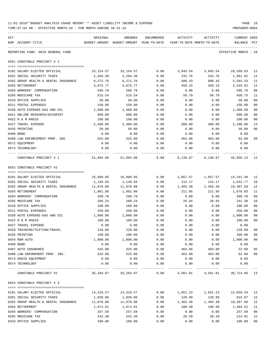| 11-01-2019**BUDGET ANALYSIS USAGE REPORT ** ASSET LIABILITY INCOME & EXPENSE | PAGE 18        |
|------------------------------------------------------------------------------|----------------|
| TIME:07:54 AM - EFFECTIVE MONTH:10 - FOR MONTH ENDING 10-31-19               | PREPARER: 0004 |

| ACT |                                                         | ORIGINAL              | AMENDED                                  | ENCUMBERED   | ACTIVITY                   | ACTIVITY                          | CURRENT USED          |          |
|-----|---------------------------------------------------------|-----------------------|------------------------------------------|--------------|----------------------------|-----------------------------------|-----------------------|----------|
|     | NUM ACCOUNT-TITLE                                       |                       | BUDGET-AMOUNT BUDGET-AMOUNT YEAR-TO-DATE |              | YEAR-TO-DATE MONTH-TO-DATE |                                   | BALANCE               | PCT      |
|     | REPORTING FUND: 0010 GENERAL FUND                       |                       |                                          |              |                            |                                   | EFFECTIVE MONTH - 10  |          |
|     | 0551 CONSTABLE PRECINCT # 1                             |                       |                                          |              |                            |                                   |                       |          |
|     | 0101 SALARY ELECTED OFFICIAL                            | 33,154.57             | 33,154.57                                | 0.00         | 3,945.54                   | 3,945.54                          | 29,209.03 12          |          |
|     | 0201 SOCIAL SECURITY TAXES                              | 2,204.38              | 2,204.38                                 | 0.00         | 242.76                     | 242.76                            | 1,961.62              | 11       |
|     | 0202 GROUP HEALTH & DENTAL INSURANCE                    | 6,272.76              | 6,272.76                                 | 0.00         | 680.43                     | 680.43                            | 5,592.33              | 11       |
|     | 0203 RETIREMENT                                         | 3,875.77              | 3,875.77                                 | 0.00         | 450.15                     | 450.15                            | 3,425.62              | 12       |
|     | 0204 WORKERS' COMPENSATION                              | 596.78                | 596.78                                   | 0.00         | 0.00                       | 0.00                              | 596.78                | 00       |
|     | 0205 MEDICARE TAX                                       | 515.54                | 515.54                                   | 0.00         | 56.79                      | 56.79                             | 458.75                | 11       |
|     | 0310 OFFICE SUPPLIES                                    | 50.00                 | 50.00                                    | 0.00         | 0.00                       | 0.00                              | 50.00                 | 00       |
|     | 0311 POSTAL EXPENSES                                    | 150.00                | 150.00                                   | 0.00         | 0.00                       | 0.00                              | 150.00                | 00       |
|     | 0330 AUTO EXPENSE-GAS AND OIL                           | 1,500.00              | 1,500.00                                 | 0.00         | 0.00                       | 0.00                              | 1,500.00              | 00       |
|     | 0421 ONLINE RESEARCH/ACCURINT                           | 600.00                | 600.00                                   | 0.00         | 0.00                       | 0.00                              | 600.00                | 00       |
|     | 0422 R & M RADIO                                        | 100.00                | 100.00                                   | 0.00         | 0.00                       | 0.00                              | 100.00                | 00       |
|     | 0427 TRAVEL EXPENSE                                     | 2,400.00              | 2,400.00                                 | 0.00         | 300.00                     | 300.00                            | 2,100.00              | 13       |
|     | 0435 PRINTING                                           | 50.00                 | 50.00                                    | 0.00         | 0.00                       | 0.00                              | 50.00                 | 00       |
|     | 0480 BOND                                               | 0.00                  | 0.00                                     | 0.00         | 0.00                       | 0.00                              | 0.00                  |          |
|     | 0488 LAW ENFORCEMENT PROF. INS                          | 525.00                | 525.00                                   | 0.00         | 463.00                     | 463.00                            | 62.00                 | 88       |
|     | 0572 EQUIPMENT                                          | 0.00                  | 0.00                                     | 0.00         | 0.00                       | 0.00                              | 0.00                  |          |
|     | 0574 TECHNOLOGY                                         | 0.00                  | 0.00                                     | 0.00         | 0.00                       | 0.00                              | 0.00                  |          |
|     | CONSTABLE PRECINCT # 1                                  | 51,994.80             | 51,994.80                                | 0.00         |                            | 6, 138.67 6, 138.67 45, 856.13 12 |                       |          |
|     | 0552 CONSTABLE PRECINCT #2                              |                       |                                          |              |                            |                                   |                       |          |
|     |                                                         |                       |                                          |              |                            |                                   |                       |          |
|     | 0101 SALARY ELECTED OFFICIAL                            | 16,099.05             | 16,099.05                                | 0.00         | 1,857.57                   | 1,857.57                          | 14,241.48             | 12       |
|     | 0201 SOCIAL SECURITY TAXES                              | 1,146.94              | 1,146.94                                 | 0.00         | 115.17                     | 115.17                            | 1,031.77              | 10       |
|     | 0202 GROUP HEALTH & DENTAL INSURANCE<br>0203 RETIREMENT | 11,870.88<br>1,881.98 | 11,870.88<br>1,881.98                    | 0.00<br>0.00 | 1,483.38<br>211.95         | 1,483.38<br>211.95                | 10,387.50<br>1,670.03 | 12<br>11 |
|     | 0204 WORKERS' COMPENSATION                              | 289.78                | 289.78                                   | 0.00         | 0.00                       | 0.00                              | 289.78                | 00       |
|     | 0205 MEDICARE TAX                                       | 268.24                | 268.24                                   | 0.00         | 26.94                      | 26.94                             | 241.30                | 10       |
|     | 0310 OFFICE SUPPLIES                                    | 100.00                | 100.00                                   | 0.00         | 0.00                       | 0.00                              | 100.00                | 00       |
|     | 0311 POSTAL EXPENSES                                    | 250.00                | 250.00                                   | 0.00         | 0.00                       | 0.00                              | 250.00                | 00       |
|     | 0330 AUTO EXPENSE-GAS AND OIL                           | 1,000.00              | 1,000.00                                 | 0.00         | 0.00                       | 0.00                              | 1,000.00              | 00       |
|     | 0422 R & M RADIO                                        | 100.00                | 100.00                                   | 0.00         | 0.00                       | 0.00                              | 100.00                | 00       |
|     | 0427 TRAVEL EXPENSE                                     | 0.00                  | 0.00                                     | 0.00         | 0.00                       | 0.00                              | 0.00                  |          |
|     | 0428 TRAINING/TUITION/TRAVEL                            | 228.00                | 228.00                                   | 0.00         | 0.00                       | 0.00                              | 228.00                | 00       |
|     | 0435 PRINTING                                           | 100.00                | 100.00                                   | 0.00         | 0.00                       | 0.00                              | 100.00                | 00       |
|     | 0454 R&M AUTO                                           | 1,000.00              | 1,000.00                                 | 0.00         | 0.00                       | 0.00                              | 1,000.00              | $00\,$   |
|     | 0480 BOND                                               | 0.00                  | 0.00                                     | 0.00         | 0.00                       | 0.00                              | 0.00                  |          |
|     | 0487 AUTO INSURANCE                                     | 425.00                | 425.00                                   | 0.00         | 403.00                     | 403.00                            | 22.00                 | 95       |
|     | 0488 LAW ENFOREMENT PROF. INS.                          | 525.00                | 525.00                                   | 0.00         | 463.00                     | 463.00                            | 62.00                 | 88       |
|     | 0573 RADIO EQUIPMENT                                    | 0.00                  | 0.00                                     | 0.00         | 0.00                       | 0.00                              | 0.00                  |          |
|     | 0574 TECHNOLOGY                                         | 0.00                  | 0.00                                     | 0.00         | 0.00                       | 0.00                              | 0.00                  |          |
|     | CONSTABLE PRECINCT #2                                   | 35,284.87 35,284.87   |                                          | 0.00         |                            | 4,561.01  4,561.01  30,723.86  13 |                       |          |
|     | 0553 CONSTABLE PRECINCT # 3                             |                       |                                          |              |                            |                                   |                       |          |
|     |                                                         |                       |                                          |              |                            |                                   |                       |          |
|     | 0101 SALARY ELECTED OFFICIAL                            | 14,310.57             | 14,310.57                                | 0.00         | 1,651.23                   | 1,651.23                          | 12,659.34 12          |          |
|     | 0201 SOCIAL SECURITY TAXES                              | 1,036.06              | 1,036.06                                 | 0.00         | 120.99                     | 120.99                            | 915.07                | 12       |
|     | 0202 GROUP HEALTH & DENTAL INSURANCE                    | 11,870.88             | 11,870.88                                | 0.00         | 1,483.38                   | 1,483.38                          | 10,387.50             | 12       |
|     | 0203 RETIREMENT                                         | 1,672.91              | 1,672.91                                 | 0.00         | 188.40                     | 188.40                            | 1,484.51              | 11       |
|     | 0204 WORKERS' COMPENSATION                              | 257.59                | 257.59                                   | 0.00         | 0.00                       | 0.00                              | 257.59                | 00       |
|     | 0205 MEDICARE TAX                                       | 242.30                | 242.30                                   | 0.00         | 28.29                      | 28.29                             | 214.01                | 12       |
|     | 0310 OFFICE SUPPLIES                                    | 100.00                | 100.00                                   | 0.00         | 0.00                       | 0.00                              | 100.00                | $00\,$   |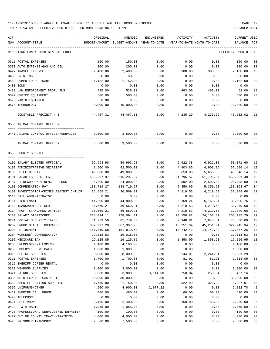TIME:07:54 AM - EFFECTIVE MONTH:10 - FOR MONTH ENDING 10-31-19 PREPARER:0004

## ----------------------------------------------------------------------------------------------------------------------------------- ACT ORIGINAL AMENDED ENCUMBERED ACTIVITY ACTIVITY CURRENT USED NUM ACCOUNT-TITLE BUDGET-AMOUNT BUDGET-AMOUNT YEAR-TO-DATE YEAR-TO-DATE MONTH-TO-DATE BALANCE PCT ----------------------------------------------------------------------------------------------------------------------------------- REPORTING FUND: 0010 GENERAL FUND EFFECTIVE MONTH - 10 0311 POSTAL EXPENSES 150.00 150.00 0.00 0.00 0.00 150.00 00 0330 AUTO EXPENSE-GAS AND OIL 200.00 200.00 0.00 0.00 0.00 200.00 00 0427 TRAVEL EXPENSE 2,400.00 2,400.00 0.00 300.00 300.00 2,100.00 13 0435 PRINTING 50.00 50.00 0.00 0.00 0.00 50.00 00 0453 COMPUTER SOFTWARE  $1,152.00$   $1,152.00$   $0.00$  0.00 0.00 0.00  $1,152.00$  00 0480 BOND 0.00 0.00 0.00 0.00 0.00 0.00 0488 LAW ENFORCEMENT PROF. INS 525.00 525.00 0.00 463.00 463.00 62.00 88 0572 OFFICE EQUIPMENT 500.00 500.00 0.00 0.00 0.00 500.00 00 0573 RADIO EQUIPMENT 0.00 0.00 0.00 0.00 0.00 0.00 0574 TECHNOLOGY 10,000.00 10,000.00 0.00 0.00 0.00 10,000.00 00 ---- ---------------------------------- ------------- ------------- ------------ ------------- ------------ ------------- --- CONSTABLE PRECINCT # 3 44,467.31 44,467.31 0.00 4,235.29 4,235.29 40,232.02 10 0555 ANIMAL CONTROL OFFICER ==== =================================== 0441 ANIMAL CONTROL OFFICER/SERVICES 3,500.00 3,500.00 0.00 0.00 0.00 3,500.00 00 ---- ---------------------------------- ------------- ------------- ------------ ------------- ------------ ------------- --- ANIMAL CONTROL OFFICER 3,500.00 3,500.00 0.00 0.00 0.00 3,500.00 00 0560 COUNTY SHERIFF ==== =================================== 0101 SALARY ELECTED OFFICIAL 59,993.98 59,993.98 0.00 6,922.38 6,922.38 53,071.60 12 0102 ADMINISTRATIVE SECRETARY  $42.500.00$   $42.500.00$  0.00  $4.903.86$   $4.903.86$  37.596.14 12 0103 CHIEF DEPUTY 49,000.00 49,000.00 0.00 5,653.86 5,653.86 43,346.14 12 0104 SALARIES DEPUTIES 615,297.97 615,297.97 0.00 61,796.57 61,796.57 553,501.40 10 0107 PT RECORDS/EVIDENCE CLERKS 24,000.00 24,000.00 0.00 2,592.00 2,592.00 21,408.00 11 0108 COMPENSATION PAY 138,719.27 138,719.27 0.00 5,350.60 5,350.60 133,368.67 04 0109 INVESTIGATOR-CRIMES AGAINST CHILDR 36,569.21 36,569.21 0.00 4,219.53 4,219.53 32,349.68 12 0110 JAIL ADMINISTRATOR 0.00 0.00 0.00 0.00 0.00 0.00 0111 LIEUTENANT 44,800.00 44,800.00 0.00 5,169.24 5,169.24 39,630.76 12 0113 TRANSPORT OFFICER 36,569.21 36,569.21 0.00 4,219.53 4,219.53 32,349.68 12 0114 PROF. STANDARDS OFFICER 36,569.21 36,569.21 0.00 4,219.53 4,219.53 32,349.68 12 0120 SALARY DISPATCHER 278,094.11 278,094.11 0.00 24,158.82 24,158.82 253,935.29 09 0201 SOCIAL SECURITY TAXES 81,779.50 81,779.50 0.00 7,948.81 7,948.81 73,830.69 10 0202 GROUP HEALTH INSURANCE 367,997.28 367,997.28 0.00 45,251.94 45,251.94 322,745.34 12 0203 RETIREMENT 151,819.68 151,819.68 0.00 14,742.42 14,742.42 137,077.26 10 0204 WORKERS' COMPENSATION 29,018.53 29,018.53 0.00 0.00 0.00 29,018.53 00 0205 MEDICARE TAX 19,125.85 19,125.85 0.00 1,858.90 1,858.90 17,266.95 10 0206 UNEMPLOYMENT EXPENSE 4,100.00 4,100.00 0.00 0.00 0.00 4,100.00 00 0250 EMPLOYEE PHYSICALS 1,000.00 1,000.00 0.00 0.00 0.00 1,000.00 00 0310 OFFICE SUPPLIES 6 0000 00 8,000.00 8,000.00 194.70 2,244.01 2,244.01 5.561.29 30 0311 POSTAL EXPENSES 1,700.00 1,700.00 0.00 81.91 81.91 1,618.09 05 0315 SHERIFF COPIER RENTAL  $0.00$  0.00 0.00 0.00 0.00 0.00 0.00 0320 WEAPONS SUPPLIES 3,000.00 3,000.00 0.00 0.00 0.00 3,000.00 00 0321 PATROL SUPPLIES 689 100 3,800.00 3,800.00 3,800.00 3,114.00 258.84 258.84 27.16 89 0330 AUTO EXPENSE GAS & OIL 80,000.00 80,000.00 0.00 0.00 0.00 80,000.00 00 0332 SHERIFF JANITOR SUPPLIES  $1,750.00$   $1,750.00$   $0.00$   $322.99$   $322.99$   $1,427.01$  18 0395 UNIFORMS/OTHER 4,900.00 4,900.00 4,900.00 2,077.22 0.00 0.00 2,822.78 42 0419 SHERIFF CELL PHONE 480.00 480.00 0.00 60.00 60.00 420.00 13 0420 TELEPHONE 0.00 0.00 0.00 0.00 0.00 0.00 0421 CELL PHONE 2,400.00 2,400.00 0.00 150.00 150.00 2,250.00 06 0422 R & M RADIO 1,055.00 1,055.00 0.00 0.00 0.00 1,055.00 00 0425 PROFESSIONAL SERVICES/INTERPRETER 100.00 100.00 0.00 0.00 0.00 100.00 00 0427 OUT OF COUNTY TRAVEL/TRAINING  $4,000.00$   $4,000.00$  0.00 0.00 0.00  $4,000.00$  00

0428 PRISONER TRANSPORT 7,500.00 7,500.00 0.00 0.00 0.00 7,500.00 00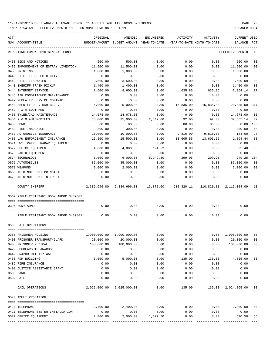| ACT | NUM ACCOUNT-TITLE                       | ORIGINAL<br>BUDGET-AMOUNT | AMENDED<br>BUDGET-AMOUNT YEAR-TO-DATE | ENCUMBERED        | ACTIVITY<br>YEAR-TO-DATE MONTH-TO-DATE         | ACTIVITY      | CURRENT USED<br>BALANCE    | PCT            |
|-----|-----------------------------------------|---------------------------|---------------------------------------|-------------------|------------------------------------------------|---------------|----------------------------|----------------|
|     |                                         |                           |                                       |                   |                                                |               |                            |                |
|     | REPORTING FUND: 0010 GENERAL FUND       |                           |                                       |                   |                                                |               | EFFECTIVE MONTH            | - 10           |
|     | 0430 BIDS AND NOTICES                   | 500.00                    | 500.00                                | 0.00              | 0.00                                           | 0.00          | 500.00                     | 00             |
|     | 0432 IMPOUNDMENT OF ESTRAY LIVESTOCK    | 11,500.00                 | 11,500.00                             | 0.00              | 0.00                                           | 0.00          | 11,500.00                  | 00             |
|     | 0435 PRINTING                           | 1,000.00                  | 1,000.00                              | 0.00              | 0.00                                           | 0.00          | 1,000.00                   | 00             |
|     | 0440 UTILITIES ELECTRICITY              | 0.00                      | 0.00                                  | 0.00              | 0.00                                           | 0.00          | 0.00                       |                |
|     | 0442 UTILITIES WATER                    | 3,500.00                  | 3,500.00                              | 0.00              | 0.00                                           | 0.00          | 3,500.00                   | 00             |
|     | 0443 SHERIFF TRASH PICKUP               | 1,400.00                  | 1,400.00                              | 0.00              | 0.00                                           | 0.00          | 1,400.00                   | 00             |
|     | 0444 INTERNET SERVICE                   | 8,600.00                  | 8,600.00                              | 0.00              | 635.86                                         | 635.86        | 7,964.14                   | 07             |
|     | 0445 AIR CONDITIONER MAINTENANCE        | 0.00                      | 0.00                                  | 0.00              | 0.00                                           | 0.00          | 0.00                       |                |
|     | 0447 REPEATER SERVICE CONTRACT          | 0.00                      | 0.00                                  | 0.00              | 0.00                                           | 0.00          | 0.00                       |                |
|     | 0450 SHERIFF OFF. R&M BLDG.             | 5,000.00                  | 5,000.00                              | 0.00              | $15,835.00 -$                                  | $15,835.00 -$ | 20,835.00                  | 317            |
|     | 0452 R & M EQUIPMENT                    | 0.00                      | 0.00                                  | 0.00              | 0.00                                           | 0.00          | 0.00                       |                |
|     | 0453 TYLER/CAD MAINTENANCE              | 14,678.00                 | 14,678.00                             | 0.00              | 0.00                                           | 0.00          | 14,678.00                  | 00             |
|     | 0454 R & M AUTOMOBILES                  | 35,000.00                 | 35,000.00                             | 2,342.86          | 92.00                                          | 92.00         | 32,565.14                  | 07             |
|     | 0480 BOND                               | 80.00                     | 80.00                                 | 0.00              | 80.00                                          | 80.00         | 0.00                       | 100            |
|     | 0482 FIRE INSURANCE                     | 300.00                    | 300.00                                | 0.00              | 0.00                                           | 0.00          | 300.00                     | 0 <sub>0</sub> |
|     | 0487 AUTOMOBILE INSURANCE               | 10,000.00                 | 10,000.00                             | 0.00              | 9,816.00                                       | 9,816.00      | 184.00                     | 98             |
|     | 0488 LAW ENFORCEMENT INSURANCE          | 15,500.00                 | 15,500.00                             | 0.00              | 13,605.56                                      | 13,605.56     | 1,894.44                   | 88             |
|     | 0571 HWY. PATROL RADAR EQUIPMENT        | 0.00                      | 0.00                                  | 0.00              | 0.00                                           | 0.00          | 0.00                       |                |
|     | 0572 OFFICE EQUIPMENT                   | 4,000.00                  | 4,000.00                              | 194.52            | 0.00                                           | 0.00          | 3,805.48                   | 05             |
|     | 0573 RADIO EQUIPMENT                    | 0.00                      | 0.00                                  | 0.00              | 0.00                                           | 0.00          | 0.00                       |                |
|     | 0574 TECHNOLOGY                         | 6,000.00                  | 6,000.00                              | 5,949.30          | 299.95                                         | 299.95        | 249.25- 104                |                |
|     | 0575 AUTOMOBILES                        | 85,000.00                 | 85,000.00                             | 0.00              | 0.00                                           | 0.00          | 85,000.00                  | 00             |
|     | 0579 WEAPONS                            | 2,000.00                  | 2,000.00                              | 0.00              | 0.00                                           | 0.00          | 2,000.00                   | 00             |
|     | 0630 AUTO NOTE PMT-PRINCIPAL            | 0.00                      | 0.00                                  | 0.00              | 0.00                                           | 0.00          | 0.00                       |                |
|     | 0670 AUTO NOTE PMT-INTEREST             | 0.00                      | 0.00                                  | 0.00              | 0.00                                           | 0.00          | 0.00                       |                |
|     | COUNTY SHERIFF                          |                           |                                       |                   | 2,339,696.80 2,339,696.80 13,872.60 210,820.11 |               | 210,820.11 2,115,004.09 10 |                |
|     | 0562 RIFLE RESISTANT BODY ARMOR 3439801 |                           |                                       |                   |                                                |               |                            |                |
|     | 0396 BODY ARMOR                         | 0.00                      | 0.00                                  | 0.00              | 0.00                                           | 0.00          | 0.00                       |                |
|     | RIFLE RESISTANT BODY ARMOR 3439801      | 0.00                      | 0.00                                  | 0.00              | 0.00                                           | 0.00          | 0.00                       |                |
|     | 0565 JAIL OPERATIONS                    |                           |                                       |                   |                                                |               |                            |                |
|     |                                         |                           |                                       |                   |                                                |               |                            |                |
|     | 0380 PRISONER HOUSING                   |                           | 1,900,000.00 1,900,000.00             | 0.00              | 0.00                                           |               | 0.00 1,900,000.00          | 00             |
|     | 0400 PRISONER TRANSPORT/GUARD           | 20,000.00                 | 20,000.00                             | 0.00              | 0.00                                           | 0.00          | 20,000.00                  | 00             |
|     | 0405 PRISONER MEDICAL                   | 100,000.00                | 100,000.00                            | 0.00              | 0.00                                           | 0.00          | 100,000.00                 | 00             |
|     | 0429 SCHOLARSHIP AWARDS                 | 0.00                      | 0.00                                  | 0.00              | 0.00                                           | 0.00          | 0.00                       |                |
|     | 0442 CR4200 UTILITY WATER               | 0.00                      | 0.00                                  | 0.00              | 0.00                                           | 0.00          | 0.00                       |                |
|     | 0450 R&M BUILDING                       | 5,000.00                  | 5,000.00                              | 0.00              | 135.00                                         | 135.00        | 4,865.00                   | 03             |
|     | 0482 FIRE INSURANCE                     | 0.00                      | 0.00                                  | 0.00              | 0.00                                           | 0.00          | 0.00                       |                |
|     | 0491 JUSTICE ASSISTANCE GRANT           | 0.00                      | 0.00                                  | 0.00              | 0.00                                           | 0.00          | 0.00                       |                |
|     | 0500 LAND                               | 0.00                      | 0.00                                  | 0.00              | 0.00                                           | 0.00          | 0.00                       |                |
|     | 0532 JAIL                               | 0.00                      | 0.00                                  | 0.00<br>--------- | 0.00                                           | 0.00          | 0.00                       |                |
|     | JAIL OPERATIONS                         |                           | 2,025,000.00 2,025,000.00             | 0.00              | 135.00                                         |               | 135.00 2,024,865.00 00     |                |
|     | 0570 ADULT PROBATION                    |                           |                                       |                   |                                                |               |                            |                |
|     | 0420 TELEPHONE                          | 2,400.00                  | 2,400.00                              | 0.00              | 0.00                                           | 0.00          | 2,400.00 00                |                |
|     | 0421 TELEPHONE SYSTEM INSTALLATION      | 0.00                      | 0.00                                  | 0.00              | 0.00                                           | 0.00          | 0.00                       |                |
|     | 0572 OFFICE EQUIPMENT                   | 2,000.00                  | 2,000.00                              | 1,329.50          | 0.00                                           | 0.00          | 670.50                     | 66             |
|     |                                         |                           |                                       |                   |                                                |               |                            |                |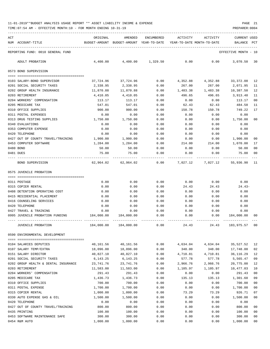TIME:07:54 AM - EFFECTIVE MONTH:10 - FOR MONTH ENDING 10-31-19 PREPARER:0004

| ACT |                                                      | ORIGINAL                                 | AMENDED              | ENCUMBERED   | ACTIVITY                   | ACTIVITY                       | <b>CURRENT USED</b>  |                |
|-----|------------------------------------------------------|------------------------------------------|----------------------|--------------|----------------------------|--------------------------------|----------------------|----------------|
|     | NUM ACCOUNT-TITLE                                    | BUDGET-AMOUNT BUDGET-AMOUNT YEAR-TO-DATE |                      |              | YEAR-TO-DATE MONTH-TO-DATE |                                | BALANCE              | PCT            |
|     | REPORTING FUND: 0010 GENERAL FUND                    |                                          |                      |              |                            |                                | EFFECTIVE MONTH - 10 |                |
|     | ADULT PROBATION                                      | 4,400.00                                 | 4,400.00             | 1,329.50     | 0.00                       | 0.00                           | 3,070.50             | 30             |
|     | 0573 BOND SUPERVISION                                |                                          |                      |              |                            |                                |                      |                |
|     | 0103 SALARY-BOND SUPERVISOR                          | 37,724.96                                | 37,724.96            | 0.00         | 4,352.88                   | 4,352.88                       | 33,372.08            | - 12           |
|     | 0201 SOCIAL SECURITY TAXES                           | 2,338.95                                 | 2,338.95             | 0.00         | 267.00                     | 267.00                         | 2,071.95             | 11             |
|     | 0202 GROUP HEALTH INSURANCE                          | 11,870.88                                | 11,870.88            | 0.00         | 1,483.38                   | 1,483.38                       | 10,387.50            | 12             |
|     | 0203 RETIREMENT                                      | 4,410.05                                 | 4,410.05             | 0.00         | 496.65                     | 496.65                         | 3,913.40             | 11             |
|     | 0204 WORKERS' COMPENSATION                           | 113.17                                   | 113.17               | 0.00         | 0.00                       | 0.00                           | 113.17               | 00             |
|     | 0205 MEDICARE TAX                                    | 547.01                                   | 547.01               | 0.00         | 62.43                      | 62.43                          | 484.58               | 11             |
|     | 0310 OFFICE SUPPLIES                                 | 900.00                                   | 900.00               | 0.00         | 150.78                     | 150.78                         | 749.22               | 17             |
|     | 0311 POSTAL EXPENSES                                 | 0.00                                     | 0.00                 | 0.00         | 0.00                       | 0.00                           | 0.00                 |                |
|     | 0313 DRUG TESTING SUPPLIES                           | 1,750.00                                 | 1,750.00             | 0.00         | 0.00                       | 0.00                           | 1,750.00             | 00             |
|     | 0340 EVALUATIONS                                     | 0.00                                     | 0.00                 | 0.00         | 0.00                       | 0.00                           | 0.00                 |                |
|     | 0353 COMPUTER EXPENSE                                | 0.00                                     | 0.00                 | 0.00         | 0.00                       | 0.00                           | 0.00                 |                |
|     | 0420 TELEPHONE<br>0427 OUT OF COUNTY TRAVEL/TRAINING | 0.00                                     | 0.00                 | 0.00         | 0.00                       | 0.00                           | 0.00                 | 00             |
|     | 0453 COMPUTER SOFTWARE                               | 1,900.00<br>1,284.00                     | 1,900.00<br>1,284.00 | 0.00<br>0.00 | 0.00<br>214.00             | 0.00<br>214.00                 | 1,900.00<br>1,070.00 | 17             |
|     | 0480 BOND                                            | 50.00                                    | 50.00                | 0.00         | 0.00                       | 0.00                           | 50.00                | 00             |
|     | 0481 DUES                                            | 75.00                                    | 75.00                | 0.00         | 0.00                       | 0.00                           | 75.00                | 00             |
|     | BOND SUPERVISION                                     |                                          | 62,964.02 62,964.02  | 0.00         |                            | 7,027.12 7,027.12 55,936.90 11 |                      |                |
|     |                                                      |                                          |                      |              |                            |                                |                      |                |
|     | 0575 JUVENILE PROBATION                              |                                          |                      |              |                            |                                |                      |                |
|     |                                                      |                                          |                      |              |                            |                                |                      |                |
|     | 0311 POSTAGE<br>0315 COPIER RENTAL                   | 0.00                                     | 0.00                 | 0.00         | 0.00                       | 0.00                           | 0.00<br>$24.43-$     |                |
|     | 0408 DETENTION OPERATING COST                        | 0.00<br>0.00                             | 0.00<br>0.00         | 0.00<br>0.00 | 24.43<br>0.00              | 24.43<br>0.00                  | 0.00                 |                |
|     | 0415 RESIDENTIAL PLACEMENT                           | 0.00                                     | 0.00                 | 0.00         | 0.00                       | 0.00                           | 0.00                 |                |
|     | 0416 COUNSELING SERVICES                             | 0.00                                     | 0.00                 | 0.00         | 0.00                       | 0.00                           | 0.00                 |                |
|     | 0420 TELEPHONE                                       | 0.00                                     | 0.00                 | 0.00         | 0.00                       | 0.00                           | 0.00                 |                |
|     | 0427 TRAVEL & TRAINING                               | 0.00                                     | 0.00                 | 0.00         | 0.00                       | 0.00                           | 0.00                 |                |
|     | 0995 JUVENILE PROBATION FUNDING                      | 184,000.00                               | 184,000.00           | 0.00         | 0.00                       | 0.00                           | 184,000.00           | -00            |
|     | JUVENILE PROBATION                                   | 184,000.00                               | 184,000.00           | 0.00         | 24.43                      | 24.43                          | 183,975.57           | 00             |
|     | 0590 ENVIRONMENTAL DEVELOPMENT                       |                                          |                      |              |                            |                                |                      |                |
|     | 0104 SALARIES DEPUTIES                               | 40,161.56                                | 40,161.56            | 0.00         | 4,634.04                   | 4,634.04                       | 35,527.52            | 12             |
|     | 0107 SALARY TEMP/EXTRA                               | 18,096.00                                | 18,096.00            | 0.00         | 348.00                     | 348.00                         | 17,748.00            | 02             |
|     | 0151 SALARY DIRECTOR                                 | 40,827.10                                | 40,827.10            | 0.00         | 4,710.81                   | 4,710.81                       | 36,116.29            | 12             |
|     | 0201 SOCIAL SECURITY TAXES                           | 6,143.25                                 | 6,143.25             | 0.00         | 577.78                     | 577.78                         | 5,565.47             | 09             |
|     | 0202 GROUP HEALTH & DENTAL INSURANCE                 | 23,741.76                                | 23,741.76            | 0.00         | 2,966.76                   | 2,966.76                       | 20,775.00            | 12             |
|     | 0203 RETIREMENT                                      | 11,583.00                                | 11,583.00            | 0.00         | 1,105.97                   | 1,105.97                       | 10,477.03            | 10             |
|     | 0204 WORKERS' COMPENSATION                           | 291.43                                   | 291.43               | 0.00         | 0.00                       | 0.00                           | 291.43               | 0 <sub>0</sub> |
|     | 0205 MEDICARE TAX                                    | 1,436.73                                 | 1,436.73             | 0.00         | 135.13                     | 135.13                         | 1,301.60             | 09             |
|     | 0310 OFFICE SUPPLIES                                 | 700.00                                   | 700.00               | 0.00         | 0.00                       | 0.00                           | 700.00               | 0 <sub>0</sub> |
|     | 0311 POSTAL EXPENSE                                  | 1,700.00                                 | 1,700.00             | 0.00         | 0.00                       | 0.00                           | 1,700.00             | 00             |
|     | 0315 COPIER RENTAL                                   | 1,000.00                                 | 1,000.00             | 0.00         | 73.29                      | 73.29                          | 926.71               | 07             |
|     | 0330 AUTO EXPENSE GAS & OIL                          | 1,500.00                                 | 1,500.00             | 0.00         | 0.00                       | 0.00                           | 1,500.00             | 0 <sub>0</sub> |
|     | 0420 TELEPHONE                                       | 0.00                                     | 0.00                 | 0.00         | 0.00                       | 0.00                           | 0.00                 |                |
|     | 0427 OUT OF COUNTY TRAVEL/TRAINING                   | 800.00                                   | 800.00               | 0.00         | 0.00                       | 0.00                           | 800.00               | 00             |
|     | 0435 PRINTING                                        | 100.00                                   | 100.00               | 0.00         | 0.00                       | 0.00                           | 100.00               | 00             |
|     | 0453 SOFTWARE MAINTENANCE SAFE                       | 300.00                                   | 300.00               | 0.00         | 0.00                       | 0.00                           | 300.00               | 00             |

0454 R&M AUTO 1,000.00 1,000.00 0.00 0.00 0.00 1,000.00 00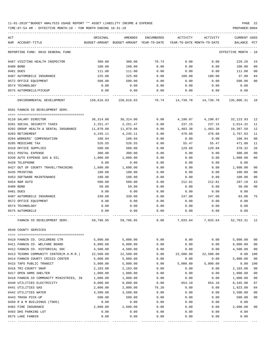TIME:07:54 AM - EFFECTIVE MONTH:10 - FOR MONTH ENDING 10-31-19 PREPARER:0004

| ACT<br>NUM ACCOUNT-TITLE                                                             | ORIGINAL  | AMENDED<br>BUDGET-AMOUNT BUDGET-AMOUNT YEAR-TO-DATE YEAR-TO-DATE MONTH-TO-DATE | ENCUMBERED | ACTIVITY  | ACTIVITY          | <b>CURRENT USED</b><br>BALANCE PCT |                |
|--------------------------------------------------------------------------------------|-----------|--------------------------------------------------------------------------------|------------|-----------|-------------------|------------------------------------|----------------|
|                                                                                      |           |                                                                                |            |           |                   |                                    |                |
| REPORTING FUND: 0010 GENERAL FUND                                                    |           |                                                                                |            |           |                   | EFFECTIVE MONTH - 10               |                |
| 0467 VISITING HEALTH INSPECTOR                                                       | 300.00    | 300.00                                                                         | 70.74      | 0.00      | 0.00              | 229.26                             | 24             |
| 0480 BOND                                                                            | 100.00    | 100.00                                                                         | 0.00       | 0.00      | 0.00              | 100.00                             | 00             |
| 0481 DUES                                                                            | 111.00    | 111.00                                                                         | 0.00       | 0.00      | 0.00              | 111.00                             | 0 <sub>0</sub> |
| 0487 AUTOMOBILE INSURANCE                                                            | 225.00    | 225.00                                                                         | 0.00       | 188.00    | 188.00            | 37.00                              | 84             |
| 0572 OFFICE EQUIPMENT                                                                | 500.00    | 500.00                                                                         | 0.00       | 0.00      | 0.00              | 500.00                             | 0 <sup>0</sup> |
| 0574 TECHNOLOGY                                                                      | 0.00      | 0.00                                                                           | 0.00       | 0.00      | 0.00              | 0.00                               |                |
| 0575 AUTOMOBILE/PICKUP                                                               | 0.00      | 0.00                                                                           | 0.00       | 0.00      | 0.00              | 0.00                               |                |
| ENVIRONMENTAL DEVELOPMENT 150,616.83 150,616.83 70.74 14,739.78 14,739.78 135,806.31 |           |                                                                                |            |           |                   |                                    | 10             |
| 0591 FANNIN CO DEVELOPMENT SERV.                                                     |           |                                                                                |            |           |                   |                                    |                |
| 0110 SALARY DIRECTOR                                                                 | 36,314.00 | 36,314.00                                                                      | 0.00       | 4,190.07  | 4,190.07          | 32,123.93                          | 12             |
| 0201 SOCIAL SECURITY TAXES                                                           | 2,251.47  | 2,251.47                                                                       | 0.00       | 237.15    | 237.15            | 2,014.32                           | 11             |
| 0202 GROUP HEALTH & DENTAL INSURANCE                                                 | 11,870.88 | 11,870.88                                                                      | 0.00       | 1,483.38  | 1,483.38          | 10,387.50                          | 12             |
| 0203 RETIREMENT                                                                      | 4,245.11  | 4,245.11                                                                       | 0.00       | 478.08    | 478.08            | 3,767.03                           | 11             |
| 0204 WORKERS' COMPENSATION                                                           | 108.94    | 108.94                                                                         | 0.00       | 0.00      | 0.00              | 108.94                             | 0 <sub>0</sub> |
| 0205 MEDICARE TAX                                                                    | 526.55    | 526.55                                                                         | 0.00       | 55.47     | 55.47             | 471.08                             | 11             |
| 0310 OFFICE SUPPLIES                                                                 | 500.00    | 500.00                                                                         | 0.00       | 129.68    | 129.68            | 370.32                             | 26             |
| 0311 POSTAL EXPENSE                                                                  | 300.00    | 300.00                                                                         | 0.00       | 0.00      | 0.00              | 300.00                             | 0 <sup>0</sup> |
| 0330 AUTO EXPENSE GAS & OIL                                                          | 1,000.00  | 1,000.00                                                                       | 0.00       | 0.00      | 0.00              | 1,000.00                           | 0 <sup>0</sup> |
| 0420 TELEPHONE                                                                       | 0.00      | 0.00                                                                           | 0.00       | 0.00      | 0.00              | 0.00                               |                |
| 0427 OUT OF COUNTY TRAVEL/TRAINING                                                   | 1,600.00  | 1,600.00                                                                       | 0.00       | 0.00      | 0.00              | 1,600.00                           | 0 <sub>0</sub> |
| 0435 PRINTING                                                                        | 100.00    | 100.00                                                                         | 0.00       | 0.00      | 0.00              | 100.00                             | 00             |
| 0453 SOFTWARE MAINTENANCE                                                            | 100.00    | 100.00                                                                         | 0.00       | 0.00      | 0.00              | 100.00                             | 0 <sub>0</sub> |
| 0454 R&M AUTO                                                                        | 500.00    | 500.00                                                                         | 0.00       | 212.81    | 212.81            | 287.19                             | 43             |
| 0480 BOND                                                                            | 50.00     | 50.00                                                                          | 0.00       | 0.00      | 0.00              | 50.00                              | 0 <sup>0</sup> |
| 0481 DUES                                                                            | 0.00      | 0.00                                                                           | 0.00       | 0.00      | 0.00              | 0.00                               |                |
| 0487 AUTOMOBILE INSURANCE                                                            | 330.00    | 330.00                                                                         | 0.00       | 247.00    | 247.00            | 83.00                              | 75             |
| 0572 OFFICE EQUIPMENT                                                                | 0.00      | 0.00                                                                           | 0.00       | 0.00      | 0.00              | 0.00                               |                |
| 0574 TECHNOLOGY                                                                      | 0.00      | 0.00                                                                           | 0.00       | 0.00      | 0.00              | 0.00                               |                |
| 0575 AUTOMOBILE                                                                      | 0.00      | 0.00                                                                           | 0.00       | 0.00      | 0.00              | 0.00                               |                |
| FANNIN CO DEVELOPMENT SERV.                                                          | 59,796.95 | 59,796.95                                                                      | 0.00       |           | 7,033.64 7,033.64 | 52,763.31                          | - 12           |
| 0640 COUNTY SERVICES                                                                 |           |                                                                                |            |           |                   |                                    |                |
| 0410 FANNIN CO. CHILDRENS CTR                                                        | 5,000.00  | 5,000.00                                                                       | 0.00       | 0.00      | 0.00              | 5,000.00                           | 0 <sub>0</sub> |
| 0411 FANNIN CO. WELFARE BOARD                                                        | 6,000.00  | 6,000.00                                                                       | 0.00       | 0.00      | 0.00              | 6,000.00                           | 0 <sub>0</sub> |
| 0412 FANNIN CO. HISTORICAL SOC                                                       | 4,500.00  | 4,500.00                                                                       | 0.00       | 0.00      | 0.00              | 4,500.00                           | 00             |
| 0413 TEXOMA COMMUNITY CENTER(M.H.M.R.)                                               | 22,500.00 | 22,500.00                                                                      | 0.00       | 22,500.00 | 22,500.00         | 0.00                               | 100            |
| 0414 FANNIN COUNTY CRISIS CENTER                                                     | 5,000.00  | 5,000.00                                                                       | 0.00       | 0.00      | 0.00              | 5,000.00                           | 0 <sub>0</sub> |
| 0415 TAPS PUBLIC TRANSIT                                                             | 5,000.00  | 5,000.00                                                                       | 0.00       | 5,000.00  | 5,000.00          | 0.00                               | 100            |
| 0416 TRI-COUNTY SNAP                                                                 | 2,103.00  | 2,103.00                                                                       | 0.00       | 0.00      | 0.00              | 2,103.00                           | 0 <sub>0</sub> |
| 0417 OPEN ARMS SHELTER                                                               | 1,000.00  | 1,000.00                                                                       | 0.00       | 0.00      | 0.00              | 1,000.00                           | 0 <sub>0</sub> |
| 0418 FANNIN CO COMMUNITY MINISTRIES, IN                                              | 1,000.00  | 1,000.00                                                                       | 0.00       | 0.00      | 0.00              | 1,000.00                           | 00             |
| 0440 UTILITIES ELECTRICITY                                                           | 9,000.00  | 9,000.00                                                                       | 0.00       | 654.10    | 654.10            | 8,345.90                           | 07             |
| 0441 UTILITIES GAS                                                                   | 2,000.00  | 2,000.00                                                                       | 76.20      | 0.00      | 0.00              | 1,923.80                           | 04             |
| 0442 UTILITIES WATER                                                                 | 3,500.00  | 3,500.00                                                                       | 0.00       | 0.00      | 0.00              | 3,500.00                           | 00             |
| 0443 TRASH PICK-UP                                                                   | 500.00    | 500.00                                                                         | 0.00       | 0.00      | 0.00              | 500.00                             | 0 <sub>0</sub> |
| 0450 R & M BUILDINGS (TDHS)                                                          | 0.00      | 0.00                                                                           | 0.00       | 0.00      | 0.00              | 0.00                               |                |
| 0482 FIRE INSURANCE                                                                  | 2,600.00  | 2,600.00                                                                       | 0.00       | 0.00      | 0.00              | 2,600.00                           | 00             |
| 0493 DHS PARKING LOT                                                                 | 0.00      | 0.00                                                                           | 0.00       | 0.00      | 0.00              | 0.00                               |                |
| 0575 LAKE FANNIN                                                                     | 0.00      | 0.00                                                                           | 0.00       | 0.00      | 0.00              | 0.00                               |                |

---- ---------------------------------- ------------- ------------- ------------ ------------- ------------ ------------- ---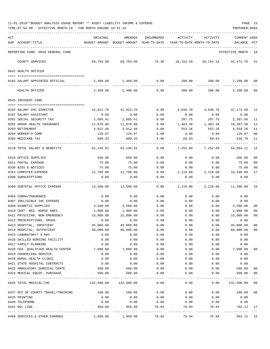| ACT |                                    | ORIGINAL                                                | AMENDED                                  | ENCUMBERED | ACTIVITY                   | ACTIVITY           | <b>CURRENT USED</b>  |     |
|-----|------------------------------------|---------------------------------------------------------|------------------------------------------|------------|----------------------------|--------------------|----------------------|-----|
|     | NUM ACCOUNT-TITLE                  |                                                         | BUDGET-AMOUNT BUDGET-AMOUNT YEAR-TO-DATE |            | YEAR-TO-DATE MONTH-TO-DATE |                    | BALANCE              | PCT |
|     | REPORTING FUND: 0010 GENERAL FUND  |                                                         |                                          |            |                            |                    | EFFECTIVE MONTH - 10 |     |
|     | COUNTY SERVICES                    | 69,703.00                                               | 69,703.00                                | 76.20      | 28,154.10                  | 28,154.10          | 41,472.70 41         |     |
|     | 0641 HEALTH OFFICER                |                                                         |                                          |            |                            |                    |                      |     |
|     | 0102 SALARY APPOINTED OFFICIAL     | 2,400.00                                                | 2,400.00                                 | 0.00       |                            | 200.00             | 200.00 2,200.00      | 08  |
|     | HEALTH OFFICER                     | 2,400.00                                                | 2,400.00                                 | 0.00       | 200.00                     | 200.00             | 2,200.00             | 08  |
|     | 0645 INDIGENT CARE                 |                                                         |                                          |            |                            |                    |                      |     |
|     | 0102 SALARY IHC DIRECTOR           | 42,022.76                                               | 42,022.76                                | 0.00       | 4,848.78                   | 4,848.78           | 37,173.98            | 12  |
|     | 0107 SALARY ASSISTANT              | 0.00                                                    | 0.00                                     | 0.00       |                            |                    |                      |     |
|     | 0201 SOCIAL SECURITY TAX           | 2,605.41                                                | 2,605.41                                 | 0.00       | 0.00<br>297.75             | 0.00<br>297.75     | 0.00<br>2,307.66     | 11  |
|     | 0202 GROUP HEALTH INSURANCE        |                                                         | 11,870.88                                | 0.00       | 1,483.38                   | 1,483.38           | 10,387.50            | 12  |
|     |                                    | 11,870.88                                               |                                          |            |                            |                    |                      |     |
|     | 0203 RETIREMENT                    | 4,912.46                                                | 4,912.46                                 | 0.00       | 553.26                     | 553.26             | 4,359.20             | 11  |
|     | 0204 WORKER'S COMP                 | 126.07                                                  | 126.07                                   | 0.00       | 0.00                       | 0.00               | 126.07               | 00  |
|     | 0205 MEDICARE TAX                  | 609.33                                                  | 609.33                                   | 0.00       | 69.63                      | 69.63<br>--------- | 539.70<br>---------- | 11  |
|     | 0210 TOTAL SALARY & BENEFITS       | 62,146.91                                               | 62,146.91                                | 0.00       | 7,252.80                   | 7,252.80           | 54,894.11            | 12  |
|     | 0310 OFFICE SUPPLIES               | 650.00                                                  | 650.00                                   | 0.00       | 0.00                       | 0.00               | 650.00               | 00  |
|     | 0311 POSTAL EXPENSE                | 75.00                                                   | 75.00                                    | 0.00       | 0.00                       | 0.00               | 75.00                | 00  |
|     | 0330 BIDS & NOTICES                | 75.00                                                   | 75.00                                    | 0.00       | 0.00                       | 0.00               | 75.00                | 00  |
|     | 0353 COMPUTER EXPENSE              | 12,708.00                                               | 12,708.00                                | 0.00       | 2,118.00                   | 2,118.00           | 10,590.00            | 17  |
|     | 0390 SUBSCRIPTIONS                 | 0.00                                                    | 0.00                                     | 0.00       | 0.00                       | 0.00               | 0.00                 |     |
|     | 0399 SUBTOTAL OFFICE EXPENSE       | 13,508.00                                               | 13,508.00                                | 0.00       | 2,118.00                   | 2,118.00           | 11,390.00            | 16  |
|     | 0404 COBRA/INSURANCE               | 0.00                                                    | 0.00                                     | 0.00       | 0.00                       | 0.00               | 0.00                 |     |
|     | 0407 INELIGIBLE IHC EXPENSE        | 0.00                                                    | 0.00                                     | 0.00       | 0.00                       | 0.00               | 0.00                 |     |
|     | 0409 DIABETIC SUPPLIES             | 3,500.00                                                | 3,500.00                                 | 0.00       | 0.00                       | 0.00               | 3,500.00             | 00  |
|     | 0410 CERT. REG. NURSE ANES.        | 1,000.00                                                | 1,000.00                                 | 0.00       | 0.00                       | 0.00               | 1,000.00             | 00  |
|     | 0411 PHYSICIAN, NON-EMERGENCY      | 15,000.00                                               | 15,000.00                                | 0.00       | 0.00                       | 0.00               | 15,000.00            | 00  |
|     | 0412 PRESCRIPTIONS, DRUGS          | 0.00                                                    | 0.00                                     | 0.00       | 0.00                       | 0.00               | 0.00                 |     |
|     | 0413 HOSPITAL, INPATIENT           | 45,000.00                                               | 45,000.00                                | 0.00       | 0.00                       | 0.00               | 45,000.00            | 00  |
|     | 0414 HOSPITAL, OUTPATIENT          | 60,000.00                                               | 60,000.00                                | 0.00       | 0.00                       | 0.00               | 60,000.00            | 00  |
|     | 0415 LABORATORY/ X-RAY             | 0.00                                                    | 0.00                                     | 0.00       | 0.00                       | 0.00               | 0.00                 |     |
|     | 0416 SKILLED NURSING FACILITY      | 0.00                                                    | 0.00                                     | 0.00       | 0.00                       | 0.00               | 0.00                 |     |
|     | 0417 FAMILY PLANNING               | 0.00                                                    | 0.00                                     | 0.00       | 0.00                       | 0.00               | 0.00                 |     |
|     | 0418 FED. QUALIFIED HEALTH CENTER  | 7,000.00                                                | 7,000.00                                 | 0.00       | 0.00                       | 0.00               | 7,000.00             | 00  |
|     | 0419 COUNSELING SERVICE            | 0.00                                                    | 0.00                                     | 0.00       | 0.00                       | 0.00               | 0.00                 |     |
|     | 0420 RURAL HEALTH CLINIC           | 0.00                                                    | 0.00                                     | 0.00       | 0.00                       | 0.00               | 0.00                 |     |
|     | 0421 STATE HOSPITAL CONTRACTS      | 0.00                                                    | 0.00                                     | 0.00       | 0.00                       | 0.00               | 0.00                 |     |
|     | 0422 AMBULATORY SURGICAL CENTE     | 500.00                                                  | 500.00                                   | 0.00       | 0.00                       | 0.00               | 500.00               | 00  |
|     | 0423 MEDICAL EQUIP. PURCHASE       | 500.00                                                  | 500.00                                   | 0.00       | 0.00                       | 0.00               | 500.00               | 00  |
|     | 0425 TOTAL MEDICAL/IHC             | 132,500.00                                              | 132,500.00                               | 0.00       | $------$<br>0.00           | --------<br>0.00   | 132,500.00           | 00  |
|     | 0427 OUT OF COUNTY TRAVEL/TRAINING | 100.00                                                  | 100.00                                   | 0.00       | 0.00                       | 0.00               | 100.00               | 00  |
|     | 0435 PRINTING                      | 0.00                                                    | 0.00                                     | 0.00       | 0.00                       | 0.00               | 0.00                 |     |
|     | 0440 TELEPHONE                     | 0.00                                                    | 0.00                                     | 0.00       | 0.00                       | 0.00               | 0.00                 |     |
|     | 0441 DSL LINE                      | 950.00                                                  | 950.00                                   | 78.94      | 78.94                      | 78.94              | 792.12               | 17  |
|     | 0499 SERVICES & OTHER CHARGES      | --------------- --------------<br>$1,050.00$ $1,050.00$ |                                          | 78.94      | 78.94                      | 78.94              | 892.12 15            |     |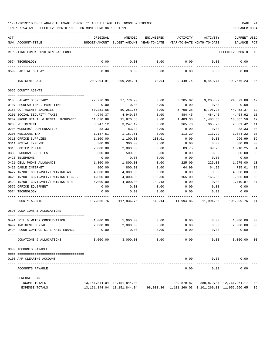| 11-01-2019**BUDGET ANALYSIS USAGE REPORT ** ASSET LIABILITY INCOME & EXPENSE |  |  |  | PAGE | 24 |
|------------------------------------------------------------------------------|--|--|--|------|----|
|                                                                              |  |  |  |      |    |

| ACT | NUM ACCOUNT-TITLE                     | ORIGINAL   | AMENDED<br>BUDGET-AMOUNT BUDGET-AMOUNT YEAR-TO-DATE | ENCUMBERED       | ACTIVITY<br>YEAR-TO-DATE MONTH-TO-DATE | ACTIVITY  | <b>CURRENT USED</b><br>BALANCE PCT                |                |
|-----|---------------------------------------|------------|-----------------------------------------------------|------------------|----------------------------------------|-----------|---------------------------------------------------|----------------|
|     | REPORTING FUND: 0010 GENERAL FUND     |            |                                                     |                  |                                        |           | EFFECTIVE MONTH - 10                              |                |
|     | 0574 TECHNOLOGY                       | 0.00       | 0.00                                                | 0.00             | 0.00                                   | 0.00      | 0.00                                              |                |
|     | 0599 CAPITAL OUTLAY                   | 0.00       | 0.00                                                | --------<br>0.00 | 0.00                                   | 0.00      | 0.00                                              |                |
|     | INDIGENT CARE                         | 209,204.91 | 209,204.91                                          | 78.94            | 9,449.74                               | 9,449.74  | 199,676.23                                        | 05             |
|     | 0665 COUNTY AGENTS                    |            |                                                     |                  |                                        |           |                                                   |                |
|     |                                       |            |                                                     |                  |                                        |           |                                                   |                |
|     | 0105 SALARY SECRETARY                 | 27,776.90  | 27,776.90                                           | 0.00             | 3,205.02                               | 3,205.02  | 24,571.88                                         | 12             |
|     | 0107 REGULAR-TEMP. PART-TIME          | 0.00       | 0.00                                                | 0.00             | 0.00                                   | 0.00      | 0.00                                              |                |
|     | 0150 CO. AGENTS SALARIES              | 50,251.65  | 50,251.65                                           | 0.00             | 5,798.28                               | 5,798.28  | 44, 453.37                                        | 12             |
|     | 0201 SOCIAL SECURITY TAXES            | 4,949.37   | 4,949.37                                            | 0.00             | 484.45                                 | 484.45    | 4,464.92                                          | 10             |
|     | 0202 GROUP HEALTH & DENTAL INSURANCE  | 11,870.88  | 11,870.88                                           | 0.00             | 1,483.38                               | 1,483.38  | 10,387.50                                         | 12             |
|     | 0203 RETIREMENT                       | 3,247.12   | 3,247.12                                            | 0.00             | 365.70                                 | 365.70    | 2,881.42                                          | 11             |
|     | 0204 WORKERS' COMPENSATION            | 83.33      | 83.33                                               | 0.00             | 0.00                                   | 0.00      | 83.33                                             | 0 <sub>0</sub> |
|     | 0205 MEDICARE TAX                     | 1,157.51   | 1,157.51                                            | 0.00             | 113.29                                 | 113.29    | 1,044.22                                          | 10             |
|     | 0310 OFFICE SUPPLIES                  | 1,100.00   | 1,100.00                                            | 103.01           | 0.00                                   | 0.00      | 996.99                                            | 09             |
|     | 0311 POSTAL EXPENSE                   | 300.00     | 300.00                                              | 0.00             | 0.00                                   | 0.00      | 300.00                                            | 0 <sub>0</sub> |
|     | 0315 COPIER RENTAL                    | 2,000.00   | 2,000.00                                            | 0.00             | 89.75                                  | 89.75     | 1,910.25                                          | 04             |
|     | 0335 PROGRAM SUPPLIES                 | 500.00     | 500.00                                              | 0.00             | 0.00                                   | 0.00      | 500.00                                            | 0 <sub>0</sub> |
|     | 0420 TELEPHONE                        | 0.00       | 0.00                                                | 0.00             | 0.00                                   | 0.00      | 0.00                                              |                |
|     | 0421 CELL PHONE ALLOWANCE             | 1,800.00   | 1,800.00                                            | 0.00             | 225.00                                 | 225.00    | 1,575.00                                          | 13             |
|     | 0422 CABLE INTERNET                   | 800.00     | 800.00                                              | 0.00             | 64.99                                  | 64.99     | 735.01                                            | 08             |
|     | 0427 IN/OUT CO.TRAVEL/TRAINING-AG.    | 4,000.00   | 4,000.00                                            | 0.00             | 0.00                                   | 0.00      | 4,000.00                                          | 0 <sub>0</sub> |
|     | 0428 IN/OUT CO.TRAVEL/TRAINING-F.C.S. | 4,000.00   | 4,000.00                                            | 150.00           | 165.00                                 | 165.00    | 3,685.00                                          | 08             |
|     | 0429 IN/OUT CO.TRAVEL/TRAINING-4-H    | 4,000.00   | 4,000.00                                            | 289.13           | 0.00                                   | 0.00      | 3,710.87                                          | 07             |
|     | 0572 OFFICE EQUIPMENT                 | 0.00       | 0.00                                                | 0.00             | 0.00                                   | 0.00      | 0.00                                              |                |
|     | 0574 TECHNOLOGY                       | 0.00       | 0.00                                                | 0.00             | 0.00                                   | 0.00      | 0.00                                              |                |
|     | COUNTY AGENTS                         | 117,836.76 | 117,836.76                                          |                  | 542.14 11,994.86                       | 11,994.86 | 105,299.76                                        | 11             |
|     | 0696 DONATIONS & ALLOCATIONS          |            |                                                     |                  |                                        |           |                                                   |                |
|     |                                       |            |                                                     |                  |                                        |           |                                                   |                |
|     | 0491 SOIL & WATER CONSERVATION        | 1,000.00   | 1,000.00                                            | 0.00             | 0.00                                   | 0.00      | 1,000.00                                          | 00             |
|     | 0492 INDIGENT BURIAL                  | 2,000.00   | 2,000.00                                            | 0.00             | 0.00                                   | 0.00      | 2,000.00                                          | 0 <sub>0</sub> |
|     | 0494 FLOOD CONTROL SITE MAINTENANCE   | 0.00       | 0.00                                                | 0.00             | 0.00                                   | 0.00      | 0.00                                              |                |
|     | DONATIONS & ALLOCATIONS               | 3,000.00   | 3,000.00                                            | 0.00             | 0.00                                   | 0.00      | 3,000.00                                          | 0 <sub>0</sub> |
|     | 0999 ACCOUNTS PAYABLE                 |            |                                                     |                  |                                        |           |                                                   |                |
|     |                                       |            |                                                     |                  |                                        |           |                                                   |                |
|     | 0100 A/P CLEARING ACCOUNT             |            | -------------                                       |                  | 0.00                                   | 0.00      | 0.00                                              |                |
|     | ACCOUNTS PAYABLE                      |            |                                                     |                  | 0.00                                   | 0.00      | 0.00                                              |                |
|     | GENERAL FUND                          |            |                                                     |                  |                                        |           |                                                   |                |
|     | INCOME TOTALS                         |            | 13, 151, 844.04 13, 151, 844.04                     |                  | 389,879.87                             |           | 389,879.87 12,761,964.17                          | 03             |
|     | EXPENSE TOTALS                        |            | 13, 151, 844.04 13, 151, 844.04                     |                  |                                        |           | 98,033.36 1,101,260.03 1,101,260.03 11,952,550.65 | 09             |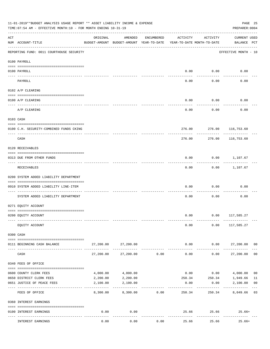|                    | 11-01-2019**BUDGET ANALYSIS USAGE REPORT ** ASSET LIABILITY INCOME & EXPENSE<br>TIME: 07:54 AM - EFFECTIVE MONTH: 10 - FOR MONTH ENDING 10-31-19 |           |                                                     |            |                     |                                        | PREPARER: 0004                     | PAGE 25        |
|--------------------|--------------------------------------------------------------------------------------------------------------------------------------------------|-----------|-----------------------------------------------------|------------|---------------------|----------------------------------------|------------------------------------|----------------|
| $\mathop{\rm ACT}$ | NUM ACCOUNT-TITLE                                                                                                                                | ORIGINAL  | AMENDED<br>BUDGET-AMOUNT BUDGET-AMOUNT YEAR-TO-DATE | ENCUMBERED | ACTIVITY            | ACTIVITY<br>YEAR-TO-DATE MONTH-TO-DATE | <b>CURRENT USED</b><br>BALANCE PCT |                |
|                    | REPORTING FUND: 0011 COURTHOUSE SECURITY                                                                                                         |           |                                                     |            |                     |                                        | EFFECTIVE MONTH - 10               |                |
|                    | 0100 PAYROLL                                                                                                                                     |           |                                                     |            |                     |                                        |                                    |                |
|                    | 0100 PAYROLL                                                                                                                                     |           |                                                     |            |                     | $0.00$ 0.00                            | 0.00                               |                |
| ---- ----          | PAYROLL                                                                                                                                          |           |                                                     |            | 0.00                | 0.00                                   | 0.00                               |                |
|                    | 0102 A/P CLEARING                                                                                                                                |           |                                                     |            |                     |                                        |                                    |                |
|                    | 0100 A/P CLEARING                                                                                                                                |           |                                                     |            | 0.00                | 0.00                                   | 0.00                               |                |
|                    | A/P CLEARING                                                                                                                                     |           |                                                     |            | 0.00                | 0.00                                   | 0.00                               |                |
|                    | 0103 CASH                                                                                                                                        |           |                                                     |            |                     |                                        |                                    |                |
|                    | 0100 C.H. SECURITY-COMBINED FUNDS CKING                                                                                                          |           |                                                     |            |                     |                                        | 276.00 276.00 116,753.60           |                |
|                    | CASH                                                                                                                                             |           |                                                     |            | 276.00              | ---------<br>276.00                    | --------<br>116,753.60             |                |
|                    | 0120 RECEIVABLES                                                                                                                                 |           |                                                     |            |                     |                                        |                                    |                |
|                    | 0313 DUE FROM OTHER FUNDS                                                                                                                        |           |                                                     |            | 0.00                |                                        | $0.00$ 1,107.67                    |                |
|                    | RECEIVABLES                                                                                                                                      |           |                                                     |            | 0.00                |                                        | $0.00$ 1,107.67                    |                |
|                    | 0200 SYSTEM ADDED LIABILITY DEPARTMENT                                                                                                           |           |                                                     |            |                     |                                        |                                    |                |
|                    | 0910 SYSTEM ADDED LIABILITY LINE-ITEM                                                                                                            |           |                                                     |            | 0.00                | 0.00                                   | 0.00                               |                |
|                    | SYSTEM ADDED LIABILITY DEPARTMENT                                                                                                                |           |                                                     |            | 0.00                | 0.00                                   | 0.00                               |                |
|                    | 0271 EQUITY ACCOUNT                                                                                                                              |           |                                                     |            |                     |                                        |                                    |                |
|                    | 0200 EQUITY ACCOUNT                                                                                                                              |           |                                                     |            |                     |                                        | $0.00$ $0.00$ $117,585.27$         |                |
|                    | EQUITY ACCOUNT                                                                                                                                   |           |                                                     |            | 0.00                | 0.00                                   | 117,585.27                         |                |
|                    | 0300 CASH                                                                                                                                        |           |                                                     |            |                     |                                        |                                    |                |
|                    | 0111 BEGINNING CASH BALANCE                                                                                                                      |           | 27,200.00 27,200.00                                 |            | 0.00                | 0.00                                   | 27,200.00 00                       |                |
|                    | CASH                                                                                                                                             | 27,200.00 | 27,200.00                                           | 0.00       | -----------<br>0.00 | ---------<br>0.00                      | 27,200.00                          | 0 <sub>0</sub> |
|                    | 0340 FEES OF OFFICE                                                                                                                              |           |                                                     |            |                     |                                        |                                    |                |
|                    | 0600 COUNTY CLERK FEES                                                                                                                           | 4,000.00  | 4,000.00                                            |            | 0.00                |                                        | $0.00$ $4,000.00$                  | 0 <sub>0</sub> |
|                    | 0650 DISTRICT CLERK FEES                                                                                                                         | 2,200.00  | 2,200.00                                            |            | 250.34              |                                        | 250.34 1,949.66                    | 11             |
|                    | 0651 JUSTICE OF PEACE FEES                                                                                                                       | 2,100.00  | 2,100.00                                            |            | 0.00                | 0.00                                   | 2,100.00                           | 0 <sub>0</sub> |
|                    | FEES OF OFFICE                                                                                                                                   | 8,300.00  | 8,300.00                                            | 0.00       | 250.34              | 250.34                                 | 8,049.66 03                        |                |
|                    | 0360 INTEREST EARNINGS                                                                                                                           |           |                                                     |            |                     |                                        |                                    |                |
|                    | 0100 INTEREST EARNINGS                                                                                                                           | 0.00      | 0.00                                                |            |                     | 25.66 25.66                            | $25.66+$                           |                |
|                    | INTEREST EARNINGS                                                                                                                                | 0.00      | 0.00                                                | 0.00       | 25.66               | 25.66                                  | $25.66+$                           |                |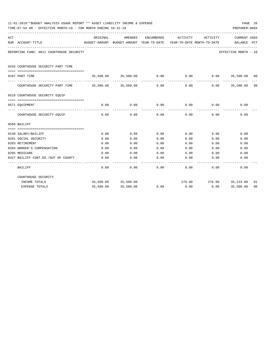|     | 11-01-2019**BUDGET ANALYSIS USAGE REPORT ** ASSET LIABILITY INCOME & EXPENSE<br>PAGE 26<br>TIME: 07:54 AM - EFFECTIVE MONTH: 10 - FOR MONTH ENDING 10-31-19<br>PREPARER: 0004 |          |                                                                                |      |             |                              |                             |    |  |  |  |
|-----|-------------------------------------------------------------------------------------------------------------------------------------------------------------------------------|----------|--------------------------------------------------------------------------------|------|-------------|------------------------------|-----------------------------|----|--|--|--|
| ACT | NUM ACCOUNT-TITLE                                                                                                                                                             | ORIGINAL | AMENDED<br>BUDGET-AMOUNT BUDGET-AMOUNT YEAR-TO-DATE YEAR-TO-DATE MONTH-TO-DATE |      |             | ENCUMBERED ACTIVITY ACTIVITY | CURRENT USED<br>BALANCE PCT |    |  |  |  |
|     | REPORTING FUND: 0011 COURTHOUSE SECURITY                                                                                                                                      |          |                                                                                |      |             |                              | EFFECTIVE MONTH - 10        |    |  |  |  |
|     | 0435 COURTHOUSE SECURITY PART TIME                                                                                                                                            |          |                                                                                |      |             |                              |                             |    |  |  |  |
|     | 0107 PART TIME                                                                                                                                                                |          | 35,500.00 35,500.00 0.00                                                       |      | 0.00        |                              | $0.00$ 35,500.00 00         |    |  |  |  |
|     | COURTHOUSE SECURITY PART TIME 35,500.00 35,500.00                                                                                                                             |          |                                                                                | 0.00 | 0.00        | 0.00                         | 35,500.00 00                |    |  |  |  |
|     | 0510 COURTHOUSE SECURITY EQUIP                                                                                                                                                |          |                                                                                |      |             |                              |                             |    |  |  |  |
|     | 0571 EOUIPMENT                                                                                                                                                                |          | 0.00<br>0.00                                                                   |      | $0.00$ 0.00 |                              | $0.00$ 0.00                 |    |  |  |  |
|     | COURTHOUSE SECURITY EQUIP                                                                                                                                                     | 0.00     | 0.00                                                                           | 0.00 | 0.00        | 0.00                         | 0.00                        |    |  |  |  |
|     | 0560 BAILIFF                                                                                                                                                                  |          |                                                                                |      |             |                              |                             |    |  |  |  |
|     | 0130 SALARY/BAILIFF                                                                                                                                                           | 0.00     | 0.00                                                                           | 0.00 | 0.00        | 0.00                         | 0.00                        |    |  |  |  |
|     | 0201 SOCIAL SECURITY                                                                                                                                                          | 0.00     | 0.00                                                                           | 0.00 | 0.00        | 0.00                         | 0.00                        |    |  |  |  |
|     | 0203 RETIREMENT                                                                                                                                                               | 0.00     | 0.00                                                                           | 0.00 | 0.00        | 0.00                         | 0.00                        |    |  |  |  |
|     | 0204 WORKER'S COMPENSATION                                                                                                                                                    | 0.00     | 0.00                                                                           | 0.00 | 0.00        | 0.00                         | 0.00                        |    |  |  |  |
|     | 0205 MEDICARE                                                                                                                                                                 | 0.00     | 0.00                                                                           | 0.00 | 0.00        | 0.00                         | 0.00                        |    |  |  |  |
|     | 0427 BAILIFF CONT.ED./OUT OF COUNTY                                                                                                                                           | 0.00     | 0.00                                                                           | 0.00 | 0.00        | 0.00                         | 0.00                        |    |  |  |  |
|     | <b>BAILIFF</b>                                                                                                                                                                | 0.00     | 0.00                                                                           | 0.00 | 0.00        | 0.00                         | 0.00                        |    |  |  |  |
|     | COURTHOUSE SECURITY                                                                                                                                                           |          |                                                                                |      |             |                              |                             |    |  |  |  |
|     | INCOME TOTALS                                                                                                                                                                 |          | 35,500.00 35,500.00                                                            |      |             | 276.00 276.00 35,224.00      |                             | 01 |  |  |  |
|     | <b>EXPENSE TOTALS</b>                                                                                                                                                         |          | 35,500.00 35,500.00                                                            | 0.00 | 0.00        |                              | $0.00$ 35,500.00            | 00 |  |  |  |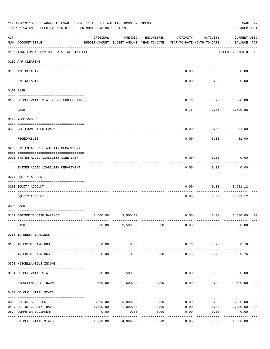|     | 11-01-2019**BUDGET ANALYSIS USAGE REPORT ** ASSET LIABILITY INCOME & EXPENSE<br>TIME: 07:54 AM - EFFECTIVE MONTH: 10 - FOR MONTH ENDING 10-31-19 |          |                                                     |            |                                        |                          |                                    |                |  |  |
|-----|--------------------------------------------------------------------------------------------------------------------------------------------------|----------|-----------------------------------------------------|------------|----------------------------------------|--------------------------|------------------------------------|----------------|--|--|
| ACT | NUM ACCOUNT-TITLE                                                                                                                                | ORIGINAL | AMENDED<br>BUDGET-AMOUNT BUDGET-AMOUNT YEAR-TO-DATE | ENCUMBERED | ACTIVITY<br>YEAR-TO-DATE MONTH-TO-DATE | ACTIVITY                 | <b>CURRENT USED</b><br>BALANCE PCT |                |  |  |
|     | --------------------------------------<br>REPORTING FUND: 0012 CO.CLK.VITAL STAT.FEE                                                             |          |                                                     |            |                                        |                          | EFFECTIVE MONTH - 10               |                |  |  |
|     | 0102 A/P CLEARING                                                                                                                                |          |                                                     |            |                                        |                          |                                    |                |  |  |
|     | 0100 A/P CLEARING                                                                                                                                |          |                                                     |            | 0.00                                   | 0.00                     | 0.00                               |                |  |  |
|     | A/P CLEARING                                                                                                                                     |          |                                                     |            | 0.00                                   | 0.00                     | 0.00                               |                |  |  |
|     | 0103 CASH                                                                                                                                        |          |                                                     |            |                                        |                          |                                    |                |  |  |
|     | 0100 CO.CLK.VITAL STAT.-COMB.FUNDS CKIN                                                                                                          |          |                                                     |            | 0.76                                   | $0.76$ 3,520.88          |                                    |                |  |  |
|     | CASH                                                                                                                                             |          |                                                     |            | 0.76                                   | 0.76                     | 3,520.88                           |                |  |  |
|     | 0120 RECEIVABLES                                                                                                                                 |          |                                                     |            |                                        |                          |                                    |                |  |  |
|     | 0313 DUE FROM OTHER FUNDS                                                                                                                        |          |                                                     |            | 0.00                                   | 0.00                     | 81.00                              |                |  |  |
|     |                                                                                                                                                  |          |                                                     |            |                                        |                          |                                    |                |  |  |
|     | RECEIVABLES                                                                                                                                      |          |                                                     |            | 0.00                                   | 0.00                     | 81.00                              |                |  |  |
|     | 0200 SYSTEM ADDED LIABILITY DEPARTMENT                                                                                                           |          |                                                     |            |                                        |                          |                                    |                |  |  |
|     | 0910 SYSTEM ADDED LIABILITY LINE-ITEM                                                                                                            |          |                                                     |            | 0.00                                   | 0.00                     | 0.00                               |                |  |  |
|     | ------------------------<br>SYSTEM ADDED LIABILITY DEPARTMENT                                                                                    |          |                                                     |            | 0.00                                   | --------<br>0.00         | 0.00                               |                |  |  |
|     | 0271 EQUITY ACCOUNT                                                                                                                              |          |                                                     |            |                                        |                          |                                    |                |  |  |
|     | 0200 EQUITY ACCOUNT                                                                                                                              |          |                                                     |            | 0.00                                   | 0.00                     | 3,601.12                           |                |  |  |
|     | EQUITY ACCOUNT                                                                                                                                   |          |                                                     |            | 0.00                                   | 0.00                     | 3,601.12                           |                |  |  |
|     | 0300 CASH                                                                                                                                        |          |                                                     |            |                                        |                          |                                    |                |  |  |
|     | 0112 BEGINNING CASH BALANCE                                                                                                                      | 3,500.00 | 3,500.00                                            |            |                                        | $0.00$ $0.00$ $3,500.00$ |                                    | 00             |  |  |
|     | CASH                                                                                                                                             |          | 3,500.00 3,500.00                                   | 0.00       | 0.00                                   | 0.00                     | 3,500.00                           | 00             |  |  |
|     | 0360 INTEREST EARNINGS                                                                                                                           |          |                                                     |            |                                        |                          |                                    |                |  |  |
|     | 0100 INTEREST EARNINGS                                                                                                                           | 0.00     | 0.00                                                |            | 0.76                                   | 0.76                     | $0.76+$                            |                |  |  |
|     | INTEREST EARNINGS                                                                                                                                | 0.00     | 0.00                                                | 0.00       | 0.76                                   | 0.76                     | $0.76+$                            |                |  |  |
|     | 0370 MISCELLANEOUS INCOME                                                                                                                        |          |                                                     |            |                                        |                          |                                    |                |  |  |
|     |                                                                                                                                                  |          |                                                     |            |                                        |                          |                                    |                |  |  |
|     | 0134 CO.CLK.VITAL STAT.FEE                                                                                                                       | 500.00   | 500.00                                              |            | 0.00                                   | 0.00                     | 500.00                             | 00             |  |  |
|     | MISCELLANEOUS INCOME                                                                                                                             | 500.00   | 500.00                                              | 0.00       | 0.00                                   | 0.00                     | 500.00                             | 0 <sub>0</sub> |  |  |
|     | 0403 CO.CLK. VITAL STATS.                                                                                                                        |          |                                                     |            |                                        |                          |                                    |                |  |  |
|     | 0310 OFFICE SUPPLIES                                                                                                                             | 3,000.00 | 3,000.00                                            | 0.00       | 0.00                                   | 0.00                     | 3,000.00                           | 0 <sub>0</sub> |  |  |
|     | 0427 OUT OF COUNTY TRAVEL                                                                                                                        | 1,000.00 | 1,000.00                                            | 0.00       | 0.00                                   | 0.00                     | 1,000.00                           | 0 <sub>0</sub> |  |  |
|     | 0574 COMPUTER EQUIPMENT                                                                                                                          | 0.00     | 0.00                                                | 0.00       | 0.00                                   | 0.00                     | 0.00                               |                |  |  |
|     | ---- --------------<br>CO.CLK. VITAL STATS.                                                                                                      | 4,000.00 | 4,000.00                                            | 0.00       | 0.00                                   | 0.00                     | 4,000.00                           | 0 <sub>0</sub> |  |  |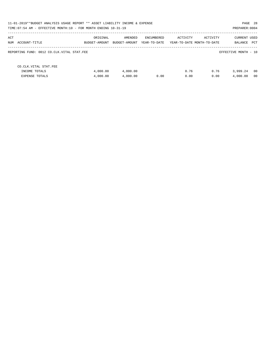| PAGE 28<br>11-01-2019**BUDGET ANALYSIS USAGE REPORT ** ASSET LIABILITY INCOME & EXPENSE<br>TIME: 07:54 AM - EFFECTIVE MONTH: 10 - FOR MONTH ENDING 10-31-19<br>PREPARER: 0004 |                           |                          |                            |                                        |              |                                    |  |  |  |
|-------------------------------------------------------------------------------------------------------------------------------------------------------------------------------|---------------------------|--------------------------|----------------------------|----------------------------------------|--------------|------------------------------------|--|--|--|
| ACT<br>NUM ACCOUNT-TITLE                                                                                                                                                      | ORIGINAL<br>BUDGET-AMOUNT | AMENDED<br>BUDGET-AMOUNT | ENCUMBERED<br>YEAR-TO-DATE | ACTIVITY<br>YEAR-TO-DATE MONTH-TO-DATE | ACTIVITY     | <b>CURRENT USED</b><br>BALANCE PCT |  |  |  |
| REPORTING FUND: 0012 CO.CLK.VITAL STAT.FEE                                                                                                                                    |                           |                          |                            |                                        |              | EFFECTIVE MONTH - 10               |  |  |  |
| CO. CLK. VITAL STAT. FEE<br>INCOME TOTALS<br><b>EXPENSE TOTALS</b>                                                                                                            | 4,000.00<br>4,000.00      | 4,000.00<br>4,000.00     | 0.00                       | 0.76<br>0.00                           | 0.76<br>0.00 | - 00<br>3,999.24<br>4,000.00<br>00 |  |  |  |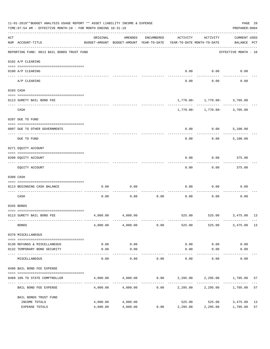|     | 11-01-2019**BUDGET ANALYSIS USAGE REPORT ** ASSET LIABILITY INCOME & EXPENSE<br>TIME: 07:54 AM - EFFECTIVE MONTH: 10 - FOR MONTH ENDING 10-31-19<br>PREPARER: 0004 |                                                      |                      |            |                                         |                                  |                                    |          |  |  |  |
|-----|--------------------------------------------------------------------------------------------------------------------------------------------------------------------|------------------------------------------------------|----------------------|------------|-----------------------------------------|----------------------------------|------------------------------------|----------|--|--|--|
| ACT | NUM ACCOUNT-TITLE                                                                                                                                                  | ORIGINAL<br>BUDGET-AMOUNT BUDGET-AMOUNT YEAR-TO-DATE | AMENDED              | ENCUMBERED | ACTIVITY<br>YEAR-TO-DATE MONTH-TO-DATE  | ACTIVITY                         | <b>CURRENT USED</b><br>BALANCE PCT |          |  |  |  |
|     | REPORTING FUND: 0013 BAIL BONDS TRUST FUND                                                                                                                         |                                                      |                      |            |                                         |                                  | EFFECTIVE MONTH - 10               |          |  |  |  |
|     | 0102 A/P CLEARING                                                                                                                                                  |                                                      |                      |            |                                         |                                  |                                    |          |  |  |  |
|     | 0100 A/P CLEARING<br>---- ---------<br>-------------------- -------                                                                                                |                                                      |                      |            | 0.00                                    | 0.00                             | 0.00                               |          |  |  |  |
|     | A/P CLEARING                                                                                                                                                       |                                                      |                      |            | 0.00                                    | 0.00                             | 0.00                               |          |  |  |  |
|     | 0103 CASH                                                                                                                                                          |                                                      |                      |            |                                         |                                  |                                    |          |  |  |  |
|     | 0113 SURETY BAIL BOND FEE                                                                                                                                          |                                                      |                      |            |                                         | $1,770.00 - 1,770.00 - 3,705.00$ |                                    |          |  |  |  |
|     |                                                                                                                                                                    |                                                      |                      |            |                                         | -----------                      |                                    |          |  |  |  |
|     | CASH                                                                                                                                                               |                                                      |                      |            |                                         | $1,770.00 - 1,770.00 - 3,705.00$ |                                    |          |  |  |  |
|     | 0207 DUE TO FUND                                                                                                                                                   |                                                      |                      |            |                                         |                                  |                                    |          |  |  |  |
|     | 0097 DUE TO OTHER GOVERNMENTS                                                                                                                                      |                                                      |                      |            | 0.00                                    | 0.00                             | 5,100.00                           |          |  |  |  |
|     | DUE TO FUND                                                                                                                                                        |                                                      |                      |            | 0.00                                    | 0.00                             | 5,100.00                           |          |  |  |  |
|     | 0271 EQUITY ACCOUNT                                                                                                                                                |                                                      |                      |            |                                         |                                  |                                    |          |  |  |  |
|     | 0200 EQUITY ACCOUNT                                                                                                                                                |                                                      |                      |            | 0.00                                    | 0.00                             | 375.00                             |          |  |  |  |
|     | EQUITY ACCOUNT                                                                                                                                                     |                                                      |                      |            | 0.00                                    | 0.00                             | 375.00                             |          |  |  |  |
|     | 0300 CASH                                                                                                                                                          |                                                      |                      |            |                                         |                                  |                                    |          |  |  |  |
|     | 0113 BEGINNING CASH BALANCE                                                                                                                                        | 0.00                                                 | 0.00                 |            | 0.00                                    | 0.00                             | 0.00                               |          |  |  |  |
|     | CASH                                                                                                                                                               | 0.00                                                 | 0.00                 | 0.00       | 0.00                                    | 0.00                             | 0.00                               |          |  |  |  |
|     | 0345 BONDS                                                                                                                                                         |                                                      |                      |            |                                         |                                  |                                    |          |  |  |  |
|     | 0113 SURETY BAIL BOND FEE                                                                                                                                          | 4,000.00                                             | 4,000.00             |            |                                         | 525.00 525.00 3,475.00 13        |                                    |          |  |  |  |
|     | <b>BONDS</b>                                                                                                                                                       |                                                      | 4,000.00 4,000.00    | 0.00       | 525.00                                  | 525.00                           | 3,475.00 13                        |          |  |  |  |
|     | 0370 MISCELLANEOUS                                                                                                                                                 |                                                      |                      |            |                                         |                                  |                                    |          |  |  |  |
|     | 0130 REFUNDS & MISCELLANEOUS                                                                                                                                       | 0.00                                                 | 0.00                 |            | 0.00                                    | 0.00                             | 0.00                               |          |  |  |  |
|     | 0132 TEMPORARY BOND SECURITY                                                                                                                                       | 0.00                                                 | 0.00                 |            | 0.00                                    | 0.00                             | 0.00                               |          |  |  |  |
|     | MISCELLANEOUS                                                                                                                                                      | 0.00                                                 | ---------<br>0.00    | 0.00       | 0.00                                    | $- - - - - -$<br>0.00            | 0.00                               |          |  |  |  |
|     | 0498 BAIL BOND FEE EXPENSE                                                                                                                                         |                                                      |                      |            |                                         |                                  |                                    |          |  |  |  |
|     | 0489 10% TO STATE COMPTROLLER                                                                                                                                      |                                                      | 4,000.00 4,000.00    |            | $0.00$ $2,295.00$ $2,295.00$ $1,705.00$ |                                  |                                    | 57       |  |  |  |
|     | BAIL BOND FEE EXPENSE                                                                                                                                              | 4,000.00                                             | 4,000.00             | 0.00       |                                         | 2,295.00 2,295.00                | 1,705.00                           | 57       |  |  |  |
|     | BAIL BONDS TRUST FUND                                                                                                                                              |                                                      |                      |            |                                         |                                  |                                    |          |  |  |  |
|     | INCOME TOTALS<br>EXPENSE TOTALS                                                                                                                                    | 4,000.00<br>4,000.00                                 | 4,000.00<br>4,000.00 | 0.00       | 525.00<br>2,295.00                      | 525.00<br>2,295.00               | 3,475.00<br>1,705.00               | 13<br>57 |  |  |  |
|     |                                                                                                                                                                    |                                                      |                      |            |                                         |                                  |                                    |          |  |  |  |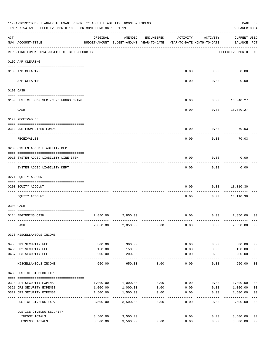| 11-01-2019**BUDGET ANALYSIS USAGE REPORT ** ASSET LIABILITY INCOME & EXPENSE<br>TIME:07:54 AM - EFFECTIVE MONTH:10 - FOR MONTH ENDING 10-31-19 |                                                 |                           |                                                     |            |                                        |                     |                                    |                         |  |
|------------------------------------------------------------------------------------------------------------------------------------------------|-------------------------------------------------|---------------------------|-----------------------------------------------------|------------|----------------------------------------|---------------------|------------------------------------|-------------------------|--|
| ACT                                                                                                                                            | NUM ACCOUNT-TITLE                               | ORIGINAL                  | AMENDED<br>BUDGET-AMOUNT BUDGET-AMOUNT YEAR-TO-DATE | ENCUMBERED | ACTIVITY<br>YEAR-TO-DATE MONTH-TO-DATE | ACTIVITY            | <b>CURRENT USED</b><br>BALANCE PCT |                         |  |
|                                                                                                                                                | REPORTING FUND: 0014 JUSTICE CT. BLDG. SECURITY |                           |                                                     |            |                                        |                     | EFFECTIVE MONTH - 10               |                         |  |
|                                                                                                                                                | 0102 A/P CLEARING                               |                           |                                                     |            |                                        |                     |                                    |                         |  |
|                                                                                                                                                | 0100 A/P CLEARING                               |                           |                                                     |            | 0.00                                   | 0.00                | 0.00                               |                         |  |
|                                                                                                                                                | ---- ---------<br>A/P CLEARING                  |                           |                                                     |            | 0.00                                   | 0.00                | 0.00                               |                         |  |
|                                                                                                                                                | 0103 CASH                                       |                           |                                                     |            |                                        |                     |                                    |                         |  |
|                                                                                                                                                | 0100 JUST.CT.BLDG.SEC.-COMB.FUNDS CKING         |                           |                                                     |            | 0.00                                   |                     | $0.00$ 18,040.27                   |                         |  |
|                                                                                                                                                | CASH                                            |                           |                                                     |            | 0.00                                   | 0.00                | 18,040.27                          |                         |  |
|                                                                                                                                                | 0120 RECEIVABLES                                |                           |                                                     |            |                                        |                     |                                    |                         |  |
|                                                                                                                                                | 0313 DUE FROM OTHER FUNDS                       |                           |                                                     |            | 0.00                                   | 0.00                | 70.03                              |                         |  |
|                                                                                                                                                | RECEIVABLES                                     |                           |                                                     |            | 0.00                                   | 0.00                | 70.03                              |                         |  |
|                                                                                                                                                | 0200 SYSTEM ADDED LIABILITY DEPT.               |                           |                                                     |            |                                        |                     |                                    |                         |  |
|                                                                                                                                                |                                                 |                           |                                                     |            |                                        |                     |                                    |                         |  |
|                                                                                                                                                | 0910 SYSTEM ADDED LIABILITY LINE-ITEM           |                           |                                                     |            | 0.00                                   | 0.00                | 0.00                               |                         |  |
|                                                                                                                                                | SYSTEM ADDED LIABILITY DEPT.                    |                           |                                                     |            | 0.00                                   | 0.00                | 0.00                               |                         |  |
|                                                                                                                                                | 0271 EQUITY ACCOUNT                             |                           |                                                     |            |                                        |                     |                                    |                         |  |
|                                                                                                                                                | 0200 EQUITY ACCOUNT                             |                           |                                                     |            | 0.00                                   | 0.00                | 18,110.30                          |                         |  |
|                                                                                                                                                | EQUITY ACCOUNT                                  |                           |                                                     |            | 0.00                                   | 0.00                | 18,110.30                          |                         |  |
|                                                                                                                                                | 0300 CASH                                       |                           |                                                     |            |                                        |                     |                                    |                         |  |
|                                                                                                                                                |                                                 |                           |                                                     |            |                                        |                     |                                    |                         |  |
|                                                                                                                                                | 0114 BEGINNING CASH                             | 2,850.00                  | 2,850.00                                            |            | 0.00                                   |                     | 0.00<br>2,850.00                   | 0 <sup>0</sup>          |  |
|                                                                                                                                                | CASH                                            | 2,850.00                  | 2,850.00                                            | 0.00       | 0.00                                   | 0.00                | 2,850.00                           | 00                      |  |
|                                                                                                                                                | 0370 MISCELLANEOUS INCOME                       |                           |                                                     |            |                                        |                     |                                    |                         |  |
|                                                                                                                                                | 0455 JP1 SECURITY FEE                           | 300.00                    | 300.00                                              |            | 0.00                                   | 0.00                | 300.00                             | 0 <sub>0</sub>          |  |
|                                                                                                                                                | 0456 JP2 SECURITY FEE                           | 150.00                    | 150.00                                              |            | 0.00                                   | 0.00                | 150.00                             | 0 <sub>0</sub>          |  |
|                                                                                                                                                | 0457 JP3 SECURITY FEE                           | 200.00                    | 200.00<br>-----------                               |            | 0.00<br>-----                          | 0.00<br>$- - - - -$ | 200.00<br>-------                  | 0 <sub>0</sub>          |  |
|                                                                                                                                                | MISCELLANEOUS INCOME                            | 650.00                    | 650.00                                              | 0.00       | 0.00                                   | 0.00                | 650.00                             | 0 <sub>0</sub>          |  |
|                                                                                                                                                | 0435 JUSTICE CT.BLDG.EXP.                       |                           |                                                     |            |                                        |                     |                                    |                         |  |
|                                                                                                                                                | 0320 JP1 SECURITY EXPENSE                       | 1,000.00                  | 1,000.00                                            | 0.00       | 0.00                                   |                     | 0.00 1,000.00                      | 0 <sub>0</sub>          |  |
|                                                                                                                                                | 0321 JP2 SECURITY EXPENSE                       | 1,000.00                  | 1,000.00                                            | 0.00       | 0.00                                   | 0.00                | 1,000.00                           | 0 <sub>0</sub>          |  |
|                                                                                                                                                | 0322 JP3 SECURITY EXPENSE                       | 1,500.00<br>------------- | 1,500.00<br>----------                              | 0.00       | 0.00                                   | 0.00                | 1,500.00                           | 0 <sub>0</sub><br>$---$ |  |
|                                                                                                                                                | JUSTICE CT.BLDG.EXP.                            | 3,500.00                  | 3,500.00                                            | 0.00       | 0.00                                   | 0.00                | 3,500.00                           | 0 <sub>0</sub>          |  |
|                                                                                                                                                | JUSTICE CT. BLDG. SECURITY                      |                           |                                                     |            |                                        |                     |                                    |                         |  |
|                                                                                                                                                | INCOME TOTALS                                   | 3,500.00                  | 3,500.00                                            |            | 0.00                                   | 0.00                | 3,500.00                           | 0 <sub>0</sub>          |  |
|                                                                                                                                                | EXPENSE TOTALS                                  | 3,500.00                  | 3,500.00                                            | 0.00       | 0.00                                   | 0.00                | 3,500.00                           | 0 <sub>0</sub>          |  |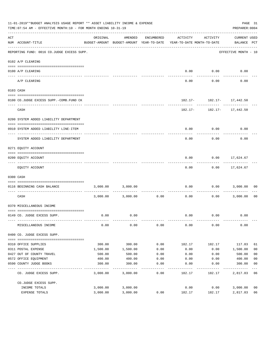|                    | 11-01-2019**BUDGET ANALYSIS USAGE REPORT ** ASSET LIABILITY INCOME & EXPENSE<br>TIME: 07:54 AM - EFFECTIVE MONTH: 10 - FOR MONTH ENDING 10-31-19 |                    |                                                     |                       |                                        |                               | PAGE 31<br>PREPARER: 0004   |                      |
|--------------------|--------------------------------------------------------------------------------------------------------------------------------------------------|--------------------|-----------------------------------------------------|-----------------------|----------------------------------------|-------------------------------|-----------------------------|----------------------|
| $\mathop{\rm ACT}$ | NUM ACCOUNT-TITLE                                                                                                                                | ORIGINAL           | AMENDED<br>BUDGET-AMOUNT BUDGET-AMOUNT YEAR-TO-DATE | ENCUMBERED            | ACTIVITY<br>YEAR-TO-DATE MONTH-TO-DATE | ACTIVITY                      | CURRENT USED<br>BALANCE PCT |                      |
|                    | REPORTING FUND: 0016 CO.JUDGE EXCESS SUPP.                                                                                                       |                    |                                                     |                       |                                        |                               | EFFECTIVE MONTH - 10        |                      |
|                    | 0102 A/P CLEARING                                                                                                                                |                    |                                                     |                       |                                        |                               |                             |                      |
|                    |                                                                                                                                                  |                    |                                                     |                       |                                        |                               |                             |                      |
|                    | 0100 A/P CLEARING<br>---- ---------                                                                                                              |                    |                                                     |                       |                                        | $0.00$ 0.00                   | 0.00                        |                      |
|                    | A/P CLEARING                                                                                                                                     |                    |                                                     |                       | 0.00                                   | 0.00                          | 0.00                        |                      |
|                    | 0103 CASH                                                                                                                                        |                    |                                                     |                       |                                        |                               |                             |                      |
|                    |                                                                                                                                                  |                    |                                                     |                       |                                        |                               |                             |                      |
|                    | 0100 CO.JUDGE EXCESS SUPP.-COMB.FUND CK                                                                                                          |                    |                                                     |                       |                                        | 182.17- 182.17- 17,442.50     |                             |                      |
|                    | CASH                                                                                                                                             |                    |                                                     |                       |                                        | $182.17 - 182.17 - 17,442.50$ |                             |                      |
|                    | 0200 SYSTEM ADDED LIABILITY DEPARTMENT                                                                                                           |                    |                                                     |                       |                                        |                               |                             |                      |
|                    |                                                                                                                                                  |                    |                                                     |                       |                                        |                               |                             |                      |
|                    | 0910 SYSTEM ADDED LIABILITY LINE-ITEM                                                                                                            |                    |                                                     |                       | 0.00                                   | 0.00                          | 0.00                        |                      |
|                    | SYSTEM ADDED LIABILITY DEPARTMENT                                                                                                                |                    |                                                     |                       | 0.00                                   | 0.00                          | 0.00                        |                      |
|                    | 0271 EQUITY ACCOUNT                                                                                                                              |                    |                                                     |                       |                                        |                               |                             |                      |
|                    |                                                                                                                                                  |                    |                                                     |                       |                                        |                               |                             |                      |
|                    | 0200 EQUITY ACCOUNT                                                                                                                              |                    |                                                     |                       | 0.00                                   | $0.00$ 17,624.67              |                             |                      |
|                    | EQUITY ACCOUNT                                                                                                                                   |                    |                                                     |                       | 0.00                                   |                               | $0.00$ 17,624.67            |                      |
|                    | 0300 CASH                                                                                                                                        |                    |                                                     |                       |                                        |                               |                             |                      |
|                    | 0116 BEGINNING CASH BALANCE                                                                                                                      | 3,000.00           | 3,000.00                                            |                       | 0.00                                   | 0.00                          | 3,000.00                    | 00                   |
|                    | ------------------------------ --<br>CASH                                                                                                        |                    | 3,000.00 3,000.00                                   | ----------- -<br>0.00 | 0.00                                   | ---------<br>0.00             | 3,000.00                    | 0 <sub>0</sub>       |
|                    | 0370 MISCELLANEOUS INCOME                                                                                                                        |                    |                                                     |                       |                                        |                               |                             |                      |
|                    | 0149 CO. JUDGE EXCESS SUPP.                                                                                                                      | 0.00               | 0.00                                                |                       |                                        | $0.00$ $0.00$                 | 0.00                        |                      |
|                    | MISCELLANEOUS INCOME                                                                                                                             | 0.00               | 0.00                                                | 0.00                  | 0.00                                   | 0.00                          | 0.00                        |                      |
|                    | 0400 CO. JUDGE EXCESS SUPP.                                                                                                                      |                    |                                                     |                       |                                        |                               |                             |                      |
|                    |                                                                                                                                                  |                    |                                                     |                       |                                        |                               |                             |                      |
|                    | 0310 OFFICE SUPPLIES<br>0311 POSTAL EXPENSE                                                                                                      | 300.00<br>1,500.00 | 300.00<br>1,500.00                                  | 0.00<br>0.00          | 182.17<br>0.00                         | 182.17<br>0.00                | 117.83<br>1,500.00          | 61<br>0 <sub>0</sub> |
|                    | 0427 OUT OF COUNTY TRAVEL                                                                                                                        | 500.00             | 500.00                                              | 0.00                  | 0.00                                   | 0.00                          | 500.00                      | 0 <sub>0</sub>       |
|                    | 0572 OFFICE EQUIPMENT                                                                                                                            | 400.00             | 400.00                                              | 0.00                  | 0.00                                   | 0.00                          | 400.00                      | 0 <sub>0</sub>       |
|                    | 0590 COUNTY JUDGE BOOKS                                                                                                                          | 300.00             | 300.00                                              | 0.00                  | 0.00                                   | 0.00                          | 300.00                      | 0 <sub>0</sub>       |
|                    | CO. JUDGE EXCESS SUPP.                                                                                                                           | 3,000.00           | 3,000.00                                            | 0.00                  | 182.17                                 | 182.17                        | 2,817.83                    | 06                   |
|                    | CO.JUDGE EXCESS SUPP.                                                                                                                            |                    |                                                     |                       |                                        |                               |                             |                      |
|                    | INCOME TOTALS                                                                                                                                    | 3,000.00           | 3,000.00                                            |                       | 0.00                                   | 0.00                          | 3,000.00                    | 0 <sub>0</sub>       |
|                    | EXPENSE TOTALS                                                                                                                                   | 3,000.00           | 3,000.00                                            | 0.00                  | 182.17                                 | 182.17                        | 2,817.83                    | 06                   |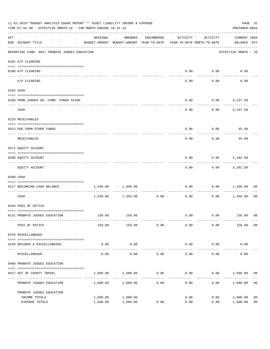| 11-01-2019**BUDGET ANALYSIS USAGE REPORT ** ASSET LIABILITY INCOME & EXPENSE<br>TIME: 07:54 AM - EFFECTIVE MONTH: 10 - FOR MONTH ENDING 10-31-19 |                                               |                                                                                 |                      |                     |                        |                     |                                    |                                  |
|--------------------------------------------------------------------------------------------------------------------------------------------------|-----------------------------------------------|---------------------------------------------------------------------------------|----------------------|---------------------|------------------------|---------------------|------------------------------------|----------------------------------|
| $\mathop{\rm ACT}$                                                                                                                               | NUM ACCOUNT-TITLE                             | ORIGINAL<br>BUDGET-AMOUNT BUDGET-AMOUNT YEAR-TO-DATE YEAR-TO-DATE MONTH-TO-DATE | AMENDED              | ENCUMBERED          | ACTIVITY               | ACTIVITY            | <b>CURRENT USED</b><br>BALANCE PCT |                                  |
|                                                                                                                                                  | REPORTING FUND: 0017 PROBATE JUDGES EDUCATION |                                                                                 |                      |                     |                        |                     | EFFECTIVE MONTH - 10               |                                  |
|                                                                                                                                                  | 0102 A/P CLEARING                             |                                                                                 |                      |                     |                        |                     |                                    |                                  |
|                                                                                                                                                  | 0100 A/P CLEARING                             |                                                                                 |                      |                     | 0.00                   | 0.00                | 0.00                               |                                  |
|                                                                                                                                                  | ---- --------<br>A/P CLEARING                 |                                                                                 |                      |                     | 0.00                   | 0.00                | 0.00                               |                                  |
|                                                                                                                                                  | 0103 CASH                                     |                                                                                 |                      |                     |                        |                     |                                    |                                  |
|                                                                                                                                                  | 0100 PROB.JUDGES ED.-COMB. FUNDS CKING        |                                                                                 |                      |                     | 0.00                   |                     | $0.00$ 5,237.50                    |                                  |
|                                                                                                                                                  | CASH                                          |                                                                                 |                      |                     | 0.00                   | 0.00                | 5,237.50                           |                                  |
|                                                                                                                                                  | 0120 RECEIVABLES                              |                                                                                 |                      |                     |                        |                     |                                    |                                  |
|                                                                                                                                                  | 0313 DUE FROM OTHER FUNDS                     |                                                                                 |                      |                     | 0.00                   |                     | $0.00$ 45.00                       |                                  |
|                                                                                                                                                  | RECEIVABLES                                   |                                                                                 |                      |                     | 0.00                   | 0.00                | 45.00                              |                                  |
|                                                                                                                                                  | 0271 EQUITY ACCOUNT                           |                                                                                 |                      |                     |                        |                     |                                    |                                  |
|                                                                                                                                                  | 0200 EQUITY ACCOUNT                           |                                                                                 |                      |                     | 0.00                   | 0.00                | 5,282.50                           |                                  |
|                                                                                                                                                  | EQUITY ACCOUNT                                |                                                                                 |                      |                     | 0.00                   |                     | $0.00$ 5,282.50                    |                                  |
|                                                                                                                                                  | 0300 CASH                                     |                                                                                 |                      |                     |                        |                     |                                    |                                  |
|                                                                                                                                                  | 0117 BEGINNING CASH BALANCE                   | 1,450.00                                                                        | 1,450.00             |                     | 0.00                   | 0.00                | 1,450.00                           | 00                               |
|                                                                                                                                                  | CASH                                          |                                                                                 | 1,450.00 1,450.00    | -----------<br>0.00 | 0.00                   | 0.00                | 1,450.00                           | 00                               |
|                                                                                                                                                  | 0340 FEES OF OFFICE                           |                                                                                 |                      |                     |                        |                     |                                    |                                  |
|                                                                                                                                                  | 0131 PROBATE JUDGES EDUCATION                 |                                                                                 | 150.00 150.00        |                     |                        |                     | $0.00$ $0.00$ $150.00$ 00          |                                  |
|                                                                                                                                                  | FEES OF OFFICE                                | 150.00                                                                          | 150.00               | 0.00                | 0.00                   | 0.00                | 150.00                             | 0 <sub>0</sub>                   |
|                                                                                                                                                  | 0370 MISCELLANEOUS                            |                                                                                 |                      |                     |                        |                     |                                    |                                  |
|                                                                                                                                                  | 0130 REFUNDS & MISCELLANEOUS                  | 0.00                                                                            | 0.00                 |                     | 0.00                   | 0.00                | 0.00                               |                                  |
|                                                                                                                                                  | MISCELLANEOUS                                 | 0.00                                                                            | -----------<br>0.00  | 0.00                | --------------<br>0.00 | -----------<br>0.00 | 0.00                               |                                  |
|                                                                                                                                                  | 0400 PROBATE JUDGES EDUCATION                 |                                                                                 |                      |                     |                        |                     |                                    |                                  |
|                                                                                                                                                  | 0427 OUT OF COUNTY TRAVEL                     | 1,600.00                                                                        | 1,600.00             | 0.00                | 0.00                   |                     | $0.00$ 1,600.00                    | 00                               |
|                                                                                                                                                  | PROBATE JUDGES EDUCATION                      |                                                                                 | 1,600.00 1,600.00    | 0.00                | 0.00                   |                     | 0.00<br>1,600.00                   | 0 <sub>0</sub>                   |
|                                                                                                                                                  | PROBATE JUDGES EDUCATION                      |                                                                                 |                      |                     |                        |                     |                                    |                                  |
|                                                                                                                                                  | INCOME TOTALS<br>EXPENSE TOTALS               | 1,600.00<br>1,600.00                                                            | 1,600.00<br>1,600.00 | 0.00                | 0.00<br>0.00           | 0.00<br>0.00        | 1,600.00<br>1,600.00               | 0 <sub>0</sub><br>0 <sub>0</sub> |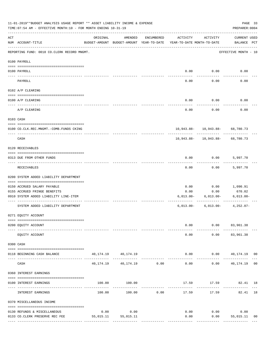|     | 11-01-2019**BUDGET ANALYSIS USAGE REPORT ** ASSET LIABILITY INCOME & EXPENSE<br>TIME: 07:54 AM - EFFECTIVE MONTH: 10 - FOR MONTH ENDING 10-31-19 |           |                                                     |               |                                        |                                                        | PAGE 33<br>PREPARER: 0004             |    |
|-----|--------------------------------------------------------------------------------------------------------------------------------------------------|-----------|-----------------------------------------------------|---------------|----------------------------------------|--------------------------------------------------------|---------------------------------------|----|
| ACT | NUM ACCOUNT-TITLE                                                                                                                                | ORIGINAL  | AMENDED<br>BUDGET-AMOUNT BUDGET-AMOUNT YEAR-TO-DATE | ENCUMBERED    | ACTIVITY<br>YEAR-TO-DATE MONTH-TO-DATE | ACTIVITY                                               | CURRENT USED<br>BALANCE PCT           |    |
|     | REPORTING FUND: 0018 CO.CLERK RECORD MNGMT.                                                                                                      |           |                                                     |               |                                        |                                                        | EFFECTIVE MONTH - 10                  |    |
|     | 0100 PAYROLL                                                                                                                                     |           |                                                     |               |                                        |                                                        |                                       |    |
|     | 0100 PAYROLL                                                                                                                                     |           |                                                     |               |                                        | $0.00$ $0.00$                                          | 0.00                                  |    |
|     | PAYROLL                                                                                                                                          |           |                                                     |               | 0.00                                   | 0.00                                                   | 0.00                                  |    |
|     | 0102 A/P CLEARING                                                                                                                                |           |                                                     |               |                                        |                                                        |                                       |    |
|     | 0100 A/P CLEARING                                                                                                                                |           |                                                     |               | 0.00                                   | 0.00                                                   | 0.00                                  |    |
|     | A/P CLEARING                                                                                                                                     |           |                                                     |               | 0.00                                   | 0.00                                                   | 0.00                                  |    |
|     | 0103 CASH                                                                                                                                        |           |                                                     |               |                                        |                                                        |                                       |    |
|     | 0100 CO.CLK.REC.MNGMT.-COMB.FUNDS CKING                                                                                                          |           |                                                     |               |                                        | 10,943.88- 10,943.88- 68,780.73                        |                                       |    |
|     | CASH                                                                                                                                             |           |                                                     |               |                                        | _______________<br>$10,943.88 - 10,943.88 - 68,780.73$ | .                                     |    |
|     | 0120 RECEIVABLES                                                                                                                                 |           |                                                     |               |                                        |                                                        |                                       |    |
|     | 0313 DUE FROM OTHER FUNDS                                                                                                                        |           |                                                     |               | 0.00                                   | $0.00$ 5,997.70                                        |                                       |    |
|     | RECEIVABLES                                                                                                                                      |           |                                                     |               | 0.00                                   |                                                        | $0.00$ 5,997.70                       |    |
|     | 0200 SYSTEM ADDED LIABILITY DEPARTMENT                                                                                                           |           |                                                     |               |                                        |                                                        |                                       |    |
|     | 0150 ACCRUED SALARY PAYABLE                                                                                                                      |           |                                                     |               | 0.00                                   | 0.00                                                   | 1,090.91                              |    |
|     | 0155 ACCRUED FRINGE BENEFITS<br>0910 SYSTEM ADDED LIABILITY LINE-ITEM                                                                            |           |                                                     |               | 0.00<br>6,013.00-                      | 0.00<br>6,013.00-                                      | 670.02<br>$6,013.00 -$                |    |
|     | SYSTEM ADDED LIABILITY DEPARTMENT                                                                                                                |           |                                                     |               |                                        | $6,013.00 - 6,013.00 - 4,252.07 -$                     |                                       |    |
|     | 0271 EQUITY ACCOUNT                                                                                                                              |           |                                                     |               |                                        |                                                        |                                       |    |
|     | 0200 EQUITY ACCOUNT                                                                                                                              |           |                                                     |               | 0.00                                   |                                                        | $0.00$ $83,961.38$                    |    |
|     | EQUITY ACCOUNT                                                                                                                                   |           |                                                     |               | 0.00                                   |                                                        | $0.00$ $83,961.38$                    |    |
|     | 0300 CASH                                                                                                                                        |           |                                                     |               |                                        |                                                        |                                       |    |
|     | 0118 BEGINNING CASH BALANCE                                                                                                                      |           | 40, 174. 19   40, 174. 19                           |               |                                        |                                                        | $0.00$ $0.00$ $40,174.19$ 00          |    |
|     | CASH                                                                                                                                             |           | 40, 174. 19   40, 174. 19   0.00                    | ------------- | --------------<br>0.00                 | .                                                      | ____________<br>$0.00$ $40,174.19$ 00 |    |
|     | 0360 INTEREST EARNINGS                                                                                                                           |           |                                                     |               |                                        |                                                        |                                       |    |
|     | 0100 INTEREST EARNINGS                                                                                                                           |           | 100.00 100.00                                       |               |                                        |                                                        | 17.59 17.59 82.41 18                  |    |
|     | INTEREST EARNINGS                                                                                                                                | 100.00    |                                                     | $100.00$ 0.00 | --------------<br>17.59                | 17.59                                                  | 82.41 18                              |    |
|     | 0370 MISCELLANEOUS INCOME                                                                                                                        |           |                                                     |               |                                        |                                                        |                                       |    |
|     |                                                                                                                                                  |           |                                                     |               |                                        |                                                        |                                       |    |
|     | 0130 REFUNDS & MISCELLANEOUS                                                                                                                     | 0.00      | 0.00                                                |               | 0.00                                   | 0.00                                                   | 0.00                                  |    |
|     | 0133 CO.CLERK PRESERVE REC FEE                                                                                                                   | 55,015.11 | 55,015.11                                           |               | 0.00                                   | 0.00                                                   | 55,015.11                             | 00 |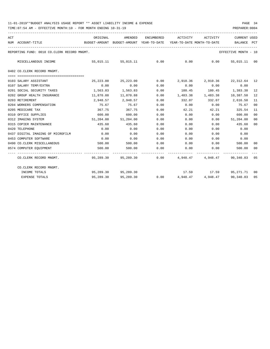| ACT |                                             | ORIGINAL                                                            |                          |      | AMENDED ENCUMBERED ACTIVITY ACTIVITY                    |                             | <b>CURRENT USED</b>  |                |
|-----|---------------------------------------------|---------------------------------------------------------------------|--------------------------|------|---------------------------------------------------------|-----------------------------|----------------------|----------------|
|     | NUM ACCOUNT-TITLE                           | BUDGET-AMOUNT BUDGET-AMOUNT YEAR-TO-DATE YEAR-TO-DATE_MONTH-TO-DATE |                          |      |                                                         |                             | BALANCE PCT          |                |
|     | REPORTING FUND: 0018 CO.CLERK RECORD MNGMT. |                                                                     |                          |      |                                                         |                             | EFFECTIVE MONTH - 10 |                |
|     | MISCELLANEOUS INCOME                        |                                                                     | 55,015.11 55,015.11 0.00 |      | $0.00$ 0.00                                             |                             | 55,015.11 00         |                |
|     | 0402 CO.CLERK RECORD MNGMT.                 |                                                                     |                          |      |                                                         |                             |                      |                |
|     | 0103 SALARY ASSISTANT                       |                                                                     |                          |      | 25,223.00 25,223.00 0.00 2,910.36 2,910.36 22,312.64 12 |                             |                      |                |
|     | 0107 SALARY TEMP/EXTRA                      | 0.00                                                                | 0.00                     | 0.00 | 0.00                                                    | 0.00                        | 0.00                 |                |
|     | 0201 SOCIAL SECURITY TAXES                  | 1,563.83                                                            | 1,563.83 0.00            |      | 180.45 180.45 1,383.38                                  |                             |                      | 12             |
|     | 0202 GROUP HEALTH INSURANCE                 | 11,870.88                                                           | 11,870.88 0.00           |      | 1,483.38 1,483.38 10,387.50                             |                             |                      | 12             |
|     | 0203 RETIREMENT                             | 2,948.57                                                            | 2,948.57                 | 0.00 | 332.07 332.07 2,616.50                                  |                             |                      | 11             |
|     | 0204 WORKERS COMPENSATION                   | 75.67                                                               | 75.67                    | 0.00 | 0.00                                                    | $0.00$ 75.67                |                      | 00             |
|     | 0205 MEDICARE TAX                           | 367.75                                                              | 367.75                   | 0.00 | 42.21                                                   | 42.21                       | 325.54               | 11             |
|     | 0310 OFFICE SUPPLIES                        | 600.00                                                              | 600.00                   | 0.00 | 0.00                                                    | 0.00                        | 600.00               | 0 <sup>0</sup> |
|     | 0312 IMAGING SYSTEM                         | 51,204.00                                                           | 51,204.00                | 0.00 |                                                         | $0.00$ $0.00$ $51,204.00$   |                      | 00             |
|     | 0315 COPIER MAINTENANCE                     | 435.60                                                              | 435.60                   | 0.00 | 0.00                                                    | 0.00                        | 435.60               | 00             |
|     | 0420 TELEPHONE                              | 0.00                                                                | 0.00                     | 0.00 | 0.00                                                    | 0.00                        | 0.00                 |                |
|     | 0437 DIGITAL IMAGING OF MICROFILM           | 0.00                                                                | 0.00                     | 0.00 | 0.00                                                    | 0.00                        | 0.00                 |                |
|     | 0453 COMPUTER SOFTWARE                      | 0.00                                                                | 0.00                     | 0.00 |                                                         | $0.00$ $0.00$ $0.00$        |                      |                |
|     | 0490 CO.CLERK MISCELLANEOUS                 | 500.00                                                              | 500.00                   | 0.00 | $0.00$ 0.00                                             |                             | 500.00               | 00             |
|     | 0574 COMPUTER EQUIPMENT                     | 500.00                                                              | 500.00                   | 0.00 | $0.00$ 0.00                                             |                             | 500.00               | 00             |
|     | CO.CLERK RECORD MNGMT.                      | $95,289.30$ $95,289.30$ $0.00$ $4,948.47$ $4,948.47$ $90,340.83$    |                          |      |                                                         |                             |                      | 05             |
|     | CO.CLERK RECORD MNGMT.                      |                                                                     |                          |      |                                                         |                             |                      |                |
|     | INCOME TOTALS                               |                                                                     | 95,289.30 95,289.30      |      |                                                         | 17.59 17.59 95,271.71       |                      | 00             |
|     | EXPENSE TOTALS                              | 95,289.30                                                           | 95,289.30                | 0.00 |                                                         | 4,948.47 4,948.47 90,340.83 |                      | 05             |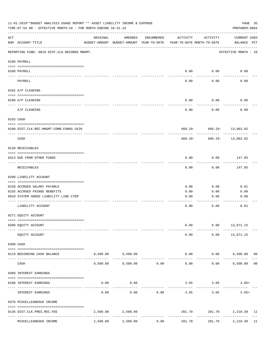| 11-01-2019**BUDGET ANALYSIS USAGE REPORT ** ASSET LIABILITY INCOME & EXPENSE<br>PAGE 35<br>TIME: 07:54 AM - EFFECTIVE MONTH: 10 - FOR MONTH ENDING 10-31-19<br>PREPARER: 0004 |                                                                       |          |                                                     |                     |                                        |                             |                             |  |  |
|-------------------------------------------------------------------------------------------------------------------------------------------------------------------------------|-----------------------------------------------------------------------|----------|-----------------------------------------------------|---------------------|----------------------------------------|-----------------------------|-----------------------------|--|--|
| $\mathop{\rm ACT}$                                                                                                                                                            | NUM ACCOUNT-TITLE                                                     | ORIGINAL | AMENDED<br>BUDGET-AMOUNT BUDGET-AMOUNT YEAR-TO-DATE | ENCUMBERED          | ACTIVITY<br>YEAR-TO-DATE MONTH-TO-DATE | ACTIVITY                    | CURRENT USED<br>BALANCE PCT |  |  |
|                                                                                                                                                                               | REPORTING FUND: 0019 DIST.CLK.RECORDS MNGMT.                          |          |                                                     |                     |                                        |                             | EFFECTIVE MONTH - 10        |  |  |
|                                                                                                                                                                               | 0100 PAYROLL                                                          |          |                                                     |                     |                                        |                             |                             |  |  |
|                                                                                                                                                                               | 0100 PAYROLL                                                          |          |                                                     |                     |                                        | $0.00$ 0.00                 | 0.00                        |  |  |
|                                                                                                                                                                               | PAYROLL                                                               |          |                                                     |                     | 0.00                                   | 0.00                        | 0.00                        |  |  |
|                                                                                                                                                                               | 0102 A/P CLEARING                                                     |          |                                                     |                     |                                        |                             |                             |  |  |
|                                                                                                                                                                               | 0100 A/P CLEARING                                                     |          |                                                     |                     | 0.00                                   | 0.00                        | 0.00                        |  |  |
|                                                                                                                                                                               | A/P CLEARING                                                          |          |                                                     |                     | 0.00                                   | 0.00                        | 0.00                        |  |  |
|                                                                                                                                                                               | 0103 CASH                                                             |          |                                                     |                     |                                        |                             |                             |  |  |
|                                                                                                                                                                               | 0100 DIST.CLK.REC.MNGMT-COMB.FUNDS CKIN                               |          |                                                     |                     |                                        | 660.29- 660.29- 13,063.02   |                             |  |  |
|                                                                                                                                                                               | CASH                                                                  |          |                                                     |                     | 660.29-                                |                             | 660.29- 13,063.02           |  |  |
|                                                                                                                                                                               | 0120 RECEIVABLES                                                      |          |                                                     |                     |                                        |                             |                             |  |  |
|                                                                                                                                                                               | 0313 DUE FROM OTHER FUNDS                                             |          |                                                     |                     | 0.00                                   | 0.00                        | 147.85                      |  |  |
|                                                                                                                                                                               | RECEIVABLES                                                           |          |                                                     |                     | 0.00                                   | 0.00                        | 147.85                      |  |  |
|                                                                                                                                                                               | 0200 LIABILITY ACCOUNT                                                |          |                                                     |                     |                                        |                             |                             |  |  |
|                                                                                                                                                                               | 0150 ACCRUED SALARY PAYABLE                                           |          |                                                     |                     | 0.00                                   | 0.00                        | 0.01                        |  |  |
|                                                                                                                                                                               | 0155 ACCRUED FRINGE BENEFITS                                          |          |                                                     |                     | 0.00                                   | 0.00                        | 0.00                        |  |  |
|                                                                                                                                                                               | 0910 SYSTEM ADDED LIABILITY LINE-ITEM                                 |          |                                                     |                     | 0.00                                   | 0.00                        | 0.00                        |  |  |
|                                                                                                                                                                               | LIABILITY ACCOUNT                                                     |          |                                                     |                     | 0.00                                   | 0.00                        | 0.01                        |  |  |
|                                                                                                                                                                               | 0271 EQUITY ACCOUNT                                                   |          |                                                     |                     |                                        |                             |                             |  |  |
|                                                                                                                                                                               | 0200 EQUITY ACCOUNT                                                   |          |                                                     |                     | 0.00                                   |                             | $0.00$ 13,871.15            |  |  |
|                                                                                                                                                                               | EQUITY ACCOUNT                                                        |          |                                                     |                     | 0.00                                   |                             | $0.00$ 13,871.15            |  |  |
|                                                                                                                                                                               | 0300 CASH                                                             |          |                                                     |                     |                                        |                             |                             |  |  |
|                                                                                                                                                                               | 0119 BEGINNING CASH BALANCE<br>-------------------------- ----------- |          | 9,500.00 9,500.00                                   |                     |                                        | $0.00$ $0.00$ $9,500.00$ 00 | ------------                |  |  |
|                                                                                                                                                                               | CASH                                                                  | 9,500.00 | 9,500.00                                            | -----------<br>0.00 | 0.00                                   | ----------<br>0.00          | 9,500.00 00                 |  |  |
|                                                                                                                                                                               | 0360 INTEREST EARNINGS                                                |          |                                                     |                     |                                        |                             |                             |  |  |
|                                                                                                                                                                               | 0100 INTEREST EARNINGS                                                | 0.00     | 0.00                                                |                     |                                        | $3.05$ $3.05$               | $3.05+$                     |  |  |
|                                                                                                                                                                               | INTEREST EARNINGS                                                     | 0.00     | 0.00                                                | 0.00                | 3.05                                   | 3.05                        | $3.05+$                     |  |  |
|                                                                                                                                                                               | 0370 MISCELLEANEOUS INCOME                                            |          |                                                     |                     |                                        |                             |                             |  |  |
|                                                                                                                                                                               | 0136 DIST.CLK.PRES.REC.FEE                                            |          | 2,500.00 2,500.00                                   |                     | 281.70                                 |                             | 281.70 2,218.30 11          |  |  |
|                                                                                                                                                                               | MISCELLEANEOUS INCOME                                                 | 2,500.00 | 2,500.00                                            | 0.00                | -------------<br>281.70                | 281.70                      | 2,218.30 11                 |  |  |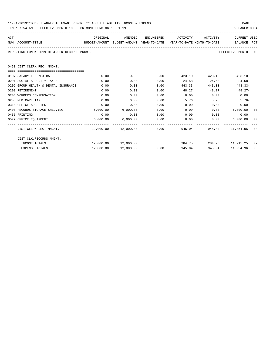| 11-01-2019**BUDGET ANALYSIS USAGE REPORT ** ASSET LIABILITY INCOME & EXPENSE | PAGE 36        |
|------------------------------------------------------------------------------|----------------|
| TIME:07:54 AM - EFFECTIVE MONTH:10 - FOR MONTH ENDING 10-31-19               | PREPARER: 0004 |

| ACT |                                              | ORIGINAL                                                            | AMENDED                      | ENCUMBERED | ACTIVITY       | ACTIVITY     | <b>CURRENT USED</b>  |    |
|-----|----------------------------------------------|---------------------------------------------------------------------|------------------------------|------------|----------------|--------------|----------------------|----|
|     | NUM ACCOUNT-TITLE                            | BUDGET-AMOUNT BUDGET-AMOUNT YEAR-TO-DATE YEAR-TO-DATE MONTH-TO-DATE |                              |            |                |              | BALANCE PCT          |    |
|     | REPORTING FUND: 0019 DIST.CLK.RECORDS MNGMT. |                                                                     |                              |            |                |              | EFFECTIVE MONTH - 10 |    |
|     | 0450 DIST. CLERK REC. MNGMT.                 |                                                                     |                              |            |                |              |                      |    |
|     | =====================================        |                                                                     |                              |            |                |              |                      |    |
|     | 0107 SALARY TEMP/EXTRA                       | 0.00                                                                | 0.00                         | 0.00       | 423.10         | 423.10       | $423.10 -$           |    |
|     | 0201 SOCIAL SECURITY TAXES                   | 0.00                                                                | 0.00                         | 0.00       | 24.58          | 24.58        | $24.58-$             |    |
|     | 0202 GROUP HEALTH & DENTAL INSURANCE         | 0.00                                                                | 0.00                         | 0.00       | 443.33         | 443.33       | $443.33-$            |    |
|     | 0203 RETIREMENT                              | 0.00                                                                | 0.00                         | 0.00       | 48.27          | 48.27        | $48.27 -$            |    |
|     | 0204 WORKERS COMPENSATION                    | 0.00                                                                | 0.00                         | 0.00       | 0.00           | 0.00         | 0.00                 |    |
|     | 0205 MEDICARE TAX                            | 0.00                                                                | 0.00                         | 0.00       | 5.76           | 5.76         | $5.76-$              |    |
|     | 0310 OFFICE SUPPLIES                         | 0.00                                                                | 0.00                         | 0.00       | 0.00           | 0.00         | 0.00                 |    |
|     | 0400 RECORDS STORAGE SHELVING                | 6,000.00                                                            | 6,000.00                     | 0.00       | 0.00           |              | 0.00<br>6,000.00     | 00 |
|     | 0435 PRINTING                                | 0.00                                                                | 0.00                         | 0.00       |                | 0.00<br>0.00 | 0.00                 |    |
|     | 0572 OFFICE EQUIPMENT                        |                                                                     | 6,000.00 6,000.00            | 0.00       |                | 0.00<br>0.00 | 6,000.00             | 00 |
|     | DIST.CLERK REC. MNGMT.                       |                                                                     | $12,000.00$ $12,000.00$ 0.00 |            | 945.04         | 945.04       | 11,054.96 08         |    |
|     | DIST.CLK.RECORDS MNGMT.                      |                                                                     |                              |            |                |              |                      |    |
|     | INCOME TOTALS                                |                                                                     | 12,000.00  12,000.00         |            | 284.75         |              | 284.75 11,715.25 02  |    |
|     | <b>EXPENSE TOTALS</b>                        | 12,000.00                                                           | 12,000.00                    |            | 0.00<br>945.04 | 945.04       | 11,054.96            | 08 |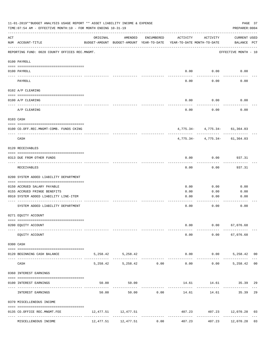|             | 11-01-2019**BUDGET ANALYSIS USAGE REPORT ** ASSET LIABILITY INCOME & EXPENSE<br>TIME: 07:54 AM - EFFECTIVE MONTH: 10 - FOR MONTH ENDING 10-31-19 |          |                                                     |                               |                                        |                                                    | PAGE 37<br>PREPARER: 0004   |  |
|-------------|--------------------------------------------------------------------------------------------------------------------------------------------------|----------|-----------------------------------------------------|-------------------------------|----------------------------------------|----------------------------------------------------|-----------------------------|--|
| ACT         | NUM ACCOUNT-TITLE                                                                                                                                | ORIGINAL | AMENDED<br>BUDGET-AMOUNT BUDGET-AMOUNT YEAR-TO-DATE | ENCUMBERED                    | ACTIVITY<br>YEAR-TO-DATE MONTH-TO-DATE | ACTIVITY                                           | CURRENT USED<br>BALANCE PCT |  |
|             | REPORTING FUND: 0020 COUNTY OFFICES REC.MNGMT.                                                                                                   |          |                                                     |                               |                                        |                                                    | EFFECTIVE MONTH - 10        |  |
|             | 0100 PAYROLL                                                                                                                                     |          |                                                     |                               |                                        |                                                    |                             |  |
|             | 0100 PAYROLL                                                                                                                                     |          |                                                     |                               |                                        | $0.00$ $0.00$                                      | 0.00                        |  |
|             | PAYROLL                                                                                                                                          |          |                                                     |                               | 0.00                                   | 0.00                                               | 0.00                        |  |
|             | 0102 A/P CLEARING                                                                                                                                |          |                                                     |                               |                                        |                                                    |                             |  |
|             | 0100 A/P CLEARING                                                                                                                                |          |                                                     |                               | 0.00                                   | 0.00                                               | 0.00                        |  |
|             | A/P CLEARING                                                                                                                                     |          |                                                     |                               | 0.00                                   | 0.00                                               | 0.00                        |  |
|             | 0103 CASH                                                                                                                                        |          |                                                     |                               |                                        |                                                    |                             |  |
|             | 0100 CO.OFF.REC.MNGMT-COMB. FUNDS CKING                                                                                                          |          |                                                     |                               |                                        | $4,775.34 - 4,775.34 - 61,364.03$                  |                             |  |
|             | -----------------------------<br>CASH                                                                                                            |          |                                                     |                               |                                        | ----------- -<br>$4,775.34 - 4,775.34 - 61,364.03$ |                             |  |
|             | 0120 RECEIVABLES                                                                                                                                 |          |                                                     |                               |                                        |                                                    |                             |  |
|             | 0313 DUE FROM OTHER FUNDS                                                                                                                        |          |                                                     |                               | 0.00                                   | 0.00                                               | 937.31                      |  |
|             | RECEIVABLES                                                                                                                                      |          |                                                     |                               | 0.00                                   | 0.00                                               | 937.31                      |  |
|             | 0200 SYSTEM ADDED LIABILITY DEPARTMENT                                                                                                           |          |                                                     |                               |                                        |                                                    |                             |  |
|             | 0150 ACCRUED SALARY PAYABLE                                                                                                                      |          |                                                     |                               | 0.00                                   | 0.00                                               | 0.00                        |  |
|             | 0155 ACCRUED FRINGE BENEFITS                                                                                                                     |          |                                                     |                               | 0.00                                   | 0.00                                               | 0.00                        |  |
|             | 0910 SYSTEM ADDED LIABILITY LINE-ITEM                                                                                                            |          |                                                     |                               | 0.00                                   | 0.00                                               | 0.00                        |  |
|             | SYSTEM ADDED LIABILITY DEPARTMENT                                                                                                                |          |                                                     |                               | 0.00                                   | 0.00                                               | 0.00                        |  |
|             | 0271 EQUITY ACCOUNT                                                                                                                              |          |                                                     |                               |                                        |                                                    |                             |  |
|             | 0200 EQUITY ACCOUNT                                                                                                                              |          |                                                     |                               | 0.00                                   |                                                    | $0.00$ 67,076.68            |  |
|             | ------------------ -------------<br>EQUITY ACCOUNT                                                                                               |          |                                                     |                               |                                        | 0.00                                               | $0.00$ 67,076.68            |  |
|             | 0300 CASH                                                                                                                                        |          |                                                     |                               |                                        |                                                    |                             |  |
|             | 0120 BEGINNING CASH BALANCE                                                                                                                      |          | 5, 258.42 5, 258.42                                 |                               |                                        | $0.00$ $0.00$ $5,258.42$ 00                        | --------------              |  |
| $- - - - -$ | CASH                                                                                                                                             |          | 5,258.42 5,258.42 0.00                              | ----------------------------- |                                        | ------------<br>$0.00$ $0.00$ $5,258.42$ 00        |                             |  |
|             | 0360 INTEREST EARNINGS                                                                                                                           |          |                                                     |                               |                                        |                                                    |                             |  |
|             | 0100 INTEREST EARNINGS                                                                                                                           |          | 50.00<br>50.00                                      |                               |                                        | 14.61 14.61 35.39 29                               |                             |  |
|             | INTEREST EARNINGS                                                                                                                                | 50.00    |                                                     | 50.00 0.00                    | 14.61                                  | ----------                                         | 14.61 35.39 29              |  |
|             | 0370 MISCELLENEOUS INCOME                                                                                                                        |          |                                                     |                               |                                        |                                                    |                             |  |
|             | 0135 CO.OFFICE REC.MNGMT.FEE                                                                                                                     |          | 12, 477.51 12, 477.51                               |                               |                                        | 407.23 407.23 12,070.28 03                         |                             |  |
|             | MISCELLENEOUS INCOME                                                                                                                             |          | 12,477.51 12,477.51                                 | 0.00                          | 407.23                                 | 407.23                                             | 12,070.28 03                |  |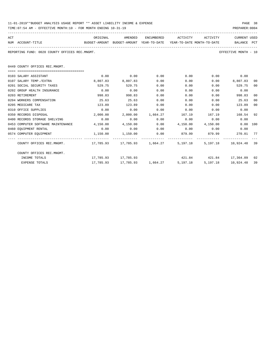| ACT |                                                                                                               | ORIGINAL              |                        |             | AMENDED ENCUMBERED ACTIVITY                          | ACTIVITY CURRENT USED    |                      |                |
|-----|---------------------------------------------------------------------------------------------------------------|-----------------------|------------------------|-------------|------------------------------------------------------|--------------------------|----------------------|----------------|
|     | NUM ACCOUNT-TITLE SALANCE PCT BUDGET-AMOUNT BUDGET-AMOUNT YEAR-TO-DATE YEAR-TO-DATE MONTH-TO-DATE BALANCE PCT |                       |                        |             |                                                      |                          |                      |                |
|     | REPORTING FUND: 0020 COUNTY OFFICES REC.MNGMT.                                                                |                       |                        |             |                                                      |                          | EFFECTIVE MONTH - 10 |                |
|     | 0449 COUNTY OFFICES REC.MNGMT.                                                                                |                       |                        |             |                                                      |                          |                      |                |
|     |                                                                                                               |                       |                        |             |                                                      |                          |                      |                |
|     | 0103 SALARY ASSISTANT                                                                                         |                       | $0.00$ 0.00            | 0.00        | $0.00$ 0.00 0.00                                     |                          |                      |                |
|     | 0107 SALARY TEMP./EXTRA                                                                                       | 8,807.83              | 8,807.83               | 0.00        |                                                      | $0.00$ $0.00$ $8.807.83$ |                      | 00             |
|     | 0201 SOCIAL SECURITY TAXES                                                                                    | 529.75                | 529.75                 | 0.00        | 0.00                                                 |                          | $0.00$ 529.75        | 00             |
|     | 0202 GROUP HEALTH INSURANCE                                                                                   | 0.00                  | 0.00                   | 0.00        |                                                      | 0.00<br>0.00             | 0.00                 |                |
|     | 0203 RETIREMENT                                                                                               | 998.83                | 998.83                 | 0.00        | 0.00                                                 |                          | 0.00 998.83          | 0 <sup>0</sup> |
|     | 0204 WORKERS COMPENSATION                                                                                     | 25.63                 | 25.63                  | 0.00        | $0.00$ 0.00 25.63                                    |                          |                      | 00             |
|     | 0205 MEDICARE TAX                                                                                             | 123.89                | 123.89                 | 0.00        |                                                      | $0.00$ 0.00              | 123.89               | 00             |
|     | 0310 OFFICE SUPPLIES                                                                                          | 0.00                  | 0.00                   | 0.00        | $0.00$ $0.00$ $0.00$ $0.00$                          |                          |                      |                |
|     | 0350 RECORDS DISPOSAL                                                                                         | 2,000.00              |                        |             | $2,000.00$ 1,664.27 167.19 167.19 168.54             |                          |                      | 92             |
|     | 0400 RECORDS STORAGE SHELVING                                                                                 | 0.00                  | 0.00                   | 0.00        | $0.00$ 0.00                                          |                          | 0.00                 |                |
|     | 0453 COMPUTER SOFTWARE MAINTENANCE 4.150.00                                                                   |                       |                        |             | $4,150.00$ $0.00$ $4,150.00$ $4,150.00$ $0.00$ $100$ |                          |                      |                |
|     | 0460 EOUIPMENT RENTAL                                                                                         | 0.00                  |                        | $0.00$ 0.00 | $0.00$ 0.00                                          |                          | 0.00                 |                |
|     | 0574 COMPUTER EQUIPMENT                                                                                       | $1,150.00$ $1,150.00$ |                        |             | $0.00$ $879.99$ $879.99$ $270.01$ $77$               |                          |                      |                |
|     | COUNTY OFFICES REC.MNGMT. 17,785.93 17,785.93 1,664.27 5,197.18 5,197.18 10,924.48 39                         |                       |                        |             |                                                      |                          |                      |                |
|     | COUNTY OFFICES REC.MNGMT.                                                                                     |                       |                        |             |                                                      |                          |                      |                |
|     | INCOME TOTALS                                                                                                 |                       | 17,785.93    17,785.93 |             | 421.84 421.84 17,364.09 02                           |                          |                      |                |
|     | <b>EXPENSE TOTALS</b>                                                                                         | 17,785.93             |                        |             |                                                      | 5, 197. 18 5, 197. 18    | 10,924.48 39         |                |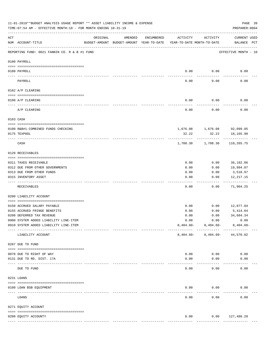|     | 11-01-2019**BUDGET ANALYSIS USAGE REPORT ** ASSET LIABILITY INCOME & EXPENSE<br>TIME: 07:54 AM - EFFECTIVE MONTH: 10 - FOR MONTH ENDING 10-31-19 |          |                                                     |               |                                        |                             | PAGE 39<br>PREPARER: 0004          |
|-----|--------------------------------------------------------------------------------------------------------------------------------------------------|----------|-----------------------------------------------------|---------------|----------------------------------------|-----------------------------|------------------------------------|
| ACT | NUM ACCOUNT-TITLE                                                                                                                                | ORIGINAL | AMENDED<br>BUDGET-AMOUNT BUDGET-AMOUNT YEAR-TO-DATE | ENCUMBERED    | ACTIVITY<br>YEAR-TO-DATE MONTH-TO-DATE | ACTIVITY                    | <b>CURRENT USED</b><br>BALANCE PCT |
|     | REPORTING FUND: 0021 FANNIN CO. R & B #1 FUND                                                                                                    |          |                                                     |               |                                        |                             | EFFECTIVE MONTH - 10               |
|     | 0100 PAYROLL                                                                                                                                     |          |                                                     |               |                                        |                             |                                    |
|     | 0100 PAYROLL                                                                                                                                     |          |                                                     |               | 0.00                                   | 0.00                        | 0.00                               |
|     | PAYROLL                                                                                                                                          |          |                                                     |               | 0.00                                   | 0.00                        | 0.00                               |
|     | 0102 A/P CLEARING                                                                                                                                |          |                                                     |               |                                        |                             |                                    |
|     | 0100 A/P CLEARING                                                                                                                                |          |                                                     |               | 0.00                                   | 0.00                        | 0.00                               |
|     | A/P CLEARING                                                                                                                                     |          |                                                     |               | 0.00                                   | 0.00                        | 0.00                               |
|     | 0103 CASH                                                                                                                                        |          |                                                     |               |                                        |                             |                                    |
|     | 0100 R&B#1-COMBINED FUNDS CHECKING                                                                                                               |          |                                                     |               |                                        | 1,676.08 1,676.08 92,099.85 |                                    |
|     | 0175 TEXPOOL                                                                                                                                     |          |                                                     |               | 32.22                                  | 32.22                       | 18,165.90                          |
|     | CASH                                                                                                                                             |          |                                                     |               | 1,708.30                               | ----------<br>1,708.30      | 110,265.75                         |
|     | 0120 RECEIVABLES                                                                                                                                 |          |                                                     |               |                                        |                             |                                    |
|     | 0311 TAXES RECEIVABLE                                                                                                                            |          |                                                     |               | 0.00                                   | 0.00                        | 36,182.06                          |
|     | 0312 DUE FROM OTHER GOVERNMENTS                                                                                                                  |          |                                                     |               | 0.00                                   | 0.00                        | 19,994.07                          |
|     | 0313 DUE FROM OTHER FUNDS                                                                                                                        |          |                                                     |               | 0.00                                   | 0.00                        | 3,510.97                           |
|     | 0315 INVENTORY ASSET                                                                                                                             |          |                                                     |               | 0.00                                   | 0.00                        | 12, 217.15<br>----------           |
|     | RECEIVABLES                                                                                                                                      |          |                                                     |               | 0.00                                   | 0.00                        | 71,904.25                          |
|     | 0200 LIABILITY ACCOUNT                                                                                                                           |          |                                                     |               |                                        |                             |                                    |
|     | 0150 ACCRUED SALARY PAYABLE                                                                                                                      |          |                                                     |               | 0.00                                   | 0.00                        | 12,877.04                          |
|     | 0155 ACCRUED FRINGE BENEFITS                                                                                                                     |          |                                                     |               | 0.00                                   | 0.00                        | 5,414.04                           |
|     | 0200 DEFERRED TAX REVENUE                                                                                                                        |          |                                                     |               | 0.00                                   | 0.00                        | 34,684.34                          |
|     | 0900 SYSTEM ADDED LIABILITY LINE-ITEM                                                                                                            |          |                                                     |               | 0.00                                   | 0.00                        | 0.00                               |
|     | 0910 SYSTEM ADDED LIABILITY LINE-ITEM                                                                                                            |          |                                                     |               | $8,404.60-$                            | $8,404.60-$                 | $8,404.60 -$                       |
|     | LIABILITY ACCOUNT                                                                                                                                |          |                                                     |               | $8,404.60-$                            |                             | $8,404.60 - 44,570.82$             |
|     | 0207 DUE TO FUND                                                                                                                                 |          |                                                     |               |                                        |                             |                                    |
|     | 0070 DUE TO RIGHT OF WAY                                                                                                                         |          |                                                     |               | 0.00                                   | 0.00                        | 0.00                               |
|     | 0131 DUE TO RD. DIST. 17A                                                                                                                        |          |                                                     |               | 0.00                                   | 0.00                        | 0.00                               |
|     | DUE TO FUND                                                                                                                                      |          |                                                     |               | 0.00                                   | 0.00                        | 0.00                               |
|     | 0231 LOANS                                                                                                                                       |          |                                                     |               |                                        |                             |                                    |
|     | 0100 LOAN BSB EQUIPMENT                                                                                                                          |          |                                                     |               | 0.00                                   | 0.00                        | 0.00                               |
|     | LOANS                                                                                                                                            |          |                                                     |               | 0.00                                   | 0.00                        | 0.00                               |
|     | 0271 EQUITY ACCOUNT                                                                                                                              |          |                                                     |               |                                        |                             |                                    |
|     |                                                                                                                                                  |          |                                                     |               |                                        |                             |                                    |
|     | 0200 EQUITY ACCOUNTY                                                                                                                             |          |                                                     |               | 0.00                                   |                             | $0.00$ 127,486.28                  |
|     |                                                                                                                                                  |          |                                                     | ------------- | -------------                          | -------------               | --------------                     |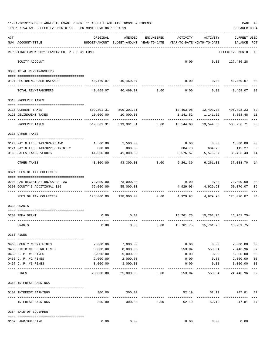|     | 11-01-2019**BUDGET ANALYSIS USAGE REPORT ** ASSET LIABILITY INCOME & EXPENSE<br>TIME: 07:54 AM - EFFECTIVE MONTH: 10 - FOR MONTH ENDING 10-31-19 |                                                      |                                                    |                |                                        |                                                         | PREPARER: 0004                        | PAGE 40     |
|-----|--------------------------------------------------------------------------------------------------------------------------------------------------|------------------------------------------------------|----------------------------------------------------|----------------|----------------------------------------|---------------------------------------------------------|---------------------------------------|-------------|
| ACT | NUM ACCOUNT-TITLE                                                                                                                                | ORIGINAL<br>BUDGET-AMOUNT BUDGET-AMOUNT YEAR-TO-DATE | AMENDED                                            | ENCUMBERED     | ACTIVITY<br>YEAR-TO-DATE MONTH-TO-DATE | ACTIVITY                                                | <b>CURRENT USED</b><br><b>BALANCE</b> | PCT         |
|     | REPORTING FUND: 0021 FANNIN CO. R & B #1 FUND                                                                                                    |                                                      |                                                    |                |                                        |                                                         | EFFECTIVE MONTH - 10                  |             |
|     | EQUITY ACCOUNT                                                                                                                                   |                                                      |                                                    |                |                                        | $0.00$ $0.00$ $127,486.28$                              |                                       |             |
|     | 0300 TOTAL REV/TRANSFERS                                                                                                                         |                                                      |                                                    |                |                                        |                                                         |                                       |             |
|     | 0121 BEGINNING CASH BALANCE                                                                                                                      |                                                      | 40,469.07 40,469.07                                |                |                                        | $0.00$ $0.00$ $40,469.07$ 00                            |                                       |             |
|     | TOTAL REV/TRANSFERS                                                                                                                              |                                                      | $40,469.07$ $40,469.07$ $0.00$ $0.00$              |                |                                        | 0.00                                                    | 40,469.07                             | 00          |
|     | 0310 PROPERTY TAXES                                                                                                                              |                                                      |                                                    |                |                                        |                                                         |                                       |             |
|     |                                                                                                                                                  |                                                      |                                                    |                |                                        |                                                         |                                       |             |
|     | 0110 CURRENT TAXES<br>0120 DELINQUENT TAXES                                                                                                      | 10,000.00                                            | 509,301.31 509,301.31<br>10,000.00                 |                |                                        | 12,403.08  12,403.08  496,898.23<br>1, 141.52 1, 141.52 | 8,858.48 11                           | 02          |
|     | PROPERTY TAXES                                                                                                                                   |                                                      | 519,301.31 519,301.31 0.00 13,544.60 13,544.60     |                |                                        | ------------                                            | 505,756.71                            | 03          |
|     | 0318 OTHER TAXES                                                                                                                                 |                                                      |                                                    |                |                                        |                                                         |                                       |             |
|     |                                                                                                                                                  |                                                      |                                                    |                |                                        |                                                         |                                       |             |
|     | 0120 PAY N LIEU TAX/GRASSLAND<br>0121 PAY N LIEU TAX/UPPER TRINITY                                                                               | 800.00                                               | 1,500.00 1,500.00<br>800.00                        |                |                                        | $0.00$ $0.00$ $1,500.00$<br>684.73 684.73 115.27        |                                       | 00<br>86    |
|     | 0160 SALES TAX REVENUES                                                                                                                          | 41,000.00                                            | 41,000.00                                          |                |                                        | 5,576.57 5,576.57                                       | 35,423.43                             | 14          |
|     | OTHER TAXES                                                                                                                                      | 43,300.00                                            |                                                    | 43,300.00 0.00 |                                        | 6,261.30 6,261.30 37,038.70                             |                                       | 14          |
|     | 0321 FEES OF TAX COLLECTOR                                                                                                                       |                                                      |                                                    |                |                                        |                                                         |                                       |             |
|     | 0200 CAR REGISTRATION/SALES TAX                                                                                                                  |                                                      |                                                    |                |                                        | $0.00$ $0.00$ $73,000.00$                               |                                       | 00          |
|     | 0300 COUNTY'S ADDITIONAL \$10                                                                                                                    | 55,000.00                                            | 73,000.00 73,000.00<br>55,000.00                   |                |                                        | 4,929.93 4,929.93                                       | 50,070.07                             | 09          |
|     |                                                                                                                                                  |                                                      |                                                    |                |                                        | ------------                                            |                                       |             |
|     | FEES OF TAX COLLECTOR                                                                                                                            |                                                      | $128,000.00$ $128,000.00$ 0.00 $4,929.93$ 4,929.93 |                |                                        |                                                         | 123,070.07                            | 04          |
|     | 0330 GRANTS                                                                                                                                      |                                                      |                                                    |                |                                        |                                                         |                                       |             |
|     |                                                                                                                                                  |                                                      |                                                    |                |                                        |                                                         |                                       |             |
|     | 0200 FEMA GRANT                                                                                                                                  |                                                      | $0.00$ 0.00                                        |                |                                        | 15, 761. 75   15, 761. 75   15, 761. 75+                |                                       |             |
|     | GRANTS                                                                                                                                           | 0.00                                                 | 0.00                                               | 0.00           |                                        | 15, 761. 75   15, 761. 75   15, 761. 75+                |                                       |             |
|     | 0350 FINES                                                                                                                                       |                                                      |                                                    |                |                                        |                                                         |                                       |             |
|     | 0403 COUNTY CLERK FINES                                                                                                                          | 7,000.00                                             | 7,000.00                                           |                | 0.00                                   | 0.00                                                    | 7,000.00                              | 00          |
|     | 0450 DISTRICT CLERK FINES                                                                                                                        | 8,000.00                                             | 8,000.00                                           |                | 553.04                                 | 553.04                                                  | 7,446.96                              | 07          |
|     | 0455 J. P. #1 FINES                                                                                                                              | 5,000.00                                             | 5,000.00                                           |                | 0.00                                   | 0.00                                                    | 5,000.00                              | 00          |
|     | 0456 J. P. #2 FINES                                                                                                                              | 2,000.00                                             | 2,000.00                                           |                | 0.00                                   | 0.00                                                    | 2,000.00                              | 00          |
|     | 0457 J. P. #3 FINES                                                                                                                              | 3,000.00                                             | 3,000.00                                           |                | 0.00                                   | 0.00                                                    | 3,000.00                              | 00<br>$---$ |
|     | FINES                                                                                                                                            | 25,000.00                                            | 25,000.00                                          | 0.00           | 553.04                                 | 553.04                                                  | 24,446.96                             | 02          |
|     | 0360 INTEREST EARNINGS                                                                                                                           |                                                      |                                                    |                |                                        |                                                         |                                       |             |
|     | 0100 INTEREST EARNINGS                                                                                                                           | 300.00                                               | 300.00                                             |                | 52.19                                  | 52.19<br>-----------                                    | 247.81 17<br>-------------            |             |
|     | --------------------<br>INTEREST EARNINGS                                                                                                        | 300.00                                               | -------------<br>300.00                            | 0.00           | -------------<br>52.19                 | 52.19                                                   | 247.81 17                             |             |
|     | 0364 SALE OF EQUIPMENT                                                                                                                           |                                                      |                                                    |                |                                        |                                                         |                                       |             |
|     | 0162 LAND/BUILDING                                                                                                                               | 0.00                                                 | 0.00                                               |                | 0.00                                   | 0.00                                                    | 0.00                                  |             |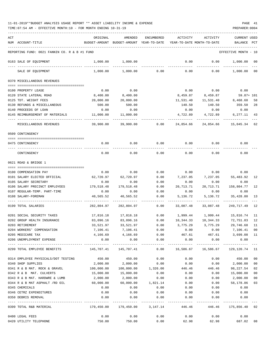| ACT |                                               | ORIGINAL                                                                   | AMENDED                                                             | ENCUMBERED      | ACTIVITY  | ACTIVITY                                                                   | <b>CURRENT USED</b>    |         |
|-----|-----------------------------------------------|----------------------------------------------------------------------------|---------------------------------------------------------------------|-----------------|-----------|----------------------------------------------------------------------------|------------------------|---------|
|     | NUM ACCOUNT-TITLE                             |                                                                            | BUDGET-AMOUNT BUDGET-AMOUNT YEAR-TO-DATE YEAR-TO-DATE MONTH-TO-DATE |                 |           |                                                                            | BALANCE                | PCT     |
|     | REPORTING FUND: 0021 FANNIN CO. R & B #1 FUND |                                                                            |                                                                     |                 |           |                                                                            | EFFECTIVE MONTH - 10   |         |
|     | 0163 SALE OF EQUIPMENT                        | 1,000.00                                                                   | 1,000.00                                                            |                 | 0.00      | 0.00                                                                       | 1,000.00               | - 00    |
|     | SALE OF EQUIPMENT                             | 1,000.00                                                                   | 1,000.00                                                            | 0.00            | 0.00      | 0.00                                                                       | 1,000.00               | $_{00}$ |
|     | 0370 MISCELLANEOUS REVENUES                   |                                                                            |                                                                     |                 |           |                                                                            |                        |         |
|     | 0100 PROPERTY LEASE                           | 0.00                                                                       | 0.00                                                                |                 | 0.00      | 0.00                                                                       | 0.00                   |         |
|     | 0120 STATE LATERAL ROAD                       | 8,400.00                                                                   | 8,400.00                                                            |                 | 8,459.87  | 8,459.87                                                                   | 59.87+ 101             |         |
|     | 0125 TDT. WEIGHT FEES                         | 20,000.00                                                                  | 20,000.00                                                           |                 | 11,531.40 | 11,531.40                                                                  | 8,468.60               | 58      |
|     | 0130 REFUNDS & MISCELLANEOUS                  | 500.00                                                                     | 500.00                                                              |                 | 140.50    | 140.50                                                                     | 359.50                 | 28      |
|     | 0140 PROCEEDS OF LOAN                         | 0.00                                                                       | 0.00                                                                |                 | 0.00      | 0.00                                                                       | 0.00                   |         |
|     | 0145 REIMBURSEMENT OF MATERIALS               | 11,000.00                                                                  | 11,000.00                                                           |                 | 4,722.89  |                                                                            | 4,722.89 6,277.11      | 43      |
|     | MISCELLANEOUS REVENUES                        | 39,900.00                                                                  | 39,900.00                                                           | 0.00            | 24,854.66 |                                                                            | 24,854.66 15,045.34 62 |         |
|     | 0509 CONTINGENCY                              |                                                                            |                                                                     |                 |           |                                                                            |                        |         |
|     | 0475 CONTINGENCY                              | 0.00                                                                       | 0.00                                                                | 0.00            |           | $0.00$ 0.00                                                                | 0.00                   |         |
|     | CONTINGENCY                                   | 0.00                                                                       | 0.00                                                                | -------<br>0.00 | 0.00      | 0.00                                                                       | 0.00                   |         |
|     | 0621 ROAD & BRIDGE 1                          |                                                                            |                                                                     |                 |           |                                                                            |                        |         |
|     | 0100 COMPENSATION PAY                         | 0.00                                                                       | 0.00                                                                | 0.00            |           | $0.00$ 0.00                                                                | 0.00                   |         |
|     | 0101 SALARY ELECTED OFFICIAL                  | 62,720.97                                                                  | 62,720.97                                                           | 0.00            | 7,237.05  | 7,237.05                                                                   | 55,483.92              | 12      |
|     | 0105 SALARY SECRETARY                         | 0.00                                                                       | 0.00                                                                | 0.00            | 0.00      | 0.00                                                                       | 0.00                   |         |
|     | 0106 SALARY PRECINCT EMPLOYEES                | 179,518.48                                                                 | 179,518.48                                                          | 0.00            | 20,713.71 | 20,713.71                                                                  | 158,804.77             | 12      |
|     | 0107 REGULAR-TEMP. PART-TIME                  | 0.00                                                                       | 0.00                                                                | 0.00            | 0.00      | 0.00                                                                       | 0.00                   |         |
|     | 0108 SALARY-FOREMAN                           | 40,565.52                                                                  | 40,565.52                                                           | 0.00            | 5,136.72  | 5,136.72                                                                   | 35,428.80              | 13      |
|     | 0199 TOTAL SALARIES                           | 282,804.97                                                                 | 282,804.97                                                          | 0.00            | 33,087.48 | 33,087.48                                                                  | 249,717.49             | 12      |
|     | 0201 SOCIAL SECURITY TAXES                    | 17,816.18                                                                  | 17,816.18                                                           | 0.00            |           | 1,999.44 1,999.44 15,816.74                                                |                        | 11      |
|     | 0202 GROUP HEALTH INSURANCE                   | 83,096.16                                                                  | 83,096.16                                                           | 0.00            |           | 10,344.33    10,344.33                                                     | 72,751.83              | 12      |
|     | 0203 RETIREMENT                               | 33,521.97                                                                  | 33,521.97                                                           | 0.00            | 3,775.29  | 3,775.29                                                                   | 29,746.68              | 11      |
|     | 0204 WORKERS' COMPENSATION                    |                                                                            | 7,106.41 7,106.41                                                   | 0.00            | 0.00      |                                                                            | $0.00$ $7,106.41$ 00   |         |
|     | 0205 MEDICARE TAX                             | 4,166.69                                                                   | 4,166.69                                                            | 0.00            | 467.61    | 467.61                                                                     | 3,699.08 11            |         |
|     | 0206 UNEMPLOYMENT EXPENSE                     | 0.00                                                                       | 0.00                                                                | 0.00            | 0.00      | 0.00                                                                       | 0.00                   |         |
|     | 0299 TOTAL EMPLOYEE BENEFITS                  | $145,707.41$ $145,707.41$ $0.00$ $16,586.67$ $16,586.67$ $129,120.74$ $11$ |                                                                     |                 |           |                                                                            | -------------          |         |
|     | 0314 EMPLOYEE PHYSICALS/DOT TESTING           | 450.00                                                                     | 450.00                                                              | 0.00            | 0.00      | 0.00                                                                       | 450.00 00              |         |
|     | 0340 SHOP SUPPLIES                            | 2,000.00                                                                   | 2,000.00                                                            | 0.00            | 0.00      |                                                                            | $0.00$ $2,000.00$ 00   |         |
|     | 0341 R & B MAT. ROCK & GRAVEL 100,000.00      |                                                                            | 100,000.00  1,326.00  446.46                                        |                 |           | 446.46                                                                     | 98,227.54              | 02      |
|     | 0342 R & B MAT. CULVERTS                      | 15,000.00                                                                  | 15,000.00                                                           | 0.00            | 0.00      | 0.00                                                                       | 15,000.00              | 00      |
|     | 0343 R & B MAT. HARDWRE & LUMB                | 2,000.00                                                                   | 2,000.00                                                            | 0.00            | 0.00      | 0.00                                                                       | 2,000.00               | 00      |
|     | 0344 R & B MAT ASPHALT /RD OIL                | 60,000.00                                                                  | 60,000.00 1,821.14                                                  |                 | 0.00      | 0.00                                                                       | 58,178.86              | 03      |
|     | 0345 CHEMICALS                                | 0.00                                                                       | 0.00                                                                | 0.00            | 0.00      | 0.00                                                                       | 0.00                   |         |
|     | 0346 CETRZ EXPENDITURES                       | 0.00                                                                       | 0.00                                                                | 0.00            | 0.00      | 0.00                                                                       | 0.00                   |         |
|     | 0350 DEBRIS REMOVAL                           | 0.00                                                                       | 0.00                                                                |                 |           | $0.00$ $0.00$ $0.00$ $0.00$                                                | 0.00                   |         |
|     | 0399 TOTAL R&B MATERIAL                       |                                                                            |                                                                     |                 |           | ------------<br>179,450.00 179,450.00 3,147.14 446.46 446.46 175,856.40 02 |                        |         |
|     | 0400 LEGAL FEES                               | 0.00                                                                       |                                                                     | $0.00$ 0.00     |           | $0.00$ $0.00$ $0.00$ $0.00$                                                |                        |         |
|     | 0420 UTILITY TELEPHONE                        | 750.00                                                                     | 750.00                                                              | 0.00            |           | 62.98 62.98 687.02 08                                                      |                        |         |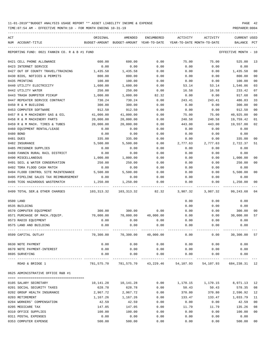| ACT |                                               | ORIGINAL   | AMENDED                                                           | <b>ENCUMBERED</b> | ACTIVITY                   | ACTIVITY                                 | <b>CURRENT USED</b>  |                |
|-----|-----------------------------------------------|------------|-------------------------------------------------------------------|-------------------|----------------------------|------------------------------------------|----------------------|----------------|
|     | NUM ACCOUNT-TITLE                             |            | BUDGET-AMOUNT BUDGET-AMOUNT YEAR-TO-DATE                          |                   | YEAR-TO-DATE MONTH-TO-DATE |                                          | BALANCE              | PCT            |
|     | REPORTING FUND: 0021 FANNIN CO. R & B #1 FUND |            |                                                                   |                   |                            |                                          | EFFECTIVE MONTH - 10 |                |
|     | 0421 CELL PHONE ALLOWANCE                     | 600.00     | 600.00                                                            | 0.00              | 75.00                      | 75.00                                    | 525.00               | 13             |
|     | 0423 INTERNET SERVICE                         | 0.00       | 0.00                                                              | 0.00              | 0.00                       | 0.00                                     | 0.00                 |                |
|     | 0427 OUT OF COUNTY TRAVEL/TRAINING            | 1,435.58   | 1,435.58                                                          | 0.00              | 0.00                       | 0.00                                     | 1,435.58             | 0 <sub>0</sub> |
|     | 0430 BIDS, NOTICES & PERMITS                  | 800.00     | 800.00                                                            | 0.00              | 0.00                       | 0.00                                     | 800.00               | 0 <sub>0</sub> |
|     | 0435 PRINTING                                 | 100.00     | 100.00                                                            | 0.00              | 0.00                       | 0.00                                     | 100.00               | 0 <sub>0</sub> |
|     | 0440 UTILITY ELECTRICITY                      | 1,600.00   | 1,600.00                                                          | 0.00              | 53.14                      | 53.14                                    | 1,546.86             | 03             |
|     | 0442 UTILITY WATER                            | 250.00     | 250.00                                                            | 0.00              | 16.58                      | 16.58                                    | 233.42               | 07             |
|     | 0443 TRASH DUMPSTER PICKUP                    | 1,000.00   | 1,000.00                                                          | 82.32             | 0.00                       | 0.00                                     | 917.68               | 08             |
|     | 0447 REPEATER SERVICE CONTRACT                | 730.24     | 730.24                                                            | 0.00              | 243.41                     | 243.41                                   | 486.83               | 33             |
|     | 0450 R & M BUILDING                           | 300.00     | 300.00                                                            | 0.00              | 0.00                       | 0.00                                     | 300.00               | 00             |
|     | 0453 COMPUTER SOFTWARE                        | 912.50     | 912.50                                                            | 0.00              | 0.00                       | 0.00                                     | 912.50               | 0 <sub>0</sub> |
|     | 0457 R & M MACHINERY GAS & OIL                | 41,000.00  | 41,000.00                                                         | 0.00              | 75.00                      | 75.00                                    | 40,925.00            | 0 <sub>0</sub> |
|     | 0458 R & M MACHINERY PARTS                    | 20,000.00  | 20,000.00                                                         | 0.00              | 240.58                     | 240.58                                   | 19,759.42            | 01             |
|     | 0459 R & M MACH. TIRES & TUBES                | 20,000.00  | 20,000.00                                                         | 0.00              | 443.00                     | 443.00                                   | 19,557.00            | 02             |
|     | 0460 EQUIPMENT RENTAL/LEASE                   | 0.00       | 0.00                                                              | 0.00              | 0.00                       | 0.00                                     | 0.00                 |                |
|     | 0480 BOND                                     | 0.00       | 0.00                                                              | 0.00              | 0.00                       | 0.00                                     | 0.00                 |                |
|     | 0481 DUES                                     | 335.00     | 335.00                                                            | 0.00              | 0.00                       | 0.00                                     | 335.00               | 0 <sub>0</sub> |
|     | 0482 INSURANCE                                | 5,500.00   | 5,500.00                                                          | 0.00              | 2,777.63                   | 2,777.63                                 | 2,722.37             | 51             |
|     | 0485 PRISONER SUPPLIES                        | 0.00       | 0.00                                                              | 0.00              | 0.00                       | 0.00                                     | 0.00                 |                |
|     | 0488 FANNIN RURAL RAIL DISTRICT               | 0.00       | 0.00                                                              | 0.00              | 0.00                       | 0.00                                     | 0.00                 |                |
|     | 0490 MISCELLANEOUS                            | 1,000.00   | 1,000.00                                                          | 0.00              | 0.00                       | 0.00                                     | 1,000.00             | 0 <sub>0</sub> |
|     | 0491 SOIL & WATER CONSERVATION                | 250.00     | 250.00                                                            | 0.00              | 0.00                       | 0.00                                     | 250.00               | 0 <sub>0</sub> |
|     | 0492 TDRA FLOOD CASH MATCH                    | 0.00       | 0.00                                                              | 0.00              | 0.00                       | 0.00                                     | 0.00                 |                |
|     | 0494 FLOOD CONTROL SITE MAINTENANCE           | 5,500.00   | 5,500.00                                                          | 0.00              | 0.00                       | 0.00                                     | 5,500.00             | 0 <sub>0</sub> |
|     | 0495 PIPELINE SALES TAX REIMBURSEMENT         | 0.00       | 0.00                                                              | 0.00              | 0.00                       | 0.00                                     | 0.00                 |                |
|     | 0496 TCOG HAZARDOUS WASTEMATCH                | 1,250.00   | 1,250.00                                                          | 0.00              | 0.00                       | 0.00                                     | 1,250.00             | 0 <sub>0</sub> |
|     | 0499 TOTAL SER.& OTHER CHARGES                | 103,313.32 | 103,313.32                                                        | 82.32             | 3,987.32                   | 3,987.32                                 | 99, 243.68           | 0 <sub>4</sub> |
|     | 0500 LAND                                     |            |                                                                   |                   | 0.00                       | 0.00                                     | 0.00                 |                |
|     | 0535 BUILDING                                 |            |                                                                   |                   | 0.00                       | 0.00                                     | 0.00                 |                |
|     | 0570 COMPUTER EQUIPMENT                       | 300.00     | 300.00                                                            | 0.00              | 0.00                       | 0.00                                     | 300.00               | 00             |
|     | 0571 PURCHASE OF MACH./EQUIP.                 | 70,000.00  | 70,000.00                                                         | 40,000.00         | 0.00                       | 0.00                                     | 30,000.00            | 57             |
|     | 0573 RADIO EQUIPMENT                          | 0.00       | 0.00                                                              | 0.00              | 0.00                       | 0.00                                     | 0.00                 |                |
|     | 0575 LAND AND BUILDING                        | 0.00       | 0.00                                                              | 0.00              | 0.00                       | 0.00                                     | 0.00                 |                |
|     | 0599 CAPITAL OUTLAY                           |            | $70,300.00$ $70,300.00$ $40,000.00$ $0.00$                        |                   |                            |                                          | $0.00$ 30,300.00     | 57             |
|     | 0630 NOTE PAYMENT                             | 0.00       | 0.00                                                              | 0.00              | 0.00                       | 0.00                                     | 0.00                 |                |
|     | 0670 NOTE PAYMENT-INTEREST                    | 0.00       | 0.00                                                              | 0.00              | 0.00                       | 0.00                                     | 0.00                 |                |
|     | 0695 SURVEYING                                | 0.00       | 0.00<br>___________                                               | 0.00              | 0.00                       | 0.00<br>________________________________ | 0.00                 |                |
|     | ROAD & BRIDGE 1                               |            | 781,575.70 781,575.70 43,229.46 54,107.93 54,107.93 684,238.31 12 |                   |                            |                                          |                      |                |
|     | 0625 ADMINISTRATIVE OFFICE R&B #1             |            |                                                                   |                   |                            |                                          |                      |                |
|     | 0105 SALARY SECRETARY                         |            | 10, 141, 28   10, 141, 28                                         |                   |                            | $0.00$ 1,170.15 1,170.15                 | 8,971.13             | 12             |
|     | 0201 SOCIAL SECURITY TAXES                    | 628.78     | 628.78                                                            | 0.00              | 50.43                      | 50.43                                    | 578.35               | 08             |
|     | 0202 GROUP HEALTH INSURANCE                   | 2,967.72   | 2,967.72                                                          | 0.00              | 370.80                     | 370.80                                   | 2,596.92             | 12             |
|     | 0203 RETIREMENT                               | 1,167.26   | 1,167.26                                                          | 0.00              | 133.47                     | 133.47                                   | 1,033.79             | 11             |
|     | 0204 WORKERS' COMPENSATION                    | 42.59      | 42.59                                                             | 0.00              | 0.00                       | 0.00                                     | 42.59                | 0 <sub>0</sub> |
|     | 0205 MEDICARE TAX                             | 147.05     | 147.05                                                            | 0.00              | 11.79                      | 11.79                                    | 135.26               | 08             |
|     | 0310 OFFICE SUPPLIES                          | 100.00     | 100.00                                                            | 0.00              | 0.00                       | 0.00                                     | 100.00               | 0 <sub>0</sub> |
|     | 0311 POSTAL EXPENSES                          | 0.00       | 0.00                                                              | 0.00              | 0.00                       | 0.00                                     | 0.00                 |                |
|     | 0353 COMPUTER EXPENSE                         | 500.00     | 500.00                                                            | 0.00              | 0.00                       | 0.00                                     | 500.00               | 0 <sub>0</sub> |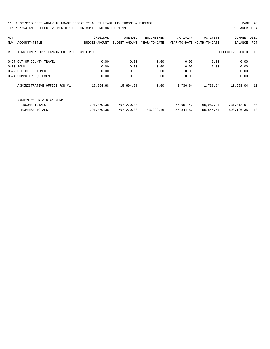| ACT |                                               | ORIGINAL      | AMENDED       | ENCUMBERED   | ACTIVITY                   | ACTIVITY  | <b>CURRENT USED</b>  |     |
|-----|-----------------------------------------------|---------------|---------------|--------------|----------------------------|-----------|----------------------|-----|
| NUM | ACCOUNT-TITLE                                 | BUDGET-AMOUNT | BUDGET-AMOUNT | YEAR-TO-DATE | YEAR-TO-DATE MONTH-TO-DATE |           | BALANCE              | PCT |
|     |                                               |               |               |              |                            |           |                      |     |
|     | REPORTING FUND: 0021 FANNIN CO. R & B #1 FUND |               |               |              |                            |           | EFFECTIVE MONTH - 10 |     |
|     |                                               |               |               |              |                            |           |                      |     |
|     | 0427 OUT OF COUNTY TRAVEL                     | 0.00          | 0.00          | 0.00         | 0.00                       | 0.00      | 0.00                 |     |
|     | 0480 BOND                                     | 0.00          | 0.00          | 0.00         | 0.00                       | 0.00      | 0.00                 |     |
|     | 0572 OFFICE EQUIPMENT                         | 0.00          | 0.00          | 0.00         | 0.00                       | 0.00      | 0.00                 |     |
|     | 0574 COMPUTER EQUIPMENT                       | 0.00          | 0.00          | 0.00         | 0.00                       | 0.00      | 0.00                 |     |
|     | ADMINISTRATIVE OFFICE R&B #1                  | 15,694.68     | 15,694.68     | 0.00         | 1,736.64                   | 1,736.64  | 13,958.04            | 11  |
|     |                                               |               |               |              |                            |           |                      |     |
|     |                                               |               |               |              |                            |           |                      |     |
|     | FANNIN CO. R & B #1 FUND                      |               |               |              |                            |           |                      |     |
|     | INCOME TOTALS                                 | 797,270.38    | 797,270.38    |              | 65,957.47                  | 65,957.47 | 731,312.91           | 08  |
|     | <b>EXPENSE TOTALS</b>                         | 797,270.38    | 797,270.38    | 43,229.46    | 55,844.57                  | 55,844.57 | 698,196.35           | 12  |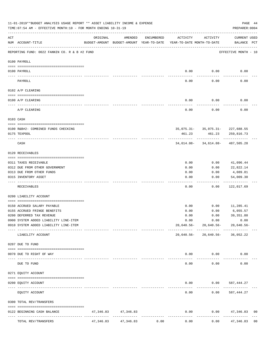|     | 11-01-2019**BUDGET ANALYSIS USAGE REPORT ** ASSET LIABILITY INCOME & EXPENSE<br>TIME: 07:54 AM - EFFECTIVE MONTH: 10 - FOR MONTH ENDING 10-31-19 |           |                                                     |            |                                        |                                                | PAGE 44<br>PREPARER: 0004   |                |
|-----|--------------------------------------------------------------------------------------------------------------------------------------------------|-----------|-----------------------------------------------------|------------|----------------------------------------|------------------------------------------------|-----------------------------|----------------|
| ACT | NUM ACCOUNT-TITLE                                                                                                                                | ORIGINAL  | AMENDED<br>BUDGET-AMOUNT BUDGET-AMOUNT YEAR-TO-DATE | ENCUMBERED | ACTIVITY<br>YEAR-TO-DATE MONTH-TO-DATE | ACTIVITY                                       | CURRENT USED<br>BALANCE PCT |                |
|     | REPORTING FUND: 0022 FANNIN CO. R & B #2 FUND                                                                                                    |           |                                                     |            |                                        |                                                | EFFECTIVE MONTH - 10        |                |
|     | 0100 PAYROLL                                                                                                                                     |           |                                                     |            |                                        |                                                |                             |                |
|     | 0100 PAYROLL                                                                                                                                     |           |                                                     |            | 0.00                                   | 0.00                                           | 0.00                        |                |
|     | PAYROLL                                                                                                                                          |           |                                                     |            | 0.00                                   | 0.00                                           | 0.00                        |                |
|     | 0102 A/P CLEARING                                                                                                                                |           |                                                     |            |                                        |                                                |                             |                |
|     | 0100 A/P CLEARING                                                                                                                                |           |                                                     |            | 0.00                                   | 0.00                                           | 0.00                        |                |
|     | A/P CLEARING                                                                                                                                     |           |                                                     |            | 0.00                                   | 0.00                                           | 0.00                        |                |
|     | 0103 CASH                                                                                                                                        |           |                                                     |            |                                        |                                                |                             |                |
|     |                                                                                                                                                  |           |                                                     |            |                                        |                                                |                             |                |
|     | 0100 R&B#2- COMBINED FUNDS CHECKING<br>0175 TEXPOOL                                                                                              |           |                                                     |            | 461.23                                 | 35,075.31- 35,075.31- 227,688.55<br>461.23     | 259,816.73                  |                |
|     | CASH                                                                                                                                             |           |                                                     |            |                                        | ------------<br>34,614.08-34,614.08-487,505.28 |                             |                |
|     | 0120 RECEIVABLES                                                                                                                                 |           |                                                     |            |                                        |                                                |                             |                |
|     | 0311 TAXES RECEIVABLE                                                                                                                            |           |                                                     |            | 0.00                                   | 0.00                                           | 41,096.44                   |                |
|     | 0312 DUE FROM OTHER GOVERNMENT                                                                                                                   |           |                                                     |            | 0.00                                   | 0.00                                           | 22,822.14                   |                |
|     | 0313 DUE FROM OTHER FUNDS                                                                                                                        |           |                                                     |            | 0.00                                   | 0.00                                           | 4,089.81                    |                |
|     | 0315 INVENTORY ASSET                                                                                                                             |           |                                                     |            | 0.00                                   | 0.00                                           | 54,009.30                   |                |
|     | RECEIVABLES                                                                                                                                      |           |                                                     |            | 0.00                                   | 0.00                                           | ----------<br>122,017.69    |                |
|     | 0200 LIABILITY ACCOUNT                                                                                                                           |           |                                                     |            |                                        |                                                |                             |                |
|     | 0150 ACCRUED SALARY PAYABLE                                                                                                                      |           |                                                     |            | 0.00                                   | 0.00                                           | 11,285.41                   |                |
|     | 0155 ACCRUED FRINGE BENEFITS                                                                                                                     |           |                                                     |            | 0.00                                   | 0.00                                           | 6,055.57                    |                |
|     | 0200 DEFERRED TAX REVENUE                                                                                                                        |           |                                                     |            | 0.00                                   | 0.00                                           | 39, 351.80                  |                |
|     | 0900 SYSTEM ADDED LIABILITY LINE-ITEM                                                                                                            |           |                                                     |            | 0.00                                   | 0.00                                           | 0.00                        |                |
|     | 0910 SYSTEM ADDED LIABILITY LINE-ITEM                                                                                                            |           |                                                     |            |                                        | 20,640.56-20,640.56-20,640.56-                 |                             |                |
|     | LIABILITY ACCOUNT                                                                                                                                |           |                                                     |            |                                        | $20,640.56 - 20,640.56 - 36,052.22$            |                             |                |
|     | 0207 DUE TO FUND                                                                                                                                 |           |                                                     |            |                                        |                                                |                             |                |
|     | 0070 DUE TO RIGHT OF WAY                                                                                                                         |           |                                                     |            |                                        | 0.00 0.00                                      | 0.00                        |                |
|     | DUE TO FUND                                                                                                                                      |           |                                                     |            | $- - - - -$<br>0.00                    | -----------<br>0.00                            | 0.00                        |                |
|     | 0271 EQUITY ACCOUNT                                                                                                                              |           |                                                     |            |                                        |                                                |                             |                |
|     | 0200 EQUITY ACCOUNT                                                                                                                              |           |                                                     |            |                                        | $0.00$ $0.00$ $587,444.27$                     |                             |                |
|     | -------------------- --------------<br>EQUITY ACCOUNT                                                                                            |           |                                                     |            | -----<br>0.00                          | 0.00                                           | 587,444.27                  |                |
|     | 0300 TOTAL REV/TRANSFERS                                                                                                                         |           |                                                     |            |                                        |                                                |                             |                |
|     | 0122 BEGINNING CASH BALANCE                                                                                                                      |           | 47, 346.83 47, 346.83                               |            | 0.00                                   |                                                | $0.00$ $47,346.83$          | 0 <sub>0</sub> |
|     | TOTAL REV/TRANSFERS                                                                                                                              | 47,346.83 | 47,346.83                                           | 0.00       | 0.00                                   | 0.00                                           | 47,346.83                   | 0 <sub>0</sub> |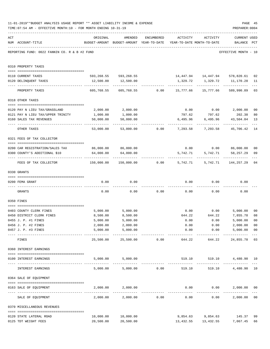|     | 11-01-2019**BUDGET ANALYSIS USAGE REPORT ** ASSET LIABILITY INCOME & EXPENSE<br>TIME: 07:54 AM - EFFECTIVE MONTH: 10 - FOR MONTH ENDING 10-31-19 |                                             |                                                                                |                 |              |                               | PREPARER: 0004                                                            | PAGE 45              |
|-----|--------------------------------------------------------------------------------------------------------------------------------------------------|---------------------------------------------|--------------------------------------------------------------------------------|-----------------|--------------|-------------------------------|---------------------------------------------------------------------------|----------------------|
| ACT | NUM ACCOUNT-TITLE                                                                                                                                | ORIGINAL                                    | AMENDED<br>BUDGET-AMOUNT BUDGET-AMOUNT YEAR-TO-DATE YEAR-TO-DATE MONTH-TO-DATE | ENCUMBERED      | ACTIVITY     | ACTIVITY                      | <b>CURRENT USED</b><br>BALANCE PCT                                        |                      |
|     | REPORTING FUND: 0022 FANNIN CO. R & B #2 FUND                                                                                                    |                                             |                                                                                |                 |              |                               | EFFECTIVE MONTH - 10                                                      |                      |
|     | 0310 PROPERTY TAXES                                                                                                                              |                                             |                                                                                |                 |              |                               |                                                                           |                      |
|     | 0110 CURRENT TAXES                                                                                                                               |                                             |                                                                                |                 |              |                               | 593,268.55 593,268.55 14,447.94 14,447.94 578,820.61                      | 02                   |
|     | 0120 DELINQUENT TAXES                                                                                                                            | 12,500.00                                   | 12,500.00                                                                      |                 |              |                               |                                                                           | 11                   |
|     | PROPERTY TAXES                                                                                                                                   | 605,768.55                                  | --------------                                                                 |                 |              |                               | 605,768.55         0.00        15,777.66       15,777.66       589,990.89 | $- - -$<br>03        |
|     | 0318 OTHER TAXES                                                                                                                                 |                                             |                                                                                |                 |              |                               |                                                                           |                      |
|     |                                                                                                                                                  |                                             |                                                                                |                 |              |                               |                                                                           |                      |
|     | 0120 PAY N LIEU TAX/GRASSLAND<br>0121 PAY N LIEU TAX/UPPER TRINITY                                                                               | 2,000.00<br>1,000.00                        | 2,000.00<br>1,000.00                                                           |                 | 797.62       | 797.62                        | $0.00$ $0.00$ $2,000.00$<br>202.38                                        | 0 <sub>0</sub><br>80 |
|     | 0160 SALES TAX REVENUES                                                                                                                          | 50,000.00                                   | 50,000.00                                                                      |                 |              |                               | 6,495.96 6,495.96 43,504.04                                               | 13                   |
|     | OTHER TAXES                                                                                                                                      | ------------- -------------<br>53,000.00    |                                                                                |                 |              |                               | ------------                                                              | $---$<br>14          |
|     | 0321 FEES OF TAX COLLECTOR                                                                                                                       |                                             |                                                                                |                 |              |                               |                                                                           |                      |
|     |                                                                                                                                                  |                                             |                                                                                |                 |              |                               |                                                                           |                      |
|     | 0200 CAR REGISTRATION/SALES TAX                                                                                                                  |                                             | 86,000.00 86,000.00<br>64,000.00                                               |                 | 5,742.71     |                               | $0.00$ $0.00$ $86,000.00$                                                 | 0 <sub>0</sub>       |
|     | 0300 COUNTY'S ADDITIONAL \$10                                                                                                                    | 64,000.00<br>--------------- -------------- |                                                                                |                 | ------------ | 5,742.71<br>------------      | 58,257.29<br>------------                                                 | 09                   |
|     | FEES OF TAX COLLECTOR                                                                                                                            | 150,000.00                                  |                                                                                | 150,000.00 0.00 |              |                               | 5,742.71 5,742.71 144,257.29                                              | 04                   |
|     | 0330 GRANTS                                                                                                                                      |                                             |                                                                                |                 |              |                               |                                                                           |                      |
|     | 0200 FEMA GRANT                                                                                                                                  | 0.00                                        | 0.00                                                                           |                 |              | $0.00$ 0.00                   | 0.00                                                                      |                      |
|     | GRANTS                                                                                                                                           | 0.00                                        |                                                                                | $0.00$ 0.00     |              | 0.00                          | 0.00<br>0.00                                                              |                      |
|     | 0350 FINES                                                                                                                                       |                                             |                                                                                |                 |              |                               |                                                                           |                      |
|     | 0403 COUNTY CLERK FINES                                                                                                                          | 5,000.00                                    | 5,000.00                                                                       |                 |              | $0.00$ 0.00                   | 5,000.00                                                                  | 0 <sub>0</sub>       |
|     | 0450 DISTRICT CLERK FINES                                                                                                                        | 8,500.00                                    | 8,500.00                                                                       |                 | 644.22       | 644.22                        | 7,855.78                                                                  | 08                   |
|     | 0455 J. P. #1 FINES                                                                                                                              | 5,000.00                                    | 5,000.00                                                                       |                 | 0.00         | 0.00                          | 5,000.00 00                                                               |                      |
|     | 0456 J. P. #2 FINES                                                                                                                              | 2,000.00                                    | 2,000.00                                                                       |                 | 0.00         | 0.00                          | 2,000.00                                                                  | 0 <sub>0</sub>       |
|     | 0457 J. P. #3 FINES                                                                                                                              | 5,000.00                                    | 5,000.00<br>___________                                                        |                 | 0.00         |                               | 0.00<br>5,000.00<br>-------------                                         | 0 <sub>0</sub>       |
|     | FINES                                                                                                                                            | 25,500.00                                   | 25,500.00                                                                      | 0.00            | 644.22       | 644.22                        | 24,855.78                                                                 | 03                   |
|     | 0360 INTEREST EARNINGS                                                                                                                           |                                             |                                                                                |                 |              |                               |                                                                           |                      |
|     | 0100 INTEREST EARNINGS<br>---------------------------------                                                                                      | 5,000.00<br>. <u>.</u>                      | 5,000.00                                                                       |                 |              | 519.10 519.10<br>------------ | 4,480.90 10                                                               |                      |
|     | INTEREST EARNINGS                                                                                                                                | 5,000.00                                    |                                                                                | 5,000.00 0.00   | 519.10       | 519.10                        | 4,480.90                                                                  | 10                   |
|     | 0364 SALE OF EQUIPMENT                                                                                                                           |                                             |                                                                                |                 |              |                               |                                                                           |                      |
|     | 0163 SALE OF EQUIPMENT                                                                                                                           |                                             | 2,000.00 2,000.00                                                              |                 |              | $0.00$ $0.00$                 | 2,000.00                                                                  | 0 <sub>0</sub>       |
|     | SALE OF EQUIPMENT                                                                                                                                | 2,000.00                                    | 2,000.00                                                                       | 0.00            | 0.00         |                               | 0.00<br>2,000.00                                                          | 0 <sub>0</sub>       |
|     | 0370 MISCELLANEOUS REVENUES                                                                                                                      |                                             |                                                                                |                 |              |                               |                                                                           |                      |
|     | 0120 STATE LATERAL ROAD                                                                                                                          | 10,000.00                                   | 10,000.00                                                                      |                 |              |                               | 9,854.63 9,854.63 145.37                                                  | 99                   |
|     | 0125 TDT WEIGHT FEES                                                                                                                             | 20,500.00                                   | 20,500.00                                                                      |                 |              |                               | 13,432.55 13,432.55 7,067.45                                              | 66                   |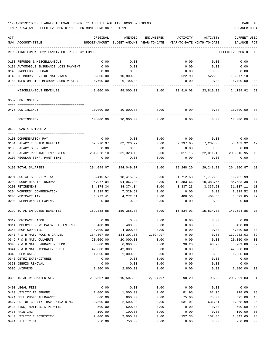| ACT<br>NUM ACCOUNT-TITLE                             | ORIGINAL   | AMENDED<br>BUDGET-AMOUNT BUDGET-AMOUNT YEAR-TO-DATE YEAR-TO-DATE MONTH-TO-DATE | ENCUMBERED | ACTIVITY  | ACTIVITY            | <b>CURRENT USED</b><br>BALANCE | PCT             |
|------------------------------------------------------|------------|--------------------------------------------------------------------------------|------------|-----------|---------------------|--------------------------------|-----------------|
| REPORTING FUND: 0022 FANNIN CO. R & B #2 FUND        |            |                                                                                |            |           |                     | EFFECTIVE MONTH - 10           |                 |
| 0130 REFUNDS & MISCELLANEOUS                         | 0.00       | 0.00                                                                           |            | 0.00      | 0.00                | 0.00                           |                 |
| 0131 AUTOMOBILE INSURANCE LOSS PAYMENT               | 0.00       | 0.00                                                                           |            | 0.00      | 0.00                | 0.00                           |                 |
| 0140 PROCEEDS OF LOAN                                | 0.00       | 0.00                                                                           |            | 0.00      | 0.00                | 0.00                           |                 |
| 0145 REIMBURSEMENT OF MATERIALS 10,800.00            |            | 10,800.00                                                                      |            | 522.90    |                     | 522.90 10,277.10               | 05              |
| 0150 TRENTON HIGH MEADOWS SUBDIVISION                | 6,700.00   | 6,700.00                                                                       |            | 0.00      | 0.00                | 6,700.00                       | 00              |
| MISCELLANEOUS REVENUES                               | 48,000.00  | 48,000.00                                                                      | 0.00       | 23,810.08 | 23,810.08           | 24,189.92                      | 50              |
| 0509 CONTINGENCY                                     |            |                                                                                |            |           |                     |                                |                 |
|                                                      |            |                                                                                |            |           |                     |                                |                 |
| 0475 CONTINGENCY                                     | 10,000.00  | 10,000.00                                                                      | 0.00       | 0.00      | 0.00                | 10,000.00 00                   |                 |
| CONTINGENCY                                          | 10,000.00  | 10,000.00                                                                      | 0.00       | 0.00      | 0.00                | 10,000.00                      | 00              |
| $0622$ ROAD & BRIDGE 2                               |            |                                                                                |            |           |                     |                                |                 |
| 0100 COMPENSATION PAY                                | 0.00       | 0.00                                                                           | 0.00       | 0.00      | 0.00                | 0.00                           |                 |
| 0101 SALARY ELECTED OFFICIAL                         |            | 62,720.97 62,720.97                                                            | 0.00       | 7,237.05  | 7,237.05 55,483.92  |                                | 12              |
| 0105 SALARY SECRETARY                                | 0.00       | 0.00                                                                           | 0.00       | 0.00      | 0.00                | 0.00                           |                 |
| 0106 SALARY PRECINCT EMPLOYEES 231,328.10 231,328.10 |            |                                                                                | 0.00       | 22,011.15 | 22,011.15           | 209, 316.95                    | 10              |
| 0107 REGULAR-TEMP. PART-TIME                         | 0.00       | 0.00                                                                           | 0.00       | 0.00      | 0.00                | 0.00                           |                 |
| 0199 TOTAL SALARIES                                  | 294,049.07 | 294,049.07                                                                     | 0.00       | 29,248.20 | 29,248.20           | 264,800.87                     | 10              |
| 0201 SOCIAL SECURITY TAXES                           | 18,415.57  | 18,415.57                                                                      | 0.00       | 1,712.58  | 1,712.58            | 16,702.99                      | 09              |
| 0202 GROUP HEALTH INSURANCE                          | 94,967.04  | 94,967.04                                                                      | 0.00       |           | 10,383.66 10,383.66 | 84,583.38                      | 11              |
| 0203 RETIREMENT                                      | 34,374.34  | 34,374.34                                                                      | 0.00       | 3,337.23  | 3,337.23            | 31,037.11                      | 10              |
| 0204 WORKERS' COMPENSATION                           | 7,329.52   | 7,329.52                                                                       | 0.00       | 0.00      | 0.00                | 7,329.52                       | 00              |
| 0205 MEDICARE TAX                                    | 4,272.41   | 4,272.41                                                                       | 0.00       | 400.56    | 400.56              | 3,871.85                       | 09              |
| 0206 UNEMPLOYMENT EXPENSE                            | 0.00       | 0.00                                                                           | 0.00       | 0.00      | 0.00                | 0.00                           |                 |
| 0299 TOTAL EMPLOYEE BENEFITS                         | 159,358.88 | 159,358.88                                                                     | 0.00       | 15,834.03 | 15,834.03           | 143,524.85 10                  |                 |
| 0312 CONTRACT LABOR                                  | 0.00       | 0.00                                                                           | 0.00       | 0.00      | 0.00                | 0.00                           |                 |
| 0314 EMPLOYEE PHYSICALS/DOT TESTING                  | 400.00     | 400.00                                                                         | 0.00       | 0.00      | 0.00                | 400.00                         | 00              |
| 0340 SHOP SUPPLIES                                   | 4,000.00   | 4,000.00                                                                       | 0.00       | 0.00      | 0.00                | 4,000.00                       | 00              |
| 0341 R & B MAT. ROCK & GRAVEL                        | 134,307.00 | 134,307.00                                                                     | 2,024.97   | 0.00      | 0.00                | 132,282.03                     | 02              |
| 0342 R & B MAT. CULVERTS                             | 20,000.00  | 20,000.00                                                                      | 0.00       | 0.00      | 0.00                | 20,000.00                      | 00              |
| 0343 R & B MAT. HARDWRE & LUMB                       | 6,000.00   | 6,000.00                                                                       | 0.00       | 90.20     | 90.20               | 5,909.80                       | 02              |
| 0344 R & B MAT. ASPHALT/RD OIL                       | 42,000.00  | 42,000.00                                                                      | 0.00       | 0.00      | 0.00                | 42,000.00                      | 00              |
| 0345 CHEMICALS                                       | 1,000.00   | 1,000.00                                                                       | 0.00       | 0.00      | 0.00                | 1,000.00                       | 00              |
| 0346 CETRZ EXPENDITURES                              | 0.00       | 0.00                                                                           | 0.00       | 0.00      | 0.00                | 0.00                           |                 |
| 0350 DEBRIS REMOVAL                                  | 0.00       | 0.00                                                                           | 0.00       | 0.00      | 0.00                | 0.00                           |                 |
| 0395 UNIFORMS                                        | 2,800.00   | 2,800.00                                                                       | 0.00       | 0.00      | 0.00                | 2,800.00                       | 00<br>$- - - -$ |
| 0399 TOTAL R&B MATERIALS                             |            | 210,507.00 210,507.00 2,024.97                                                 |            |           | 90.20               | 90.20 208,391.83 01            |                 |
| 0400 LEGAL FEES                                      | 0.00       | 0.00                                                                           | 0.00       | 0.00      | 0.00                | 0.00                           |                 |
| 0420 UTILITY TELEPHONE                               | 1,000.00   | 1,000.00                                                                       | 0.00       | 81.95     | 81.95               | 918.05                         | 08              |
| 0421 CELL PHONE ALLOWANCE                            | 600.00     | 600.00                                                                         | 0.00       | 75.00     | 75.00               | 525.00                         | 13              |
| 0427 OUT OF COUNTY TRAVEL/TRAINING                   | 2,500.00   | 2,500.00                                                                       | 0.00       | 631.01    | 631.01              | 1,868.99                       | 25              |
| 0430 BIDS, NOTICES & PERMITS                         | 500.00     | 500.00                                                                         | 0.00       | 0.00      | 0.00                | 500.00                         | 00              |
| 0435 PRINTING                                        | 100.00     | 100.00                                                                         | 0.00       | 0.00      | 0.00                | 100.00                         | 00              |
| 0440 UTILITY ELECTRICITY                             | 2,000.00   | 2,000.00                                                                       | 0.00       | 157.35    | 157.35              | 1,842.65                       | 08              |
| 0441 UTILITY GAS                                     | 750.00     | 750.00                                                                         | 0.00       | 0.00      | 0.00                | 750.00                         | 00              |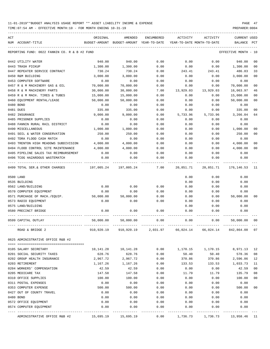| ACT |                                               | ORIGINAL      | AMENDED               | ENCUMBERED   | ACTIVITY  | ACTIVITY                   | CURRENT USED    |                |
|-----|-----------------------------------------------|---------------|-----------------------|--------------|-----------|----------------------------|-----------------|----------------|
| NUM | ACCOUNT-TITLE                                 | BUDGET-AMOUNT | BUDGET-AMOUNT         | YEAR-TO-DATE |           | YEAR-TO-DATE MONTH-TO-DATE | BALANCE         | PCT            |
|     | REPORTING FUND: 0022 FANNIN CO. R & B #2 FUND |               |                       |              |           |                            | EFFECTIVE MONTH | - 10           |
|     | 0442 UTILITY WATER                            | 940.00        | 940.00                | 0.00         | 0.00      | 0.00                       | 940.00          | 00             |
|     | 0443 TRASH PICKUP                             | 1,300.00      | 1,300.00              | 0.00         | 0.00      | 0.00                       | 1,300.00        | 0 <sub>0</sub> |
|     | 0447 REPEATER SERVICE CONTRACT                | 730.24        | 730.24                | 0.00         | 243.41    | 243.41                     | 486.83          | 33             |
|     | 0450 R&M BUILDING                             | 3,000.00      | 3,000.00              | 0.00         | 0.00      | 0.00                       | 3,000.00        | 00             |
|     | 0453 COMPUTER SOFTWARE                        | 0.00          | 0.00                  | 0.00         | 0.00      | 0.00                       | 0.00            |                |
|     | 0457 R & M MACHINERY GAS & OIL                | 70,000.00     | 70,000.00             | 0.00         | 0.00      | 0.00                       | 70,000.00       | 0 <sub>0</sub> |
|     | 0458 R & M MACHINERY PARTS                    | 30,000.00     | 30,000.00             | 7.00         | 13,929.03 | 13,929.03                  | 16,063.97       | 46             |
|     | 0459 R & M MACH. TIRES & TUBES                | 15,000.00     | 15,000.00             | 0.00         | 0.00      | 0.00                       | 15,000.00       | 00             |
|     | 0460 EQUIPMENT RENTAL/LEASE                   | 50,000.00     | 50,000.00             | 0.00         | 0.00      | 0.00                       | 50,000.00       | 00             |
|     | 0480 BOND                                     | 0.00          | 0.00                  | 0.00         | 0.00      | 0.00                       | 0.00            |                |
|     | 0481 DUES                                     | 335.00        | 335.00                | 0.00         | 0.00      | 0.00                       | 335.00          | 00             |
|     | 0482 INSURANCE                                | 9,000.00      | 9,000.00              | 0.00         | 5,733.96  | 5,733.96                   | 3,266.04        | 64             |
|     | 0485 PRISONER SUPPLIES                        | 0.00          | 0.00                  | 0.00         | 0.00      | 0.00                       | 0.00            |                |
|     | 0488 FANNIN RURAL RAIL DISTRICT               | 0.00          | 0.00                  | 0.00         | 0.00      | 0.00                       | 0.00            |                |
|     | 0490 MISCELLANEOUS                            | 1,000.00      | 1,000.00              | 0.00         | 0.00      | 0.00                       | 1,000.00        | 00             |
|     | 0491 SOIL & WATER CONSERVATION                | 250.00        | 250.00                | 0.00         | 0.00      | 0.00                       | 250.00          | 00             |
|     | 0492 TDRA FLOOD CASH MATCH                    | 0.00          | 0.00                  | 0.00         | 0.00      | 0.00                       | 0.00            |                |
|     | 0493 TRENTON HIGH MEADOWS SUBDIVISION         | 4,000.00      | 4,000.00              | 0.00         | 0.00      | 0.00                       | 4,000.00        | 0 <sub>0</sub> |
|     | 0494 FLOOD CONTROL SITE MAINTENANCE           | 4,000.00      | 4,000.00              | 0.00         | 0.00      | 0.00                       | 4,000.00        | 00             |
|     | 0495 PIPELINE SALES TAX REIMBURSEMENT         | 0.00          | 0.00                  | 0.00         | 0.00      | 0.00                       | 0.00            |                |
|     | 0496 TCOG HAZARDOUS WASTEMATCH                | 0.00          | 0.00                  | 0.00         | 0.00      | 0.00                       | 0.00            |                |
|     | 0499 TOTAL SER.& OTHER CHARGES                | 197,005.24    | 197,005.24            | 7.00         | 20,851.71 | 20,851.71                  | 176,146.53      | -11            |
|     | 0500 LAND                                     |               |                       |              | 0.00      | 0.00                       | 0.00            |                |
|     | 0535 BUILDING                                 |               |                       |              | 0.00      | 0.00                       | 0.00            |                |
|     | 0562 LAND/BUILDING                            | 0.00          | 0.00                  | 0.00         | 0.00      | 0.00                       | 0.00            |                |
|     | 0570 COMPUTER EQUIPMENT                       | 0.00          | 0.00                  | 0.00         | 0.00      | 0.00                       | 0.00            |                |
|     | 0571 PURCHASE OF MACH./EQUIP.                 | 50,000.00     | 50,000.00             | 0.00         | 0.00      | 0.00                       | 50,000.00       | 00             |
|     | 0573 RADIO EQUIPMENT                          | 0.00          | 0.00                  | 0.00         | 0.00      | 0.00                       | 0.00            |                |
|     | 0575 LAND/BUILDING                            |               |                       |              | 0.00      | 0.00                       | 0.00            |                |
|     | 0580 PRECINCT BRIDGE                          | 0.00          | 0.00                  | 0.00         | 0.00      | 0.00                       | 0.00            |                |
|     | 0599 CAPITAL OUTLAY                           | 50,000.00     | 50,000.00             | 0.00         | 0.00      | 0.00                       | 50,000.00       | 00             |
|     | ROAD & BRIDGE 2                               |               | 910,920.19 910,920.19 |              |           |                            |                 |                |
|     | 0625 ADMINISTRATIVE OFFICE R&B #2             |               |                       |              |           |                            |                 |                |
|     |                                               |               |                       | 0.00         |           |                            | 8,971.13        |                |
|     | 0105 SALARY SECRETARY                         | 10,141.28     | 10,141.28             |              |           | 1,170.15 1,170.15          |                 | 12             |
|     | 0201 SOCIAL SECURITY TAXES                    | 628.76        | 628.76                | 0.00         | 50.40     | 50.40                      | 578.36          | 08             |
|     | 0202 GROUP HEALTH INSURANCE                   | 2,967.72      | 2,967.72              | 0.00         | 370.86    | 370.86                     | 2,596.86        | 12             |
|     | 0203 RETIREMENT                               | 1,167.26      | 1,167.26              | 0.00         | 133.53    | 133.53                     | 1,033.73        | 11             |
|     | 0204 WORKERS' COMPENSATION                    | 42.59         | 42.59                 | 0.00         | 0.00      | 0.00                       | 42.59           | 00             |
|     | 0205 MEDICARE TAX                             | 147.58        | 147.58                | 0.00         | 11.79     | 11.79                      | 135.79          | 08             |
|     | 0310 OFFICE SUPPLIES                          | 100.00        | 100.00                | 0.00         | 0.00      | 0.00                       | 100.00          | 00             |
|     | 0311 POSTAL EXPENSES                          | 0.00          | 0.00                  | 0.00         | 0.00      | 0.00                       | 0.00            |                |
|     | 0353 COMPUTER EXPENSE                         | 500.00        | 500.00                | 0.00         | 0.00      | 0.00                       | 500.00          | 00             |
|     | 0427 OUT OF COUNTY TRAVEL                     | 0.00          | 0.00                  | 0.00         | 0.00      | 0.00                       | 0.00            |                |
|     | 0480 BOND                                     | 0.00          | 0.00                  | 0.00         | 0.00      | 0.00                       | 0.00            |                |
|     | 0572 OFFICE EQUIPMENT                         | 0.00          | 0.00                  | 0.00         | 0.00      | 0.00                       | 0.00            |                |
|     | 0574 COMPUTER EQUIPMENT                       | 0.00          | 0.00                  | 0.00         | 0.00      | 0.00                       | 0.00            |                |
|     | ADMINISTRATIVE OFFICE R&B #2                  | 15,695.19     | 15,695.19             | 0.00         |           | 1,736.73 1,736.73          | 13,958.46 11    |                |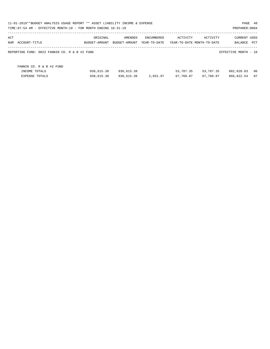|                                               | 11-01-2019**BUDGET ANALYSIS USAGE REPORT ** ASSET LIABILITY INCOME & EXPENSE<br>PAGE 48<br>TIME: 07:54 AM - EFFECTIVE MONTH: 10 - FOR MONTH ENDING 10-31-19<br>PREPARER: 0004 |               |              |           |                            |                      |      |  |  |  |
|-----------------------------------------------|-------------------------------------------------------------------------------------------------------------------------------------------------------------------------------|---------------|--------------|-----------|----------------------------|----------------------|------|--|--|--|
| ACT                                           | ORIGINAL                                                                                                                                                                      | AMENDED       | ENCUMBERED   | ACTIVITY  | ACTIVITY                   | <b>CURRENT USED</b>  |      |  |  |  |
| NUM ACCOUNT-TITLE                             | BUDGET-AMOUNT                                                                                                                                                                 | BUDGET-AMOUNT | YEAR-TO-DATE |           | YEAR-TO-DATE MONTH-TO-DATE | BALANCE              | PCT  |  |  |  |
| REPORTING FUND: 0022 FANNIN CO. R & B #2 FUND |                                                                                                                                                                               |               |              |           |                            | EFFECTIVE MONTH - 10 |      |  |  |  |
| FANNIN CO. R & B #2 FUND                      |                                                                                                                                                                               |               |              |           |                            |                      |      |  |  |  |
| INCOME TOTALS                                 | 936,615.38                                                                                                                                                                    | 936,615.38    |              | 53,787.35 | 53,787.35                  | 882,828.03           | - 06 |  |  |  |
| <b>EXPENSE TOTALS</b>                         | 936,615.38                                                                                                                                                                    | 936,615.38    | 2,031.97     | 67,760.87 | 67,760.87                  | 866,822.54           | 07   |  |  |  |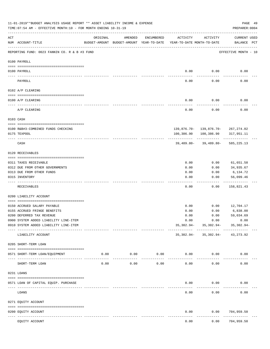|     | 11-01-2019**BUDGET ANALYSIS USAGE REPORT ** ASSET LIABILITY INCOME & EXPENSE<br>TIME: 07:54 AM - EFFECTIVE MONTH: 10 - FOR MONTH ENDING 10-31-19 |                                                      |                              |             |                                        |                                                  | PAGE 49<br>PREPARER: 0004          |  |
|-----|--------------------------------------------------------------------------------------------------------------------------------------------------|------------------------------------------------------|------------------------------|-------------|----------------------------------------|--------------------------------------------------|------------------------------------|--|
| ACT | NUM ACCOUNT-TITLE                                                                                                                                | ORIGINAL<br>BUDGET-AMOUNT BUDGET-AMOUNT YEAR-TO-DATE | AMENDED                      | ENCUMBERED  | ACTIVITY<br>YEAR-TO-DATE MONTH-TO-DATE | ACTIVITY                                         | <b>CURRENT USED</b><br>BALANCE PCT |  |
|     | REPORTING FUND: 0023 FANNIN CO. R & B #3 FUND                                                                                                    |                                                      |                              |             |                                        |                                                  | EFFECTIVE MONTH - 10               |  |
|     | 0100 PAYROLL                                                                                                                                     |                                                      |                              |             |                                        |                                                  |                                    |  |
|     | 0100 PAYROLL                                                                                                                                     |                                                      |                              |             | 0.00                                   | 0.00                                             | 0.00                               |  |
|     | PAYROLL                                                                                                                                          |                                                      |                              |             | 0.00                                   | 0.00                                             | 0.00                               |  |
|     | 0102 A/P CLEARING                                                                                                                                |                                                      |                              |             |                                        |                                                  |                                    |  |
|     | 0100 A/P CLEARING                                                                                                                                |                                                      |                              |             | 0.00                                   | 0.00                                             | 0.00                               |  |
|     | A/P CLEARING                                                                                                                                     |                                                      |                              |             | 0.00                                   | 0.00                                             | 0.00                               |  |
|     | 0103 CASH                                                                                                                                        |                                                      |                              |             |                                        |                                                  |                                    |  |
|     |                                                                                                                                                  |                                                      |                              |             |                                        |                                                  |                                    |  |
|     | 0100 R&B#3-COMBINED FUNDS CHECKING<br>0175 TEXPOOL                                                                                               |                                                      |                              |             | 100,386.90                             | 139,876.70- 139,876.70- 267,274.02<br>100,386.90 | 317,951.11                         |  |
|     |                                                                                                                                                  |                                                      |                              |             |                                        |                                                  |                                    |  |
|     | CASH                                                                                                                                             |                                                      |                              |             |                                        | $39,489.80 - 39,489.80 -$                        | 585,225.13                         |  |
|     | 0120 RECEIVABLES                                                                                                                                 |                                                      |                              |             |                                        |                                                  |                                    |  |
|     | 0311 TAXES RECEIVABLE                                                                                                                            |                                                      |                              |             | 0.00                                   | 0.00                                             | 61,651.58                          |  |
|     | 0312 DUE FROM OTHER GOVERNMENTS                                                                                                                  |                                                      |                              |             | 0.00                                   | 0.00                                             | 34,935.67                          |  |
|     | 0313 DUE FROM OTHER FUNDS                                                                                                                        |                                                      |                              |             | 0.00                                   | 0.00                                             | 6,134.72                           |  |
|     | 0315 INVENTORY                                                                                                                                   |                                                      |                              |             | 0.00                                   | 0.00                                             | 56,099.46<br>.                     |  |
|     | RECEIVABLES                                                                                                                                      |                                                      |                              |             | 0.00                                   | 0.00                                             | 158,821.43                         |  |
|     | 0200 LIABILITY ACCOUNT                                                                                                                           |                                                      |                              |             |                                        |                                                  |                                    |  |
|     |                                                                                                                                                  |                                                      |                              |             |                                        |                                                  |                                    |  |
|     | 0150 ACCRUED SALARY PAYABLE                                                                                                                      |                                                      |                              |             | 0.00                                   | 0.00                                             | 12,704.17                          |  |
|     | 0155 ACCRUED FRINGE BENEFITS                                                                                                                     |                                                      |                              |             | 0.00                                   | 0.00                                             | 6,838.00                           |  |
|     | 0200 DEFERRED TAX REVENUE                                                                                                                        |                                                      |                              |             | 0.00                                   | 0.00                                             | 59,034.69                          |  |
|     | 0900 SYSTEM ADDED LIABILITY LINE-ITEM<br>0910 SYSTEM ADDED LIABILITY LINE-ITEM                                                                   |                                                      |                              |             | 0.00<br>35,302.94-                     | 0.00<br>35,302.94-                               | 0.00<br>35,302.94-                 |  |
|     | LIABILITY ACCOUNT                                                                                                                                |                                                      |                              |             |                                        | $35,302.94 - 35,302.94 - 43,273.92$              |                                    |  |
|     | 0205 SHORT-TERM LOAN                                                                                                                             |                                                      |                              |             |                                        |                                                  |                                    |  |
|     | 0571 SHORT-TERM LOAN/EOUIPMENT                                                                                                                   | 0.00                                                 | $0.00$ 0.00<br>------------- | ----------- | $0.00$ 0.00                            |                                                  | 0.00                               |  |
|     | SHORT-TERM LOAN                                                                                                                                  | 0.00                                                 | 0.00                         | 0.00        | 0.00                                   | 0.00                                             | 0.00                               |  |
|     | 0231 LOANS                                                                                                                                       |                                                      |                              |             |                                        |                                                  |                                    |  |
|     |                                                                                                                                                  |                                                      |                              |             |                                        |                                                  |                                    |  |
|     | 0571 LOAN OF CAPITAL EQUIP. PURCHASE                                                                                                             |                                                      |                              |             | 0.00                                   | 0.00                                             | 0.00                               |  |
|     | LOANS                                                                                                                                            |                                                      |                              |             | 0.00                                   | 0.00                                             | 0.00                               |  |
|     | 0271 EQUITY ACCOUNT                                                                                                                              |                                                      |                              |             |                                        |                                                  |                                    |  |
|     | 0200 EQUITY ACCOUNT<br>---- -----------<br>----------------------- -----------                                                                   |                                                      | -------------                |             | 0.00                                   | 0.00                                             | 704,959.50<br>----------           |  |
|     | EQUITY ACCOUNT                                                                                                                                   |                                                      |                              |             | 0.00                                   | 0.00                                             | 704,959.50                         |  |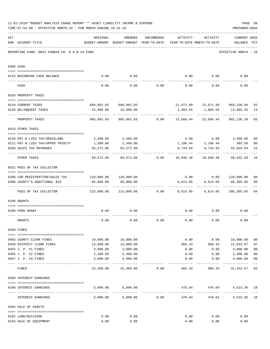| 11-01-2019**BUDGET ANALYSIS USAGE REPORT ** ASSET LIABILITY INCOME & EXPENSE<br>PAGE 50<br>PREPARER: 0004<br>TIME: 07:54 AM - EFFECTIVE MONTH: 10 - FOR MONTH ENDING 10-31-19 |                                                                  |                                             |                                                                                |                                    |                   |               |                                             |                         |  |
|-------------------------------------------------------------------------------------------------------------------------------------------------------------------------------|------------------------------------------------------------------|---------------------------------------------|--------------------------------------------------------------------------------|------------------------------------|-------------------|---------------|---------------------------------------------|-------------------------|--|
| ACT                                                                                                                                                                           | NUM ACCOUNT-TITLE                                                | ORIGINAL                                    | AMENDED<br>BUDGET-AMOUNT BUDGET-AMOUNT YEAR-TO-DATE YEAR-TO-DATE MONTH-TO-DATE | ENCUMBERED                         | ACTIVITY ACTIVITY |               | <b>CURRENT USED</b><br>BALANCE PCT          |                         |  |
|                                                                                                                                                                               | REPORTING FUND: 0023 FANNIN CO. R & B #3 FUND                    |                                             |                                                                                |                                    |                   |               | EFFECTIVE MONTH - 10                        |                         |  |
|                                                                                                                                                                               | 0300 CASH                                                        |                                             |                                                                                |                                    |                   |               |                                             |                         |  |
|                                                                                                                                                                               | 0123 BEGINNING CASH BALANCE                                      | 0.00                                        | 0.00                                                                           |                                    |                   |               | $0.00$ $0.00$ $0.00$ $0.00$                 |                         |  |
|                                                                                                                                                                               | CASH                                                             | 0.00                                        |                                                                                | $0.00$ $0.00$ $0.00$ $0.00$ $0.00$ |                   |               | 0.00                                        |                         |  |
|                                                                                                                                                                               | 0310 PROPERTY TAXES                                              |                                             |                                                                                |                                    |                   |               |                                             |                         |  |
|                                                                                                                                                                               |                                                                  |                                             |                                                                                |                                    |                   |               |                                             |                         |  |
|                                                                                                                                                                               | 0110 CURRENT TAXES                                               |                                             | 889,902.83 889,902.83                                                          |                                    |                   |               | 21,671.89 21,671.89 868,230.94              | 02                      |  |
|                                                                                                                                                                               | 0120 DELINQUENT TAXES                                            |                                             | 15,900.00 15,900.00<br>-----------                                             |                                    | 1,994.55<br>.     | ------------- | 1,994.55 13,905.45<br>-------------         | 13                      |  |
|                                                                                                                                                                               | PROPERTY TAXES                                                   | 905,802.83                                  |                                                                                | 905,802.83 0.00 23,666.44          |                   |               | 23,666.44 882,136.39                        | 03                      |  |
|                                                                                                                                                                               | 0318 OTHER TAXES                                                 |                                             |                                                                                |                                    |                   |               |                                             |                         |  |
|                                                                                                                                                                               | 0120 PAY N LIEU TAX/GRASSLAND                                    |                                             | 2,500.00 2,500.00                                                              |                                    |                   |               | $0.00$ $0.00$ $2,500.00$                    | 0 <sub>0</sub>          |  |
|                                                                                                                                                                               | 0121 PAY N LIEU TAX/UPPER TRINITY                                | 1,500.00                                    | 1,500.00                                                                       |                                    |                   |               | 1,196.44 1,196.44 303.56                    | 80                      |  |
|                                                                                                                                                                               | 0160 SALES TAX REVENUES                                          | 65,572.88                                   | 65,572.88                                                                      |                                    | 9,743.94          | 9,743.94      | 55,828.94                                   | 15                      |  |
|                                                                                                                                                                               | OTHER TAXES                                                      |                                             | 69,572.88 69,572.88 0.00 10,940.38 10,940.38                                   |                                    |                   |               | 58,632.50                                   | 16                      |  |
|                                                                                                                                                                               | 0321 FEES OF TAX COLLECTOR                                       |                                             |                                                                                |                                    |                   |               |                                             |                         |  |
|                                                                                                                                                                               |                                                                  |                                             |                                                                                |                                    |                   |               | $0.00$ $0.00$ $120,000.00$                  |                         |  |
|                                                                                                                                                                               | 0200 CAR REGISTRATION/SALES TAX<br>0300 COUNTY'S ADDITIONAL \$10 | 95,000.00                                   | 95,000.00                                                                      |                                    | 8,614.05          | 8,614.05      | 86,385.95                                   | 0 <sub>0</sub><br>09    |  |
|                                                                                                                                                                               | FEES OF TAX COLLECTOR                                            | $215,000.00$ $215,000.00$ $0.00$ $8,614.05$ |                                                                                |                                    |                   |               | 8,614.05 206,385.95                         | 0 <sub>4</sub>          |  |
|                                                                                                                                                                               | 0330 GRANTS                                                      |                                             |                                                                                |                                    |                   |               |                                             |                         |  |
|                                                                                                                                                                               |                                                                  |                                             |                                                                                |                                    |                   |               |                                             |                         |  |
|                                                                                                                                                                               | 0200 FEMA GRANT                                                  | 0.00                                        | 0.00                                                                           |                                    | 0.00              | 0.00          | 0.00                                        |                         |  |
|                                                                                                                                                                               | GRANTS                                                           | 0.00                                        | 0.00                                                                           | 0.00                               | 0.00              | 0.00          | 0.00                                        |                         |  |
|                                                                                                                                                                               | 0350 FINES                                                       |                                             |                                                                                |                                    |                   |               |                                             |                         |  |
|                                                                                                                                                                               | 0403 COUNTY CLERK FINES                                          | 10,000.00                                   | 10,000.00                                                                      |                                    | 0.00              |               | 0.00 10,000.00                              | 0 <sub>0</sub>          |  |
|                                                                                                                                                                               | 0450 DISTRICT CLERK FINES                                        | 13,000.00                                   | 13,000.00                                                                      |                                    | 966.33            |               | 966.33 12,033.67                            | 07                      |  |
|                                                                                                                                                                               | 0455 J. P. #1 FINES                                              | 3,000.00                                    | 3,000.00                                                                       |                                    | 0.00              | 0.00          | 3,000.00                                    | 0 <sub>0</sub>          |  |
|                                                                                                                                                                               | 0456 J. P. #2 FINES                                              | 2,400.00                                    | 2,400.00                                                                       |                                    | 0.00              | 0.00          | 2,400.00                                    | 0 <sub>0</sub>          |  |
|                                                                                                                                                                               | 0457 J. P. #3 FINES                                              | 4,000.00                                    | 4,000.00                                                                       |                                    | 0.00              | 0.00          | 4,000.00                                    | 0 <sub>0</sub><br>$---$ |  |
|                                                                                                                                                                               | FINES                                                            |                                             | 32,400.00 32,400.00                                                            | 0.00                               | 966.33            | 966.33        | 31,433.67                                   | 03                      |  |
|                                                                                                                                                                               | 0360 INTEREST EARNINGS                                           |                                             |                                                                                |                                    |                   |               |                                             |                         |  |
|                                                                                                                                                                               |                                                                  |                                             |                                                                                |                                    |                   |               |                                             |                         |  |
|                                                                                                                                                                               | 0100 INTEREST EARNINGS                                           |                                             | 5,000.00 5,000.00                                                              |                                    | ------------      | 476.64 476.64 | 4,523.36 10<br>---------------------------- |                         |  |
|                                                                                                                                                                               | INTEREST EARNINGS                                                |                                             | 5,000.00 5,000.00 0.00                                                         |                                    | 476.64            |               | 476.64<br>4,523.36                          | 10                      |  |
|                                                                                                                                                                               | 0364 SALE OF ASSETS                                              |                                             |                                                                                |                                    |                   |               |                                             |                         |  |
|                                                                                                                                                                               | 0162 LAND/BUILDING                                               | 0.00                                        | 0.00                                                                           |                                    | 0.00              | 0.00          | 0.00                                        |                         |  |
|                                                                                                                                                                               | 0163 SALE OF EQUIPMENT                                           | 0.00                                        | 0.00                                                                           |                                    | 0.00              | 0.00          | 0.00                                        |                         |  |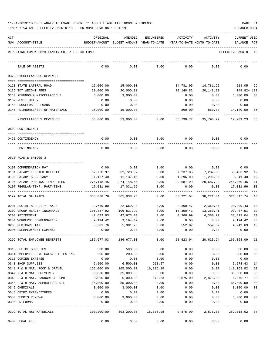| 11-01-2019**BUDGET ANALYSIS USAGE REPORT ** ASSET LIABILITY INCOME & EXPENSE |  |  |  | PAGE |  |
|------------------------------------------------------------------------------|--|--|--|------|--|
|                                                                              |  |  |  |      |  |

| ACT | NUM ACCOUNT-TITLE                                     | ORIGINAL               | AMENDED<br>BUDGET-AMOUNT BUDGET-AMOUNT YEAR-TO-DATE | <b>ENCUMBERED</b>    | ACTIVITY<br>YEAR-TO-DATE MONTH-TO-DATE | ACTIVITY             | <b>CURRENT USED</b><br>BALANCE | PCT            |
|-----|-------------------------------------------------------|------------------------|-----------------------------------------------------|----------------------|----------------------------------------|----------------------|--------------------------------|----------------|
|     | REPORTING FUND: 0023 FANNIN CO. R & B #3 FUND         |                        |                                                     |                      |                                        |                      | EFFECTIVE MONTH - 10           |                |
|     | SALE OF ASSETS                                        | 0.00                   | 0.00                                                | 0.00                 | 0.00                                   | 0.00                 | 0.00                           |                |
|     | 0370 MISCELLANEOUS REVENUES                           |                        |                                                     |                      |                                        |                      |                                |                |
|     |                                                       |                        |                                                     |                      |                                        |                      |                                |                |
|     | 0120 STATE LATERAL ROAD                               | 15,000.00              | 15,000.00                                           |                      | 14,781.95                              | 14,781.95            | 218.05                         | 99             |
|     | 0125 TDT WEIGHT FEES                                  | 20,000.00              | 20,000.00                                           |                      | 20,148.82                              | 20,148.82            | 148.82+ 101                    |                |
|     | 0130 REFUNDS & MISCELLANEOUS                          | 3,000.00               | 3,000.00                                            |                      | 0.00                                   | 0.00                 | 3,000.00                       | 0 <sub>0</sub> |
|     | 0139 RESTITUTION                                      | 0.00                   | 0.00                                                |                      | 0.00                                   | 0.00                 | 0.00                           |                |
|     | 0140 PROCEEDS OF LOANS                                | 0.00                   | 0.00                                                |                      | 0.00                                   | 0.00                 | 0.00                           |                |
|     | 0145 REIMBURSEMENT OF MATERIALS                       | 15,000.00              | 15,000.00                                           |                      | 860.00                                 | 860.00               | 14,140.00                      | 06             |
|     | MISCELLANEOUS REVENUES                                | 53,000.00              | 53,000.00                                           | 0.00                 | 35,790.77                              | 35,790.77            | 17,209.23                      | 68             |
|     | 0509 CONTINGENCY                                      |                        |                                                     |                      |                                        |                      |                                |                |
|     | 0475 CONTINGENCY                                      | 0.00                   | 0.00                                                | 0.00                 | 0.00                                   | 0.00                 | 0.00                           |                |
|     | CONTINGENCY                                           | 0.00                   | 0.00                                                | 0.00                 | 0.00                                   | 0.00                 | 0.00                           |                |
|     | 0623 ROAD & BRIDGE 3                                  |                        |                                                     |                      |                                        |                      |                                |                |
|     |                                                       |                        |                                                     |                      |                                        |                      |                                |                |
|     | 0100 COMPENSATION PAY                                 | 0.00                   | 0.00                                                | 0.00                 | 0.00                                   | 0.00                 | 0.00                           |                |
|     | 0101 SALARY ELECTED OFFICIAL<br>0105 SALARY SECRETARY | 62,720.97<br>11,137.40 | 62,720.97<br>11,137.40                              | 0.00<br>0.00         | 7,237.05<br>1,296.00                   | 7,237.05<br>1,296.00 | 55,483.92                      | 12<br>12       |
|     | 0106 SALARY PRECINCT EMPLOYEES                        | 274,148.45             | 274,148.45                                          | 0.00                 | 29,687.99                              | 29,687.99            | 9,841.40<br>244,460.46         | 11             |
|     | 0107 REGULAR-TEMP. PART-TIME                          | 17,031.96              | 17,031.96                                           | 0.00                 | 0.00                                   | 0.00                 | 17,031.96                      | 0 <sub>0</sub> |
|     | 0199 TOTAL SALARIES                                   | 365,038.78             | 365,038.78                                          | 0.00                 | 38,221.04                              | 38,221.04            | 326,817.74                     | 10             |
|     | 0201 SOCIAL SECURITY TAXES                            | 22,669.90              | 22,669.90                                           | 0.00                 | 2,360.47                               | 2,360.47             | 20,309.43                      | 10             |
|     | 0202 GROUP HEALTH INSURANCE                           | 106,837.92             | 106,837.92                                          | 0.00                 | 13,350.41                              | 13,350.41            | 93,487.51                      | 12             |
|     | 0203 RETIREMENT                                       | 42,673.03              | 42,673.03                                           | 0.00                 | 4,360.99                               | 4,360.99             | 38,312.04                      | 10             |
|     | 0204 WORKERS' COMPENSATION                            | 9,194.42               | 9,194.42                                            | 0.00                 | 0.00                                   | 0.00                 | 9,194.42                       | 0 <sub>0</sub> |
|     | 0205 MEDICARE TAX                                     | 5,301.76               | 5,301.76                                            | 0.00                 | 552.07                                 | 552.07               | 4,749.69                       | 10             |
|     | 0206 UNEMPLOYMENT EXPENSE                             | 0.00                   | 0.00                                                | 0.00                 | 0.00                                   | 0.00                 | 0.00                           |                |
|     | 0299 TOTAL EMPLOYEE BENEFITS                          |                        | 186,677.03 186,677.03                               |                      | $0.00$ 20,623.94 20,623.94             |                      | 166,053.09 11                  |                |
|     | 0310 OFFICE SUPPLIES                                  | 500.00                 | 500.00                                              | 0.00                 | 0.00                                   | 0.00                 | 500.00                         | 0 <sub>0</sub> |
|     | 0314 EMPLOYEE PHYSICALS/DOT TESTING                   | 200.00                 | 200.00                                              | 0.00                 | 0.00                                   | 0.00                 | 200.00                         | 0 <sub>0</sub> |
|     | 0315 COPIER EXPENSE                                   | 0.00                   | 0.00                                                | 0.00                 | 0.00                                   | 0.00                 | 0.00                           |                |
|     | 0340 SHOP SUPPLIES                                    | 6,500.00               | 6,500.00                                            | 921.57               | 0.00                                   | 0.00                 | 5,578.43                       | 14             |
|     | 0341 R & B MAT. ROCK & GRAVEL                         | 165,000.00             |                                                     | 165,000.00 16,836.18 | 0.00                                   | 0.00                 | 148,163.82                     | 10             |
|     | 0342 R & B MAT. CULVERTS                              | 35,000.00              | 35,000.00                                           | 0.00                 | 0.00                                   | 0.00                 | 35,000.00                      | 0 <sub>0</sub> |
|     | 0343 R & B MAT. HARDWRE & LUMB                        | 5,000.00               | 5,000.00                                            | 549.23               | 2,875.00                               | 2,875.00             | 1,575.77                       | 68             |
|     | 0344 R & B MAT. ASPHALT/RD OIL                        | 85,000.00              | 85,000.00                                           | 0.00                 | 0.00                                   | 0.00                 | 85,000.00                      | 0 <sub>0</sub> |
|     | 0345 CHEMICALS                                        | 3,000.00               | 3,000.00                                            | 0.00                 | 0.00                                   | 0.00                 | 3,000.00                       | 00             |
|     | 0346 CETRZ EXPENDITURES                               | 0.00                   | 0.00                                                | 0.00                 | 0.00                                   | 0.00                 | 0.00                           |                |
|     | 0350 DEBRIS REMOVAL                                   | 3,000.00               | 3,000.00                                            | 0.00                 | 0.00                                   | 0.00                 | 3,000.00                       | 00             |
|     | 0395 UNIFORMS                                         | 0.00                   | 0.00                                                | 0.00                 | 0.00                                   | 0.00                 | 0.00                           |                |
|     | 0399 TOTAL R&B MATERIALS                              | 303,200.00             |                                                     |                      | 303,200.00 18,306.98 2,875.00 2,875.00 |                      | 282,018.02 07                  |                |
|     | 0400 LEGAL FEES                                       | 0.00                   | 0.00                                                | 0.00                 | 0.00                                   | 0.00                 | 0.00                           |                |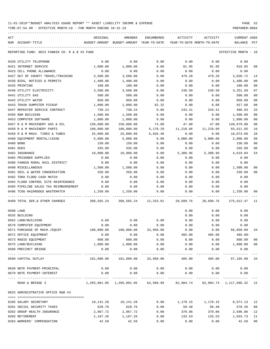| ACT |                                               | ORIGINAL                                                                            | AMENDED                     | ENCUMBERED                | ACTIVITY              | ACTIVITY               | CURRENT USED               |                |
|-----|-----------------------------------------------|-------------------------------------------------------------------------------------|-----------------------------|---------------------------|-----------------------|------------------------|----------------------------|----------------|
|     | NUM ACCOUNT-TITLE                             | BUDGET-AMOUNT BUDGET-AMOUNT YEAR-TO-DATE YEAR-TO-DATE MONTH-TO-DATE                 |                             |                           |                       |                        | BALANCE                    | PCT            |
|     | REPORTING FUND: 0023 FANNIN CO. R & B #3 FUND |                                                                                     |                             |                           |                       |                        | EFFECTIVE MONTH - 10       |                |
|     | 0420 UTILITY TELEPHONE                        | 0.00                                                                                | 0.00                        | 0.00                      | 0.00                  | 0.00                   | 0.00                       |                |
|     | 0421 INTERNET SERVICE                         | 1,000.00                                                                            | 1,000.00                    | 0.00                      | 81.95                 | 81.95                  | 918.05                     | 08             |
|     | 0423 CELL PHONE ALLOWANCE                     | 0.00                                                                                | 0.00                        | 0.00                      | 0.00                  | 0.00                   | 0.00                       |                |
|     | 0427 OUT OF COUNTY TRAVEL/TRAINING            | 3,500.00                                                                            | 3,500.00                    | 0.00                      | 479.28                | 479.28                 | 3,020.72                   | 14             |
|     | 0430 BIDS, NOTICES & PERMITS                  | 1,400.00                                                                            | 1,400.00                    | 0.00                      | 0.00                  | 0.00                   | 1,400.00                   | 00             |
|     | 0435 PRINTING                                 | 100.00                                                                              | 100.00                      | 0.00                      | 0.00                  | 0.00                   | 100.00                     | 00             |
|     | 0440 UTILITY ELECTRICITY                      | 3,500.00                                                                            | 3,500.00                    | 0.00                      | 248.50                | 248.50                 | 3,251.50                   | 07             |
|     | 0441 UTILITY GAS                              | 500.00                                                                              | 500.00                      | 0.00                      | 0.00                  | 0.00                   | 500.00                     | 00             |
|     | 0442 UTILITY WATER                            | 850.00                                                                              | 850.00                      | 0.00                      | 0.00                  | 0.00                   | 850.00                     | 0 <sub>0</sub> |
|     | 0443 TRASH DUMPSTER PICKUP                    | 1,000.00                                                                            | 1,000.00                    | 82.32                     | 0.00                  | 0.00                   | 917.68                     | 08             |
|     | 0447 REPEATER SERVICE CONTRACT                | 730.24                                                                              | 730.24                      | 0.00                      | 243.41                | 243.41                 | 486.83                     | 33             |
|     | 0450 R&M BUILDING                             | 1,500.00                                                                            | 1,500.00                    | 0.00                      | 0.00                  | 0.00                   | 1,500.00                   | 00             |
|     | 0453 COMPUTER SOFTWARE                        | 1,000.00                                                                            | 1,000.00                    | 0.00                      | 0.00                  | 0.00                   | 1,000.00                   | 00             |
|     | 0457 R & M MACHINERY GAS & OIL                | 150,000.00                                                                          | 150,000.00                  | 74.00                     | 47.00                 | 47.00                  | 149,879.00                 | 00             |
|     | 0458 R & M MACHINERY PARTS                    | 100,000.00                                                                          | 100,000.00                  | 5,170.29                  | 11,218.66             | 11,218.66              | 83,611.05                  | 16             |
|     | 0459 R & M MACH. TIRES & TUBES                | 25,000.00                                                                           | 25,000.00                   | 6,926.40                  | 0.00                  | 0.00                   | 18,073.60                  | 28             |
|     | 0460 EQUIPMENT RENTAL/LEASE                   | 5,000.00                                                                            | 5,000.00                    | 0.00                      | 3,000.00              | 3,000.00               | 2,000.00                   | 60             |
|     | 0480 BOND                                     | 150.00                                                                              | 150.00                      | 0.00                      | 0.00                  | 0.00                   | 150.00                     | 00             |
|     | 0481 DUES                                     | 335.00                                                                              | 335.00                      | 0.00                      | 0.00                  | 0.00                   | 335.00                     | 00             |
|     | 0482 INSURANCE                                | 10,000.00                                                                           | 10,000.00                   | 0.00                      | 5,380.96              | 5,380.96               | 4,619.04                   | 54             |
|     | 0485 PRISONER SUPPLIES                        | 0.00                                                                                | 0.00                        | 0.00                      | 0.00                  | 0.00                   | 0.00                       |                |
|     | 0488 FANNIN RURAL RAIL DISTRICT               | 0.00                                                                                | 0.00                        | 0.00                      | 0.00                  | 0.00                   | 0.00                       |                |
|     | 0490 MISCELLANEOUS                            | 1,500.00                                                                            | 1,500.00                    | 0.00                      | 0.00                  | 0.00                   | 1,500.00                   | 00             |
|     | 0491 SOIL & WATER CONSERVATION                | 250.00                                                                              | 250.00                      | 0.00                      | 0.00                  | 0.00                   | 250.00                     | 00             |
|     | 0492 TDRA FLOOD CASH MATCH                    | 0.00                                                                                | 0.00                        | 0.00                      | 0.00                  | 0.00                   | 0.00                       |                |
|     | 0494 FLOOD CONTROL SITE MAINTENANCE           | 0.00                                                                                | 0.00                        | 0.00                      | 0.00                  | 0.00                   | 0.00                       |                |
|     | 0495 PIPELINE SALES TAX REIMBURSEMENT         | 0.00                                                                                | 0.00                        | 0.00                      | 0.00                  | 0.00                   | 0.00                       |                |
|     | 0496 TCOG HAZARDOUS WASTEMATCH                | 1,250.00                                                                            | 1,250.00                    | 0.00                      | 0.00                  | 0.00                   | 1,250.00                   | 00             |
|     |                                               |                                                                                     |                             |                           |                       |                        |                            |                |
|     | 0499 TOTAL SER. & OTHER CHARGES               | 308,565,24 308,565.24 12,253.01 20,699.76                                           |                             |                           |                       | 20,699.76              | 275,612.47 11              |                |
|     | 0500 LAND                                     |                                                                                     |                             |                           | 0.00                  | 0.00                   | 0.00                       |                |
|     | 0535 BUILDING                                 |                                                                                     |                             |                           | 0.00                  | 0.00                   | 0.00                       |                |
|     | 0562 LAND/BUILDING                            | 0.00                                                                                | 0.00                        | 0.00                      | 0.00                  | 0.00                   | 0.00                       |                |
|     | 0570 COMPUTER EQUIPMENT                       | 0.00                                                                                | 0.00                        | 0.00                      | 0.00                  | 0.00                   | 0.00                       |                |
|     | 0571 PURCHASE OF MACH./EQUIP.                 | 100,000.00                                                                          | 100,000.00                  | 33,950.00                 | 0.00                  | 0.00                   | 66,050.00                  | 34             |
|     | 0572 OFFICE EQUIPMENT                         | 0.00                                                                                | 0.00                        | 0.00                      | 485.00                | 485.00                 | $485.00 -$                 |                |
|     | 0573 RADIO EQUIPMENT                          | 600.00                                                                              | 600.00                      | 0.00                      | 0.00                  | 0.00                   | 600.00                     | 00             |
|     | 0575 LAND/BUILDING                            | 1,000.00                                                                            | 1,000.00                    | 0.00                      | 0.00                  | 0.00                   | 1,000.00                   | 00             |
|     | 0580 PRECINCT BRIDGE                          | 0.00                                                                                | 0.00                        | 0.00                      | 0.00<br>------------- | 0.00                   | 0.00                       |                |
|     | 0599 CAPITAL OUTLAY                           | 101,600.00                                                                          | -------------<br>101,600.00 | ------------<br>33,950.00 | 485.00                | ------------<br>485.00 | __________<br>67,165.00 34 | $- - -$        |
|     | 0630 NOTE PAYMENT-PRINCIPAL                   | 0.00                                                                                | 0.00                        | 0.00                      | 0.00                  | 0.00                   | 0.00                       |                |
|     | 0670 NOTE PAYMENT-INTEREST                    | 0.00                                                                                | 0.00                        | 0.00                      | 0.00                  | 0.00                   | 0.00                       |                |
|     | ROAD & BRIDGE 3                               | $1,265,081.05$ $1,265,081.05$ $64,509.99$ $82,904.74$ $82,904.74$ $1,117,666.32$ 12 | -------------               | -------------             | -------------         | ----------             | -------------              |                |
|     | 0625 ADMINISTRATIVE OFFICE R&B #3             |                                                                                     |                             |                           |                       |                        |                            |                |
|     | 0105 SALARY SECRETARY                         | 10,141.28                                                                           | 10,141.28                   | 0.00                      | 1,170.15              | 1,170.15               | 8,971.13                   | 12             |
|     | 0201 SOCIAL SECURITY TAXES                    | 628.76                                                                              | 628.76                      | 0.00                      | 50.40                 | 50.40                  | 578.36                     | 08             |
|     | 0202 GROUP HEALTH INSURANCE                   | 2,967.72                                                                            | 2,967.72                    | 0.00                      | 370.86                | 370.86                 | 2,596.86                   | 12             |
|     | 0203 RETIREMENT                               | 1,167.26                                                                            | 1,167.26                    | 0.00                      | 133.53                | 133.53                 | 1,033.73                   | 11             |
|     | 0204 WORKERS' COMPENSATION                    | 42.59                                                                               | 42.59                       | 0.00                      | 0.00                  | 0.00                   | 42.59                      | 00             |
|     |                                               |                                                                                     |                             |                           |                       |                        |                            |                |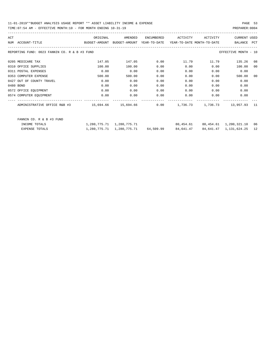| ACT |                                                                                                    | ORIGINAL                                                            | AMENDED                       | ENCUMBERED | ACTIVITY  | ACTIVITY | <b>CURRENT USED</b>                    |    |
|-----|----------------------------------------------------------------------------------------------------|---------------------------------------------------------------------|-------------------------------|------------|-----------|----------|----------------------------------------|----|
|     | NUM ACCOUNT-TITLE                                                                                  | BUDGET-AMOUNT BUDGET-AMOUNT YEAR-TO-DATE YEAR-TO-DATE MONTH-TO-DATE |                               |            |           |          | BALANCE PCT                            |    |
|     | REPORTING FUND: 0023 FANNIN CO. R & B #3 FUND                                                      |                                                                     |                               |            |           |          | EFFECTIVE MONTH - 10                   |    |
|     | 0205 MEDICARE TAX                                                                                  | 147.05                                                              | 147.05                        | 0.00       | 11.79     | 11.79    | 135.26                                 | 08 |
|     | 0310 OFFICE SUPPLIES                                                                               | 100.00                                                              | 100.00                        | 0.00       | 0.00      | 0.00     | 100.00                                 | 00 |
|     | 0311 POSTAL EXPENSES                                                                               | 0.00                                                                | 0.00                          | 0.00       | 0.00      | 0.00     | 0.00                                   |    |
|     | 0353 COMPUTER EXPENSE                                                                              | 500.00                                                              | 500.00                        | 0.00       | 0.00      | 0.00     | 500.00                                 | 00 |
|     | 0427 OUT OF COUNTY TRAVEL                                                                          | 0.00                                                                | 0.00                          | 0.00       | 0.00      | 0.00     | 0.00                                   |    |
|     | 0480 BOND                                                                                          | 0.00                                                                | 0.00                          | 0.00       | 0.00      | 0.00     | 0.00                                   |    |
|     | 0572 OFFICE EQUIPMENT                                                                              | 0.00                                                                | 0.00                          | 0.00       | 0.00      | 0.00     | 0.00                                   |    |
|     | 0574 COMPUTER EQUIPMENT                                                                            | 0.00                                                                | 0.00                          | 0.00       | 0.00      | 0.00     | 0.00                                   |    |
|     | ADMINISTRATIVE OFFICE R&B #3 $15,694.66$ $15,694.66$ $0.00$ $1,736.73$ $1,736.73$ $13,957.93$ $11$ |                                                                     |                               |            |           |          |                                        |    |
|     | FANNIN CO. R & B #3 FUND                                                                           |                                                                     |                               |            |           |          |                                        |    |
|     | INCOME TOTALS                                                                                      |                                                                     | $1,280,775,71$ $1,280,775,71$ |            |           |          | 80,454.61  80,454.61  1,200,321.10  06 |    |
|     | <b>EXPENSE TOTALS</b>                                                                              |                                                                     |                               |            | 84,641.47 |          | 84,641.47 1,131,624.25 12              |    |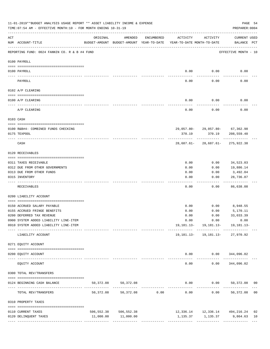|                 | 11-01-2019**BUDGET ANALYSIS USAGE REPORT ** ASSET LIABILITY INCOME & EXPENSE<br>TIME: 07:54 AM - EFFECTIVE MONTH: 10 - FOR MONTH ENDING 10-31-19 |           |                                                     |                                                 |                                        |                                                                                 | PAGE 54<br>PREPARER: 0004          |    |
|-----------------|--------------------------------------------------------------------------------------------------------------------------------------------------|-----------|-----------------------------------------------------|-------------------------------------------------|----------------------------------------|---------------------------------------------------------------------------------|------------------------------------|----|
| ACT             | NUM ACCOUNT-TITLE                                                                                                                                | ORIGINAL  | AMENDED<br>BUDGET-AMOUNT BUDGET-AMOUNT YEAR-TO-DATE | ENCUMBERED                                      | ACTIVITY<br>YEAR-TO-DATE MONTH-TO-DATE | ACTIVITY                                                                        | <b>CURRENT USED</b><br>BALANCE PCT |    |
|                 | REPORTING FUND: 0024 FANNIN CO. R & B #4 FUND                                                                                                    |           |                                                     |                                                 |                                        |                                                                                 | EFFECTIVE MONTH - 10               |    |
|                 | 0100 PAYROLL                                                                                                                                     |           |                                                     |                                                 |                                        |                                                                                 |                                    |    |
|                 |                                                                                                                                                  |           |                                                     |                                                 |                                        |                                                                                 |                                    |    |
| $- - - - - - -$ | 0100 PAYROLL                                                                                                                                     |           |                                                     |                                                 | 0.00                                   | 0.00                                                                            | 0.00                               |    |
|                 | PAYROLL                                                                                                                                          |           |                                                     |                                                 | 0.00                                   | 0.00                                                                            | 0.00                               |    |
|                 | 0102 A/P CLEARING                                                                                                                                |           |                                                     |                                                 |                                        |                                                                                 |                                    |    |
|                 | 0100 A/P CLEARING                                                                                                                                |           |                                                     |                                                 | 0.00                                   | 0.00                                                                            | 0.00                               |    |
|                 | A/P CLEARING                                                                                                                                     |           |                                                     |                                                 | 0.00                                   | 0.00                                                                            | 0.00                               |    |
| 0103 CASH       |                                                                                                                                                  |           |                                                     |                                                 |                                        |                                                                                 |                                    |    |
|                 | 0100 R&B#4- COMBINED FUNDS CHECKING                                                                                                              |           |                                                     |                                                 |                                        | 29,057.80-29,057.80-67,362.98                                                   |                                    |    |
|                 | 0175 TEXPOOL                                                                                                                                     |           |                                                     |                                                 | 370.19                                 | 370.19                                                                          | 208,559.40                         |    |
|                 | CASH                                                                                                                                             |           |                                                     |                                                 |                                        | 28,687.61-28,687.61-275,922.38                                                  |                                    |    |
|                 | 0120 RECEIVABLES                                                                                                                                 |           |                                                     |                                                 |                                        |                                                                                 |                                    |    |
|                 | 0311 TAXES RECEIVABLE                                                                                                                            |           |                                                     |                                                 | 0.00                                   | 0.00                                                                            | 34,523.03                          |    |
|                 | 0312 DUE FROM OTHER GOVERNMENTS                                                                                                                  |           |                                                     |                                                 | 0.00                                   | 0.00                                                                            | 19,886.14                          |    |
|                 | 0313 DUE FROM OTHER FUNDS                                                                                                                        |           |                                                     |                                                 | 0.00                                   | 0.00                                                                            | 3,492.04                           |    |
|                 | 0315 INVENTORY                                                                                                                                   |           |                                                     |                                                 | 0.00                                   | 0.00                                                                            | 28,736.87                          |    |
|                 | RECEIVABLES                                                                                                                                      |           |                                                     |                                                 | 0.00                                   | 0.00                                                                            | .<br>86,638.08                     |    |
|                 | 0200 LIABILITY ACCOUNT                                                                                                                           |           |                                                     |                                                 |                                        |                                                                                 |                                    |    |
|                 | 0150 ACCRUED SALARY PAYABLE                                                                                                                      |           |                                                     |                                                 | 0.00                                   |                                                                                 | $0.00$ 8,948.55                    |    |
|                 | 0155 ACCRUED FRINGE BENEFITS                                                                                                                     |           |                                                     |                                                 | 0.00                                   | 0.00                                                                            | 5,170.11                           |    |
|                 | 0200 DEFERRED TAX REVENUE                                                                                                                        |           |                                                     |                                                 | 0.00                                   | 0.00                                                                            | 33,033.39                          |    |
|                 | 0900 SYSTEM ADDED LIABILITY LINE-ITEM                                                                                                            |           |                                                     |                                                 |                                        | $0.00$ $0.00$                                                                   | 0.00                               |    |
|                 | 0910 SYSTEM ADDED LIABILITY LINE-ITEM                                                                                                            |           |                                                     |                                                 |                                        | 19, 181. 13 - 19, 181. 13 - 19, 181. 13 -                                       |                                    |    |
|                 | LIABILITY ACCOUNT                                                                                                                                |           |                                                     |                                                 |                                        | ---------- ------------ ------------<br>19, 181. 13 - 19, 181. 13 - 27, 970. 92 |                                    |    |
|                 | 0271 EQUITY ACCOUNT                                                                                                                              |           |                                                     |                                                 |                                        |                                                                                 |                                    |    |
|                 | 0200 EQUITY ACCOUNT                                                                                                                              |           |                                                     |                                                 |                                        | $0.00$ $0.00$ $344,096.02$                                                      |                                    |    |
|                 | EQUITY ACCOUNT                                                                                                                                   |           |                                                     |                                                 | $- - - - - -$<br>0.00                  | ----------- -------------<br>0.00                                               | 344,096.02                         |    |
|                 | 0300 TOTAL REV/TRANSFERS                                                                                                                         |           |                                                     |                                                 |                                        |                                                                                 |                                    |    |
|                 | 0124 BEGINNING CASH BALANCE                                                                                                                      | 50,372.08 | 50,372.08                                           |                                                 |                                        | $0.00$ $0.00$ $50,372.08$ 00                                                    |                                    |    |
|                 | TOTAL REV/TRANSFERS                                                                                                                              | 50,372.08 |                                                     | -----------------------------<br>50,372.08 0.00 | 0.00                                   | ------------ -------------                                                      | $0.00$ 50,372.08 00                |    |
|                 | 0310 PROPERTY TAXES                                                                                                                              |           |                                                     |                                                 |                                        |                                                                                 |                                    |    |
|                 | 0110 CURRENT TAXES                                                                                                                               |           | 506, 552.38 506, 552.38                             |                                                 |                                        | 12,336.14   12,336.14   494,216.24                                              |                                    | 02 |
|                 | 0120 DELINQUENT TAXES                                                                                                                            |           | 11,000.00 11,000.00                                 |                                                 |                                        | 1,135.37 1,135.37 9,864.63                                                      |                                    | 10 |
|                 |                                                                                                                                                  |           |                                                     |                                                 |                                        |                                                                                 |                                    |    |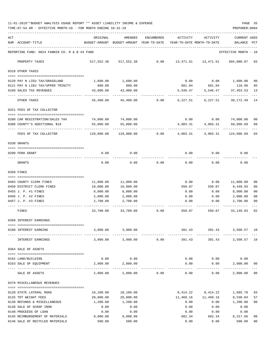11-01-2019\*\*BUDGET ANALYSIS USAGE REPORT \*\* ASSET LIABILITY INCOME & EXPENSE PAGE 55 TIME:07:54 AM - EFFECTIVE MONTH:10 - FOR MONTH ENDING 10-31-19 PREPARER:0004

| ACT |                                                      | ORIGINAL                                 | AMENDED               | ENCUMBERED | ACTIVITY                   | ACTIVITY               | <b>CURRENT USED</b>    |                |
|-----|------------------------------------------------------|------------------------------------------|-----------------------|------------|----------------------------|------------------------|------------------------|----------------|
|     | NUM ACCOUNT-TITLE                                    | BUDGET-AMOUNT BUDGET-AMOUNT YEAR-TO-DATE |                       |            | YEAR-TO-DATE MONTH-TO-DATE |                        | BALANCE PCT            |                |
|     | REPORTING FUND: 0024 FANNIN CO. R & B #4 FUND        |                                          |                       |            |                            |                        | EFFECTIVE MONTH - 10   |                |
|     | PROPERTY TAXES                                       |                                          | 517,552.38 517,552.38 | 0.00       |                            | 13,471.51    13,471.51 | 504,080.87 03          |                |
|     | 0318 OTHER TAXES                                     |                                          |                       |            |                            |                        |                        |                |
|     | 0120 PAY N LIEU TAX/GRASSLAND                        | 1,600.00                                 | 1,600.00              |            | 0.00                       |                        | $0.00$ 1,600.00        | 00             |
|     | 0121 PAY N LIEU TAX/UPPER TRINITY                    | 800.00                                   | 800.00                |            |                            | 681.04 681.04 118.96   |                        | 85             |
|     | 0160 SALES TAX REVENUES                              | 43,000.00                                | 43,000.00             |            | 5,546.47                   |                        | 5,546.47 37,453.53     | 13             |
|     | OTHER TAXES                                          | 45,400.00                                | 45,400.00             | 0.00       | 6,227.51                   | 6,227.51               | 39, 172. 49 14         |                |
|     | 0321 FEES OF TAX COLLECTOR                           |                                          |                       |            |                            |                        |                        |                |
|     | 0200 CAR REGISTRATION/SALES TAX                      | 74,000.00                                | 74,000.00             |            | 0.00                       | 0.00                   | 74,000.00              | 00             |
|     | 0300 COUNTY'S ADDITIONAL \$10                        | 55,000.00                                | 55,000.00             |            | 4,903.31                   | 4,903.31               | 50,096.69              | 09             |
|     | FEES OF TAX COLLECTOR                                | 129,000.00                               | 129,000.00            | 0.00       | 4,903.31                   | 4,903.31               | 124,096.69             | 04             |
|     | 0330 GRANTS                                          |                                          |                       |            |                            |                        |                        |                |
|     |                                                      |                                          |                       |            |                            |                        |                        |                |
|     | 0200 FEMA GRANT                                      | 0.00                                     | 0.00                  |            | 0.00                       | 0.00                   | 0.00                   |                |
|     | GRANTS                                               | 0.00                                     | 0.00                  | 0.00       | 0.00                       | 0.00                   | 0.00                   |                |
|     | 0350 FINES                                           |                                          |                       |            |                            |                        |                        |                |
|     |                                                      |                                          | 11,000.00             |            | 0.00                       | 0.00                   | 11,000.00              | 00             |
|     | 0403 COUNTY CLERK FINES<br>0450 DISTRICT CLERK FINES | 11,000.00<br>10,000.00                   | 10,000.00             |            | 550.07                     | 550.07                 | 9,449.93               | 06             |
|     | 0455 J. P. #1 FINES                                  | 8,000.00                                 | 8,000.00              |            | 0.00                       | 0.00                   | 8,000.00               | 00             |
|     | 0456 J. P. #2 FINES                                  | 2,000.00                                 | 2,000.00              |            | 0.00                       | 0.00                   | 2,000.00               | 00             |
|     | 0457 J. P. #3 FINES                                  | 2,700.00                                 | 2,700.00              |            | 0.00                       | 0.00                   | 2,700.00               | 00             |
|     | FINES                                                | 33,700.00                                | 33,700.00             | 0.00       | 550.07                     | 550.07                 | 33, 149.93 02          |                |
|     | 0360 INTEREST EARNINGS                               |                                          |                       |            |                            |                        |                        |                |
|     |                                                      |                                          |                       |            |                            |                        |                        |                |
|     | 0100 INTEREST EARNING                                | 3,900.00                                 | 3,900.00              |            | 391.43                     | 391.43                 | 3,508.57 10            |                |
|     | INTEREST EARNINGS                                    | 3,900.00                                 | 3,900.00              | 0.00       | 391.43                     | 391.43                 | 3,508.57 10            |                |
|     | 0364 SALE OF ASSETS                                  |                                          |                       |            |                            |                        |                        |                |
|     |                                                      |                                          |                       |            |                            |                        |                        |                |
|     | 0162 LAND/BUILDING                                   | 0.00                                     | 0.00                  |            | 0.00                       | 0.00                   | 0.00                   |                |
|     | 0163 SALE OF EQUIPMENT                               | 2,000.00                                 | 2,000.00              |            | 0.00                       | 0.00<br>---------      | 2,000.00<br>---------- | 0 <sub>0</sub> |
|     | SALE OF ASSETS                                       | 2,000.00                                 | 2,000.00              | 0.00       | 0.00                       | 0.00                   | 2,000.00               | 00             |
|     | 0370 MISCELLANEOUS REVENUES                          |                                          |                       |            |                            |                        |                        |                |
|     | 0120 STATE LATERAL ROAD                              |                                          | 10,100.00             |            | 8,414.22                   | 8,414.22               |                        | 83             |
|     | 0125 TDT WEIGHT FEES                                 | 10,100.00<br>20,000.00                   | 20,000.00             |            | 11,469.16                  | 11,469.16              | 1,685.78<br>8,530.84   | 57             |
|     | 0130 REFUNDS & MISCELLANEOUS                         | 1,200.00                                 | 1,200.00              |            | 0.00                       | 0.00                   | 1,200.00               | 00             |
|     | 0138 SALE OF SCRAP IRON                              | 0.00                                     | 0.00                  |            | 0.00                       | 0.00                   | 0.00                   |                |
|     | 0140 PROCEEDS OF LOAN                                | 0.00                                     | 0.00                  |            | 0.00                       | 0.00                   | 0.00                   |                |
|     | 0145 REIMBURSEMENT OF MATERIALS                      | 9,000.00                                 | 9,000.00              |            | 682.34                     | 682.34                 | 8,317.66               | 08             |
|     | 0146 SALE OF RECYCLED MATERIALS                      | 500.00                                   | 500.00                |            | 0.00                       | 0.00                   | 500.00                 | 00             |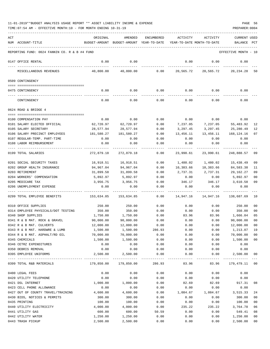| ACT |                                               | ORIGINAL   | AMENDED                                  | <b>ENCUMBERED</b> | <b>ACTIVITY</b>            | ACTIVITY    | CURRENT USED         |                |
|-----|-----------------------------------------------|------------|------------------------------------------|-------------------|----------------------------|-------------|----------------------|----------------|
|     | NUM ACCOUNT-TITLE                             |            | BUDGET-AMOUNT BUDGET-AMOUNT YEAR-TO-DATE |                   | YEAR-TO-DATE MONTH-TO-DATE |             | BALANCE              | $_{\rm PCT}$   |
|     |                                               |            |                                          |                   |                            |             |                      |                |
|     | REPORTING FUND: 0024 FANNIN CO. R & B #4 FUND |            |                                          |                   |                            |             | EFFECTIVE MONTH - 10 |                |
|     | 0147 OFFICE RENTAL                            | 0.00       | 0.00                                     |                   | 0.00                       | 0.00        | 0.00                 |                |
|     | MISCELLANEOUS REVENUES                        | 40,800.00  | 40,800.00                                | 0.00              | 20,565.72                  | 20,565.72   | 20,234.28            | 50             |
|     | 0509 CONTINGENCY                              |            |                                          |                   |                            |             |                      |                |
|     |                                               |            |                                          |                   |                            |             |                      |                |
|     | 0475 CONTINGENCY                              | 0.00       | 0.00                                     | 0.00              |                            | $0.00$ 0.00 | 0.00                 |                |
|     | CONTINGENCY                                   | 0.00       | 0.00                                     | 0.00              | 0.00                       | 0.00        | 0.00                 |                |
|     | 0624 ROAD & BRIDGE 4                          |            |                                          |                   |                            |             |                      |                |
|     |                                               |            |                                          |                   |                            |             |                      |                |
|     | 0100 COMPENSATION PAY                         | 0.00       | 0.00                                     | 0.00              | 0.00                       | 0.00        | 0.00                 |                |
|     | 0101 SALARY ELECTED OFFICIAL                  | 62,720.97  | 62,720.97                                | 0.00              | 7,237.05                   | 7,237.05    | 55,483.92            | 12             |
|     | 0105 SALARY SECRETARY                         | 28,577.94  | 28,577.94                                | 0.00              | 3,297.45                   | 3,297.45    | 25,280.49            | 12             |
|     | 0106 SALARY PRECINCT EMPLOYEES                | 181,580.27 | 181,580.27                               | 0.00              | 13,456.11                  | 13,456.11   | 168,124.16           | 07             |
|     | 0107 REGULAR-TEMP. PART-TIME                  | 0.00       | 0.00                                     | 0.00              | 0.00                       | 0.00        | 0.00                 |                |
|     | 0108 LABOR REIMBURSEMENT                      | 0.00       | 0.00                                     | 0.00              | 0.00                       | 0.00        | 0.00                 |                |
|     | 0199 TOTAL SALARIES                           | 272,879.18 | 272,879.18                               | 0.00              | 23,990.61                  | 23,990.61   | 248,888.57           | 09             |
|     | 0201 SOCIAL SECURITY TAXES                    | 16,918.51  | 16,918.51                                | 0.00              | 1,480.02                   | 1,480.02    | 15,438.49            | 09             |
|     | 0202 GROUP HEALTH INSURANCE                   | 94,967.04  | 94,967.04                                | 0.00              | 10,383.66                  | 10,383.66   | 84,583.38            | 11             |
|     | 0203 RETIREMENT                               | 31,899.58  | 31,899.58                                | 0.00              | 2,737.31                   | 2,737.31    | 29,162.27            | 09             |
|     | 0204 WORKERS' COMPENSATION                    | 5,892.97   | 5,892.97                                 | 0.00              | 0.00                       | 0.00        | 5,892.97             | 0 <sub>0</sub> |
|     | 0205 MEDICARE TAX                             | 3,956.75   | 3,956.75                                 | 0.00              | 346.17                     | 346.17      | 3,610.58             | 09             |
|     | 0206 UNEMPLOYMENT EXPENSE                     | 0.00       | 0.00                                     | 0.00              | 0.00                       | 0.00        | 0.00                 |                |
|     | 0299 TOTAL EMPLOYEE BENEFITS                  | 153,634.85 | 153,634.85                               | 0.00              | 14,947.16                  | 14,947.16   | 138,687.69           | 10             |
|     | 0310 OFFICE SUPPLIES                          | 250.00     | 250.00                                   | 0.00              | 0.00                       | 0.00        | 250.00               | 00             |
|     | 0314 EMPLOYEE PHYSICALS/DOT TESTING           | 350.00     | 350.00                                   | 0.00              | 0.00                       | 0.00        | 350.00               | 00             |
|     | 0340 SHOP SUPPLIES                            | 1,750.00   | 1,750.00                                 | 0.00              | 83.96                      | 83.96       | 1,666.04             | 05             |
|     | 0341 R & B MAT. ROCK & GRAVEL                 | 90,000.00  | 90,000.00                                | 0.00              | 0.00                       | 0.00        | 90,000.00            | 00             |
|     | 0342 R & B MAT. CULVERTS                      | 12,000.00  | 12,000.00                                | 0.00              | 0.00                       | 0.00        | 12,000.00            | 00             |
|     | 0343 R & B MAT. HARDWRE & LUMB                | 1,500.00   | 1,500.00                                 | 286.93            | 0.00                       | 0.00        | 1,213.07             | 19             |
|     | 0344 R & B MAT. ASPHALT/RD OIL                | 70,000.00  | 70,000.00                                | 0.00              | 0.00                       | 0.00        | 70,000.00            | 00             |
|     | 0345 CHEMICALS                                | 1,500.00   | 1,500.00                                 | 0.00              | 0.00                       | 0.00        | 1,500.00             | $00\,$         |
|     | 0346 CETRZ EXPENDITURES                       | 0.00       | 0.00                                     | 0.00              | 0.00                       | 0.00        | 0.00                 |                |
|     | 0350 DEBRIS REMOVAL                           | 0.00       | 0.00                                     | 0.00              | 0.00                       | 0.00        | 0.00                 |                |
|     | 0395 EMPLOYEE UNIFORMS                        | 2,500.00   | 2,500.00<br>. <u>.</u> .                 | 0.00              | 0.00                       | 0.00        | 2,500.00             | 00             |
|     | 0399 TOTAL R&B MATERIALS                      | 179,850.00 | 179,850.00                               | 286.93            | 83.96                      | 83.96       | 179,479.11           | 00             |
|     | 0400 LEGAL FEES                               | 0.00       | 0.00                                     | 0.00              | 0.00                       | 0.00        | 0.00                 |                |
|     | 0420 UTILITY TELEPHONE                        | 0.00       | 0.00                                     | 0.00              | 0.00                       | 0.00        | 0.00                 |                |
|     | 0421 DSL INTERNET                             | 1,000.00   | 1,000.00                                 | 0.00              | 82.69                      | 82.69       | 917.31               | 08             |
|     | 0423 CELL PHONE ALLOWANCE                     | 0.00       | 0.00                                     | 0.00              | 0.00                       | 0.00        | 0.00                 |                |
|     | 0427 OUT OF COUNTY TRAVEL/TRAINING            | 4,600.00   | 4,600.00                                 | 0.00              | 1,084.67                   | 1,084.67    | 3,515.33             | 24             |
|     | 0430 BIDS, NOTICES & PERMITS                  | 300.00     | 300.00                                   | 0.00              | 0.00                       | 0.00        | 300.00               | 00             |
|     | 0435 PRINTING                                 | 100.00     | 100.00                                   | 0.00              | 0.00                       | 0.00        | 100.00               | 00             |
|     | 0440 UTILITY ELECTRICITY                      | 4,000.00   | 4,000.00                                 | 0.00              | 235.22                     | 235.22      | 3,764.78             | 06             |
|     | 0441 UTILITY GAS                              | 600.00     | 600.00                                   | 50.59             | 0.00                       | 0.00        | 549.41               | 08             |
|     | 0442 UTILITY WATER                            | 1,250.00   | 1,250.00                                 | 0.00              | 0.00                       | 0.00        | 1,250.00             | 00             |
|     | 0443 TRASH PICKUP                             | 2,500.00   | 2,500.00                                 | 0.00              | 0.00                       | 0.00        | 2,500.00             | 00             |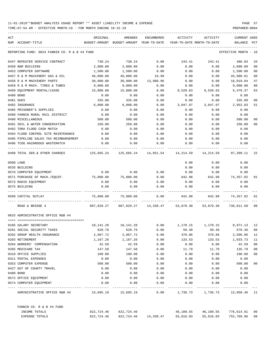| ACT |                                                  | ORIGINAL                                                                  | AMENDED                                                            | ENCUMBERED           | ACTIVITY                   | ACTIVITY                       | CURRENT USED         |                |
|-----|--------------------------------------------------|---------------------------------------------------------------------------|--------------------------------------------------------------------|----------------------|----------------------------|--------------------------------|----------------------|----------------|
|     | NUM ACCOUNT-TITLE                                | BUDGET-AMOUNT BUDGET-AMOUNT YEAR-TO-DATE                                  |                                                                    |                      | YEAR-TO-DATE MONTH-TO-DATE |                                | BALANCE              | PCT            |
|     | REPORTING FUND: 0024 FANNIN CO. R & B #4 FUND    |                                                                           |                                                                    |                      |                            |                                | EFFECTIVE MONTH - 10 |                |
|     | 0447 REPEATER SERVICE CONTRACT                   | 730.24                                                                    | 730.24                                                             | 0.00                 | 243.41                     | 243.41                         | 486.83               | 33             |
|     | 0450 R&M BUILDING                                | 2,000.00                                                                  | 2,000.00                                                           | 0.00                 | 0.00                       | 0.00                           | 2,000.00             | 0 <sub>0</sub> |
|     | 0453 COMPUTER SOFTWARE                           | 1,500.00                                                                  | 1,500.00                                                           | 0.00                 | 0.00                       | 0.00                           | 1,500.00             | 0 <sub>0</sub> |
|     | 0457 R & M MACHINERY GAS & OIL                   | 46,000.00                                                                 | 46,000.00                                                          | 19.99                | 0.00                       | 0.00                           | 45,980.01            | 00             |
|     | 0458 R & M MACHINERY PARTS                       | 30,000.00                                                                 | 30,000.00                                                          | 13,980.96            | 0.00                       | 0.00                           | 16,019.04            | 47             |
|     | 0459 R & M MACH. TIRES & TUBES                   | 9,000.00                                                                  | 9,000.00                                                           | 0.00                 | 0.00                       | 0.00                           | 9,000.00             | 0 <sub>0</sub> |
|     | 0460 EQUIPMENT RENTAL/LEASE                      | 15,000.00                                                                 | 15,000.00                                                          | 0.00                 | 9,520.63                   | 9,520.63                       | 5,479.37             | 63             |
|     | 0480 BOND                                        | 0.00                                                                      | 0.00                                                               | 0.00                 | 0.00                       | 0.00                           | 0.00                 |                |
|     | 0481 DUES                                        | 335.00                                                                    | 335.00                                                             | 0.00                 | 0.00                       | 0.00                           | 335.00               | 00             |
|     | 0482 INSURANCE                                   | 6,000.00                                                                  | 6,000.00                                                           | 0.00                 | 3,047.97                   | 3,047.97                       | 2,952.03             | 51             |
|     | 0485 PRISONER'S SUPPLIES                         | 0.00                                                                      | 0.00                                                               | 0.00                 | 0.00                       | 0.00                           | 0.00                 |                |
|     | 0488 FANNIN RURAL RAIL DISTRICT                  | 0.00                                                                      | 0.00                                                               | 0.00                 | 0.00                       | 0.00                           | 0.00                 |                |
|     | 0490 MISCELLANEOUS                               | 500.00                                                                    | 500.00                                                             | 0.00                 | 0.00                       | 0.00                           | 500.00               | 00             |
|     | 0491 SOIL & WATER CONSERVATION                   | 250.00                                                                    | 250.00                                                             | 0.00                 | 0.00                       | 0.00                           | 250.00               | 00             |
|     | 0492 TDRA FLOOD CASH MATCH                       | 0.00                                                                      | 0.00                                                               | 0.00                 | 0.00                       | 0.00                           | 0.00                 |                |
|     | 0494 FLOOD CONTROL SITE MAINTENANCE              | 0.00                                                                      | 0.00                                                               | 0.00                 | 0.00                       | 0.00                           | 0.00                 |                |
|     | 0495 PIPELINE SALES TAX REIMBURSEMENT            | 0.00                                                                      | 0.00                                                               | 0.00                 | 0.00                       | 0.00                           | 0.00                 |                |
|     | 0496 TCOG HAZARDOUS WASTEMATCH                   | 0.00                                                                      | 0.00                                                               | 0.00                 | 0.00                       | 0.00                           | 0.00                 |                |
|     | 0499 TOTAL SER.& OTHER CHARGES                   | $125,665.24$ $125,665.24$ $14,051.54$ $14,214.59$ $14,214.59$ $97,399.11$ |                                                                    |                      |                            |                                |                      | 22             |
|     | 0500 LAND                                        |                                                                           |                                                                    |                      | 0.00                       | 0.00                           | 0.00                 |                |
|     | 0535 BUILDING                                    |                                                                           |                                                                    |                      | 0.00                       | 0.00                           | 0.00                 |                |
|     | 0570 COMPUTER EQUIPMENT                          | 0.00                                                                      | 0.00                                                               | 0.00                 | 0.00                       | 0.00                           | 0.00                 |                |
|     | 0571 PURCHASE OF MACH./EQUIP. 75,000.00          |                                                                           | 75,000.00                                                          | 0.00                 | 642.98                     | 642.98                         | 74,357.02            | 01             |
|     | 0573 RADIO EQUIPMENT                             | 0.00                                                                      | 0.00                                                               | 0.00                 | 0.00                       | 0.00                           | 0.00                 |                |
|     | 0575 BUILDING                                    | 0.00                                                                      | 0.00                                                               | 0.00                 | 0.00                       | 0.00                           | 0.00                 |                |
|     | 0599 CAPITAL OUTLAY                              | 75,000.00                                                                 | 75,000.00                                                          | 0.00                 | 642.98                     |                                | 642.98 74,357.02     | 01             |
|     | ROAD & BRIDGE 4                                  |                                                                           | 807,029.27 807,029.27 14,338.47 53,879.30 53,879.30                |                      |                            |                                | 738,811.50           | 08             |
|     | 0625 ADMINISTRATIVE OFFICE R&B #4                |                                                                           |                                                                    |                      |                            |                                |                      |                |
|     |                                                  |                                                                           |                                                                    |                      |                            |                                |                      |                |
|     | 0105 SALARY SECRETARY                            |                                                                           | $10,141.28$ $10,141.28$ $0.00$ $1,170.15$ $1,170.15$ $8,971.13$ 12 |                      |                            |                                |                      |                |
|     | 0201 SOCIAL SECURITY TAXES                       | 628.76                                                                    | 628.76                                                             | 0.00                 | 50.40                      | 50.40                          | 578.36               | 08             |
|     | 0202 GROUP HEALTH INSURANCE                      | 2,967.72                                                                  | 2,967.72                                                           | 0.00                 | 370.86                     | 370.86                         | 2,596.86             | 12             |
|     | 0203 RETIREMENT                                  | 1,167.26                                                                  | 1,167.26                                                           | 0.00                 | 133.53                     | 133.53                         | 1,033.73             | 11             |
|     | 0204 WORKERS' COMPENSATION                       | 42.59                                                                     | 42.59                                                              | 0.00                 | 0.00                       | 0.00                           | 42.59                | 00             |
|     | 0205 MEDICARE TAX                                | 147.58                                                                    | 147.58                                                             | 0.00                 | 11.79                      | 11.79                          | 135.79               | 08             |
|     | 0310 OFFICE SUPPLIES                             | 100.00                                                                    | 100.00                                                             | 0.00                 | 0.00                       | 0.00                           | 100.00               | 00             |
|     | 0311 POSTAL EXPENSES                             | 0.00                                                                      | 0.00                                                               | 0.00                 | 0.00                       | 0.00                           | 0.00                 |                |
|     | 0353 COMPUTER EXPENSE                            | 500.00                                                                    | 500.00                                                             | 0.00                 | 0.00                       | 0.00                           | 500.00               | 00             |
|     | 0427 OUT OF COUNTY TRAVEL                        | 0.00                                                                      | 0.00                                                               | 0.00                 | 0.00                       | 0.00                           | 0.00                 |                |
|     | 0480 BOND                                        | 0.00                                                                      | 0.00                                                               | 0.00                 | 0.00                       | 0.00                           | 0.00                 |                |
|     | 0572 OFFICE EQUIPMENT<br>0574 COMPUTER EQUIPMENT | 0.00<br>0.00                                                              | 0.00<br>0.00                                                       | 0.00<br>0.00         | 0.00<br>0.00               | 0.00<br>0.00                   | 0.00<br>0.00         |                |
|     | ADMINISTRATIVE OFFICE R&B #4 15,695.19 15,695.19 |                                                                           |                                                                    | 0.00                 |                            | 1,736.73 1,736.73 13,958.46 11 |                      |                |
|     |                                                  |                                                                           |                                                                    |                      |                            |                                |                      |                |
|     | FANNIN CO. R & B #4 FUND                         |                                                                           |                                                                    |                      |                            | 46,109.55                      |                      |                |
|     | INCOME TOTALS                                    | 822,724.46                                                                | 822,724.46                                                         |                      | 46,109.55                  |                                | 776,614.91 06        |                |
|     | EXPENSE TOTALS                                   | 822,724.46                                                                |                                                                    | 822,724.46 14,338.47 | 55,616.03                  | 55,616.03                      | 752,769.96           | 09             |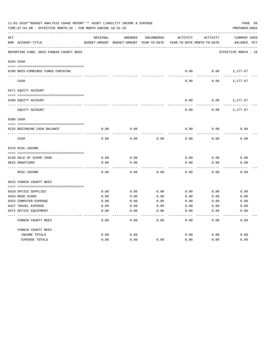| 11-01-2019**BUDGET ANALYSIS USAGE REPORT ** ASSET LIABILITY INCOME & EXPENSE<br>TIME: 07:54 AM - EFFECTIVE MONTH: 10 - FOR MONTH ENDING 10-31-19 |                                         |          |                                          |            |                            |          |                      |  |
|--------------------------------------------------------------------------------------------------------------------------------------------------|-----------------------------------------|----------|------------------------------------------|------------|----------------------------|----------|----------------------|--|
| ACT                                                                                                                                              |                                         | ORIGINAL | AMENDED                                  | ENCUMBERED | ACTIVITY                   | ACTIVITY | CURRENT USED         |  |
|                                                                                                                                                  | NUM ACCOUNT-TITLE                       |          | BUDGET-AMOUNT BUDGET-AMOUNT YEAR-TO-DATE |            | YEAR-TO-DATE MONTH-TO-DATE |          | BALANCE PCT          |  |
|                                                                                                                                                  | REPORTING FUND: 0025 FANNIN COUNTY BEES |          |                                          |            |                            |          | EFFECTIVE MONTH - 10 |  |
|                                                                                                                                                  | 0103 CASH                               |          |                                          |            |                            |          |                      |  |
|                                                                                                                                                  | 0100 BEES-COMBINED FUNDS CHECKING       |          |                                          |            | 0.00                       | 0.00     | 2,177.67             |  |
|                                                                                                                                                  |                                         |          |                                          |            |                            |          |                      |  |
|                                                                                                                                                  | CASH                                    |          |                                          |            | 0.00                       | 0.00     | 2,177.67             |  |
|                                                                                                                                                  | 0271 EQUITY ACCOUNT                     |          |                                          |            |                            |          |                      |  |
|                                                                                                                                                  | 0200 EQUITY ACCOUNT                     |          |                                          |            | 0.00                       | 0.00     | 2,177.67             |  |
|                                                                                                                                                  |                                         |          |                                          |            |                            |          |                      |  |
|                                                                                                                                                  | EQUITY ACCOUNT                          |          |                                          |            | 0.00                       | 0.00     | 2,177.67             |  |
|                                                                                                                                                  | 0300 CASH                               |          |                                          |            |                            |          |                      |  |
|                                                                                                                                                  | 0125 BEGINNING CASH BALANCE             | 0.00     | 0.00                                     |            | 0.00                       | 0.00     | 0.00                 |  |
|                                                                                                                                                  | CASH                                    | 0.00     | 0.00                                     | 0.00       | 0.00                       | 0.00     | 0.00                 |  |
|                                                                                                                                                  | 0370 MISC. INCOME                       |          |                                          |            |                            |          |                      |  |
|                                                                                                                                                  |                                         |          |                                          |            |                            |          |                      |  |
|                                                                                                                                                  | 0138 SALE OF SCRAP IRON                 | 0.00     | 0.00                                     |            | 0.00                       | 0.00     | 0.00                 |  |
|                                                                                                                                                  | 0625 DONATIONS                          | 0.00     | 0.00                                     |            | 0.00                       | 0.00     | 0.00                 |  |
|                                                                                                                                                  | MISC. INCOME                            | 0.00     | 0.00                                     | 0.00       | 0.00                       | 0.00     | 0.00                 |  |
|                                                                                                                                                  | 0625 FANNIN COUNTY BEES                 |          |                                          |            |                            |          |                      |  |
|                                                                                                                                                  | 0310 OFFICE SUPPLIES                    | 0.00     | 0.00                                     | 0.00       | 0.00                       | 0.00     | 0.00                 |  |
|                                                                                                                                                  | 0343 ROAD SIGNS                         | 0.00     | 0.00                                     | 0.00       | 0.00                       | 0.00     | 0.00                 |  |
|                                                                                                                                                  | 0353 COMPUTER EXPENSE                   | 0.00     | 0.00                                     | 0.00       | 0.00                       | 0.00     | 0.00                 |  |
|                                                                                                                                                  | 0427 TRAVEL EXPENSE                     | 0.00     | 0.00                                     | 0.00       | 0.00                       | 0.00     | 0.00                 |  |
|                                                                                                                                                  | 0572 OFFICE EQUIPMENT                   | 0.00     | 0.00                                     | 0.00       | 0.00                       | 0.00     | 0.00                 |  |
|                                                                                                                                                  | FANNIN COUNTY BEES                      | 0.00     | 0.00                                     | 0.00       | 0.00                       | 0.00     | 0.00                 |  |
|                                                                                                                                                  | FANNIN COUNTY BEES                      |          |                                          |            |                            |          |                      |  |
|                                                                                                                                                  | INCOME TOTALS                           | 0.00     | 0.00                                     |            | 0.00                       | 0.00     | 0.00                 |  |
|                                                                                                                                                  | EXPENSE TOTALS                          | 0.00     | 0.00                                     | 0.00       | 0.00                       | 0.00     | 0.00                 |  |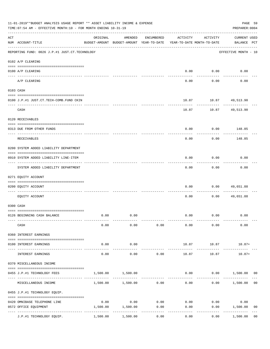|     | 11-01-2019**BUDGET ANALYSIS USAGE REPORT ** ASSET LIABILITY INCOME & EXPENSE<br>TIME: 07:54 AM - EFFECTIVE MONTH: 10 - FOR MONTH ENDING 10-31-19 |                     |                                                     |            |          |                                        |                                    |  |  |  |
|-----|--------------------------------------------------------------------------------------------------------------------------------------------------|---------------------|-----------------------------------------------------|------------|----------|----------------------------------------|------------------------------------|--|--|--|
| ACT | NUM ACCOUNT-TITLE                                                                                                                                | ORIGINAL            | AMENDED<br>BUDGET-AMOUNT BUDGET-AMOUNT YEAR-TO-DATE | ENCUMBERED | ACTIVITY | ACTIVITY<br>YEAR-TO-DATE MONTH-TO-DATE | <b>CURRENT USED</b><br>BALANCE PCT |  |  |  |
|     | REPORTING FUND: 0026 J.P.#1 JUST.CT.TECHNOLOGY                                                                                                   |                     |                                                     |            |          |                                        | EFFECTIVE MONTH - 10               |  |  |  |
|     | 0102 A/P CLEARING                                                                                                                                |                     |                                                     |            |          |                                        |                                    |  |  |  |
|     | 0100 A/P CLEARING                                                                                                                                |                     |                                                     |            |          | $0.00$ $0.00$                          | 0.00                               |  |  |  |
|     | A/P CLEARING                                                                                                                                     |                     |                                                     |            | 0.00     | 0.00                                   | 0.00                               |  |  |  |
|     | 0103 CASH                                                                                                                                        |                     |                                                     |            |          |                                        |                                    |  |  |  |
|     | 0100 J.P.#1 JUST.CT.TECH-COMB.FUND CKIN                                                                                                          |                     |                                                     |            |          | 10.87    10.87    49,513.90            |                                    |  |  |  |
|     | CASH                                                                                                                                             |                     |                                                     |            | 10.87    | ---------                              | 10.87 49,513.90                    |  |  |  |
|     | 0120 RECEIVABLES                                                                                                                                 |                     |                                                     |            |          |                                        |                                    |  |  |  |
|     | 0313 DUE FROM OTHER FUNDS                                                                                                                        |                     |                                                     |            | 0.00     |                                        | $0.00$ 148.85                      |  |  |  |
|     | RECEIVABLES                                                                                                                                      |                     |                                                     |            | 0.00     | 0.00                                   | 148.85                             |  |  |  |
|     | 0200 SYSTEM ADDED LIABILITY DEPARTMENT                                                                                                           |                     |                                                     |            |          |                                        |                                    |  |  |  |
|     | 0910 SYSTEM ADDED LIABILITY LINE-ITEM                                                                                                            |                     |                                                     |            | 0.00     | 0.00                                   | 0.00                               |  |  |  |
|     | SYSTEM ADDED LIABILITY DEPARTMENT                                                                                                                |                     |                                                     |            | 0.00     | . <u>.</u><br>0.00                     | 0.00                               |  |  |  |
|     | 0271 EQUITY ACCOUNT                                                                                                                              |                     |                                                     |            |          |                                        |                                    |  |  |  |
|     | 0200 EQUITY ACCOUNT                                                                                                                              |                     |                                                     |            | 0.00     | 0.00                                   | 49,651.88                          |  |  |  |
|     | EQUITY ACCOUNT                                                                                                                                   |                     |                                                     |            | 0.00     | 0.00                                   | 49,651.88                          |  |  |  |
|     | 0300 CASH                                                                                                                                        |                     |                                                     |            |          |                                        |                                    |  |  |  |
|     | 0126 BEGINNING CASH BALANCE                                                                                                                      | 0.00                | 0.00                                                |            |          | $0.00$ $0.00$                          | 0.00                               |  |  |  |
|     | CASH                                                                                                                                             | 0.00                | 0.00                                                | 0.00       | 0.00     | 0.00                                   | 0.00                               |  |  |  |
|     | 0360 INTEREST EARNINGS                                                                                                                           |                     |                                                     |            |          |                                        |                                    |  |  |  |
|     | 0100 INTEREST EARNINGS                                                                                                                           | 0.00                | 0.00                                                |            | 10.87    | 10.87                                  | $10.87+$                           |  |  |  |
|     | INTEREST EARNINGS                                                                                                                                | $- - - - -$<br>0.00 | ----------<br>0.00                                  | 0.00       | 10.87    | 10.87                                  | $10.87+$                           |  |  |  |
|     | 0370 MISCELLANEOUS INCOME                                                                                                                        |                     |                                                     |            |          |                                        |                                    |  |  |  |
|     | 0455 J.P.#1 TECHNOLOGY FEES                                                                                                                      | 1,500.00            | 1,500.00                                            |            | 0.00     |                                        | $0.00$ 1,500.00 00                 |  |  |  |
|     | MISCELLANEOUS INCOME                                                                                                                             |                     | 1,500.00 1,500.00                                   | 0.00       | 0.00     | 0.00                                   | 1,500.00<br>0 <sub>0</sub>         |  |  |  |
|     | 0455 J.P.#1 TECHNOLOGY EQUIP.                                                                                                                    |                     |                                                     |            |          |                                        |                                    |  |  |  |
|     | 0420 OMNIBASE TELEPHONE LINE                                                                                                                     | 0.00                | 0.00                                                | 0.00       | 0.00     | 0.00                                   | 0.00                               |  |  |  |
|     | 0572 OFFICE EQUIPMENT                                                                                                                            | 1,500.00            | 1,500.00                                            | 0.00       | 0.00     | 0.00                                   | 1,500.00<br>0 <sub>0</sub>         |  |  |  |
|     | J.P.#1 TECHNOLOGY EQUIP.                                                                                                                         | -------<br>1,500.00 | 1,500.00                                            | 0.00       | 0.00     | 0.00                                   | 1,500.00<br>0 <sub>0</sub>         |  |  |  |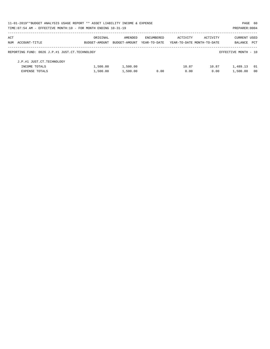| 11-01-2019**BUDGET ANALYSIS USAGE REPORT ** ASSET LIABILITY INCOME & EXPENSE |               |               |              |                            |          | PAGE 60              |                |
|------------------------------------------------------------------------------|---------------|---------------|--------------|----------------------------|----------|----------------------|----------------|
| TIME: 07:54 AM - EFFECTIVE MONTH: 10 - FOR MONTH ENDING 10-31-19             |               |               |              |                            |          | PREPARER: 0004       |                |
| ACT                                                                          | ORIGINAL      | AMENDED       | ENCUMBERED   | ACTIVITY                   | ACTIVITY | <b>CURRENT USED</b>  |                |
| NUM ACCOUNT-TITLE                                                            | BUDGET-AMOUNT | BUDGET-AMOUNT | YEAR-TO-DATE | YEAR-TO-DATE MONTH-TO-DATE |          | BALANCE              | PCT            |
| REPORTING FUND: 0026 J.P.#1 JUST.CT.TECHNOLOGY                               |               |               |              |                            |          | EFFECTIVE MONTH - 10 |                |
| J.P.#1 JUST.CT.TECHNOLOGY                                                    |               |               |              |                            |          |                      |                |
| INCOME TOTALS                                                                | 1,500.00      | 1,500.00      |              | 10.87                      | 10.87    | 1,489.13             | - 01           |
| <b>EXPENSE TOTALS</b>                                                        | 1,500.00      | 1,500.00      | 0.00         | 0.00                       | 0.00     | 1,500.00             | 0 <sub>0</sub> |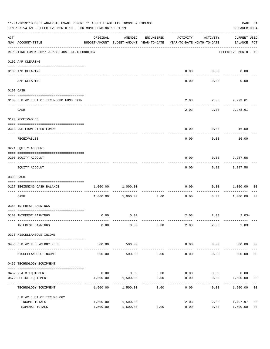|     | 11-01-2019**BUDGET ANALYSIS USAGE REPORT ** ASSET LIABILITY INCOME & EXPENSE<br>TIME: 07:54 AM - EFFECTIVE MONTH: 10 - FOR MONTH ENDING 10-31-19                                                                                                                                                                                                                                                                                                                                                                                      |                       |                                                                                |                 |          |                    |                             |                |  |  |
|-----|---------------------------------------------------------------------------------------------------------------------------------------------------------------------------------------------------------------------------------------------------------------------------------------------------------------------------------------------------------------------------------------------------------------------------------------------------------------------------------------------------------------------------------------|-----------------------|--------------------------------------------------------------------------------|-----------------|----------|--------------------|-----------------------------|----------------|--|--|
| ACT | NUM ACCOUNT-TITLE                                                                                                                                                                                                                                                                                                                                                                                                                                                                                                                     | ORIGINAL              | AMENDED<br>BUDGET-AMOUNT BUDGET-AMOUNT YEAR-TO-DATE YEAR-TO-DATE MONTH-TO-DATE | ENCUMBERED      | ACTIVITY | ACTIVITY           | CURRENT USED<br>BALANCE PCT |                |  |  |
|     | REPORTING FUND: 0027 J.P.#2 JUST.CT.TECHNOLOGY                                                                                                                                                                                                                                                                                                                                                                                                                                                                                        |                       |                                                                                |                 |          |                    | EFFECTIVE MONTH - 10        |                |  |  |
|     | 0102 A/P CLEARING                                                                                                                                                                                                                                                                                                                                                                                                                                                                                                                     |                       |                                                                                |                 |          |                    |                             |                |  |  |
|     | 0100 A/P CLEARING                                                                                                                                                                                                                                                                                                                                                                                                                                                                                                                     |                       |                                                                                |                 | 0.00     | 0.00               | 0.00                        |                |  |  |
|     | A/P CLEARING                                                                                                                                                                                                                                                                                                                                                                                                                                                                                                                          |                       |                                                                                |                 | 0.00     | 0.00               | 0.00                        |                |  |  |
|     | 0103 CASH                                                                                                                                                                                                                                                                                                                                                                                                                                                                                                                             |                       |                                                                                |                 |          |                    |                             |                |  |  |
|     | 0100 J.P.#2 JUST.CT.TECH-COMB.FUND CKIN                                                                                                                                                                                                                                                                                                                                                                                                                                                                                               |                       |                                                                                |                 |          | 2.03 2.03 9,273.61 |                             |                |  |  |
|     | CASH                                                                                                                                                                                                                                                                                                                                                                                                                                                                                                                                  |                       |                                                                                |                 | 2.03     | ---------<br>2.03  | 9,273.61                    |                |  |  |
|     | 0120 RECEIVABLES                                                                                                                                                                                                                                                                                                                                                                                                                                                                                                                      |                       |                                                                                |                 |          |                    |                             |                |  |  |
|     | 0313 DUE FROM OTHER FUNDS                                                                                                                                                                                                                                                                                                                                                                                                                                                                                                             |                       |                                                                                |                 | 0.00     |                    | $0.00$ 16.00                |                |  |  |
|     | RECEIVABLES                                                                                                                                                                                                                                                                                                                                                                                                                                                                                                                           |                       |                                                                                |                 | 0.00     | 0.00               | 16.00                       |                |  |  |
|     | 0271 EQUITY ACCOUNT                                                                                                                                                                                                                                                                                                                                                                                                                                                                                                                   |                       |                                                                                |                 |          |                    |                             |                |  |  |
|     | 0200 EQUITY ACCOUNT                                                                                                                                                                                                                                                                                                                                                                                                                                                                                                                   |                       |                                                                                |                 | 0.00     |                    | $0.00$ 9,287.58             |                |  |  |
|     | EQUITY ACCOUNT                                                                                                                                                                                                                                                                                                                                                                                                                                                                                                                        |                       |                                                                                |                 | 0.00     | ---------<br>0.00  | 9,287.58                    |                |  |  |
|     | 0300 CASH                                                                                                                                                                                                                                                                                                                                                                                                                                                                                                                             |                       |                                                                                |                 |          |                    |                             |                |  |  |
|     | $\begin{minipage}{0.03\textwidth} \centering \begin{tabular}{ l l l } \hline \texttt{0.03\textwidth} \centering \end{tabular} \end{minipage} \begin{minipage}{0.03\textwidth} \centering \begin{tabular}{ l l l } \hline \texttt{0.03\textwidth} \centering \end{tabular} \end{minipage} \end{minipage} \begin{minipage}{0.03\textwidth} \centering \begin{tabular}{ l l l l } \hline \texttt{0.03\textwidth} \centering \end{tabular} \end{minipage} \end{minipage} \begin{minipage}{0.03\textwidth}$<br>0127 BEGINNING CASH BALANCE | 1,000.00              | 1,000.00                                                                       |                 | 0.00     |                    | 0.00 1,000.00               | 00             |  |  |
|     | ----------------------------- ----<br>CASH                                                                                                                                                                                                                                                                                                                                                                                                                                                                                            |                       | 1,000.00 1,000.00                                                              | 0.00            | 0.00     |                    | $0.00$ 1,000.00             | 0 <sub>0</sub> |  |  |
|     | 0360 INTEREST EARNINGS                                                                                                                                                                                                                                                                                                                                                                                                                                                                                                                |                       |                                                                                |                 |          |                    |                             |                |  |  |
|     | 0100 INTEREST EARNINGS                                                                                                                                                                                                                                                                                                                                                                                                                                                                                                                | 0.00                  | 0.00                                                                           |                 |          | 2.03 2.03          | $2.03+$                     |                |  |  |
|     | INTEREST EARNINGS                                                                                                                                                                                                                                                                                                                                                                                                                                                                                                                     | 0.00                  | 0.00                                                                           | 0.00            | 2.03     | 2.03               | $2.03+$                     |                |  |  |
|     | 0370 MISCELLANEOUS INCOME                                                                                                                                                                                                                                                                                                                                                                                                                                                                                                             |                       |                                                                                |                 |          |                    |                             |                |  |  |
|     | 0456 J.P.#2 TECHNOLOGY FEES                                                                                                                                                                                                                                                                                                                                                                                                                                                                                                           | 500.00                | 500.00                                                                         |                 | 0.00     | 0.00               | 500.00 00                   |                |  |  |
|     | MISCELLANEOUS INCOME                                                                                                                                                                                                                                                                                                                                                                                                                                                                                                                  | -----------<br>500.00 | 500.00                                                                         | 0.00            | 0.00     | --------<br>0.00   | 500.00                      | 0 <sub>0</sub> |  |  |
|     | 0456 TECHNOLOGY EQUIPMENT                                                                                                                                                                                                                                                                                                                                                                                                                                                                                                             |                       |                                                                                |                 |          |                    |                             |                |  |  |
|     | 0452 R & M EQUIPMENT                                                                                                                                                                                                                                                                                                                                                                                                                                                                                                                  | 0.00                  | 0.00                                                                           | 0.00            | 0.00     | 0.00               | 0.00                        |                |  |  |
|     | 0572 OFFICE EQUIPMENT                                                                                                                                                                                                                                                                                                                                                                                                                                                                                                                 | 1,500.00              | 1,500.00                                                                       | 0.00            | 0.00     | 0.00               | 1,500.00                    | 00             |  |  |
|     | ---------------<br>TECHNOLOGY EQUIPMENT                                                                                                                                                                                                                                                                                                                                                                                                                                                                                               | 1,500.00              | 1,500.00                                                                       | -------<br>0.00 | 0.00     | 0.00               | 1,500.00                    | 0 <sub>0</sub> |  |  |
|     | J.P.#2 JUST.CT.TECHNOLOGY                                                                                                                                                                                                                                                                                                                                                                                                                                                                                                             |                       |                                                                                |                 |          |                    |                             |                |  |  |
|     | INCOME TOTALS                                                                                                                                                                                                                                                                                                                                                                                                                                                                                                                         | 1,500.00              | 1,500.00                                                                       |                 | 2.03     | 2.03               | 1,497.97                    | 0 <sub>0</sub> |  |  |
|     | EXPENSE TOTALS                                                                                                                                                                                                                                                                                                                                                                                                                                                                                                                        | 1,500.00              | 1,500.00                                                                       | 0.00            | 0.00     | 0.00               | 1,500.00                    | 0 <sub>0</sub> |  |  |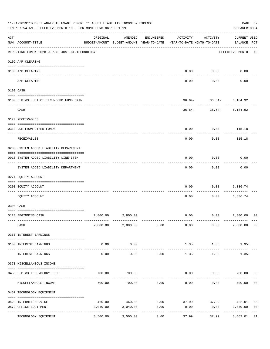|     | 11-01-2019**BUDGET ANALYSIS USAGE REPORT ** ASSET LIABILITY INCOME & EXPENSE<br>TIME: 07:54 AM - EFFECTIVE MONTH: 10 - FOR MONTH ENDING 10-31-19 |          |                         |            |                                                                                 |                                                   | PAGE 62<br>PREPARER: 0004          |                |
|-----|--------------------------------------------------------------------------------------------------------------------------------------------------|----------|-------------------------|------------|---------------------------------------------------------------------------------|---------------------------------------------------|------------------------------------|----------------|
| ACT | NUM ACCOUNT-TITLE                                                                                                                                | ORIGINAL | AMENDED                 | ENCUMBERED | ACTIVITY<br>BUDGET-AMOUNT BUDGET-AMOUNT YEAR-TO-DATE YEAR-TO-DATE MONTH-TO-DATE | ACTIVITY                                          | <b>CURRENT USED</b><br>BALANCE PCT |                |
|     | REPORTING FUND: 0028 J.P.#3 JUST.CT.TECHNOLOGY                                                                                                   |          |                         |            |                                                                                 |                                                   | EFFECTIVE MONTH - 10               |                |
|     | 0102 A/P CLEARING                                                                                                                                |          |                         |            |                                                                                 |                                                   |                                    |                |
|     | 0100 A/P CLEARING                                                                                                                                |          |                         |            | 0.00                                                                            | 0.00                                              | 0.00                               |                |
|     | --------------------- ---------<br>---- -------<br>A/P CLEARING                                                                                  |          |                         |            | 0.00                                                                            | 0.00                                              | 0.00                               |                |
|     | 0103 CASH                                                                                                                                        |          |                         |            |                                                                                 |                                                   |                                    |                |
|     | 0100 J.P.#3 JUST.CT.TECH-COMB.FUND CKIN                                                                                                          |          |                         |            |                                                                                 | $36.64 - 36.64 - 6,184.92$                        |                                    |                |
|     | CASH                                                                                                                                             |          |                         |            |                                                                                 | ---------<br>$36.64 - 36.64 - 6,184.92$           |                                    |                |
|     | 0120 RECEIVABLES                                                                                                                                 |          |                         |            |                                                                                 |                                                   |                                    |                |
|     | 0313 DUE FROM OTHER FUNDS                                                                                                                        |          |                         |            | 0.00                                                                            | 0.00                                              | 115.18                             |                |
|     | RECEIVABLES                                                                                                                                      |          |                         |            | 0.00                                                                            | 0.00                                              | 115.18                             |                |
|     | 0200 SYSTEM ADDED LIABILITY DEPARTMENT                                                                                                           |          |                         |            |                                                                                 |                                                   |                                    |                |
|     | 0910 SYSTEM ADDED LIABILITY LINE-ITEM                                                                                                            |          |                         |            | 0.00                                                                            | 0.00                                              | 0.00                               |                |
|     | SYSTEM ADDED LIABILITY DEPARTMENT                                                                                                                |          |                         |            | 0.00                                                                            | 0.00                                              | 0.00                               |                |
|     | 0271 EQUITY ACCOUNT                                                                                                                              |          |                         |            |                                                                                 |                                                   |                                    |                |
|     | 0200 EQUITY ACCOUNT                                                                                                                              |          |                         |            | 0.00                                                                            | 0.00                                              | 6,336.74                           |                |
|     | EQUITY ACCOUNT                                                                                                                                   |          |                         |            | 0.00                                                                            | 0.00                                              | 6,336.74                           |                |
|     | 0300 CASH                                                                                                                                        |          |                         |            |                                                                                 |                                                   |                                    |                |
|     | 0128 BEGINNING CASH                                                                                                                              |          | 2,800.00 2,800.00       |            |                                                                                 | $0.00$ $0.00$                                     | 2,800.00                           | 0 <sub>0</sub> |
|     |                                                                                                                                                  |          |                         |            |                                                                                 |                                                   |                                    |                |
|     | CASH                                                                                                                                             |          |                         |            |                                                                                 | $2,800.00$ $2,800.00$ $0.00$ $0.00$ $0.00$ $0.00$ | 2,800.00                           | 0 <sub>0</sub> |
|     | 0360 INTEREST EARNINGS                                                                                                                           |          |                         |            |                                                                                 |                                                   |                                    |                |
|     | 0100 INTEREST EARNINGS                                                                                                                           | 0.00     | 0.00                    |            | 1.35                                                                            | 1.35                                              | $1.35+$                            |                |
|     | INTEREST EARNINGS                                                                                                                                | 0.00     | -----------<br>0.00     | 0.00       | -------------<br>1.35                                                           | -------------<br>1.35                             | -----------<br>$1.35+$             |                |
|     | 0370 MISCELLANEOUS INCOME                                                                                                                        |          |                         |            |                                                                                 |                                                   |                                    |                |
|     | 0456 J.P.#3 TECHNOLOGY FEES                                                                                                                      | 700.00   | 700.00                  |            | 0.00                                                                            |                                                   | $0.00$ 700.00                      | 00             |
|     | MISCELLANEOUS INCOME                                                                                                                             | 700.00   | 700.00                  | 0.00       | 0.00                                                                            | 0.00                                              | 700.00                             | 0 <sub>0</sub> |
|     | 0457 TECHNOLOGY EQUIPMENT                                                                                                                        |          |                         |            |                                                                                 |                                                   |                                    |                |
|     |                                                                                                                                                  |          |                         |            |                                                                                 |                                                   |                                    |                |
|     | 0423 INTERNET SERVICE                                                                                                                            | 460.00   | 460.00                  | 0.00       |                                                                                 | 37.99 37.99 422.01                                |                                    | 08             |
|     | 0572 OFFICE EQUIPMENT                                                                                                                            | 3,040.00 | 3,040.00<br>----------- | 0.00       | 0.00                                                                            | 0.00                                              | 3,040.00<br>-------------          | 0 <sub>0</sub> |
|     | TECHNOLOGY EQUIPMENT                                                                                                                             | 3,500.00 | 3,500.00                | 0.00       | 37.99                                                                           | 37.99                                             | 3,462.01                           | 01             |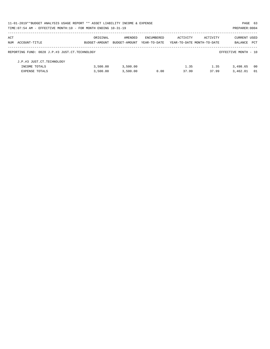|                                                                  | 11-01-2019**BUDGET ANALYSIS USAGE REPORT ** ASSET LIABILITY INCOME & EXPENSE<br>PAGE 63 |               |              |                            |          |                      |      |  |  |  |  |
|------------------------------------------------------------------|-----------------------------------------------------------------------------------------|---------------|--------------|----------------------------|----------|----------------------|------|--|--|--|--|
| TIME: 07:54 AM - EFFECTIVE MONTH: 10 - FOR MONTH ENDING 10-31-19 |                                                                                         |               |              |                            |          | PREPARER: 0004       |      |  |  |  |  |
| ACT                                                              | ORIGINAL                                                                                | AMENDED       | ENCUMBERED   | ACTIVITY                   | ACTIVITY | <b>CURRENT USED</b>  |      |  |  |  |  |
| NUM ACCOUNT-TITLE                                                | BUDGET-AMOUNT                                                                           | BUDGET-AMOUNT | YEAR-TO-DATE | YEAR-TO-DATE MONTH-TO-DATE |          | BALANCE              | PCT  |  |  |  |  |
| REPORTING FUND: 0028 J.P.#3 JUST.CT.TECHNOLOGY                   |                                                                                         |               |              |                            |          | EFFECTIVE MONTH - 10 |      |  |  |  |  |
| J.P.#3 JUST.CT.TECHNOLOGY                                        |                                                                                         |               |              |                            |          |                      |      |  |  |  |  |
| INCOME TOTALS                                                    | 3,500.00                                                                                | 3,500.00      |              | 1.35                       | 1.35     | 3,498.65             | - 00 |  |  |  |  |
| <b>EXPENSE TOTALS</b>                                            | 3.500.00                                                                                | 3.500.00      | 0.00         | 37.99                      | 37.99    | 3,462.01             | 01   |  |  |  |  |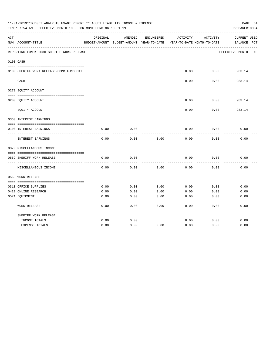|     | 11-01-2019**BUDGET ANALYSIS USAGE REPORT ** ASSET LIABILITY INCOME & EXPENSE<br>TIME: 07:54 AM - EFFECTIVE MONTH: 10 - FOR MONTH ENDING 10-31-19 |          |                                          |            |          |                            | PAGE 64<br>PREPARER: 0004 |
|-----|--------------------------------------------------------------------------------------------------------------------------------------------------|----------|------------------------------------------|------------|----------|----------------------------|---------------------------|
| ACT |                                                                                                                                                  | ORIGINAL | AMENDED                                  | ENCUMBERED | ACTIVITY | ACTIVITY                   | CURRENT USED              |
|     | NUM ACCOUNT-TITLE                                                                                                                                |          | BUDGET-AMOUNT BUDGET-AMOUNT YEAR-TO-DATE |            |          | YEAR-TO-DATE MONTH-TO-DATE | BALANCE<br>$_{\rm PCT}$   |
|     | REPORTING FUND: 0030 SHERIFF WORK RELEASE                                                                                                        |          |                                          |            |          |                            | EFFECTIVE MONTH - 10      |
|     | 0103 CASH                                                                                                                                        |          |                                          |            |          |                            |                           |
|     | 0100 SHERIFF WORK RELEASE-COMB FUND CKI                                                                                                          |          |                                          |            | 0.00     | 0.00                       | 983.14                    |
|     | CASH                                                                                                                                             |          |                                          |            | 0.00     | 0.00                       | 983.14                    |
|     | 0271 EQUITY ACCOUNT                                                                                                                              |          |                                          |            |          |                            |                           |
|     | 0200 EQUITY ACCOUNT                                                                                                                              |          |                                          |            | 0.00     | 0.00                       | 983.14                    |
|     | EQUITY ACCOUNT                                                                                                                                   |          |                                          |            | 0.00     | 0.00                       | 983.14                    |
|     | 0360 INTEREST EARNINGS                                                                                                                           |          |                                          |            |          |                            |                           |
|     | 0100 INTEREST EARNINGS                                                                                                                           | 0.00     | 0.00                                     |            | 0.00     | 0.00                       | 0.00                      |
|     | INTEREST EARNINGS                                                                                                                                | 0.00     | 0.00                                     | 0.00       | 0.00     | 0.00                       | 0.00                      |
|     | 0370 MISCELLANEOUS INCOME                                                                                                                        |          |                                          |            |          |                            |                           |
|     |                                                                                                                                                  |          |                                          |            |          |                            |                           |
|     | 0569 SHERIFF WORK RELEASE<br>-----------                                                                                                         | 0.00     | 0.00                                     |            | 0.00     | 0.00                       | 0.00                      |
|     | MISCELLANEOUS INCOME                                                                                                                             | 0.00     | 0.00                                     | 0.00       | 0.00     | 0.00                       | 0.00                      |
|     | 0569 WORK RELEASE                                                                                                                                |          |                                          |            |          |                            |                           |
|     |                                                                                                                                                  |          |                                          |            |          |                            |                           |
|     | 0310 OFFICE SUPPLIES                                                                                                                             | 0.00     | 0.00                                     | 0.00       | 0.00     | 0.00                       | 0.00                      |
|     | 0421 ONLINE RESEARCH                                                                                                                             | 0.00     | 0.00                                     | 0.00       | 0.00     | 0.00                       | 0.00                      |
|     | 0571 EQUIPMENT                                                                                                                                   | 0.00     | 0.00                                     | 0.00       | 0.00     | 0.00                       | 0.00                      |
|     | <b>WORK RELEASE</b>                                                                                                                              | 0.00     | 0.00                                     | 0.00       | 0.00     | 0.00                       | 0.00                      |
|     | SHERIFF WORK RELEASE                                                                                                                             |          |                                          |            |          |                            |                           |
|     | INCOME TOTALS                                                                                                                                    | 0.00     | 0.00                                     |            | 0.00     | 0.00                       | 0.00                      |
|     | <b>EXPENSE TOTALS</b>                                                                                                                            | 0.00     | 0.00                                     | 0.00       | 0.00     | 0.00                       | 0.00                      |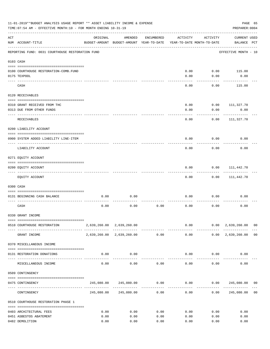|           | 11-01-2019**BUDGET ANALYSIS USAGE REPORT ** ASSET LIABILITY INCOME & EXPENSE<br>TIME: 07:54 AM - EFFECTIVE MONTH: 10 - FOR MONTH ENDING 10-31-19 |          |                                                                  |              |                                        |               | PREPARER: 0004                     | PAGE 65        |
|-----------|--------------------------------------------------------------------------------------------------------------------------------------------------|----------|------------------------------------------------------------------|--------------|----------------------------------------|---------------|------------------------------------|----------------|
| ACT       | NUM ACCOUNT-TITLE                                                                                                                                | ORIGINAL | AMENDED<br>BUDGET-AMOUNT BUDGET-AMOUNT YEAR-TO-DATE              | ENCUMBERED   | ACTIVITY<br>YEAR-TO-DATE MONTH-TO-DATE | ACTIVITY      | <b>CURRENT USED</b><br>BALANCE PCT |                |
|           | REPORTING FUND: 0031 COURTHOUSE RESTORATION FUND                                                                                                 |          |                                                                  |              |                                        |               | EFFECTIVE MONTH - 10               |                |
| 0103 CASH |                                                                                                                                                  |          |                                                                  |              |                                        |               |                                    |                |
|           |                                                                                                                                                  |          |                                                                  |              |                                        |               |                                    |                |
|           | 0100 COURTHOUSE RESTORATION-COMB.FUND                                                                                                            |          |                                                                  |              | 0.00                                   | 0.00          | 115.00                             |                |
|           | 0175 TEXPOOL                                                                                                                                     |          |                                                                  |              | 0.00                                   | 0.00          | 0.00                               |                |
|           | CASH                                                                                                                                             |          |                                                                  |              | 0.00                                   | 0.00          | 115.00                             |                |
|           | 0120 RECEIVABLES                                                                                                                                 |          |                                                                  |              |                                        |               |                                    |                |
|           |                                                                                                                                                  |          |                                                                  |              |                                        |               |                                    |                |
|           | 0310 GRANT RECEIVED FROM THC                                                                                                                     |          |                                                                  |              | 0.00                                   | 0.00          | 111,327.70                         |                |
|           | 0313 DUE FROM OTHER FUNDS                                                                                                                        |          |                                                                  |              | 0.00                                   | 0.00          | 0.00                               |                |
|           | RECEIVABLES                                                                                                                                      |          |                                                                  |              | 0.00                                   | 0.00          | 111,327.70                         |                |
|           | 0200 LIABILITY ACCOUNT                                                                                                                           |          |                                                                  |              |                                        |               |                                    |                |
|           | 0900 SYSTEM ADDED LIABILITY LINE-ITEM                                                                                                            |          |                                                                  |              | 0.00                                   | 0.00          | 0.00                               |                |
|           | LIABILITY ACCOUNT                                                                                                                                |          |                                                                  |              | 0.00                                   | 0.00          | 0.00                               |                |
|           | 0271 EQUITY ACCOUNT                                                                                                                              |          |                                                                  |              |                                        |               |                                    |                |
|           | 0200 EQUITY ACCOUNT                                                                                                                              |          |                                                                  |              | 0.00                                   | 0.00          | 111,442.70                         |                |
|           | ---- ---------------                                                                                                                             |          |                                                                  |              |                                        |               |                                    |                |
|           | EQUITY ACCOUNT                                                                                                                                   |          |                                                                  |              | 0.00                                   | 0.00          | 111,442.70                         |                |
|           | 0300 CASH                                                                                                                                        |          |                                                                  |              |                                        |               |                                    |                |
|           |                                                                                                                                                  |          |                                                                  |              |                                        |               |                                    |                |
|           | 0131 BEGINNING CASH BALANCE                                                                                                                      | 0.00     | 0.00                                                             |              | 0.00                                   | 0.00          | 0.00                               |                |
|           | CASH                                                                                                                                             | 0.00     | 0.00                                                             | 0.00         | 0.00                                   | 0.00          | 0.00                               |                |
|           | 0330 GRANT INCOME                                                                                                                                |          |                                                                  |              |                                        |               |                                    |                |
|           |                                                                                                                                                  |          |                                                                  |              |                                        |               | $0.00$ $0.00$ $2,639,260.00$ 00    |                |
|           | 0510 COURTHOUSE RESTORATION                                                                                                                      |          | 2,639,260.00 2,639,260.00                                        |              |                                        | ------------- | --------------                     |                |
|           | GRANT INCOME                                                                                                                                     |          | 2,639,260.00 2,639,260.00 0.00                                   |              |                                        |               | $0.00$ $0.00$ $2,639,260.00$ 00    |                |
|           | 0370 MISCELLANEOUS INCOME                                                                                                                        |          |                                                                  |              |                                        |               |                                    |                |
|           | 0131 RESTORATION DONATIONS                                                                                                                       | 0.00     | 0.00<br>-------------                                            |              |                                        | $0.00$ $0.00$ | 0.00                               |                |
|           | MISCELLANEOUS INCOME                                                                                                                             | 0.00     | 0.00                                                             | 0.00         |                                        | 0.00<br>0.00  | 0.00                               |                |
|           | 0509 CONTINGENCY                                                                                                                                 |          |                                                                  |              |                                        |               |                                    |                |
|           |                                                                                                                                                  |          |                                                                  |              |                                        |               |                                    |                |
|           | 0475 CONTINGENCY                                                                                                                                 |          | $245,080.00$ $245,080.00$ $0.00$ $0.00$ $0.00$ $245,080.00$ $00$ | ------------ | .                                      |               |                                    |                |
|           | CONTINGENCY                                                                                                                                      |          | 245,080.00 245,080.00                                            | 0.00         | 0.00                                   |               | 0.00 245,080.00                    | 0 <sub>0</sub> |
|           | 0510 COURTHOUSE RESTORATION PHASE 1                                                                                                              |          |                                                                  |              |                                        |               |                                    |                |
|           | 0403 ARCHITECTURAL FEES                                                                                                                          | 0.00     | 0.00                                                             | 0.00         | 0.00                                   | 0.00          | 0.00                               |                |
|           | 0451 ASBESTOS ABATEMENT                                                                                                                          | 0.00     | 0.00                                                             | 0.00         | 0.00                                   | 0.00          | 0.00                               |                |
|           | 0482 DEMOLITION                                                                                                                                  | 0.00     | 0.00                                                             | 0.00         | 0.00                                   | 0.00          | 0.00                               |                |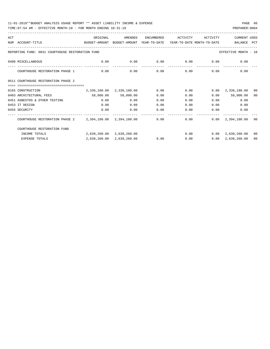| ACT |                                                                                          | ORIGINAL                  | AMENDED                   | ENCUMBERED | ACTIVITY | ACTIVITY     | <b>CURRENT USED</b>                |                |
|-----|------------------------------------------------------------------------------------------|---------------------------|---------------------------|------------|----------|--------------|------------------------------------|----------------|
|     | NUM ACCOUNT-TITLE<br>BUDGET-AMOUNT BUDGET-AMOUNT YEAR-TO-DATE YEAR-TO-DATE MONTH-TO-DATE |                           |                           |            |          |              | BALANCE PCT                        |                |
|     | REPORTING FUND: 0031 COURTHOUSE RESTORATION FUND                                         |                           |                           |            |          |              | EFFECTIVE MONTH - 10               |                |
|     | 0490 MISCELLANEOUS                                                                       | 0.00                      | 0.00                      |            |          |              | $0.00$ $0.00$ $0.00$ $0.00$ $0.00$ |                |
|     | COURTHOUSE RESTORATION PHASE 1                                                           | 0.00                      | 0.00                      | 0.00       |          | 0.00         | 0.00<br>0.00                       |                |
|     | 0511 COURTHOUSE RESTORATION PHASE 2                                                      |                           |                           |            |          |              |                                    |                |
|     | -----------------------------------                                                      |                           |                           |            |          |              |                                    |                |
|     | 0165 CONSTRUCTION                                                                        | 2,336,180.00 2,336,180.00 |                           | 0.00       | 0.00     |              | $0.00 \quad 2,336,180.00$          | 0 <sub>0</sub> |
|     | 0403 ARCHITECTURAL FEES                                                                  |                           | 58,000.00 58,000.00       | 0.00       | 0.00     | 0.00         | 58,000.00                          | 00             |
|     | 0451 ASBESTOS & OTHER TESTING                                                            | 0.00                      | 0.00                      | 0.00       | 0.00     |              | 0.00<br>0.00                       |                |
|     | 0453 IT DESIGN                                                                           | 0.00                      | 0.00                      | 0.00       | 0.00     |              | 0.00<br>0.00                       |                |
|     | 0455 SECURITY                                                                            | 0.00                      | 0.00                      | 0.00       | 0.00     | 0.00         | 0.00                               |                |
|     | COURTHOUSE RESTORATION PHASE 2 2,394,180.00 2,394,180.00                                 |                           |                           | 0.00       |          | ------------ | $0.00$ $0.00$ $2,394,180.00$       | - 00           |
|     | COURTHOUSE RESTORATION FUND                                                              |                           |                           |            |          |              |                                    |                |
|     | INCOME TOTALS                                                                            |                           | 2,639,260.00 2,639,260.00 |            |          |              | $0.00$ $0.00$ $2,639,260.00$       | 00             |
|     | <b>EXPENSE TOTALS</b>                                                                    | 2,639,260.00              | 2,639,260.00              | 0.00       | 0.00     | 0.00         | 2,639,260.00                       | 00             |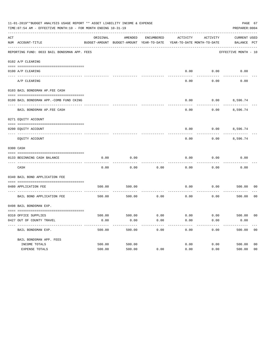|     | 11-01-2019**BUDGET ANALYSIS USAGE REPORT ** ASSET LIABILITY INCOME & EXPENSE<br>PAGE 67<br>TIME: 07:54 AM - EFFECTIVE MONTH: 10 - FOR MONTH ENDING 10-31-19<br>PREPARER: 0004 |          |                                                     |            |                                        |          |                                    |                |  |  |
|-----|-------------------------------------------------------------------------------------------------------------------------------------------------------------------------------|----------|-----------------------------------------------------|------------|----------------------------------------|----------|------------------------------------|----------------|--|--|
| ACT | NUM ACCOUNT-TITLE                                                                                                                                                             | ORIGINAL | AMENDED<br>BUDGET-AMOUNT BUDGET-AMOUNT YEAR-TO-DATE | ENCUMBERED | ACTIVITY<br>YEAR-TO-DATE MONTH-TO-DATE | ACTIVITY | <b>CURRENT USED</b><br>BALANCE PCT |                |  |  |
|     | REPORTING FUND: 0033 BAIL BONDSMAN APP. FEES                                                                                                                                  |          |                                                     |            |                                        |          | EFFECTIVE MONTH - 10               |                |  |  |
|     | 0102 A/P CLEARING                                                                                                                                                             |          |                                                     |            |                                        |          |                                    |                |  |  |
|     | 0100 A/P CLEARING                                                                                                                                                             |          |                                                     |            | 0.00                                   | 0.00     | 0.00                               |                |  |  |
|     | ---- --------<br>A/P CLEARING                                                                                                                                                 |          |                                                     |            | 0.00                                   | 0.00     | 0.00                               |                |  |  |
|     | 0103 BAIL BONDSMAN AP.FEE CASH                                                                                                                                                |          |                                                     |            |                                        |          |                                    |                |  |  |
|     | 0100 BAIL BONDSMAN APP.-COMB FUND CKING                                                                                                                                       |          |                                                     |            | 0.00                                   | 0.00     | 8,596.74                           |                |  |  |
|     | BAIL BONDSMAN AP.FEE CASH                                                                                                                                                     |          |                                                     |            | 0.00                                   | 0.00     | 8,596.74                           |                |  |  |
|     | 0271 EQUITY ACCOUNT                                                                                                                                                           |          |                                                     |            |                                        |          |                                    |                |  |  |
|     | 0200 EQUITY ACCOUNT                                                                                                                                                           |          |                                                     |            | 0.00                                   |          | $0.00$ 8,596.74                    |                |  |  |
|     | EQUITY ACCOUNT                                                                                                                                                                |          |                                                     |            | 0.00                                   | 0.00     | 8,596.74                           |                |  |  |
|     | 0300 CASH                                                                                                                                                                     |          |                                                     |            |                                        |          |                                    |                |  |  |
|     | 0133 BEGINNING CASH BALANCE                                                                                                                                                   | 0.00     | 0.00                                                |            | 0.00                                   | 0.00     | 0.00                               |                |  |  |
|     | CASH                                                                                                                                                                          | 0.00     | 0.00                                                | 0.00       | 0.00                                   | 0.00     | 0.00                               |                |  |  |
|     | 0340 BAIL BOND APPLICATION FEE                                                                                                                                                |          |                                                     |            |                                        |          |                                    |                |  |  |
|     | 0480 APPLICATION FEE                                                                                                                                                          | 500.00   | 500.00                                              |            | 0.00                                   | 0.00     | 500.00                             | 00             |  |  |
|     | BAIL BOND APPLICATION FEE                                                                                                                                                     | 500.00   | 500.00                                              | 0.00       | 0.00                                   | 0.00     | 500.00                             | 0 <sub>0</sub> |  |  |
|     | 0498 BAIL BONDSMAN EXP.                                                                                                                                                       |          |                                                     |            |                                        |          |                                    |                |  |  |
|     | 0310 OFFICE SUPPLIES                                                                                                                                                          | 500.00   | 500.00 0.00                                         |            | $0.00$ $0.00$ $500.00$                 |          |                                    | 00             |  |  |
|     | 0427 OUT OF COUNTY TRAVEL                                                                                                                                                     | 0.00     | 0.00                                                | 0.00       | 0.00                                   | 0.00     | 0.00                               |                |  |  |
|     | BAIL BONDSMAN EXP.                                                                                                                                                            | 500.00   | 500.00                                              | 0.00       | 0.00                                   | 0.00     | 500.00                             | 0 <sub>0</sub> |  |  |
|     | BAIL BONDSMAN APP. FEES                                                                                                                                                       |          |                                                     |            |                                        |          |                                    |                |  |  |
|     | INCOME TOTALS                                                                                                                                                                 | 500.00   | 500.00                                              |            | 0.00                                   | 0.00     | 500.00                             | 0 <sub>0</sub> |  |  |
|     | EXPENSE TOTALS                                                                                                                                                                | 500.00   | 500.00                                              | 0.00       | 0.00                                   | 0.00     | 500.00                             | 0 <sub>0</sub> |  |  |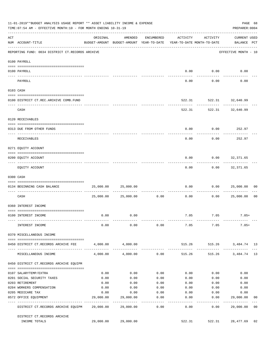|     | 11-01-2019**BUDGET ANALYSIS USAGE REPORT ** ASSET LIABILITY INCOME & EXPENSE<br>TIME: 07:54 AM - EFFECTIVE MONTH: 10 - FOR MONTH ENDING 10-31-19                                                                                                                                                                                                                                                                                                                                               |                   |                                                                                |                 |                  |                                                         | PAGE 68<br>PREPARER: 0004                   |                |
|-----|------------------------------------------------------------------------------------------------------------------------------------------------------------------------------------------------------------------------------------------------------------------------------------------------------------------------------------------------------------------------------------------------------------------------------------------------------------------------------------------------|-------------------|--------------------------------------------------------------------------------|-----------------|------------------|---------------------------------------------------------|---------------------------------------------|----------------|
| ACT | NUM ACCOUNT-TITLE                                                                                                                                                                                                                                                                                                                                                                                                                                                                              | ORIGINAL          | AMENDED<br>BUDGET-AMOUNT BUDGET-AMOUNT YEAR-TO-DATE YEAR-TO-DATE MONTH-TO-DATE | ENCUMBERED      | ACTIVITY         | ACTIVITY                                                | <b>CURRENT USED</b><br>BALANCE PCT          |                |
|     | REPORTING FUND: 0034 DISTRICT CT.RECORDS ARCHIVE                                                                                                                                                                                                                                                                                                                                                                                                                                               |                   |                                                                                |                 |                  |                                                         | ___________________<br>EFFECTIVE MONTH - 10 |                |
|     | 0100 PAYROLL                                                                                                                                                                                                                                                                                                                                                                                                                                                                                   |                   |                                                                                |                 |                  |                                                         |                                             |                |
|     | 0100 PAYROLL                                                                                                                                                                                                                                                                                                                                                                                                                                                                                   |                   |                                                                                |                 |                  | $0.00$ $0.00$                                           | 0.00                                        |                |
|     | --------------------------- --------<br>---- --------<br>PAYROLL                                                                                                                                                                                                                                                                                                                                                                                                                               |                   |                                                                                |                 | 0.00             | ----------<br>0.00                                      | 0.00                                        |                |
|     | 0103 CASH                                                                                                                                                                                                                                                                                                                                                                                                                                                                                      |                   |                                                                                |                 |                  |                                                         |                                             |                |
|     | 0100 DISTRICT CT.REC.ARCHIVE COMB.FUND                                                                                                                                                                                                                                                                                                                                                                                                                                                         |                   |                                                                                |                 |                  | 522.31 522.31 32,640.99                                 |                                             |                |
|     | CASH                                                                                                                                                                                                                                                                                                                                                                                                                                                                                           |                   |                                                                                |                 |                  | ------------- --------------<br>522.31 522.31 32,640.99 |                                             |                |
|     | 0120 RECEIVABLES                                                                                                                                                                                                                                                                                                                                                                                                                                                                               |                   |                                                                                |                 |                  |                                                         |                                             |                |
|     | 0313 DUE FROM OTHER FUNDS                                                                                                                                                                                                                                                                                                                                                                                                                                                                      |                   |                                                                                |                 | 0.00             | $0.00$ 252.97                                           |                                             |                |
|     | RECEIVABLES                                                                                                                                                                                                                                                                                                                                                                                                                                                                                    |                   |                                                                                |                 | 0.00             | 0.00                                                    | 252.97                                      |                |
|     | 0271 EQUITY ACCOUNT                                                                                                                                                                                                                                                                                                                                                                                                                                                                            |                   |                                                                                |                 |                  |                                                         |                                             |                |
|     | 0200 EQUITY ACCOUNT                                                                                                                                                                                                                                                                                                                                                                                                                                                                            |                   |                                                                                |                 | 0.00             | $0.00$ 32,371.65                                        |                                             |                |
|     | EQUITY ACCOUNT                                                                                                                                                                                                                                                                                                                                                                                                                                                                                 |                   |                                                                                |                 | --------<br>0.00 | ---------                                               | .<br>$0.00$ 32,371.65                       |                |
|     | 0300 CASH                                                                                                                                                                                                                                                                                                                                                                                                                                                                                      |                   |                                                                                |                 |                  |                                                         |                                             |                |
|     | $\begin{minipage}{0.03\textwidth} \begin{tabular}{l} \textbf{0.04\textwidth} \textbf{0.05\textwidth} \textbf{0.06\textwidth} \textbf{0.07\textwidth} \textbf{0.07\textwidth} \textbf{0.07\textwidth} \textbf{0.07\textwidth} \textbf{0.07\textwidth} \textbf{0.07\textwidth} \textbf{0.07\textwidth} \textbf{0.07\textwidth} \textbf{0.07\textwidth} \textbf{0.07\textwidth} \textbf{0.07\textwidth} \textbf{0.07\textwidth} \textbf{0.07\textwidth} \textbf{0$<br>0134 BEGINNING CASH BALANCE | 25,000.00         | 25,000.00                                                                      |                 | 0.00             |                                                         | 0.000025,000.00                             | 0 <sub>0</sub> |
|     | ----------------------------- -------<br>CASH                                                                                                                                                                                                                                                                                                                                                                                                                                                  |                   | 25,000.00 25,000.00                                                            | 0.00            | 0.00             | 0.00                                                    | 25,000.00                                   | 0 <sub>0</sub> |
|     | 0360 INTEREST INCOME                                                                                                                                                                                                                                                                                                                                                                                                                                                                           |                   |                                                                                |                 |                  |                                                         |                                             |                |
|     | 0100 INTEREST INCOME                                                                                                                                                                                                                                                                                                                                                                                                                                                                           | 0.00              | 0.00                                                                           |                 |                  | 7.05 7.05                                               | $7.05+$                                     |                |
|     | INTEREST INCOME                                                                                                                                                                                                                                                                                                                                                                                                                                                                                | 0.00              | 0.00                                                                           | 0.00            | 7.05             | 7.05                                                    | $7.05+$                                     |                |
|     | 0370 MISCELLANEOUS INCOME                                                                                                                                                                                                                                                                                                                                                                                                                                                                      |                   |                                                                                |                 |                  |                                                         |                                             |                |
|     | 0450 DISTRICT CT.RECORDS ARCHIVE FEE                                                                                                                                                                                                                                                                                                                                                                                                                                                           |                   | 4,000.00 4,000.00                                                              |                 |                  | 515.26 515.26 3,484.74 13                               |                                             |                |
|     | MISCELLANEOUS INCOME                                                                                                                                                                                                                                                                                                                                                                                                                                                                           | 4,000.00          |                                                                                | $4,000.00$ 0.00 | 515.26           |                                                         | 515.26 3,484.74 13                          |                |
|     | 0450 DISTRICT CT.RECORDS ARCHIVE EQUIPM                                                                                                                                                                                                                                                                                                                                                                                                                                                        |                   |                                                                                |                 |                  |                                                         |                                             |                |
|     | 0107 SALARYTEMP/EXTRA                                                                                                                                                                                                                                                                                                                                                                                                                                                                          | 0.00              | 0.00                                                                           | 0.00            | 0.00             | 0.00                                                    | 0.00                                        |                |
|     | 0201 SOCIAL SECURITY TAXES                                                                                                                                                                                                                                                                                                                                                                                                                                                                     | 0.00              | 0.00                                                                           | 0.00            | 0.00             | 0.00                                                    | 0.00                                        |                |
|     | 0203 RETIREMENT                                                                                                                                                                                                                                                                                                                                                                                                                                                                                | 0.00              | 0.00                                                                           | 0.00            | 0.00             | 0.00                                                    | 0.00                                        |                |
|     | 0204 WORKERS COMPENSATION                                                                                                                                                                                                                                                                                                                                                                                                                                                                      | 0.00              | 0.00                                                                           | 0.00            | 0.00             | 0.00                                                    | 0.00                                        |                |
|     | 0205 MEDICARE TAX<br>0572 OFFICE EQUIPMENT                                                                                                                                                                                                                                                                                                                                                                                                                                                     | 0.00<br>29,000.00 | 0.00<br>29,000.00                                                              | 0.00<br>0.00    | 0.00<br>0.00     | 0.00<br>0.00                                            | 0.00<br>29,000.00                           | 00             |
|     | --------------------- --------------                                                                                                                                                                                                                                                                                                                                                                                                                                                           |                   | --------------                                                                 | . <u>.</u>      | -------          | ---------                                               | ------------                                |                |
|     | DISTRICT CT.RECORDS ARCHIVE EQUIPM 29,000.00                                                                                                                                                                                                                                                                                                                                                                                                                                                   |                   | 29,000.00                                                                      | 0.00            | 0.00             | 0.00                                                    | 29,000.00                                   | 0 <sub>0</sub> |
|     | DISTRICT CT.RECORDS ARCHIVE<br>INCOME TOTALS                                                                                                                                                                                                                                                                                                                                                                                                                                                   |                   | 29,000.00 29,000.00                                                            |                 | 522.31           |                                                         | 522.31 28,477.69                            | 02             |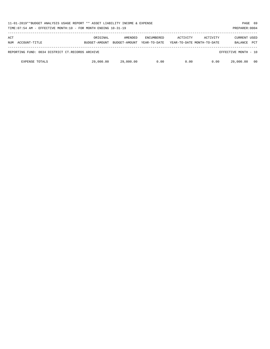| 11-01-2019**BUDGET ANALYSIS USAGE REPORT ** ASSET LIABILITY INCOME & EXPENSE<br>TIME: 07:54 AM - EFFECTIVE MONTH: 10 - FOR MONTH ENDING 10-31-19<br>PREPARER: 0004 |                           |                          |                            |          |                                        |                                |            |  |
|--------------------------------------------------------------------------------------------------------------------------------------------------------------------|---------------------------|--------------------------|----------------------------|----------|----------------------------------------|--------------------------------|------------|--|
| ACT<br>NUM ACCOUNT-TITLE                                                                                                                                           | ORIGINAL<br>BUDGET-AMOUNT | AMENDED<br>BUDGET-AMOUNT | ENCUMBERED<br>YEAR-TO-DATE | ACTIVITY | ACTIVITY<br>YEAR-TO-DATE MONTH-TO-DATE | <b>CURRENT USED</b><br>BALANCE | <b>PCT</b> |  |
| REPORTING FUND: 0034 DISTRICT CT.RECORDS ARCHIVE                                                                                                                   |                           |                          |                            |          |                                        | EFFECTIVE MONTH - 10           |            |  |
| <b>EXPENSE TOTALS</b>                                                                                                                                              | 29,000.00                 | 29,000.00                | 0.00                       | 0.00     | 0.00                                   | 29,000.00                      | 00         |  |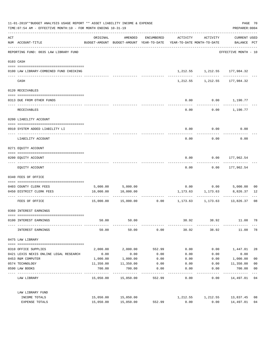| 11-01-2019**BUDGET ANALYSIS USAGE REPORT ** ASSET LIABILITY INCOME & EXPENSE<br>TIME: 07:54 AM - EFFECTIVE MONTH: 10 - FOR MONTH ENDING 10-31-19 |                                                    |           |                                                                                |                      |          |                                               |                                     |                      |
|--------------------------------------------------------------------------------------------------------------------------------------------------|----------------------------------------------------|-----------|--------------------------------------------------------------------------------|----------------------|----------|-----------------------------------------------|-------------------------------------|----------------------|
| ACT                                                                                                                                              | NUM ACCOUNT-TITLE                                  | ORIGINAL  | AMENDED<br>BUDGET-AMOUNT BUDGET-AMOUNT YEAR-TO-DATE YEAR-TO-DATE MONTH-TO-DATE | ENCUMBERED           | ACTIVITY | ACTIVITY                                      | <b>CURRENT USED</b><br>BALANCE PCT  |                      |
|                                                                                                                                                  | REPORTING FUND: 0035 LAW LIBRARY FUND              |           |                                                                                |                      |          |                                               | EFFECTIVE MONTH - 10                |                      |
|                                                                                                                                                  | 0103 CASH                                          |           |                                                                                |                      |          |                                               |                                     |                      |
|                                                                                                                                                  | 0100 LAW LIBRARY-COMBINED FUND CHECKING            |           |                                                                                |                      |          | 1,212.55 1,212.55 177,984.32                  |                                     |                      |
|                                                                                                                                                  | CASH                                               |           |                                                                                |                      |          | 1, 212.55 1, 212.55 177, 984.32               |                                     |                      |
|                                                                                                                                                  | 0120 RECEIVABLES                                   |           |                                                                                |                      |          |                                               |                                     |                      |
|                                                                                                                                                  | 0313 DUE FROM OTHER FUNDS                          |           |                                                                                |                      | 0.00     |                                               | $0.00$ 1,190.77                     |                      |
|                                                                                                                                                  | RECEIVABLES                                        |           |                                                                                |                      | 0.00     |                                               | $0.00$ 1,190.77                     |                      |
|                                                                                                                                                  | 0200 LIABILITY ACCOUNT                             |           |                                                                                |                      |          |                                               |                                     |                      |
|                                                                                                                                                  | 0910 SYSTEM ADDED LIABILITY LI                     |           |                                                                                |                      | 0.00     | 0.00                                          | 0.00                                |                      |
|                                                                                                                                                  | LIABILITY ACCOUNT                                  |           |                                                                                |                      | 0.00     | 0.00                                          | 0.00                                |                      |
|                                                                                                                                                  | 0271 EQUITY ACCOUNT                                |           |                                                                                |                      |          |                                               |                                     |                      |
|                                                                                                                                                  | 0200 EQUITY ACCOUNT                                |           |                                                                                |                      | 0.00     |                                               | $0.00$ 177,962.54                   |                      |
|                                                                                                                                                  | EQUITY ACCOUNT                                     |           |                                                                                |                      | 0.00     |                                               | $0.00$ 177,962.54                   |                      |
|                                                                                                                                                  | 0340 FEES OF OFFICE                                |           |                                                                                |                      |          |                                               |                                     |                      |
|                                                                                                                                                  |                                                    |           |                                                                                |                      |          |                                               |                                     |                      |
|                                                                                                                                                  | 0403 COUNTY CLERK FEES<br>0450 DISTRICT CLERK FEES | 10,000.00 | 5,000.00 5,000.00<br>10,000.00                                                 |                      |          | $0.00$ $0.00$ $5,000.00$<br>1,173.63 1,173.63 | 8,826.37                            | 0 <sub>0</sub><br>12 |
|                                                                                                                                                  | FEES OF OFFICE                                     |           | $15,000.00$ $15,000.00$ $0.00$ $1,173.63$ $1,173.63$ $13,826.37$               |                      |          | ------------                                  |                                     | 08                   |
|                                                                                                                                                  | 0360 INTEREST EARNINGS                             |           |                                                                                |                      |          |                                               |                                     |                      |
|                                                                                                                                                  |                                                    |           |                                                                                |                      |          |                                               |                                     |                      |
|                                                                                                                                                  | 0100 INTEREST EARNINGS                             | 50.00     | 50.00                                                                          |                      | 38.92    | 38.92                                         | 11.08                               | 78                   |
|                                                                                                                                                  | INTEREST EARNINGS                                  | 50.00     | 50.00                                                                          | 0.00                 | 38.92    | 38.92                                         | 11.08                               | 78                   |
|                                                                                                                                                  | 0475 LAW LIBRARY                                   |           |                                                                                |                      |          |                                               |                                     |                      |
|                                                                                                                                                  | 0310 OFFICE SUPPLIES                               | 2,000.00  | 2,000.00                                                                       | 552.99               | 0.00     | 0.00                                          | 1,447.01                            | 28                   |
|                                                                                                                                                  | 0421 LEXIS NEXIS ONLINE LEGAL RESEARCH             | 0.00      | 0.00                                                                           | 0.00                 | 0.00     | 0.00                                          | 0.00                                |                      |
|                                                                                                                                                  | 0453 R&M COMPUTER                                  | 1,000.00  | 1,000.00                                                                       | 0.00                 | 0.00     | 0.00                                          | 1,000.00                            | 0 <sub>0</sub>       |
|                                                                                                                                                  | 0574 TECHNOLOGY                                    | 11,350.00 | 11,350.00                                                                      | 0.00                 | 0.00     | 0.00                                          | 11,350.00                           | 0 <sub>0</sub>       |
|                                                                                                                                                  | 0590 LAW BOOKS                                     | 700.00    | 700.00                                                                         | 0.00                 | 0.00     | 0.00                                          | 700.00                              | 0 <sub>0</sub>       |
|                                                                                                                                                  | LAW LIBRARY                                        |           | 15,050.00 15,050.00                                                            | ----------<br>552.99 | 0.00     | 0.00                                          | . _ _ _ _ _ _ _ _ _<br>14,497.01 04 | $---$                |
|                                                                                                                                                  | LAW LIBRARY FUND                                   |           |                                                                                |                      |          |                                               |                                     |                      |
|                                                                                                                                                  | INCOME TOTALS                                      | 15,050.00 | 15,050.00                                                                      |                      | 1,212.55 | 1,212.55                                      | 13,837.45                           | 08                   |
|                                                                                                                                                  | EXPENSE TOTALS                                     | 15,050.00 | 15,050.00                                                                      | 552.99               | 0.00     | 0.00                                          | 14,497.01                           | 0 <sub>4</sub>       |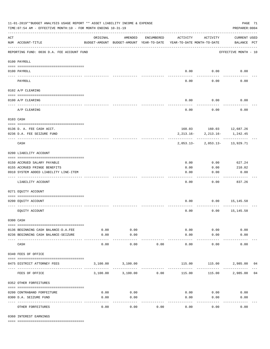| 11-01-2019**BUDGET ANALYSIS USAGE REPORT ** ASSET LIABILITY INCOME & EXPENSE<br>PAGE 71<br>TIME: 07:54 AM - EFFECTIVE MONTH: 10 - FOR MONTH ENDING 10-31-19<br>PREPARER: 0004 |                                                         |                                                      |                                     |                      |                                        |                               |                                    |    |  |  |  |
|-------------------------------------------------------------------------------------------------------------------------------------------------------------------------------|---------------------------------------------------------|------------------------------------------------------|-------------------------------------|----------------------|----------------------------------------|-------------------------------|------------------------------------|----|--|--|--|
| ACT                                                                                                                                                                           | NUM ACCOUNT-TITLE                                       | ORIGINAL<br>BUDGET-AMOUNT BUDGET-AMOUNT YEAR-TO-DATE | AMENDED                             | ENCUMBERED           | ACTIVITY<br>YEAR-TO-DATE MONTH-TO-DATE | ACTIVITY                      | <b>CURRENT USED</b><br>BALANCE PCT |    |  |  |  |
|                                                                                                                                                                               | REPORTING FUND: 0036 D.A. FEE ACCOUNT FUND              |                                                      |                                     |                      |                                        |                               | EFFECTIVE MONTH - 10               |    |  |  |  |
|                                                                                                                                                                               | 0100 PAYROLL                                            |                                                      |                                     |                      |                                        |                               |                                    |    |  |  |  |
|                                                                                                                                                                               | 0100 PAYROLL                                            |                                                      |                                     |                      | 0.00                                   | 0.00                          | 0.00                               |    |  |  |  |
|                                                                                                                                                                               | PAYROLL                                                 |                                                      |                                     |                      | 0.00                                   | 0.00                          | 0.00                               |    |  |  |  |
|                                                                                                                                                                               | 0102 A/P CLEARING                                       |                                                      |                                     |                      |                                        |                               |                                    |    |  |  |  |
|                                                                                                                                                                               | 0100 A/P CLEARING                                       |                                                      |                                     |                      | 0.00                                   | 0.00                          | 0.00                               |    |  |  |  |
|                                                                                                                                                                               |                                                         |                                                      |                                     |                      |                                        |                               |                                    |    |  |  |  |
|                                                                                                                                                                               | A/P CLEARING                                            |                                                      |                                     |                      | 0.00                                   | 0.00                          | 0.00                               |    |  |  |  |
|                                                                                                                                                                               | 0103 CASH                                               |                                                      |                                     |                      |                                        |                               |                                    |    |  |  |  |
|                                                                                                                                                                               |                                                         |                                                      |                                     |                      |                                        | 160.03    160.03    12,687.26 |                                    |    |  |  |  |
|                                                                                                                                                                               | 0136 D. A. FEE CASH ACCT.<br>0236 D.A. FEE SEIZURE FUND |                                                      |                                     |                      | 2,213.16-                              | 2,213.16-                     | 1,242.45                           |    |  |  |  |
|                                                                                                                                                                               | CASH                                                    |                                                      |                                     |                      | $2,053.13-$                            |                               | 2,053.13- 13,929.71                |    |  |  |  |
|                                                                                                                                                                               | 0200 LIABILITY ACCOUNT                                  |                                                      |                                     |                      |                                        |                               |                                    |    |  |  |  |
|                                                                                                                                                                               | 0150 ACCRUED SALARY PAYABLE                             |                                                      |                                     |                      | 0.00                                   | 0.00                          | 627.24                             |    |  |  |  |
|                                                                                                                                                                               | 0155 ACCRUED FRINGE BENEFITS                            |                                                      |                                     |                      | 0.00                                   | 0.00                          | 210.02                             |    |  |  |  |
|                                                                                                                                                                               | 0910 SYSTEM ADDED LIABILITY LINE-ITEM                   |                                                      |                                     |                      | 0.00                                   | 0.00                          | 0.00                               |    |  |  |  |
|                                                                                                                                                                               | LIABILITY ACCOUNT                                       |                                                      |                                     |                      | 0.00                                   | 0.00                          | 837.26                             |    |  |  |  |
|                                                                                                                                                                               | 0271 EQUITY ACCOUNT                                     |                                                      |                                     |                      |                                        |                               |                                    |    |  |  |  |
|                                                                                                                                                                               | 0200 EQUITY ACCOUNT                                     |                                                      |                                     |                      | 0.00                                   |                               | $0.00$ 15,145.58                   |    |  |  |  |
|                                                                                                                                                                               | EQUITY ACCOUNT                                          |                                                      |                                     |                      | 0.00                                   | 0.00                          | 15,145.58                          |    |  |  |  |
|                                                                                                                                                                               | 0300 CASH                                               |                                                      |                                     |                      |                                        |                               |                                    |    |  |  |  |
|                                                                                                                                                                               | 0136 BEGINNING CASH BALANCE-D.A.FEE                     | 0.00                                                 | 0.00                                |                      | 0.00                                   | 0.00                          | 0.00                               |    |  |  |  |
|                                                                                                                                                                               | 0236 BEGINNING CASH BALANCE-SEIZURE                     | 0.00                                                 | 0.00                                |                      | 0.00                                   | 0.00                          | 0.00                               |    |  |  |  |
|                                                                                                                                                                               | CASH                                                    | 0.00                                                 | 0.00                                | 0.00                 | 0.00                                   | 0.00                          | 0.00                               |    |  |  |  |
|                                                                                                                                                                               | 0340 FEES OF OFFICE                                     |                                                      |                                     |                      |                                        |                               |                                    |    |  |  |  |
|                                                                                                                                                                               | 0475 DISTRICT ATTORNEY FEES                             |                                                      | 3,100.00 3,100.00                   |                      | 115.00                                 |                               | 115.00 2,985.00                    | 04 |  |  |  |
|                                                                                                                                                                               | ------------------------ -----------<br>FEES OF OFFICE  |                                                      | --------------<br>3,100.00 3,100.00 | ------------<br>0.00 | 115.00                                 | 115.00                        | 2,985.00 04                        |    |  |  |  |
|                                                                                                                                                                               | 0352 OTHER FORFEITURES                                  |                                                      |                                     |                      |                                        |                               |                                    |    |  |  |  |
|                                                                                                                                                                               |                                                         |                                                      |                                     |                      |                                        |                               |                                    |    |  |  |  |
|                                                                                                                                                                               | 0200 CONTRABAND FORFEITURE<br>0300 D.A. SEIZURE FUND    | 0.00<br>0.00                                         | 0.00<br>0.00                        |                      | 0.00<br>0.00                           | 0.00<br>0.00                  | 0.00<br>0.00                       |    |  |  |  |
|                                                                                                                                                                               |                                                         |                                                      | $- - - -$                           |                      |                                        | -----                         |                                    |    |  |  |  |
|                                                                                                                                                                               | OTHER FORFEITURES                                       | 0.00                                                 | 0.00                                | 0.00                 | 0.00                                   | 0.00                          | 0.00                               |    |  |  |  |

0360 INTEREST EARNINGS

==== ===================================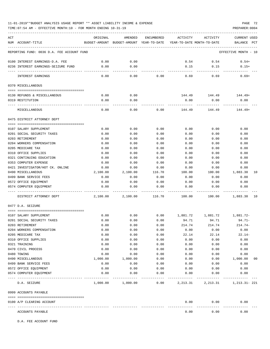TIME:07:54 AM - EFFECTIVE MONTH:10 - FOR MONTH ENDING 10-31-19 PREPARER:0004

| ACT<br>NUM ACCOUNT-TITLE                   | ORIGINAL |      | AMENDED<br>BUDGET-AMOUNT BUDGET-AMOUNT YEAR-TO-DATE YEAR-TO-DATE MONTH-TO-DATE | ENCUMBERED          | ACTIVITY | ACTIVITY | <b>CURRENT USED</b><br>BALANCE<br>PCT |
|--------------------------------------------|----------|------|--------------------------------------------------------------------------------|---------------------|----------|----------|---------------------------------------|
| REPORTING FUND: 0036 D.A. FEE ACCOUNT FUND |          |      |                                                                                |                     |          |          | EFFECTIVE MONTH - 10                  |
|                                            |          |      |                                                                                |                     |          |          |                                       |
| 0100 INTEREST EARNINGS-D.A. FEE            |          | 0.00 | 0.00                                                                           |                     | 0.54     | 0.54     | $0.54+$                               |
| 0236 INTEREST EARNINGS-SEIZURE FUND        |          | 0.00 | 0.00                                                                           |                     | 0.15     | 0.15     | $0.15+$                               |
| INTEREST EARNINGS                          |          | 0.00 | 0.00                                                                           | 0.00                | 0.69     | 0.69     | $0.69+$                               |
| 0370 MISCELLANEOUS                         |          |      |                                                                                |                     |          |          |                                       |
| 0130 REFUNDS & MISCELLANEOUS               |          | 0.00 | 0.00                                                                           |                     | 144.49   | 144.49   | 144.49+                               |
| 0319 RESTITUTION                           |          | 0.00 | 0.00                                                                           |                     | 0.00     | 0.00     | 0.00                                  |
|                                            |          |      |                                                                                |                     |          |          |                                       |
| MISCELLANEOUS                              |          | 0.00 | 0.00                                                                           | 0.00                | 144.49   | 144.49   | 144.49+                               |
| 0475 DISTRICT ATTORNEY DEPT                |          |      |                                                                                |                     |          |          |                                       |
| 0107 SALARY SUPPLEMENT                     |          | 0.00 | 0.00                                                                           | 0.00                | 0.00     | 0.00     | 0.00                                  |
| 0201 SOCIAL SECURITY TAXES                 |          | 0.00 | 0.00                                                                           | 0.00                | 0.00     | 0.00     | 0.00                                  |
| 0203 RETIREMENT                            |          | 0.00 | 0.00                                                                           | 0.00                | 0.00     | 0.00     | 0.00                                  |
| 0204 WORKERS COMPENSATION                  |          | 0.00 | 0.00                                                                           | 0.00                | 0.00     | 0.00     | 0.00                                  |
| 0205 MEDICARE TAX                          |          | 0.00 | 0.00                                                                           | 0.00                | 0.00     | 0.00     | 0.00                                  |
| 0310 OFFICE SUPPLIES                       |          | 0.00 | 0.00                                                                           | 0.00                | 0.00     | 0.00     | 0.00                                  |
| 0321 CONTINUING EDUCATION                  |          | 0.00 | 0.00                                                                           | 0.00                | 0.00     | 0.00     | 0.00                                  |
| 0353 COMPUTER EXPENSE                      |          | 0.00 | 0.00                                                                           | 0.00                | 0.00     | 0.00     | 0.00                                  |
| 0421 INVESTIGATOR/HOT CK. ONLINE           |          | 0.00 | 0.00                                                                           | 0.00                | 0.00     | 0.00     | 0.00                                  |
| 0490 MISCELLANEOUS                         | 2,100.00 |      | 2,100.00                                                                       | 116.70              | 100.00   | 100.00   | 1,883.30<br>10                        |
| 0499 BANK SERVICE FEES                     |          | 0.00 | 0.00                                                                           | 0.00                | 0.00     | 0.00     | 0.00                                  |
| 0572 OFFICE EQUIPMENT                      |          | 0.00 | 0.00                                                                           | 0.00                | 0.00     | 0.00     | 0.00                                  |
| 0574 COMPUTER EOUIPMENT                    |          | 0.00 | 0.00                                                                           | 0.00                | 0.00     | 0.00     | 0.00                                  |
| DISTRICT ATTORNEY DEPT                     | 2,100.00 |      | 2,100.00                                                                       | 116.70              | 100.00   | 100.00   | 1,883.30<br>10                        |
|                                            |          |      |                                                                                |                     |          |          |                                       |
| 0477 D.A. SEIZURE                          |          |      |                                                                                |                     |          |          |                                       |
| 0107 SALARY SUPPLEMENT                     |          | 0.00 | 0.00                                                                           | 0.00                |          |          | 1,881.72-                             |
| 0201 SOCIAL SECURITY TAXES                 |          | 0.00 | 0.00                                                                           | 0.00                | 94.71    | 94.71    | 94.71-                                |
| 0203 RETIREMENT                            |          | 0.00 | 0.00                                                                           | 0.00                | 214.74   | 214.74   | $214.74-$                             |
| 0204 WORKERS COMPENSATION                  |          | 0.00 | 0.00                                                                           | 0.00                | 0.00     | 0.00     | 0.00                                  |
| 0205 MEDICARE TAX                          |          | 0.00 | 0.00                                                                           | 0.00                | 22.14    | 22.14    | $22.14-$                              |
| 0310 OFFICE SUPPLIES                       |          | 0.00 | 0.00                                                                           | 0.00                | 0.00     | 0.00     | 0.00                                  |
| 0321 TRAINING                              |          | 0.00 | 0.00                                                                           | 0.00                | 0.00     | 0.00     | 0.00                                  |
| 0470 CIVIL PROCESS                         |          | 0.00 | 0.00                                                                           | 0.00                | 0.00     | 0.00     | 0.00                                  |
| 0480 TOWING                                |          | 0.00 | 0.00                                                                           | 0.00                | 0.00     | 0.00     | 0.00                                  |
| 0490 MISCELLANEOUS                         | 1,000.00 |      | 1,000.00                                                                       | 0.00                | 0.00     | 0.00     | 1,000.00<br>00                        |
| 0499 BANK SERVICE FEES                     |          | 0.00 | 0.00                                                                           | 0.00                | 0.00     | 0.00     | 0.00                                  |
| 0572 OFFICE EQUIPMENT                      |          | 0.00 | 0.00                                                                           | 0.00                | 0.00     | 0.00     | 0.00                                  |
| 0574 COMPUTER EQUIPMENT                    |          | 0.00 | 0.00                                                                           | 0.00                | 0.00     | 0.00     | 0.00                                  |
| D.A. SEIZURE                               |          |      | $1,000.00$ $1,000.00$                                                          | -----------<br>0.00 |          |          | 2, 213.31 2, 213.31 1, 213.31 - 221   |
| 0999 ACCOUNTS PAYABLE                      |          |      |                                                                                |                     |          |          |                                       |
| 0100 A/P CLEARING ACCOUNT                  |          |      |                                                                                |                     | 0.00     | 0.00     | 0.00                                  |
| ACCOUNTS PAYABLE                           |          |      |                                                                                |                     | 0.00     | 0.00     | 0.00                                  |

D.A. FEE ACCOUNT FUND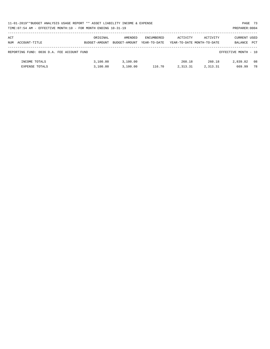|     | 11-01-2019**BUDGET ANALYSIS USAGE REPORT ** ASSET LIABILITY INCOME & EXPENSE |               | PAGE 73       |              |          |                            |                      |    |
|-----|------------------------------------------------------------------------------|---------------|---------------|--------------|----------|----------------------------|----------------------|----|
|     | TIME:07:54 AM - EFFECTIVE MONTH:10 - FOR MONTH ENDING 10-31-19               |               |               |              |          | PREPARER: 0004             |                      |    |
|     |                                                                              |               |               |              |          |                            |                      |    |
| ACT |                                                                              | ORIGINAL      | AMENDED       | ENCUMBERED   | ACTIVITY | ACTIVITY                   | <b>CURRENT USED</b>  |    |
|     | NUM ACCOUNT-TITLE                                                            | BUDGET-AMOUNT | BUDGET-AMOUNT | YEAR-TO-DATE |          | YEAR-TO-DATE MONTH-TO-DATE | BALANCE PCT          |    |
|     |                                                                              |               |               |              |          |                            |                      |    |
|     | REPORTING FUND: 0036 D.A. FEE ACCOUNT FUND                                   |               |               |              |          |                            | EFFECTIVE MONTH - 10 |    |
|     |                                                                              |               |               |              |          |                            |                      |    |
|     | INCOME TOTALS                                                                | 3,100.00      | 3,100.00      |              | 260.18   | 260.18                     | 2,839.82             | 08 |
|     | <b>EXPENSE TOTALS</b>                                                        | 3,100.00      | 3,100.00      | 116.70       | 2,313.31 | 2,313.31                   | 669.99               | 78 |
|     |                                                                              |               |               |              |          |                            |                      |    |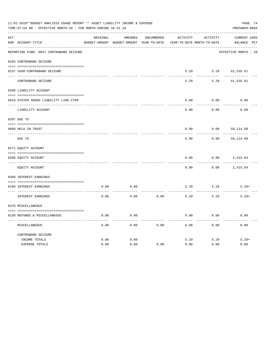| 11-01-2019**BUDGET ANALYSIS USAGE REPORT ** ASSET LIABILITY INCOME & EXPENSE<br>TIME: 07:54 AM - EFFECTIVE MONTH: 10 - FOR MONTH ENDING 10-31-19 |                                         |              |                                                     |                   |                                        |              |                                    |  |  |
|--------------------------------------------------------------------------------------------------------------------------------------------------|-----------------------------------------|--------------|-----------------------------------------------------|-------------------|----------------------------------------|--------------|------------------------------------|--|--|
| ACT                                                                                                                                              | NUM ACCOUNT-TITLE                       | ORIGINAL     | AMENDED<br>BUDGET-AMOUNT BUDGET-AMOUNT YEAR-TO-DATE | <b>ENCUMBERED</b> | ACTIVITY<br>YEAR-TO-DATE MONTH-TO-DATE | ACTIVITY     | <b>CURRENT USED</b><br>BALANCE PCT |  |  |
|                                                                                                                                                  | REPORTING FUND: 0037 CONTRABAND SEIZURE |              |                                                     |                   |                                        |              | EFFECTIVE MONTH - 10               |  |  |
|                                                                                                                                                  | 0103 CONTRABAND SEIZURE                 |              |                                                     |                   |                                        |              |                                    |  |  |
|                                                                                                                                                  | 0137 CASH-CONTRABAND SEIZURE            |              |                                                     |                   | 5.29                                   | 5.29         | 61,535.61                          |  |  |
|                                                                                                                                                  | CONTRABAND SEIZURE                      |              |                                                     |                   | 5.29                                   | 5.29         | 61,535.61                          |  |  |
|                                                                                                                                                  | 0200 LIABILITY ACCOUNT                  |              |                                                     |                   |                                        |              |                                    |  |  |
|                                                                                                                                                  | 0910 SYSTEM ADDED LIABILITY LINE-ITEM   |              |                                                     |                   | 0.00                                   | 0.00         | 0.00                               |  |  |
|                                                                                                                                                  | LIABILITY ACCOUNT                       |              |                                                     |                   | 0.00                                   | 0.00         | 0.00                               |  |  |
|                                                                                                                                                  | 0207 DUE TO                             |              |                                                     |                   |                                        |              |                                    |  |  |
|                                                                                                                                                  | 0099 HELD IN TRUST                      |              |                                                     |                   | 0.00                                   | 0.00         | 59,114.68                          |  |  |
|                                                                                                                                                  | DUE TO                                  |              |                                                     |                   | 0.00                                   | 0.00         | 59,114.68                          |  |  |
|                                                                                                                                                  | 0271 EQUITY ACCOUNT                     |              |                                                     |                   |                                        |              |                                    |  |  |
|                                                                                                                                                  | 0200 EQUITY ACCOUNT                     |              |                                                     |                   | 0.00                                   | 0.00         | 2,415.64                           |  |  |
|                                                                                                                                                  | EQUITY ACCOUNT                          |              |                                                     |                   | 0.00                                   | 0.00         | 2,415.64                           |  |  |
|                                                                                                                                                  | 0360 INTEREST EARNINGS                  |              |                                                     |                   |                                        |              |                                    |  |  |
|                                                                                                                                                  | 0100 INTEREST EARNINGS                  | 0.00         | 0.00                                                |                   | 5.29                                   | 5.29         | $5.29+$                            |  |  |
|                                                                                                                                                  | INTEREST EARNINGS                       | 0.00         | 0.00                                                | 0.00              | 5.29                                   | 5.29         | $5.29+$                            |  |  |
|                                                                                                                                                  | 0370 MISCELLANEOUS                      |              |                                                     |                   |                                        |              |                                    |  |  |
|                                                                                                                                                  | 0130 REFUNDS & MISCELLANEOUS            | 0.00         | 0.00                                                |                   | 0.00                                   | 0.00         | 0.00                               |  |  |
|                                                                                                                                                  | MISCELLANEOUS                           | 0.00         | 0.00                                                | 0.00              | 0.00                                   | 0.00         | 0.00                               |  |  |
|                                                                                                                                                  | CONTRABAND SEIZURE                      |              |                                                     |                   |                                        |              |                                    |  |  |
|                                                                                                                                                  | INCOME TOTALS<br><b>EXPENSE TOTALS</b>  | 0.00<br>0.00 | 0.00<br>0.00                                        | 0.00              | 5.29<br>0.00                           | 5.29<br>0.00 | $5.29+$<br>0.00                    |  |  |
|                                                                                                                                                  |                                         |              |                                                     |                   |                                        |              |                                    |  |  |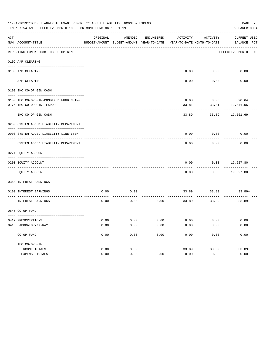| PAGE 75<br>11-01-2019**BUDGET ANALYSIS USAGE REPORT ** ASSET LIABILITY INCOME & EXPENSE<br>TIME: 07:54 AM - EFFECTIVE MONTH: 10 - FOR MONTH ENDING 10-31-19<br>PREPARER: 0004 |                                             |              |                                                     |              |              |                                        |                             |  |  |  |
|-------------------------------------------------------------------------------------------------------------------------------------------------------------------------------|---------------------------------------------|--------------|-----------------------------------------------------|--------------|--------------|----------------------------------------|-----------------------------|--|--|--|
| ACT                                                                                                                                                                           | NUM ACCOUNT-TITLE                           | ORIGINAL     | AMENDED<br>BUDGET-AMOUNT BUDGET-AMOUNT YEAR-TO-DATE | ENCUMBERED   | ACTIVITY     | ACTIVITY<br>YEAR-TO-DATE MONTH-TO-DATE | CURRENT USED<br>BALANCE PCT |  |  |  |
|                                                                                                                                                                               | REPORTING FUND: 0038 IHC CO-OP GIN          |              |                                                     |              |              |                                        | EFFECTIVE MONTH - 10        |  |  |  |
|                                                                                                                                                                               | 0102 A/P CLEARING                           |              |                                                     |              |              |                                        |                             |  |  |  |
|                                                                                                                                                                               | 0100 A/P CLEARING                           |              |                                                     |              |              | $0.00$ $0.00$                          | 0.00                        |  |  |  |
|                                                                                                                                                                               | A/P CLEARING                                |              |                                                     |              | 0.00         | 0.00                                   | 0.00                        |  |  |  |
|                                                                                                                                                                               | 0103 IHC CO-OP GIN CASH                     |              |                                                     |              |              |                                        |                             |  |  |  |
|                                                                                                                                                                               | 0100 IHC CO-OP GIN-COMBINED FUND CKING      |              |                                                     |              | 0.08         |                                        | $0.08$ 520.64               |  |  |  |
|                                                                                                                                                                               | 0175 IHC CO-OP GIN TEXPOOL                  |              |                                                     |              | 33.81        | 33.81                                  | 19,041.05                   |  |  |  |
|                                                                                                                                                                               | IHC CO-OP GIN CASH                          |              |                                                     |              | 33.89        | 33.89                                  | 19,561.69                   |  |  |  |
|                                                                                                                                                                               | 0200 SYSTEM ADDED LIABILITY DEPARTMENT      |              |                                                     |              |              |                                        |                             |  |  |  |
|                                                                                                                                                                               | 0900 SYSTEM ADDED LIABILITY LINE-ITEM       |              |                                                     |              | 0.00         | 0.00                                   | 0.00                        |  |  |  |
|                                                                                                                                                                               |                                             |              |                                                     |              |              |                                        |                             |  |  |  |
|                                                                                                                                                                               | SYSTEM ADDED LIABILITY DEPARTMENT           |              |                                                     |              | 0.00         | 0.00                                   | 0.00                        |  |  |  |
|                                                                                                                                                                               | 0271 EQUITY ACCOUNT                         |              |                                                     |              |              |                                        |                             |  |  |  |
|                                                                                                                                                                               | 0200 EQUITY ACCOUNT                         |              |                                                     |              | 0.00         | 0.00                                   | 19,527.80                   |  |  |  |
|                                                                                                                                                                               | EQUITY ACCOUNT                              |              |                                                     |              | 0.00         | 0.00                                   | 19,527.80                   |  |  |  |
|                                                                                                                                                                               | 0360 INTEREST EARNINGS                      |              |                                                     |              |              |                                        |                             |  |  |  |
|                                                                                                                                                                               | 0100 INTEREST EARNINGS                      | 0.00         | 0.00                                                |              |              | 33.89 33.89                            | $33.89+$                    |  |  |  |
|                                                                                                                                                                               | INTEREST EARNINGS                           | 0.00         | 0.00                                                | 0.00         | 33.89        | 33.89                                  | $33.89+$                    |  |  |  |
|                                                                                                                                                                               | 0645 CO-OP FUND                             |              |                                                     |              |              |                                        |                             |  |  |  |
|                                                                                                                                                                               |                                             |              |                                                     |              |              |                                        |                             |  |  |  |
|                                                                                                                                                                               | 0412 PRESCRIPTIONS<br>0415 LABORATORY/X-RAY | 0.00<br>0.00 | 0.00<br>0.00                                        | 0.00<br>0.00 | 0.00<br>0.00 | 0.00<br>0.00                           | 0.00<br>0.00                |  |  |  |
|                                                                                                                                                                               | ---------------------------------           |              |                                                     |              |              |                                        |                             |  |  |  |
|                                                                                                                                                                               | CO-OP FUND                                  | 0.00         | 0.00                                                | 0.00         | 0.00         | 0.00                                   | 0.00                        |  |  |  |
|                                                                                                                                                                               | IHC CO-OP GIN                               |              |                                                     |              |              |                                        |                             |  |  |  |
|                                                                                                                                                                               | INCOME TOTALS                               | 0.00         | 0.00                                                |              | 33.89        | 33.89                                  | $33.89+$                    |  |  |  |
|                                                                                                                                                                               | EXPENSE TOTALS                              | 0.00         | 0.00                                                | 0.00         | 0.00         | 0.00                                   | 0.00                        |  |  |  |
|                                                                                                                                                                               |                                             |              |                                                     |              |              |                                        |                             |  |  |  |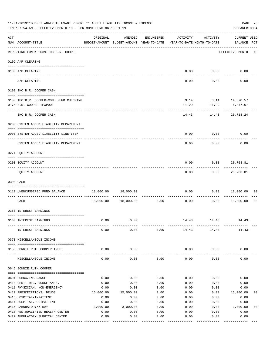|     | 11-01-2019**BUDGET ANALYSIS USAGE REPORT ** ASSET LIABILITY INCOME & EXPENSE<br>PAGE 76<br>TIME: 07:54 AM - EFFECTIVE MONTH: 10 - FOR MONTH ENDING 10-31-19<br>PREPARER: 0004 |                           |                                                     |                    |              |                                        |                                    |  |  |  |  |
|-----|-------------------------------------------------------------------------------------------------------------------------------------------------------------------------------|---------------------------|-----------------------------------------------------|--------------------|--------------|----------------------------------------|------------------------------------|--|--|--|--|
| ACT | NUM ACCOUNT-TITLE                                                                                                                                                             | ORIGINAL                  | AMENDED<br>BUDGET-AMOUNT BUDGET-AMOUNT YEAR-TO-DATE | ENCUMBERED         | ACTIVITY     | ACTIVITY<br>YEAR-TO-DATE MONTH-TO-DATE | <b>CURRENT USED</b><br>BALANCE PCT |  |  |  |  |
|     | ------------------------<br>REPORTING FUND: 0039 IHC B.R. COOPER                                                                                                              |                           |                                                     |                    |              |                                        | EFFECTIVE MONTH - 10               |  |  |  |  |
|     | 0102 A/P CLEARING                                                                                                                                                             |                           |                                                     |                    |              |                                        |                                    |  |  |  |  |
|     | 0100 A/P CLEARING<br>---- ---------                                                                                                                                           |                           |                                                     |                    |              | $0.00$ $0.00$                          | 0.00                               |  |  |  |  |
|     | A/P CLEARING                                                                                                                                                                  |                           |                                                     |                    | 0.00         | 0.00                                   | 0.00                               |  |  |  |  |
|     | 0103 IHC B.R. COOPER CASH                                                                                                                                                     |                           |                                                     |                    |              |                                        |                                    |  |  |  |  |
|     | 0100 IHC B.R. COOPER-COMB. FUND CHECKING<br>0175 B.R. COOPER-TEXPOOL                                                                                                          |                           |                                                     |                    | 11.29        | 11.29                                  | 6,347.67                           |  |  |  |  |
|     | IHC B.R. COOPER CASH                                                                                                                                                          |                           |                                                     |                    | 14.43        | 14.43                                  | 20,718.24                          |  |  |  |  |
|     | 0200 SYSTEM ADDED LIABILITY DEPARTMENT                                                                                                                                        |                           |                                                     |                    |              |                                        |                                    |  |  |  |  |
|     | 0900 SYSTEM ADDED LIABILITY LINE-ITEM                                                                                                                                         |                           |                                                     |                    | 0.00         | 0.00                                   | 0.00                               |  |  |  |  |
|     | SYSTEM ADDED LIABILITY DEPARTMENT                                                                                                                                             |                           |                                                     |                    | 0.00         | 0.00                                   | 0.00                               |  |  |  |  |
|     | 0271 EQUITY ACCOUNT                                                                                                                                                           |                           |                                                     |                    |              |                                        |                                    |  |  |  |  |
|     | 0200 EQUITY ACCOUNT                                                                                                                                                           |                           |                                                     |                    | 0.00         | 0.00                                   | 20,703.81                          |  |  |  |  |
|     | EQUITY ACCOUNT                                                                                                                                                                |                           |                                                     |                    | 0.00         | 0.00                                   | 20,703.81                          |  |  |  |  |
|     | 0300 CASH                                                                                                                                                                     |                           |                                                     |                    |              |                                        |                                    |  |  |  |  |
|     | 0110 UNENCUMBERED FUND BALANCE                                                                                                                                                | 18,000.00                 | 18,000.00                                           |                    | 0.00         | 0.00                                   | 18,000.00<br>00                    |  |  |  |  |
|     | CASH                                                                                                                                                                          | 18,000.00                 | 18,000.00                                           | ----------<br>0.00 | 0.00         | 0.00                                   | 18,000.00<br>0 <sub>0</sub>        |  |  |  |  |
|     | 0360 INTEREST EARNINGS                                                                                                                                                        |                           |                                                     |                    |              |                                        |                                    |  |  |  |  |
|     | 0100 INTEREST EARNINGS                                                                                                                                                        | 0.00                      | 0.00                                                |                    | 14.43        | 14.43                                  | $14.43+$                           |  |  |  |  |
|     | INTEREST EARNINGS                                                                                                                                                             | 0.00                      | 0.00                                                | 0.00               | 14.43        | 14.43                                  | $14.43+$                           |  |  |  |  |
|     | 0370 MISCELLANEOUS INCOME                                                                                                                                                     |                           |                                                     |                    |              |                                        |                                    |  |  |  |  |
|     | 0150 BONNIE RUTH COOPER TRUST                                                                                                                                                 | 0.00                      | 0.00                                                |                    | 0.00         | 0.00                                   | 0.00                               |  |  |  |  |
|     | MISCELLANEOUS INCOME                                                                                                                                                          | 0.00                      | 0.00                                                | 0.00               | 0.00         | 0.00                                   | 0.00                               |  |  |  |  |
|     | 0645 BONNIE RUTH COOPER                                                                                                                                                       |                           |                                                     |                    |              |                                        |                                    |  |  |  |  |
|     |                                                                                                                                                                               |                           |                                                     |                    |              |                                        |                                    |  |  |  |  |
|     | 0404 COBRA/INSURANCE<br>0410 CERT. REG. NURSE ANES.                                                                                                                           | 0.00<br>0.00              | 0.00<br>0.00                                        | 0.00<br>0.00       | 0.00<br>0.00 | 0.00<br>0.00                           | 0.00<br>0.00                       |  |  |  |  |
|     | 0411 PHYSICIAN, NON-EMERGENCY                                                                                                                                                 | 0.00                      | 0.00                                                | 0.00               | 0.00         | 0.00                                   | 0.00                               |  |  |  |  |
|     | 0412 PRESCRIPTIONS, DRUGS                                                                                                                                                     | 15,000.00                 | 15,000.00                                           | 0.00               | 0.00         | 0.00                                   | 15,000.00<br>00                    |  |  |  |  |
|     | 0413 HOSPITAL-INPATIENT                                                                                                                                                       | 0.00                      | 0.00                                                | 0.00               | 0.00         | 0.00                                   | 0.00                               |  |  |  |  |
|     | 0414 HOSPITAL, OUTPATIENT                                                                                                                                                     | 0.00                      | 0.00                                                | 0.00               | 0.00         | 0.00                                   | 0.00                               |  |  |  |  |
|     | 0415 LABORATORY/X-RAY                                                                                                                                                         | 3,000.00                  | 3,000.00                                            | 0.00               | 0.00         | 0.00                                   | 0 <sub>0</sub><br>3,000.00         |  |  |  |  |
|     | 0418 FED. QUALIFIED HEALTH CENTER                                                                                                                                             | 0.00                      | 0.00                                                | 0.00               | 0.00         | 0.00                                   | 0.00                               |  |  |  |  |
|     | 0422 AMBULATORY SURGICAL CENTER                                                                                                                                               | 0.00<br>--- ------------- | 0.00<br>-----------                                 | 0.00               | 0.00         | 0.00                                   | 0.00                               |  |  |  |  |
|     |                                                                                                                                                                               |                           |                                                     | -------            |              |                                        | ---------                          |  |  |  |  |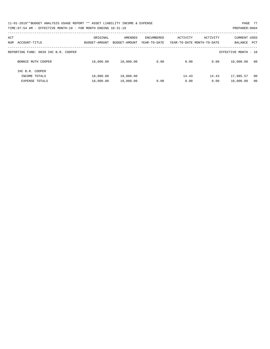| 11-01-2019**BUDGET ANALYSIS USAGE REPORT ** ASSET LIABILITY INCOME & EXPENSE | PAGE 77        |
|------------------------------------------------------------------------------|----------------|
| TIME: 07:54 AM - EFFECTIVE MONTH: 10 - FOR MONTH ENDING 10-31-19             | PREPARER: 0004 |

| ACT<br>ACCOUNT-TITLE<br>NUM          | ORIGINAL<br>BUDGET-AMOUNT | AMENDED<br>BUDGET-AMOUNT | ENCUMBERED<br>YEAR-TO-DATE | ACTIVITY | ACTIVITY<br>YEAR-TO-DATE MONTH-TO-DATE | CURRENT USED<br>BALANCE<br>PCT |
|--------------------------------------|---------------------------|--------------------------|----------------------------|----------|----------------------------------------|--------------------------------|
|                                      |                           |                          |                            |          |                                        |                                |
| REPORTING FUND: 0039 IHC B.R. COOPER |                           |                          |                            |          |                                        | EFFECTIVE MONTH - 10           |
| BONNIE RUTH COOPER                   | 18,000.00                 | 18,000.00                | 0.00                       | 0.00     | 0.00                                   | 18,000.00<br>00                |
| IHC B.R. COOPER                      |                           |                          |                            |          |                                        |                                |
| INCOME TOTALS                        | 18,000.00                 | 18,000.00                |                            | 14.43    | 14.43                                  | 17,985.57<br>00                |
| <b>EXPENSE TOTALS</b>                | 18,000.00                 | 18,000.00                | 0.00                       | 0.00     | 0.00                                   | 18,000.00<br>00                |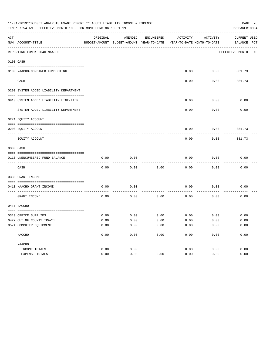| ACT | NUM ACCOUNT-TITLE                                          | ORIGINAL | AMENDED<br>BUDGET-AMOUNT BUDGET-AMOUNT YEAR-TO-DATE | ENCUMBERED | ACTIVITY<br>YEAR-TO-DATE MONTH-TO-DATE | ACTIVITY    | <b>CURRENT USED</b><br>BALANCE PCT |  |
|-----|------------------------------------------------------------|----------|-----------------------------------------------------|------------|----------------------------------------|-------------|------------------------------------|--|
|     | ---------------------------<br>REPORTING FUND: 0040 NAACHO |          |                                                     |            |                                        |             | EFFECTIVE MONTH - 10               |  |
|     | 0103 CASH                                                  |          |                                                     |            |                                        |             |                                    |  |
|     | 0100 NAACHO-COMBINED FUND CKING                            |          |                                                     |            | 0.00                                   | 0.00        | 381.73                             |  |
|     | CASH                                                       |          |                                                     |            | 0.00                                   | 0.00        | 381.73                             |  |
|     | 0200 SYSTEM ADDED LIABILITY DEPARTMENT                     |          |                                                     |            |                                        |             |                                    |  |
|     | 0910 SYSTEM ADDED LIABILITY LINE-ITEM                      |          |                                                     |            | 0.00                                   | 0.00        | 0.00                               |  |
|     | SYSTEM ADDED LIABILITY DEPARTMENT                          |          |                                                     |            | 0.00                                   | 0.00        | 0.00                               |  |
|     | 0271 EQUITY ACCOUNT                                        |          |                                                     |            |                                        |             |                                    |  |
|     | 0200 EQUITY ACCOUNT                                        |          |                                                     |            | 0.00                                   | 0.00        | 381.73                             |  |
|     | EQUITY ACCOUNT                                             |          |                                                     |            | 0.00                                   | 0.00        | 381.73                             |  |
|     | 0300 CASH                                                  |          |                                                     |            |                                        |             |                                    |  |
|     | 0110 UNENCUMBERED FUND BALANCE                             | 0.00     | 0.00                                                |            | 0.00                                   | 0.00        | 0.00                               |  |
|     | CASH                                                       | 0.00     | 0.00                                                | 0.00       | 0.00                                   | 0.00        | 0.00                               |  |
|     | 0330 GRANT INCOME                                          |          |                                                     |            |                                        |             |                                    |  |
|     | 0410 NAACHO GRANT INCOME<br>------------------ --          | 0.00     | 0.00                                                |            | 0.00                                   | 0.00        | 0.00                               |  |
|     | GRANT INCOME                                               | 0.00     | 0.00                                                | 0.00       | 0.00                                   | 0.00        | 0.00                               |  |
|     | 0411 NACCHO                                                |          |                                                     |            |                                        |             |                                    |  |
|     | 0310 OFFICE SUPPLIES                                       | 0.00     | 0.00                                                | 0.00       |                                        | $0.00$ 0.00 | 0.00                               |  |
|     | 0427 OUT OF COUNTY TRAVEL                                  | 0.00     | 0.00                                                | 0.00       | 0.00                                   | 0.00        | 0.00                               |  |
|     | 0574 COMPUTER EQUIPMENT                                    | 0.00     | 0.00                                                | 0.00       | 0.00                                   | 0.00        | 0.00                               |  |
|     | NACCHO                                                     | 0.00     | 0.00                                                | 0.00       | 0.00                                   | 0.00        | 0.00                               |  |
|     | NAACHO                                                     |          |                                                     |            |                                        |             |                                    |  |
|     | INCOME TOTALS                                              | 0.00     | 0.00                                                |            | 0.00                                   | 0.00        | 0.00                               |  |
|     | EXPENSE TOTALS                                             | 0.00     | 0.00                                                | 0.00       | 0.00                                   | 0.00        | 0.00                               |  |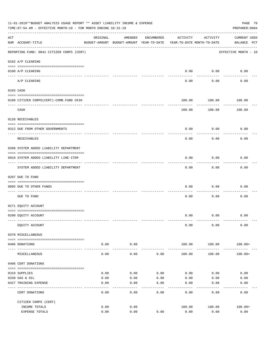| 11-01-2019**BUDGET ANALYSIS USAGE REPORT ** ASSET LIABILITY INCOME & EXPENSE<br>PAGE 79<br>TIME: 07:54 AM - EFFECTIVE MONTH: 10 - FOR MONTH ENDING 10-31-19<br>PREPARER: 0004<br>------------ |                                                                                    |                 |                                                                                |              |              |                   |                                    |  |  |  |
|-----------------------------------------------------------------------------------------------------------------------------------------------------------------------------------------------|------------------------------------------------------------------------------------|-----------------|--------------------------------------------------------------------------------|--------------|--------------|-------------------|------------------------------------|--|--|--|
| ACT                                                                                                                                                                                           | NUM ACCOUNT-TITLE                                                                  | ORIGINAL        | AMENDED<br>BUDGET-AMOUNT BUDGET-AMOUNT YEAR-TO-DATE YEAR-TO-DATE MONTH-TO-DATE | ENCUMBERED   | ACTIVITY     | ACTIVITY          | <b>CURRENT USED</b><br>BALANCE PCT |  |  |  |
|                                                                                                                                                                                               | -------------------------------------<br>REPORTING FUND: 0041 CITIZEN CORPS (CERT) |                 |                                                                                |              |              |                   | EFFECTIVE MONTH - 10               |  |  |  |
|                                                                                                                                                                                               | 0102 A/P CLEARING                                                                  |                 |                                                                                |              |              |                   |                                    |  |  |  |
|                                                                                                                                                                                               | 0100 A/P CLEARING                                                                  |                 |                                                                                |              | 0.00         | 0.00              | 0.00                               |  |  |  |
|                                                                                                                                                                                               | A/P CLEARING                                                                       |                 |                                                                                |              | 0.00         | ---------<br>0.00 | 0.00                               |  |  |  |
|                                                                                                                                                                                               | 0103 CASH                                                                          |                 |                                                                                |              |              |                   |                                    |  |  |  |
|                                                                                                                                                                                               | 0100 CITIZEN CORPS (CERT) - COMB. FUND CKIN                                        |                 |                                                                                |              | 100.00       | 100.00            | 100.00                             |  |  |  |
|                                                                                                                                                                                               | CASH                                                                               |                 |                                                                                |              | 100.00       | .<br>100.00       | 100.00                             |  |  |  |
|                                                                                                                                                                                               | 0120 RECEIVABLES                                                                   |                 |                                                                                |              |              |                   |                                    |  |  |  |
|                                                                                                                                                                                               | 0312 DUE FROM OTHER GOVERNMENTS                                                    |                 |                                                                                |              | 0.00         | 0.00              | 0.00                               |  |  |  |
|                                                                                                                                                                                               | RECEIVABLES                                                                        |                 |                                                                                |              | 0.00         | 0.00              | 0.00                               |  |  |  |
|                                                                                                                                                                                               | 0200 SYSTEM ADDED LIABILITY DEPARTMENT                                             |                 |                                                                                |              |              |                   |                                    |  |  |  |
|                                                                                                                                                                                               | 0910 SYSTEM ADDED LIABILITY LINE-ITEM                                              |                 |                                                                                |              | 0.00         | 0.00              | 0.00                               |  |  |  |
|                                                                                                                                                                                               | SYSTEM ADDED LIABILITY DEPARTMENT                                                  |                 |                                                                                |              | 0.00         | 0.00              | 0.00                               |  |  |  |
|                                                                                                                                                                                               | 0207 DUE TO FUND                                                                   |                 |                                                                                |              |              |                   |                                    |  |  |  |
|                                                                                                                                                                                               | 0095 DUE TO OTHER FUNDS                                                            |                 |                                                                                |              | 0.00         | 0.00              | 0.00                               |  |  |  |
|                                                                                                                                                                                               | DUE TO FUND                                                                        |                 |                                                                                |              | 0.00         | 0.00              | 0.00                               |  |  |  |
|                                                                                                                                                                                               | 0271 EQUITY ACCOUNT                                                                |                 |                                                                                |              |              |                   |                                    |  |  |  |
|                                                                                                                                                                                               | 0200 EQUITY ACCOUNT                                                                |                 |                                                                                |              |              | $0.00$ $0.00$     | 0.00                               |  |  |  |
|                                                                                                                                                                                               | EQUITY ACCOUNT                                                                     |                 |                                                                                |              | 0.00         | 0.00              | 0.00                               |  |  |  |
|                                                                                                                                                                                               | 0370 MISCELLANEOUS                                                                 |                 |                                                                                |              |              |                   |                                    |  |  |  |
|                                                                                                                                                                                               | 0406 DONATIONS                                                                     | 0.00            | 0.00                                                                           |              | 100.00       | 100.00            | $100.00+$                          |  |  |  |
|                                                                                                                                                                                               | MISCELLANEOUS                                                                      | -------<br>0.00 | ---------<br>0.00                                                              | 0.00         | 100.00       | 100.00            | $100.00+$                          |  |  |  |
|                                                                                                                                                                                               | 0406 CERT DONATIONS                                                                |                 |                                                                                |              |              |                   |                                    |  |  |  |
|                                                                                                                                                                                               | 0310 SUPPLIES                                                                      | 0.00            | 0.00                                                                           | 0.00         | 0.00         | 0.00              | 0.00                               |  |  |  |
|                                                                                                                                                                                               | 0330 GAS & OIL<br>0427 TRAINING EXPENSE                                            | 0.00<br>0.00    | 0.00<br>0.00                                                                   | 0.00<br>0.00 | 0.00<br>0.00 | 0.00<br>0.00      | 0.00<br>0.00                       |  |  |  |
|                                                                                                                                                                                               |                                                                                    |                 |                                                                                |              |              |                   |                                    |  |  |  |
|                                                                                                                                                                                               | CERT DONATIONS                                                                     | 0.00            | 0.00                                                                           | 0.00         | 0.00         | 0.00              | 0.00                               |  |  |  |
|                                                                                                                                                                                               | CITIZEN CORPS (CERT)<br>INCOME TOTALS                                              | 0.00            | 0.00                                                                           |              | 100.00       | 100.00            | $100.00+$                          |  |  |  |
|                                                                                                                                                                                               | EXPENSE TOTALS                                                                     | 0.00            | 0.00                                                                           | 0.00         | 0.00         | 0.00              | 0.00                               |  |  |  |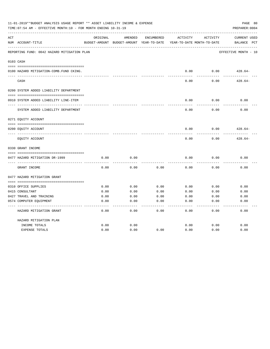| 11-01-2019**BUDGET ANALYSIS USAGE REPORT ** ASSET LIABILITY INCOME & EXPENSE<br>TIME: 07:54 AM - EFFECTIVE MONTH: 10 - FOR MONTH ENDING 10-31-19 |                                             |              |                                                     |                   |              |                                        |                                                |  |  |
|--------------------------------------------------------------------------------------------------------------------------------------------------|---------------------------------------------|--------------|-----------------------------------------------------|-------------------|--------------|----------------------------------------|------------------------------------------------|--|--|
| ACT                                                                                                                                              | NUM ACCOUNT-TITLE                           | ORIGINAL     | AMENDED<br>BUDGET-AMOUNT BUDGET-AMOUNT YEAR-TO-DATE | <b>ENCUMBERED</b> | ACTIVITY     | ACTIVITY<br>YEAR-TO-DATE MONTH-TO-DATE | <b>CURRENT USED</b><br>$_{\rm PCT}$<br>BALANCE |  |  |
|                                                                                                                                                  | REPORTING FUND: 0042 HAZARD MITIGATION PLAN |              |                                                     |                   |              |                                        | EFFECTIVE MONTH - 10                           |  |  |
|                                                                                                                                                  | 0103 CASH                                   |              |                                                     |                   |              |                                        |                                                |  |  |
|                                                                                                                                                  | 0100 HAZARD MITIGATION-COMB.FUND CKING.     |              |                                                     |                   | 0.00         | 0.00                                   | $428.64-$                                      |  |  |
|                                                                                                                                                  | CASH                                        |              |                                                     |                   | 0.00         | 0.00                                   | $428.64-$                                      |  |  |
|                                                                                                                                                  | 0200 SYSTEM ADDED LIABILITY DEPARTMENT      |              |                                                     |                   |              |                                        |                                                |  |  |
|                                                                                                                                                  | 0910 SYSTEM ADDED LIABILITY LINE-ITEM       |              |                                                     |                   | 0.00         | 0.00                                   | 0.00                                           |  |  |
|                                                                                                                                                  | SYSTEM ADDED LIABILITY DEPARTMENT           |              |                                                     |                   | 0.00         | 0.00                                   | 0.00                                           |  |  |
|                                                                                                                                                  | 0271 EQUITY ACCOUNT                         |              |                                                     |                   |              |                                        |                                                |  |  |
|                                                                                                                                                  | 0200 EQUITY ACCOUNT                         |              |                                                     |                   | 0.00         | 0.00                                   | $428.64-$                                      |  |  |
|                                                                                                                                                  | EQUITY ACCOUNT                              |              |                                                     |                   | 0.00         | 0.00                                   | $428.64-$                                      |  |  |
|                                                                                                                                                  | 0330 GRANT INCOME                           |              |                                                     |                   |              |                                        |                                                |  |  |
|                                                                                                                                                  | 0477 HAZARD MITIGATION DR-1999              | 0.00         | 0.00                                                |                   | 0.00         | 0.00                                   | 0.00                                           |  |  |
|                                                                                                                                                  |                                             |              |                                                     |                   |              |                                        |                                                |  |  |
|                                                                                                                                                  | GRANT INCOME                                | 0.00         | 0.00                                                | 0.00              | 0.00         | 0.00                                   | 0.00                                           |  |  |
|                                                                                                                                                  | 0477 HAZARD MITIGATION GRANT                |              |                                                     |                   |              |                                        |                                                |  |  |
|                                                                                                                                                  |                                             |              |                                                     |                   |              |                                        |                                                |  |  |
|                                                                                                                                                  | 0310 OFFICE SUPPLIES                        | 0.00         | 0.00                                                | 0.00              | 0.00         | 0.00                                   | 0.00                                           |  |  |
|                                                                                                                                                  | 0415 CONSULTANT<br>0427 TRAVEL AND TRAINING | 0.00<br>0.00 | 0.00<br>0.00                                        | 0.00<br>0.00      | 0.00<br>0.00 | 0.00<br>0.00                           | 0.00<br>0.00                                   |  |  |
|                                                                                                                                                  |                                             | 0.00         | 0.00                                                | 0.00              | 0.00         | 0.00                                   | 0.00                                           |  |  |
|                                                                                                                                                  | 0574 COMPUTER EQUIPMENT                     |              |                                                     |                   |              |                                        |                                                |  |  |
|                                                                                                                                                  | HAZARD MITIGATION GRANT                     | 0.00         | 0.00                                                | 0.00              | 0.00         | 0.00                                   | 0.00                                           |  |  |
|                                                                                                                                                  | HAZARD MITIGATION PLAN                      |              |                                                     |                   |              |                                        |                                                |  |  |
|                                                                                                                                                  | INCOME TOTALS                               | 0.00         | 0.00                                                |                   | 0.00         | 0.00                                   | 0.00                                           |  |  |
|                                                                                                                                                  | <b>EXPENSE TOTALS</b>                       | 0.00         | 0.00                                                | 0.00              | 0.00         | 0.00                                   | 0.00                                           |  |  |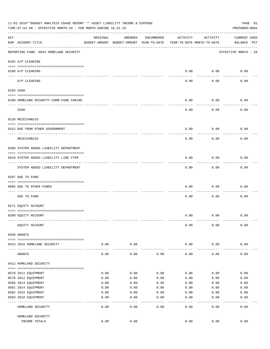|     | 11-01-2019**BUDGET ANALYSIS USAGE REPORT ** ASSET LIABILITY INCOME & EXPENSE<br>TIME: 07:54 AM - EFFECTIVE MONTH: 10 - FOR MONTH ENDING 10-31-19<br>PREPARER: 0004 |               |                                                     |            |                                        |               |                                    |  |  |  |
|-----|--------------------------------------------------------------------------------------------------------------------------------------------------------------------|---------------|-----------------------------------------------------|------------|----------------------------------------|---------------|------------------------------------|--|--|--|
| ACT | NUM ACCOUNT-TITLE                                                                                                                                                  | ORIGINAL      | AMENDED<br>BUDGET-AMOUNT BUDGET-AMOUNT YEAR-TO-DATE | ENCUMBERED | ACTIVITY<br>YEAR-TO-DATE MONTH-TO-DATE | ACTIVITY      | <b>CURRENT USED</b><br>BALANCE PCT |  |  |  |
|     | REPORTING FUND: 0044 HOMELAND SECURITY                                                                                                                             |               |                                                     |            |                                        |               | EFFECTIVE MONTH - 10               |  |  |  |
|     | 0102 A/P CLEARING                                                                                                                                                  |               |                                                     |            |                                        |               |                                    |  |  |  |
|     | 0100 A/P CLEARING<br>---- ---------                                                                                                                                |               |                                                     |            | 0.00                                   | 0.00          | 0.00                               |  |  |  |
|     | A/P CLEARING                                                                                                                                                       |               |                                                     |            | 0.00                                   | 0.00          | 0.00                               |  |  |  |
|     | 0103 CASH                                                                                                                                                          |               |                                                     |            |                                        |               |                                    |  |  |  |
|     | 0100 HOMELAND SECURITY-COMB. FUND CHKING                                                                                                                           |               |                                                     |            | 0.00                                   | 0.00          | 0.00                               |  |  |  |
|     | ----------------------------<br>CASH                                                                                                                               |               |                                                     |            | 0.00                                   | 0.00          | 0.00                               |  |  |  |
|     | 0120 RECEIVABLES                                                                                                                                                   |               |                                                     |            |                                        |               |                                    |  |  |  |
|     | 0312 DUE FROM OTHER GOVERNMENT                                                                                                                                     |               |                                                     |            | 0.00                                   | 0.00          | 0.00                               |  |  |  |
|     | RECEIVABLES                                                                                                                                                        |               |                                                     |            | 0.00                                   | 0.00          | 0.00                               |  |  |  |
|     | 0200 SYSTEM ADDED LIABILITY DEPARTMENT                                                                                                                             |               |                                                     |            |                                        |               |                                    |  |  |  |
|     | 0910 SYSTEM ADDED LIABILITY LINE-ITEM                                                                                                                              |               |                                                     |            | 0.00                                   | 0.00          | 0.00                               |  |  |  |
|     | ------------------<br>SYSTEM ADDED LIABILITY DEPARTMENT                                                                                                            |               |                                                     |            | 0.00                                   | 0.00          | 0.00                               |  |  |  |
|     | 0207 DUE TO FUND                                                                                                                                                   |               |                                                     |            |                                        |               |                                    |  |  |  |
|     | 0095 DUE TO OTHER FUNDS                                                                                                                                            |               |                                                     |            | 0.00                                   | 0.00          | 0.00                               |  |  |  |
|     | DUE TO FUND                                                                                                                                                        |               |                                                     |            | 0.00                                   | 0.00          | 0.00                               |  |  |  |
|     | 0271 EQUITY ACCOUNT                                                                                                                                                |               |                                                     |            |                                        |               |                                    |  |  |  |
|     | 0200 EQUITY ACCOUNT                                                                                                                                                |               |                                                     |            | 0.00                                   | 0.00          | 0.00                               |  |  |  |
|     | EQUITY ACCOUNT                                                                                                                                                     |               |                                                     |            | 0.00                                   | 0.00          | 0.00                               |  |  |  |
|     | 0330 GRANTS                                                                                                                                                        |               |                                                     |            |                                        |               |                                    |  |  |  |
|     | 0423 2016 HOMELAND SECURITY                                                                                                                                        | 0.00<br>----- | 0.00                                                |            | 0.00                                   | 0.00          | 0.00                               |  |  |  |
|     | GRANTS                                                                                                                                                             | 0.00          | 0.00                                                | 0.00       | 0.00                                   | 0.00          | 0.00                               |  |  |  |
|     | 0412 HOMELAND SECURITY                                                                                                                                             |               |                                                     |            |                                        |               |                                    |  |  |  |
|     | 0578 2011 EQUIPMENT                                                                                                                                                | 0.00          | 0.00                                                | 0.00       | 0.00                                   | 0.00          | 0.00                               |  |  |  |
|     | 0579 2012 EQUIPMENT                                                                                                                                                | 0.00          | 0.00                                                | 0.00       | 0.00                                   | 0.00          | 0.00                               |  |  |  |
|     | 0580 2013 EQUIPMENT                                                                                                                                                | 0.00          | 0.00                                                | 0.00       | 0.00                                   | 0.00          | 0.00                               |  |  |  |
|     | 0581 2014 EQUIPMENT                                                                                                                                                | 0.00          | 0.00                                                | 0.00       | 0.00                                   | 0.00          | 0.00                               |  |  |  |
|     | 0582 2015 EQUIPMENT                                                                                                                                                | 0.00          | 0.00                                                | 0.00       | 0.00                                   | 0.00          | 0.00                               |  |  |  |
|     | 0583 2016 EQUIPMENT                                                                                                                                                | 0.00          | 0.00                                                | 0.00       | 0.00                                   | 0.00          | 0.00                               |  |  |  |
|     | HOMELAND SECURITY                                                                                                                                                  | 0.00          | 0.00                                                | 0.00       | 0.00                                   | $---$<br>0.00 | 0.00                               |  |  |  |
|     | HOMELAND SECURITY                                                                                                                                                  |               |                                                     |            |                                        |               |                                    |  |  |  |
|     | INCOME TOTALS                                                                                                                                                      | 0.00          | 0.00                                                |            | 0.00                                   | 0.00          | 0.00                               |  |  |  |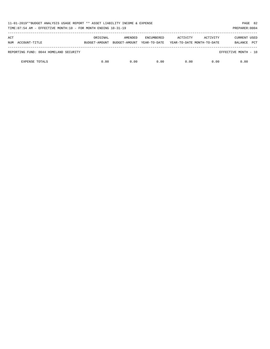| 11-01-2019**BUDGET ANALYSIS USAGE REPORT ** ASSET LIABILITY INCOME & EXPENSE<br>TIME: 07:54 AM - EFFECTIVE MONTH: 10 - FOR MONTH ENDING 10-31-19 |               |               |                   |          | PAGE 82<br>PREPARER: 0004  |                       |  |
|--------------------------------------------------------------------------------------------------------------------------------------------------|---------------|---------------|-------------------|----------|----------------------------|-----------------------|--|
| ACT                                                                                                                                              | ORIGINAL      | AMENDED       | <b>ENCUMBERED</b> | ACTIVITY | ACTIVITY                   | <b>CURRENT USED</b>   |  |
| ACCOUNT-TITLE<br>NUM                                                                                                                             | BUDGET-AMOUNT | BUDGET-AMOUNT | YEAR-TO-DATE      |          | YEAR-TO-DATE MONTH-TO-DATE | <b>PCT</b><br>BALANCE |  |
| REPORTING FUND: 0044 HOMELAND SECURITY                                                                                                           |               |               |                   |          |                            | EFFECTIVE MONTH - 10  |  |
| <b>EXPENSE TOTALS</b>                                                                                                                            | 0.00          | 0.00          | 0.00              | 0.00     | 0.00                       | 0.00                  |  |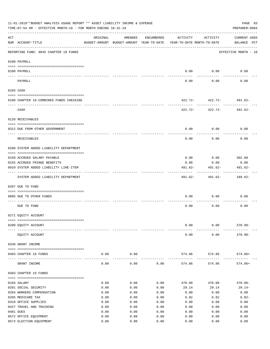| 11-01-2019**BUDGET ANALYSIS USAGE REPORT ** ASSET LIABILITY INCOME & EXPENSE<br>PAGE 83<br>TIME: 07:54 AM - EFFECTIVE MONTH: 10 - FOR MONTH ENDING 10-31-19<br>PREPARER: 0004 |                                                  |              |              |              |                                                                                 |                              |                             |  |  |
|-------------------------------------------------------------------------------------------------------------------------------------------------------------------------------|--------------------------------------------------|--------------|--------------|--------------|---------------------------------------------------------------------------------|------------------------------|-----------------------------|--|--|
| ACT                                                                                                                                                                           | NUM ACCOUNT-TITLE                                | ORIGINAL     | AMENDED      | ENCUMBERED   | ACTIVITY<br>BUDGET-AMOUNT BUDGET-AMOUNT YEAR-TO-DATE YEAR-TO-DATE MONTH-TO-DATE | ACTIVITY                     | CURRENT USED<br>BALANCE PCT |  |  |
|                                                                                                                                                                               | REPORTING FUND: 0045 CHAPTER 19 FUNDS            |              |              |              |                                                                                 |                              | EFFECTIVE MONTH - 10        |  |  |
|                                                                                                                                                                               | 0100 PAYROLL                                     |              |              |              |                                                                                 |                              |                             |  |  |
|                                                                                                                                                                               | 0100 PAYROLL                                     |              |              |              |                                                                                 | $0.00$ 0.00                  | 0.00                        |  |  |
|                                                                                                                                                                               | ---- -------<br>PAYROLL                          |              |              |              | $--- - -$<br>0.00                                                               | ---------<br>0.00            | 0.00                        |  |  |
|                                                                                                                                                                               | 0103 CASH                                        |              |              |              |                                                                                 |                              |                             |  |  |
|                                                                                                                                                                               | 0100 CHAPTER 19-COMBINED FUNDS CHECKING          |              |              |              |                                                                                 | $422.72 - 422.72 - 491.62 -$ |                             |  |  |
|                                                                                                                                                                               | CASH                                             |              |              |              |                                                                                 | .<br>$422.72 - 422.72 -$     | 491.62-                     |  |  |
|                                                                                                                                                                               | 0120 RECEIVABLES                                 |              |              |              |                                                                                 |                              |                             |  |  |
|                                                                                                                                                                               |                                                  |              |              |              | 0.00                                                                            | 0.00                         | 0.00                        |  |  |
|                                                                                                                                                                               | 0312 DUE FROM OTHER GOVERNMENT                   |              |              |              |                                                                                 |                              |                             |  |  |
|                                                                                                                                                                               | RECEIVABLES                                      |              |              |              | 0.00                                                                            | 0.00                         | 0.00                        |  |  |
|                                                                                                                                                                               | 0200 SYSTEM ADDED LIABILITY DEPARTMENT           |              |              |              |                                                                                 |                              |                             |  |  |
|                                                                                                                                                                               | 0150 ACCRUED SALARY PAYABLE                      |              |              |              | 0.00                                                                            | 0.00                         | 302.00                      |  |  |
|                                                                                                                                                                               | 0155 ACCRUED FRINGE BENEFITS                     |              |              |              | 0.00                                                                            | 0.00                         | 0.00                        |  |  |
|                                                                                                                                                                               | 0910 SYSTEM ADDED LIABILITY LINE-ITEM            |              |              |              | 491.62-                                                                         | 491.62-<br>----------        | 491.62-                     |  |  |
|                                                                                                                                                                               | SYSTEM ADDED LIABILITY DEPARTMENT                |              |              |              |                                                                                 | $491.62 - 491.62 - 189.62 -$ |                             |  |  |
|                                                                                                                                                                               | 0207 DUE TO FUND                                 |              |              |              |                                                                                 |                              |                             |  |  |
|                                                                                                                                                                               | 0095 DUE TO OTHER FUNDS                          |              |              |              | 0.00                                                                            | 0.00                         | 0.00                        |  |  |
|                                                                                                                                                                               | DUE TO FUND                                      |              |              |              | 0.00                                                                            | ---------<br>0.00            | 0.00                        |  |  |
|                                                                                                                                                                               | 0271 EQUITY ACCOUNT                              |              |              |              |                                                                                 |                              |                             |  |  |
|                                                                                                                                                                               |                                                  |              |              |              |                                                                                 |                              |                             |  |  |
|                                                                                                                                                                               | 0200 EQUITY ACCOUNT                              |              |              |              | 0.00                                                                            | 0.00                         | $370.90 -$                  |  |  |
|                                                                                                                                                                               | EQUITY ACCOUNT                                   |              |              |              | 0.00                                                                            | 0.00                         | $370.90 -$                  |  |  |
|                                                                                                                                                                               | 0330 GRANT INCOME                                |              |              |              |                                                                                 |                              |                             |  |  |
|                                                                                                                                                                               | 0403 CHAPTER 19 FUNDS                            | 0.00         | 0.00         |              | 574.86                                                                          | 574.86                       | $574.86+$                   |  |  |
|                                                                                                                                                                               | GRANT INCOME                                     | 0.00         | 0.00         | 0.00         | 574.86                                                                          | 574.86                       | $574.86+$                   |  |  |
|                                                                                                                                                                               | 0403 CHAPTER 19 FUNDS                            |              |              |              |                                                                                 |                              |                             |  |  |
|                                                                                                                                                                               | 0103 SALARY                                      | 0.00         | 0.00         | 0.00         | 470.00                                                                          | 470.00                       | $470.00 -$                  |  |  |
|                                                                                                                                                                               | 0201 SOCIAL SECURITY                             | 0.00         | 0.00         | 0.00         | 29.14                                                                           | 29.14                        | $29.14-$                    |  |  |
|                                                                                                                                                                               | 0204 WORKERS COMPENSATION                        | 0.00         | 0.00         | 0.00         | 0.00                                                                            | 0.00                         | 0.00                        |  |  |
|                                                                                                                                                                               | 0205 MEDICARE TAX                                | 0.00         | 0.00         | 0.00         | 6.82                                                                            | 6.82                         | $6.82-$                     |  |  |
|                                                                                                                                                                               | 0310 OFFICE SUPPLIES<br>0427 TRAVEL AND TRAINING | 0.00<br>0.00 | 0.00<br>0.00 | 0.00<br>0.00 | 0.00<br>0.00                                                                    | 0.00<br>0.00                 | 0.00<br>0.00                |  |  |
|                                                                                                                                                                               | 0481 DUES                                        | 0.00         | 0.00         | 0.00         | 0.00                                                                            | 0.00                         | 0.00                        |  |  |
|                                                                                                                                                                               | 0572 OFFICE EQUIPMENT                            | 0.00         | 0.00         | 0.00         | 0.00                                                                            | 0.00                         | 0.00                        |  |  |
|                                                                                                                                                                               | 0573 ELECTION EQUIPMENT                          | 0.00         | 0.00         | 0.00         | 0.00                                                                            | 0.00                         | 0.00                        |  |  |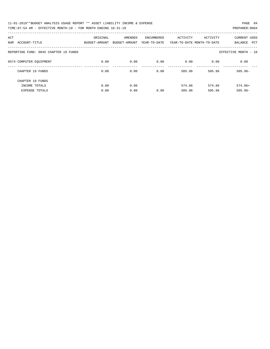| 11-01-2019**BUDGET ANALYSIS USAGE REPORT ** ASSET LIABILITY INCOME & EXPENSE | PAGE 84        |
|------------------------------------------------------------------------------|----------------|
| TIME:07:54 AM - EFFECTIVE MONTH:10 - FOR MONTH ENDING 10-31-19               | PREPARER: 0004 |

| ACT<br>ACCOUNT-TITLE<br>NUM           | ORIGINAL<br>BUDGET-AMOUNT | AMENDED<br>BUDGET-AMOUNT | ENCUMBERED<br>YEAR-TO-DATE | ACTIVITY | ACTIVITY<br>YEAR-TO-DATE MONTH-TO-DATE | <b>CURRENT USED</b><br>BALANCE<br>PCT |
|---------------------------------------|---------------------------|--------------------------|----------------------------|----------|----------------------------------------|---------------------------------------|
| REPORTING FUND: 0045 CHAPTER 19 FUNDS |                           |                          |                            |          |                                        | EFFECTIVE MONTH - 10                  |
| 0574 COMPUTER EOUIPMENT               | 0.00                      | 0.00                     | 0.00                       | 0.00     | 0.00                                   | 0.00                                  |
| CHAPTER 19 FUNDS                      | 0.00                      | 0.00                     | 0.00                       | 505.96   | 505.96                                 | $505.96 -$                            |
| CHAPTER 19 FUNDS                      |                           |                          |                            |          |                                        |                                       |
| INCOME TOTALS                         | 0.00                      | 0.00                     |                            | 574.86   | 574.86                                 | $574.86+$                             |
| <b>EXPENSE TOTALS</b>                 | 0.00                      | 0.00                     | 0.00                       | 505.96   | 505.96                                 | $505.96 -$                            |
|                                       |                           |                          |                            |          |                                        |                                       |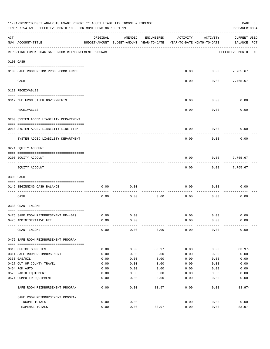| 11-01-2019**BUDGET ANALYSIS USAGE REPORT ** ASSET LIABILITY INCOME & EXPENSE<br>PAGE 85<br>PREPARER: 0004<br>TIME:07:54 AM - EFFECTIVE MONTH:10 - FOR MONTH ENDING 10-31-19 |                                                                 |              |                                                     |            |                                        |              |                                    |  |  |
|-----------------------------------------------------------------------------------------------------------------------------------------------------------------------------|-----------------------------------------------------------------|--------------|-----------------------------------------------------|------------|----------------------------------------|--------------|------------------------------------|--|--|
| ACT                                                                                                                                                                         | NUM ACCOUNT-TITLE                                               | ORIGINAL     | AMENDED<br>BUDGET-AMOUNT BUDGET-AMOUNT YEAR-TO-DATE | ENCUMBERED | ACTIVITY<br>YEAR-TO-DATE MONTH-TO-DATE | ACTIVITY     | <b>CURRENT USED</b><br>BALANCE PCT |  |  |
|                                                                                                                                                                             | REPORTING FUND: 0046 SAFE ROOM REIMBURSEMENT PROGRAM            |              |                                                     |            |                                        |              | EFFECTIVE MONTH - 10               |  |  |
| 0103 CASH                                                                                                                                                                   |                                                                 |              |                                                     |            |                                        |              |                                    |  |  |
|                                                                                                                                                                             | 0100 SAFE ROOM REIMB. PROG. - COMB. FUNDS                       |              |                                                     |            | 0.00                                   | 0.00         | 7,765.67                           |  |  |
|                                                                                                                                                                             | CASH                                                            |              |                                                     |            | 0.00                                   | 0.00         | 7,765.67                           |  |  |
|                                                                                                                                                                             | 0120 RECEIVABLES                                                |              |                                                     |            |                                        |              |                                    |  |  |
|                                                                                                                                                                             | 0312 DUE FROM OTHER GOVERNMENTS                                 |              |                                                     |            | 0.00                                   | 0.00         | 0.00                               |  |  |
|                                                                                                                                                                             | <b>RECEIVABLES</b>                                              |              |                                                     |            | 0.00                                   | 0.00         | 0.00                               |  |  |
|                                                                                                                                                                             | 0200 SYSTEM ADDED LIABILITY DEPARTMENT                          |              |                                                     |            |                                        |              |                                    |  |  |
|                                                                                                                                                                             | 0910 SYSTEM ADDED LIABILITY LINE-ITEM                           |              |                                                     |            | 0.00                                   | 0.00         | 0.00                               |  |  |
|                                                                                                                                                                             | SYSTEM ADDED LIABILITY DEPARTMENT                               |              |                                                     |            | 0.00                                   | 0.00         | 0.00                               |  |  |
|                                                                                                                                                                             | 0271 EQUITY ACCOUNT                                             |              |                                                     |            |                                        |              |                                    |  |  |
|                                                                                                                                                                             | 0200 EQUITY ACCOUNT                                             |              |                                                     |            | 0.00                                   | 0.00         | 7,765.67                           |  |  |
|                                                                                                                                                                             | EQUITY ACCOUNT                                                  |              |                                                     |            | 0.00                                   | 0.00         | 7,765.67                           |  |  |
|                                                                                                                                                                             | 0300 CASH                                                       |              |                                                     |            |                                        |              |                                    |  |  |
|                                                                                                                                                                             | 0146 BEGINNING CASH BALANCE                                     | 0.00         | 0.00                                                |            | 0.00                                   | 0.00         | 0.00                               |  |  |
|                                                                                                                                                                             | CASH                                                            | 0.00         | 0.00                                                | 0.00       | 0.00                                   | 0.00         | 0.00                               |  |  |
|                                                                                                                                                                             | 0330 GRANT INCOME                                               |              |                                                     |            |                                        |              |                                    |  |  |
|                                                                                                                                                                             |                                                                 |              |                                                     |            |                                        |              |                                    |  |  |
|                                                                                                                                                                             | 0475 SAFE ROOM REIMBURSEMENT DR-4029<br>0476 ADMINISTRATIVE FEE | 0.00<br>0.00 | 0.00<br>0.00                                        |            | 0.00<br>0.00                           | 0.00<br>0.00 | 0.00<br>0.00                       |  |  |
|                                                                                                                                                                             | GRANT INCOME                                                    | 0.00         | 0.00                                                | 0.00       | 0.00                                   | 0.00         | 0.00                               |  |  |
|                                                                                                                                                                             | 0475 SAFE ROOM REIMBURSEMENT PROGRAM                            |              |                                                     |            |                                        |              |                                    |  |  |
|                                                                                                                                                                             | 0310 OFFICE SUPPLIES                                            | 0.00         | 0.00                                                | 83.97      | 0.00                                   | 0.00         | $83.97 -$                          |  |  |
|                                                                                                                                                                             | 0314 SAFE ROOM REIMBURSEMENT                                    | 0.00         | 0.00                                                | 0.00       | 0.00                                   | 0.00         | 0.00                               |  |  |
|                                                                                                                                                                             | 0330 GAS/OIL                                                    | 0.00         | 0.00                                                | 0.00       | 0.00                                   | 0.00         | 0.00                               |  |  |
|                                                                                                                                                                             | 0427 OUT OF COUNTY TRAVEL                                       | 0.00         | 0.00                                                | 0.00       | 0.00                                   | 0.00         | 0.00                               |  |  |
|                                                                                                                                                                             | 0454 R&M AUTO                                                   | 0.00         | 0.00                                                | 0.00       | 0.00                                   | 0.00         | 0.00                               |  |  |
|                                                                                                                                                                             | 0573 RADIO EQUIPMENT                                            | 0.00         | 0.00                                                | 0.00       | 0.00                                   | 0.00         | 0.00                               |  |  |
|                                                                                                                                                                             | 0574 COMPUTER EQUIPMENT                                         | 0.00         | 0.00                                                | 0.00       | 0.00                                   | 0.00         | 0.00                               |  |  |
|                                                                                                                                                                             | SAFE ROOM REIMBURSEMENT PROGRAM                                 | 0.00         | 0.00                                                | 83.97      | 0.00                                   | 0.00         | $83.97 -$                          |  |  |
|                                                                                                                                                                             | SAFE ROOM REIMBURSEMENT PROGRAM                                 |              |                                                     |            |                                        |              |                                    |  |  |
|                                                                                                                                                                             | INCOME TOTALS                                                   | 0.00<br>0.00 | 0.00<br>0.00                                        | 83.97      | 0.00<br>0.00                           | 0.00<br>0.00 | 0.00<br>$83.97 -$                  |  |  |
|                                                                                                                                                                             | EXPENSE TOTALS                                                  |              |                                                     |            |                                        |              |                                    |  |  |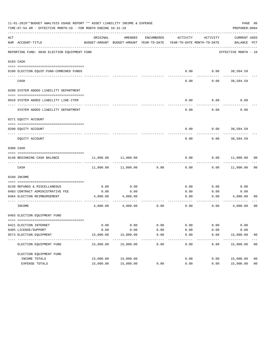|     | 11-01-2019**BUDGET ANALYSIS USAGE REPORT ** ASSET LIABILITY INCOME & EXPENSE<br>PAGE 86<br>TIME: 07:54 AM - EFFECTIVE MONTH: 10 - FOR MONTH ENDING 10-31-19<br>PREPARER: 0004 |              |                                                                                |                   |              |              |                             |                |  |  |  |  |
|-----|-------------------------------------------------------------------------------------------------------------------------------------------------------------------------------|--------------|--------------------------------------------------------------------------------|-------------------|--------------|--------------|-----------------------------|----------------|--|--|--|--|
| ACT | NUM ACCOUNT-TITLE                                                                                                                                                             | ORIGINAL     | AMENDED<br>BUDGET-AMOUNT BUDGET-AMOUNT YEAR-TO-DATE YEAR-TO-DATE MONTH-TO-DATE | ENCUMBERED        | ACTIVITY     | ACTIVITY     | CURRENT USED<br>BALANCE PCT |                |  |  |  |  |
|     | REPORTING FUND: 0048 ELECTION EQUIPMENT FUND                                                                                                                                  |              |                                                                                |                   |              |              | EFFECTIVE MONTH - 10        |                |  |  |  |  |
|     | 0103 CASH                                                                                                                                                                     |              |                                                                                |                   |              |              |                             |                |  |  |  |  |
|     |                                                                                                                                                                               |              |                                                                                |                   |              |              |                             |                |  |  |  |  |
|     | 0100 ELECTION EQUIP. FUND-COMBINED FUNDS                                                                                                                                      |              |                                                                                |                   | 0.00         | 0.00         | 38,584.59                   |                |  |  |  |  |
|     | CASH                                                                                                                                                                          |              |                                                                                |                   | 0.00         | 0.00         | 38,584.59                   |                |  |  |  |  |
|     | 0200 SYSTEM ADDED LIABILITY DEPARTMENT                                                                                                                                        |              |                                                                                |                   |              |              |                             |                |  |  |  |  |
|     |                                                                                                                                                                               |              |                                                                                |                   |              |              |                             |                |  |  |  |  |
|     | 0910 SYSTEM ADDED LIABILITY LINE-ITEM                                                                                                                                         |              |                                                                                |                   | 0.00         | 0.00         | 0.00                        |                |  |  |  |  |
|     | SYSTEM ADDED LIABILITY DEPARTMENT                                                                                                                                             |              |                                                                                |                   | 0.00         | 0.00         | 0.00                        |                |  |  |  |  |
|     | 0271 EQUITY ACCOUNT                                                                                                                                                           |              |                                                                                |                   |              |              |                             |                |  |  |  |  |
|     |                                                                                                                                                                               |              |                                                                                |                   | 0.00         |              | $0.00$ 38,584.59            |                |  |  |  |  |
|     | 0200 EQUITY ACCOUNT                                                                                                                                                           |              |                                                                                |                   |              |              |                             |                |  |  |  |  |
|     | EQUITY ACCOUNT                                                                                                                                                                |              |                                                                                |                   | 0.00         | 0.00         | 38,584.59                   |                |  |  |  |  |
|     | 0300 CASH                                                                                                                                                                     |              |                                                                                |                   |              |              |                             |                |  |  |  |  |
|     | 0148 BEGINNING CASH BALANCE                                                                                                                                                   | 11,000.00    | 11,000.00                                                                      |                   | 0.00         | 0.00         | 11,000.00 00                |                |  |  |  |  |
|     | CASH                                                                                                                                                                          | 11,000.00    | 11,000.00                                                                      | 0.00              | 0.00         | 0.00         | 11,000.00                   | 00             |  |  |  |  |
|     | 0340 INCOME                                                                                                                                                                   |              |                                                                                |                   |              |              |                             |                |  |  |  |  |
|     |                                                                                                                                                                               |              |                                                                                |                   |              |              |                             |                |  |  |  |  |
|     | 0130 REFUNDS & MISCELLANEOUS<br>0403 CONTRACT ADMINISTRATIVE FEE                                                                                                              | 0.00<br>0.00 | 0.00<br>0.00                                                                   |                   | 0.00<br>0.00 | 0.00<br>0.00 | 0.00<br>0.00                |                |  |  |  |  |
|     | 0484 ELECTION REIMBURSEMENT                                                                                                                                                   | 4,000.00     | 4,000.00                                                                       |                   | 0.00         |              | 0.00<br>4,000.00            | 00             |  |  |  |  |
|     | INCOME                                                                                                                                                                        | 4,000.00     | 4,000.00                                                                       | 0.00              | 0.00         | 0.00         | 4,000.00                    | 00             |  |  |  |  |
|     | 0403 ELECTION EQUIPMENT FUND                                                                                                                                                  |              |                                                                                |                   |              |              |                             |                |  |  |  |  |
|     |                                                                                                                                                                               |              |                                                                                |                   |              |              |                             |                |  |  |  |  |
|     | 0421 ELECTION INTERNET                                                                                                                                                        | 0.00         | 0.00                                                                           | 0.00              | 0.00         | 0.00         | 0.00                        |                |  |  |  |  |
|     | 0485 LICENSE/SUPPORT                                                                                                                                                          | 0.00         | 0.00                                                                           | 0.00              | 0.00         | 0.00         | 0.00                        |                |  |  |  |  |
|     | 0573 ELECTION EQUIPMENT                                                                                                                                                       | 15,000.00    | 15,000.00                                                                      | 0.00              | 0.00         | 0.00         | 15,000.00                   | 00             |  |  |  |  |
|     | ELECTION EQUIPMENT FUND                                                                                                                                                       | 15,000.00    | 15,000.00                                                                      | $- - - -$<br>0.00 | 0.00         | 0.00         | 15,000.00                   | 00             |  |  |  |  |
|     | ELECTION EQUIPMENT FUND                                                                                                                                                       |              |                                                                                |                   |              |              |                             |                |  |  |  |  |
|     | INCOME TOTALS                                                                                                                                                                 | 15,000.00    | 15,000.00                                                                      |                   | 0.00         | 0.00         | 15,000.00                   | 00             |  |  |  |  |
|     | EXPENSE TOTALS                                                                                                                                                                | 15,000.00    | 15,000.00                                                                      | 0.00              | 0.00         | 0.00         | 15,000.00                   | 0 <sub>0</sub> |  |  |  |  |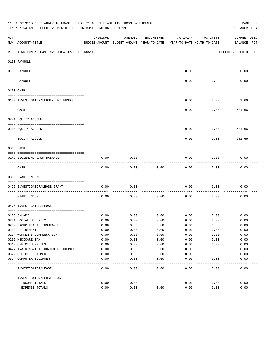|     | 11-01-2019**BUDGET ANALYSIS USAGE REPORT ** ASSET LIABILITY INCOME & EXPENSE<br>PAGE 87<br>TIME: 07:54 AM - EFFECTIVE MONTH: 10 - FOR MONTH ENDING 10-31-19<br>PREPARER: 0004 |          |                                                     |            |          |                                        |                                    |  |  |  |  |
|-----|-------------------------------------------------------------------------------------------------------------------------------------------------------------------------------|----------|-----------------------------------------------------|------------|----------|----------------------------------------|------------------------------------|--|--|--|--|
| ACT | NUM ACCOUNT-TITLE                                                                                                                                                             | ORIGINAL | AMENDED<br>BUDGET-AMOUNT BUDGET-AMOUNT YEAR-TO-DATE | ENCUMBERED | ACTIVITY | ACTIVITY<br>YEAR-TO-DATE MONTH-TO-DATE | <b>CURRENT USED</b><br>BALANCE PCT |  |  |  |  |
|     |                                                                                                                                                                               |          |                                                     |            |          |                                        |                                    |  |  |  |  |
|     | REPORTING FUND: 0049 INVESTIGATOR/LEOSE GRANT                                                                                                                                 |          |                                                     |            |          |                                        | EFFECTIVE MONTH - 10               |  |  |  |  |
|     | 0100 PAYROLL                                                                                                                                                                  |          |                                                     |            |          |                                        |                                    |  |  |  |  |
|     | 0100 PAYROLL                                                                                                                                                                  |          |                                                     |            | 0.00     | 0.00                                   | 0.00                               |  |  |  |  |
|     | ---- --------<br>PAYROLL                                                                                                                                                      |          |                                                     |            | 0.00     | 0.00                                   | 0.00                               |  |  |  |  |
|     | 0103 CASH                                                                                                                                                                     |          |                                                     |            |          |                                        |                                    |  |  |  |  |
|     |                                                                                                                                                                               |          |                                                     |            |          |                                        |                                    |  |  |  |  |
|     | 0100 INVESTIGATOR/LEOSE-COMB.FUNDS                                                                                                                                            |          |                                                     |            | 0.00     | 0.00                                   | 681.66                             |  |  |  |  |
|     | CASH                                                                                                                                                                          |          |                                                     |            | 0.00     | 0.00                                   | 681.66                             |  |  |  |  |
|     | 0271 EQUITY ACCOUNT                                                                                                                                                           |          |                                                     |            |          |                                        |                                    |  |  |  |  |
|     |                                                                                                                                                                               |          |                                                     |            | 0.00     | 0.00                                   | 681.66                             |  |  |  |  |
|     | 0200 EQUITY ACCOUNT<br>---- ---------------                                                                                                                                   |          |                                                     |            |          |                                        |                                    |  |  |  |  |
|     | EOUITY ACCOUNT                                                                                                                                                                |          |                                                     |            | 0.00     | 0.00                                   | 681.66                             |  |  |  |  |
|     | 0300 CASH                                                                                                                                                                     |          |                                                     |            |          |                                        |                                    |  |  |  |  |
|     | 0149 BEGINNING CASH BALANCE                                                                                                                                                   | 0.00     | 0.00                                                |            | 0.00     | 0.00                                   | 0.00                               |  |  |  |  |
|     | CASH                                                                                                                                                                          | 0.00     | 0.00                                                | 0.00       | 0.00     | 0.00                                   | 0.00                               |  |  |  |  |
|     | 0330 GRANT INCOME                                                                                                                                                             |          |                                                     |            |          |                                        |                                    |  |  |  |  |
|     |                                                                                                                                                                               |          |                                                     |            |          |                                        |                                    |  |  |  |  |
|     | 0475 INVESTIGATOR/LEOSE GRANT                                                                                                                                                 | 0.00     | 0.00                                                |            | 0.00     | 0.00                                   | 0.00                               |  |  |  |  |
|     | GRANT INCOME                                                                                                                                                                  | 0.00     | 0.00                                                | 0.00       | 0.00     | 0.00                                   | 0.00                               |  |  |  |  |
|     | 0475 INVESTIGATOR/LEOSE                                                                                                                                                       |          |                                                     |            |          |                                        |                                    |  |  |  |  |
|     | 0103 SALARY                                                                                                                                                                   | 0.00     | 0.00                                                | 0.00       | 0.00     | 0.00                                   | 0.00                               |  |  |  |  |
|     | 0201 SOCIAL SECURITY                                                                                                                                                          | 0.00     | 0.00                                                | 0.00       | 0.00     | 0.00                                   | 0.00                               |  |  |  |  |
|     | 0202 GROUP HEALTH INSURANCE                                                                                                                                                   | 0.00     | 0.00                                                | 0.00       | 0.00     | 0.00                                   | 0.00                               |  |  |  |  |
|     | 0203 RETIREMENT                                                                                                                                                               | 0.00     | 0.00                                                | 0.00       | 0.00     | 0.00                                   | 0.00                               |  |  |  |  |
|     | 0204 WORKER'S COMPENSATION                                                                                                                                                    | 0.00     | 0.00                                                | 0.00       | 0.00     | 0.00                                   | 0.00                               |  |  |  |  |
|     | 0205 MEDICARE TAX                                                                                                                                                             | 0.00     | 0.00                                                | 0.00       | 0.00     | 0.00                                   | 0.00                               |  |  |  |  |
|     | 0310 OFFICE SUPPLIES                                                                                                                                                          | 0.00     | 0.00                                                | 0.00       | 0.00     | 0.00                                   | 0.00                               |  |  |  |  |
|     | 0427 TRAINING/TUITION/OUT OF COUNTY                                                                                                                                           | 0.00     | 0.00                                                | 0.00       | 0.00     | 0.00                                   | 0.00                               |  |  |  |  |
|     | 0572 OFFICE EQUIPMENT                                                                                                                                                         | 0.00     | 0.00                                                | 0.00       | 0.00     | 0.00                                   | 0.00                               |  |  |  |  |
|     | 0574 COMPUTER EQUIPMENT                                                                                                                                                       | 0.00     | 0.00                                                | 0.00       | 0.00     | 0.00                                   | 0.00                               |  |  |  |  |
|     | INVESTIGATOR/LEOSE                                                                                                                                                            | 0.00     | 0.00                                                | 0.00       | 0.00     | 0.00                                   | 0.00                               |  |  |  |  |
|     | INVESTIGATOR/LEOSE GRANT                                                                                                                                                      |          |                                                     |            |          |                                        |                                    |  |  |  |  |
|     | INCOME TOTALS                                                                                                                                                                 | 0.00     | 0.00                                                |            | 0.00     | 0.00                                   | 0.00                               |  |  |  |  |
|     | EXPENSE TOTALS                                                                                                                                                                | 0.00     | 0.00                                                | 0.00       | 0.00     | 0.00                                   | 0.00                               |  |  |  |  |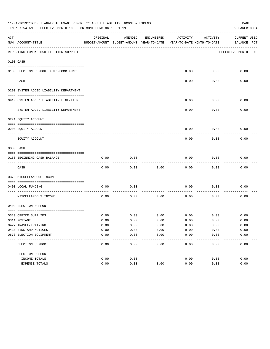|     | 11-01-2019**BUDGET ANALYSIS USAGE REPORT ** ASSET LIABILITY INCOME & EXPENSE<br>PAGE 88<br>TIME: 07:54 AM - EFFECTIVE MONTH: 10 - FOR MONTH ENDING 10-31-19<br>PREPARER: 0004 |              |                                                     |               |                                        |              |                                    |  |  |  |  |
|-----|-------------------------------------------------------------------------------------------------------------------------------------------------------------------------------|--------------|-----------------------------------------------------|---------------|----------------------------------------|--------------|------------------------------------|--|--|--|--|
| ACT | NUM ACCOUNT-TITLE                                                                                                                                                             | ORIGINAL     | AMENDED<br>BUDGET-AMOUNT BUDGET-AMOUNT YEAR-TO-DATE | ENCUMBERED    | ACTIVITY<br>YEAR-TO-DATE MONTH-TO-DATE | ACTIVITY     | <b>CURRENT USED</b><br>BALANCE PCT |  |  |  |  |
|     | REPORTING FUND: 0050 ELECTION SUPPORT                                                                                                                                         |              |                                                     |               |                                        |              | EFFECTIVE MONTH - 10               |  |  |  |  |
|     | 0103 CASH                                                                                                                                                                     |              |                                                     |               |                                        |              |                                    |  |  |  |  |
|     |                                                                                                                                                                               |              |                                                     |               |                                        |              |                                    |  |  |  |  |
|     | 0100 ELECTION SUPPORT FUND-COMB.FUNDS                                                                                                                                         |              |                                                     |               | 0.00                                   | 0.00         | 0.00                               |  |  |  |  |
|     | CASH                                                                                                                                                                          |              |                                                     |               | 0.00                                   | 0.00         | 0.00                               |  |  |  |  |
|     | 0200 SYSTEM ADDED LIABILITY DEPARTMENT                                                                                                                                        |              |                                                     |               |                                        |              |                                    |  |  |  |  |
|     |                                                                                                                                                                               |              |                                                     |               |                                        |              |                                    |  |  |  |  |
|     | 0910 SYSTEM ADDED LIABILITY LINE-ITEM                                                                                                                                         |              |                                                     |               | 0.00                                   | 0.00         | 0.00                               |  |  |  |  |
|     | SYSTEM ADDED LIABILITY DEPARTMENT                                                                                                                                             |              |                                                     |               | 0.00                                   | 0.00         | 0.00                               |  |  |  |  |
|     | 0271 EQUITY ACCOUNT                                                                                                                                                           |              |                                                     |               |                                        |              |                                    |  |  |  |  |
|     |                                                                                                                                                                               |              |                                                     |               |                                        |              |                                    |  |  |  |  |
|     | 0200 EOUITY ACCOUNT                                                                                                                                                           |              |                                                     |               | 0.00                                   | 0.00         | 0.00                               |  |  |  |  |
|     | EQUITY ACCOUNT                                                                                                                                                                |              |                                                     |               | 0.00                                   | 0.00         | 0.00                               |  |  |  |  |
|     | 0300 CASH                                                                                                                                                                     |              |                                                     |               |                                        |              |                                    |  |  |  |  |
|     | 0150 BEGINNING CASH BALANCE                                                                                                                                                   | 0.00         | 0.00                                                |               | 0.00                                   | 0.00         | 0.00                               |  |  |  |  |
|     | CASH                                                                                                                                                                          | 0.00         | 0.00                                                | 0.00          | 0.00                                   | 0.00         | 0.00                               |  |  |  |  |
|     | 0370 MISCELLANEOUS INCOME                                                                                                                                                     |              |                                                     |               |                                        |              |                                    |  |  |  |  |
|     |                                                                                                                                                                               |              |                                                     |               |                                        |              |                                    |  |  |  |  |
|     | 0403 LOCAL FUNDING                                                                                                                                                            | 0.00         | 0.00                                                |               | 0.00                                   | 0.00         | 0.00                               |  |  |  |  |
|     | MISCELLANEOUS INCOME                                                                                                                                                          | 0.00         | 0.00                                                | 0.00          | 0.00                                   | 0.00         | 0.00                               |  |  |  |  |
|     | 0403 ELECTION SUPPORT                                                                                                                                                         |              |                                                     |               |                                        |              |                                    |  |  |  |  |
|     |                                                                                                                                                                               |              |                                                     |               |                                        |              |                                    |  |  |  |  |
|     | 0310 OFFICE SUPPLIES                                                                                                                                                          | 0.00         | 0.00                                                | 0.00          | 0.00                                   | 0.00         | 0.00                               |  |  |  |  |
|     | 0311 POSTAGE<br>0427 TRAVEL/TRAINING                                                                                                                                          | 0.00<br>0.00 | 0.00<br>0.00                                        | 0.00<br>0.00  | 0.00<br>0.00                           | 0.00<br>0.00 | 0.00<br>0.00                       |  |  |  |  |
|     | 0430 BIDS AND NOTICES                                                                                                                                                         | 0.00         | 0.00                                                | 0.00          | 0.00                                   | 0.00         | 0.00                               |  |  |  |  |
|     | 0573 ELECTION EQUIPMENT                                                                                                                                                       | 0.00         | 0.00                                                | 0.00          | 0.00                                   | 0.00         | 0.00                               |  |  |  |  |
|     | ELECTION SUPPORT                                                                                                                                                              | 0.00         | 0.00                                                | $---$<br>0.00 | 0.00                                   | 0.00         | 0.00                               |  |  |  |  |
|     | ELECTION SUPPORT                                                                                                                                                              |              |                                                     |               |                                        |              |                                    |  |  |  |  |
|     | INCOME TOTALS                                                                                                                                                                 | 0.00         | 0.00                                                |               | 0.00                                   | 0.00         | 0.00                               |  |  |  |  |
|     | EXPENSE TOTALS                                                                                                                                                                | 0.00         | 0.00                                                | 0.00          | 0.00                                   | 0.00         | 0.00                               |  |  |  |  |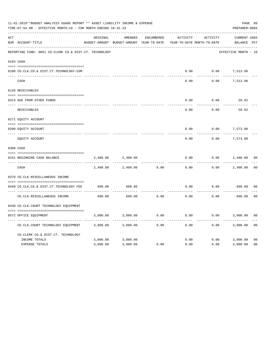|     | 11-01-2019**BUDGET ANALYSIS USAGE REPORT ** ASSET LIABILITY INCOME & EXPENSE<br>TIME: 07:54 AM - EFFECTIVE MONTH: 10 - FOR MONTH ENDING 10-31-19 |          |                                                     |                   |          |                                        |                             |                |  |  |
|-----|--------------------------------------------------------------------------------------------------------------------------------------------------|----------|-----------------------------------------------------|-------------------|----------|----------------------------------------|-----------------------------|----------------|--|--|
| ACT | NUM ACCOUNT-TITLE                                                                                                                                | ORIGINAL | AMENDED<br>BUDGET-AMOUNT BUDGET-AMOUNT YEAR-TO-DATE | <b>ENCUMBERED</b> | ACTIVITY | ACTIVITY<br>YEAR-TO-DATE MONTH-TO-DATE | CURRENT USED<br>BALANCE PCT |                |  |  |
|     | REPORTING FUND: 0051 CO.CLERK CO.& DIST.CT. TECHNOLOGY                                                                                           |          |                                                     |                   |          |                                        | EFFECTIVE MONTH - 10        |                |  |  |
|     | 0103 CASH                                                                                                                                        |          |                                                     |                   |          |                                        |                             |                |  |  |
|     | 0100 CO.CLK.CO.& DIST.CT.TECHNOLOGY-COM                                                                                                          |          |                                                     |                   | 0.00     | 0.00                                   | 7,513.96                    |                |  |  |
|     | CASH                                                                                                                                             |          |                                                     |                   | 0.00     | 0.00                                   | 7,513.96                    |                |  |  |
|     | 0120 RECEIVABLES                                                                                                                                 |          |                                                     |                   |          |                                        |                             |                |  |  |
|     | 0313 DUE FROM OTHER FUNDS                                                                                                                        |          |                                                     |                   | 0.00     | 0.00                                   | 59.92                       |                |  |  |
|     | RECEIVABLES                                                                                                                                      |          |                                                     |                   | 0.00     | 0.00                                   | 59.92                       |                |  |  |
|     | 0271 EQUITY ACCOUNT                                                                                                                              |          |                                                     |                   |          |                                        |                             |                |  |  |
|     | 0200 EQUITY ACCOUNT                                                                                                                              |          |                                                     |                   | 0.00     | 0.00                                   | 7,573.88                    |                |  |  |
|     | ---- -----------------------<br>EQUITY ACCOUNT                                                                                                   |          |                                                     |                   | 0.00     | 0.00                                   | ----------<br>7,573.88      |                |  |  |
|     | 0300 CASH                                                                                                                                        |          |                                                     |                   |          |                                        |                             |                |  |  |
|     | 0151 BEGINNING CASH BALANCE<br>---- ---------------------------------                                                                            | 2,400.00 | 2,400.00                                            |                   | 0.00     | 0.00                                   | 2,400.00                    | 0 <sub>0</sub> |  |  |
|     | CASH                                                                                                                                             | 2,400.00 | 2,400.00                                            | 0.00              | 0.00     | 0.00                                   | 2,400.00                    | 0 <sub>0</sub> |  |  |
|     | 0370 CO.CLK.MISCELLANEOUS INCOME                                                                                                                 |          |                                                     |                   |          |                                        |                             |                |  |  |
|     | 0440 CO.CLK.CO.& DIST.CT.TECHNOLOGY FEE                                                                                                          | 600.00   | 600.00                                              |                   | 0.00     | 0.00                                   | 600.00                      | 0 <sub>0</sub> |  |  |
|     | CO. CLK. MISCELLANEOUS INCOME                                                                                                                    | 600.00   | 600.00                                              | 0.00              | 0.00     | 0.00                                   | 600.00                      | 0 <sub>0</sub> |  |  |
|     | 0440 CO.CLK.COURT TECHNOLOGY EQUIPMENT                                                                                                           |          |                                                     |                   |          |                                        |                             |                |  |  |
|     | 0572 OFFICE EOUIPMENT                                                                                                                            | 3,000.00 | 3,000.00                                            | 0.00              | 0.00     | 0.00                                   | 3,000.00                    | 0 <sub>0</sub> |  |  |
|     | CO.CLK.COURT TECHNOLOGY EQUIPMENT                                                                                                                | 3,000.00 | 3,000.00                                            | 0.00              | 0.00     | 0.00                                   | 3,000.00                    | 0 <sub>0</sub> |  |  |
|     | CO.CLERK CO.& DIST.CT. TECHNOLOGY                                                                                                                |          |                                                     |                   |          |                                        |                             |                |  |  |
|     | INCOME TOTALS                                                                                                                                    | 3,000.00 | 3,000.00                                            |                   | 0.00     | 0.00                                   | 3,000.00                    | 0 <sub>0</sub> |  |  |
|     | <b>EXPENSE TOTALS</b>                                                                                                                            | 3,000.00 | 3,000.00                                            | 0.00              | 0.00     | 0.00                                   | 3,000.00                    | 0 <sub>0</sub> |  |  |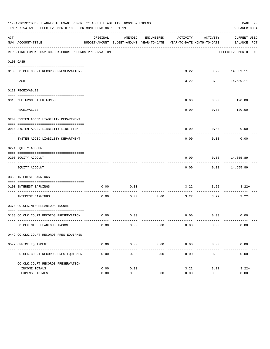|     | 11-01-2019**BUDGET ANALYSIS USAGE REPORT ** ASSET LIABILITY INCOME & EXPENSE<br>PAGE 90<br>TIME: 07:54 AM - EFFECTIVE MONTH: 10 - FOR MONTH ENDING 10-31-19<br>PREPARER: 0004 |          |                     |                     |                                                                                 |                              |                                  |  |  |  |  |
|-----|-------------------------------------------------------------------------------------------------------------------------------------------------------------------------------|----------|---------------------|---------------------|---------------------------------------------------------------------------------|------------------------------|----------------------------------|--|--|--|--|
| ACT | NUM ACCOUNT-TITLE                                                                                                                                                             | ORIGINAL | AMENDED             | ENCUMBERED          | ACTIVITY<br>BUDGET-AMOUNT BUDGET-AMOUNT YEAR-TO-DATE YEAR-TO-DATE MONTH-TO-DATE | ACTIVITY                     | CURRENT USED<br>BALANCE PCT      |  |  |  |  |
|     | REPORTING FUND: 0052 CO.CLK.COURT RECORDS PRESERVATION                                                                                                                        |          |                     |                     |                                                                                 |                              | EFFECTIVE MONTH - 10             |  |  |  |  |
|     | 0103 CASH                                                                                                                                                                     |          |                     |                     |                                                                                 |                              |                                  |  |  |  |  |
|     | 0100 CO.CLK.COURT RECORDS PRESERVATION-                                                                                                                                       |          |                     |                     |                                                                                 | $3.22$ $3.22$ $14,539.11$    |                                  |  |  |  |  |
|     | CASH                                                                                                                                                                          |          |                     |                     | 3.22                                                                            | ----------- -------------    | 3.22 14,539.11                   |  |  |  |  |
|     | 0120 RECEIVABLES                                                                                                                                                              |          |                     |                     |                                                                                 |                              |                                  |  |  |  |  |
|     |                                                                                                                                                                               |          |                     |                     |                                                                                 |                              |                                  |  |  |  |  |
|     | 0313 DUE FROM OTHER FUNDS                                                                                                                                                     |          |                     |                     | 0.00                                                                            | $0.00$ 120.00<br>.           | -----------                      |  |  |  |  |
|     | RECEIVABLES                                                                                                                                                                   |          |                     |                     | 0.00                                                                            | 0.00                         | 120.00                           |  |  |  |  |
|     | 0200 SYSTEM ADDED LIABILITY DEPARTMENT                                                                                                                                        |          |                     |                     |                                                                                 |                              |                                  |  |  |  |  |
|     | 0910 SYSTEM ADDED LIABILITY LINE-ITEM                                                                                                                                         |          |                     |                     | 0.00                                                                            | 0.00                         | 0.00                             |  |  |  |  |
|     | SYSTEM ADDED LIABILITY DEPARTMENT                                                                                                                                             |          |                     |                     | 0.00                                                                            | ----------<br>0.00           | 0.00                             |  |  |  |  |
|     | 0271 EQUITY ACCOUNT                                                                                                                                                           |          |                     |                     |                                                                                 |                              |                                  |  |  |  |  |
|     | 0200 EQUITY ACCOUNT                                                                                                                                                           |          |                     |                     | 0.00                                                                            | $0.00$ 14,655.89             |                                  |  |  |  |  |
|     | EQUITY ACCOUNT                                                                                                                                                                |          |                     |                     | --------<br>0.00                                                                |                              | ------------<br>$0.00$ 14,655.89 |  |  |  |  |
|     | 0360 INTEREST EARNINGS                                                                                                                                                        |          |                     |                     |                                                                                 |                              |                                  |  |  |  |  |
|     |                                                                                                                                                                               |          |                     |                     |                                                                                 |                              |                                  |  |  |  |  |
|     | 0100 INTEREST EARNINGS<br>--------------------- -------------                                                                                                                 | 0.00     | 0.00                |                     | -------- -------------                                                          | $3.22$ $3.22$<br>----------- | $3.22+$                          |  |  |  |  |
|     | INTEREST EARNINGS                                                                                                                                                             | 0.00     | 0.00                | 0.00                | 3.22                                                                            | 3.22                         | $3.22+$                          |  |  |  |  |
|     | 0370 CO.CLK.MISCELLANEOUS INCOME                                                                                                                                              |          |                     |                     |                                                                                 |                              |                                  |  |  |  |  |
|     | 0133 CO.CLK.COURT RECORDS PRESERVATION                                                                                                                                        |          | $0.00$ 0.00         |                     |                                                                                 | 0.00 0.00                    | 0.00                             |  |  |  |  |
|     | CO. CLK. MISCELLANEOUS INCOME                                                                                                                                                 | 0.00     | 0.00                | 0.00                | 0.00                                                                            | 0.00                         | 0.00                             |  |  |  |  |
|     | 0449 CO.CLK.COURT RECORDS PRES.EOUIPMEN                                                                                                                                       |          |                     |                     |                                                                                 |                              |                                  |  |  |  |  |
|     |                                                                                                                                                                               |          |                     |                     |                                                                                 |                              |                                  |  |  |  |  |
|     | 0572 OFFICE EQUIPMENT                                                                                                                                                         | 0.00     | 0.00<br>----------- | 0.00<br>----------- | 0.00<br>-------------                                                           | 0.00<br>------------         | 0.00<br>-------------            |  |  |  |  |
|     | CO. CLK. COURT RECORDS PRES. EQUIPMEN                                                                                                                                         | 0.00     | 0.00                | 0.00                | 0.00                                                                            | 0.00                         | 0.00                             |  |  |  |  |
|     | CO. CLK. COURT RECORDS PRESERVATION                                                                                                                                           |          |                     |                     |                                                                                 |                              |                                  |  |  |  |  |
|     | INCOME TOTALS                                                                                                                                                                 | 0.00     | 0.00                |                     | 3.22                                                                            | 3.22                         | $3.22+$                          |  |  |  |  |
|     | <b>EXPENSE TOTALS</b>                                                                                                                                                         | 0.00     | 0.00                | 0.00                | 0.00                                                                            | 0.00                         | 0.00                             |  |  |  |  |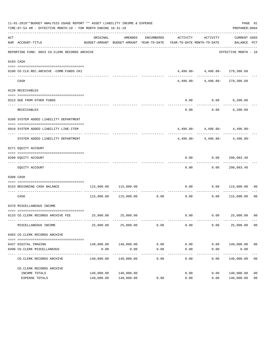|     | 11-01-2019**BUDGET ANALYSIS USAGE REPORT ** ASSET LIABILITY INCOME & EXPENSE<br>TIME: 07:54 AM - EFFECTIVE MONTH: 10 - FOR MONTH ENDING 10-31-19 |                            |                             |                    |                                                                                                                 |                                                                          | PAGE 91<br>PREPARER: 0004          |                |
|-----|--------------------------------------------------------------------------------------------------------------------------------------------------|----------------------------|-----------------------------|--------------------|-----------------------------------------------------------------------------------------------------------------|--------------------------------------------------------------------------|------------------------------------|----------------|
| ACT | NUM ACCOUNT-TITLE                                                                                                                                | ORIGINAL                   | AMENDED                     |                    | ENCUMBERED ACTIVITY ACTIVITY<br>BUDGET-AMOUNT BUDGET-AMOUNT YEAR-TO-DATE YEAR-TO-DATE MONTH-TO-DATE BALANCE PCT |                                                                          | CURRENT USED                       |                |
|     | -------------------------------------<br>REPORTING FUND: 0053 CO.CLERK RECORDS ARCHIVE                                                           |                            |                             |                    |                                                                                                                 |                                                                          | EFFECTIVE MONTH - 10               |                |
|     | 0103 CASH                                                                                                                                        |                            |                             |                    |                                                                                                                 |                                                                          |                                    |                |
|     |                                                                                                                                                  |                            |                             |                    |                                                                                                                 |                                                                          |                                    |                |
|     | 0100 CO.CLK.REC.ARCHIVE -COMB.FUNDS CKI                                                                                                          |                            |                             |                    |                                                                                                                 | $4,496.80 - 4,496.80 - 279,386.68$<br>--------  -------------  --------- |                                    |                |
|     | CASH                                                                                                                                             |                            |                             |                    |                                                                                                                 | 4,496.80- 4,496.80- 279,386.68                                           |                                    |                |
|     | 0120 RECEIVABLES                                                                                                                                 |                            |                             |                    |                                                                                                                 |                                                                          |                                    |                |
|     |                                                                                                                                                  |                            |                             |                    |                                                                                                                 |                                                                          |                                    |                |
|     | 0313 DUE FROM OTHER FUNDS                                                                                                                        |                            |                             |                    | 0.00                                                                                                            | $0.00$ 6,200.00                                                          |                                    |                |
|     | RECEIVABLES                                                                                                                                      |                            |                             |                    | 0.00                                                                                                            |                                                                          | $0.00$ 6,200.00                    |                |
|     | 0200 SYSTEM ADDED LIABILITY DEPARTMENT                                                                                                           |                            |                             |                    |                                                                                                                 |                                                                          |                                    |                |
|     |                                                                                                                                                  |                            |                             |                    |                                                                                                                 |                                                                          |                                    |                |
|     | 0910 SYSTEM ADDED LIABILITY LINE-ITEM                                                                                                            |                            |                             |                    |                                                                                                                 |                                                                          | $4,496.80 - 4,496.80 - 4,496.80 -$ |                |
|     | SYSTEM ADDED LIABILITY DEPARTMENT                                                                                                                |                            |                             |                    |                                                                                                                 |                                                                          | $4,496.80 - 4,496.80 - 4,496.80 -$ |                |
|     | 0271 EQUITY ACCOUNT                                                                                                                              |                            |                             |                    |                                                                                                                 |                                                                          |                                    |                |
|     |                                                                                                                                                  |                            |                             |                    |                                                                                                                 |                                                                          |                                    |                |
|     | 0200 EQUITY ACCOUNT                                                                                                                              |                            |                             |                    | 0.00                                                                                                            |                                                                          |                                    |                |
|     | EQUITY ACCOUNT                                                                                                                                   |                            |                             |                    | 0.00                                                                                                            | 0.00                                                                     | 290,083.48                         |                |
|     | 0300 CASH                                                                                                                                        |                            |                             |                    |                                                                                                                 |                                                                          |                                    |                |
|     | 0153 BEGINNING CASH BALANCE                                                                                                                      | 115,000.00                 | 115,000.00                  |                    | 0.00                                                                                                            |                                                                          | $0.00$ 115,000.00 00               |                |
|     | CASH                                                                                                                                             |                            |                             |                    | -----------------------------<br>$115,000.00$ $115,000.00$ 0.00 0.00 0.00                                       |                                                                          | 0.00 115,000.00                    | 00             |
|     | 0370 MISCELLANEOUS INCOME                                                                                                                        |                            |                             |                    |                                                                                                                 |                                                                          |                                    |                |
|     |                                                                                                                                                  |                            |                             |                    |                                                                                                                 |                                                                          |                                    |                |
|     | 0133 CO.CLERK RECORDS ARCHIVE FEE                                                                                                                |                            | 25,000.00 25,000.00         |                    |                                                                                                                 |                                                                          | $0.00$ $0.00$ $25,000.00$ 00       |                |
|     | MISCELLANEOUS INCOME                                                                                                                             | 25,000.00                  | 25,000.00                   | 0.00               | 0.00                                                                                                            | 0.00                                                                     | 25,000.00                          | 0 <sub>0</sub> |
|     | 0403 CO.CLERK RECORDS ARCHIVE                                                                                                                    |                            |                             |                    |                                                                                                                 |                                                                          |                                    |                |
|     |                                                                                                                                                  |                            |                             |                    |                                                                                                                 |                                                                          |                                    |                |
|     | 0437 DIGITAL IMAGING                                                                                                                             |                            | 140,000.00 140,000.00       | 0.00               | 0.00                                                                                                            | 0.00                                                                     | 140,000.00                         | 0 <sub>0</sub> |
|     | 0490 CO. CLERK MISCELLANEOUS                                                                                                                     | 0.00                       | 0.00                        | 0.00               | 0.00                                                                                                            | 0.00                                                                     | 0.00                               |                |
|     | CO. CLERK RECORDS ARCHIVE                                                                                                                        | ------------<br>140,000.00 | -------------<br>140,000.00 | ----------<br>0.00 | $- - - - -$<br>0.00                                                                                             | ---------<br>0.00                                                        | .<br>140,000.00                    | 0 <sub>0</sub> |
|     | CO. CLERK RECORDS ARCHIVE                                                                                                                        |                            |                             |                    |                                                                                                                 |                                                                          |                                    |                |
|     | INCOME TOTALS                                                                                                                                    | 140,000.00                 | 140,000.00                  |                    | 0.00                                                                                                            | 0.00                                                                     | 140,000.00                         | 00             |
|     | EXPENSE TOTALS                                                                                                                                   | 140,000.00                 | 140,000.00                  | 0.00               | 0.00                                                                                                            | 0.00                                                                     | 140,000.00                         | 0 <sub>0</sub> |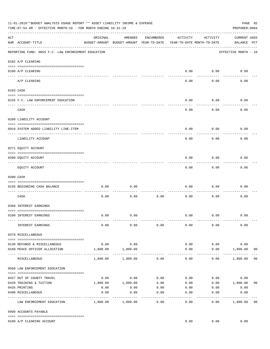|     | 11-01-2019**BUDGET ANALYSIS USAGE REPORT ** ASSET LIABILITY INCOME & EXPENSE<br>TIME: 07:54 AM - EFFECTIVE MONTH: 10 - FOR MONTH ENDING 10-31-19<br>PREPARER: 0004 |                     |                                                     |                 |                                        |                    |                                    |                |  |  |  |
|-----|--------------------------------------------------------------------------------------------------------------------------------------------------------------------|---------------------|-----------------------------------------------------|-----------------|----------------------------------------|--------------------|------------------------------------|----------------|--|--|--|
| ACT | NUM ACCOUNT-TITLE                                                                                                                                                  | ORIGINAL            | AMENDED<br>BUDGET-AMOUNT BUDGET-AMOUNT YEAR-TO-DATE | ENCUMBERED      | ACTIVITY<br>YEAR-TO-DATE MONTH-TO-DATE | ACTIVITY           | <b>CURRENT USED</b><br>BALANCE PCT |                |  |  |  |
|     | REPORTING FUND: 0055 F.C. LAW ENFORCEMENT EDUCATION                                                                                                                |                     |                                                     |                 |                                        |                    | EFFECTIVE MONTH - 10               |                |  |  |  |
|     | 0102 A/P CLEARING                                                                                                                                                  |                     |                                                     |                 |                                        |                    |                                    |                |  |  |  |
|     | 0100 A/P CLEARING                                                                                                                                                  |                     |                                                     |                 | 0.00                                   | 0.00               | 0.00                               |                |  |  |  |
|     | A/P CLEARING                                                                                                                                                       |                     |                                                     |                 | 0.00                                   | 0.00               | 0.00                               |                |  |  |  |
|     | 0103 CASH                                                                                                                                                          |                     |                                                     |                 |                                        |                    |                                    |                |  |  |  |
|     | 0155 F.C. LAW ENFORCEMENT EDUCATION                                                                                                                                |                     |                                                     |                 | 0.00                                   | 0.00               | 0.06                               |                |  |  |  |
|     | CASH                                                                                                                                                               |                     |                                                     |                 | 0.00                                   | 0.00               | 0.06                               |                |  |  |  |
|     | 0200 LIABILITY ACCOUNT                                                                                                                                             |                     |                                                     |                 |                                        |                    |                                    |                |  |  |  |
|     | 0910 SYSTEM ADDED LIABILITY LINE-ITEM                                                                                                                              |                     |                                                     |                 | 0.00                                   | 0.00               | 0.00                               |                |  |  |  |
|     | LIABILITY ACCOUNT                                                                                                                                                  |                     |                                                     |                 | 0.00                                   | 0.00               | 0.00                               |                |  |  |  |
|     | 0271 EQUITY ACCOUNT                                                                                                                                                |                     |                                                     |                 |                                        |                    |                                    |                |  |  |  |
|     | 0200 EQUITY ACCOUNT                                                                                                                                                |                     |                                                     |                 | 0.00                                   | 0.00               | 0.06                               |                |  |  |  |
|     | EQUITY ACCOUNT                                                                                                                                                     |                     |                                                     |                 | 0.00                                   | --------<br>0.00   | 0.06                               |                |  |  |  |
|     | 0300 CASH                                                                                                                                                          |                     |                                                     |                 |                                        |                    |                                    |                |  |  |  |
|     | 0156 BEGINNING CASH BALANCE                                                                                                                                        | 0.00                | 0.00                                                |                 | 0.00                                   | 0.00               | 0.00                               |                |  |  |  |
|     | CASH                                                                                                                                                               | 0.00                | 0.00                                                | 0.00            | 0.00                                   | 0.00               | 0.00                               |                |  |  |  |
|     | 0360 INTEREST EARNINGS                                                                                                                                             |                     |                                                     |                 |                                        |                    |                                    |                |  |  |  |
|     | 0100 INTEREST EARNINGS                                                                                                                                             | 0.00                | 0.00                                                |                 | 0.00                                   | 0.00               | 0.00                               |                |  |  |  |
|     | INTEREST EARNINGS                                                                                                                                                  | 0.00                | 0.00                                                | 0.00            | 0.00                                   | 0.00               | 0.00                               |                |  |  |  |
|     | 0370 MISCELLANEOUS                                                                                                                                                 |                     |                                                     |                 |                                        |                    |                                    |                |  |  |  |
|     |                                                                                                                                                                    |                     |                                                     |                 |                                        |                    |                                    |                |  |  |  |
|     | 0130 REFUNDS & MISCELLANEOUS<br>0160 PEACE OFFICER ALLOCATION                                                                                                      | 0.00<br>1,800.00    | 0.00<br>1,800.00                                    |                 | 0.00<br>0.00                           | 0.00<br>0.00       | 0.00<br>1,800.00                   | 0 <sub>0</sub> |  |  |  |
|     | MISCELLANEOUS                                                                                                                                                      | 1,800.00            | 1,800.00                                            | 0.00            | $\cdots$<br>0.00                       | ----------<br>0.00 | _____________<br>1,800.00          | 0 <sub>0</sub> |  |  |  |
|     | 0560 LAW ENFORCEMENT EDUCATION                                                                                                                                     |                     |                                                     |                 |                                        |                    |                                    |                |  |  |  |
|     |                                                                                                                                                                    |                     |                                                     |                 |                                        |                    | 0.00                               |                |  |  |  |
|     | 0427 OUT OF COUNTY TRAVEL<br>0428 TRAINING & TUITION                                                                                                               |                     | $0.00$ 0.00<br>1,800.00    1,800.00                 | 0.00<br>0.00    | 0.00<br>0.00                           |                    | 0.00<br>$0.00$ 1,800.00            | 0 <sub>0</sub> |  |  |  |
|     | 0435 PRINTING                                                                                                                                                      | 0.00                | 0.00                                                | 0.00            |                                        | $0.00$ $0.00$      | 0.00                               |                |  |  |  |
|     | 0490 MISCELLANEOUS                                                                                                                                                 | 0.00<br>----------- | 0.00                                                | 0.00<br>------- | 0.00                                   | 0.00               | 0.00                               |                |  |  |  |
|     | LAW ENFORCEMENT EDUCATION                                                                                                                                          |                     | 1,800.00 1,800.00                                   | 0.00            | 0.00                                   | 0.00               | 1,800.00                           | 0 <sub>0</sub> |  |  |  |
|     | 0999 ACCOUNTS PAYABLE                                                                                                                                              |                     |                                                     |                 |                                        |                    |                                    |                |  |  |  |
|     | 0100 A/P CLEARING ACCOUNT                                                                                                                                          |                     |                                                     |                 | 0.00                                   | 0.00               | 0.00                               |                |  |  |  |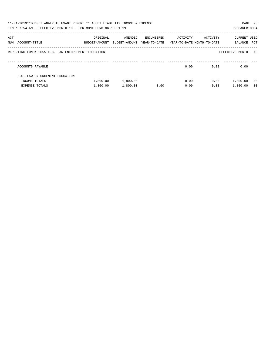|     | 11-01-2019**BUDGET ANALYSIS USAGE REPORT ** ASSET LIABILITY INCOME & EXPENSE<br>TIME: 07:54 AM - EFFECTIVE MONTH: 10 - FOR MONTH ENDING 10-31-19 |                           |                          |                            |                                        |          | PAGE 93<br>PREPARER: 0004 |                |
|-----|--------------------------------------------------------------------------------------------------------------------------------------------------|---------------------------|--------------------------|----------------------------|----------------------------------------|----------|---------------------------|----------------|
| ACT | NUM ACCOUNT-TITLE                                                                                                                                | ORIGINAL<br>BUDGET-AMOUNT | AMENDED<br>BUDGET-AMOUNT | ENCUMBERED<br>YEAR-TO-DATE | ACTIVITY<br>YEAR-TO-DATE MONTH-TO-DATE | ACTIVITY | CURRENT USED<br>BALANCE   | PCT            |
|     | REPORTING FUND: 0055 F.C. LAW ENFORCEMENT EDUCATION                                                                                              |                           |                          |                            |                                        |          | EFFECTIVE MONTH - 10      |                |
|     | ACCOUNTS PAYABLE                                                                                                                                 |                           |                          |                            | 0.00                                   | 0.00     | 0.00                      |                |
|     | F.C. LAW ENFORCEMENT EDUCATION                                                                                                                   |                           |                          |                            |                                        |          |                           |                |
|     | INCOME TOTALS                                                                                                                                    | 1,800.00                  | 1,800.00                 |                            | 0.00                                   | 0.00     | 1,800.00                  | - 00           |
|     | <b>EXPENSE TOTALS</b>                                                                                                                            | 1,800.00                  | 1,800.00                 | 0.00                       | 0.00                                   | 0.00     | 1,800.00                  | 0 <sub>0</sub> |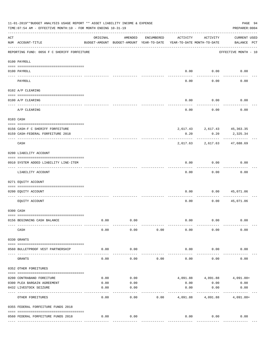|                   | 11-01-2019**BUDGET ANALYSIS USAGE REPORT ** ASSET LIABILITY INCOME & EXPENSE<br>PAGE 94<br>TIME: 07:54 AM - EFFECTIVE MONTH: 10 - FOR MONTH ENDING 10-31-19<br>PREPARER: 0004 |                                                      |                   |            |                                        |                             |                                    |  |  |  |  |  |
|-------------------|-------------------------------------------------------------------------------------------------------------------------------------------------------------------------------|------------------------------------------------------|-------------------|------------|----------------------------------------|-----------------------------|------------------------------------|--|--|--|--|--|
| ACT               | NUM ACCOUNT-TITLE                                                                                                                                                             | ORIGINAL<br>BUDGET-AMOUNT BUDGET-AMOUNT YEAR-TO-DATE | AMENDED           | ENCUMBERED | ACTIVITY<br>YEAR-TO-DATE MONTH-TO-DATE | ACTIVITY                    | <b>CURRENT USED</b><br>BALANCE PCT |  |  |  |  |  |
|                   | REPORTING FUND: 0056 F C SHERIFF FORFEITURE                                                                                                                                   |                                                      |                   |            |                                        |                             | EFFECTIVE MONTH - 10               |  |  |  |  |  |
|                   | 0100 PAYROLL                                                                                                                                                                  |                                                      |                   |            |                                        |                             |                                    |  |  |  |  |  |
| $- - - - - - - -$ | 0100 PAYROLL                                                                                                                                                                  |                                                      |                   |            |                                        | $0.00$ 0.00                 | 0.00                               |  |  |  |  |  |
|                   | PAYROLL                                                                                                                                                                       |                                                      |                   |            | 0.00                                   | 0.00                        | 0.00                               |  |  |  |  |  |
|                   | 0102 A/P CLEARING                                                                                                                                                             |                                                      |                   |            |                                        |                             |                                    |  |  |  |  |  |
|                   | 0100 A/P CLEARING                                                                                                                                                             |                                                      |                   |            | 0.00                                   | 0.00                        | 0.00                               |  |  |  |  |  |
|                   | A/P CLEARING                                                                                                                                                                  |                                                      |                   |            | 0.00                                   | 0.00                        | 0.00                               |  |  |  |  |  |
|                   | 0103 CASH                                                                                                                                                                     |                                                      |                   |            |                                        |                             |                                    |  |  |  |  |  |
|                   | 0156 CASH-F C SHERIFF FORFEITURE                                                                                                                                              |                                                      |                   |            |                                        | 2,617.43 2,617.43 45,363.35 |                                    |  |  |  |  |  |
|                   | 0159 CASH-FEDERAL FORFEITURE 2018                                                                                                                                             |                                                      |                   |            | 0.20                                   | 0.20                        | 2,325.34                           |  |  |  |  |  |
|                   | CASH                                                                                                                                                                          |                                                      |                   |            | 2,617.63                               | ----------<br>2,617.63      | 47,688.69                          |  |  |  |  |  |
|                   | 0200 LIABILITY ACCOUNT                                                                                                                                                        |                                                      |                   |            |                                        |                             |                                    |  |  |  |  |  |
|                   | 0910 SYSTEM ADDED LIABILITY LINE-ITEM                                                                                                                                         |                                                      |                   |            | 0.00                                   | 0.00                        | 0.00                               |  |  |  |  |  |
|                   | LIABILITY ACCOUNT                                                                                                                                                             |                                                      |                   |            | 0.00                                   | 0.00                        | 0.00                               |  |  |  |  |  |
|                   | 0271 EQUITY ACCOUNT                                                                                                                                                           |                                                      |                   |            |                                        |                             |                                    |  |  |  |  |  |
|                   | 0200 EQUITY ACCOUNT                                                                                                                                                           |                                                      |                   |            | 0.00                                   | 0.00                        | 45,071.06                          |  |  |  |  |  |
|                   | EQUITY ACCOUNT                                                                                                                                                                |                                                      |                   |            | 0.00                                   | 0.00                        | 45,071.06                          |  |  |  |  |  |
|                   | 0300 CASH                                                                                                                                                                     |                                                      |                   |            |                                        |                             |                                    |  |  |  |  |  |
|                   | 0156 BEGINNING CASH BALANCE                                                                                                                                                   | 0.00                                                 | 0.00              |            | 0.00                                   | 0.00                        | 0.00                               |  |  |  |  |  |
|                   | CASH                                                                                                                                                                          | 0.00                                                 | 0.00              | 0.00       | 0.00                                   | 0.00                        | 0.00                               |  |  |  |  |  |
|                   | 0330 GRANTS                                                                                                                                                                   |                                                      |                   |            |                                        |                             |                                    |  |  |  |  |  |
|                   | 0560 BULLETPROOF VEST PARTNERSHIP                                                                                                                                             | 0.00                                                 | 0.00              |            | 0.00                                   | 0.00                        | 0.00                               |  |  |  |  |  |
|                   | GRANTS                                                                                                                                                                        | 0.00                                                 | 0.00              | 0.00       | 0.00                                   | 0.00                        | 0.00                               |  |  |  |  |  |
|                   | 0352 OTHER FOREITURES                                                                                                                                                         |                                                      |                   |            |                                        |                             |                                    |  |  |  |  |  |
|                   | 0200 CONTRABAND FOREITURE                                                                                                                                                     | 0.00                                                 | 0.00              |            |                                        | 4,091.88 4,091.88 4,091.88+ |                                    |  |  |  |  |  |
|                   | 0300 PLEA BARGAIN AGREEMENT                                                                                                                                                   | 0.00                                                 | 0.00              |            | 0.00                                   | 0.00                        | 0.00                               |  |  |  |  |  |
|                   | 0432 LIVESTOCK SEIZURE                                                                                                                                                        | 0.00                                                 | 0.00              |            | 0.00                                   | 0.00                        | 0.00                               |  |  |  |  |  |
|                   | OTHER FOREITURES                                                                                                                                                              | 0.00                                                 | $- - - -$<br>0.00 | 0.00       | ---------<br>4,091.88                  | ---------<br>4,091.88       | $4,091.88+$                        |  |  |  |  |  |
|                   | 0355 FEDERAL FORFEITURE FUNDS 2018                                                                                                                                            |                                                      |                   |            |                                        |                             |                                    |  |  |  |  |  |
|                   | 0560 FEDERAL FORFEITURE FUNDS 2018                                                                                                                                            | 0.00                                                 | 0.00              |            | 0.00                                   | 0.00                        | 0.00                               |  |  |  |  |  |
|                   |                                                                                                                                                                               |                                                      |                   |            |                                        | ------------                |                                    |  |  |  |  |  |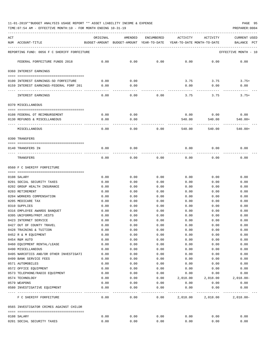| ACT | NUM ACCOUNT-TITLE                                  | ORIGINAL      | AMENDED<br>BUDGET-AMOUNT BUDGET-AMOUNT YEAR-TO-DATE | ENCUMBERED    | ACTIVITY<br>YEAR-TO-DATE MONTH-TO-DATE | ACTIVITY      | <b>CURRENT USED</b><br>BALANCE<br>PCT |
|-----|----------------------------------------------------|---------------|-----------------------------------------------------|---------------|----------------------------------------|---------------|---------------------------------------|
|     | REPORTING FUND: 0056 F C SHERIFF FORFEITURE        |               |                                                     |               |                                        |               | EFFECTIVE MONTH - 10                  |
|     | FEDERAL FORFEITURE FUNDS 2018                      | 0.00          | 0.00                                                | 0.00          | 0.00                                   | 0.00          | 0.00                                  |
|     | 0360 INTEREST EARNINGS                             |               |                                                     |               |                                        |               |                                       |
|     | 0100 INTEREST EARNINGS-SO FORFEITURE               | 0.00          | 0.00                                                |               | 3.75                                   | 3.75          | $3.75+$                               |
|     | 0159 INTEREST EARNINGS-FEDERAL FORF 201            | 0.00          | 0.00                                                |               | 0.00                                   | 0.00          | 0.00                                  |
|     | INTEREST EARNINGS                                  | 0.00          | 0.00                                                | 0.00          | 3.75                                   | 3.75          | $3.75+$                               |
|     | 0370 MISCELLANEOUS                                 |               |                                                     |               |                                        |               |                                       |
|     | 0108 FEDERAL OT REIMBURSEMENT                      | 0.00          | 0.00                                                |               | 0.00                                   | 0.00          | 0.00                                  |
|     | 0130 REFUNDS & MISCELLANEOUS                       | 0.00          | 0.00                                                |               | 540.00                                 | 540.00        | $540.00+$                             |
|     | MISCELLANEOUS                                      | 0.00          | 0.00                                                | 0.00          | 540.00                                 | 540.00        | $540.00+$                             |
|     | 0390 TRANSFERS                                     |               |                                                     |               |                                        |               |                                       |
|     |                                                    |               |                                                     |               |                                        |               |                                       |
|     | 0140 TRANSFERS IN                                  | 0.00          | 0.00                                                |               | 0.00                                   | 0.00          | 0.00                                  |
|     | TRANSFERS                                          | 0.00          | 0.00                                                | 0.00          | 0.00                                   | 0.00          | 0.00                                  |
|     | 0560 F C SHERIFF FORFEITURE                        |               |                                                     |               |                                        |               |                                       |
|     | 0108 SALARY                                        | 0.00          | 0.00                                                | 0.00          | 0.00                                   | 0.00          | 0.00                                  |
|     | 0201 SOCIAL SECURITY TAXES                         | 0.00          | 0.00                                                | 0.00          | 0.00                                   | 0.00          | 0.00                                  |
|     | 0202 GROUP HEALTH INSURANCE                        | 0.00          | 0.00                                                | 0.00          | 0.00                                   | 0.00          | 0.00                                  |
|     | 0203 RETIREMENT                                    | 0.00          | 0.00                                                | 0.00          | 0.00                                   | 0.00          | 0.00                                  |
|     | 0204 WORKERS COMPENSATION                          | 0.00          | 0.00                                                | 0.00          | 0.00                                   | 0.00          | 0.00                                  |
|     | 0205 MEDICARE TAX                                  | 0.00          | 0.00                                                | 0.00          | 0.00                                   | 0.00          | 0.00                                  |
|     | 0310 SUPPLIES                                      | 0.00          | 0.00                                                | 0.00          | 0.00                                   | 0.00          | 0.00                                  |
|     | 0316 EMPLOYEE AWARDS BANQUET                       | 0.00          | 0.00                                                | 0.00          | 0.00                                   | 0.00          | 0.00                                  |
|     | 0395 UNIFORMS/PROT.VESTS                           | 0.00          | 0.00                                                | 0.00          | 0.00                                   | 0.00          | 0.00                                  |
|     | 0423 INTERNET SERVICE                              | 0.00          | 0.00                                                | 0.00          | 0.00                                   | 0.00          | 0.00                                  |
|     | 0427 OUT OF COUNTY TRAVEL                          | 0.00          | 0.00                                                | 0.00          | 0.00                                   | 0.00          | 0.00                                  |
|     | 0428 TRAINING & TUITION                            | 0.00          | 0.00                                                | 0.00          | 0.00                                   | 0.00          | 0.00                                  |
|     | 0452 R & M EQUIPMENT                               | 0.00          | 0.00                                                | 0.00          | 0.00                                   | 0.00          | 0.00                                  |
|     | 0454 R&M AUTO                                      | 0.00          | 0.00                                                | 0.00          | 0.00                                   | 0.00          | 0.00                                  |
|     | 0460 EQUIPMENT RENTAL/LEASE                        | 0.00          | 0.00                                                | 0.00          | 0.00                                   | 0.00          | 0.00                                  |
|     | 0490 MISCELLANEOUS                                 | 0.00          | 0.00                                                | 0.00          | 0.00                                   | 0.00          | 0.00                                  |
|     | 0495 NARCOTICS AND/OR OTHER INVESTIGATI            | 0.00          | 0.00                                                | 0.00          | 0.00                                   | 0.00          | 0.00                                  |
|     | 0499 BANK SERVICE FEES                             | 0.00          | 0.00                                                | 0.00          | 0.00                                   | 0.00          | 0.00                                  |
|     | 0571 AUTOMOBILES                                   | 0.00          | 0.00                                                | 0.00          | 0.00                                   | 0.00          | 0.00                                  |
|     | 0572 OFFICE EQUIPMENT                              | 0.00          | 0.00                                                | 0.00          | 0.00                                   | 0.00          | 0.00                                  |
|     | 0573 TELEPHONE/RADIO EQUIPMENT                     | 0.00          | 0.00                                                | 0.00          | 0.00                                   | 0.00          | 0.00                                  |
|     | 0574 TECHNOLOGY                                    | 0.00          | 0.00                                                | 0.00          | 2,018.00                               | 2,018.00      | $2,018.00 -$                          |
|     | 0579 WEAPONS<br>0580 INVESTIGATIVE EQUIPMENT       | 0.00<br>0.00  | 0.00<br>0.00                                        | 0.00<br>0.00  | 0.00<br>0.00                           | 0.00<br>0.00  | 0.00<br>0.00                          |
|     | ---- -------------------<br>F C SHERIFF FORFEITURE | -----<br>0.00 | $- - - - -$<br>0.00                                 | -----<br>0.00 | ---------<br>2,018.00                  | .<br>2,018.00 | $2,018.00-$                           |
|     | 0565 INVESTIGATOR CRIMES AGAINST CHILDR            |               |                                                     |               |                                        |               |                                       |
|     |                                                    |               |                                                     |               |                                        |               |                                       |
|     | 0108 SALARY                                        | 0.00          | 0.00                                                | 0.00          | 0.00                                   | 0.00          | 0.00                                  |
|     | 0201 SOCIAL SECURITY TAXES                         | 0.00          | 0.00                                                | 0.00          | 0.00                                   | 0.00          | 0.00                                  |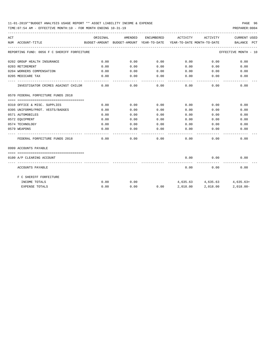| ACT | NUM ACCOUNT-TITLE                                   | ORIGINAL     | AMENDED |                    | ENCUMBERED ACTIVITY ACTIVITY |                             | CURRENT USED<br>BUDGET-AMOUNT BUDGET-AMOUNT YEAR-TO-DATE YEAR-TO-DATE MONTH-TO-DATE BALANCE PCT |
|-----|-----------------------------------------------------|--------------|---------|--------------------|------------------------------|-----------------------------|-------------------------------------------------------------------------------------------------|
|     | ---------------------------------                   |              |         |                    |                              |                             |                                                                                                 |
|     | REPORTING FUND: 0056 F C SHERIFF FORFEITURE         |              |         |                    |                              |                             | EFFECTIVE MONTH - 10                                                                            |
|     | 0202 GROUP HEALTH INSURANCE                         | 0.00         | 0.00    | 0.00               | $0.00$ 0.00                  |                             | 0.00                                                                                            |
|     | 0203 RETIREMENT                                     | 0.00         | 0.00    | 0.00               |                              | 0.00<br>0.00                | 0.00                                                                                            |
|     | 0204 WORKERS COMPENSATION                           | 0.00         | 0.00    | 0.00               | 0.00                         | 0.00                        | 0.00                                                                                            |
|     | 0205 MEDICARE TAX                                   | 0.00         | 0.00    | 0.00               | 0.00                         | 0.00                        | 0.00                                                                                            |
|     | INVESTIGATOR CRIMES AGAINST CHILDR 0.00             | ------------ | 0.00    | ----------<br>0.00 | $- - - - -$                  | . <u>.</u> .<br>$0.00$ 0.00 | 0.00                                                                                            |
|     | 0570 FEDERAL FORFEITURE FUNDS 2018                  |              |         |                    |                              |                             |                                                                                                 |
|     |                                                     |              |         |                    |                              |                             |                                                                                                 |
|     | 0310 OFFICE & MISC. SUPPLIES                        | 0.00         | 0.00    | 0.00               | 0.00                         | 0.00                        | 0.00                                                                                            |
|     | 0395 UNIFORMS/PROT. VESTS/BADGES                    | 0.00         | 0.00    | 0.00               | 0.00                         | 0.00                        | 0.00                                                                                            |
|     | 0571 AUTOMOBILES                                    | 0.00         | 0.00    | 0.00               | 0.00                         | 0.00                        | 0.00                                                                                            |
|     | 0572 EOUIPMENT                                      | 0.00         | 0.00    | 0.00               | 0.00                         | 0.00                        | 0.00                                                                                            |
|     | 0574 TECHNOLOGY                                     | 0.00         | 0.00    | 0.00               | 0.00                         | 0.00                        | 0.00                                                                                            |
|     | 0579 WEAPONS                                        | 0.00         | 0.00    | 0.00               | 0.00                         | 0.00                        | 0.00                                                                                            |
|     | FEDERAL FORFEITURE FUNDS 2018                       | 0.00         | 0.00    | 0.00               |                              | 0.00<br>0.00                | 0.00                                                                                            |
|     | 0999 ACCOUNTS PAYABLE                               |              |         |                    |                              |                             |                                                                                                 |
|     |                                                     |              |         |                    |                              |                             |                                                                                                 |
|     | 0100 A/P CLEARING ACCOUNT                           |              |         |                    | 0.00                         | 0.00                        | 0.00                                                                                            |
|     | ---------------- --------------<br>ACCOUNTS PAYABLE |              |         |                    | 0.00                         | ----------<br>0.00          | 0.00                                                                                            |
|     | F C SHERIFF FORFEITURE                              |              |         |                    |                              |                             |                                                                                                 |
|     | INCOME TOTALS                                       | 0.00         | 0.00    |                    |                              |                             | $4,635.63$ $4,635.63$ $4,635.63+$                                                               |
|     | <b>EXPENSE TOTALS</b>                               | 0.00         | 0.00    |                    | $0.00$ $2,018.00$ $2,018.00$ |                             | $2.018.00 -$                                                                                    |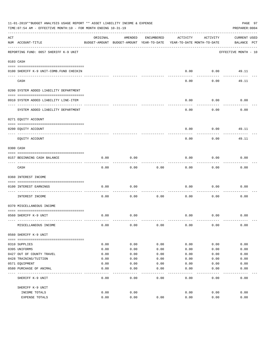|     | 11-01-2019**BUDGET ANALYSIS USAGE REPORT ** ASSET LIABILITY INCOME & EXPENSE<br>TIME: 07:54 AM - EFFECTIVE MONTH: 10 - FOR MONTH ENDING 10-31-19 |          |                                                     |              |                                        |          | PAGE 97<br>PREPARER: 0004   |
|-----|--------------------------------------------------------------------------------------------------------------------------------------------------|----------|-----------------------------------------------------|--------------|----------------------------------------|----------|-----------------------------|
| ACT | NUM ACCOUNT-TITLE                                                                                                                                | ORIGINAL | AMENDED<br>BUDGET-AMOUNT BUDGET-AMOUNT YEAR-TO-DATE | ENCUMBERED   | ACTIVITY<br>YEAR-TO-DATE MONTH-TO-DATE | ACTIVITY | CURRENT USED<br>BALANCE PCT |
|     | REPORTING FUND: 0057 SHERIFF K-9 UNIT                                                                                                            |          |                                                     |              |                                        |          | EFFECTIVE MONTH - 10        |
|     | 0103 CASH                                                                                                                                        |          |                                                     |              |                                        |          |                             |
|     |                                                                                                                                                  |          |                                                     |              |                                        |          |                             |
|     | 0100 SHERIFF K-9 UNIT-COMB. FUND CHECKIN                                                                                                         |          |                                                     |              | 0.00                                   | 0.00     | 49.11                       |
|     | CASH                                                                                                                                             |          |                                                     |              | 0.00                                   | 0.00     | 49.11                       |
|     | 0200 SYSTEM ADDED LIABILITY DEPARTMENT                                                                                                           |          |                                                     |              |                                        |          |                             |
|     | 0910 SYSTEM ADDED LIABILITY LINE-ITEM                                                                                                            |          |                                                     |              | 0.00                                   | 0.00     | 0.00                        |
|     | SYSTEM ADDED LIABILITY DEPARTMENT                                                                                                                |          |                                                     |              | 0.00                                   | 0.00     | 0.00                        |
|     | 0271 EQUITY ACCOUNT                                                                                                                              |          |                                                     |              |                                        |          |                             |
|     | 0200 EQUITY ACCOUNT                                                                                                                              |          |                                                     |              | 0.00                                   | 0.00     | 49.11                       |
|     | EQUITY ACCOUNT                                                                                                                                   |          |                                                     |              | 0.00                                   | 0.00     | 49.11                       |
|     | 0300 CASH                                                                                                                                        |          |                                                     |              |                                        |          |                             |
|     | 0157 BEGINNING CASH BALANCE                                                                                                                      | 0.00     | 0.00                                                |              | 0.00                                   | 0.00     | 0.00                        |
|     | CASH                                                                                                                                             | 0.00     | 0.00                                                | 0.00         | 0.00                                   | 0.00     | 0.00                        |
|     | 0360 INTEREST INCOME                                                                                                                             |          |                                                     |              |                                        |          |                             |
|     | 0100 INTEREST EARNINGS                                                                                                                           | 0.00     | 0.00                                                |              | 0.00                                   | 0.00     | 0.00                        |
|     | -----------------<br>INTEREST INCOME                                                                                                             | 0.00     | 0.00                                                | 0.00         | 0.00                                   | 0.00     | 0.00                        |
|     | 0370 MISCELLANEOUS INCOME                                                                                                                        |          |                                                     |              |                                        |          |                             |
|     |                                                                                                                                                  |          |                                                     |              |                                        |          |                             |
|     | 0560 SHERIFF K-9 UNIT                                                                                                                            | 0.00     | 0.00                                                |              | 0.00                                   | 0.00     | 0.00                        |
|     | MISCELLANEOUS INCOME                                                                                                                             | 0.00     | 0.00                                                | 0.00         | 0.00                                   | 0.00     | 0.00                        |
|     | 0560 SHERIFF K-9 UNIT                                                                                                                            |          |                                                     |              |                                        |          |                             |
|     | 0310 SUPPLIES                                                                                                                                    | 0.00     | 0.00                                                | 0.00         | 0.00                                   | 0.00     | 0.00                        |
|     | 0395 UNIFORMS                                                                                                                                    | 0.00     | 0.00                                                | 0.00         | 0.00                                   | 0.00     | 0.00                        |
|     | 0427 OUT OF COUNTY TRAVEL                                                                                                                        | 0.00     | 0.00                                                | 0.00         | 0.00                                   | 0.00     | 0.00                        |
|     | 0428 TRAINING/TUITION                                                                                                                            | 0.00     | 0.00                                                | 0.00         | 0.00                                   | 0.00     | 0.00                        |
|     | 0571 EQUIPMENT                                                                                                                                   | 0.00     | 0.00                                                | 0.00         | 0.00                                   | 0.00     | 0.00                        |
|     | 0580 PURCHASE OF ANIMAL                                                                                                                          | 0.00     | 0.00                                                | 0.00         | 0.00                                   | 0.00     | 0.00                        |
|     | SHERIFF K-9 UNIT                                                                                                                                 | 0.00     | ----<br>0.00                                        | ----<br>0.00 | 0.00                                   | 0.00     | 0.00                        |
|     | SHERIFF K-9 UNIT                                                                                                                                 |          |                                                     |              |                                        |          |                             |
|     | INCOME TOTALS                                                                                                                                    | 0.00     | 0.00                                                |              | 0.00                                   | 0.00     | 0.00                        |
|     | EXPENSE TOTALS                                                                                                                                   | 0.00     | 0.00                                                | 0.00         | 0.00                                   | 0.00     | 0.00                        |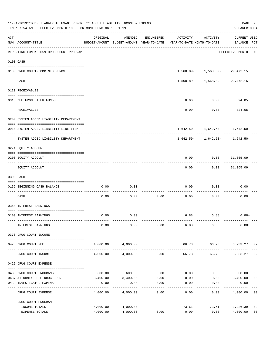|                    | 11-01-2019**BUDGET ANALYSIS USAGE REPORT ** ASSET LIABILITY INCOME & EXPENSE<br>TIME: 07:54 AM - EFFECTIVE MONTH: 10 - FOR MONTH ENDING 10-31-19 |                      |                      |                   |                                                                                 |                                    | PAGE 98<br>PREPARER: 0004          |                      |
|--------------------|--------------------------------------------------------------------------------------------------------------------------------------------------|----------------------|----------------------|-------------------|---------------------------------------------------------------------------------|------------------------------------|------------------------------------|----------------------|
| $\mathop{\rm ACT}$ | NUM ACCOUNT-TITLE                                                                                                                                | ORIGINAL             | AMENDED              | ENCUMBERED        | ACTIVITY<br>BUDGET-AMOUNT BUDGET-AMOUNT YEAR-TO-DATE YEAR-TO-DATE MONTH-TO-DATE | ACTIVITY                           | <b>CURRENT USED</b><br>BALANCE PCT |                      |
|                    | REPORTING FUND: 0059 DRUG COURT PROGRAM                                                                                                          |                      |                      |                   |                                                                                 |                                    | EFFECTIVE MONTH - 10               |                      |
|                    | 0103 CASH                                                                                                                                        |                      |                      |                   |                                                                                 |                                    |                                    |                      |
|                    | 0100 DRUG COURT-COMBINED FUNDS                                                                                                                   |                      |                      |                   |                                                                                 | $1,568.89 - 1,568.89 - 29,472.15$  |                                    |                      |
|                    | CASH                                                                                                                                             |                      |                      |                   |                                                                                 | $1,568.89 - 1,568.89 - 29,472.15$  |                                    |                      |
|                    | 0120 RECEIVABLES                                                                                                                                 |                      |                      |                   |                                                                                 |                                    |                                    |                      |
|                    | 0313 DUE FROM OTHER FUNDS                                                                                                                        |                      |                      |                   | 0.00                                                                            | $0.00$ 324.05                      |                                    |                      |
|                    | <b>RECEIVABLES</b>                                                                                                                               |                      |                      |                   | 0.00                                                                            | 0.00                               | . <u>.</u> .<br>324.05             |                      |
|                    | 0200 SYSTEM ADDED LIABILITY DEPARTMENT                                                                                                           |                      |                      |                   |                                                                                 |                                    |                                    |                      |
|                    | 0910 SYSTEM ADDED LIABILITY LINE-ITEM                                                                                                            |                      |                      |                   |                                                                                 | $1,642.50 - 1,642.50 - 1,642.50 -$ |                                    |                      |
|                    | ---- -----------------------------<br>SYSTEM ADDED LIABILITY DEPARTMENT                                                                          |                      |                      |                   |                                                                                 | $1,642.50 - 1,642.50 - 1,642.50 -$ |                                    |                      |
|                    | 0271 EQUITY ACCOUNT                                                                                                                              |                      |                      |                   |                                                                                 |                                    |                                    |                      |
|                    | 0200 EQUITY ACCOUNT                                                                                                                              |                      |                      |                   | 0.00                                                                            | $0.00$ $31,365.09$                 |                                    |                      |
|                    | EQUITY ACCOUNT                                                                                                                                   |                      |                      |                   | 0.00                                                                            |                                    | $0.00$ 31,365.09                   |                      |
|                    | 0300 CASH                                                                                                                                        |                      |                      |                   |                                                                                 |                                    |                                    |                      |
|                    | 0159 BEGINNING CASH BALANCE                                                                                                                      | 0.00                 | 0.00                 |                   | 0.00                                                                            | 0.00                               | 0.00                               |                      |
|                    | CASH                                                                                                                                             | 0.00                 | 0.00                 | ---------<br>0.00 | 0.00                                                                            | 0.00                               | 0.00                               |                      |
|                    | 0360 INTEREST EARNINGS                                                                                                                           |                      |                      |                   |                                                                                 |                                    |                                    |                      |
|                    | 0100 INTEREST EARNINGS                                                                                                                           | 0.00                 | 0.00                 |                   |                                                                                 | 6.88 6.88                          | $6.88+$                            |                      |
|                    | INTEREST EARNINGS                                                                                                                                | 0.00                 | 0.00                 | 0.00              | 6.88                                                                            | 6.88                               | $6.88+$                            |                      |
|                    | 0370 DRUG COURT INCOME                                                                                                                           |                      |                      |                   |                                                                                 |                                    |                                    |                      |
|                    | 0425 DRUG COURT FEE                                                                                                                              |                      | 4,000.00 4,000.00    |                   |                                                                                 | 66.73 66.73 3,933.27 02            |                                    |                      |
|                    | DRUG COURT INCOME                                                                                                                                | 4,000.00             | 4,000.00             | 0.00              | 66.73                                                                           | 66.73                              | 3,933.27                           | 02                   |
|                    | 0425 DRUG COURT EXPENSE                                                                                                                          |                      |                      |                   |                                                                                 |                                    |                                    |                      |
|                    | 0433 DRUG COURT PROGRAMS                                                                                                                         |                      | 600.00 600.00        | 0.00              | 0.00                                                                            |                                    | $0.00$ 600.00                      | 0 <sub>0</sub>       |
|                    | 0437 ATTORNEY FEES DRUG COURT                                                                                                                    |                      | 3,400.00 3,400.00    | 0.00              | 0.00                                                                            |                                    | $0.00$ $3,400.00$                  | 0 <sub>0</sub>       |
|                    | 0439 INVESTIGATOR EXPENSE                                                                                                                        | 0.00                 | 0.00                 | 0.00<br>.         | 0.00<br>$- - - - - -$                                                           | 0.00                               | 0.00                               |                      |
|                    | DRUG COURT EXPENSE                                                                                                                               | 4,000.00             | 4,000.00             | 0.00              | 0.00                                                                            | 0.00                               | 4,000.00 00                        |                      |
|                    | DRUG COURT PROGRAM                                                                                                                               |                      |                      |                   |                                                                                 |                                    |                                    |                      |
|                    | INCOME TOTALS<br>EXPENSE TOTALS                                                                                                                  | 4,000.00<br>4,000.00 | 4,000.00<br>4,000.00 | 0.00              | 73.61<br>0.00                                                                   | 73.61<br>0.00                      | 3,926.39<br>4,000.00               | 02<br>0 <sub>0</sub> |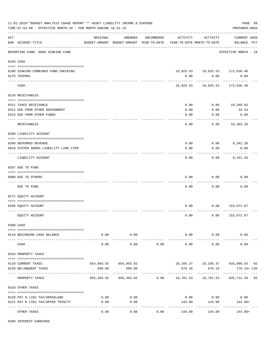|     | 11-01-2019**BUDGET ANALYSIS USAGE REPORT ** ASSET LIABILITY INCOME & EXPENSE<br>TIME: 07:54 AM - EFFECTIVE MONTH: 10 - FOR MONTH ENDING 10-31-19 |                    |                                                                                |            |                     |                                                              | PAGE 99<br>PREPARER: 0004          |  |
|-----|--------------------------------------------------------------------------------------------------------------------------------------------------|--------------------|--------------------------------------------------------------------------------|------------|---------------------|--------------------------------------------------------------|------------------------------------|--|
| ACT | NUM ACCOUNT-TITLE                                                                                                                                | ORIGINAL           | AMENDED<br>BUDGET-AMOUNT BUDGET-AMOUNT YEAR-TO-DATE YEAR-TO-DATE MONTH-TO-DATE | ENCUMBERED | ACTIVITY            | ACTIVITY                                                     | <b>CURRENT USED</b><br>BALANCE PCT |  |
|     | REPORTING FUND: 0060 SINKING FUND                                                                                                                |                    |                                                                                |            |                     |                                                              | EFFECTIVE MONTH - 10               |  |
|     | 0103 CASH                                                                                                                                        |                    |                                                                                |            |                     |                                                              |                                    |  |
|     | 0100 SINKING-COMBINED FUND CHECKING                                                                                                              |                    |                                                                                |            |                     | 19,925.53 19,925.53 172,636.40                               |                                    |  |
|     | 0175 TEXPOOL                                                                                                                                     |                    |                                                                                |            | 0.00                | 0.00                                                         | 0.00                               |  |
|     | CASH                                                                                                                                             |                    |                                                                                |            | 19,925.53           | 19,925.53                                                    | 172,636.40                         |  |
|     | 0120 RECEIVABLES                                                                                                                                 |                    |                                                                                |            |                     |                                                              |                                    |  |
|     | 0311 TAXES RECEIVABLE                                                                                                                            |                    |                                                                                |            | 0.00                | 0.00                                                         | 10,269.92                          |  |
|     | 0312 DUE FROM OTHER GOVERNMENT                                                                                                                   |                    |                                                                                |            | 0.00                | 0.00                                                         | 33.34                              |  |
|     | 0313 DUE FROM OTHER FUNDS                                                                                                                        |                    |                                                                                |            | 0.00                | 0.00                                                         | 0.00                               |  |
|     | RECEIVABLES                                                                                                                                      |                    |                                                                                |            | 0.00                | 0.00                                                         | . <u>.</u> .<br>10,303.26          |  |
|     |                                                                                                                                                  |                    |                                                                                |            |                     |                                                              |                                    |  |
|     | 0200 LIABILITY ACCOUNT                                                                                                                           |                    |                                                                                |            |                     |                                                              |                                    |  |
|     | 0200 DEFERRED REVENUE                                                                                                                            |                    |                                                                                |            | 0.00                | 0.00                                                         | 9,341.26                           |  |
|     | 0910 SYSTEM ADDED LIABILITY LINE-ITEM                                                                                                            |                    |                                                                                |            | 0.00                | 0.00                                                         | 0.00                               |  |
|     | LIABILITY ACCOUNT                                                                                                                                |                    |                                                                                |            | 0.00                | 0.00                                                         | 9,341.26                           |  |
|     | 0207 DUE TO FUND                                                                                                                                 |                    |                                                                                |            |                     |                                                              |                                    |  |
|     | 0990 DUE TO OTHERS                                                                                                                               |                    |                                                                                |            | 0.00                | 0.00                                                         | 0.00                               |  |
|     | DUE TO FUND                                                                                                                                      |                    |                                                                                |            | 0.00                | 0.00                                                         | 0.00                               |  |
|     |                                                                                                                                                  |                    |                                                                                |            |                     |                                                              |                                    |  |
|     | 0271 EQUITY ACCOUNT                                                                                                                              |                    |                                                                                |            |                     |                                                              |                                    |  |
|     | 0200 EQUITY ACCOUNT                                                                                                                              |                    |                                                                                |            | 0.00                | 0.00                                                         | 153,672.87                         |  |
|     |                                                                                                                                                  |                    |                                                                                |            |                     |                                                              |                                    |  |
|     | EQUITY ACCOUNT                                                                                                                                   |                    |                                                                                |            | 0.00                | 0.00                                                         | 153,672.87                         |  |
|     | 0300 CASH                                                                                                                                        |                    |                                                                                |            |                     |                                                              |                                    |  |
|     | 0110 BEGINNING CASH BALANCE                                                                                                                      | 0.00               | 0.00                                                                           |            |                     | $0.00$ 0.00                                                  | 0.00                               |  |
|     | CASH                                                                                                                                             | ----------<br>0.00 | ----------<br>0.00                                                             | 0.00       | -----------<br>0.00 | ----------<br>0.00                                           | 0.00                               |  |
|     | 0310 PROPERTY TAXES                                                                                                                              |                    |                                                                                |            |                     |                                                              |                                    |  |
|     |                                                                                                                                                  |                    |                                                                                |            |                     |                                                              |                                    |  |
|     | 0110 CURRENT TAXES<br>0120 DELINQUENT TAXES                                                                                                      | 500.00             | 854,993.92 854,993.92<br>500.00                                                |            | 676.16              | 19,105.37  19,105.37  835,888.55  02<br>676.16               | 176.16+ 135                        |  |
|     |                                                                                                                                                  |                    |                                                                                |            |                     | ----------                                                   |                                    |  |
|     | PROPERTY TAXES                                                                                                                                   |                    |                                                                                |            |                     | 855,493.92 855,493.92 0.00 19,781.53 19,781.53 835,712.39 02 |                                    |  |
|     | 0318 OTHER TAXES                                                                                                                                 |                    |                                                                                |            |                     |                                                              |                                    |  |
|     | 0120 PAY N LIEU TAX/GRASSLAND                                                                                                                    | 0.00               | 0.00                                                                           |            |                     | $0.00$ 0.00                                                  | 0.00                               |  |
|     | 0121 PAY N LIEU TAX/UPPER TRINITY                                                                                                                | 0.00               | 0.00                                                                           |            | 144.00              | 144.00                                                       | 144.00+                            |  |
|     |                                                                                                                                                  | ----------         | . <u>.</u>                                                                     |            | -------------       | ------------                                                 | . <u>.</u>                         |  |
|     | OTHER TAXES                                                                                                                                      | 0.00               | 0.00                                                                           | 0.00       | 144.00              | 144.00                                                       | 144.00+                            |  |

0360 INTEREST EARNINGS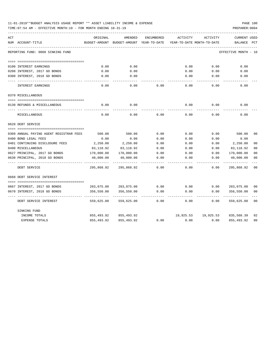| 11-01-2019**BUDGET ANALYSIS USAGE REPORT ** ASSET LIABILITY INCOME & EXPENSE |  |  |  |  |  | PAGE 100 |  |
|------------------------------------------------------------------------------|--|--|--|--|--|----------|--|
|                                                                              |  |  |  |  |  |          |  |

| ACT                                     | ORIGINAL      | AMENDED                    | ENCUMBERED | ACTIVITY  | ACTIVITY                   | <b>CURRENT USED</b>  |                |
|-----------------------------------------|---------------|----------------------------|------------|-----------|----------------------------|----------------------|----------------|
| NUM ACCOUNT-TITLE                       | BUDGET-AMOUNT | BUDGET-AMOUNT YEAR-TO-DATE |            |           | YEAR-TO-DATE MONTH-TO-DATE | BALANCE              | PCT            |
|                                         |               |                            |            |           |                            |                      |                |
| REPORTING FUND: 0060 SINKING FUND       |               |                            |            |           |                            | EFFECTIVE MONTH - 10 |                |
|                                         |               |                            |            |           |                            |                      |                |
| 0100 INTEREST EARNINGS                  | 0.00          | 0.00                       |            | 0.00      | 0.00                       | 0.00                 |                |
| 0200 INTEREST, 2017 GO BONDS            | 0.00          | 0.00                       |            | 0.00      | 0.00                       | 0.00                 |                |
| 0300 INTEREST, 2018 GO BONDS            | 0.00          | 0.00                       |            | 0.00      | 0.00                       | 0.00                 |                |
|                                         |               |                            |            |           |                            |                      |                |
| INTEREST EARNINGS                       | 0.00          | 0.00                       | 0.00       | 0.00      | 0.00                       | 0.00                 |                |
| 0370 MISCELLANEOUS                      |               |                            |            |           |                            |                      |                |
|                                         |               |                            |            |           |                            |                      |                |
| 0130 REFUNDS & MISCELLANEOUS            | 0.00          | 0.00                       |            | 0.00      | 0.00                       | 0.00                 |                |
|                                         |               |                            |            |           |                            |                      |                |
| MISCELLANEOUS                           | 0.00          | 0.00                       | 0.00       | 0.00      | 0.00                       | 0.00                 |                |
| 0620 DEBT SERVICE                       |               |                            |            |           |                            |                      |                |
|                                         |               |                            |            |           |                            |                      |                |
| 0309 ANNUAL PAYING AGENT REGISTRAR FEES | 500.00        | 500.00                     | 0.00       | 0.00      | 0.00                       | 500.00               | 0 <sup>0</sup> |
| 0400 BOND LEGAL FEES                    | 0.00          | 0.00                       | 0.00       | 0.00      | 0.00                       | 0.00                 |                |
| 0401 CONTINUING DISCLOSURE FEES         | 2,250.00      | 2,250.00                   | 0.00       | 0.00      | 0.00                       | 2,250.00             | 0 <sub>0</sub> |
| 0490 MISCELLANEOUS                      | 83,118.92     | 83,118.92                  | 0.00       | 0.00      | 0.00                       | 83,118.92            | 00             |
| 0627 PRINCIPAL, 2017 GO BONDS           | 170,000.00    | 170,000.00                 | 0.00       | 0.00      | 0.00                       | 170,000.00           | 0 <sub>0</sub> |
| 0630 PRINCIPAL, 2018 GO BONDS           | 40,000.00     | 40,000.00                  | 0.00       | 0.00      | 0.00                       | 40,000.00            | 00             |
| DEBT SERVICE                            | 295,868.92    | 295,868.92                 | 0.00       | 0.00      | 0.00                       | 295,868.92           | 0 <sub>0</sub> |
|                                         |               |                            |            |           |                            |                      |                |
| 0660 DEBT SERVICE INTEREST              |               |                            |            |           |                            |                      |                |
|                                         |               |                            |            |           |                            |                      |                |
| 0667 INTEREST, 2017 GO BONDS            | 203,075.00    | 203,075.00                 | 0.00       | 0.00      | 0.00                       | 203,075.00           | 0 <sub>0</sub> |
| 0670 INTEREST, 2018 GO BONDS            | 356,550.00    | 356,550.00                 | 0.00       | 0.00      | 0.00                       | 356,550.00           | 0 <sup>0</sup> |
| DEBT SERVICE INTEREST                   | 559,625.00    | 559,625.00                 | 0.00       | 0.00      | 0.00                       | 559,625.00           | 00             |
| SINKING FUND                            |               |                            |            |           |                            |                      |                |
| INCOME TOTALS                           | 855,493.92    | 855,493.92                 |            | 19,925.53 | 19,925.53                  | 835,568.39           | 02             |
| EXPENSE TOTALS                          | 855,493.92    | 855, 493.92                | 0.00       | 0.00      | 0.00                       | 855, 493.92          | 0 <sub>0</sub> |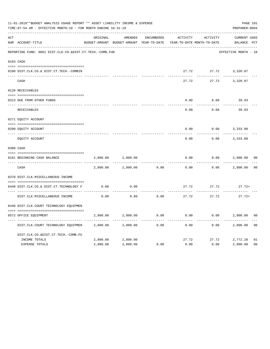|     | 11-01-2019**BUDGET ANALYSIS USAGE REPORT ** ASSET LIABILITY INCOME & EXPENSE<br>TIME: 07:54 AM - EFFECTIVE MONTH: 10 - FOR MONTH ENDING 10-31-19 |          |                                                     |            |          |                                        | PAGE 101<br>PREPARER: 0004         |                |
|-----|--------------------------------------------------------------------------------------------------------------------------------------------------|----------|-----------------------------------------------------|------------|----------|----------------------------------------|------------------------------------|----------------|
| ACT | NUM ACCOUNT-TITLE                                                                                                                                | ORIGINAL | AMENDED<br>BUDGET-AMOUNT BUDGET-AMOUNT YEAR-TO-DATE | ENCUMBERED | ACTIVITY | ACTIVITY<br>YEAR-TO-DATE MONTH-TO-DATE | <b>CURRENT USED</b><br>BALANCE PCT |                |
|     | REPORTING FUND: 0061 DIST.CLK.CO.&DIST.CT.TECH.-COMB.FUN                                                                                         |          |                                                     |            |          |                                        | EFFECTIVE MONTH - 10               |                |
|     | 0103 CASH                                                                                                                                        |          |                                                     |            |          |                                        |                                    |                |
|     | 0100 DIST.CLK.CO.& DIST.CT.TECH.-COMBIN                                                                                                          |          |                                                     |            |          |                                        | 27.72 27.72 3,320.87               |                |
|     | CASH                                                                                                                                             |          |                                                     |            | 27.72    | 27.72                                  | 3,320.87                           |                |
|     | 0120 RECEIVABLES                                                                                                                                 |          |                                                     |            |          |                                        |                                    |                |
|     | 0313 DUE FROM OTHER FUNDS                                                                                                                        |          |                                                     |            | 0.00     | 0.00                                   | 39.93                              |                |
|     | RECEIVABLES                                                                                                                                      |          |                                                     |            | 0.00     | 0.00                                   | 39.93                              |                |
|     | 0271 EQUITY ACCOUNT                                                                                                                              |          |                                                     |            |          |                                        |                                    |                |
|     | 0200 EQUITY ACCOUNT                                                                                                                              |          |                                                     |            | 0.00     | 0.00                                   | 3,333.08                           |                |
|     | __________________<br>EQUITY ACCOUNT                                                                                                             |          |                                                     |            | 0.00     | 0.00                                   | 3,333.08                           |                |
|     | 0300 CASH                                                                                                                                        |          |                                                     |            |          |                                        |                                    |                |
|     | 0161 BEGINNING CASH BALANCE                                                                                                                      | 2,800.00 | 2,800.00                                            |            | 0.00     | 0.00                                   | 2,800.00                           | 0 <sup>0</sup> |
|     | CASH                                                                                                                                             | 2,800.00 | 2,800.00                                            | 0.00       | 0.00     | 0.00                                   | 2,800.00                           | 0 <sub>0</sub> |
|     | 0370 DIST.CLK.MISCELLANEOUS INCOME                                                                                                               |          |                                                     |            |          |                                        |                                    |                |
|     | 0440 DIST.CLK.CO.& DIST.CT.TECHNOLOGY F                                                                                                          | 0.00     | 0.00                                                |            | 27.72    | 27.72                                  | $27.72+$                           |                |
|     | DIST.CLK.MISCELLANEOUS INCOME                                                                                                                    | 0.00     | 0.00                                                | 0.00       | 27.72    | 27.72                                  | $27.72+$                           |                |
|     | 0440 DIST.CLK.COURT TECHNOLOGY EQUIPMEN                                                                                                          |          |                                                     |            |          |                                        |                                    |                |
|     | 0572 OFFICE EQUIPMENT                                                                                                                            | 2,800.00 | 2,800.00                                            | 0.00       | 0.00     |                                        | 0.00<br>2,800.00                   | 0 <sub>0</sub> |
|     | DIST.CLK.COURT TECHNOLOGY EQUIPMEN                                                                                                               | 2,800.00 | 2,800.00                                            | 0.00       | 0.00     | 0.00                                   | 2,800.00                           | 0 <sub>0</sub> |
|     | DIST.CLK.CO.&DIST.CT.TECH.-COMB.FU                                                                                                               |          |                                                     |            |          |                                        |                                    |                |
|     | INCOME TOTALS                                                                                                                                    | 2,800.00 | 2,800.00                                            |            | 27.72    | 27.72                                  | 2,772.28                           | 01             |
|     | <b>EXPENSE TOTALS</b>                                                                                                                            | 2,800.00 | 2,800.00                                            | 0.00       | 0.00     | 0.00                                   | 2,800.00                           | 0 <sub>0</sub> |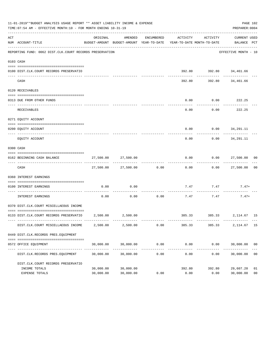|     | 11-01-2019**BUDGET ANALYSIS USAGE REPORT ** ASSET LIABILITY INCOME & EXPENSE<br>TIME: 07:54 AM - EFFECTIVE MONTH: 10 - FOR MONTH ENDING 10-31-19 |                        |                                                                                            |            |                       |                                           | PAGE 102<br>PREPARER: 0004              |                      |
|-----|--------------------------------------------------------------------------------------------------------------------------------------------------|------------------------|--------------------------------------------------------------------------------------------|------------|-----------------------|-------------------------------------------|-----------------------------------------|----------------------|
| ACT | NUM ACCOUNT-TITLE                                                                                                                                | ORIGINAL               | AMENDED<br>BUDGET-AMOUNT BUDGET-AMOUNT YEAR-TO-DATE YEAR-TO-DATE MONTH-TO-DATE BALANCE PCT | ENCUMBERED | ACTIVITY              | ACTIVITY                                  | CURRENT USED                            |                      |
|     | REPORTING FUND: 0062 DIST.CLK.COURT RECORDS PRESERVATION                                                                                         |                        |                                                                                            |            |                       |                                           | EFFECTIVE MONTH - 10                    |                      |
|     | 0103 CASH                                                                                                                                        |                        |                                                                                            |            |                       |                                           |                                         |                      |
|     | 0100 DIST.CLK.COURT RECORDS PRESERVATIO                                                                                                          |                        |                                                                                            |            |                       | 392.80 392.80 34,461.66                   |                                         |                      |
|     | CASH                                                                                                                                             |                        |                                                                                            |            |                       | ------------ -<br>392.80 392.80 34,461.66 | --------                                |                      |
|     | 0120 RECEIVABLES                                                                                                                                 |                        |                                                                                            |            |                       |                                           |                                         |                      |
|     | 0313 DUE FROM OTHER FUNDS                                                                                                                        |                        |                                                                                            |            | 0.00                  | $0.00$ 222.25                             |                                         |                      |
|     | RECEIVABLES                                                                                                                                      |                        |                                                                                            |            | 0.00                  | 0.00                                      | . <u>.</u> .<br>222.25                  |                      |
|     | 0271 EQUITY ACCOUNT                                                                                                                              |                        |                                                                                            |            |                       |                                           |                                         |                      |
|     | 0200 EQUITY ACCOUNT                                                                                                                              |                        |                                                                                            |            | 0.00                  | $0.00$ $34,291.11$                        |                                         |                      |
|     | EQUITY ACCOUNT                                                                                                                                   |                        |                                                                                            |            | 0.00                  |                                           | -----------<br>$0.00$ 34,291.11         |                      |
|     | 0300 CASH                                                                                                                                        |                        |                                                                                            |            |                       |                                           |                                         |                      |
|     | 0162 BEGINNING CASH BALANCE                                                                                                                      |                        | 27,500.00 27,500.00                                                                        |            |                       | $0.00$ $0.00$ $27,500.00$ 00              |                                         |                      |
|     | CASH                                                                                                                                             |                        | 27,500.00 27,500.00 0.00                                                                   |            | 0.00                  |                                           | . <u>.</u><br>0.00 27,500.00            | 0 <sub>0</sub>       |
|     | 0360 INTEREST EARNINGS                                                                                                                           |                        |                                                                                            |            |                       |                                           |                                         |                      |
|     | 0100 INTEREST EARNINGS                                                                                                                           | 0.00                   | 0.00                                                                                       |            |                       | $7.47$ $7.47$ $7.47+$                     |                                         |                      |
|     | INTEREST EARNINGS                                                                                                                                | 0.00                   | 0.00                                                                                       | 0.00       | 7.47                  | -----------<br>7.47                       | $7.47+$                                 |                      |
|     | 0370 DIST.CLK.COURT MISCELLAEOUS INCOME                                                                                                          |                        |                                                                                            |            |                       |                                           |                                         |                      |
|     | 0133 DIST.CLK.COURT RECORDS PRESERVATIO 2,500.00 2,500.00                                                                                        |                        |                                                                                            |            |                       | 385.33 385.33 2,114.67 15                 |                                         |                      |
|     | DIST.CLK.COURT MISCELLAEOUS INCOME                                                                                                               | 2,500.00               | 2,500.00                                                                                   | 0.00       | 385.33                | 385.33                                    | 2, 114.67 15                            |                      |
|     | 0449 DIST.CLK.RECORDS PRES.EQUIPMENT                                                                                                             |                        |                                                                                            |            |                       |                                           |                                         |                      |
|     | 0572 OFFICE EQUIPMENT                                                                                                                            | 30,000.00              | 30,000.00                                                                                  | 0.00       | 0.00                  | 0.00                                      | 30,000.00 00                            |                      |
|     | DIST.CLK.RECORDS PRES.EQUIPMENT                                                                                                                  | 30,000.00              | 30,000.00                                                                                  | 0.00       | -------------<br>0.00 | 0.00                                      | ------------ -------------<br>30,000.00 | 0 <sub>0</sub>       |
|     | DIST.CLK.COURT RECORDS PRESERVATIO                                                                                                               |                        |                                                                                            |            |                       |                                           |                                         |                      |
|     |                                                                                                                                                  |                        |                                                                                            |            |                       |                                           |                                         | 01<br>0 <sub>0</sub> |
|     | INCOME TOTALS<br>EXPENSE TOTALS                                                                                                                  | 30,000.00<br>30,000.00 | 30,000.00<br>30,000.00                                                                     | 0.00       | 392.80<br>0.00        | 392.80<br>0.00                            | 29,607.20<br>30,000.00                  |                      |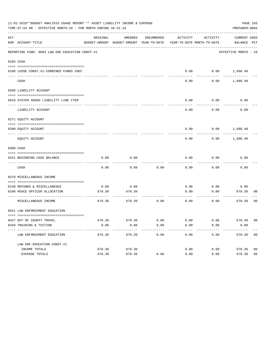|     | 11-01-2019**BUDGET ANALYSIS USAGE REPORT ** ASSET LIABILITY INCOME & EXPENSE<br>PAGE 103<br>TIME: 07:54 AM - EFFECTIVE MONTH: 10 - FOR MONTH ENDING 10-31-19<br>PREPARER: 0004 |          |                                                     |            |                                        |                           |                             |                |  |  |  |  |  |
|-----|--------------------------------------------------------------------------------------------------------------------------------------------------------------------------------|----------|-----------------------------------------------------|------------|----------------------------------------|---------------------------|-----------------------------|----------------|--|--|--|--|--|
| ACT | NUM ACCOUNT-TITLE                                                                                                                                                              | ORIGINAL | AMENDED<br>BUDGET-AMOUNT BUDGET-AMOUNT YEAR-TO-DATE | ENCUMBERED | ACTIVITY<br>YEAR-TO-DATE MONTH-TO-DATE | ACTIVITY                  | CURRENT USED<br>BALANCE PCT |                |  |  |  |  |  |
|     | REPORTING FUND: 0063 LAW ENF. EDUCATION CONST.#1                                                                                                                               |          |                                                     |            |                                        |                           | EFFECTIVE MONTH - 10        |                |  |  |  |  |  |
|     | 0103 CASH                                                                                                                                                                      |          |                                                     |            |                                        |                           |                             |                |  |  |  |  |  |
|     | 0100 LEOSE CONST.#1-COMBINED FUNDS CHEC                                                                                                                                        |          |                                                     |            |                                        |                           | $0.00$ $0.00$ $1,688.40$    |                |  |  |  |  |  |
|     | CASH                                                                                                                                                                           |          |                                                     |            | 0.00                                   | 0.00                      | 1,688.40                    |                |  |  |  |  |  |
|     | 0200 LIABILITY ACCOUNT                                                                                                                                                         |          |                                                     |            |                                        |                           |                             |                |  |  |  |  |  |
|     | 0910 SYSTEM ADDED LIABILITY LINE ITEM                                                                                                                                          |          |                                                     |            | 0.00                                   | 0.00                      | 0.00                        |                |  |  |  |  |  |
|     | LIABILITY ACCOUNT                                                                                                                                                              |          |                                                     |            | 0.00                                   | 0.00                      | 0.00                        |                |  |  |  |  |  |
|     | 0271 EQUITY ACCOUNT                                                                                                                                                            |          |                                                     |            |                                        |                           |                             |                |  |  |  |  |  |
|     | 0200 EQUITY ACCOUNT                                                                                                                                                            |          |                                                     |            |                                        |                           | $0.00$ $0.00$ $1,688.40$    |                |  |  |  |  |  |
|     | EQUITY ACCOUNT                                                                                                                                                                 |          |                                                     |            | 0.00                                   | 0.00                      | 1,688.40                    |                |  |  |  |  |  |
|     | 0300 CASH                                                                                                                                                                      |          |                                                     |            |                                        |                           |                             |                |  |  |  |  |  |
|     | 0151 BEGINNING CASH BALANCE                                                                                                                                                    | 0.00     | 0.00                                                |            | 0.00                                   | 0.00                      | 0.00                        |                |  |  |  |  |  |
|     |                                                                                                                                                                                |          |                                                     |            |                                        |                           |                             |                |  |  |  |  |  |
|     | CASH                                                                                                                                                                           | 0.00     | 0.00                                                | 0.00       | 0.00                                   | 0.00                      | 0.00                        |                |  |  |  |  |  |
|     | 0370 MISCELLANEOUS INCOME                                                                                                                                                      |          |                                                     |            |                                        |                           |                             |                |  |  |  |  |  |
|     | 0130 REFUNDS & MISCELLANEOUS                                                                                                                                                   | 0.00     | 0.00                                                |            | 0.00                                   | 0.00                      | 0.00                        |                |  |  |  |  |  |
|     | 0160 PEACE OFFICER ALLOCATION                                                                                                                                                  | 678.30   | 678.30                                              |            | 0.00                                   | 0.00                      | 678.30                      | 00             |  |  |  |  |  |
|     | MISCELLANEOUS INCOME                                                                                                                                                           | 678.30   | 678.30                                              | 0.00       | -------------<br>0.00                  | $- - - - - - - -$<br>0.00 | ---------<br>678.30         | 0 <sub>0</sub> |  |  |  |  |  |
|     | 0551 LAW ENFORCEMENT EDUCATION                                                                                                                                                 |          |                                                     |            |                                        |                           |                             |                |  |  |  |  |  |
|     | 0427 OUT OF COUNTY TRAVEL                                                                                                                                                      | 678.30   | 678.30                                              | 0.00       | 0.00                                   | 0.00                      | 678.30 00                   |                |  |  |  |  |  |
|     | 0428 TRAINING & TUITION                                                                                                                                                        | 0.00     | 0.00                                                | 0.00       | 0.00                                   | 0.00                      | 0.00                        |                |  |  |  |  |  |
|     | ---------------------------<br>LAW ENFORCEMENT EDUCATION                                                                                                                       | 678.30   | 678.30                                              | 0.00       | 0.00                                   | 0.00                      | 678.30 00                   |                |  |  |  |  |  |
|     | LAW ENF. EDUCATION CONST. #1                                                                                                                                                   |          |                                                     |            |                                        |                           |                             |                |  |  |  |  |  |
|     | INCOME TOTALS                                                                                                                                                                  | 678.30   | 678.30                                              |            | 0.00                                   | 0.00                      | 678.30                      | 0 <sub>0</sub> |  |  |  |  |  |
|     | EXPENSE TOTALS                                                                                                                                                                 | 678.30   | 678.30                                              | 0.00       | 0.00                                   | 0.00                      | 678.30                      | 0 <sub>0</sub> |  |  |  |  |  |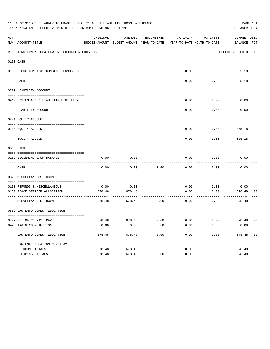|     | 11-01-2019**BUDGET ANALYSIS USAGE REPORT ** ASSET LIABILITY INCOME & EXPENSE<br>PAGE 104<br>TIME: 07:54 AM - EFFECTIVE MONTH: 10 - FOR MONTH ENDING 10-31-19<br>PREPARER: 0004 |                |                                                                                |              |              |              |                             |                |  |  |  |  |  |
|-----|--------------------------------------------------------------------------------------------------------------------------------------------------------------------------------|----------------|--------------------------------------------------------------------------------|--------------|--------------|--------------|-----------------------------|----------------|--|--|--|--|--|
| ACT | NUM ACCOUNT-TITLE                                                                                                                                                              | ORIGINAL       | AMENDED<br>BUDGET-AMOUNT BUDGET-AMOUNT YEAR-TO-DATE YEAR-TO-DATE MONTH-TO-DATE | ENCUMBERED   | ACTIVITY     | ACTIVITY     | CURRENT USED<br>BALANCE PCT |                |  |  |  |  |  |
|     | REPORTING FUND: 0064 LAW ENF. EDUCATION CONST. #2                                                                                                                              |                |                                                                                |              |              |              | EFFECTIVE MONTH - 10        |                |  |  |  |  |  |
|     | 0103 CASH                                                                                                                                                                      |                |                                                                                |              |              |              |                             |                |  |  |  |  |  |
|     | 0100 LEOSE CONST.#2-COMBINED FUNDS CHEC                                                                                                                                        |                |                                                                                |              | 0.00         | 0.00         | 355.18                      |                |  |  |  |  |  |
|     | CASH                                                                                                                                                                           |                |                                                                                |              | 0.00         | 0.00         | 355.18                      |                |  |  |  |  |  |
|     | 0200 LIABILITY ACCOUNT                                                                                                                                                         |                |                                                                                |              |              |              |                             |                |  |  |  |  |  |
|     | 0910 SYSTEM ADDED LIABILITY LINE ITEM                                                                                                                                          |                |                                                                                |              | 0.00         | 0.00         | 0.00                        |                |  |  |  |  |  |
|     | LIABILITY ACCOUNT                                                                                                                                                              |                |                                                                                |              | 0.00         | 0.00         | 0.00                        |                |  |  |  |  |  |
|     | 0271 EQUITY ACCOUNT                                                                                                                                                            |                |                                                                                |              |              |              |                             |                |  |  |  |  |  |
|     | 0200 EOUITY ACCOUNT                                                                                                                                                            |                |                                                                                |              | 0.00         | 0.00         | 355.18                      |                |  |  |  |  |  |
|     | EQUITY ACCOUNT                                                                                                                                                                 |                |                                                                                |              | 0.00         | 0.00         | 355.18                      |                |  |  |  |  |  |
|     | 0300 CASH                                                                                                                                                                      |                |                                                                                |              |              |              |                             |                |  |  |  |  |  |
|     | 0152 BEGINNING CASH BALANCE                                                                                                                                                    | 0.00           | 0.00                                                                           |              | 0.00         | 0.00         | 0.00                        |                |  |  |  |  |  |
|     | CASH                                                                                                                                                                           | 0.00           | 0.00                                                                           | 0.00         | 0.00         | 0.00         | 0.00                        |                |  |  |  |  |  |
|     | 0370 MISCELLANEOUS INCOME                                                                                                                                                      |                |                                                                                |              |              |              |                             |                |  |  |  |  |  |
|     | 0130 REFUNDS & MISCELLANEOUS                                                                                                                                                   | 0.00           | 0.00                                                                           |              |              |              |                             |                |  |  |  |  |  |
|     | 0160 PEACE OFFICER ALLOCATION                                                                                                                                                  | 678.48         | 678.48                                                                         |              | 0.00<br>0.00 | 0.00<br>0.00 | 0.00<br>678.48              | 00             |  |  |  |  |  |
|     | ----------------- --<br>MISCELLANEOUS INCOME                                                                                                                                   | 678.48         | ---------<br>678.48                                                            | 0.00         | 0.00         | 0.00         | ---------<br>678.48         | 00             |  |  |  |  |  |
|     | 0552 LAW ENFORCEMENT EDUCATION                                                                                                                                                 |                |                                                                                |              |              |              |                             |                |  |  |  |  |  |
|     |                                                                                                                                                                                |                |                                                                                |              |              |              |                             |                |  |  |  |  |  |
|     | 0427 OUT OF COUNTY TRAVEL<br>0428 TRAINING & TUITION                                                                                                                           | 678.48<br>0.00 | 678.48<br>0.00                                                                 | 0.00<br>0.00 | 0.00<br>0.00 | 0.00<br>0.00 | 678.48 00<br>0.00           |                |  |  |  |  |  |
|     | -----------------------------<br>LAW ENFORCEMENT EDUCATION                                                                                                                     | 678.48         | $- - - - - - - -$<br>678.48                                                    | 0.00         | 0.00         | 0.00         | 678.48 00                   |                |  |  |  |  |  |
|     | LAW ENF. EDUCATION CONST. #2                                                                                                                                                   |                |                                                                                |              |              |              |                             |                |  |  |  |  |  |
|     | INCOME TOTALS                                                                                                                                                                  | 678.48         | 678.48                                                                         |              | 0.00         | 0.00         | 678.48                      | 0 <sub>0</sub> |  |  |  |  |  |
|     | EXPENSE TOTALS                                                                                                                                                                 | 678.48         | 678.48                                                                         | 0.00         | 0.00         | 0.00         | 678.48                      | 0 <sub>0</sub> |  |  |  |  |  |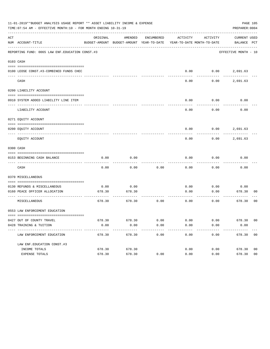| 11-01-2019**BUDGET ANALYSIS USAGE REPORT ** ASSET LIABILITY INCOME & EXPENSE<br>PAGE 105<br>TIME: 07:54 AM - EFFECTIVE MONTH: 10 - FOR MONTH ENDING 10-31-19<br>PREPARER: 0004 |                                                               |                |                                                                                |            |              |              |                             |                |
|--------------------------------------------------------------------------------------------------------------------------------------------------------------------------------|---------------------------------------------------------------|----------------|--------------------------------------------------------------------------------|------------|--------------|--------------|-----------------------------|----------------|
| ACT                                                                                                                                                                            | NUM ACCOUNT-TITLE                                             | ORIGINAL       | AMENDED<br>BUDGET-AMOUNT BUDGET-AMOUNT YEAR-TO-DATE YEAR-TO-DATE MONTH-TO-DATE | ENCUMBERED | ACTIVITY     | ACTIVITY     | CURRENT USED<br>BALANCE PCT |                |
|                                                                                                                                                                                | REPORTING FUND: 0065 LAW ENF. EDUCATION CONST.#3              |                |                                                                                |            |              |              | EFFECTIVE MONTH - 10        |                |
|                                                                                                                                                                                | 0103 CASH                                                     |                |                                                                                |            |              |              |                             |                |
|                                                                                                                                                                                | 0100 LEOSE CONST.#3-COMBINED FUNDS CHEC                       |                |                                                                                |            | 0.00         |              | $0.00$ 2,691.63             |                |
|                                                                                                                                                                                | CASH                                                          |                |                                                                                |            | 0.00         | 0.00         | 2,691.63                    |                |
|                                                                                                                                                                                | 0200 LIABILITY ACCOUNT                                        |                |                                                                                |            |              |              |                             |                |
|                                                                                                                                                                                | 0910 SYSTEM ADDED LIABILITY LINE ITEM                         |                |                                                                                |            | 0.00         | 0.00         | 0.00                        |                |
|                                                                                                                                                                                | LIABILITY ACCOUNT                                             |                |                                                                                |            | 0.00         | 0.00         | 0.00                        |                |
|                                                                                                                                                                                | 0271 EQUITY ACCOUNT                                           |                |                                                                                |            |              |              |                             |                |
|                                                                                                                                                                                | 0200 EOUITY ACCOUNT                                           |                |                                                                                |            | 0.00         |              | $0.00$ 2,691.63             |                |
|                                                                                                                                                                                | EQUITY ACCOUNT                                                |                |                                                                                |            | 0.00         | 0.00         | 2,691.63                    |                |
|                                                                                                                                                                                | 0300 CASH                                                     |                |                                                                                |            |              |              |                             |                |
|                                                                                                                                                                                | 0153 BEGINNING CASH BALANCE                                   | 0.00           | 0.00                                                                           |            | 0.00         | 0.00         | 0.00                        |                |
|                                                                                                                                                                                | CASH                                                          | 0.00           | 0.00                                                                           | 0.00       | 0.00         | 0.00         | 0.00                        |                |
|                                                                                                                                                                                | 0370 MISCELLANEOUS                                            |                |                                                                                |            |              |              |                             |                |
|                                                                                                                                                                                |                                                               |                |                                                                                |            |              |              |                             |                |
|                                                                                                                                                                                | 0130 REFUNDS & MISCELLANEOUS<br>0160 PEACE OFFICER ALLOCATION | 0.00<br>678.30 | 0.00<br>678.30                                                                 |            | 0.00<br>0.00 | 0.00<br>0.00 | 0.00<br>678.30              | 00             |
|                                                                                                                                                                                | MISCELLANEOUS                                                 | 678.30         | 678.30                                                                         | 0.00       | 0.00         | 0.00         | ---------<br>678.30         | 00             |
|                                                                                                                                                                                | 0553 LAW ENFORCEMENT EDUCATION                                |                |                                                                                |            |              |              |                             |                |
|                                                                                                                                                                                |                                                               |                |                                                                                |            |              |              |                             |                |
|                                                                                                                                                                                | 0427 OUT OF COUNTY TRAVEL                                     | 678.30         | 678.30                                                                         | 0.00       | 0.00         | 0.00         | 678.30 00                   |                |
|                                                                                                                                                                                | 0428 TRAINING & TUITION<br>----------------------------       | 0.00           | 0.00<br>-------                                                                | 0.00       | 0.00         | 0.00         | 0.00                        |                |
|                                                                                                                                                                                | LAW ENFORCEMENT EDUCATION                                     | 678.30         | 678.30                                                                         | 0.00       | 0.00         | 0.00         | 678.30                      | 00             |
|                                                                                                                                                                                | LAW ENF. EDUCATION CONST. #3                                  |                |                                                                                |            |              |              |                             |                |
|                                                                                                                                                                                | INCOME TOTALS                                                 | 678.30         | 678.30                                                                         |            | 0.00         | 0.00         | 678.30                      | 0 <sub>0</sub> |
|                                                                                                                                                                                | EXPENSE TOTALS                                                | 678.30         | 678.30                                                                         | 0.00       | 0.00         | 0.00         | 678.30                      | 0 <sub>0</sub> |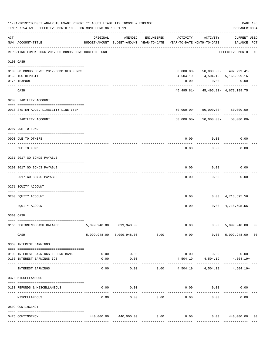|     | 11-01-2019**BUDGET ANALYSIS USAGE REPORT ** ASSET LIABILITY INCOME & EXPENSE<br>PAGE 106<br>PREPARER: 0004<br>TIME: 07:54 AM - EFFECTIVE MONTH: 10 - FOR MONTH ENDING 10-31-19 |          |                                                     |            |                                   |                             |                                        |    |  |
|-----|--------------------------------------------------------------------------------------------------------------------------------------------------------------------------------|----------|-----------------------------------------------------|------------|-----------------------------------|-----------------------------|----------------------------------------|----|--|
| ACT | NUM ACCOUNT-TITLE                                                                                                                                                              | ORIGINAL | AMENDED<br>BUDGET-AMOUNT BUDGET-AMOUNT YEAR-TO-DATE | ENCUMBERED | YEAR-TO-DATE MONTH-TO-DATE        | ACTIVITY ACTIVITY           | <b>CURRENT USED</b><br>BALANCE PCT     |    |  |
|     | REPORTING FUND: 0066 2017 GO BONDS-CONSTRUCTION FUND                                                                                                                           |          |                                                     |            |                                   |                             | EFFECTIVE MONTH - 10                   |    |  |
|     | 0103 CASH                                                                                                                                                                      |          |                                                     |            |                                   |                             |                                        |    |  |
|     | 0100 GO BONDS CONST. 2017-COMBINED FUNDS                                                                                                                                       |          |                                                     |            |                                   |                             | $50,000.00 - 50,000.00 - 492,799.41 -$ |    |  |
|     | 0166 ICS DEPOSIT                                                                                                                                                               |          |                                                     |            |                                   |                             | 4,504.19  4,504.19  5,165,999.16       |    |  |
|     | 0175 TEXPOOL                                                                                                                                                                   |          |                                                     |            | 0.00                              | 0.00                        | 0.00                                   |    |  |
|     | CASH                                                                                                                                                                           |          |                                                     |            |                                   |                             | $45,495.81 - 45,495.81 - 4,673,199.75$ |    |  |
|     | 0200 LIABILITY ACCOUNT                                                                                                                                                         |          |                                                     |            |                                   |                             |                                        |    |  |
|     | 0910 SYSTEM ADDED LIABILITY LINE-ITEM                                                                                                                                          |          |                                                     |            |                                   |                             | $50,000.00 - 50,000.00 - 50,000.00 -$  |    |  |
|     | LIABILITY ACCOUNT                                                                                                                                                              |          |                                                     |            |                                   | 50,000.00- 50,000.00-       | $50,000.00 -$                          |    |  |
|     | 0207 DUE TO FUND                                                                                                                                                               |          |                                                     |            |                                   |                             |                                        |    |  |
|     | 0990 DUE TO OTHERS                                                                                                                                                             |          |                                                     |            | 0.00                              | 0.00                        | 0.00                                   |    |  |
|     | DUE TO FUND                                                                                                                                                                    |          |                                                     |            | 0.00                              | 0.00                        | 0.00                                   |    |  |
|     | 0231 2017 GO BONDS PAYABLE                                                                                                                                                     |          |                                                     |            |                                   |                             |                                        |    |  |
|     | 0200 2017 GO BONDS PAYABLE<br>.                                                                                                                                                |          |                                                     |            | 0.00                              | 0.00                        | 0.00                                   |    |  |
|     | 2017 GO BONDS PAYABLE                                                                                                                                                          |          |                                                     |            | 0.00                              | 0.00                        | 0.00                                   |    |  |
|     | 0271 EQUITY ACCOUNT                                                                                                                                                            |          |                                                     |            |                                   |                             |                                        |    |  |
|     | 0200 EQUITY ACCOUNT                                                                                                                                                            |          |                                                     |            | 0.00                              |                             | $0.00 \quad 4,718,695.56$              |    |  |
|     | EQUITY ACCOUNT                                                                                                                                                                 |          |                                                     |            | 0.00                              |                             | $0.00 \quad 4,718,695.56$              |    |  |
|     | 0300 CASH                                                                                                                                                                      |          |                                                     |            |                                   |                             |                                        |    |  |
|     | 0166 BEGINNING CASH BALANCE                                                                                                                                                    |          | 5,099,948.00 5,099,948.00                           |            |                                   |                             | $0.00$ $0.00$ $5,099,948.00$           | 00 |  |
|     | CASH                                                                                                                                                                           |          | 5,099,948.00 5,099,948.00 0.00                      |            | 0.00                              |                             | 0.00 5,099,948.00                      | 00 |  |
|     | 0360 INTEREST EARNINGS                                                                                                                                                         |          |                                                     |            |                                   |                             |                                        |    |  |
|     | 0100 INTEREST EARNINGS LEGEND BANK                                                                                                                                             | 0.00     | 0.00                                                |            |                                   |                             | $0.00$ $0.00$ $0.00$ $0.00$            |    |  |
|     | 0166 INTEREST EARNINGS ICS                                                                                                                                                     | 0.00     | 0.00                                                |            |                                   |                             | $4,504.19$ $4,504.19$ $4,504.19$       |    |  |
|     | INTEREST EARNINGS                                                                                                                                                              | 0.00     | $- - - - - -$<br>0.00                               |            | $0.00$ 4,504.19                   |                             | 4,504.19 4,504.19+                     |    |  |
|     | 0370 MISCELLANEOUS                                                                                                                                                             |          |                                                     |            |                                   |                             |                                        |    |  |
|     |                                                                                                                                                                                |          |                                                     |            |                                   |                             |                                        |    |  |
|     | 0130 REFUNDS & MISCELLANEOUS                                                                                                                                                   | 0.00     | 0.00<br>----------                                  |            | -----------                       | $0.00$ $0.00$<br>---------- | 0.00                                   |    |  |
|     | MISCELLANEOUS                                                                                                                                                                  | 0.00     | 0.00                                                | 0.00       | 0.00                              | 0.00                        | 0.00                                   |    |  |
|     | 0509 CONTINGENCY                                                                                                                                                               |          |                                                     |            |                                   |                             |                                        |    |  |
|     | 0475 CONTINGENCY                                                                                                                                                               |          | 440,000.00 440,000.00                               | 0.00       | 0.00                              |                             | 0.00 440,000.00                        | 00 |  |
|     |                                                                                                                                                                                |          |                                                     |            | ---- ------------ --------------- |                             |                                        |    |  |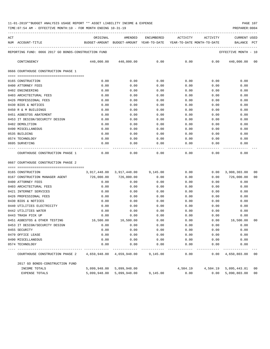| ACT |                                                      | ORIGINAL   | AMENDED                                  | ENCUMBERED | ACTIVITY                   | ACTIVITY | <b>CURRENT USED</b>              |                |
|-----|------------------------------------------------------|------------|------------------------------------------|------------|----------------------------|----------|----------------------------------|----------------|
|     | NUM ACCOUNT-TITLE                                    |            | BUDGET-AMOUNT BUDGET-AMOUNT YEAR-TO-DATE |            | YEAR-TO-DATE MONTH-TO-DATE |          | BALANCE<br>PCT                   |                |
|     | REPORTING FUND: 0066 2017 GO BONDS-CONSTRUCTION FUND |            |                                          |            |                            |          | EFFECTIVE MONTH - 10             |                |
|     | CONTINGENCY                                          | 440,000.00 | 440,000.00                               | 0.00       | 0.00                       | 0.00     | 440,000.00                       | 00             |
|     | 0666 COURTHOUSE CONSTRUCTION PHASE 1                 |            |                                          |            |                            |          |                                  |                |
|     |                                                      |            |                                          |            |                            |          |                                  |                |
|     | 0165 CONSTRUCTION                                    | 0.00       | 0.00                                     | 0.00       | 0.00                       | 0.00     | 0.00                             |                |
|     | 0400 ATTORNEY FEES                                   | 0.00       | 0.00                                     | 0.00       | 0.00                       | 0.00     | 0.00                             |                |
|     | 0402 ENGINEERING                                     | 0.00       | 0.00                                     | 0.00       | 0.00                       | 0.00     | 0.00                             |                |
|     | 0403 ARCHITECTURAL FEES                              | 0.00       | 0.00                                     | 0.00       | 0.00                       | 0.00     | 0.00                             |                |
|     | 0426 PROFESSIONAL FEES                               | 0.00       | 0.00                                     | 0.00       | 0.00                       | 0.00     | 0.00                             |                |
|     | 0430 BIDS & NOTICES                                  | 0.00       | 0.00                                     | 0.00       | 0.00                       | 0.00     | 0.00                             |                |
|     | 0450 R & M BUILDINGS                                 | 0.00       | 0.00                                     | 0.00       | 0.00                       | 0.00     | 0.00                             |                |
|     | 0451 ASBESTOS ABATEMENT                              | 0.00       | 0.00                                     | 0.00       | 0.00                       | 0.00     | 0.00                             |                |
|     | 0453 IT DESIGN/SECURITY DESIGN                       | 0.00       | 0.00                                     | 0.00       | 0.00                       | 0.00     | 0.00                             |                |
|     | 0482 DEMOLITION                                      | 0.00       | 0.00                                     | 0.00       | 0.00                       | 0.00     | 0.00                             |                |
|     | 0490 MISCELLANEOUS                                   | 0.00       | 0.00                                     | 0.00       | 0.00                       | 0.00     | 0.00                             |                |
|     | 0535 BUILDING                                        | 0.00       | 0.00                                     | 0.00       | 0.00                       | 0.00     | 0.00                             |                |
|     | 0574 TECHNOLOGY                                      | 0.00       | 0.00                                     | 0.00       | 0.00                       | 0.00     | 0.00                             |                |
|     | 0695 SURVEYING                                       | 0.00       | 0.00                                     | 0.00       | 0.00                       | 0.00     | 0.00                             |                |
|     | COURTHOUSE CONSTRUCTION PHASE 1                      | 0.00       | 0.00                                     | 0.00       | 0.00                       | 0.00     | 0.00                             |                |
|     | 0667 COURTHOUSE CONSTRUCTION PHASE 2                 |            |                                          |            |                            |          |                                  |                |
|     | 0165 CONSTRUCTION                                    |            | 3,917,448.00 3,917,448.00                | 9,145.00   | 0.00                       | 0.00     | 3,908,303.00                     | 00             |
|     | 0167 CONSTRUCTION MANAGER AGENT                      | 726,000.00 | 726,000.00                               | 0.00       | 0.00                       | 0.00     | 726,000.00                       | 0 <sub>0</sub> |
|     | 0400 ATTORNEY FEES                                   | 0.00       | 0.00                                     | 0.00       | 0.00                       | 0.00     | 0.00                             |                |
|     | 0403 ARCHITECTURAL FEES                              | 0.00       | 0.00                                     | 0.00       | 0.00                       | 0.00     | 0.00                             |                |
|     | 0421 INTERNET SERVICES                               | 0.00       | 0.00                                     | 0.00       | 0.00                       | 0.00     | 0.00                             |                |
|     | 0426 PROFESSIONAL FEES                               | 0.00       | 0.00                                     | 0.00       | 0.00                       | 0.00     | 0.00                             |                |
|     | 0430 BIDS & NOTICES                                  | 0.00       | 0.00                                     | 0.00       | 0.00                       | 0.00     | 0.00                             |                |
|     | 0440 UTILITIES ELECTRICITY                           | 0.00       | 0.00                                     | 0.00       | 0.00                       | 0.00     | 0.00                             |                |
|     | 0442 UTILITIES WATER                                 | 0.00       | 0.00                                     | 0.00       | 0.00                       | 0.00     | 0.00                             |                |
|     | 0443 TRASH PICK UP                                   | 0.00       | 0.00                                     | 0.00       | 0.00                       | 0.00     | 0.00                             |                |
|     | 0451 ASBESTOS & OTHER TESTING                        | 16,500.00  | 16,500.00                                | 0.00       | 0.00                       | 0.00     | 16,500.00                        | 0 <sub>0</sub> |
|     | 0453 IT DESIGN/SECURITY DESIGN                       | 0.00       | 0.00                                     | 0.00       | 0.00                       | 0.00     | 0.00                             |                |
|     | 0455 SECURITY                                        | 0.00       | 0.00                                     | 0.00       | 0.00                       | 0.00     | 0.00                             |                |
|     | 0470 OFFICE LEASE                                    | 0.00       | 0.00                                     | 0.00       | 0.00                       | 0.00     | 0.00                             |                |
|     | 0490 MISCELLANEOUS                                   | 0.00       | 0.00                                     | 0.00       | 0.00                       | 0.00     | 0.00                             |                |
|     | 0574 TECHNOLOGY                                      | 0.00       | 0.00                                     | 0.00       | 0.00                       | 0.00     | 0.00                             |                |
|     | COURTHOUSE CONSTRUCTION PHASE 2                      |            | 4,659,948.00 4,659,948.00                | 9,145.00   | 0.00                       | -----    | $0.00 \quad 4,650,803.00$        | 00             |
|     | 2017 GO BONDS-CONSTRUCTION FUND                      |            |                                          |            |                            |          |                                  |                |
|     | INCOME TOTALS                                        |            | 5,099,948.00 5,099,948.00                |            |                            |          | 4,504.19  4,504.19  5,095,443.81 | 00             |
|     | EXPENSE TOTALS                                       |            | 5,099,948.00 5,099,948.00                | 9,145.00   | 0.00                       |          | 0.00 5,090,803.00                | 00             |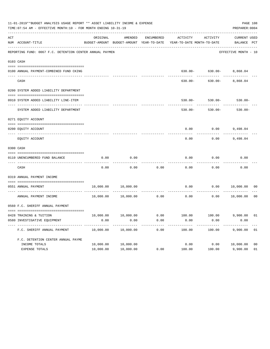|     | 11-01-2019**BUDGET ANALYSIS USAGE REPORT ** ASSET LIABILITY INCOME & EXPENSE<br>TIME: 07:54 AM - EFFECTIVE MONTH: 10 - FOR MONTH ENDING 10-31-19 |           |                     |            |                                                                                 |                              |                             |                |  |  |  |
|-----|--------------------------------------------------------------------------------------------------------------------------------------------------|-----------|---------------------|------------|---------------------------------------------------------------------------------|------------------------------|-----------------------------|----------------|--|--|--|
| ACT | NUM ACCOUNT-TITLE                                                                                                                                | ORIGINAL  | AMENDED             | ENCUMBERED | ACTIVITY<br>BUDGET-AMOUNT BUDGET-AMOUNT YEAR-TO-DATE YEAR-TO-DATE MONTH-TO-DATE | ACTIVITY                     | CURRENT USED<br>BALANCE PCT |                |  |  |  |
|     | REPORTING FUND: 0067 F.C. DETENTION CENTER ANNUAL PAYMEN                                                                                         |           |                     |            |                                                                                 |                              | EFFECTIVE MONTH - 10        |                |  |  |  |
|     | 0103 CASH                                                                                                                                        |           |                     |            |                                                                                 |                              |                             |                |  |  |  |
|     |                                                                                                                                                  |           |                     |            |                                                                                 |                              |                             |                |  |  |  |
|     | 0100 ANNUAL PAYMENT-COMBINED FUND CKING                                                                                                          |           |                     |            |                                                                                 | $630.00 - 630.00 - 8,868.04$ |                             |                |  |  |  |
|     | CASH                                                                                                                                             |           |                     |            | 630.00-                                                                         |                              | 630.00- 8,868.04            |                |  |  |  |
|     | 0200 SYSTEM ADDED LIABILITY DEPARTMENT                                                                                                           |           |                     |            |                                                                                 |                              |                             |                |  |  |  |
|     | 0910 SYSTEM ADDED LIABILITY LINE-ITEM                                                                                                            |           |                     |            | 530.00-                                                                         |                              | $530.00 - 530.00 -$         |                |  |  |  |
|     | SYSTEM ADDED LIABILITY DEPARTMENT                                                                                                                |           |                     |            | $530.00 -$                                                                      | $530.00 -$                   | 530.00-                     |                |  |  |  |
|     | 0271 EQUITY ACCOUNT                                                                                                                              |           |                     |            |                                                                                 |                              |                             |                |  |  |  |
|     | 0200 EQUITY ACCOUNT                                                                                                                              |           |                     |            |                                                                                 | $0.00$ $0.00$ $9,498.04$     |                             |                |  |  |  |
|     | EQUITY ACCOUNT                                                                                                                                   |           |                     |            | 0.00                                                                            | 0.00                         | 9,498.04                    |                |  |  |  |
|     | 0300 CASH                                                                                                                                        |           |                     |            |                                                                                 |                              |                             |                |  |  |  |
|     | 0110 UNENCUMBERED FUND BALANCE                                                                                                                   | 0.00      | 0.00                |            | 0.00                                                                            | 0.00                         | 0.00                        |                |  |  |  |
|     | CASH                                                                                                                                             | 0.00      | 0.00                | 0.00       | 0.00                                                                            | 0.00                         | 0.00                        |                |  |  |  |
|     | 0319 ANNUAL PAYMENT INCOME                                                                                                                       |           |                     |            |                                                                                 |                              |                             |                |  |  |  |
|     | 0551 ANNUAL PAYMENT                                                                                                                              | 10,000.00 | 10,000.00           |            | 0.00                                                                            |                              | 0.00 10,000.00              | 00             |  |  |  |
|     | ANNUAL PAYMENT INCOME                                                                                                                            |           | 10,000.00 10,000.00 | 0.00       | 0.00                                                                            | 0.00                         | 10,000.00                   | 0 <sub>0</sub> |  |  |  |
|     | 0560 F.C. SHERIFF ANNUAL PAYMENT                                                                                                                 |           |                     |            |                                                                                 |                              |                             |                |  |  |  |
|     |                                                                                                                                                  |           |                     |            |                                                                                 |                              |                             |                |  |  |  |
|     | 0428 TRAINING & TUITION                                                                                                                          |           |                     |            | $10,000.00$ $10,000.00$ $0.00$ $100.00$ $100.00$ $9,900.00$ $01$                |                              |                             |                |  |  |  |
|     | 0580 INVESTIGATIVE EQUIPMENT                                                                                                                     | 0.00      | 0.00                | 0.00       | 0.00                                                                            | 0.00                         | 0.00                        |                |  |  |  |
|     | F.C. SHERIFF ANNUAL PAYMENT                                                                                                                      | 10,000.00 | 10,000.00           | 0.00       | 100.00                                                                          | 100.00                       | 9,900.00                    | 01             |  |  |  |
|     | F.C. DETENTION CENTER ANNUAL PAYME                                                                                                               |           |                     |            |                                                                                 |                              |                             |                |  |  |  |
|     | INCOME TOTALS                                                                                                                                    | 10,000.00 | 10,000.00           |            | 0.00                                                                            | 0.00                         | 10,000.00                   | 0 <sub>0</sub> |  |  |  |
|     | EXPENSE TOTALS                                                                                                                                   | 10,000.00 | 10,000.00           | 0.00       | 100.00                                                                          | 100.00                       | 9,900.00                    | 01             |  |  |  |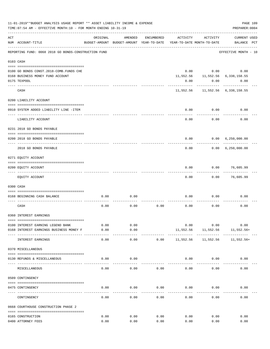|     | 11-01-2019**BUDGET ANALYSIS USAGE REPORT ** ASSET LIABILITY INCOME & EXPENSE<br>TIME: 07:54 AM - EFFECTIVE MONTH: 10 - FOR MONTH ENDING 10-31-19 |               |                                                     |            |           |                                        | PREPARER: 0004                     | PAGE 109 |
|-----|--------------------------------------------------------------------------------------------------------------------------------------------------|---------------|-----------------------------------------------------|------------|-----------|----------------------------------------|------------------------------------|----------|
| ACT | NUM ACCOUNT-TITLE                                                                                                                                | ORIGINAL      | AMENDED<br>BUDGET-AMOUNT BUDGET-AMOUNT YEAR-TO-DATE | ENCUMBERED | ACTIVITY  | ACTIVITY<br>YEAR-TO-DATE MONTH-TO-DATE | <b>CURRENT USED</b><br>BALANCE PCT |          |
|     | REPORTING FUND: 0068 2018 GO BONDS-CONSTRUCTION FUND                                                                                             |               |                                                     |            |           |                                        | EFFECTIVE MONTH - 10               |          |
|     | 0103 CASH                                                                                                                                        |               |                                                     |            |           |                                        |                                    |          |
|     |                                                                                                                                                  |               |                                                     |            |           |                                        |                                    |          |
|     | 0100 GO BONDS CONST.2018-COMB.FUNDS CHE                                                                                                          |               |                                                     |            |           | $0.00$ 0.00                            | 0.00                               |          |
|     | 0168 BUSINESS MONEY FUND ACCOUNT                                                                                                                 |               |                                                     |            |           |                                        | 11,552.56 11,552.56 6,338,158.55   |          |
|     | 0175 TEXPOOL                                                                                                                                     |               |                                                     |            | 0.00      | 0.00                                   | 0.00                               |          |
|     | CASH                                                                                                                                             |               |                                                     |            |           |                                        | 11,552.56 11,552.56 6,338,158.55   |          |
|     | 0200 LIABILITY ACCOUNT                                                                                                                           |               |                                                     |            |           |                                        |                                    |          |
|     |                                                                                                                                                  |               |                                                     |            |           |                                        |                                    |          |
|     | 0910 SYSTEM ADDED LIABILITY LINE -ITEM                                                                                                           |               |                                                     |            | 0.00      | 0.00                                   | 0.00                               |          |
|     | LIABILITY ACCOUNT                                                                                                                                |               |                                                     |            | 0.00      | 0.00                                   | 0.00                               |          |
|     | 0231 2018 GO BONDS PAYABLE                                                                                                                       |               |                                                     |            |           |                                        |                                    |          |
|     | 0200 2018 GO BONDS PAYABLE                                                                                                                       |               |                                                     |            | 0.00      |                                        | 0.00 6,250,000.00                  |          |
|     | 2018 GO BONDS PAYABLE                                                                                                                            |               |                                                     |            | 0.00      | ---------                              | 0.00 6,250,000.00                  |          |
|     | 0271 EQUITY ACCOUNT                                                                                                                              |               |                                                     |            |           |                                        |                                    |          |
|     |                                                                                                                                                  |               |                                                     |            |           |                                        |                                    |          |
|     | 0200 EQUITY ACCOUNT<br>------------------- -------                                                                                               |               |                                                     |            | 0.00      |                                        | $0.00$ 76,605.99                   |          |
|     | EQUITY ACCOUNT                                                                                                                                   |               |                                                     |            | 0.00      | 0.00                                   | 76,605.99                          |          |
|     | 0300 CASH                                                                                                                                        |               |                                                     |            |           |                                        |                                    |          |
|     |                                                                                                                                                  |               |                                                     |            |           |                                        |                                    |          |
|     | 0168 BEGINNING CASH BALANCE                                                                                                                      | 0.00          | 0.00                                                |            | 0.00      | 0.00                                   | 0.00                               |          |
|     | CASH                                                                                                                                             | 0.00          | 0.00                                                | 0.00       | 0.00      | 0.00                                   | 0.00                               |          |
|     | 0360 INTEREST EARNINGS                                                                                                                           |               |                                                     |            |           |                                        |                                    |          |
|     |                                                                                                                                                  |               |                                                     |            |           |                                        |                                    |          |
|     | 0100 INTEREST EARNING LEGEND BANK                                                                                                                | 0.00          | 0.00                                                |            | 0.00      | 0.00                                   | 0.00                               |          |
|     | 0168 INTEREST EARNINGS BUSINESS MONEY F                                                                                                          | 0.00<br>----- | 0.00<br>-----                                       |            | 11,552.56 | 11,552.56<br>-----------               | 11,552.56+                         |          |
|     | INTEREST EARNINGS                                                                                                                                | 0.00          | 0.00                                                | 0.00       | 11,552.56 | 11,552.56                              | 11,552.56+                         |          |
|     | 0370 MISCELLANEOUS                                                                                                                               |               |                                                     |            |           |                                        |                                    |          |
|     | 0130 REFUNDS & MISCELLANEOUS                                                                                                                     | 0.00          | 0.00                                                |            | 0.00      | 0.00                                   | 0.00                               |          |
|     | MISCELLANEOUS                                                                                                                                    | 0.00          | 0.00                                                | 0.00       | 0.00      | 0.00                                   | 0.00                               |          |
|     | 0509 CONTINGENCY                                                                                                                                 |               |                                                     |            |           |                                        |                                    |          |
|     |                                                                                                                                                  |               |                                                     |            |           |                                        |                                    |          |
|     | 0475 CONTINGENCY                                                                                                                                 | 0.00          | 0.00                                                | 0.00       | 0.00      | 0.00                                   | 0.00                               |          |
|     | CONTINGENCY                                                                                                                                      | 0.00          | 0.00                                                | 0.00       | 0.00      | 0.00                                   | 0.00                               |          |
|     | 0668 COURTHOUSE CONSTRUCTION PHASE 2                                                                                                             |               |                                                     |            |           |                                        |                                    |          |
|     | 0165 CONSTRUCTION                                                                                                                                | 0.00          | 0.00                                                | 0.00       | 0.00      | 0.00                                   | 0.00                               |          |
|     | 0400 ATTORNEY FEES                                                                                                                               | 0.00          | 0.00                                                | 0.00       | 0.00      | 0.00                                   | 0.00                               |          |
|     |                                                                                                                                                  |               |                                                     |            |           |                                        |                                    |          |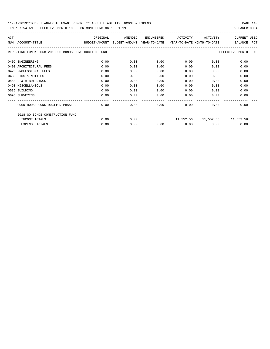## 11-01-2019\*\*BUDGET ANALYSIS USAGE REPORT \*\* ASSET LIABILITY INCOME & EXPENSE PAGE 110

| ACT                                                  | ORIGINAL      | AMENDED       | ENCUMBERED   | ACTIVITY                   | ACTIVITY  | <b>CURRENT USED</b>   |
|------------------------------------------------------|---------------|---------------|--------------|----------------------------|-----------|-----------------------|
| ACCOUNT-TITLE<br>NUM                                 | BUDGET-AMOUNT | BUDGET-AMOUNT | YEAR-TO-DATE | YEAR-TO-DATE MONTH-TO-DATE |           | <b>PCT</b><br>BALANCE |
| REPORTING FUND: 0068 2018 GO BONDS-CONSTRUCTION FUND |               |               |              |                            |           | EFFECTIVE MONTH - 10  |
| 0402 ENGINEERING                                     | 0.00          | 0.00          | 0.00         | 0.00                       | 0.00      | 0.00                  |
| 0403 ARCHITECTURAL FEES                              | 0.00          | 0.00          | 0.00         | 0.00                       | 0.00      | 0.00                  |
| 0426 PROFESSIONAL FEES                               | 0.00          | 0.00          | 0.00         | 0.00                       | 0.00      | 0.00                  |
| 0430 BIDS & NOTICES                                  | 0.00          | 0.00          | 0.00         | 0.00                       | 0.00      | 0.00                  |
| 0450 R & M BUILDINGS                                 | 0.00          | 0.00          | 0.00         | 0.00                       | 0.00      | 0.00                  |
| 0490 MISCELLANEOUS                                   | 0.00          | 0.00          | 0.00         | 0.00                       | 0.00      | 0.00                  |
| 0535 BUILDING                                        | 0.00          | 0.00          | 0.00         | 0.00                       | 0.00      | 0.00                  |
| 0695 SURVEYING                                       | 0.00          | 0.00          | 0.00         | 0.00                       | 0.00      | 0.00                  |
| COURTHOUSE CONSTRUCTION PHASE 2                      | 0.00          | 0.00          | 0.00         | 0.00                       | 0.00      | 0.00                  |
| 2018 GO BONDS-CONSTRUCTION FUND                      |               |               |              |                            |           |                       |
| INCOME TOTALS                                        | 0.00          | 0.00          |              | 11,552.56                  | 11,552.56 | 11,552.56+            |
| <b>EXPENSE TOTALS</b>                                | 0.00          | 0.00          | 0.00         | 0.00                       | 0.00      | 0.00                  |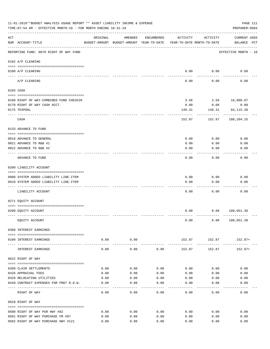|     | 11-01-2019**BUDGET ANALYSIS USAGE REPORT ** ASSET LIABILITY INCOME & EXPENSE<br>TIME: 07:54 AM - EFFECTIVE MONTH: 10 - FOR MONTH ENDING 10-31-19 |          |                      |            |                                                                                 |          | PAGE 111<br>PREPARER: 0004            |
|-----|--------------------------------------------------------------------------------------------------------------------------------------------------|----------|----------------------|------------|---------------------------------------------------------------------------------|----------|---------------------------------------|
| ACT | NUM ACCOUNT-TITLE                                                                                                                                | ORIGINAL | AMENDED              | ENCUMBERED | ACTIVITY<br>BUDGET-AMOUNT BUDGET-AMOUNT YEAR-TO-DATE YEAR-TO-DATE MONTH-TO-DATE | ACTIVITY | <b>CURRENT USED</b><br>BALANCE PCT    |
|     | REPORTING FUND: 0070 RIGHT OF WAY FUND                                                                                                           |          |                      |            |                                                                                 |          | EFFECTIVE MONTH - 10                  |
|     | 0102 A/P CLEARING                                                                                                                                |          |                      |            |                                                                                 |          |                                       |
|     | 0100 A/P CLEARING                                                                                                                                |          |                      |            | 0.00                                                                            | 0.00     | 0.00                                  |
|     | ---- --------<br>A/P CLEARING                                                                                                                    |          |                      |            | 0.00                                                                            | 0.00     | 0.00                                  |
|     | 0103 CASH                                                                                                                                        |          |                      |            |                                                                                 |          |                                       |
|     | 0100 RIGHT OF WAY-COMBINED FUND CHECKIN                                                                                                          |          |                      |            | 3.56                                                                            |          | 3.56 16,088.87                        |
|     | 0170 RIGHT OF WAY CASH ACCT.                                                                                                                     |          |                      |            | 0.00                                                                            | 0.00     | 0.00                                  |
|     | 0175 TEXPOOL                                                                                                                                     |          |                      |            | 149.31                                                                          | 149.31   | 84, 115. 38                           |
|     | CASH                                                                                                                                             |          |                      |            | 152.87                                                                          | 152.87   | 100,204.25                            |
|     | 0133 ADVANCE TO FUND                                                                                                                             |          |                      |            |                                                                                 |          |                                       |
|     | 0010 ADVANCE TO GENERAL                                                                                                                          |          |                      |            | 0.00                                                                            | 0.00     | 0.00                                  |
|     | 0021 ADVANCE TO R&B #1                                                                                                                           |          |                      |            | 0.00                                                                            | 0.00     | 0.00                                  |
|     | 0022 ADVANCE TO R&B #2                                                                                                                           |          |                      |            | 0.00                                                                            | 0.00     | 0.00                                  |
|     | ADVANCE TO FUND                                                                                                                                  |          |                      |            | 0.00                                                                            | 0.00     | 0.00                                  |
|     | 0200 LIABILITY ACCOUNT                                                                                                                           |          |                      |            |                                                                                 |          |                                       |
|     | 0900 SYSTEM ADDED LIABILITY LINE-ITEM                                                                                                            |          |                      |            | 0.00                                                                            | 0.00     | 0.00                                  |
|     | 0910 SYSTEM ADDED LIABILITY LINE-ITEM                                                                                                            |          |                      |            | 0.00                                                                            | 0.00     | 0.00                                  |
|     |                                                                                                                                                  |          |                      |            |                                                                                 |          |                                       |
|     | LIABILITY ACCOUNT                                                                                                                                |          |                      |            | 0.00                                                                            | 0.00     | 0.00                                  |
|     | 0271 EQUITY ACCOUNT                                                                                                                              |          |                      |            |                                                                                 |          |                                       |
|     |                                                                                                                                                  |          |                      |            |                                                                                 |          |                                       |
|     | 0200 EQUITY ACCOUNT                                                                                                                              |          |                      |            | 0.00                                                                            |          | 0.00 100,051.38                       |
|     | EQUITY ACCOUNT                                                                                                                                   |          |                      |            | 0.00                                                                            |          | 0.00 100, 051.38                      |
|     | 0360 INTEREST EARNINGS                                                                                                                           |          |                      |            |                                                                                 |          |                                       |
|     | 0100 INTEREST EARNINGS                                                                                                                           | 0.00     | 0.00<br>------------ |            |                                                                                 |          | 152.87 152.87 152.87+<br>------------ |
|     | INTEREST EARNINGS                                                                                                                                | 0.00     | 0.00                 | 0.00       | 152.87                                                                          | 152.87   | 152.87+                               |
|     | 0622 RIGHT OF WAY                                                                                                                                |          |                      |            |                                                                                 |          |                                       |
|     | 0399 CLAIM SETTLEMENTS                                                                                                                           | 0.00     | 0.00                 | 0.00       | 0.00                                                                            | 0.00     | 0.00                                  |
|     | 0426 APPRAISAL FEES                                                                                                                              | 0.00     | 0.00                 | 0.00       | 0.00                                                                            | 0.00     | 0.00                                  |
|     | 0429 RELOCATING UTILITIES                                                                                                                        | 0.00     | 0.00                 | 0.00       | 0.00                                                                            | 0.00     | 0.00                                  |
|     | 0449 CONTRACT EXPENSES FOR FM87 R.O.W.                                                                                                           | 0.00     | 0.00                 | 0.00       | 0.00                                                                            | 0.00     | 0.00                                  |
|     | RIGHT OF WAY                                                                                                                                     | 0.00     | 0.00                 | 0.00       | 0.00                                                                            | 0.00     | 0.00                                  |
|     | 0629 RIGHT OF WAY                                                                                                                                |          |                      |            |                                                                                 |          |                                       |
|     | 0500 RIGHT OF WAY PUR HWY #82                                                                                                                    | 0.00     | 0.00                 | 0.00       | 0.00                                                                            | 0.00     | 0.00                                  |
|     | 0501 RIGHT OF WAY PURCHASE FM #87                                                                                                                | 0.00     | 0.00                 | 0.00       | 0.00                                                                            | 0.00     | 0.00                                  |
|     | 0502 RIGHT OF WAY PURCHASE HWY #121                                                                                                              | 0.00     | 0.00                 | 0.00       | 0.00                                                                            | 0.00     | 0.00                                  |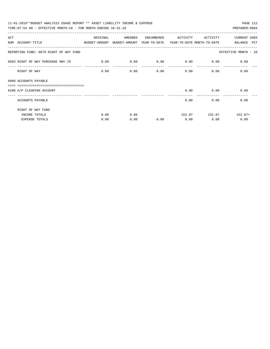| 11-01-2019**BUDGET ANALYSIS USAGE REPORT ** ASSET LIABILITY INCOME & EXPENSE<br>PAGE 112 |                                                                     |         |            |                                    |               |                      |  |  |  |  |
|------------------------------------------------------------------------------------------|---------------------------------------------------------------------|---------|------------|------------------------------------|---------------|----------------------|--|--|--|--|
| TIME: 07:54 AM - EFFECTIVE MONTH: 10 - FOR MONTH ENDING 10-31-19                         |                                                                     |         |            |                                    |               | PREPARER: 0004       |  |  |  |  |
| ACT                                                                                      | ORIGINAL                                                            | AMENDED | ENCUMBERED | ACTIVITY                           | ACTIVITY      | <b>CURRENT USED</b>  |  |  |  |  |
| NUM ACCOUNT-TITLE                                                                        | BUDGET-AMOUNT BUDGET-AMOUNT YEAR-TO-DATE YEAR-TO-DATE_MONTH-TO-DATE |         |            |                                    |               | BALANCE PCT          |  |  |  |  |
| REPORTING FUND: 0070 RIGHT OF WAY FUND                                                   |                                                                     |         |            |                                    |               | EFFECTIVE MONTH - 10 |  |  |  |  |
| 0503 RIGHT OF WAY PURCHASE HWY.78 0.00                                                   |                                                                     | 0.00    |            | $0.00$ $0.00$ $0.00$ $0.00$ $0.00$ |               |                      |  |  |  |  |
| RIGHT OF WAY                                                                             | 0.00                                                                | 0.00    | 0.00       | $0.00$ 0.00                        |               | 0.00                 |  |  |  |  |
| 0999 ACCOUNTS PAYABLE                                                                    |                                                                     |         |            |                                    |               |                      |  |  |  |  |
| ================================<br>0100 A/P CLEARING ACCOUNT                            |                                                                     |         |            |                                    | $0.00$ 0.00   | 0.00                 |  |  |  |  |
| ACCOUNTS PAYABLE                                                                         |                                                                     |         |            | 0.00                               | 0.00          | 0.00                 |  |  |  |  |
| RIGHT OF WAY FUND                                                                        |                                                                     |         |            |                                    |               |                      |  |  |  |  |
| INCOME TOTALS                                                                            | 0.00                                                                | 0.00    |            |                                    | 152.87 152.87 | 152.87+              |  |  |  |  |
| <b>EXPENSE TOTALS</b>                                                                    | 0.00                                                                | 0.00    | 0.00       | 0.00                               | 0.00          | 0.00                 |  |  |  |  |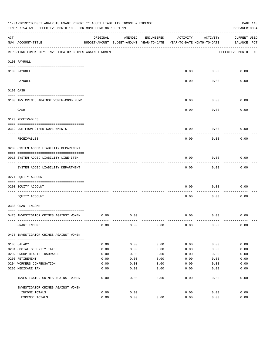|     | 11-01-2019**BUDGET ANALYSIS USAGE REPORT ** ASSET LIABILITY INCOME & EXPENSE<br>TIME: 07:54 AM - EFFECTIVE MONTH: 10 - FOR MONTH ENDING 10-31-19 |          |                                                     |            |          |                                        | PAGE 113<br>PREPARER: 0004         |
|-----|--------------------------------------------------------------------------------------------------------------------------------------------------|----------|-----------------------------------------------------|------------|----------|----------------------------------------|------------------------------------|
| ACT | NUM ACCOUNT-TITLE                                                                                                                                | ORIGINAL | AMENDED<br>BUDGET-AMOUNT BUDGET-AMOUNT YEAR-TO-DATE | ENCUMBERED | ACTIVITY | ACTIVITY<br>YEAR-TO-DATE MONTH-TO-DATE | <b>CURRENT USED</b><br>BALANCE PCT |
|     | REPORTING FUND: 0071 INVESTIGATOR CRIMES AGAINST WOMEN                                                                                           |          |                                                     |            |          |                                        | EFFECTIVE MONTH - 10               |
|     | 0100 PAYROLL                                                                                                                                     |          |                                                     |            |          |                                        |                                    |
|     | 0100 PAYROLL<br>---- ----                                                                                                                        |          |                                                     |            | 0.00     | 0.00                                   | 0.00                               |
|     | PAYROLL                                                                                                                                          |          |                                                     |            | 0.00     | 0.00                                   | 0.00                               |
|     | 0103 CASH                                                                                                                                        |          |                                                     |            |          |                                        |                                    |
|     | 0100 INV. CRIMES AGAINST WOMEN-COMB. FUND                                                                                                        |          |                                                     |            | 0.00     | 0.00                                   | 0.00                               |
|     | CASH                                                                                                                                             |          |                                                     |            | 0.00     | 0.00                                   | 0.00                               |
|     | 0120 RECEIVABLES                                                                                                                                 |          |                                                     |            |          |                                        |                                    |
|     | 0312 DUE FROM OTHER GOVERNMENTS                                                                                                                  |          |                                                     |            | 0.00     | 0.00                                   | 0.00                               |
|     | RECEIVABLES                                                                                                                                      |          |                                                     |            | 0.00     | 0.00                                   | 0.00                               |
|     | 0200 SYSTEM ADDED LIABILITY DEPARTMENT                                                                                                           |          |                                                     |            |          |                                        |                                    |
|     | 0910 SYSTEM ADDED LIABILITY LINE-ITEM                                                                                                            |          |                                                     |            | 0.00     | 0.00                                   | 0.00                               |
|     | SYSTEM ADDED LIABILITY DEPARTMENT                                                                                                                |          |                                                     |            | 0.00     | 0.00                                   | 0.00                               |
|     | 0271 EQUITY ACCOUNT                                                                                                                              |          |                                                     |            |          |                                        |                                    |
|     | 0200 EQUITY ACCOUNT                                                                                                                              |          |                                                     |            | 0.00     | 0.00                                   | 0.00                               |
|     | EQUITY ACCOUNT                                                                                                                                   |          |                                                     |            | 0.00     | 0.00                                   | 0.00                               |
|     | 0330 GRANT INCOME                                                                                                                                |          |                                                     |            |          |                                        |                                    |
|     | 0475 INVESTIGATOR CRIMES AGAINST WOMEN                                                                                                           | 0.00     | 0.00                                                |            | 0.00     | 0.00                                   | 0.00                               |
|     | GRANT INCOME                                                                                                                                     | 0.00     | 0.00                                                | 0.00       | 0.00     | 0.00                                   | 0.00                               |
|     | 0475 INVESTIGATOR CRIMES AGAINST WOMEN                                                                                                           |          |                                                     |            |          |                                        |                                    |
|     | 0108 SALARY                                                                                                                                      | 0.00     | 0.00                                                | 0.00       | 0.00     | 0.00                                   | 0.00                               |
|     | 0201 SOCIAL SECURITY TAXES                                                                                                                       | 0.00     | 0.00                                                | 0.00       | 0.00     | 0.00                                   | 0.00                               |
|     | 0202 GROUP HEALTH INSURANCE                                                                                                                      | 0.00     | 0.00                                                | 0.00       | 0.00     | 0.00                                   | 0.00                               |
|     | 0203 RETIREMENT                                                                                                                                  | 0.00     | 0.00                                                | 0.00       | 0.00     | 0.00                                   | 0.00                               |
|     | 0204 WORKERS COMPENSATION                                                                                                                        | 0.00     | 0.00                                                | 0.00       | 0.00     | 0.00                                   | 0.00                               |
|     | 0205 MEDICARE TAX                                                                                                                                | 0.00     | 0.00                                                | 0.00       | 0.00     | 0.00                                   | 0.00                               |
|     | INVESTIGATOR CRIMES AGAINST WOMEN                                                                                                                | 0.00     | 0.00                                                | 0.00       | 0.00     | 0.00                                   | 0.00                               |
|     | INVESTIGATOR CRIMES AGAINST WOMEN                                                                                                                |          |                                                     |            |          |                                        |                                    |
|     | INCOME TOTALS                                                                                                                                    | 0.00     | 0.00                                                |            | 0.00     | 0.00                                   | 0.00                               |
|     | EXPENSE TOTALS                                                                                                                                   | 0.00     | 0.00                                                | 0.00       | 0.00     | 0.00                                   | 0.00                               |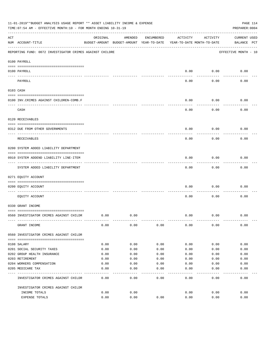|     | 11-01-2019**BUDGET ANALYSIS USAGE REPORT ** ASSET LIABILITY INCOME & EXPENSE<br>TIME: 07:54 AM - EFFECTIVE MONTH: 10 - FOR MONTH ENDING 10-31-19 |          |                                                     |            |                                        |          | PAGE 114<br>PREPARER: 0004         |
|-----|--------------------------------------------------------------------------------------------------------------------------------------------------|----------|-----------------------------------------------------|------------|----------------------------------------|----------|------------------------------------|
| ACT | NUM ACCOUNT-TITLE                                                                                                                                | ORIGINAL | AMENDED<br>BUDGET-AMOUNT BUDGET-AMOUNT YEAR-TO-DATE | ENCUMBERED | ACTIVITY<br>YEAR-TO-DATE MONTH-TO-DATE | ACTIVITY | <b>CURRENT USED</b><br>BALANCE PCT |
|     | REPORTING FUND: 0072 INVESTIGATOR CRIMES AGAINST CHILDRE                                                                                         |          |                                                     |            |                                        |          | EFFECTIVE MONTH - 10               |
|     | 0100 PAYROLL                                                                                                                                     |          |                                                     |            |                                        |          |                                    |
|     | 0100 PAYROLL<br>---- ----                                                                                                                        |          |                                                     |            | 0.00                                   | 0.00     | 0.00                               |
|     | PAYROLL                                                                                                                                          |          |                                                     |            | 0.00                                   | 0.00     | 0.00                               |
|     | 0103 CASH                                                                                                                                        |          |                                                     |            |                                        |          |                                    |
|     | 0100 INV. CRIMES AGAINST CHILDREN-COMB.F                                                                                                         |          |                                                     |            | 0.00                                   | 0.00     | 0.00                               |
|     | CASH                                                                                                                                             |          |                                                     |            | 0.00                                   | 0.00     | 0.00                               |
|     | 0120 RECEIVABLES                                                                                                                                 |          |                                                     |            |                                        |          |                                    |
|     | 0312 DUE FROM OTHER GOVERNMENTS                                                                                                                  |          |                                                     |            | 0.00                                   | 0.00     | 0.00                               |
|     | RECEIVABLES                                                                                                                                      |          |                                                     |            | 0.00                                   | 0.00     | 0.00                               |
|     | 0200 SYSTEM ADDED LIABILITY DEPARTMENT                                                                                                           |          |                                                     |            |                                        |          |                                    |
|     | 0910 SYSTEM ADDEND LIABILITY LINE-ITEM                                                                                                           |          |                                                     |            | 0.00                                   | 0.00     | 0.00                               |
|     | SYSTEM ADDED LIABILITY DEPARTMENT                                                                                                                |          |                                                     |            | 0.00                                   | 0.00     | 0.00                               |
|     | 0271 EQUITY ACCOUNT                                                                                                                              |          |                                                     |            |                                        |          |                                    |
|     | 0200 EQUITY ACCOUNT                                                                                                                              |          |                                                     |            | 0.00                                   | 0.00     | 0.00                               |
|     | EQUITY ACCOUNT                                                                                                                                   |          |                                                     |            | 0.00                                   | 0.00     | 0.00                               |
|     | 0330 GRANT INCOME                                                                                                                                |          |                                                     |            |                                        |          |                                    |
|     | 0560 INVESTIGATOR CRIMES AGAINST CHILDR                                                                                                          | 0.00     | 0.00                                                |            | 0.00                                   | 0.00     | 0.00                               |
|     | GRANT INCOME                                                                                                                                     | 0.00     | 0.00                                                | 0.00       | 0.00                                   | 0.00     | 0.00                               |
|     | 0560 INVESTIGATOR CRIMES AGAINST CHILDR                                                                                                          |          |                                                     |            |                                        |          |                                    |
|     | 0108 SALARY                                                                                                                                      | 0.00     | 0.00                                                | 0.00       | 0.00                                   | 0.00     | 0.00                               |
|     | 0201 SOCIAL SECURITY TAXES                                                                                                                       | 0.00     | 0.00                                                | 0.00       | 0.00                                   | 0.00     | 0.00                               |
|     | 0202 GROUP HEALTH INSURANCE                                                                                                                      | 0.00     | 0.00                                                | 0.00       | 0.00                                   | 0.00     | 0.00                               |
|     | 0203 RETIREMENT                                                                                                                                  | 0.00     | 0.00                                                | 0.00       | 0.00                                   | 0.00     | 0.00                               |
|     | 0204 WORKERS COMPENSATION                                                                                                                        | 0.00     | 0.00                                                | 0.00       | 0.00                                   | 0.00     | 0.00                               |
|     | 0205 MEDICARE TAX                                                                                                                                | 0.00     | 0.00                                                | 0.00       | 0.00                                   | 0.00     | 0.00                               |
|     | INVESTIGATOR CRIMES AGAINST CHILDR                                                                                                               | 0.00     | 0.00                                                | 0.00       | 0.00                                   | 0.00     | 0.00                               |
|     | INVESTIGATOR CRIMES AGAINST CHILDR                                                                                                               |          |                                                     |            |                                        |          |                                    |
|     | INCOME TOTALS                                                                                                                                    | 0.00     | 0.00                                                |            | 0.00                                   | 0.00     | 0.00                               |
|     | EXPENSE TOTALS                                                                                                                                   | 0.00     | 0.00                                                | 0.00       | 0.00                                   | 0.00     | 0.00                               |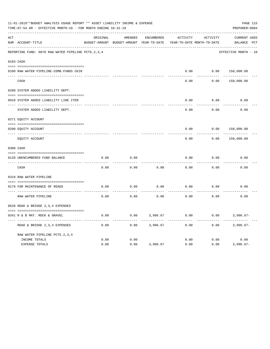|     | 11-01-2019**BUDGET ANALYSIS USAGE REPORT ** ASSET LIABILITY INCOME & EXPENSE<br>PAGE 115<br>TIME: 07:54 AM - EFFECTIVE MONTH: 10 - FOR MONTH ENDING 10-31-19<br>PREPARER: 0004 |          |                                          |                   |                            |          |                      |  |  |  |  |
|-----|--------------------------------------------------------------------------------------------------------------------------------------------------------------------------------|----------|------------------------------------------|-------------------|----------------------------|----------|----------------------|--|--|--|--|
| ACT |                                                                                                                                                                                | ORIGINAL | AMENDED                                  | <b>ENCUMBERED</b> | ACTIVITY                   | ACTIVITY | <b>CURRENT USED</b>  |  |  |  |  |
|     | NUM ACCOUNT-TITLE                                                                                                                                                              |          | BUDGET-AMOUNT BUDGET-AMOUNT YEAR-TO-DATE |                   | YEAR-TO-DATE MONTH-TO-DATE |          | BALANCE PCT          |  |  |  |  |
|     | REPORTING FUND: 0078 RAW WATER PIPELINE PCTS.2,3,4                                                                                                                             |          |                                          |                   |                            |          | EFFECTIVE MONTH - 10 |  |  |  |  |
|     | 0103 CASH                                                                                                                                                                      |          |                                          |                   |                            |          |                      |  |  |  |  |
|     | 0100 RAW WATER PIPELINE-COMB. FUNDS CKIN                                                                                                                                       |          |                                          |                   | 0.00                       | 0.00     | 150,000.00           |  |  |  |  |
|     | CASH                                                                                                                                                                           |          |                                          |                   | 0.00                       | 0.00     | 150,000.00           |  |  |  |  |
|     | 0200 SYSTEM ADDED LIABILITY DEPT.                                                                                                                                              |          |                                          |                   |                            |          |                      |  |  |  |  |
|     | 0910 SYSTEM ADDED LIABILITY LINE ITEM                                                                                                                                          |          |                                          |                   | 0.00                       | 0.00     | 0.00                 |  |  |  |  |
|     | SYSTEM ADDED LIABILITY DEPT.                                                                                                                                                   |          |                                          |                   | 0.00                       | 0.00     | 0.00                 |  |  |  |  |
|     | 0271 EQUITY ACCOUNT                                                                                                                                                            |          |                                          |                   |                            |          |                      |  |  |  |  |
|     | 0200 EQUITY ACCOUNT<br>---- -----------                                                                                                                                        |          |                                          |                   | 0.00                       | 0.00     | 150,000.00           |  |  |  |  |
|     | EQUITY ACCOUNT                                                                                                                                                                 |          |                                          |                   | 0.00                       | 0.00     | 150,000.00           |  |  |  |  |
|     | 0300 CASH                                                                                                                                                                      |          |                                          |                   |                            |          |                      |  |  |  |  |
|     | 0120 UNENCUMBERED FUND BALANCE                                                                                                                                                 | 0.00     | 0.00                                     |                   | 0.00                       | 0.00     | 0.00                 |  |  |  |  |
|     | CASH                                                                                                                                                                           | 0.00     | 0.00                                     | 0.00              | 0.00                       | 0.00     | 0.00                 |  |  |  |  |
|     | 0319 RAW WATER PIPELINE                                                                                                                                                        |          |                                          |                   |                            |          |                      |  |  |  |  |
|     | 0179 FOR MAINTENANCE OF ROADS                                                                                                                                                  | 0.00     | 0.00                                     | 0.00              | 0.00                       | 0.00     | 0.00                 |  |  |  |  |
|     | RAW WATER PIPELINE                                                                                                                                                             | 0.00     | 0.00                                     | 0.00              | 0.00                       | 0.00     | 0.00                 |  |  |  |  |
|     | 0628 ROAD & BRIDGE 2,3,4 EXPENSES                                                                                                                                              |          |                                          |                   |                            |          |                      |  |  |  |  |
|     | 0341 R & B MAT. ROCK & GRAVEL                                                                                                                                                  | 0.00     | 0.00                                     | 3,996.67          | 0.00                       | 0.00     | $3,996.67-$          |  |  |  |  |
|     | --------------------<br>ROAD & BRIDGE 2, 3, 4 EXPENSES                                                                                                                         | 0.00     | 0.00                                     | 3,996.67          | 0.00                       | 0.00     | $3,996.67-$          |  |  |  |  |
|     | RAW WATER PIPELINE PCTS. 2, 3, 4                                                                                                                                               |          |                                          |                   |                            |          |                      |  |  |  |  |
|     | INCOME TOTALS                                                                                                                                                                  | 0.00     | 0.00                                     |                   | 0.00                       | 0.00     | 0.00                 |  |  |  |  |
|     | <b>EXPENSE TOTALS</b>                                                                                                                                                          | 0.00     | 0.00                                     | 3,996.67          | 0.00                       | 0.00     | $3,996.67-$          |  |  |  |  |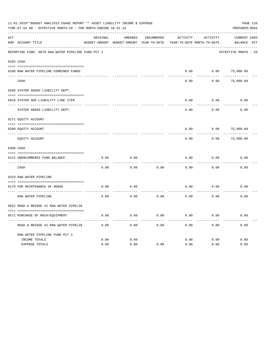|     | 11-01-2019**BUDGET ANALYSIS USAGE REPORT ** ASSET LIABILITY INCOME & EXPENSE<br>PAGE 116<br>TIME: 07:54 AM - EFFECTIVE MONTH: 10 - FOR MONTH ENDING 10-31-19<br>PREPARER: 0004 |          |                                                     |            |          |                                        |                                    |  |  |  |  |
|-----|--------------------------------------------------------------------------------------------------------------------------------------------------------------------------------|----------|-----------------------------------------------------|------------|----------|----------------------------------------|------------------------------------|--|--|--|--|
| ACT | NUM ACCOUNT-TITLE                                                                                                                                                              | ORIGINAL | AMENDED<br>BUDGET-AMOUNT BUDGET-AMOUNT YEAR-TO-DATE | ENCUMBERED | ACTIVITY | ACTIVITY<br>YEAR-TO-DATE MONTH-TO-DATE | <b>CURRENT USED</b><br>BALANCE PCT |  |  |  |  |
|     | REPORTING FUND: 0079 RAW WATER PIPELINE FUND PCT 2                                                                                                                             |          |                                                     |            |          |                                        | EFFECTIVE MONTH - 10               |  |  |  |  |
|     | 0103 CASH                                                                                                                                                                      |          |                                                     |            |          |                                        |                                    |  |  |  |  |
|     | 0100 RAW WATER PIPELINE-COMBINED FUNDS                                                                                                                                         |          |                                                     |            | 0.00     | 0.00                                   | 75,000.00                          |  |  |  |  |
|     | CASH                                                                                                                                                                           |          |                                                     |            | 0.00     | 0.00                                   | 75,000.00                          |  |  |  |  |
|     | 0200 SYSTEM ADDED LIABILITY DEPT.                                                                                                                                              |          |                                                     |            |          |                                        |                                    |  |  |  |  |
|     | 0910 SYSTEM ADD LIABILITY LINE ITEM                                                                                                                                            |          |                                                     |            | 0.00     | 0.00                                   | 0.00                               |  |  |  |  |
|     | SYSTEM ADDED LIABILITY DEPT.                                                                                                                                                   |          |                                                     |            | 0.00     | 0.00                                   | 0.00                               |  |  |  |  |
|     | 0271 EQUITY ACCOUNT                                                                                                                                                            |          |                                                     |            |          |                                        |                                    |  |  |  |  |
|     | 0200 EQUITY ACCOUNT                                                                                                                                                            |          |                                                     |            | 0.00     | 0.00                                   | 75,000.00                          |  |  |  |  |
|     | ---- ----------------<br>EOUITY ACCOUNT                                                                                                                                        |          |                                                     |            | 0.00     | 0.00                                   | 75,000.00                          |  |  |  |  |
|     | 0300 CASH                                                                                                                                                                      |          |                                                     |            |          |                                        |                                    |  |  |  |  |
|     | 0122 UNENCUMBERED FUND BALANCE                                                                                                                                                 | 0.00     | 0.00                                                |            | 0.00     | 0.00                                   | 0.00                               |  |  |  |  |
|     | CASH                                                                                                                                                                           | 0.00     | 0.00                                                | 0.00       | 0.00     | 0.00                                   | 0.00                               |  |  |  |  |
|     | 0319 RAW WATER PIPELINE                                                                                                                                                        |          |                                                     |            |          |                                        |                                    |  |  |  |  |
|     | 0179 FOR MAINTENANCE OF ROADS                                                                                                                                                  | 0.00     | 0.00                                                |            | 0.00     | 0.00                                   | 0.00                               |  |  |  |  |
|     | RAW WATER PIPELINE                                                                                                                                                             | 0.00     | 0.00                                                | 0.00       | 0.00     | 0.00                                   | 0.00                               |  |  |  |  |
|     | 0622 ROAD & BRIDGE #2 RAW WATER PIPELIN                                                                                                                                        |          |                                                     |            |          |                                        |                                    |  |  |  |  |
|     | 0571 PURCHASE OF MACH/EQUIPMENT                                                                                                                                                | 0.00     | 0.00                                                | 0.00       | 0.00     | 0.00                                   | 0.00                               |  |  |  |  |
|     | ROAD & BRIDGE #2 RAW WATER PIPELIN                                                                                                                                             | 0.00     | 0.00                                                | 0.00       | 0.00     | 0.00                                   | 0.00                               |  |  |  |  |
|     | RAW WATER PIPELINE FUND PCT 2<br>INCOME TOTALS                                                                                                                                 | 0.00     | 0.00                                                |            | 0.00     | 0.00                                   | 0.00                               |  |  |  |  |
|     | EXPENSE TOTALS                                                                                                                                                                 | 0.00     | 0.00                                                | 0.00       | 0.00     | 0.00                                   | 0.00                               |  |  |  |  |
|     |                                                                                                                                                                                |          |                                                     |            |          |                                        |                                    |  |  |  |  |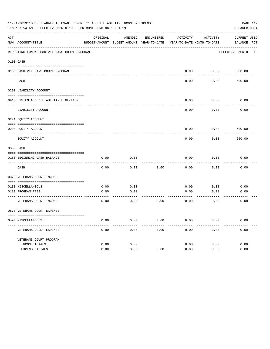|     | 11-01-2019**BUDGET ANALYSIS USAGE REPORT ** ASSET LIABILITY INCOME & EXPENSE<br>TIME: 07:54 AM - EFFECTIVE MONTH: 10 - FOR MONTH ENDING 10-31-19 |          |                                                                     |            |          |          | PAGE 117<br>PREPARER: 0004 |
|-----|--------------------------------------------------------------------------------------------------------------------------------------------------|----------|---------------------------------------------------------------------|------------|----------|----------|----------------------------|
| ACT |                                                                                                                                                  | ORIGINAL | AMENDED                                                             | ENCUMBERED | ACTIVITY | ACTIVITY | CURRENT USED               |
|     | NUM ACCOUNT-TITLE                                                                                                                                |          | BUDGET-AMOUNT BUDGET-AMOUNT YEAR-TO-DATE YEAR-TO-DATE MONTH-TO-DATE |            |          |          | BALANCE PCT                |
|     | REPORTING FUND: 0080 VETERANS COURT PROGRAM                                                                                                      |          |                                                                     |            |          |          | EFFECTIVE MONTH - 10       |
|     | 0103 CASH                                                                                                                                        |          |                                                                     |            |          |          |                            |
|     | 0180 CASH-VETERANS COURT PROGRAM                                                                                                                 |          |                                                                     |            | 0.00     |          | $0.00$ 600.00              |
|     | CASH                                                                                                                                             |          |                                                                     |            | 0.00     | 0.00     | 600.00                     |
|     | 0200 LIABILITY ACCOUNT                                                                                                                           |          |                                                                     |            |          |          |                            |
|     | 0910 SYSTEM ADDED LIABILITY LINE-ITEM                                                                                                            |          |                                                                     |            | 0.00     | 0.00     | 0.00                       |
|     | LIABILITY ACCOUNT                                                                                                                                |          |                                                                     |            | 0.00     | 0.00     | 0.00                       |
|     | 0271 EQUITY ACCOUNT                                                                                                                              |          |                                                                     |            |          |          |                            |
|     | 0200 EQUITY ACCOUNT                                                                                                                              |          |                                                                     |            | 0.00     | 0.00     | 600.00                     |
|     | EOUITY ACCOUNT                                                                                                                                   |          |                                                                     |            | 0.00     | 0.00     | 600.00                     |
|     | 0300 CASH                                                                                                                                        |          |                                                                     |            |          |          |                            |
|     | 0180 BEGINNING CASH BALANCE                                                                                                                      | 0.00     | 0.00                                                                |            | 0.00     | 0.00     | 0.00                       |
|     | CASH                                                                                                                                             | 0.00     | 0.00                                                                | 0.00       | 0.00     | 0.00     | 0.00                       |
|     | 0370 VETERANS COURT INCOME                                                                                                                       |          |                                                                     |            |          |          |                            |
|     | 0130 MISCELLANEOUS                                                                                                                               | 0.00     | 0.00                                                                |            | 0.00     | 0.00     | 0.00                       |
|     | 0180 PROGRAM FEES                                                                                                                                | 0.00     | 0.00                                                                |            | 0.00     | 0.00     | 0.00                       |
|     | ------------------------ -----<br>VETERANS COURT INCOME                                                                                          | 0.00     | -------<br>0.00                                                     | 0.00       | 0.00     | 0.00     | 0.00                       |
|     | 0570 VETERANS COURT EXPENSE                                                                                                                      |          |                                                                     |            |          |          |                            |
|     | 0490 MISCELLANEOUS                                                                                                                               | 0.00     | 0.00                                                                | 0.00       | 0.00     | 0.00     | 0.00                       |
|     | VETERANS COURT EXPENSE                                                                                                                           | 0.00     | 0.00                                                                | 0.00       | 0.00     | 0.00     | 0.00                       |
|     | VETERANS COURT PROGRAM                                                                                                                           |          |                                                                     |            |          |          |                            |
|     | INCOME TOTALS                                                                                                                                    | 0.00     | 0.00                                                                |            | 0.00     | 0.00     | 0.00                       |
|     | EXPENSE TOTALS                                                                                                                                   | 0.00     | 0.00                                                                | 0.00       | 0.00     | 0.00     | 0.00                       |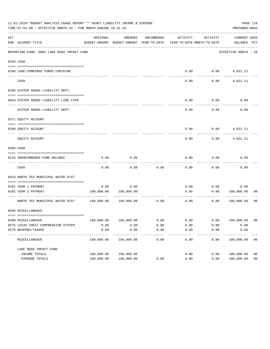|     | 11-01-2019**BUDGET ANALYSIS USAGE REPORT ** ASSET LIABILITY INCOME & EXPENSE<br>PAGE 118<br>TIME: 07:54 AM - EFFECTIVE MONTH: 10 - FOR MONTH ENDING 10-31-19<br>PREPARER: 0004 |                           |                                                     |            |                                        |          |                             |                |  |  |  |  |
|-----|--------------------------------------------------------------------------------------------------------------------------------------------------------------------------------|---------------------------|-----------------------------------------------------|------------|----------------------------------------|----------|-----------------------------|----------------|--|--|--|--|
| ACT | NUM ACCOUNT-TITLE                                                                                                                                                              | ORIGINAL                  | AMENDED<br>BUDGET-AMOUNT BUDGET-AMOUNT YEAR-TO-DATE | ENCUMBERED | ACTIVITY<br>YEAR-TO-DATE MONTH-TO-DATE | ACTIVITY | CURRENT USED<br>BALANCE PCT |                |  |  |  |  |
|     | REPORTING FUND: 0081 LAKE ROAD IMPACT FUND                                                                                                                                     |                           |                                                     |            |                                        |          | EFFECTIVE MONTH - 10        |                |  |  |  |  |
|     | 0103 CASH                                                                                                                                                                      |                           |                                                     |            |                                        |          |                             |                |  |  |  |  |
|     |                                                                                                                                                                                |                           |                                                     |            |                                        |          |                             |                |  |  |  |  |
|     | 0100 LAKE-COMBINED FUNDS CHECKING                                                                                                                                              |                           |                                                     |            | 0.00                                   |          | $0.00$ $4,021.21$           |                |  |  |  |  |
|     | CASH                                                                                                                                                                           |                           |                                                     |            | 0.00                                   | 0.00     | 4,021.21                    |                |  |  |  |  |
|     | 0200 SYSTEM ADDED LIABILITY DEPT.                                                                                                                                              |                           |                                                     |            |                                        |          |                             |                |  |  |  |  |
|     | 0910 SYSTEM ADDED LIABILITY LINE ITEM                                                                                                                                          |                           |                                                     |            | 0.00                                   | 0.00     | 0.00                        |                |  |  |  |  |
|     | SYSTEM ADDED LIABILITY DEPT.                                                                                                                                                   |                           |                                                     |            | 0.00                                   | 0.00     | 0.00                        |                |  |  |  |  |
|     | 0271 EQUITY ACCOUNT                                                                                                                                                            |                           |                                                     |            |                                        |          |                             |                |  |  |  |  |
|     | 0200 EOUITY ACCOUNT                                                                                                                                                            |                           |                                                     |            | 0.00                                   | 0.00     | 4,021.21                    |                |  |  |  |  |
|     | EQUITY ACCOUNT                                                                                                                                                                 |                           |                                                     |            | 0.00                                   | 0.00     | 4,021.21                    |                |  |  |  |  |
|     | 0300 CASH                                                                                                                                                                      |                           |                                                     |            |                                        |          |                             |                |  |  |  |  |
|     |                                                                                                                                                                                |                           |                                                     |            |                                        |          |                             |                |  |  |  |  |
|     | 0110 UNENCUMBERED FUND BALANCE                                                                                                                                                 | 0.00                      | 0.00                                                |            | 0.00                                   | 0.00     | 0.00                        |                |  |  |  |  |
|     | CASH                                                                                                                                                                           | 0.00                      | 0.00                                                | 0.00       | 0.00                                   | 0.00     | 0.00                        |                |  |  |  |  |
|     | 0318 NORTH TEX MUNICIPAL WATER DIST                                                                                                                                            |                           |                                                     |            |                                        |          |                             |                |  |  |  |  |
|     | 0181 YEAR 1 PAYMENT                                                                                                                                                            |                           | 0.00                                                |            |                                        |          |                             |                |  |  |  |  |
|     | 0182 YEAR 2 PAYMENT                                                                                                                                                            | 0.00<br>100,000.00        | 100,000.00                                          |            | 0.00<br>0.00                           | 0.00     | 0.00<br>0.00<br>100,000.00  | 00             |  |  |  |  |
|     |                                                                                                                                                                                |                           |                                                     |            |                                        |          | ----------                  |                |  |  |  |  |
|     | NORTH TEX MUNICIPAL WATER DIST 100,000.00                                                                                                                                      |                           | 100,000.00                                          | 0.00       | 0.00                                   | 0.00     | 100,000.00                  | 00             |  |  |  |  |
|     | 0590 MISCELLANEOUS                                                                                                                                                             |                           |                                                     |            |                                        |          |                             |                |  |  |  |  |
|     | 0490 MISCELLANEOUS                                                                                                                                                             | 100,000.00                | 100,000.00                                          | 0.00       | 0.00                                   | 0.00     | 100,000.00                  | - 00           |  |  |  |  |
|     | 0576 LUCAS CHEST COMPRESSION SYSTEM                                                                                                                                            | 0.00                      | 0.00                                                | 0.00       | 0.00                                   | 0.00     | 0.00                        |                |  |  |  |  |
|     | 0579 WEAPONS/TASERS                                                                                                                                                            | 0.00                      | 0.00                                                | 0.00       | 0.00                                   | 0.00     | 0.00                        |                |  |  |  |  |
|     | MISCELLANEOUS                                                                                                                                                                  | -----------<br>100,000.00 | 100,000.00                                          | 0.00       | 0.00                                   | 0.00     | ----------<br>100,000.00    | 0 <sub>0</sub> |  |  |  |  |
|     | LAKE ROAD IMPACT FUND                                                                                                                                                          |                           |                                                     |            |                                        |          |                             |                |  |  |  |  |
|     | INCOME TOTALS                                                                                                                                                                  | 100,000.00                | 100,000.00                                          |            | 0.00                                   | 0.00     | 100,000.00                  | 0 <sub>0</sub> |  |  |  |  |
|     | EXPENSE TOTALS                                                                                                                                                                 | 100,000.00                | 100,000.00                                          | 0.00       | 0.00                                   | 0.00     | 100,000.00                  | 0 <sub>0</sub> |  |  |  |  |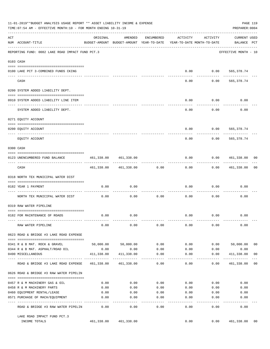|     | 11-01-2019**BUDGET ANALYSIS USAGE REPORT ** ASSET LIABILITY INCOME & EXPENSE<br>TIME: 07:54 AM - EFFECTIVE MONTH: 10 - FOR MONTH ENDING 10-31-19 |                 |                                                                                |                     |          |                     | PAGE 119<br>PREPARER: 0004         |                |
|-----|--------------------------------------------------------------------------------------------------------------------------------------------------|-----------------|--------------------------------------------------------------------------------|---------------------|----------|---------------------|------------------------------------|----------------|
| ACT | NUM ACCOUNT-TITLE                                                                                                                                | ORIGINAL        | AMENDED<br>BUDGET-AMOUNT BUDGET-AMOUNT YEAR-TO-DATE YEAR-TO-DATE MONTH-TO-DATE | ENCUMBERED          | ACTIVITY | ACTIVITY            | <b>CURRENT USED</b><br>BALANCE PCT |                |
|     | REPORTING FUND: 0082 LAKE ROAD IMPACT FUND PCT.3                                                                                                 |                 |                                                                                |                     |          |                     | EFFECTIVE MONTH - 10               |                |
|     | 0103 CASH                                                                                                                                        |                 |                                                                                |                     |          |                     |                                    |                |
|     | 0100 LAKE PCT 3-COMBINED FUNDS CKING                                                                                                             |                 |                                                                                |                     | 0.00     |                     | $0.00$ 565,378.74                  |                |
|     | CASH                                                                                                                                             |                 |                                                                                |                     | 0.00     | ----------<br>0.00  | ------------<br>565,378.74         |                |
|     | 0200 SYSTEM ADDED LIABILITY DEPT.                                                                                                                |                 |                                                                                |                     |          |                     |                                    |                |
|     | 0910 SYSTEM ADDED LIABILITY LINE ITEM                                                                                                            |                 |                                                                                |                     | 0.00     | 0.00                | 0.00                               |                |
|     | SYSTEM ADDED LIABILITY DEPT.                                                                                                                     |                 |                                                                                |                     | 0.00     | . <u>.</u><br>0.00  | 0.00                               |                |
|     | 0271 EQUITY ACCOUNT                                                                                                                              |                 |                                                                                |                     |          |                     |                                    |                |
|     | 0200 EQUITY ACCOUNT                                                                                                                              |                 |                                                                                |                     | 0.00     | 0.00                | 565,378.74                         |                |
|     | --------------------- ----------<br>EQUITY ACCOUNT                                                                                               |                 |                                                                                |                     | 0.00     | 0.00                | 565,378.74                         |                |
|     | 0300 CASH                                                                                                                                        |                 |                                                                                |                     |          |                     |                                    |                |
|     | 0123 UNENCUMBERED FUND BALANCE                                                                                                                   |                 | 461,338.00 461,338.00                                                          |                     | 0.00     |                     | 0.0000461,338.00                   | 00             |
|     | CASH                                                                                                                                             |                 | 461,338.00 461,338.00 0.00                                                     |                     | 0.00     |                     | $0.00$ $461,338.00$                | 00             |
|     | 0318 NORTH TEX MUNICIPAL WATER DIST                                                                                                              |                 |                                                                                |                     |          |                     |                                    |                |
|     | 0182 YEAR 1 PAYMENT                                                                                                                              | 0.00            | 0.00                                                                           |                     | 0.00     | 0.00                | 0.00                               |                |
|     | NORTH TEX MUNICIPAL WATER DIST                                                                                                                   | 0.00            | 0.00                                                                           | 0.00                | 0.00     | 0.00                | 0.00                               |                |
|     | 0319 RAW WATER PIPELINE                                                                                                                          |                 |                                                                                |                     |          |                     |                                    |                |
|     | 0182 FOR MAINTENANCE OF ROADS                                                                                                                    | 0.00            | 0.00                                                                           |                     |          | $0.00$ $0.00$       | 0.00                               |                |
|     | RAW WATER PIPELINE                                                                                                                               | 0.00            | 0.00                                                                           | 0.00                | 0.00     | 0.00                | 0.00                               |                |
|     | 0623 ROAD & BRIDGE #3 LAKE ROAD EXPENSE                                                                                                          |                 |                                                                                |                     |          |                     |                                    |                |
|     | 0341 R & B MAT. ROCK & GRAVEL                                                                                                                    |                 | 50,000.00 50,000.00                                                            | 0.00                | 0.00     | 0.00                | 50,000.00                          | 0 <sub>0</sub> |
|     | 0344 R & B MAT. ASPHALT/ROAD OIL                                                                                                                 | 0.00            | 0.00                                                                           | 0.00                | 0.00     | 0.00                | 0.00                               |                |
|     | 0490 MISCELLANEOUS                                                                                                                               | 411,338.00<br>. | 411,338.00<br>-------------                                                    | 0.00<br>$- - - - -$ | 0.00     | 0.00<br>$- - - - -$ | 411,338.00<br>-----------          | 0 <sub>0</sub> |
|     | ROAD & BRIDGE #3 LAKE ROAD EXPENSE                                                                                                               |                 | 461,338.00 461,338.00                                                          | 0.00                | 0.00     | 0.00                | 461,338.00                         | 0 <sub>0</sub> |
|     | 0626 ROAD & BRIDGE #3 RAW WATER PIPELIN                                                                                                          |                 |                                                                                |                     |          |                     |                                    |                |
|     | 0457 R & M MACHINERY GAS & OIL                                                                                                                   | 0.00            | 0.00                                                                           | 0.00                | 0.00     | 0.00                | 0.00                               |                |
|     | 0458 R & M MACHINERY PARTS                                                                                                                       | 0.00            | 0.00                                                                           | 0.00                | 0.00     | 0.00                | 0.00                               |                |
|     | 0460 EQUIPMENT RENTAL/LEASE                                                                                                                      | 0.00            | 0.00                                                                           | 0.00                | 0.00     | 0.00                | 0.00                               |                |
|     | 0571 PURCHASE OF MACH/EQUIPMENT                                                                                                                  | 0.00            | 0.00                                                                           | 0.00                | 0.00     | 0.00                | 0.00                               |                |
|     | ROAD & BRIDGE #3 RAW WATER PIPELIN                                                                                                               | 0.00            | $---$<br>0.00                                                                  | $- - - - -$<br>0.00 | 0.00     | 0.00                | 0.00                               |                |
|     |                                                                                                                                                  |                 |                                                                                |                     |          |                     |                                    |                |
|     | LAKE ROAD IMPACT FUND PCT.3<br>INCOME TOTALS                                                                                                     |                 | 461,338.00 461,338.00                                                          |                     | 0.00     | 0.00                | 461,338.00                         | 00             |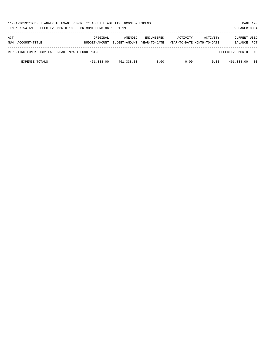| 11-01-2019**BUDGET ANALYSIS USAGE REPORT ** ASSET LIABILITY INCOME & EXPENSE<br>TIME: 07:54 AM - EFFECTIVE MONTH: 10 - FOR MONTH ENDING 10-31-19 |                           |                          |                                   |          | PAGE 120<br>PREPARER: 0004             |                                       |            |
|--------------------------------------------------------------------------------------------------------------------------------------------------|---------------------------|--------------------------|-----------------------------------|----------|----------------------------------------|---------------------------------------|------------|
| ACT<br>NUM ACCOUNT-TITLE                                                                                                                         | ORIGINAL<br>BUDGET-AMOUNT | AMENDED<br>BUDGET-AMOUNT | <b>ENCUMBERED</b><br>YEAR-TO-DATE | ACTIVITY | ACTIVITY<br>YEAR-TO-DATE MONTH-TO-DATE | <b>CURRENT USED</b><br><b>BALANCE</b> | <b>PCT</b> |
| REPORTING FUND: 0082 LAKE ROAD IMPACT FUND PCT.3                                                                                                 |                           |                          |                                   |          |                                        | EFFECTIVE MONTH - 10                  |            |
| <b>EXPENSE TOTALS</b>                                                                                                                            | 461,338.00                | 461,338.00               | 0.00                              | 0.00     | 0.00                                   | 461,338.00                            | 00         |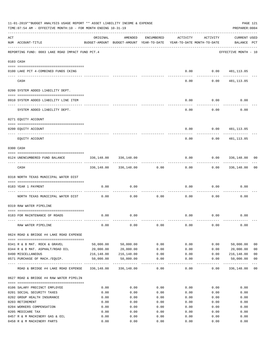|     | 11-01-2019**BUDGET ANALYSIS USAGE REPORT ** ASSET LIABILITY INCOME & EXPENSE<br>TIME: 07:54 AM - EFFECTIVE MONTH: 10 - FOR MONTH ENDING 10-31-19 |              |                                                                                |                       |              |                  | PAGE 121<br>PREPARER: 0004    |                |
|-----|--------------------------------------------------------------------------------------------------------------------------------------------------|--------------|--------------------------------------------------------------------------------|-----------------------|--------------|------------------|-------------------------------|----------------|
| ACT | NUM ACCOUNT-TITLE                                                                                                                                | ORIGINAL     | AMENDED<br>BUDGET-AMOUNT BUDGET-AMOUNT YEAR-TO-DATE YEAR-TO-DATE MONTH-TO-DATE | ENCUMBERED            | ACTIVITY     | ACTIVITY         | CURRENT USED<br>BALANCE PCT   |                |
|     | REPORTING FUND: 0083 LAKE ROAD IMPACT FUND PCT.4                                                                                                 |              |                                                                                |                       |              |                  | EFFECTIVE MONTH - 10          |                |
|     | 0103 CASH                                                                                                                                        |              |                                                                                |                       |              |                  |                               |                |
|     | 0100 LAKE PCT 4-COMBINED FUNDS CKING                                                                                                             |              |                                                                                |                       | 0.00         |                  | $0.00$ 481, 113.05            |                |
|     | CASH                                                                                                                                             |              |                                                                                |                       | 0.00         | ---------        | -------<br>$0.00$ 481, 113.05 |                |
|     | 0200 SYSTEM ADDED LIABILITY DEPT.                                                                                                                |              |                                                                                |                       |              |                  |                               |                |
|     | 0910 SYSTEM ADDED LIABILITY LINE ITEM                                                                                                            |              |                                                                                |                       | 0.00         | 0.00             | 0.00                          |                |
|     | SYSTEM ADDED LIABILITY DEPT.                                                                                                                     |              |                                                                                |                       | 0.00         | 0.00             | 0.00                          |                |
|     | 0271 EQUITY ACCOUNT                                                                                                                              |              |                                                                                |                       |              |                  |                               |                |
|     |                                                                                                                                                  |              |                                                                                |                       |              |                  |                               |                |
|     | 0200 EQUITY ACCOUNT<br>------------------------------                                                                                            |              |                                                                                |                       | 0.00         | 0.00             | 481,113.05                    |                |
|     | EQUITY ACCOUNT                                                                                                                                   |              |                                                                                |                       | 0.00         | 0.00             | 481,113.05                    |                |
|     | 0300 CASH                                                                                                                                        |              |                                                                                |                       |              |                  |                               |                |
|     | 0124 UNENCUMBERED FUND BALANCE                                                                                                                   | 336,148.00   | 336,148.00                                                                     |                       | 0.00         | 0.0000336,148.00 |                               | 00             |
|     | CASH                                                                                                                                             |              | 336,148.00 336,148.00                                                          | 0.00                  | 0.00         |                  | $0.00$ 336,148.00             | 00             |
|     | 0318 NORTH TEXAS MUNICIPAL WATER DIST                                                                                                            |              |                                                                                |                       |              |                  |                               |                |
|     | 0183 YEAR 1 PAYMENT                                                                                                                              | 0.00         | 0.00                                                                           |                       | 0.00         | 0.00             | 0.00                          |                |
|     | ------------------------------ -----                                                                                                             |              |                                                                                |                       |              |                  |                               |                |
|     | NORTH TEXAS MUNICIPAL WATER DIST                                                                                                                 | 0.00         | 0.00                                                                           | 0.00                  | 0.00         | 0.00             | 0.00                          |                |
|     | 0319 RAW WATER PIPELINE                                                                                                                          |              |                                                                                |                       |              |                  |                               |                |
|     | 0183 FOR MAINTENANCE OF ROADS                                                                                                                    | 0.00         | 0.00                                                                           |                       |              | $0.00$ $0.00$    | 0.00                          |                |
|     | RAW WATER PIPELINE                                                                                                                               | 0.00         | 0.00                                                                           | 0.00                  | 0.00         | 0.00             | 0.00                          |                |
|     | 0624 ROAD & BRIDGE #4 LAKE ROAD EXPENSE                                                                                                          |              |                                                                                |                       |              |                  |                               |                |
|     | 0341 R & B MAT. ROCK & GRAVEL                                                                                                                    | 50,000.00    | 50,000.00                                                                      | 0.00                  | 0.00         | 0.00             | 50,000.00                     | 0 <sub>0</sub> |
|     | 0344 R & B MAT. ASPHALT/ROAD OIL                                                                                                                 | 20,000.00    | 20,000.00                                                                      | 0.00                  | 0.00         | 0.00             | 20,000.00                     | 0 <sub>0</sub> |
|     | 0490 MISCELLANEOUS                                                                                                                               | 216,148.00   | 216,148.00                                                                     | 0.00                  | 0.00         | 0.00             | 216,148.00                    | 00             |
|     | 0571 PURCHASE OF MACH./EQUIP.                                                                                                                    | 50,000.00    | 50,000.00                                                                      | 0.00                  | 0.00         | 0.00             | 50,000.00                     | 0 <sub>0</sub> |
|     | ROAD & BRIDGE #4 LAKE ROAD EXPENSE                                                                                                               | 336,148.00   | 336,148.00                                                                     | $- - - - - -$<br>0.00 | 0.00         | -----<br>0.00    | -----------<br>336,148.00     | 0 <sub>0</sub> |
|     | 0627 ROAD & BRIDGE #4 RAW WATER PIPELIN                                                                                                          |              |                                                                                |                       |              |                  |                               |                |
|     |                                                                                                                                                  |              |                                                                                |                       |              |                  |                               |                |
|     | 0106 SALARY PRECINCT EMPLOYEE                                                                                                                    | 0.00         | 0.00                                                                           | 0.00                  | 0.00         | 0.00             | 0.00                          |                |
|     | 0201 SOCIAL SECURITY TAXES<br>0202 GROUP HEALTH INSURANCE                                                                                        | 0.00<br>0.00 | 0.00<br>0.00                                                                   | 0.00<br>0.00          | 0.00<br>0.00 | 0.00<br>0.00     | 0.00<br>0.00                  |                |
|     | 0203 RETIREMENT                                                                                                                                  | 0.00         | 0.00                                                                           | 0.00                  | 0.00         | 0.00             | 0.00                          |                |
|     | 0204 WORKERS COMPENSATION                                                                                                                        | 0.00         | 0.00                                                                           | 0.00                  | 0.00         | 0.00             | 0.00                          |                |
|     | 0205 MEDICARE TAX                                                                                                                                | 0.00         | 0.00                                                                           | 0.00                  | 0.00         | 0.00             | 0.00                          |                |
|     | 0457 R & M MACHINERY GAS & OIL                                                                                                                   | 0.00         | 0.00                                                                           | 0.00                  | 0.00         | 0.00             | 0.00                          |                |
|     | 0458 R & M MACHINERY PARTS                                                                                                                       | 0.00         | 0.00                                                                           | 0.00                  | 0.00         | 0.00             | 0.00                          |                |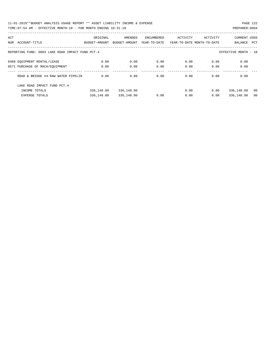11-01-2019\*\*BUDGET ANALYSIS USAGE REPORT \*\* ASSET LIABILITY INCOME & EXPENSE PAGE 122 TIME:07:54 AM - EFFECTIVE MONTH:10 - FOR MONTH ENDING 10-31-19 PREPARER:0004

|                 | ------- |  |  |  |
|-----------------|---------|--|--|--|
| 000 • תחת גם הי |         |  |  |  |

| ACT                                                                      |                                    | ORIGINAL      | AMENDED       | ENCUMBERED   | ACTIVITY | ACTIVITY                   | <b>CURRENT USED</b> |     |
|--------------------------------------------------------------------------|------------------------------------|---------------|---------------|--------------|----------|----------------------------|---------------------|-----|
| NUM                                                                      | ACCOUNT-TITLE                      | BUDGET-AMOUNT | BUDGET-AMOUNT | YEAR-TO-DATE |          | YEAR-TO-DATE MONTH-TO-DATE | BALANCE             | PCT |
|                                                                          |                                    |               |               |              |          |                            |                     |     |
| REPORTING FUND: 0083 LAKE ROAD IMPACT FUND PCT.4<br>EFFECTIVE MONTH - 10 |                                    |               |               |              |          |                            |                     |     |
|                                                                          |                                    |               |               |              |          |                            |                     |     |
|                                                                          | 0460 EOUIPMENT RENTAL/LEASE        | 0.00          | 0.00          | 0.00         | 0.00     | 0.00                       | 0.00                |     |
|                                                                          | 0571 PURCHASE OF MACH/EOUIPMENT    | 0.00          | 0.00          | 0.00         | 0.00     | 0.00                       | 0.00                |     |
|                                                                          |                                    |               |               |              |          |                            |                     |     |
|                                                                          | ROAD & BRIDGE #4 RAW WATER PIPELIN | 0.00          | 0.00          | 0.00         | 0.00     | 0.00                       | 0.00                |     |
|                                                                          |                                    |               |               |              |          |                            |                     |     |
|                                                                          | LAKE ROAD IMPACT FUND PCT. 4       |               |               |              |          |                            |                     |     |
|                                                                          | INCOME TOTALS                      | 336,148.00    | 336,148.00    |              | 0.00     | 0.00                       | 336,148.00          | 00  |
|                                                                          | <b>EXPENSE TOTALS</b>              | 336,148.00    | 336,148.00    | 0.00         | 0.00     | 0.00                       | 336,148.00          | 00  |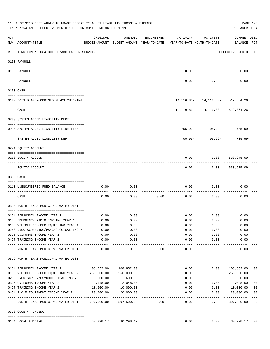|     | 11-01-2019**BUDGET ANALYSIS USAGE REPORT ** ASSET LIABILITY INCOME & EXPENSE<br>TIME: 07:54 AM - EFFECTIVE MONTH: 10 - FOR MONTH ENDING 10-31-19 |            |                                                     |            |                                        |                                                        | PAGE 123<br>PREPARER: 0004          |                         |
|-----|--------------------------------------------------------------------------------------------------------------------------------------------------|------------|-----------------------------------------------------|------------|----------------------------------------|--------------------------------------------------------|-------------------------------------|-------------------------|
| ACT | NUM ACCOUNT-TITLE                                                                                                                                | ORIGINAL   | AMENDED<br>BUDGET-AMOUNT BUDGET-AMOUNT YEAR-TO-DATE | ENCUMBERED | ACTIVITY<br>YEAR-TO-DATE MONTH-TO-DATE | ACTIVITY                                               | CURRENT USED<br>BALANCE PCT         |                         |
|     | REPORTING FUND: 0084 BOIS D'ARC LAKE RESERVOIR                                                                                                   |            |                                                     |            |                                        |                                                        | EFFECTIVE MONTH - 10                |                         |
|     | 0100 PAYROLL                                                                                                                                     |            |                                                     |            |                                        |                                                        |                                     |                         |
|     | 0100 PAYROLL                                                                                                                                     |            |                                                     |            | 0.00                                   | 0.00                                                   | 0.00                                |                         |
|     | PAYROLL                                                                                                                                          |            |                                                     |            | 0.00                                   | 0.00                                                   | 0.00                                |                         |
|     | 0103 CASH                                                                                                                                        |            |                                                     |            |                                        |                                                        |                                     |                         |
|     | 0100 BOIS D'ARC-COMBINED FUNDS CHECKING                                                                                                          |            |                                                     |            |                                        | 14, 110.83 - 14, 110.83 - 519, 864.26                  |                                     |                         |
|     | CASH                                                                                                                                             |            |                                                     |            |                                        | -------------<br>14, 110.83 - 14, 110.83 - 519, 864.26 |                                     |                         |
|     | 0200 SYSTEM ADDED LIABILITY DEPT.                                                                                                                |            |                                                     |            |                                        |                                                        |                                     |                         |
|     | 0910 SYSTEM ADDED LIABILITY LINE ITEM                                                                                                            |            |                                                     |            |                                        | 705.99- 705.99-                                        | 705.99-                             |                         |
|     | SYSTEM ADDED LIABILITY DEPT.                                                                                                                     |            |                                                     |            | 705.99-                                | 705.99-                                                | $705.99 -$                          |                         |
|     | 0271 EQUITY ACCOUNT                                                                                                                              |            |                                                     |            |                                        |                                                        |                                     |                         |
|     | 0200 EQUITY ACCOUNT                                                                                                                              |            |                                                     |            | 0.00                                   | 0.00                                                   | 533,975.09                          |                         |
|     | EQUITY ACCOUNT                                                                                                                                   |            |                                                     |            | 0.00                                   | 0.00                                                   | 533,975.09                          |                         |
|     | 0300 CASH                                                                                                                                        |            |                                                     |            |                                        |                                                        |                                     |                         |
|     | 0110 UNENCUMBERED FUND BALANCE                                                                                                                   | 0.00       | 0.00                                                |            | 0.00                                   | 0.00                                                   | 0.00                                |                         |
|     | CASH                                                                                                                                             | 0.00       | 0.00                                                | 0.00       | 0.00                                   | 0.00                                                   | 0.00                                |                         |
|     | 0318 NORTH TEXAS MUNICIPAL WATER DIST                                                                                                            |            |                                                     |            |                                        |                                                        |                                     |                         |
|     | 0184 PERSONNEL INCOME YEAR 1                                                                                                                     | 0.00       | 0.00                                                |            | 0.00                                   | 0.00                                                   | 0.00                                |                         |
|     | 0185 EMERGENCY RADIO IMP. INC. YEAR 1                                                                                                            | 0.00       | 0.00                                                |            | 0.00                                   | 0.00                                                   | 0.00                                |                         |
|     | 0186 VEHICLE OR SPEC EQUIP INC YEAR 1                                                                                                            | 0.00       | 0.00                                                |            | 0.00                                   | 0.00                                                   | 0.00                                |                         |
|     | 0.00 0250 DRUG SCREENING/PSYCHOLOGICAL INC Y                                                                                                     |            | 0.00                                                |            | 0.00                                   | 0.00                                                   | 0.00                                |                         |
|     | 0395 UNIFORMS INCOME YEAR 1                                                                                                                      | 0.00       | 0.00                                                |            | 0.00                                   | 0.00                                                   | 0.00                                |                         |
|     | 0427 TRAINING INCOME YEAR 1                                                                                                                      | 0.00       | 0.00<br>----------                                  |            | 0.00<br>----------                     | 0.00<br>---------                                      | 0.00<br>----------                  |                         |
|     | NORTH TEXAS MUNICIPAL WATER DIST                                                                                                                 | 0.00       | 0.00                                                | 0.00       | 0.00                                   | 0.00                                                   | 0.00                                |                         |
|     | 0319 NORTH TEXAS MUNICIPAL WATER DIST                                                                                                            |            |                                                     |            |                                        |                                                        |                                     |                         |
|     | 0184 PERSONNEL INCOME YEAR 2                                                                                                                     | 108,852.00 | 108,852.00                                          |            | 0.00                                   | 0.00                                                   | 108,852.00                          | 00                      |
|     | 0186 VEHICLE OR SPEC EQUIP INC YEAR 2                                                                                                            | 256,000.00 | 256,000.00                                          |            | 0.00                                   | 0.00                                                   | 256,000.00                          | 0 <sub>0</sub>          |
|     | 0250 DRUG SCREEN/PSYCHOLOGICAL INC YE                                                                                                            | 600.00     | 600.00                                              |            | 0.00                                   | 0.00                                                   | 600.00                              | 0 <sub>0</sub>          |
|     | 0395 UNIFORMS INCOME YEAR 2                                                                                                                      | 2,048.00   | 2,048.00                                            |            | 0.00                                   | 0.00                                                   | 2,048.00                            | 0 <sub>0</sub>          |
|     | 0427 TRAINING INCOME YEAR 2                                                                                                                      | 10,000.00  | 10,000.00                                           |            | 0.00                                   | 0.00                                                   | 10,000.00                           | 0 <sub>0</sub>          |
|     | 0454 R & M EQUIPMENT INCOME YEAR 2                                                                                                               | 20,000.00  | 20,000.00                                           |            | 0.00                                   | 0.00                                                   | 20,000.00                           | 0 <sub>0</sub>          |
|     | NORTH TEXAS MUNICIPAL WATER DIST 397,500.00                                                                                                      |            | 397,500.00                                          | 0.00       | ----------<br>0.00                     | $-- - - - - - -$<br>0.00                               | . _ _ _ _ _ _ _ _ _ _<br>397,500.00 | $---$<br>0 <sub>0</sub> |
|     | 0370 COUNTY FUNDING                                                                                                                              |            |                                                     |            |                                        |                                                        |                                     |                         |
|     |                                                                                                                                                  |            |                                                     |            |                                        |                                                        |                                     |                         |
|     | 0184 LOCAL FUNDING                                                                                                                               | 30,298.17  | 30,298.17                                           |            | 0.00                                   | 0.00                                                   | 30,298.17                           | 00                      |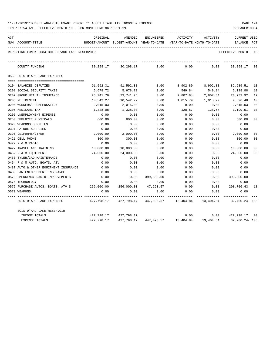| 11-01-2019**BUDGET ANALYSIS USAGE REPORT ** ASSET LIABILITY INCOME & EXPENSE |  |  |  | PAGE 124 |  |
|------------------------------------------------------------------------------|--|--|--|----------|--|
|                                                                              |  |  |  |          |  |

| ACT | NUM ACCOUNT-TITLE                                       | ORIGINAL<br>BUDGET-AMOUNT BUDGET-AMOUNT YEAR-TO-DATE YEAR-TO-DATE MONTH-TO-DATE | AMENDED               | ENCUMBERED | ACTIVITY  | ACTIVITY          | <b>CURRENT USED</b><br>BALANCE PCT |                |
|-----|---------------------------------------------------------|---------------------------------------------------------------------------------|-----------------------|------------|-----------|-------------------|------------------------------------|----------------|
|     | REPORTING FUND: 0084 BOIS D'ARC LAKE RESERVOIR          |                                                                                 |                       |            |           |                   | EFFECTIVE MONTH - 10               |                |
|     | COUNTY FUNDING                                          |                                                                                 | 30,298.17 30,298.17   | 0.00       | 0.00      | 0.00              | 30,298.17 00                       |                |
|     | 0560 BOIS D'ARC LAKE EXPENSES                           |                                                                                 |                       |            |           |                   |                                    |                |
|     |                                                         |                                                                                 |                       |            |           |                   |                                    |                |
|     | 0104 SALARIES DEPUTIES                                  | 91,592.31                                                                       | 91,592.31             | 0.00       |           | 8,902.80 8,902.80 | 82,689.51                          | 10             |
|     | 0201 SOCIAL SECURITY TAXES                              | 5,678.72                                                                        | 5,678.72              | 0.00       | 549.84    | 549.84            | 5,128.88                           | 10             |
|     | 0202 GROUP HEALTH INSURANCE                             | 23,741.76                                                                       | 23,741.76             | 0.00       | 2,807.84  | 2,807.84          | 20,933.92                          | 12             |
|     | 0203 RETIREMENT                                         | 10,542.27                                                                       | 10,542.27             | 0.00       | 1,015.79  | 1,015.79          | 9,526.48                           | 10             |
|     | 0204 WORKERS' COMPENSATION                              | 2,015.03                                                                        | 2,015.03              | 0.00       | 0.00      | 0.00              | 2,015.03                           | 00             |
|     | 0205 MEDICARE TAX                                       | 1,328.08                                                                        | 1,328.08              | 0.00       | 128.57    | 128.57            | 1,199.51                           | 10             |
|     | 0206 UNEMPLOYMENT EXPENSE                               | 0.00                                                                            | 0.00                  | 0.00       | 0.00      | 0.00              | 0.00                               |                |
|     | 0250 EMPLOYEE PHYSICALS                                 | 600.00                                                                          | 600.00                | 0.00       | 0.00      | 0.00              | 600.00                             | 00             |
|     | 0320 WEAPONS SUPPLIES                                   | 0.00                                                                            | 0.00                  | 0.00       | 0.00      | 0.00              | 0.00                               |                |
|     | 0321 PATROL SUPPLIES                                    | 0.00                                                                            | 0.00                  | 0.00       | 0.00      | 0.00              | 0.00                               |                |
|     | 0395 UNIFORMS/OTHER                                     | 2,000.00                                                                        | 2,000.00              | 0.00       | 0.00      | 0.00              | 2,000.00                           | 0 <sup>0</sup> |
|     | 0421 CELL PHONE                                         | 300.00                                                                          | 300.00                | 0.00       | 0.00      | 0.00              | 300.00                             | 00             |
|     | 0422 R & M RADIO                                        | 0.00                                                                            | 0.00                  | 0.00       | 0.00      | 0.00              | 0.00                               |                |
|     | 0427 TRAVEL AND TRAINING                                | 10,000.00                                                                       | 10,000.00             | 0.00       | 0.00      | 0.00              | 10,000.00                          | 00             |
|     | 0452 R & M EQUIPMENT                                    | 24,000.00                                                                       | 24,000.00             | 0.00       | 0.00      | 0.00              | 24,000.00                          | 00             |
|     | 0453 TYLER/CAD MAINTENANCE                              | 0.00                                                                            | 0.00                  | 0.00       | 0.00      | 0.00              | 0.00                               |                |
|     | 0454 R & M AUTO, BOATS, ATV                             | 0.00                                                                            | 0.00                  | 0.00       | 0.00      | 0.00              | 0.00                               |                |
|     | 0487 AUTO & OTHER EQUIPMENT INSURANCE                   | 0.00                                                                            | 0.00                  | 0.00       | 0.00      | 0.00              | 0.00                               |                |
|     | 0488 LAW ENFORCEMENT INSURANCE                          | 0.00                                                                            | 0.00                  | 0.00       | 0.00      | 0.00              | 0.00                               |                |
|     | 0573 EMERGENCY RADIO IMPROVEMENTS                       | 0.00                                                                            | 0.00                  | 399,800.00 | 0.00      | 0.00              | $399,800.00 -$                     |                |
|     | 0574 TECHNOLOGY                                         | 0.00                                                                            | 0.00                  | 0.00       | 0.00      | 0.00              | 0.00                               |                |
|     | 0575 PURCHASE AUTOS, BOATS, ATV'S 256,000.00 256,000.00 |                                                                                 |                       | 47,293.57  | 0.00      | 0.00              | 208,706.43 18                      |                |
|     | 0579 WEAPONS                                            | 0.00                                                                            | 0.00                  | 0.00       | 0.00      | 0.00              | 0.00                               |                |
|     | BOIS D'ARC LAKE EXPENSES                                | 427,798.17   427,798.17   447,093.57   13,404.84   13,404.84   32,700.24- 108   |                       |            |           |                   |                                    |                |
|     | BOIS D'ARC LAKE RESERVOIR                               |                                                                                 |                       |            |           |                   |                                    |                |
|     | INCOME TOTALS                                           |                                                                                 | 427,798.17 427,798.17 |            |           |                   | $0.00$ $0.00$ $427,798.17$ 00      |                |
|     | <b>EXPENSE TOTALS</b>                                   | 427,798.17                                                                      | 427,798.17            | 447,093.57 | 13,404.84 | 13,404.84         | 32,700.24- 108                     |                |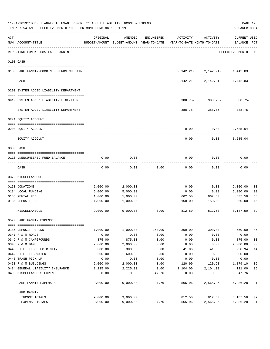| 11-01-2019**BUDGET ANALYSIS USAGE REPORT ** ASSET LIABILITY INCOME & EXPENSE<br>TIME: 07:54 AM - EFFECTIVE MONTH: 10 - FOR MONTH ENDING 10-31-19 |                                                             |                    |                    |              |                                                                                 |                                  |                             |                                  |  |  |
|--------------------------------------------------------------------------------------------------------------------------------------------------|-------------------------------------------------------------|--------------------|--------------------|--------------|---------------------------------------------------------------------------------|----------------------------------|-----------------------------|----------------------------------|--|--|
| ACT                                                                                                                                              | NUM ACCOUNT-TITLE<br>-------------------------------------- | ORIGINAL           | AMENDED            | ENCUMBERED   | ACTIVITY<br>BUDGET-AMOUNT BUDGET-AMOUNT YEAR-TO-DATE YEAR-TO-DATE MONTH-TO-DATE | ACTIVITY                         | CURRENT USED<br>BALANCE PCT |                                  |  |  |
|                                                                                                                                                  | REPORTING FUND: 0085 LAKE FANNIN                            |                    |                    |              |                                                                                 |                                  | EFFECTIVE MONTH - 10        |                                  |  |  |
|                                                                                                                                                  | 0103 CASH                                                   |                    |                    |              |                                                                                 |                                  |                             |                                  |  |  |
|                                                                                                                                                  | 0100 LAKE FANNIN-COMBINED FUNDS CHECKIN                     |                    |                    |              |                                                                                 | $2,142.21 - 2,142.21 - 1,442.83$ |                             |                                  |  |  |
|                                                                                                                                                  | CASH                                                        |                    |                    |              |                                                                                 | $2,142.21 - 2,142.21 - 1,442.83$ |                             |                                  |  |  |
|                                                                                                                                                  | 0200 SYSTEM ADDED LIABILITY DEPARTMENT                      |                    |                    |              |                                                                                 |                                  |                             |                                  |  |  |
|                                                                                                                                                  | 0910 SYSTEM ADDED LIABILITY LINE-ITEM                       |                    |                    |              |                                                                                 | $388.75 - 388.75 - 388.75$       |                             |                                  |  |  |
|                                                                                                                                                  | SYSTEM ADDED LIABILITY DEPARTMENT                           |                    |                    |              |                                                                                 | $388.75 - 388.75 - 388.75$       |                             |                                  |  |  |
|                                                                                                                                                  | 0271 EQUITY ACCOUNT                                         |                    |                    |              |                                                                                 |                                  |                             |                                  |  |  |
|                                                                                                                                                  | 0200 EQUITY ACCOUNT                                         |                    |                    |              | 0.00                                                                            | $0.00$ 3,585.04                  |                             |                                  |  |  |
|                                                                                                                                                  | EOUITY ACCOUNT                                              |                    |                    |              | 0.00                                                                            | 0.00                             | 3,585.04                    |                                  |  |  |
|                                                                                                                                                  | 0300 CASH                                                   |                    |                    |              |                                                                                 |                                  |                             |                                  |  |  |
|                                                                                                                                                  | 0110 UNENCUMBERED FUND BALANCE                              | 0.00               | 0.00               |              | 0.00                                                                            | 0.00                             | 0.00                        |                                  |  |  |
|                                                                                                                                                  | CASH                                                        | 0.00               | 0.00               | 0.00         | 0.00                                                                            | 0.00                             | 0.00                        |                                  |  |  |
|                                                                                                                                                  | 0370 MISCELLANEOUS                                          |                    |                    |              |                                                                                 |                                  |                             |                                  |  |  |
|                                                                                                                                                  | 0150 DONATIONS                                              | 2,000.00           | 2,000.00           |              | 0.00                                                                            | 0.00                             | 2,000.00                    | 0 <sub>0</sub>                   |  |  |
|                                                                                                                                                  | 0184 LOCAL FUNDING                                          | 5,000.00           | 5,000.00           |              | 0.00                                                                            | 0.00                             | 5,000.00                    | 0 <sub>0</sub>                   |  |  |
|                                                                                                                                                  | 0185 RENTAL FEE                                             | 1,000.00           | 1,000.00           |              | 662.50                                                                          | 662.50                           | 337.50                      | 66                               |  |  |
|                                                                                                                                                  | 0186 DEPOSIT FEE                                            | 1,000.00           | 1,000.00           |              |                                                                                 | 150.00 150.00                    | 850.00                      | 15                               |  |  |
|                                                                                                                                                  | MISCELLANEOUS                                               | 9,000.00           | 9,000.00           | 0.00         | 812.50                                                                          | -----------                      | 812.50 8,187.50             | 09                               |  |  |
|                                                                                                                                                  | 0520 LAKE FANNIN EXPENSES                                   |                    |                    |              |                                                                                 |                                  |                             |                                  |  |  |
|                                                                                                                                                  |                                                             |                    |                    |              |                                                                                 |                                  |                             |                                  |  |  |
|                                                                                                                                                  | 0186 DEPOSIT REFUND                                         | 1,000.00           | 1,000.00           | 150.00       | 300.00                                                                          | 300.00                           | 550.00                      | 45                               |  |  |
|                                                                                                                                                  | 0341 R & M ROADS                                            | 0.00               | 0.00               | 0.00         | 0.00                                                                            | 0.00                             | 0.00                        |                                  |  |  |
|                                                                                                                                                  | 0342 R & M CAMPGROUNDS                                      | 875.00             | 875.00             | 0.00         | 0.00                                                                            | 0.00                             | 875.00                      | 0 <sub>0</sub><br>0 <sub>0</sub> |  |  |
|                                                                                                                                                  | 0343 R & M DAM<br>0440 UTILITIES ELECTRICITY                | 2,000.00<br>300.00 | 2,000.00<br>300.00 | 0.00<br>0.00 | 0.00<br>41.06                                                                   | 0.00<br>41.06                    | 2,000.00<br>258.94          | 14                               |  |  |
|                                                                                                                                                  | 0442 UTILITIES WATER                                        | 600.00             | 600.00             | 0.00         | 0.00                                                                            | 0.00                             | 600.00                      | 0 <sub>0</sub>                   |  |  |
|                                                                                                                                                  | 0443 TRASH PICK-UP                                          | 0.00               | 0.00               | 0.00         | 0.00                                                                            | 0.00                             | 0.00                        |                                  |  |  |
|                                                                                                                                                  | 0450 R & M BUILDINGS                                        | 2,000.00           | 2,000.00           | 0.00         | 120.90                                                                          | 120.90                           | 1,879.10                    | 06                               |  |  |
|                                                                                                                                                  | 0484 GENERAL LIABILITY INSURANCE                            | 2,225.00           | 2,225.00           | 0.00         | 2,104.00                                                                        | 2,104.00                         | 121.00                      | 95                               |  |  |
|                                                                                                                                                  | 0490 MISCELLANEOUS EXPENSE                                  | 0.00               | 0.00               | 47.76        | 0.00                                                                            | 0.00                             | 47.76-                      |                                  |  |  |
|                                                                                                                                                  | LAKE FANNIN EXPENSES                                        |                    | 9,000.00 9,000.00  |              | 197.76 2,565.96 2,565.96                                                        |                                  | 6,236.28 31                 |                                  |  |  |
|                                                                                                                                                  | LAKE FANNIN                                                 |                    |                    |              |                                                                                 |                                  |                             |                                  |  |  |
|                                                                                                                                                  | INCOME TOTALS                                               | 9,000.00           | 9,000.00           |              | 812.50                                                                          | 812.50                           | 8,187.50 09                 |                                  |  |  |
|                                                                                                                                                  | EXPENSE TOTALS                                              | 9,000.00           | 9,000.00           | 197.76       | 2,565.96                                                                        | 2,565.96                         | 6,236.28 31                 |                                  |  |  |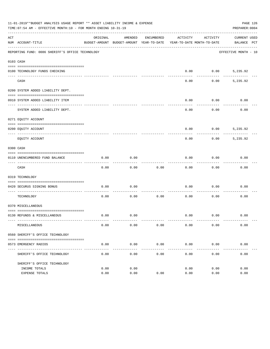|     | 11-01-2019**BUDGET ANALYSIS USAGE REPORT ** ASSET LIABILITY INCOME & EXPENSE<br>TIME: 07:54 AM - EFFECTIVE MONTH: 10 - FOR MONTH ENDING 10-31-19 |                       |                    |                    |                                                                                 |                   | PAGE 126<br>PREPARER: 0004  |
|-----|--------------------------------------------------------------------------------------------------------------------------------------------------|-----------------------|--------------------|--------------------|---------------------------------------------------------------------------------|-------------------|-----------------------------|
| ACT | NUM ACCOUNT-TITLE                                                                                                                                | ORIGINAL              | AMENDED            | ENCUMBERED         | ACTIVITY<br>BUDGET-AMOUNT BUDGET-AMOUNT YEAR-TO-DATE YEAR-TO-DATE MONTH-TO-DATE | ACTIVITY          | CURRENT USED<br>BALANCE PCT |
|     | REPORTING FUND: 0086 SHERIFF'S OFFICE TECHNOLOGY                                                                                                 |                       |                    |                    |                                                                                 |                   | EFFECTIVE MONTH - 10        |
|     | 0103 CASH                                                                                                                                        |                       |                    |                    |                                                                                 |                   |                             |
|     | 0100 TECHNOLOGY FUNDS CHECKING                                                                                                                   |                       |                    |                    | 0.00                                                                            | 0.00              | 5,235.92                    |
|     | CASH                                                                                                                                             |                       |                    |                    | -----<br>0.00                                                                   | .                 | --------<br>$0.00$ 5,235.92 |
|     | 0200 SYSTEM ADDED LIABILITY DEPT.                                                                                                                |                       |                    |                    |                                                                                 |                   |                             |
|     | 0910 SYSTEM ADDED LIABILITY ITEM                                                                                                                 |                       |                    |                    | 0.00                                                                            | 0.00              | 0.00                        |
|     | SYSTEM ADDED LIABILITY DEPT.                                                                                                                     |                       |                    |                    | 0.00                                                                            | ---------<br>0.00 | 0.00                        |
|     | 0271 EQUITY ACCOUNT                                                                                                                              |                       |                    |                    |                                                                                 |                   |                             |
|     | 0200 EQUITY ACCOUNT                                                                                                                              |                       |                    |                    | 0.00                                                                            | 0.00              | 5,235.92                    |
|     | EQUITY ACCOUNT                                                                                                                                   |                       |                    |                    | 0.00                                                                            | 0.00              | 5,235.92                    |
|     | 0300 CASH                                                                                                                                        |                       |                    |                    |                                                                                 |                   |                             |
|     | 0110 UNENCUMBERED FUND BALANCE                                                                                                                   | 0.00                  | 0.00               |                    | 0.00                                                                            | 0.00              | 0.00                        |
|     | CASH                                                                                                                                             | 0.00                  | 0.00               | 0.00               | 0.00                                                                            | 0.00              | 0.00                        |
|     | 0319 TECHNOLOGY                                                                                                                                  |                       |                    |                    |                                                                                 |                   |                             |
|     | 0420 SECURUS SIGNING BONUS                                                                                                                       | 0.00                  | 0.00               |                    | 0.00                                                                            | 0.00              | 0.00                        |
|     | ------------------------ ----<br>TECHNOLOGY                                                                                                      | 0.00                  | 0.00               | 0.00               | 0.00                                                                            | 0.00              | 0.00                        |
|     | 0370 MISCELLANEOUS                                                                                                                               |                       |                    |                    |                                                                                 |                   |                             |
|     | 0130 REFUNDS & MISCELLANEOUS                                                                                                                     | 0.00                  | 0.00               |                    | 0.00                                                                            | 0.00              | 0.00                        |
|     | MISCELLANEOUS                                                                                                                                    | 0.00                  | 0.00               | 0.00               | 0.00                                                                            | 0.00              | 0.00                        |
|     | 0560 SHERIFF'S OFFICE TECHNOLOGY                                                                                                                 |                       |                    |                    |                                                                                 |                   |                             |
|     | 0573 EMERGENCY RADIOS                                                                                                                            | 0.00                  | 0.00               | 0.00               | 0.00                                                                            | 0.00              | 0.00                        |
|     | SHERIFF'S OFFICE TECHNOLOGY                                                                                                                      | $- - - - - -$<br>0.00 | ----------<br>0.00 | ----------<br>0.00 | ----------<br>0.00                                                              | .<br>0.00         | 0.00                        |
|     | SHERIFF'S OFFICE TECHNOLOGY                                                                                                                      |                       |                    |                    |                                                                                 |                   |                             |
|     | INCOME TOTALS<br>EXPENSE TOTALS                                                                                                                  | 0.00<br>0.00          | 0.00<br>0.00       | 0.00               | 0.00<br>0.00                                                                    | 0.00<br>0.00      | 0.00<br>0.00                |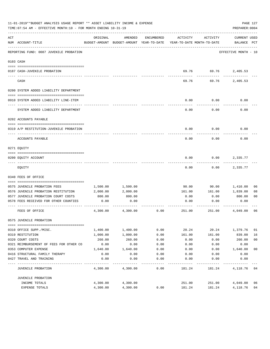|     | 11-01-2019**BUDGET ANALYSIS USAGE REPORT ** ASSET LIABILITY INCOME & EXPENSE<br>TIME: 07:54 AM - EFFECTIVE MONTH: 10 - FOR MONTH ENDING 10-31-19 |          |          |            |                                                                                 |                    | PREPARER: 0004              | PAGE 127       |
|-----|--------------------------------------------------------------------------------------------------------------------------------------------------|----------|----------|------------|---------------------------------------------------------------------------------|--------------------|-----------------------------|----------------|
| ACT | NUM ACCOUNT-TITLE                                                                                                                                | ORIGINAL | AMENDED  | ENCUMBERED | ACTIVITY<br>BUDGET-AMOUNT BUDGET-AMOUNT YEAR-TO-DATE YEAR-TO-DATE MONTH-TO-DATE | ACTIVITY           | CURRENT USED<br>BALANCE PCT |                |
|     | REPORTING FUND: 0087 JUVENILE PROBATION                                                                                                          |          |          |            |                                                                                 |                    | EFFECTIVE MONTH - 10        |                |
|     | 0103 CASH                                                                                                                                        |          |          |            |                                                                                 |                    |                             |                |
|     | 0187 CASH-JUVENILE PROBATION                                                                                                                     |          |          |            |                                                                                 |                    | 69.76 69.76 2,405.53        |                |
|     | CASH                                                                                                                                             |          |          |            | 69.76                                                                           | ---------<br>69.76 | 2,405.53                    |                |
|     | 0200 SYSTEM ADDED LIABILITY DEPARTMENT                                                                                                           |          |          |            |                                                                                 |                    |                             |                |
|     | 0910 SYSTEM ADDED LIABILITY LINE-ITEM                                                                                                            |          |          |            | 0.00                                                                            | 0.00               | 0.00                        |                |
|     | SYSTEM ADDED LIABILITY DEPARTMENT                                                                                                                |          |          |            | 0.00                                                                            | 0.00               | 0.00                        |                |
|     | 0202 ACCOUNTS PAYABLE                                                                                                                            |          |          |            |                                                                                 |                    |                             |                |
|     | 0319 A/P RESTITUTION-JUVENILE PROBATION                                                                                                          |          |          |            | 0.00                                                                            | 0.00               | 0.00                        |                |
|     | ACCOUNTS PAYABLE                                                                                                                                 |          |          |            | 0.00                                                                            | 0.00               | 0.00                        |                |
|     | 0271 EOUITY                                                                                                                                      |          |          |            |                                                                                 |                    |                             |                |
|     | 0200 EQUITY ACCOUNT                                                                                                                              |          |          |            | 0.00                                                                            | 0.00               | 2,335.77                    |                |
|     | EQUITY                                                                                                                                           |          |          |            | 0.00                                                                            | 0.00               | 2,335.77                    |                |
|     | 0340 FEES OF OFFICE                                                                                                                              |          |          |            |                                                                                 |                    |                             |                |
|     | 0575 JUVENILE PROBATION FEES                                                                                                                     | 1,500.00 | 1,500.00 |            | 90.00                                                                           | 90.00              | 1,410.00                    | 06             |
|     | 0576 JUVENILE PROBATION RESTITUTION                                                                                                              | 2,000.00 | 2,000.00 |            | 161.00                                                                          | 161.00             | 1,839.00                    | 08             |
|     | 0577 JUVENILE PROBATION COURT COSTS                                                                                                              | 800.00   | 800.00   |            | 0.00                                                                            | 0.00               | 800.00                      | 0 <sub>0</sub> |
|     | 0578 FEES RECEIVED FOR OTHER COUNTIES                                                                                                            | 0.00     | 0.00     |            | 0.00                                                                            | 0.00               | 0.00                        |                |
|     | FEES OF OFFICE                                                                                                                                   | 4,300.00 | 4,300.00 | 0.00       | 251.00                                                                          | 251.00             | 4,049.00                    | 06             |
|     | 0575 JUVENILE PROBATION                                                                                                                          |          |          |            |                                                                                 |                    |                             |                |
|     | 0310 OFFICE SUPP./MISC.                                                                                                                          | 1,400.00 | 1,400.00 | 0.00       | 20.24                                                                           | 20.24              | 1,379.76                    | 01             |
|     | 0319 RESTITUTION                                                                                                                                 | 1,000.00 | 1,000.00 | 0.00       | 161.00                                                                          | 161.00             | 839.00                      | 16             |
|     | 0320 COURT COSTS                                                                                                                                 | 260.00   | 260.00   | 0.00       | 0.00                                                                            | 0.00               | 260.00                      | 0 <sub>0</sub> |
|     | 0321 REIMBURSEMENT OF FEES FOR OTHER CO                                                                                                          | 0.00     | 0.00     | 0.00       | 0.00                                                                            | 0.00               | 0.00                        |                |
|     | 0353 COMPUTER EXPENSE                                                                                                                            | 1,640.00 | 1,640.00 | 0.00       | 0.00                                                                            | 0.00               | 1,640.00                    | 0 <sub>0</sub> |
|     | 0416 STRUCTURAL FAMILY THERAPY                                                                                                                   | 0.00     | 0.00     | 0.00       | 0.00                                                                            | 0.00               | 0.00                        |                |
|     | 0427 TRAVEL AND TRAINING                                                                                                                         | 0.00     | 0.00     | 0.00       | 0.00                                                                            | 0.00               | 0.00                        |                |
|     | JUVENILE PROBATION                                                                                                                               | 4,300.00 | 4,300.00 | 0.00       | 181.24                                                                          | 181.24             | 4,118.76                    | 04             |
|     | JUVENILE PROBATION                                                                                                                               |          |          |            |                                                                                 |                    |                             |                |
|     | INCOME TOTALS                                                                                                                                    | 4,300.00 | 4,300.00 |            | 251.00                                                                          | 251.00             | 4,049.00                    | 06             |
|     | EXPENSE TOTALS                                                                                                                                   | 4,300.00 | 4,300.00 | 0.00       | 181.24                                                                          | 181.24             | 4,118.76                    | 04             |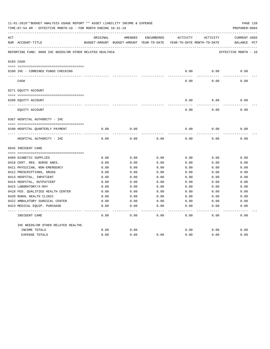|     | 11-01-2019**BUDGET ANALYSIS USAGE REPORT ** ASSET LIABILITY INCOME & EXPENSE<br>PAGE 128<br>TIME: 07:54 AM - EFFECTIVE MONTH: 10 - FOR MONTH ENDING 10-31-19<br>PREPARER: 0004 |          |                                                     |            |          |                                        |                                    |  |  |  |  |
|-----|--------------------------------------------------------------------------------------------------------------------------------------------------------------------------------|----------|-----------------------------------------------------|------------|----------|----------------------------------------|------------------------------------|--|--|--|--|
| ACT | NUM ACCOUNT-TITLE                                                                                                                                                              | ORIGINAL | AMENDED<br>BUDGET-AMOUNT BUDGET-AMOUNT YEAR-TO-DATE | ENCUMBERED | ACTIVITY | ACTIVITY<br>YEAR-TO-DATE MONTH-TO-DATE | <b>CURRENT USED</b><br>BALANCE PCT |  |  |  |  |
|     | REPORTING FUND: 0088 IHC NEEDS/OR OTHER RELATED HEALTHCA                                                                                                                       |          |                                                     |            |          |                                        | EFFECTIVE MONTH - 10               |  |  |  |  |
|     | 0103 CASH                                                                                                                                                                      |          |                                                     |            |          |                                        |                                    |  |  |  |  |
|     | 0100 IHC - COMBINED FUNDS CHECKING                                                                                                                                             |          |                                                     |            | 0.00     | 0.00                                   | 0.00                               |  |  |  |  |
|     | CASH                                                                                                                                                                           |          |                                                     |            | 0.00     | 0.00                                   | 0.00                               |  |  |  |  |
|     | 0271 EQUITY ACCOUNT                                                                                                                                                            |          |                                                     |            |          |                                        |                                    |  |  |  |  |
|     |                                                                                                                                                                                |          |                                                     |            |          |                                        |                                    |  |  |  |  |
|     | 0200 EQUITY ACCOUNT                                                                                                                                                            |          |                                                     |            | 0.00     | 0.00                                   | 0.00                               |  |  |  |  |
|     | EQUITY ACCOUNT                                                                                                                                                                 |          |                                                     |            | 0.00     | 0.00                                   | 0.00                               |  |  |  |  |
|     | 0367 HOSPITAL AUTHORITY - IHC                                                                                                                                                  |          |                                                     |            |          |                                        |                                    |  |  |  |  |
|     |                                                                                                                                                                                |          |                                                     |            |          |                                        |                                    |  |  |  |  |
|     | 0100 HOSPITAL QUARTERLY PAYMENT                                                                                                                                                | 0.00     | 0.00                                                |            | 0.00     | 0.00                                   | 0.00                               |  |  |  |  |
|     | HOSPITAL AUTHORITY - IHC                                                                                                                                                       | 0.00     | 0.00                                                | 0.00       | 0.00     | 0.00                                   | 0.00                               |  |  |  |  |
|     | 0645 INDIGENT CARE                                                                                                                                                             |          |                                                     |            |          |                                        |                                    |  |  |  |  |
|     |                                                                                                                                                                                |          |                                                     |            |          |                                        |                                    |  |  |  |  |
|     | 0409 DIABETIC SUPPLIES                                                                                                                                                         | 0.00     | 0.00                                                | 0.00       | 0.00     | 0.00                                   | 0.00                               |  |  |  |  |
|     | 0410 CERT. REG. NURSE ANES.                                                                                                                                                    | 0.00     | 0.00                                                | 0.00       | 0.00     | 0.00                                   | 0.00                               |  |  |  |  |
|     | 0411 PHYSICIAN, NON-EMERGENCY                                                                                                                                                  | 0.00     | 0.00                                                | 0.00       | 0.00     | 0.00                                   | 0.00                               |  |  |  |  |
|     | 0412 PRESCRIPTIONS, DRUGS                                                                                                                                                      | 0.00     | 0.00                                                | 0.00       | 0.00     | 0.00                                   | 0.00                               |  |  |  |  |
|     | 0413 HOSPITAL, INPATIENT                                                                                                                                                       | 0.00     | 0.00                                                | 0.00       | 0.00     | 0.00                                   | 0.00                               |  |  |  |  |
|     | 0414 HOSPITAL, OUTPATIENT                                                                                                                                                      | 0.00     | 0.00                                                | 0.00       | 0.00     | 0.00                                   | 0.00                               |  |  |  |  |
|     | 0415 LABORATORY/X-RAY                                                                                                                                                          | 0.00     | 0.00                                                | 0.00       | 0.00     | 0.00                                   | 0.00                               |  |  |  |  |
|     | 0418 FED. QUALIFIED HEALTH CENTER                                                                                                                                              | 0.00     | 0.00                                                | 0.00       | 0.00     | 0.00                                   | 0.00                               |  |  |  |  |
|     | 0420 RURAL HEALTH CLINIC                                                                                                                                                       | 0.00     | 0.00                                                | 0.00       | 0.00     | 0.00                                   | 0.00                               |  |  |  |  |
|     | 0422 AMBULATORY SURGICAL CENTER                                                                                                                                                | 0.00     | 0.00                                                | 0.00       | 0.00     | 0.00                                   | 0.00                               |  |  |  |  |
|     | 0423 MEDICAL EQUIP. PURCHASE                                                                                                                                                   | 0.00     | 0.00                                                | 0.00       | 0.00     | 0.00                                   | 0.00                               |  |  |  |  |
|     | INDIGENT CARE                                                                                                                                                                  | 0.00     | 0.00                                                | 0.00       | 0.00     | 0.00                                   | -----<br>0.00                      |  |  |  |  |
|     | IHC NEEDS/OR OTHER RELATED HEALTHC                                                                                                                                             |          |                                                     |            |          |                                        |                                    |  |  |  |  |
|     | INCOME TOTALS                                                                                                                                                                  | 0.00     | 0.00                                                |            | 0.00     | 0.00                                   | 0.00                               |  |  |  |  |
|     | <b>EXPENSE TOTALS</b>                                                                                                                                                          | 0.00     | 0.00                                                | 0.00       | 0.00     | 0.00                                   | 0.00                               |  |  |  |  |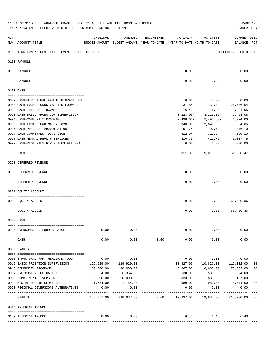|     | 11-01-2019**BUDGET ANALYSIS USAGE REPORT ** ASSET LIABILITY INCOME & EXPENSE<br>TIME: 07:54 AM - EFFECTIVE MONTH: 10 - FOR MONTH ENDING 10-31-19 |                      |                                                     |            |                                        |                   | PAGE 129<br>PREPARER: 0004         |    |
|-----|--------------------------------------------------------------------------------------------------------------------------------------------------|----------------------|-----------------------------------------------------|------------|----------------------------------------|-------------------|------------------------------------|----|
| ACT | NUM ACCOUNT-TITLE                                                                                                                                | ORIGINAL             | AMENDED<br>BUDGET-AMOUNT BUDGET-AMOUNT YEAR-TO-DATE | ENCUMBERED | ACTIVITY<br>YEAR-TO-DATE MONTH-TO-DATE | ACTIVITY          | <b>CURRENT USED</b><br>BALANCE PCT |    |
|     | REPORTING FUND: 0089 TEXAS JUVENILE JUSTICE DEPT.                                                                                                |                      |                                                     |            |                                        |                   | EFFECTIVE MONTH - 10               |    |
|     | 0100 PAYROLL                                                                                                                                     |                      |                                                     |            |                                        |                   |                                    |    |
|     | 0100 PAYROLL                                                                                                                                     |                      |                                                     |            | 0.00                                   | 0.00              | 0.00                               |    |
|     | PAYROLL                                                                                                                                          |                      |                                                     |            | 0.00                                   | 0.00              | 0.00                               |    |
|     | 0103 CASH                                                                                                                                        |                      |                                                     |            |                                        |                   |                                    |    |
|     | 0689 CASH-STRUCTURAL FAM.THER.GRANT OOG                                                                                                          |                      |                                                     |            | 0.00                                   | 0.00              | 0.00                               |    |
|     | 0988 CASH-LOCAL FUNDS CARRIED FORWARD                                                                                                            |                      |                                                     |            | 31.84-                                 | $31.84-$          | 21,706.04                          |    |
|     | 0992 CASH-INTEREST INCOME                                                                                                                        |                      |                                                     |            | 6.43                                   | 6.43              | 13,221.05                          |    |
|     | 0993 CASH-BASIC PROBATION SUPERVISION                                                                                                            |                      |                                                     |            | $3,223.06-$                            | $3,223.06-$       | 9,468.08                           |    |
|     | 0994 CASH-COMMUNITY PROGRAMS                                                                                                                     |                      |                                                     |            | $2,498.60-$                            | 2,498.60-         | 4,724.00                           |    |
|     | 0995 CASH-LOCAL FUNDING FY 2020                                                                                                                  |                      |                                                     |            | 2,343.39-                              | 2,343.39-         | $3,034.65-$                        |    |
|     | 0996 CASH-PRE/POST ADJUDICATION                                                                                                                  |                      |                                                     |            | 197.74-                                | 197.74-           | 376.10                             |    |
|     | 0997 CASH-COMMITMENT DIVERSION                                                                                                                   |                      |                                                     |            | 312.94-                                | 312.94-           | 590.10                             |    |
|     | 0998 CASH-MENTAL HEALTH SERVICES                                                                                                                 |                      |                                                     |            | $410.75 -$                             | 410.75-           | 1,337.75                           |    |
|     | 0999 CASH-REGIONALS DIVERSIONS ALTERNAT                                                                                                          |                      |                                                     |            | 0.00                                   | 0.00              | 3,000.00                           |    |
|     | CASH                                                                                                                                             |                      |                                                     |            | 9,011.89-                              | 9,011.89-         | 51,388.47                          |    |
|     | 0220 DEFERRED REVENUE                                                                                                                            |                      |                                                     |            |                                        |                   |                                    |    |
|     | 0189 DEFERRED REVENUE                                                                                                                            |                      |                                                     |            | 0.00                                   | 0.00              | 0.00                               |    |
|     | ---- ------------<br>DEFERRED REVENUE                                                                                                            |                      |                                                     |            | 0.00                                   | 0.00              | 0.00                               |    |
|     | 0271 EQUITY ACCOUNT                                                                                                                              |                      |                                                     |            |                                        |                   |                                    |    |
|     | 0200 EQUITY ACCOUNT                                                                                                                              |                      |                                                     |            | 0.00                                   | 0.00              | 60,400.36                          |    |
|     | EQUITY ACCOUNT                                                                                                                                   |                      |                                                     |            | 0.00                                   | 0.00              | 60,400.36                          |    |
|     | 0300 CASH                                                                                                                                        |                      |                                                     |            |                                        |                   |                                    |    |
|     |                                                                                                                                                  |                      |                                                     |            |                                        |                   |                                    |    |
|     | 0110 UNENCUMBERED FUND BALANCE                                                                                                                   | 0.00                 | 0.00                                                |            | 0.00                                   | 0.00              | 0.00                               |    |
|     | CASH                                                                                                                                             | 0.00                 | 0.00                                                | 0.00       | 0.00                                   | 0.00              | 0.00                               |    |
|     | 0330 GRANTS                                                                                                                                      |                      |                                                     |            |                                        |                   |                                    |    |
|     |                                                                                                                                                  |                      |                                                     |            |                                        |                   |                                    |    |
|     | 0908 STRUCTURAL FAM.THER.GRANT OOG                                                                                                               | 0.00                 | 0.00                                                |            | 0.00                                   | 0.00              | 0.00                               |    |
|     | 0915 BASIC PROBATION SUPERVISION                                                                                                                 | 129,929.00           | 129,929.00                                          |            | 10,827.00                              | 10,827.00         | 119,102.00                         | 08 |
|     | 0916 COMMUNITY PROGRAMS                                                                                                                          | 80,000.00            | 80,000.00                                           |            | 6,667.00                               | 6,667.00          | 73,333.00                          | 08 |
|     | 0917 PRE/POST ADJUDICATION                                                                                                                       | 6,354.00             | 6,354.00                                            |            | 530.00                                 | 530.00            | 5,824.00                           | 08 |
|     | 0918 COMMITMENT DIVERSION                                                                                                                        | 10,000.00            | 10,000.00                                           |            | 833.00                                 | 833.00            | 9,167.00                           | 08 |
|     | 0919 MENTAL HEALTH SERVICES                                                                                                                      | 11,754.00            | 11,754.00                                           |            | 980.00                                 | 980.00            | 10,774.00                          | 08 |
|     | 0920 REGIONAL DIVERSIONS ALTERNATIVES                                                                                                            | 0.00<br>------------ | 0.00<br>-----------                                 |            | 0.00                                   | 0.00<br>--------- | 0.00<br>----------                 |    |
|     | GRANTS                                                                                                                                           | 238,037.00           | 238,037.00                                          | 0.00       | 19,837.00                              | 19,837.00         | 218,200.00                         | 08 |
|     | 0360 INTEREST INCOME                                                                                                                             |                      |                                                     |            |                                        |                   |                                    |    |
|     |                                                                                                                                                  |                      |                                                     |            |                                        |                   |                                    |    |
|     | 0189 INTEREST INCOME                                                                                                                             | 0.00                 | 0.00                                                |            | 6.43                                   | 6.43              | $6.43+$                            |    |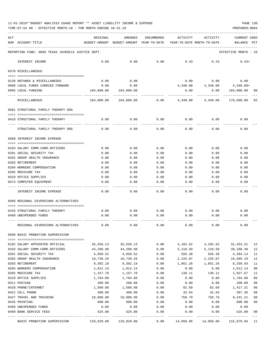| 11-01-2019**BUDGET ANALYSIS USAGE REPORT ** ASSET LIABILITY INCOME & EXPENSE |  |  |  |  | PAGE 130 |  |
|------------------------------------------------------------------------------|--|--|--|--|----------|--|
|                                                                              |  |  |  |  |          |  |

| ACT | NUM ACCOUNT-TITLE                                                       | ORIGINAL              | AMENDED<br>BUDGET-AMOUNT BUDGET-AMOUNT YEAR-TO-DATE | <b>ENCUMBERED</b> | ACTIVITY<br>YEAR-TO-DATE MONTH-TO-DATE | ACTIVITY             | <b>CURRENT USED</b><br>BALANCE | PCT      |
|-----|-------------------------------------------------------------------------|-----------------------|-----------------------------------------------------|-------------------|----------------------------------------|----------------------|--------------------------------|----------|
|     | REPORTING FUND: 0089 TEXAS JUVENILE JUSTICE DEPT.                       |                       |                                                     |                   |                                        |                      | EFFECTIVE MONTH - 10           |          |
|     | INTEREST INCOME                                                         | 0.00                  | 0.00                                                | 0.00              | 6.43                                   | 6.43                 | $6.43+$                        |          |
|     | 0370 MISCELLANEOUS                                                      |                       |                                                     |                   |                                        |                      |                                |          |
|     |                                                                         |                       | 0.00                                                |                   |                                        | 0.00                 |                                |          |
|     | 0130 REFUNDS & MISCELLANEOUS<br>0988 LOCAL FUNDS CARRIED FORWARD        | 0.00<br>0.00          | 0.00                                                |                   | 0.00<br>4,340.00                       | 4,340.00             | 0.00<br>4,340.00+              |          |
|     | 0995 LOCAL FUNDING                                                      | 184,000.00            | 184,000.00                                          |                   | 0.00                                   | 0.00                 | 184,000.00                     | 00       |
|     | MISCELLANEOUS                                                           | 184,000.00            | 184,000.00                                          | 0.00              | 4,340.00                               | 4,340.00             | 179,660.00                     | 02       |
|     | 0581 STRUCTURAL FAMILY THERAPY OOG                                      |                       |                                                     |                   |                                        |                      |                                |          |
|     | 0416 STRUCTURAL FAMILY THERAPY                                          | 0.00                  | 0.00                                                | 0.00              | 0.00                                   | 0.00                 | 0.00                           |          |
|     | STRUCTURAL FAMILY THERAPY OOG                                           | 0.00                  | 0.00                                                | 0.00              | 0.00                                   | 0.00                 | 0.00                           |          |
|     | 0588 INTEREST INCOME EXPENSE                                            |                       |                                                     |                   |                                        |                      |                                |          |
|     |                                                                         |                       |                                                     |                   |                                        |                      |                                |          |
|     | 0103 SALARY COMM.CORR.OFFICERS<br>0201 SOCIAL SECURITY TAX              | 0.00<br>0.00          | 0.00<br>0.00                                        | 0.00<br>0.00      | 0.00<br>0.00                           | 0.00<br>0.00         | 0.00<br>0.00                   |          |
|     | 0202 GROUP HEALTH INSURANCE                                             | 0.00                  | 0.00                                                | 0.00              | 0.00                                   | 0.00                 | 0.00                           |          |
|     | 0203 RETIREMENT                                                         | 0.00                  | 0.00                                                | 0.00              | 0.00                                   | 0.00                 | 0.00                           |          |
|     | 0204 WORKERS COMPENSATION                                               | 0.00                  | 0.00                                                | 0.00              | 0.00                                   | 0.00                 | 0.00                           |          |
|     | 0205 MEDICARE TAX                                                       | 0.00                  | 0.00                                                | 0.00              | 0.00                                   | 0.00                 | 0.00                           |          |
|     | 0310 OFFICE SUPPLIES                                                    | 0.00                  | 0.00                                                | 0.00              | 0.00                                   | 0.00                 | 0.00                           |          |
|     | 0574 COMPUTER EQUIPMENT                                                 | 0.00                  | 0.00                                                | 0.00              | 0.00                                   | 0.00                 | 0.00                           |          |
|     | INTEREST INCOME EXPENSE                                                 | 0.00                  | 0.00                                                | 0.00              | 0.00                                   | 0.00                 | 0.00                           |          |
|     | 0589 REGIONAL DIVERSIONS ALTERNATIVES                                   |                       |                                                     |                   |                                        |                      |                                |          |
|     | -------------------------------------<br>0416 STRUCTURAL FAMILY THERAPY | 0.00                  | 0.00                                                | 0.00              | 0.00                                   | 0.00                 | 0.00                           |          |
|     | 0469 UNEXPENDED FUNDS                                                   | 0.00                  | 0.00                                                | 0.00              | 0.00                                   | 0.00                 | 0.00                           |          |
|     | REGIONAL DIVERSIONS ALTERNATIVES                                        | 0.00                  | 0.00                                                | 0.00              | 0.00                                   | 0.00                 | 0.00                           |          |
|     | 0590 BASIC PROBATION SUPERVISION                                        |                       |                                                     |                   |                                        |                      |                                |          |
|     |                                                                         |                       |                                                     |                   |                                        |                      |                                |          |
|     | 0102 SALARY APPOINTED OFFICIAL                                          | 35,556.13             | 35,556.13                                           | 0.00              | 4,102.62                               | 4,102.62<br>5,110.50 | 31, 453.51                     | 12       |
|     | 0103 SALARY COMM.CORR.OFFICERS<br>0201 SOCIAL SECURITY TAX              | 44,290.98<br>4,950.52 | 44,290.98<br>4,950.52                               | 0.00<br>0.00      | 5,110.50<br>556.38                     | 556.38               | 39,180.48<br>4,394.14          | 12<br>11 |
|     | 0202 GROUP HEALTH INSURANCE                                             | 18,730.26             | 18,730.26                                           | 0.00              | 2,225.07                               | 2,225.07             | 16,505.19                      | 12       |
|     | 0203 RETIREMENT                                                         | 9,302.19              | 9,302.19                                            | 0.00              | 1,051.26                               | 1,051.26             | 8,250.93                       | 11       |
|     | 0204 WORKERS COMPENSATION                                               | 1,012.14              | 1,012.14                                            | 0.00              | 0.00                                   | 0.00                 | 1,012.14                       | 00       |
|     | 0205 MEDICARE TAX                                                       | 1,157.78              | 1,157.78                                            | 0.00              | 130.11                                 | 130.11               | 1,027.67                       | 11       |
|     | 0310 OFFICE SUPPLIES                                                    | 1,704.00              | 1,704.00                                            | 0.00              | 0.00                                   | 0.00                 | 1,704.00                       | 00       |
|     | 0311 POSTAGE                                                            | 200.00                | 200.00                                              | 0.00              | 0.00                                   | 0.00                 | 200.00                         | 00       |
|     | 0420 PHONE/INTERNET                                                     | 1,500.00              | 1,500.00                                            | 0.00              | 82.69                                  | 82.69                | 1,417.31                       | 06       |
|     | 0421 CELL PHONE                                                         | 400.00                | 400.00                                              | 0.00              | 32.64                                  | 32.64                | 367.36                         | 08       |
|     | 0427 TRAVEL AND TRAINING                                                | 10,000.00             | 10,000.00                                           | 0.00              | 758.79                                 | 758.79               | 9,241.21                       | 08       |
|     | 0435 PRINTING                                                           | 600.00                | 600.00                                              | 0.00              | 0.00                                   | 0.00                 | 600.00                         | 00       |
|     | 0469 UNEXPENDED FUNDS                                                   | 0.00                  | 0.00                                                | 0.00              | 0.00                                   | 0.00                 | 0.00                           |          |
|     | 0499 BANK SERVICE FEES                                                  | 525.00                | 525.00                                              | 0.00              | 0.00                                   | 0.00                 | 525.00                         | 00       |
|     | BASIC PROBATION SUPERVISION                                             | 129,929.00            | 129,929.00                                          | 0.00              | 14,050.06                              | 14,050.06            | 115,878.94 11                  |          |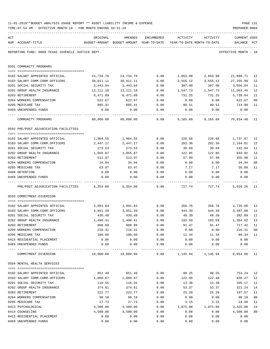|     | TIME: 07:54 AM - EFFECTIVE MONTH: 10 - FOR MONTH ENDING 10-31-19 |                            |                                          |              |                  |                            | PREPARER: 0004       |                      |
|-----|------------------------------------------------------------------|----------------------------|------------------------------------------|--------------|------------------|----------------------------|----------------------|----------------------|
| ACT |                                                                  | ORIGINAL                   | AMENDED                                  | ENCUMBERED   | ACTIVITY         | ACTIVITY                   | <b>CURRENT USED</b>  |                      |
|     | NUM ACCOUNT-TITLE                                                |                            | BUDGET-AMOUNT BUDGET-AMOUNT YEAR-TO-DATE |              |                  | YEAR-TO-DATE MONTH-TO-DATE | BALANCE PCT          |                      |
|     | REPORTING FUND: 0089 TEXAS JUVENILE JUSTICE DEPT.                |                            |                                          |              |                  |                            | EFFECTIVE MONTH - 10 |                      |
|     | 0591 COMMUNITY PROGRAMS                                          |                            |                                          |              |                  |                            |                      |                      |
|     | 0102 SALARY APPOINTED OFFICIAL                                   | 24,734.70                  | 24,734.70                                | 0.00         | 2,853.99         | 2,853.99                   | 21,880.71            | 12                   |
|     | 0103 SALARY COMM.CORR.OFFICERS                                   | 30,811.11                  | 30,811.11                                | 0.00         | 3,555.12         | 3,555.12                   | 27, 255.99           | 12                   |
|     | 0201 SOCIAL SECURITY TAX                                         | 3,443.84                   | 3,443.84                                 | 0.00         | 387.00           | 387.00                     | 3,056.84             | 11                   |
|     | 0202 GROUP HEALTH INSURANCE                                      | 13,111.18                  | 13, 111. 18                              | 0.00         | 1,547.73         | 1,547.73                   | 11,563.45            | 12                   |
|     | 0203 RETIREMENT                                                  | 6,471.09                   | 6,471.09                                 | 0.00         | 731.25           | 731.25                     | 5,739.84             | 11                   |
|     | 0204 WORKERS COMPENSATION                                        | 622.67                     | 622.67                                   | 0.00         | 0.00             | 0.00                       | 622.67               | 0 <sub>0</sub>       |
|     | 0205 MEDICARE TAX                                                | 805.41                     | 805.41                                   | 0.00         | 90.51            | 90.51                      | 714.90               | 11                   |
|     | 0469 UNEXPENDED FUNDS                                            | 0.00                       | 0.00                                     | 0.00         | 0.00             | 0.00                       | 0.00                 |                      |
|     | COMMUNITY PROGRAMS                                               | . <u>.</u><br>80,000.00    | 80,000.00                                | .<br>0.00    | 9,165.60         | 9,165.60                   | 70,834.40            | 11                   |
|     | 0592 PRE/POST ADJUDICATION FACILITIES                            |                            |                                          |              |                  |                            |                      |                      |
|     |                                                                  |                            |                                          |              |                  |                            |                      |                      |
|     | 0102 SALARY APPOINTED OFFICIAL                                   | 1,964.55                   | 1,964.55                                 | 0.00         | 226.68           | 226.68                     | 1,737.87             | 12                   |
|     | 0103 SALARY COMM.CORR.OFFICERS                                   | 2,447.17                   | 2,447.17                                 | 0.00         | 282.36           | 282.36                     | 2,164.81             | 12                   |
|     | 0201 SOCIAL SECURITY TAX                                         | 273.53                     | 273.53                                   | 0.00         | 30.69            | 30.69                      | 242.84               | 11                   |
|     | 0202 GROUP HEALTH INSURANCE                                      | 1,055.87                   | 1,055.87                                 | 0.00         | 122.85           | 122.85                     | 933.02               | 12                   |
|     | 0203 RETIREMENT                                                  | 513.97                     | 513.97                                   | 0.00         | 57.99            | 57.99                      | 455.98               | 11                   |
|     | 0204 WORKERS COMPENSATION                                        | 34.94                      | 34.94                                    | 0.00         | 0.00             | 0.00                       | 34.94                | 0 <sub>0</sub>       |
|     | 0205 MEDICARE TAX                                                | 63.97                      | 63.97                                    | 0.00         | 7.17             | 7.17                       | 56.80                | 11                   |
|     | 0408 DETENTION                                                   | 0.00                       | 0.00                                     | 0.00         | 0.00             | 0.00                       | 0.00                 |                      |
|     | 0469 UNEXPENDED FUNDS                                            | 0.00                       | 0.00                                     | 0.00         | 0.00             | 0.00                       | 0.00                 |                      |
|     | PRE/POST ADJUDICATION FACILITIES                                 | 6,354.00                   | 6,354.00                                 | 0.00         | 727.74           | 727.74                     | 5,626.26             | 11                   |
|     | 0593 COMMITMENT DIVERSION                                        |                            |                                          |              |                  |                            |                      |                      |
|     | 0102 SALARY APPOINTED OFFICIAL                                   | 3,091.84                   | 3,091.84                                 | 0.00         | 356.76           | 356.76                     | 2,735.08             | 12                   |
|     | 0103 SALARY COMM.CORR.OFFICERS                                   | 3,851.39                   | 3,851.39                                 | 0.00         | 444.39           | 444.39                     | 3,407.00             | 12                   |
|     | 0201 SOCIAL SECURITY TAX                                         | 430.48                     | 430.48                                   | 0.00         | 48.39            | 48.39                      | 382.09               | 11                   |
|     | 0202 GROUP HEALTH INSURANCE                                      | 1,498.41                   | 1,498.41                                 | 0.00         | 193.59           | 193.59                     | 1,304.82             | 13                   |
|     | 0203 RETIREMENT                                                  | 808.89                     | 808.89                                   | 0.00         | 91.47            | 91.47                      | 717.42               | 11                   |
|     | 0204 WORKERS COMPENSATION                                        | 218.31                     | 218.31                                   | 0.00         | 0.00             | 0.00                       | 218.31               | 0 <sub>0</sub>       |
|     | 0205 MEDICARE TAX                                                | 100.68                     | 100.68                                   | 0.00         | 11.34            | 11.34                      | 89.34                | 11                   |
|     | 0415 RESIDENTIAL PLACEMENT                                       | 0.00                       | 0.00                                     | 0.00         | 0.00             | 0.00                       | 0.00                 |                      |
|     | 0469 UNEXPENDED FUNDS                                            | 0.00                       | 0.00                                     | 0.00         | 0.00             | 0.00                       | 0.00                 |                      |
|     | ----------------<br>COMMITMENT DIVERSION                         | -------------<br>10,000.00 | 10,000.00                                | .<br>0.00    | 1,145.94         | ----------<br>1,145.94     | 8,854.06             | 11                   |
|     | 0594 MENTAL HEALTH SERVICES                                      |                            |                                          |              |                  |                            |                      |                      |
|     |                                                                  |                            |                                          |              |                  |                            |                      |                      |
|     | 0102 SALARY APPOINTED OFFICIAL                                   | 851.49                     | 851.49                                   | 0.00         | 98.25            | 98.25                      | 753.24               | 12                   |
|     | 0103 SALARY COMM.CORR.OFFICERS                                   | 1,060.67                   | 1,060.67                                 | 0.00         | 122.40           | 122.40                     | 938.27               | 12                   |
|     | 0201 SOCIAL SECURITY TAX                                         | 118.55                     | 118.55                                   | 0.00         | 13.38            | 13.38                      | 105.17               | 11                   |
|     | 0202 GROUP HEALTH INSURANCE                                      | 374.61                     | 374.61                                   | 0.00         | 53.37            | 53.37                      | 321.24               | 14                   |
|     | 0203 RETIREMENT                                                  | 222.77                     | 222.77                                   | 0.00         | 25.20            | 25.20                      | 197.57               | 11                   |
|     | 0204 WORKERS COMPENSATION                                        | 98.18                      | 98.18                                    | 0.00         | 0.00             | 0.00                       | 98.18                | 0 <sub>0</sub>       |
|     | 0205 MEDICARE TAX                                                | 27.73                      | 27.73                                    | 0.00         | 3.15             | 3.15                       | 24.58                | 11                   |
|     | 0413 PSYCHOLOGICAL<br>0414 COUNSELING                            | 4,500.00<br>4,500.00       | 4,500.00<br>4,500.00                     | 0.00<br>0.00 | 1,075.00<br>0.00 | 1,075.00<br>0.00           | 3,425.00<br>4,500.00 | 24<br>0 <sub>0</sub> |
|     | 0415 RESIDENTIAL PLACEMENT                                       | 0.00                       | 0.00                                     |              |                  |                            | 0.00                 |                      |
|     | 0469 UNEXPENDED FUNDS                                            | 0.00                       | 0.00                                     | 0.00<br>0.00 | 0.00<br>0.00     | 0.00<br>0.00               | 0.00                 |                      |
|     |                                                                  |                            |                                          |              |                  |                            |                      |                      |

11-01-2019\*\*BUDGET ANALYSIS USAGE REPORT \*\* ASSET LIABILITY INCOME & EXPENSE PAGE 131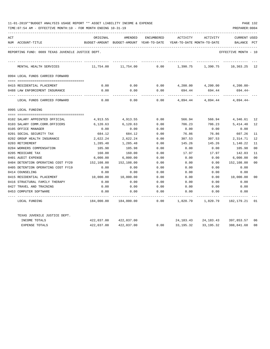| 11-01-2019**BUDGET ANALYSIS USAGE REPORT ** ASSET LIABILITY INCOME & EXPENSE |  |  |  |  |  | PAGE 132 |  |
|------------------------------------------------------------------------------|--|--|--|--|--|----------|--|
|                                                                              |  |  |  |  |  |          |  |

| ACT |                                                   | ORIGINAL                                 | AMENDED               | ENCUMBERED | ACTIVITY                                             | ACTIVITY          | <b>CURRENT USED</b>                  |                |
|-----|---------------------------------------------------|------------------------------------------|-----------------------|------------|------------------------------------------------------|-------------------|--------------------------------------|----------------|
|     | NUM ACCOUNT-TITLE                                 | BUDGET-AMOUNT BUDGET-AMOUNT YEAR-TO-DATE |                       |            | YEAR-TO-DATE MONTH-TO-DATE                           |                   | BALANCE                              | PCT            |
|     | REPORTING FUND: 0089 TEXAS JUVENILE JUSTICE DEPT. |                                          |                       |            |                                                      |                   | EFFECTIVE MONTH - 10                 |                |
|     | MENTAL HEALTH SERVICES                            | 11,754.00                                | 11,754.00             | 0.00       | 1,390.75                                             | 1,390.75          | 10,363.25 12                         |                |
|     | 0994 LOCAL FUNDS CARRIED FORWARD                  |                                          |                       |            |                                                      |                   |                                      |                |
|     |                                                   |                                          |                       |            |                                                      |                   |                                      |                |
|     | 0415 RESIDENTIAL PLACEMENT                        | 0.00                                     | 0.00                  |            | $0.00 \qquad \qquad 4,200.00 \qquad \qquad 4,200.00$ |                   | $4,200.00-$                          |                |
|     | 0488 LAW ENFORCEMENT INSURANCE                    | 0.00                                     | 0.00                  | 0.00       | 694.44                                               | 694.44            | 694.44-                              |                |
|     | LOCAL FUNDS CARRIED FORWARD                       | 0.00                                     | 0.00                  | 0.00       |                                                      |                   | 4,894.44 4,894.44 4,894.44           |                |
|     | 0995 LOCAL FUNDING                                |                                          |                       |            |                                                      |                   |                                      |                |
|     |                                                   |                                          |                       |            |                                                      |                   |                                      |                |
|     | 0102 SALARY APPOINTED OFFICIAL                    | 4,913.55                                 | 4,913.55              | 0.00       | 566.94                                               |                   | 566.94 4,346.61                      | 12             |
|     | 0103 SALARY COMM.CORR.OFFICERS                    | 6,120.63                                 | 6,120.63              | 0.00       | 706.23                                               | 706.23            | 5,414.40                             | 12             |
|     | 0105 OFFICE MANAGER                               | 0.00                                     | 0.00                  | 0.00       | 0.00                                                 | 0.00              | 0.00                                 |                |
|     | 0201 SOCIAL SECURITY TAX                          | 684.12                                   | 684.12                | 0.00       | 76.86                                                | 76.86             | 607.26                               | 11             |
|     | 0202 GROUP HEALTH INSURANCE                       | 2,622.24                                 | 2,622.24              | 0.00       | 307.53                                               | 307.53            | 2,314.71                             | 12             |
|     | 0203 RETIREMENT                                   | 1,285.48                                 | 1,285.48              | 0.00       | 145.26                                               | 145.26            | 1,140.22                             | 11             |
|     | 0204 WORKERS COMPENSATION                         | 105.98                                   | 105.98                | 0.00       | 0.00                                                 | 0.00              | 105.98                               | 0 <sub>0</sub> |
|     | 0205 MEDICARE TAX                                 | 160.00                                   | 160.00                | 0.00       | 17.97                                                | 17.97             | 142.03                               | 11             |
|     | 0401 AUDIT EXPENSE                                | 6,000.00                                 | 6,000.00              | 0.00       | 0.00                                                 | 0.00              | 6,000.00                             | 0 <sup>0</sup> |
|     | 0404 DETENTION OPERATING COST FY20                | 152,108.00                               | 152,108.00            | 0.00       | 0.00                                                 | 0.00              | 152,108.00                           | 00             |
|     | 0405 DETENTION OPERATING COST FY19                | 0.00                                     | 0.00                  | 0.00       | 0.00                                                 | 0.00              | 0.00                                 |                |
|     | 0414 COUNSELING                                   | 0.00                                     | 0.00                  | 0.00       | 0.00                                                 | 0.00              | 0.00                                 |                |
|     | 0415 RESIDENTIAL PLACEMENT                        | 10,000.00                                | 10,000.00             | 0.00       | 0.00                                                 | 0.00              | 10,000.00                            | 00             |
|     | 0416 STRUCTURAL FAMILY THERAPY                    | 0.00                                     | 0.00                  | 0.00       | 0.00                                                 | 0.00              | 0.00                                 |                |
|     | 0427 TRAVEL AND TRAINING                          | 0.00                                     | 0.00                  | 0.00       | 0.00                                                 | 0.00              | 0.00                                 |                |
|     | 0453 COMPUTER SOFTWARE                            | 0.00                                     | 0.00                  | 0.00       | 0.00                                                 | 0.00              | 0.00                                 |                |
|     | LOCAL FUNDING                                     | 184,000.00                               | 184,000.00            | 0.00       |                                                      | 1,820.79 1,820.79 | 182,179.21                           | $_{01}$        |
|     | TEXAS JUVENILE JUSTICE DEPT.                      |                                          |                       |            |                                                      |                   |                                      |                |
|     | INCOME TOTALS                                     |                                          | 422,037.00 422,037.00 |            |                                                      |                   | 24, 183. 43 24, 183. 43 397, 853. 57 | 06             |
|     | <b>EXPENSE TOTALS</b>                             | 422,037.00                               | 422,037.00            | 0.00       | 33,195.32                                            | 33,195.32         | 388,841.68                           | 08             |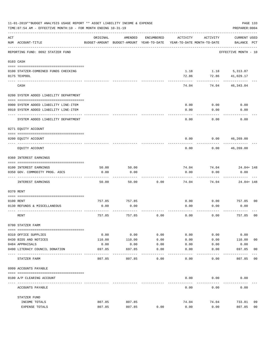|     | 11-01-2019**BUDGET ANALYSIS USAGE REPORT ** ASSET LIABILITY INCOME & EXPENSE<br>PAGE 133<br>PREPARER: 0004<br>TIME: 07:54 AM - EFFECTIVE MONTH: 10 - FOR MONTH ENDING 10-31-19 |                |                                                     |                     |                                        |              |                                    |                |  |  |  |  |
|-----|--------------------------------------------------------------------------------------------------------------------------------------------------------------------------------|----------------|-----------------------------------------------------|---------------------|----------------------------------------|--------------|------------------------------------|----------------|--|--|--|--|
| ACT | NUM ACCOUNT-TITLE                                                                                                                                                              | ORIGINAL       | AMENDED<br>BUDGET-AMOUNT BUDGET-AMOUNT YEAR-TO-DATE | ENCUMBERED          | ACTIVITY<br>YEAR-TO-DATE MONTH-TO-DATE | ACTIVITY     | <b>CURRENT USED</b><br>BALANCE PCT |                |  |  |  |  |
|     | REPORTING FUND: 0092 STATZER FUND                                                                                                                                              |                |                                                     |                     |                                        |              | EFFECTIVE MONTH - 10               |                |  |  |  |  |
|     | 0103 CASH                                                                                                                                                                      |                |                                                     |                     |                                        |              |                                    |                |  |  |  |  |
|     | 0100 STATZER-COMBINED FUNDS CHECKING                                                                                                                                           |                |                                                     |                     | 1.18                                   |              | 1.18 5,313.87                      |                |  |  |  |  |
|     | 0175 TEXPOOL                                                                                                                                                                   |                |                                                     |                     | 72.86                                  | 72.86        | 41,029.17                          |                |  |  |  |  |
|     | CASH                                                                                                                                                                           |                |                                                     |                     | 74.04                                  | 74.04        | 46, 343.04                         |                |  |  |  |  |
|     | 0200 SYSTEM ADDED LIABILITY DEPARTMENT                                                                                                                                         |                |                                                     |                     |                                        |              |                                    |                |  |  |  |  |
|     |                                                                                                                                                                                |                |                                                     |                     |                                        |              |                                    |                |  |  |  |  |
|     | 0900 SYSTEM ADDED LIABILITY LINE-ITEM<br>0910 SYSTEM ADDED LIABILITY LINE-ITEM                                                                                                 |                |                                                     |                     | 0.00<br>0.00                           | 0.00<br>0.00 | 0.00<br>0.00                       |                |  |  |  |  |
|     |                                                                                                                                                                                |                |                                                     |                     |                                        |              |                                    |                |  |  |  |  |
|     | SYSTEM ADDED LIABILITY DEPARTMENT                                                                                                                                              |                |                                                     |                     | 0.00                                   | 0.00         | 0.00                               |                |  |  |  |  |
|     | 0271 EQUITY ACCOUNT                                                                                                                                                            |                |                                                     |                     |                                        |              |                                    |                |  |  |  |  |
|     | 0200 EQUITY ACCOUNT                                                                                                                                                            |                |                                                     |                     | 0.00                                   | 0.00         | 46,269.00                          |                |  |  |  |  |
|     | EQUITY ACCOUNT                                                                                                                                                                 |                |                                                     |                     | 0.00                                   | 0.00         | 46,269.00                          |                |  |  |  |  |
|     | 0360 INTEREST EARNINGS                                                                                                                                                         |                |                                                     |                     |                                        |              |                                    |                |  |  |  |  |
|     | 0100 INTEREST EARNINGS                                                                                                                                                         | 50.00          | 50.00                                               |                     | 74.04                                  | 74.04        | 24.04+ 148                         |                |  |  |  |  |
|     | 0350 GOV. COMMODITY PROG. ASCS                                                                                                                                                 | 0.00           | 0.00                                                |                     | 0.00                                   | 0.00         | 0.00                               |                |  |  |  |  |
|     | INTEREST EARNINGS                                                                                                                                                              | 50.00          | 50.00                                               | 0.00                | 74.04                                  | 74.04        | $24.04 + 148$                      |                |  |  |  |  |
|     | 0370 RENT                                                                                                                                                                      |                |                                                     |                     |                                        |              |                                    |                |  |  |  |  |
|     |                                                                                                                                                                                |                |                                                     |                     |                                        |              |                                    |                |  |  |  |  |
|     | 0100 RENT<br>0130 REFUNDS & MISCELLANEOUS                                                                                                                                      | 757.85<br>0.00 | 757.85<br>0.00                                      |                     | 0.00<br>0.00                           | 0.00<br>0.00 | 757.85<br>0.00                     | 0 <sub>0</sub> |  |  |  |  |
|     |                                                                                                                                                                                |                |                                                     |                     |                                        |              |                                    |                |  |  |  |  |
|     | RENT                                                                                                                                                                           | 757.85         | 757.85                                              | 0.00                | 0.00                                   | 0.00         | 757.85                             | 0 <sub>0</sub> |  |  |  |  |
|     | 0700 STATZER FARM                                                                                                                                                              |                |                                                     |                     |                                        |              |                                    |                |  |  |  |  |
|     | 0310 OFFICE SUPPLIES                                                                                                                                                           | 0.00           | 0.00                                                | 0.00                | 0.00                                   | 0.00         | 0.00                               |                |  |  |  |  |
|     | 0430 BIDS AND NOTICES                                                                                                                                                          | 110.00         | 110.00                                              | 0.00                | 0.00                                   | 0.00         | 110.00                             | 0 <sub>0</sub> |  |  |  |  |
|     | 0484 APPRAISALS                                                                                                                                                                | 0.00           | 0.00                                                | 0.00                | 0.00                                   | 0.00         | 0.00                               |                |  |  |  |  |
|     | 0490 LITERACY COUNCIL DONATION<br>--------------------                                                                                                                         | 697.85         | 697.85                                              | 0.00<br>$- - - - -$ | 0.00                                   | 0.00         | 697.85<br>--------                 | 0 <sub>0</sub> |  |  |  |  |
|     | STATZER FARM                                                                                                                                                                   | 807.85         | 807.85                                              | 0.00                | 0.00                                   | 0.00         | 807.85                             | 00             |  |  |  |  |
|     | 0999 ACCOUNTS PAYABLE                                                                                                                                                          |                |                                                     |                     |                                        |              |                                    |                |  |  |  |  |
|     | 0100 A/P CLEARING ACCOUNT                                                                                                                                                      |                |                                                     |                     | 0.00                                   | 0.00         | 0.00                               |                |  |  |  |  |
|     | ACCOUNTS PAYABLE                                                                                                                                                               |                |                                                     |                     | 0.00                                   | 0.00         | 0.00                               |                |  |  |  |  |
|     | STATZER FUND                                                                                                                                                                   |                |                                                     |                     |                                        |              |                                    |                |  |  |  |  |
|     | INCOME TOTALS                                                                                                                                                                  | 807.85         | 807.85                                              |                     | 74.04                                  | 74.04        | 733.81                             | 09             |  |  |  |  |
|     | EXPENSE TOTALS                                                                                                                                                                 | 807.85         | 807.85                                              | 0.00                | 0.00                                   | 0.00         | 807.85                             | 0 <sub>0</sub> |  |  |  |  |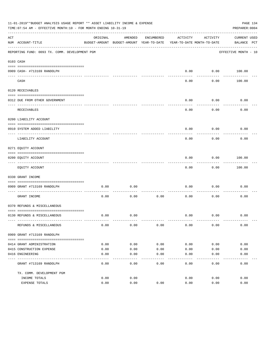|     | 11-01-2019**BUDGET ANALYSIS USAGE REPORT ** ASSET LIABILITY INCOME & EXPENSE<br>PAGE 134<br>TIME: 07:54 AM - EFFECTIVE MONTH: 10 - FOR MONTH ENDING 10-31-19<br>PREPARER: 0004 |          |                                          |            |                            |                  |                      |  |  |  |
|-----|--------------------------------------------------------------------------------------------------------------------------------------------------------------------------------|----------|------------------------------------------|------------|----------------------------|------------------|----------------------|--|--|--|
| ACT |                                                                                                                                                                                | ORIGINAL | AMENDED                                  | ENCUMBERED | ACTIVITY                   | ACTIVITY         | <b>CURRENT USED</b>  |  |  |  |
|     | NUM ACCOUNT-TITLE                                                                                                                                                              |          | BUDGET-AMOUNT BUDGET-AMOUNT YEAR-TO-DATE |            | YEAR-TO-DATE MONTH-TO-DATE |                  | BALANCE PCT          |  |  |  |
|     | REPORTING FUND: 0093 TX. COMM. DEVELOPMENT PGM                                                                                                                                 |          |                                          |            |                            |                  | EFFECTIVE MONTH - 10 |  |  |  |
|     | 0103 CASH                                                                                                                                                                      |          |                                          |            |                            |                  |                      |  |  |  |
|     |                                                                                                                                                                                |          |                                          |            |                            |                  |                      |  |  |  |
|     | 0909 CASH- #713169 RANDOLPH                                                                                                                                                    |          |                                          |            | 0.00                       | ---------        | $0.00$ 100.00        |  |  |  |
|     | CASH                                                                                                                                                                           |          |                                          |            | 0.00                       | 0.00             | 100.00               |  |  |  |
|     | 0120 RECEIVABLES                                                                                                                                                               |          |                                          |            |                            |                  |                      |  |  |  |
|     |                                                                                                                                                                                |          |                                          |            |                            |                  |                      |  |  |  |
|     | 0312 DUE FROM OTHER GOVERNMENT                                                                                                                                                 |          |                                          |            | 0.00                       | 0.00<br>-------- | 0.00                 |  |  |  |
|     | RECEIVABLES                                                                                                                                                                    |          |                                          |            | 0.00                       | 0.00             | 0.00                 |  |  |  |
|     | 0200 LIABILITY ACCOUNT                                                                                                                                                         |          |                                          |            |                            |                  |                      |  |  |  |
|     | 0910 SYSTEM ADDED LIABILITY                                                                                                                                                    |          |                                          |            | 0.00                       | 0.00             | 0.00                 |  |  |  |
|     | LIABILITY ACCOUNT                                                                                                                                                              |          |                                          |            | 0.00                       | 0.00             | 0.00                 |  |  |  |
|     | 0271 EQUITY ACCOUNT                                                                                                                                                            |          |                                          |            |                            |                  |                      |  |  |  |
|     | 0200 EQUITY ACCOUNT                                                                                                                                                            |          |                                          |            | 0.00                       | 0.00             | 100.00               |  |  |  |
|     | EQUITY ACCOUNT                                                                                                                                                                 |          |                                          |            | 0.00                       | 0.00             | 100.00               |  |  |  |
|     | 0330 GRANT INCOME                                                                                                                                                              |          |                                          |            |                            |                  |                      |  |  |  |
|     |                                                                                                                                                                                |          |                                          |            |                            |                  |                      |  |  |  |
|     | 0909 GRANT #713169 RANDOLPH<br>---------------------- -----                                                                                                                    | 0.00     | 0.00                                     |            | 0.00                       | 0.00             | 0.00                 |  |  |  |
|     | GRANT INCOME                                                                                                                                                                   | 0.00     | 0.00                                     | 0.00       | 0.00                       | 0.00             | 0.00                 |  |  |  |
|     | 0370 REFUNDS & MISCELLANEOUS                                                                                                                                                   |          |                                          |            |                            |                  |                      |  |  |  |
|     |                                                                                                                                                                                |          |                                          |            |                            |                  |                      |  |  |  |
|     | 0130 REFUNDS & MISCELLANEOUS                                                                                                                                                   | 0.00     | 0.00                                     |            | 0.00                       | 0.00             | 0.00                 |  |  |  |
|     | REFUNDS & MISCELLANEOUS                                                                                                                                                        | 0.00     | 0.00                                     | 0.00       | 0.00                       | 0.00             | 0.00                 |  |  |  |
|     | 0909 GRANT #713169 RANDOLPH                                                                                                                                                    |          |                                          |            |                            |                  |                      |  |  |  |
|     |                                                                                                                                                                                |          |                                          |            |                            |                  |                      |  |  |  |
|     | 0414 GRANT ADMINISTRATION                                                                                                                                                      | 0.00     | 0.00                                     | 0.00       | 0.00                       | 0.00             | 0.00                 |  |  |  |
|     | 0415 CONSTRUCTION EXPENSE                                                                                                                                                      | 0.00     | 0.00                                     | 0.00       | 0.00                       | 0.00             | 0.00                 |  |  |  |
|     | 0416 ENGINEERING                                                                                                                                                               | 0.00     | 0.00                                     | 0.00       | 0.00                       | 0.00             | 0.00                 |  |  |  |
|     | GRANT #713169 RANDOLPH                                                                                                                                                         | 0.00     | 0.00                                     | 0.00       | 0.00                       | 0.00             | 0.00                 |  |  |  |
|     | TX. COMM. DEVELOPMENT PGM                                                                                                                                                      |          |                                          |            |                            |                  |                      |  |  |  |
|     | INCOME TOTALS                                                                                                                                                                  | 0.00     | 0.00                                     |            | 0.00                       | 0.00             | 0.00                 |  |  |  |
|     | EXPENSE TOTALS                                                                                                                                                                 | 0.00     | 0.00                                     | 0.00       | 0.00                       | 0.00             | 0.00                 |  |  |  |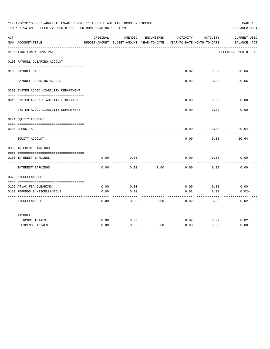|     | 11-01-2019**BUDGET ANALYSIS USAGE REPORT ** ASSET LIABILITY INCOME & EXPENSE<br>PAGE 135<br>PREPARER: 0004<br>TIME: 07:54 AM - EFFECTIVE MONTH: 10 - FOR MONTH ENDING 10-31-19 |          |                                                                                |            |                   |                  |                                    |  |  |  |  |  |
|-----|--------------------------------------------------------------------------------------------------------------------------------------------------------------------------------|----------|--------------------------------------------------------------------------------|------------|-------------------|------------------|------------------------------------|--|--|--|--|--|
| ACT | NUM ACCOUNT-TITLE                                                                                                                                                              | ORIGINAL | AMENDED<br>BUDGET-AMOUNT BUDGET-AMOUNT YEAR-TO-DATE YEAR-TO-DATE MONTH-TO-DATE | ENCUMBERED | ACTIVITY          | ACTIVITY         | <b>CURRENT USED</b><br>BALANCE PCT |  |  |  |  |  |
|     | ----------------------------<br>REPORTING FUND: 0095 PAYROLL                                                                                                                   |          |                                                                                |            |                   |                  | EFFECTIVE MONTH - 10               |  |  |  |  |  |
|     | 0100 PAYROLL CLEARING ACCOUNT                                                                                                                                                  |          |                                                                                |            |                   |                  |                                    |  |  |  |  |  |
|     | 0100 PAYROLL CASH                                                                                                                                                              |          |                                                                                |            | 0.02<br>--------- | 0.02<br>-------- | 20.66                              |  |  |  |  |  |
|     | PAYROLL CLEARING ACCOUNT                                                                                                                                                       |          |                                                                                |            | 0.02              | 0.02             | 20.66                              |  |  |  |  |  |
|     | 0200 SYSTEM ADDED LIABILITY DEPARTMENT                                                                                                                                         |          |                                                                                |            |                   |                  |                                    |  |  |  |  |  |
|     | 0910 SYSTEM ADDED LIABILITY LINE-ITEM                                                                                                                                          |          |                                                                                |            | 0.00<br>-----     | 0.00<br>-------- | 0.00                               |  |  |  |  |  |
|     | SYSTEM ADDED LIABILITY DEPARTMENT                                                                                                                                              |          |                                                                                |            | 0.00              | 0.00             | 0.00                               |  |  |  |  |  |
|     | 0271 EQUITY ACCOUNT                                                                                                                                                            |          |                                                                                |            |                   |                  |                                    |  |  |  |  |  |
|     | 0200 DEPOSITS                                                                                                                                                                  |          |                                                                                |            | 0.00              | 0.00             | 20.64                              |  |  |  |  |  |
|     | EQUITY ACCOUNT                                                                                                                                                                 |          |                                                                                |            | 0.00              | 0.00             | 20.64                              |  |  |  |  |  |
|     | 0360 INTEREST EARNINGS                                                                                                                                                         |          |                                                                                |            |                   |                  |                                    |  |  |  |  |  |
|     | 0100 INTEREST EARNINGS<br>---- ---------------<br>----------------- --                                                                                                         | 0.00     | 0.00                                                                           |            | 0.00              | 0.00             | 0.00                               |  |  |  |  |  |
|     | INTEREST EARNINGS                                                                                                                                                              | 0.00     | 0.00                                                                           | 0.00       | 0.00              | 0.00             | 0.00                               |  |  |  |  |  |
|     | 0370 MISCELLANEOUS                                                                                                                                                             |          |                                                                                |            |                   |                  |                                    |  |  |  |  |  |
|     | 0125 AFLAC FSA CLEARING                                                                                                                                                        | 0.00     | 0.00                                                                           |            | 0.00              | 0.00             | 0.00                               |  |  |  |  |  |
|     | 0130 REFUNDS & MISCELLANEOUS                                                                                                                                                   | 0.00     | 0.00<br>$- - - -$                                                              |            | 0.02<br>-----     | 0.02<br>-----    | $0.02+$                            |  |  |  |  |  |
|     | MISCELLANEOUS                                                                                                                                                                  | 0.00     | 0.00                                                                           | 0.00       | 0.02              | 0.02             | $0.02+$                            |  |  |  |  |  |
|     | PAYROLL                                                                                                                                                                        |          |                                                                                |            |                   |                  |                                    |  |  |  |  |  |
|     | INCOME TOTALS                                                                                                                                                                  | 0.00     | 0.00                                                                           |            | 0.02              | 0.02             | $0.02+$                            |  |  |  |  |  |
|     | <b>EXPENSE TOTALS</b>                                                                                                                                                          | 0.00     | 0.00                                                                           | 0.00       | 0.00              | 0.00             | 0.00                               |  |  |  |  |  |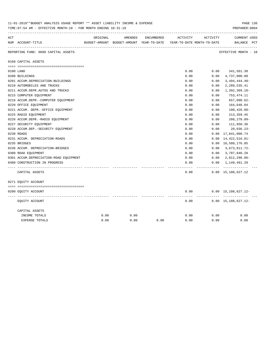| 11-01-2019**BUDGET ANALYSIS USAGE REPORT ** ASSET LIABILITY INCOME & EXPENSE<br>PREPARER: 0004<br>TIME: 07:54 AM - EFFECTIVE MONTH: 10 - FOR MONTH ENDING 10-31-19 |                                        |          |                                                                                |            |          |          |                                             |  |  |  |  |  |
|--------------------------------------------------------------------------------------------------------------------------------------------------------------------|----------------------------------------|----------|--------------------------------------------------------------------------------|------------|----------|----------|---------------------------------------------|--|--|--|--|--|
| ACT                                                                                                                                                                | NUM ACCOUNT-TITLE                      | ORIGINAL | AMENDED<br>BUDGET-AMOUNT BUDGET-AMOUNT YEAR-TO-DATE YEAR-TO-DATE MONTH-TO-DATE | ENCUMBERED | ACTIVITY | ACTIVITY | <b>CURRENT USED</b><br>BALANCE PCT          |  |  |  |  |  |
|                                                                                                                                                                    | REPORTING FUND: 0098 CAPITAL ASSETS    |          |                                                                                |            |          |          | -------------------<br>EFFECTIVE MONTH - 10 |  |  |  |  |  |
|                                                                                                                                                                    | 0160 CAPITAL ASSETS                    |          |                                                                                |            |          |          |                                             |  |  |  |  |  |
|                                                                                                                                                                    |                                        |          |                                                                                |            |          |          |                                             |  |  |  |  |  |
|                                                                                                                                                                    | 0100 LAND                              |          |                                                                                |            | 0.00     | 0.00     | 341,561.30                                  |  |  |  |  |  |
|                                                                                                                                                                    | 0200 BUILDINGS                         |          |                                                                                |            | 0.00     | 0.00     | 4,737,000.00                                |  |  |  |  |  |
|                                                                                                                                                                    | 0201 ACCUM.DEPRECIATION-BUILDINGS      |          |                                                                                |            | 0.00     | 0.00     | $3,494,444.40-$                             |  |  |  |  |  |
|                                                                                                                                                                    | 0210 AUTOMOBILES AND TRUCKS            |          |                                                                                |            | 0.00     | 0.00     | 2,289,535.41                                |  |  |  |  |  |
|                                                                                                                                                                    | 0211 ACCUM.DEPR.AUTOS AND TRUCKS       |          |                                                                                |            | 0.00     | 0.00     | $1,392,369.10-$                             |  |  |  |  |  |
|                                                                                                                                                                    | 0215 COMPUTER EQUIPMENT                |          |                                                                                |            | 0.00     | 0.00     | 753,474.11                                  |  |  |  |  |  |
|                                                                                                                                                                    | 0216 ACCUM.DEPR.-COMPUTER EQUIPMENT    |          |                                                                                |            | 0.00     | 0.00     | 657,090.62-                                 |  |  |  |  |  |
|                                                                                                                                                                    | 0220 OFFICE EQUIPMENT                  |          |                                                                                |            | 0.00     | 0.00     | 164,640.04                                  |  |  |  |  |  |
|                                                                                                                                                                    | 0221 ACCUM. DEPR. - OFFICE EQUIPMENT   |          |                                                                                |            | 0.00     | 0.00     | $100, 426.88 -$                             |  |  |  |  |  |
|                                                                                                                                                                    | 0225 RADIO EQUIPMENT                   |          |                                                                                |            | 0.00     | 0.00     | 213, 359.45                                 |  |  |  |  |  |
|                                                                                                                                                                    | 0226 ACCUM.DEPR.-RADIO EQUIPMENT       |          |                                                                                |            | 0.00     | 0.00     | $208, 278.09 -$                             |  |  |  |  |  |
|                                                                                                                                                                    | 0227 SECURITY EQUIPMENT                |          |                                                                                |            | 0.00     | 0.00     | 111,850.36                                  |  |  |  |  |  |
|                                                                                                                                                                    | 0228 ACCUM.DEP. - SECURITY EQUIPMENT   |          |                                                                                |            | 0.00     | 0.00     | $20,036.23-$                                |  |  |  |  |  |
|                                                                                                                                                                    | 0230 ROADS                             |          |                                                                                |            | 0.00     |          | $0.00 \quad 17,841,000.74$                  |  |  |  |  |  |
|                                                                                                                                                                    | 0231 ACCUM. DEPRECIATION-ROADS         |          |                                                                                |            | 0.00     | 0.00     | 14,422,516.81-                              |  |  |  |  |  |
|                                                                                                                                                                    | 0235 BRIDGES                           |          |                                                                                |            | 0.00     |          | 0.00 10,580,176.85                          |  |  |  |  |  |
|                                                                                                                                                                    | 0236 ACCUM. DEPRECIATION-BRIDGES       |          |                                                                                |            | 0.00     |          | $0.00 \quad 3,673,811.72$ -                 |  |  |  |  |  |
|                                                                                                                                                                    | 0300 ROAD EQUIPMENT                    |          |                                                                                |            | 0.00     |          | $0.00$ 3, 707, 840.28                       |  |  |  |  |  |
|                                                                                                                                                                    | 0301 ACCUM.DEPRECIATION-ROAD EQUIPMENT |          |                                                                                |            | 0.00     |          | $0.00 \quad 2,812,298.86 -$                 |  |  |  |  |  |
|                                                                                                                                                                    | 0400 CONSTRUCTION IN PROGRESS          |          |                                                                                |            | 0.00     |          | $0.00 \quad 1,149,461.29$                   |  |  |  |  |  |
|                                                                                                                                                                    | CAPITAL ASSETS                         |          |                                                                                |            | 0.00     |          | ------------<br>$0.00 \quad 15,108,627.12$  |  |  |  |  |  |
|                                                                                                                                                                    | 0271 EQUITY ACCOUNT                    |          |                                                                                |            |          |          |                                             |  |  |  |  |  |
|                                                                                                                                                                    |                                        |          |                                                                                |            |          |          |                                             |  |  |  |  |  |
|                                                                                                                                                                    | 0200 EQUITY ACCOUNT                    |          |                                                                                |            | 0.00     |          | $0.00 \quad 15,108,627.12 -$                |  |  |  |  |  |
|                                                                                                                                                                    | EQUITY ACCOUNT                         |          |                                                                                |            | 0.00     |          | ----------<br>$0.00 \quad 15,108,627.12 -$  |  |  |  |  |  |
|                                                                                                                                                                    | CAPITAL ASSETS                         |          |                                                                                |            |          |          |                                             |  |  |  |  |  |
|                                                                                                                                                                    | INCOME TOTALS                          | 0.00     | 0.00                                                                           |            | 0.00     | 0.00     | 0.00                                        |  |  |  |  |  |
|                                                                                                                                                                    | <b>EXPENSE TOTALS</b>                  | 0.00     | 0.00                                                                           | 0.00       | 0.00     | 0.00     | 0.00                                        |  |  |  |  |  |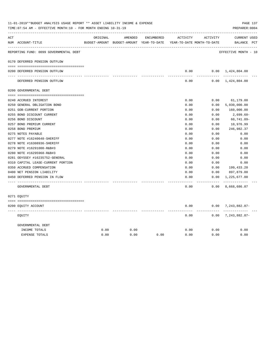| ACT |                                        | ORIGINAL | AMENDED                                                             | ENCUMBERED | ACTIVITY      | ACTIVITY        | CURRENT USED                  |  |
|-----|----------------------------------------|----------|---------------------------------------------------------------------|------------|---------------|-----------------|-------------------------------|--|
|     | NUM ACCOUNT-TITLE                      |          | BUDGET-AMOUNT BUDGET-AMOUNT YEAR-TO-DATE YEAR-TO-DATE MONTH-TO-DATE |            |               |                 | BALANCE PCT                   |  |
|     | REPORTING FUND: 0099 GOVERNMENTAL DEBT |          |                                                                     |            |               |                 | EFFECTIVE MONTH - 10          |  |
|     | 0170 DEFERRED PENSION OUTFLOW          |          |                                                                     |            |               |                 |                               |  |
|     | 0200 DEFERRED PENSION OUTFLOW          |          |                                                                     |            | 0.00          |                 | $0.00 \quad 1,424,804.00$     |  |
|     | DEFERRED PENSION OUTFLOW               |          |                                                                     |            | 0.00          |                 | $0.00 \quad 1,424,804.00$     |  |
|     | 0200 GOVERNMENTAL DEBT                 |          |                                                                     |            |               |                 |                               |  |
|     | 0240 ACCRUED INTEREST                  |          |                                                                     |            | 0.00          | 0.00            | 61,179.00                     |  |
|     | 0250 GENERAL OBLIGATION BOND           |          |                                                                     |            | 0.00          | 0.00            | 5,930,000.00                  |  |
|     | 0251 GOB-CURRENT PORTION               |          |                                                                     |            | 0.00          | 0.00            | 160,000.00                    |  |
|     | 0255 BOND DISCOUNT CURRENT             |          |                                                                     |            | 0.00          | 0.00            | 2,699.60-                     |  |
|     | 0256 BOND DISCOUNT                     |          |                                                                     |            | 0.00          | 0.00            | $60, 741.09 -$                |  |
|     | 0257 BOND PREMIUM CURRENT              |          |                                                                     |            | 0.00          | 0.00            | 10,976.99                     |  |
|     | 0258 BOND PREMIUM                      |          |                                                                     |            | 0.00          | 0.00            | 246,982.37                    |  |
|     | 0275 NOTES PAYABLE                     |          |                                                                     |            | 0.00          | 0.00            | 0.00                          |  |
|     | 0277 NOTE #16240648-SHERIFF            |          |                                                                     |            | 0.00          | 0.00            | 0.00                          |  |
|     | 0278 NOTE #16308936-SHERIFF            |          |                                                                     |            | 0.00          | 0.00            | 0.00                          |  |
|     | 0279 NOTE #16291000-R&B#3              |          |                                                                     |            | 0.00          | 0.00            | 0.00                          |  |
|     | 0280 NOTE #16295968-R&B#3              |          |                                                                     |            | 0.00          | 0.00            | 0.00                          |  |
|     | 0281 ODYSSEY #16235752-GENERAL         |          |                                                                     |            | 0.00          | 0.00            | 0.00                          |  |
|     | 0310 CAPITAL LEASE-CURRENT PORTION     |          |                                                                     |            | 0.00          | 0.00            | 0.00                          |  |
|     | 0350 ACCRUED COMPENSATION              |          |                                                                     |            | 0.00          | 0.00            | 199,433.20                    |  |
|     | 0400 NET PENSION LIABILITY             |          |                                                                     |            | 0.00          | 0.00            | 897,879.00                    |  |
|     | 0450 DEFERRED PENSION IN FLOW          |          |                                                                     |            | 0.00<br>----- | 0.00<br>------- | 1,225,677.00<br>------------- |  |
|     | GOVERNMENTAL DEBT                      |          |                                                                     |            | 0.00          | 0.00            | 8,668,686.87                  |  |
|     | 0271 EOUITY                            |          |                                                                     |            |               |                 |                               |  |
|     | 0200 EQUITY ACCOUNT                    |          |                                                                     |            | 0.00          |                 | $0.00$ 7, 243, 882.87-        |  |
|     | EOUITY                                 |          |                                                                     |            | 0.00          | ------          | $0.00$ 7, 243, 882.87-        |  |
|     | GOVERNMENTAL DEBT                      |          |                                                                     |            |               |                 |                               |  |
|     | INCOME TOTALS                          | 0.00     | 0.00                                                                |            | 0.00          | 0.00            | 0.00                          |  |
|     | <b>EXPENSE TOTALS</b>                  | 0.00     | 0.00                                                                | 0.00       | 0.00          | 0.00            | 0.00                          |  |